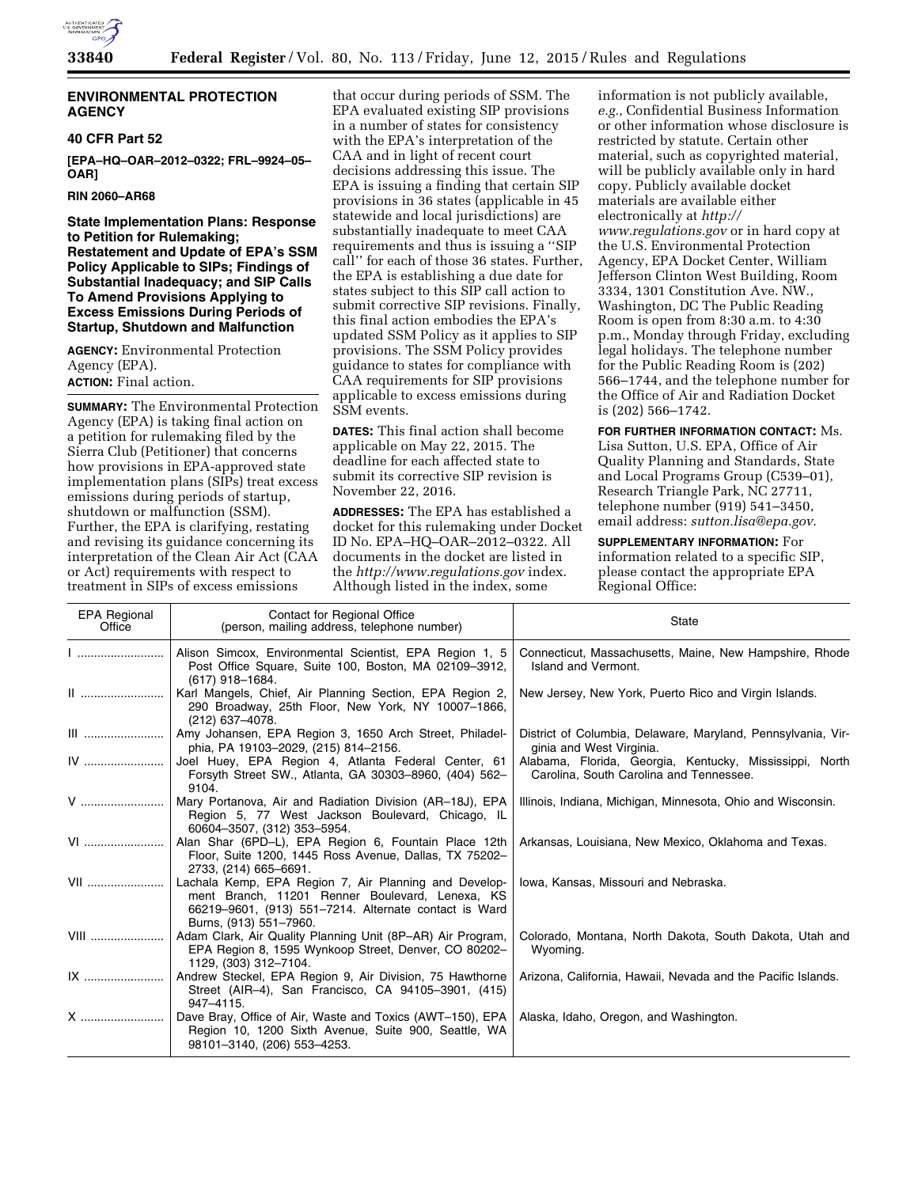

### **ENVIRONMENTAL PROTECTION AGENCY**

#### **40 CFR Part 52**

**[EPA–HQ–OAR–2012–0322; FRL–9924–05– OAR]** 

**RIN 2060–AR68** 

**State Implementation Plans: Response to Petition for Rulemaking; Restatement and Update of EPA's SSM Policy Applicable to SIPs; Findings of Substantial Inadequacy; and SIP Calls To Amend Provisions Applying to Excess Emissions During Periods of Startup, Shutdown and Malfunction** 

**AGENCY:** Environmental Protection Agency (EPA). **ACTION:** Final action.

**SUMMARY:** The Environmental Protection Agency (EPA) is taking final action on a petition for rulemaking filed by the Sierra Club (Petitioner) that concerns how provisions in EPA-approved state implementation plans (SIPs) treat excess emissions during periods of startup, shutdown or malfunction (SSM). Further, the EPA is clarifying, restating and revising its guidance concerning its interpretation of the Clean Air Act (CAA or Act) requirements with respect to treatment in SIPs of excess emissions

that occur during periods of SSM. The EPA evaluated existing SIP provisions in a number of states for consistency with the EPA's interpretation of the CAA and in light of recent court decisions addressing this issue. The EPA is issuing a finding that certain SIP provisions in 36 states (applicable in 45 statewide and local jurisdictions) are substantially inadequate to meet CAA requirements and thus is issuing a ''SIP call'' for each of those 36 states. Further, the EPA is establishing a due date for states subject to this SIP call action to submit corrective SIP revisions. Finally, this final action embodies the EPA's updated SSM Policy as it applies to SIP provisions. The SSM Policy provides guidance to states for compliance with CAA requirements for SIP provisions applicable to excess emissions during SSM events.

**DATES:** This final action shall become applicable on May 22, 2015. The deadline for each affected state to submit its corrective SIP revision is November 22, 2016.

**ADDRESSES:** The EPA has established a docket for this rulemaking under Docket ID No. EPA–HQ–OAR–2012–0322. All documents in the docket are listed in the *<http://www.regulations.gov>*index. Although listed in the index, some

information is not publicly available, *e.g.,* Confidential Business Information or other information whose disclosure is restricted by statute. Certain other material, such as copyrighted material, will be publicly available only in hard copy. Publicly available docket materials are available either electronically at *[http://](http://www.regulations.gov) [www.regulations.gov](http://www.regulations.gov)* or in hard copy at the U.S. Environmental Protection Agency, EPA Docket Center, William Jefferson Clinton West Building, Room 3334, 1301 Constitution Ave. NW., Washington, DC The Public Reading Room is open from 8:30 a.m. to 4:30 p.m., Monday through Friday, excluding legal holidays. The telephone number for the Public Reading Room is (202) 566–1744, and the telephone number for the Office of Air and Radiation Docket is (202) 566–1742.

**FOR FURTHER INFORMATION CONTACT:** Ms. Lisa Sutton, U.S. EPA, Office of Air Quality Planning and Standards, State and Local Programs Group (C539–01), Research Triangle Park, NC 27711, telephone number (919) 541–3450, email address: *[sutton.lisa@epa.gov](mailto:sutton.lisa@epa.gov)*.

### **SUPPLEMENTARY INFORMATION:** For

information related to a specific SIP, please contact the appropriate EPA Regional Office:

| <b>EPA Regional</b><br>Office | Contact for Regional Office<br>(person, mailing address, telephone number)                                                                                                                  | <b>State</b>                                                                                       |
|-------------------------------|---------------------------------------------------------------------------------------------------------------------------------------------------------------------------------------------|----------------------------------------------------------------------------------------------------|
| <u>  </u>                     | Alison Simcox, Environmental Scientist, EPA Region 1, 5<br>Post Office Square, Suite 100, Boston, MA 02109-3912,<br>(617) 918-1684.                                                         | Connecticut, Massachusetts, Maine, New Hampshire, Rhode<br>Island and Vermont.                     |
|                               | Karl Mangels, Chief, Air Planning Section, EPA Region 2,<br>290 Broadway, 25th Floor, New York, NY 10007-1866,<br>(212) 637-4078.                                                           | New Jersey, New York, Puerto Rico and Virgin Islands.                                              |
|                               | Amy Johansen, EPA Region 3, 1650 Arch Street, Philadel-<br>phia, PA 19103-2029, (215) 814-2156.                                                                                             | District of Columbia, Delaware, Maryland, Pennsylvania, Vir-<br>ginia and West Virginia.           |
| IV                            | Joel Huey, EPA Region 4, Atlanta Federal Center, 61<br>Forsyth Street SW., Atlanta, GA 30303-8960, (404) 562-<br>9104.                                                                      | Alabama, Florida, Georgia, Kentucky, Mississippi, North<br>Carolina, South Carolina and Tennessee. |
| V                             | Mary Portanova, Air and Radiation Division (AR-18J), EPA<br>Region 5, 77 West Jackson Boulevard, Chicago, IL<br>60604-3507, (312) 353-5954.                                                 | Illinois, Indiana, Michigan, Minnesota, Ohio and Wisconsin.                                        |
| VI                            | Alan Shar (6PD-L), EPA Region 6, Fountain Place 12th<br>Floor, Suite 1200, 1445 Ross Avenue, Dallas, TX 75202-<br>2733, (214) 665-6691.                                                     | Arkansas, Louisiana, New Mexico, Oklahoma and Texas.                                               |
| VII                           | Lachala Kemp, EPA Region 7, Air Planning and Develop-<br>ment Branch, 11201 Renner Boulevard, Lenexa, KS<br>66219-9601, (913) 551-7214. Alternate contact is Ward<br>Burns, (913) 551-7960. | Iowa, Kansas, Missouri and Nebraska.                                                               |
| VIII                          | Adam Clark, Air Quality Planning Unit (8P-AR) Air Program,<br>EPA Region 8, 1595 Wynkoop Street, Denver, CO 80202-<br>1129, (303) 312-7104.                                                 | Colorado, Montana, North Dakota, South Dakota, Utah and<br>Wyoming.                                |
|                               | Andrew Steckel, EPA Region 9, Air Division, 75 Hawthorne<br>Street (AIR-4), San Francisco, CA 94105-3901, (415)<br>947-4115.                                                                | Arizona, California, Hawaii, Nevada and the Pacific Islands.                                       |
|                               | Dave Bray, Office of Air, Waste and Toxics (AWT-150), EPA<br>Region 10, 1200 Sixth Avenue, Suite 900, Seattle, WA<br>98101-3140, (206) 553-4253.                                            | Alaska, Idaho, Oregon, and Washington.                                                             |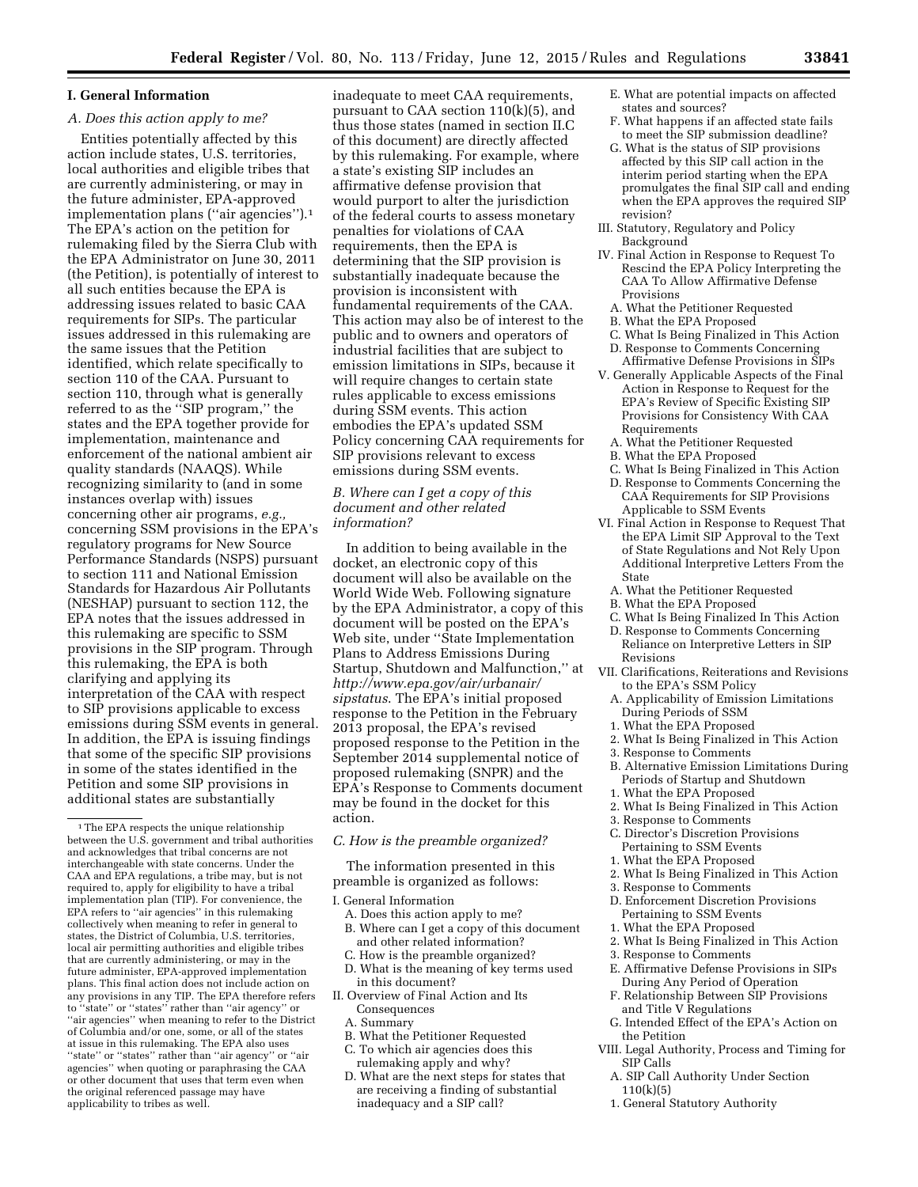#### **I. General Information**

### *A. Does this action apply to me?*

Entities potentially affected by this action include states, U.S. territories, local authorities and eligible tribes that are currently administering, or may in the future administer, EPA-approved implementation plans (''air agencies'').1 The EPA's action on the petition for rulemaking filed by the Sierra Club with the EPA Administrator on June 30, 2011 (the Petition), is potentially of interest to all such entities because the EPA is addressing issues related to basic CAA requirements for SIPs. The particular issues addressed in this rulemaking are the same issues that the Petition identified, which relate specifically to section 110 of the CAA. Pursuant to section 110, through what is generally referred to as the ''SIP program,'' the states and the EPA together provide for implementation, maintenance and enforcement of the national ambient air quality standards (NAAQS). While recognizing similarity to (and in some instances overlap with) issues concerning other air programs,  $e.g.$ concerning SSM provisions in the EPA's regulatory programs for New Source Performance Standards (NSPS) pursuant to section 111 and National Emission Standards for Hazardous Air Pollutants (NESHAP) pursuant to section 112, the EPA notes that the issues addressed in this rulemaking are specific to SSM provisions in the SIP program. Through this rulemaking, the EPA is both clarifying and applying its interpretation of the CAA with respect to SIP provisions applicable to excess emissions during SSM events in general. In addition, the EPA is issuing findings that some of the specific SIP provisions in some of the states identified in the Petition and some SIP provisions in additional states are substantially

inadequate to meet CAA requirements, pursuant to CAA section 110(k)(5), and thus those states (named in section II.C of this document) are directly affected by this rulemaking. For example, where a state's existing SIP includes an affirmative defense provision that would purport to alter the jurisdiction of the federal courts to assess monetary penalties for violations of CAA requirements, then the EPA is determining that the SIP provision is substantially inadequate because the provision is inconsistent with fundamental requirements of the CAA. This action may also be of interest to the public and to owners and operators of industrial facilities that are subject to emission limitations in SIPs, because it will require changes to certain state rules applicable to excess emissions during SSM events. This action embodies the EPA's updated SSM Policy concerning CAA requirements for SIP provisions relevant to excess emissions during SSM events.

### *B. Where can I get a copy of this document and other related information?*

In addition to being available in the docket, an electronic copy of this document will also be available on the World Wide Web. Following signature by the EPA Administrator, a copy of this document will be posted on the EPA's Web site, under ''State Implementation Plans to Address Emissions During Startup, Shutdown and Malfunction,'' at *[http://www.epa.gov/air/urbanair/](http://www.epa.gov/air/urbanair/sipstatus) [sipstatus](http://www.epa.gov/air/urbanair/sipstatus)*. The EPA's initial proposed response to the Petition in the February 2013 proposal, the EPA's revised proposed response to the Petition in the September 2014 supplemental notice of proposed rulemaking (SNPR) and the EPA's Response to Comments document may be found in the docket for this action.

#### *C. How is the preamble organized?*

The information presented in this preamble is organized as follows:

I. General Information

- A. Does this action apply to me? B. Where can I get a copy of this document
- and other related information? C. How is the preamble organized?
- D. What is the meaning of key terms used in this document?
- II. Overview of Final Action and Its Consequences
	- A. Summary
	- B. What the Petitioner Requested
	- C. To which air agencies does this
	- rulemaking apply and why?
	- D. What are the next steps for states that are receiving a finding of substantial inadequacy and a SIP call?
- E. What are potential impacts on affected states and sources?
- F. What happens if an affected state fails to meet the SIP submission deadline?
- G. What is the status of SIP provisions affected by this SIP call action in the interim period starting when the EPA promulgates the final SIP call and ending when the EPA approves the required SIP revision?
- III. Statutory, Regulatory and Policy Background
- IV. Final Action in Response to Request To Rescind the EPA Policy Interpreting the CAA To Allow Affirmative Defense Provisions
	- A. What the Petitioner Requested
- B. What the EPA Proposed
- C. What Is Being Finalized in This Action D. Response to Comments Concerning Affirmative Defense Provisions in SIPs
- V. Generally Applicable Aspects of the Final Action in Response to Request for the EPA's Review of Specific Existing SIP Provisions for Consistency With CAA Requirements
	- A. What the Petitioner Requested
	- B. What the EPA Proposed
	- C. What Is Being Finalized in This Action
- D. Response to Comments Concerning the CAA Requirements for SIP Provisions Applicable to SSM Events
- VI. Final Action in Response to Request That the EPA Limit SIP Approval to the Text of State Regulations and Not Rely Upon Additional Interpretive Letters From the State
	- A. What the Petitioner Requested
	- B. What the EPA Proposed
	- C. What Is Being Finalized In This Action
- D. Response to Comments Concerning Reliance on Interpretive Letters in SIP Revisions
- VII. Clarifications, Reiterations and Revisions to the EPA's SSM Policy
	- A. Applicability of Emission Limitations During Periods of SSM
	- 1. What the EPA Proposed
- 2. What Is Being Finalized in This Action
- 3. Response to Comments
- B. Alternative Emission Limitations During Periods of Startup and Shutdown
- 1. What the EPA Proposed
- 2. What Is Being Finalized in This Action
- 3. Response to Comments
- C. Director's Discretion Provisions Pertaining to SSM Events
- 1. What the EPA Proposed
- 2. What Is Being Finalized in This Action
- 3. Response to Comments
- D. Enforcement Discretion Provisions Pertaining to SSM Events
- 1. What the EPA Proposed
- 2. What Is Being Finalized in This Action
- 3. Response to Comments
- E. Affirmative Defense Provisions in SIPs During Any Period of Operation
- F. Relationship Between SIP Provisions and Title V Regulations
- G. Intended Effect of the EPA's Action on the Petition
- VIII. Legal Authority, Process and Timing for SIP Calls
	- A. SIP Call Authority Under Section  $110(k)(5)$
	- 1. General Statutory Authority

<sup>&</sup>lt;sup>1</sup>The EPA respects the unique relationship between the U.S. government and tribal authorities and acknowledges that tribal concerns are not interchangeable with state concerns. Under the CAA and EPA regulations, a tribe may, but is not required to, apply for eligibility to have a tribal implementation plan (TIP). For convenience, the EPA refers to ''air agencies'' in this rulemaking collectively when meaning to refer in general to states, the District of Columbia, U.S. territories, local air permitting authorities and eligible tribes that are currently administering, or may in the future administer, EPA-approved implementation plans. This final action does not include action on any provisions in any TIP. The EPA therefore refers to ''state'' or ''states'' rather than ''air agency'' or "air agencies" when meaning to refer to the District of Columbia and/or one, some, or all of the states at issue in this rulemaking. The EPA also uses "state" or "states" rather than "air agency" or "air agencies'' when quoting or paraphrasing the CAA or other document that uses that term even when the original referenced passage may have applicability to tribes as well.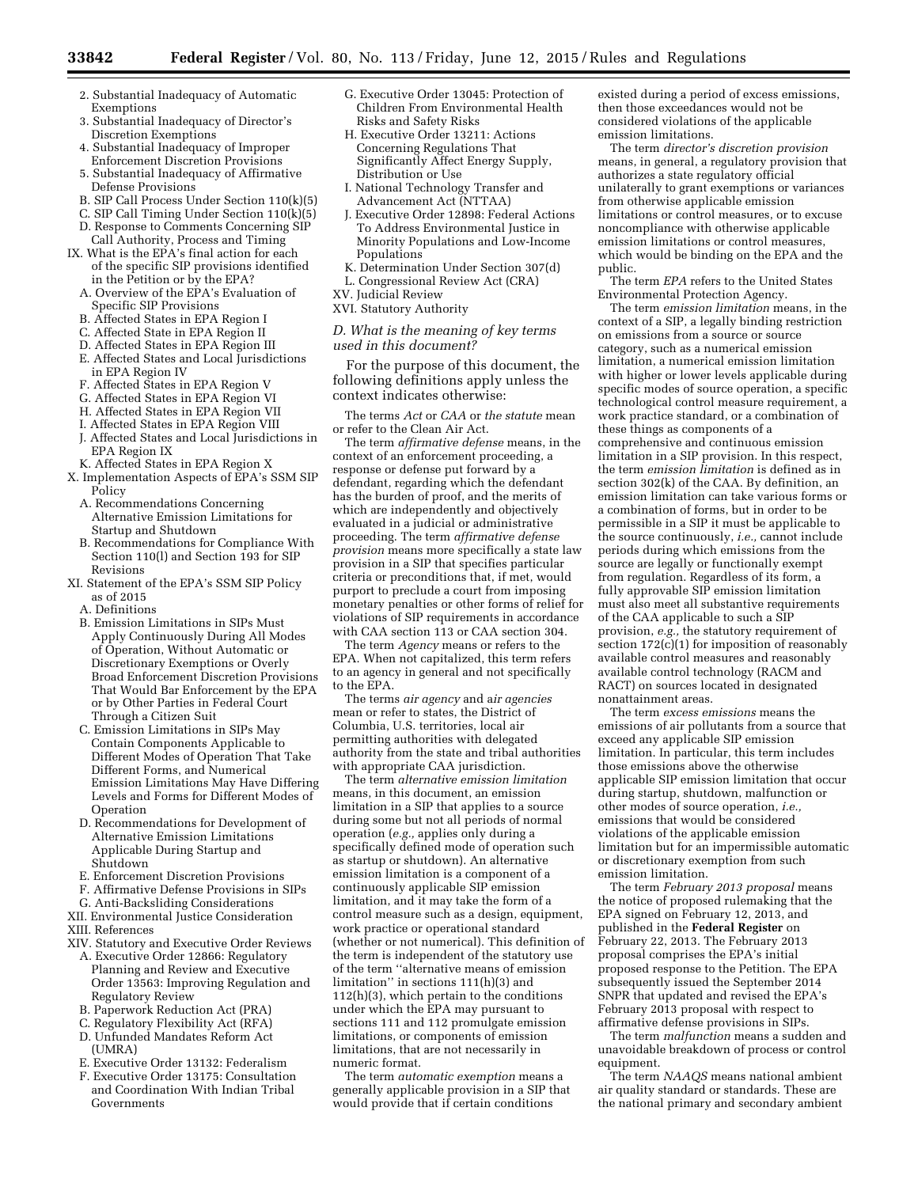- 2. Substantial Inadequacy of Automatic Exemptions
- 3. Substantial Inadequacy of Director's Discretion Exemptions
- 4. Substantial Inadequacy of Improper Enforcement Discretion Provisions
- 5. Substantial Inadequacy of Affirmative Defense Provisions
- B. SIP Call Process Under Section 110(k)(5)
- C. SIP Call Timing Under Section 110(k)(5)
- D. Response to Comments Concerning SIP
- Call Authority, Process and Timing IX. What is the EPA's final action for each of the specific SIP provisions identified
	- in the Petition or by the EPA? A. Overview of the EPA's Evaluation of Specific SIP Provisions
	- B. Affected States in EPA Region I
	- C. Affected State in EPA Region II
	- D. Affected States in EPA Region III E. Affected States and Local Jurisdictions
	- in EPA Region IV
	- F. Affected States in EPA Region V
	- G. Affected States in EPA Region VI
	- H. Affected States in EPA Region VII
	- I. Affected States in EPA Region VIII J. Affected States and Local Jurisdictions in EPA Region IX
	- K. Affected States in EPA Region X
- X. Implementation Aspects of EPA's SSM SIP Policy
	- A. Recommendations Concerning Alternative Emission Limitations for Startup and Shutdown
	- B. Recommendations for Compliance With Section 110(l) and Section 193 for SIP Revisions
- XI. Statement of the EPA's SSM SIP Policy as of 2015
	- A. Definitions
	- B. Emission Limitations in SIPs Must Apply Continuously During All Modes of Operation, Without Automatic or Discretionary Exemptions or Overly Broad Enforcement Discretion Provisions That Would Bar Enforcement by the EPA or by Other Parties in Federal Court Through a Citizen Suit
	- C. Emission Limitations in SIPs May Contain Components Applicable to Different Modes of Operation That Take Different Forms, and Numerical Emission Limitations May Have Differing Levels and Forms for Different Modes of Operation
	- D. Recommendations for Development of Alternative Emission Limitations Applicable During Startup and Shutdown
	- E. Enforcement Discretion Provisions
- F. Affirmative Defense Provisions in SIPs
- G. Anti-Backsliding Considerations
- XII. Environmental Justice Consideration
- XIII. References
- XIV. Statutory and Executive Order Reviews
- A. Executive Order 12866: Regulatory Planning and Review and Executive Order 13563: Improving Regulation and Regulatory Review
- B. Paperwork Reduction Act (PRA)
- C. Regulatory Flexibility Act (RFA)
- D. Unfunded Mandates Reform Act (UMRA)
- E. Executive Order 13132: Federalism
- F. Executive Order 13175: Consultation and Coordination With Indian Tribal Governments
- G. Executive Order 13045: Protection of Children From Environmental Health Risks and Safety Risks
- H. Executive Order 13211: Actions Concerning Regulations That Significantly Affect Energy Supply, Distribution or Use
- I. National Technology Transfer and Advancement Act (NTTAA)
- J. Executive Order 12898: Federal Actions To Address Environmental Justice in Minority Populations and Low-Income Populations
- K. Determination Under Section 307(d)
- L. Congressional Review Act (CRA)
- XV. Judicial Review
- XVI. Statutory Authority

#### *D. What is the meaning of key terms used in this document?*

For the purpose of this document, the following definitions apply unless the context indicates otherwise:

The terms *Act* or *CAA* or *the statute* mean or refer to the Clean Air Act.

The term *affirmative defense* means, in the context of an enforcement proceeding, a response or defense put forward by a defendant, regarding which the defendant has the burden of proof, and the merits of which are independently and objectively evaluated in a judicial or administrative proceeding. The term *affirmative defense provision* means more specifically a state law provision in a SIP that specifies particular criteria or preconditions that, if met, would purport to preclude a court from imposing monetary penalties or other forms of relief for violations of SIP requirements in accordance with CAA section 113 or CAA section 304.

The term *Agency* means or refers to the EPA. When not capitalized, this term refers to an agency in general and not specifically to the EPA.

The terms *air agency* and a*ir agencies*  mean or refer to states, the District of Columbia, U.S. territories, local air permitting authorities with delegated authority from the state and tribal authorities with appropriate CAA jurisdiction.

The term *alternative emission limitation*  means, in this document, an emission limitation in a SIP that applies to a source during some but not all periods of normal operation (*e.g.,* applies only during a specifically defined mode of operation such as startup or shutdown). An alternative emission limitation is a component of a continuously applicable SIP emission limitation, and it may take the form of a control measure such as a design, equipment, work practice or operational standard (whether or not numerical). This definition of the term is independent of the statutory use of the term ''alternative means of emission limitation'' in sections 111(h)(3) and 112(h)(3), which pertain to the conditions under which the EPA may pursuant to sections 111 and 112 promulgate emission limitations, or components of emission limitations, that are not necessarily in numeric format.

The term *automatic exemption* means a generally applicable provision in a SIP that would provide that if certain conditions

existed during a period of excess emissions, then those exceedances would not be considered violations of the applicable emission limitations.

The term *director's discretion provision*  means, in general, a regulatory provision that authorizes a state regulatory official unilaterally to grant exemptions or variances from otherwise applicable emission limitations or control measures, or to excuse noncompliance with otherwise applicable emission limitations or control measures, which would be binding on the EPA and the public.

The term *EPA* refers to the United States Environmental Protection Agency.

The term *emission limitation* means, in the context of a SIP, a legally binding restriction on emissions from a source or source category, such as a numerical emission limitation, a numerical emission limitation with higher or lower levels applicable during specific modes of source operation, a specific technological control measure requirement, a work practice standard, or a combination of these things as components of a comprehensive and continuous emission limitation in a SIP provision. In this respect, the term *emission limitation* is defined as in section 302(k) of the CAA. By definition, an emission limitation can take various forms or a combination of forms, but in order to be permissible in a SIP it must be applicable to the source continuously, *i.e.,* cannot include periods during which emissions from the source are legally or functionally exempt from regulation. Regardless of its form, a fully approvable SIP emission limitation must also meet all substantive requirements of the CAA applicable to such a SIP provision, *e.g.,* the statutory requirement of section  $172(c)(1)$  for imposition of reasonably available control measures and reasonably available control technology (RACM and RACT) on sources located in designated nonattainment areas.

The term *excess emissions* means the emissions of air pollutants from a source that exceed any applicable SIP emission limitation. In particular, this term includes those emissions above the otherwise applicable SIP emission limitation that occur during startup, shutdown, malfunction or other modes of source operation, *i.e.,*  emissions that would be considered violations of the applicable emission limitation but for an impermissible automatic or discretionary exemption from such emission limitation.

The term *February 2013 proposal* means the notice of proposed rulemaking that the EPA signed on February 12, 2013, and published in the **Federal Register** on February 22, 2013. The February 2013 proposal comprises the EPA's initial proposed response to the Petition. The EPA subsequently issued the September 2014 SNPR that updated and revised the EPA's February 2013 proposal with respect to affirmative defense provisions in SIPs.

The term *malfunction* means a sudden and unavoidable breakdown of process or control equipment.

The term *NAAQS* means national ambient air quality standard or standards. These are the national primary and secondary ambient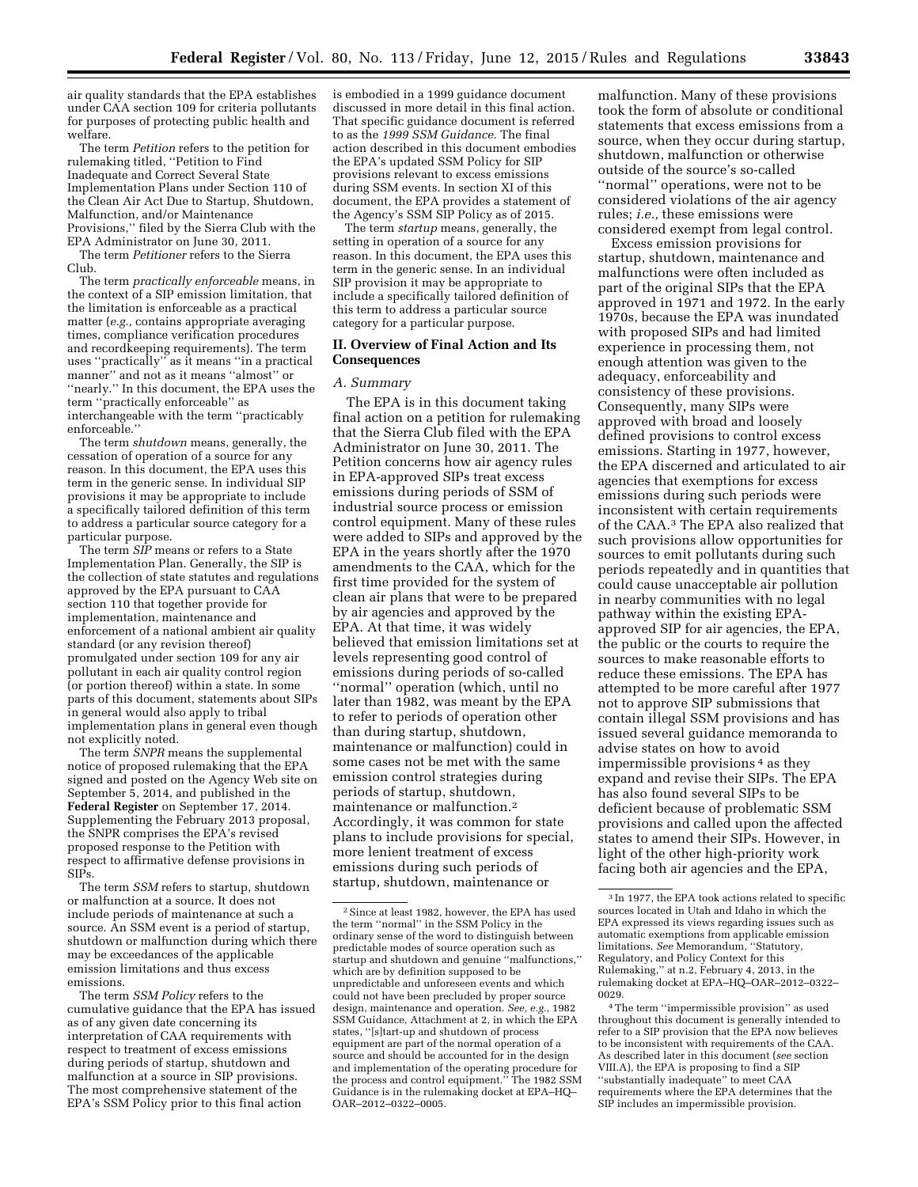air quality standards that the EPA establishes under CAA section 109 for criteria pollutants for purposes of protecting public health and welfare.

The term *Petition* refers to the petition for rulemaking titled, ''Petition to Find Inadequate and Correct Several State Implementation Plans under Section 110 of the Clean Air Act Due to Startup, Shutdown, Malfunction, and/or Maintenance Provisions,'' filed by the Sierra Club with the EPA Administrator on June 30, 2011.

The term *Petitioner* refers to the Sierra Club.

The term *practically enforceable* means, in the context of a SIP emission limitation, that the limitation is enforceable as a practical matter (*e.g.,* contains appropriate averaging times, compliance verification procedures and recordkeeping requirements). The term uses ''practically'' as it means ''in a practical manner'' and not as it means ''almost'' or ''nearly.'' In this document, the EPA uses the term ''practically enforceable'' as interchangeable with the term ''practicably enforceable.''

The term *shutdown* means, generally, the cessation of operation of a source for any reason. In this document, the EPA uses this term in the generic sense. In individual SIP provisions it may be appropriate to include a specifically tailored definition of this term to address a particular source category for a particular purpose.

The term *SIP* means or refers to a State Implementation Plan. Generally, the SIP is the collection of state statutes and regulations approved by the EPA pursuant to CAA section 110 that together provide for implementation, maintenance and enforcement of a national ambient air quality standard (or any revision thereof) promulgated under section 109 for any air pollutant in each air quality control region (or portion thereof) within a state. In some parts of this document, statements about SIPs in general would also apply to tribal implementation plans in general even though not explicitly noted.

The term *SNPR* means the supplemental notice of proposed rulemaking that the EPA signed and posted on the Agency Web site on September 5, 2014, and published in the **Federal Register** on September 17, 2014. Supplementing the February 2013 proposal, the SNPR comprises the EPA's revised proposed response to the Petition with respect to affirmative defense provisions in SIPs.

The term *SSM* refers to startup, shutdown or malfunction at a source. It does not include periods of maintenance at such a source. An SSM event is a period of startup, shutdown or malfunction during which there may be exceedances of the applicable emission limitations and thus excess emissions.

The term *SSM Policy* refers to the cumulative guidance that the EPA has issued as of any given date concerning its interpretation of CAA requirements with respect to treatment of excess emissions during periods of startup, shutdown and malfunction at a source in SIP provisions. The most comprehensive statement of the EPA's SSM Policy prior to this final action

is embodied in a 1999 guidance document discussed in more detail in this final action. That specific guidance document is referred to as the *1999 SSM Guidance.* The final action described in this document embodies the EPA's updated SSM Policy for SIP provisions relevant to excess emissions during SSM events. In section XI of this document, the EPA provides a statement of the Agency's SSM SIP Policy as of 2015.

The term *startup* means, generally, the setting in operation of a source for any reason. In this document, the EPA uses this term in the generic sense. In an individual SIP provision it may be appropriate to include a specifically tailored definition of this term to address a particular source category for a particular purpose.

### **II. Overview of Final Action and Its Consequences**

#### *A. Summary*

The EPA is in this document taking final action on a petition for rulemaking that the Sierra Club filed with the EPA Administrator on June 30, 2011. The Petition concerns how air agency rules in EPA-approved SIPs treat excess emissions during periods of SSM of industrial source process or emission control equipment. Many of these rules were added to SIPs and approved by the EPA in the years shortly after the 1970 amendments to the CAA, which for the first time provided for the system of clean air plans that were to be prepared by air agencies and approved by the EPA. At that time, it was widely believed that emission limitations set at levels representing good control of emissions during periods of so-called ''normal'' operation (which, until no later than 1982, was meant by the EPA to refer to periods of operation other than during startup, shutdown, maintenance or malfunction) could in some cases not be met with the same emission control strategies during periods of startup, shutdown, maintenance or malfunction.2 Accordingly, it was common for state plans to include provisions for special, more lenient treatment of excess emissions during such periods of startup, shutdown, maintenance or

malfunction. Many of these provisions took the form of absolute or conditional statements that excess emissions from a source, when they occur during startup, shutdown, malfunction or otherwise outside of the source's so-called ''normal'' operations, were not to be considered violations of the air agency rules; *i.e.,* these emissions were considered exempt from legal control.

Excess emission provisions for startup, shutdown, maintenance and malfunctions were often included as part of the original SIPs that the EPA approved in 1971 and 1972. In the early 1970s, because the EPA was inundated with proposed SIPs and had limited experience in processing them, not enough attention was given to the adequacy, enforceability and consistency of these provisions. Consequently, many SIPs were approved with broad and loosely defined provisions to control excess emissions. Starting in 1977, however, the EPA discerned and articulated to air agencies that exemptions for excess emissions during such periods were inconsistent with certain requirements of the CAA.3 The EPA also realized that such provisions allow opportunities for sources to emit pollutants during such periods repeatedly and in quantities that could cause unacceptable air pollution in nearby communities with no legal pathway within the existing EPAapproved SIP for air agencies, the EPA, the public or the courts to require the sources to make reasonable efforts to reduce these emissions. The EPA has attempted to be more careful after 1977 not to approve SIP submissions that contain illegal SSM provisions and has issued several guidance memoranda to advise states on how to avoid impermissible provisions 4 as they expand and revise their SIPs. The EPA has also found several SIPs to be deficient because of problematic SSM provisions and called upon the affected states to amend their SIPs. However, in light of the other high-priority work facing both air agencies and the EPA,

<sup>2</sup>Since at least 1982, however, the EPA has used the term ''normal'' in the SSM Policy in the ordinary sense of the word to distinguish between predictable modes of source operation such as startup and shutdown and genuine ''malfunctions,'' which are by definition supposed to be unpredictable and unforeseen events and which could not have been precluded by proper source design, maintenance and operation. *See, e.g.,* 1982 SSM Guidance, Attachment at 2, in which the EPA states, ''[s]tart-up and shutdown of process equipment are part of the normal operation of a source and should be accounted for in the design and implementation of the operating procedure for the process and control equipment.'' The 1982 SSM Guidance is in the rulemaking docket at EPA–HQ– OAR–2012–0322–0005.

<sup>3</sup> In 1977, the EPA took actions related to specific sources located in Utah and Idaho in which the EPA expressed its views regarding issues such as automatic exemptions from applicable emission limitations. *See* Memorandum, ''Statutory, Regulatory, and Policy Context for this Rulemaking,'' at n.2, February 4, 2013, in the rulemaking docket at EPA–HQ–OAR–2012–0322– 0029.

<sup>4</sup>The term ''impermissible provision'' as used throughout this document is generally intended to refer to a SIP provision that the EPA now believes to be inconsistent with requirements of the CAA. As described later in this document (*see* section VIII.A), the EPA is proposing to find a SIP ''substantially inadequate'' to meet CAA requirements where the EPA determines that the SIP includes an impermissible provision.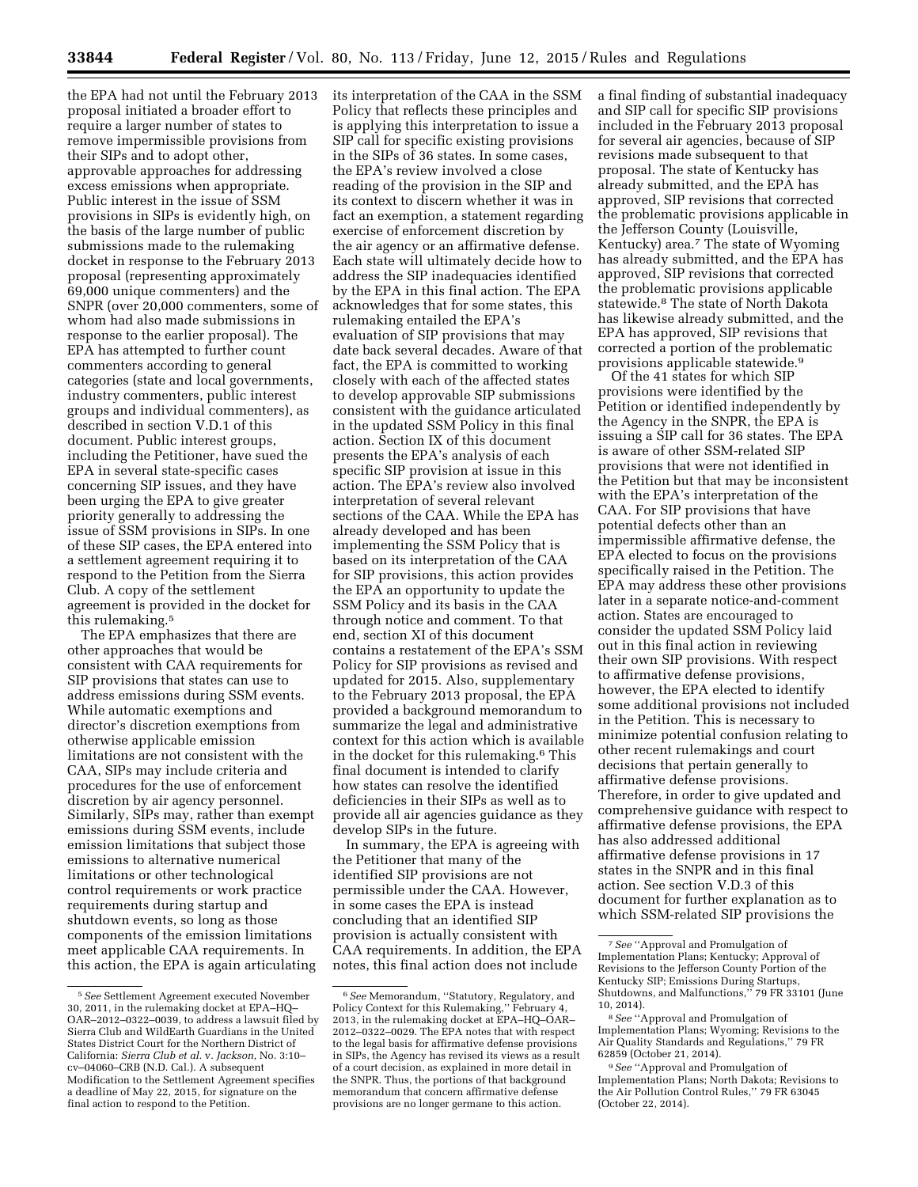the EPA had not until the February 2013 proposal initiated a broader effort to require a larger number of states to remove impermissible provisions from their SIPs and to adopt other, approvable approaches for addressing excess emissions when appropriate. Public interest in the issue of SSM provisions in SIPs is evidently high, on the basis of the large number of public submissions made to the rulemaking docket in response to the February 2013 proposal (representing approximately 69,000 unique commenters) and the SNPR (over 20,000 commenters, some of whom had also made submissions in response to the earlier proposal). The EPA has attempted to further count commenters according to general categories (state and local governments, industry commenters, public interest groups and individual commenters), as described in section V.D.1 of this document. Public interest groups, including the Petitioner, have sued the EPA in several state-specific cases concerning SIP issues, and they have been urging the EPA to give greater priority generally to addressing the issue of SSM provisions in SIPs. In one of these SIP cases, the EPA entered into a settlement agreement requiring it to respond to the Petition from the Sierra Club. A copy of the settlement agreement is provided in the docket for this rulemaking.5

The EPA emphasizes that there are other approaches that would be consistent with CAA requirements for SIP provisions that states can use to address emissions during SSM events. While automatic exemptions and director's discretion exemptions from otherwise applicable emission limitations are not consistent with the CAA, SIPs may include criteria and procedures for the use of enforcement discretion by air agency personnel. Similarly, SIPs may, rather than exempt emissions during SSM events, include emission limitations that subject those emissions to alternative numerical limitations or other technological control requirements or work practice requirements during startup and shutdown events, so long as those components of the emission limitations meet applicable CAA requirements. In this action, the EPA is again articulating its interpretation of the CAA in the SSM Policy that reflects these principles and is applying this interpretation to issue a SIP call for specific existing provisions in the SIPs of 36 states. In some cases, the EPA's review involved a close reading of the provision in the SIP and its context to discern whether it was in fact an exemption, a statement regarding exercise of enforcement discretion by the air agency or an affirmative defense. Each state will ultimately decide how to address the SIP inadequacies identified by the EPA in this final action. The EPA acknowledges that for some states, this rulemaking entailed the EPA's evaluation of SIP provisions that may date back several decades. Aware of that fact, the EPA is committed to working closely with each of the affected states to develop approvable SIP submissions consistent with the guidance articulated in the updated SSM Policy in this final action. Section IX of this document presents the EPA's analysis of each specific SIP provision at issue in this action. The EPA's review also involved interpretation of several relevant sections of the CAA. While the EPA has already developed and has been implementing the SSM Policy that is based on its interpretation of the CAA for SIP provisions, this action provides the EPA an opportunity to update the SSM Policy and its basis in the CAA through notice and comment. To that end, section XI of this document contains a restatement of the EPA's SSM Policy for SIP provisions as revised and updated for 2015. Also, supplementary to the February 2013 proposal, the EPA provided a background memorandum to summarize the legal and administrative context for this action which is available in the docket for this rulemaking.6 This final document is intended to clarify how states can resolve the identified deficiencies in their SIPs as well as to provide all air agencies guidance as they develop SIPs in the future.

In summary, the EPA is agreeing with the Petitioner that many of the identified SIP provisions are not permissible under the CAA. However, in some cases the EPA is instead concluding that an identified SIP provision is actually consistent with CAA requirements. In addition, the EPA notes, this final action does not include

a final finding of substantial inadequacy and SIP call for specific SIP provisions included in the February 2013 proposal for several air agencies, because of SIP revisions made subsequent to that proposal. The state of Kentucky has already submitted, and the EPA has approved, SIP revisions that corrected the problematic provisions applicable in the Jefferson County (Louisville, Kentucky) area.7 The state of Wyoming has already submitted, and the EPA has approved, SIP revisions that corrected the problematic provisions applicable statewide.8 The state of North Dakota has likewise already submitted, and the EPA has approved, SIP revisions that corrected a portion of the problematic provisions applicable statewide.9

Of the 41 states for which SIP provisions were identified by the Petition or identified independently by the Agency in the SNPR, the EPA is issuing a SIP call for 36 states. The EPA is aware of other SSM-related SIP provisions that were not identified in the Petition but that may be inconsistent with the EPA's interpretation of the CAA. For SIP provisions that have potential defects other than an impermissible affirmative defense, the EPA elected to focus on the provisions specifically raised in the Petition. The EPA may address these other provisions later in a separate notice-and-comment action. States are encouraged to consider the updated SSM Policy laid out in this final action in reviewing their own SIP provisions. With respect to affirmative defense provisions, however, the EPA elected to identify some additional provisions not included in the Petition. This is necessary to minimize potential confusion relating to other recent rulemakings and court decisions that pertain generally to affirmative defense provisions. Therefore, in order to give updated and comprehensive guidance with respect to affirmative defense provisions, the EPA has also addressed additional affirmative defense provisions in 17 states in the SNPR and in this final action. See section V.D.3 of this document for further explanation as to which SSM-related SIP provisions the

<sup>5</sup>*See* Settlement Agreement executed November 30, 2011, in the rulemaking docket at EPA–HQ– OAR–2012–0322–0039, to address a lawsuit filed by Sierra Club and WildEarth Guardians in the United States District Court for the Northern District of California: *Sierra Club et al.* v. *Jackson,* No. 3:10– cv–04060–CRB (N.D. Cal.). A subsequent Modification to the Settlement Agreement specifies a deadline of May 22, 2015, for signature on the final action to respond to the Petition.

<sup>6</sup>*See* Memorandum, ''Statutory, Regulatory, and Policy Context for this Rulemaking,'' February 4, 2013, in the rulemaking docket at EPA–HQ–OAR– 2012–0322–0029. The EPA notes that with respect to the legal basis for affirmative defense provisions in SIPs, the Agency has revised its views as a result of a court decision, as explained in more detail in the SNPR. Thus, the portions of that background memorandum that concern affirmative defense provisions are no longer germane to this action.

<sup>7</sup>*See* ''Approval and Promulgation of Implementation Plans; Kentucky; Approval of Revisions to the Jefferson County Portion of the Kentucky SIP; Emissions During Startups, Shutdowns, and Malfunctions,'' 79 FR 33101 (June 10, 2014).

<sup>8</sup>*See* ''Approval and Promulgation of Implementation Plans; Wyoming; Revisions to the Air Quality Standards and Regulations,'' 79 FR 62859 (October 21, 2014).

<sup>9</sup>*See* ''Approval and Promulgation of Implementation Plans; North Dakota; Revisions to the Air Pollution Control Rules,'' 79 FR 63045 (October 22, 2014).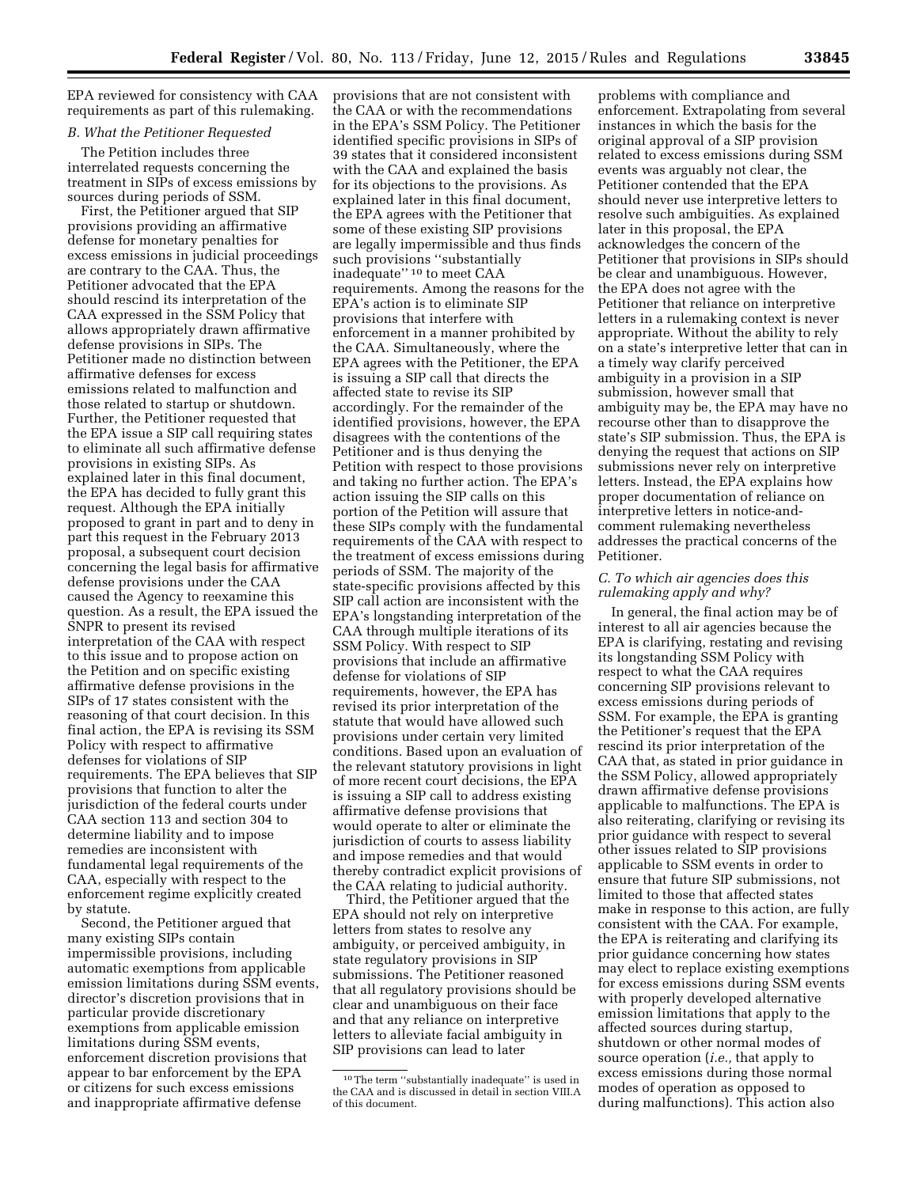EPA reviewed for consistency with CAA requirements as part of this rulemaking.

#### *B. What the Petitioner Requested*

The Petition includes three interrelated requests concerning the treatment in SIPs of excess emissions by sources during periods of SSM.

First, the Petitioner argued that SIP provisions providing an affirmative defense for monetary penalties for excess emissions in judicial proceedings are contrary to the CAA. Thus, the Petitioner advocated that the EPA should rescind its interpretation of the CAA expressed in the SSM Policy that allows appropriately drawn affirmative defense provisions in SIPs. The Petitioner made no distinction between affirmative defenses for excess emissions related to malfunction and those related to startup or shutdown. Further, the Petitioner requested that the EPA issue a SIP call requiring states to eliminate all such affirmative defense provisions in existing SIPs. As explained later in this final document, the EPA has decided to fully grant this request. Although the EPA initially proposed to grant in part and to deny in part this request in the February 2013 proposal, a subsequent court decision concerning the legal basis for affirmative defense provisions under the CAA caused the Agency to reexamine this question. As a result, the EPA issued the SNPR to present its revised interpretation of the CAA with respect to this issue and to propose action on the Petition and on specific existing affirmative defense provisions in the SIPs of 17 states consistent with the reasoning of that court decision. In this final action, the EPA is revising its SSM Policy with respect to affirmative defenses for violations of SIP requirements. The EPA believes that SIP provisions that function to alter the jurisdiction of the federal courts under CAA section 113 and section 304 to determine liability and to impose remedies are inconsistent with fundamental legal requirements of the CAA, especially with respect to the enforcement regime explicitly created by statute.

Second, the Petitioner argued that many existing SIPs contain impermissible provisions, including automatic exemptions from applicable emission limitations during SSM events, director's discretion provisions that in particular provide discretionary exemptions from applicable emission limitations during SSM events, enforcement discretion provisions that appear to bar enforcement by the EPA or citizens for such excess emissions and inappropriate affirmative defense

provisions that are not consistent with the CAA or with the recommendations in the EPA's SSM Policy. The Petitioner identified specific provisions in SIPs of 39 states that it considered inconsistent with the CAA and explained the basis for its objections to the provisions. As explained later in this final document, the EPA agrees with the Petitioner that some of these existing SIP provisions are legally impermissible and thus finds such provisions ''substantially inadequate'' 10 to meet CAA requirements. Among the reasons for the EPA's action is to eliminate SIP provisions that interfere with enforcement in a manner prohibited by the CAA. Simultaneously, where the EPA agrees with the Petitioner, the EPA is issuing a SIP call that directs the affected state to revise its SIP accordingly. For the remainder of the identified provisions, however, the EPA disagrees with the contentions of the Petitioner and is thus denying the Petition with respect to those provisions and taking no further action. The EPA's action issuing the SIP calls on this portion of the Petition will assure that these SIPs comply with the fundamental requirements of the CAA with respect to the treatment of excess emissions during periods of SSM. The majority of the state-specific provisions affected by this SIP call action are inconsistent with the EPA's longstanding interpretation of the CAA through multiple iterations of its SSM Policy. With respect to SIP provisions that include an affirmative defense for violations of SIP requirements, however, the EPA has revised its prior interpretation of the statute that would have allowed such provisions under certain very limited conditions. Based upon an evaluation of the relevant statutory provisions in light of more recent court decisions, the EPA is issuing a SIP call to address existing affirmative defense provisions that would operate to alter or eliminate the jurisdiction of courts to assess liability and impose remedies and that would thereby contradict explicit provisions of the CAA relating to judicial authority.

Third, the Petitioner argued that the EPA should not rely on interpretive letters from states to resolve any ambiguity, or perceived ambiguity, in state regulatory provisions in SIP submissions. The Petitioner reasoned that all regulatory provisions should be clear and unambiguous on their face and that any reliance on interpretive letters to alleviate facial ambiguity in SIP provisions can lead to later

problems with compliance and enforcement. Extrapolating from several instances in which the basis for the original approval of a SIP provision related to excess emissions during SSM events was arguably not clear, the Petitioner contended that the EPA should never use interpretive letters to resolve such ambiguities. As explained later in this proposal, the EPA acknowledges the concern of the Petitioner that provisions in SIPs should be clear and unambiguous. However, the EPA does not agree with the Petitioner that reliance on interpretive letters in a rulemaking context is never appropriate. Without the ability to rely on a state's interpretive letter that can in a timely way clarify perceived ambiguity in a provision in a SIP submission, however small that ambiguity may be, the EPA may have no recourse other than to disapprove the state's SIP submission. Thus, the EPA is denying the request that actions on SIP submissions never rely on interpretive letters. Instead, the EPA explains how proper documentation of reliance on interpretive letters in notice-andcomment rulemaking nevertheless addresses the practical concerns of the Petitioner.

#### *C. To which air agencies does this rulemaking apply and why?*

In general, the final action may be of interest to all air agencies because the EPA is clarifying, restating and revising its longstanding SSM Policy with respect to what the CAA requires concerning SIP provisions relevant to excess emissions during periods of SSM. For example, the EPA is granting the Petitioner's request that the EPA rescind its prior interpretation of the CAA that, as stated in prior guidance in the SSM Policy, allowed appropriately drawn affirmative defense provisions applicable to malfunctions. The EPA is also reiterating, clarifying or revising its prior guidance with respect to several other issues related to SIP provisions applicable to SSM events in order to ensure that future SIP submissions, not limited to those that affected states make in response to this action, are fully consistent with the CAA. For example, the EPA is reiterating and clarifying its prior guidance concerning how states may elect to replace existing exemptions for excess emissions during SSM events with properly developed alternative emission limitations that apply to the affected sources during startup, shutdown or other normal modes of source operation (*i.e.,* that apply to excess emissions during those normal modes of operation as opposed to during malfunctions). This action also

<sup>10</sup>The term ''substantially inadequate'' is used in the CAA and is discussed in detail in section VIII.A of this document.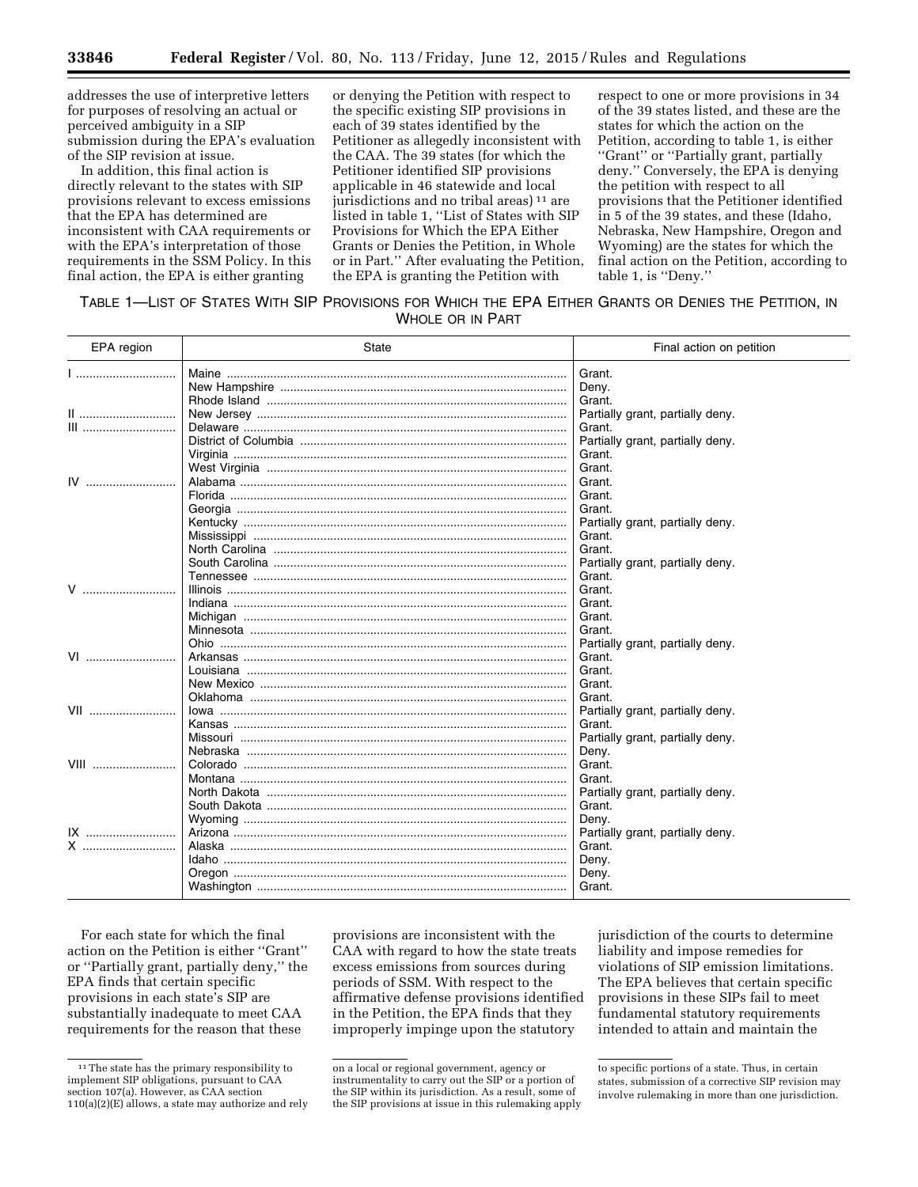addresses the use of interpretive letters for purposes of resolving an actual or perceived ambiguity in a SIP submission during the EPA's evaluation of the SIP revision at issue.

In addition, this final action is directly relevant to the states with SIP provisions relevant to excess emissions that the EPA has determined are inconsistent with CAA requirements or with the EPA's interpretation of those requirements in the SSM Policy. In this final action, the EPA is either granting

or denying the Petition with respect to the specific existing SIP provisions in each of 39 states identified by the Petitioner as allegedly inconsistent with the CAA. The 39 states (for which the Petitioner identified SIP provisions applicable in 46 statewide and local jurisdictions and no tribal areas) 11 are listed in table 1, ''List of States with SIP Provisions for Which the EPA Either Grants or Denies the Petition, in Whole or in Part.'' After evaluating the Petition, the EPA is granting the Petition with

respect to one or more provisions in 34 of the 39 states listed, and these are the states for which the action on the Petition, according to table 1, is either ''Grant'' or ''Partially grant, partially deny.'' Conversely, the EPA is denying the petition with respect to all provisions that the Petitioner identified in 5 of the 39 states, and these (Idaho, Nebraska, New Hampshire, Oregon and Wyoming) are the states for which the final action on the Petition, according to table 1, is ''Deny.''

TABLE 1—LIST OF STATES WITH SIP PROVISIONS FOR WHICH THE EPA EITHER GRANTS OR DENIES THE PETITION, IN WHOLE OR IN PART

| EPA region  | <b>State</b>                                       | Final action on petition         |
|-------------|----------------------------------------------------|----------------------------------|
|             |                                                    | Grant.                           |
|             |                                                    | Deny.                            |
|             |                                                    | Grant.                           |
|             |                                                    | Partially grant, partially deny. |
| III         |                                                    | Grant.                           |
|             |                                                    | Partially grant, partially deny. |
|             |                                                    | Grant.                           |
|             |                                                    | Grant.                           |
| $IV$        |                                                    | Grant.                           |
|             |                                                    | Grant.                           |
|             |                                                    | Grant.                           |
|             |                                                    | Partially grant, partially deny. |
|             |                                                    | Grant.                           |
|             |                                                    | Grant.                           |
|             |                                                    | Partially grant, partially deny. |
|             |                                                    | Grant.                           |
| V           | <u>Illinois …………………………………………………………………………………………</u> | Grant.                           |
|             |                                                    | Grant.                           |
|             |                                                    | Grant.                           |
|             |                                                    | Grant.                           |
|             |                                                    | Partially grant, partially deny. |
| VI          |                                                    | Grant.                           |
|             |                                                    | Grant.                           |
|             |                                                    | Grant.                           |
|             |                                                    | Grant.                           |
| VII         | <u>lowa ……………………………………………………………………………………</u>       | Partially grant, partially deny. |
|             |                                                    | Grant.                           |
|             |                                                    | Partially grant, partially deny. |
|             |                                                    | Deny.                            |
| <b>VIII</b> |                                                    | Grant.                           |
|             |                                                    | Grant.                           |
|             |                                                    | Partially grant, partially deny. |
|             |                                                    | Grant.                           |
|             |                                                    | Deny.                            |
| $IX$        |                                                    | Partially grant, partially deny. |
| X           | Alaska ………………………………………………………………………………………           | Grant.                           |
|             |                                                    | Deny.                            |
|             |                                                    | Deny.                            |
|             |                                                    | Grant.                           |

For each state for which the final action on the Petition is either ''Grant'' or ''Partially grant, partially deny,'' the EPA finds that certain specific provisions in each state's SIP are substantially inadequate to meet CAA requirements for the reason that these

provisions are inconsistent with the CAA with regard to how the state treats excess emissions from sources during periods of SSM. With respect to the affirmative defense provisions identified in the Petition, the EPA finds that they improperly impinge upon the statutory

jurisdiction of the courts to determine liability and impose remedies for violations of SIP emission limitations. The EPA believes that certain specific provisions in these SIPs fail to meet fundamental statutory requirements intended to attain and maintain the

<sup>&</sup>lt;sup>11</sup> The state has the primary responsibility to implement SIP obligations, pursuant to CAA section 107(a). However, as CAA section 110(a)(2)(E) allows, a state may authorize and rely

on a local or regional government, agency or instrumentality to carry out the SIP or a portion of the SIP within its jurisdiction. As a result, some of the SIP provisions at issue in this rulemaking apply

to specific portions of a state. Thus, in certain states, submission of a corrective SIP revision may involve rulemaking in more than one jurisdiction.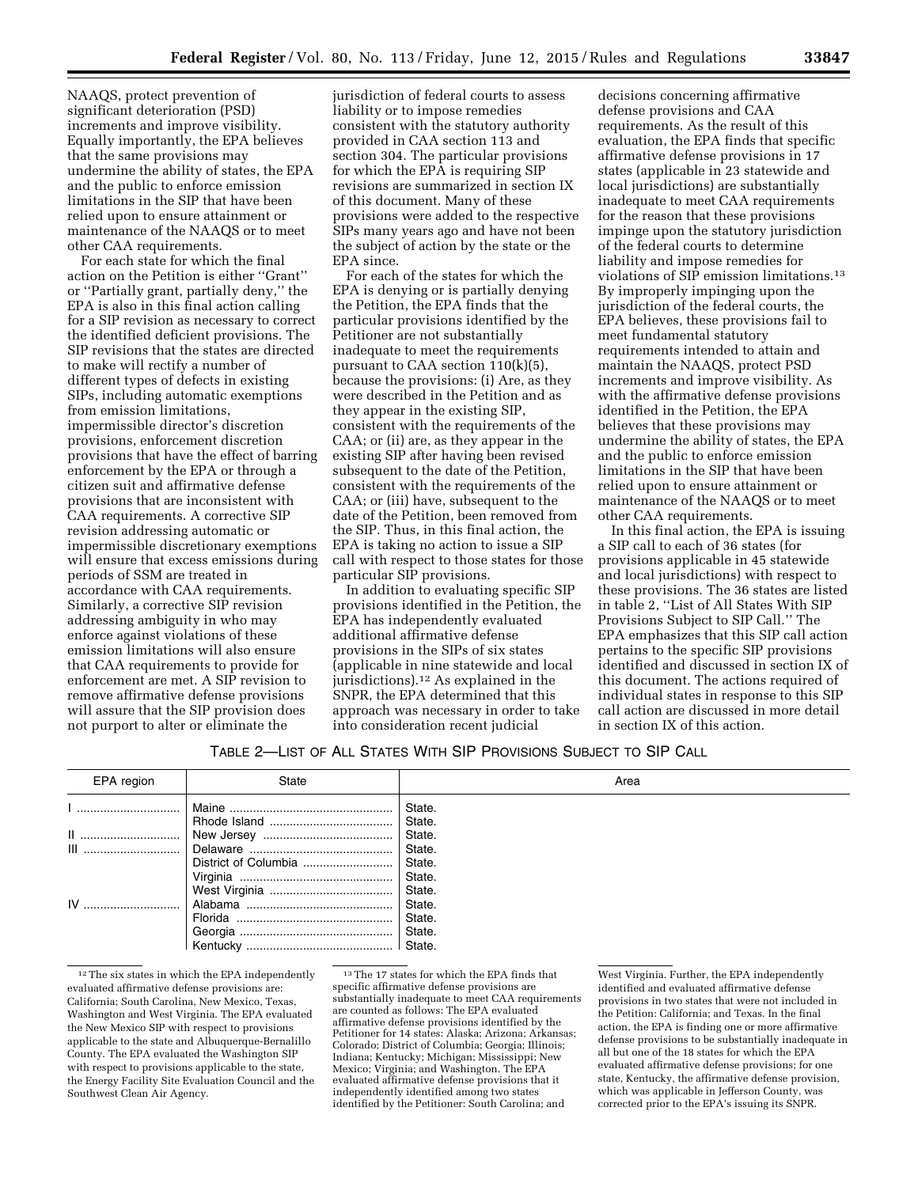NAAQS, protect prevention of significant deterioration (PSD) increments and improve visibility. Equally importantly, the EPA believes that the same provisions may undermine the ability of states, the EPA and the public to enforce emission limitations in the SIP that have been relied upon to ensure attainment or maintenance of the NAAQS or to meet other CAA requirements.

For each state for which the final action on the Petition is either ''Grant'' or ''Partially grant, partially deny,'' the EPA is also in this final action calling for a SIP revision as necessary to correct the identified deficient provisions. The SIP revisions that the states are directed to make will rectify a number of different types of defects in existing SIPs, including automatic exemptions from emission limitations, impermissible director's discretion provisions, enforcement discretion provisions that have the effect of barring enforcement by the EPA or through a citizen suit and affirmative defense provisions that are inconsistent with CAA requirements. A corrective SIP revision addressing automatic or impermissible discretionary exemptions will ensure that excess emissions during periods of SSM are treated in accordance with CAA requirements. Similarly, a corrective SIP revision addressing ambiguity in who may enforce against violations of these emission limitations will also ensure that CAA requirements to provide for enforcement are met. A SIP revision to remove affirmative defense provisions will assure that the SIP provision does not purport to alter or eliminate the

jurisdiction of federal courts to assess liability or to impose remedies consistent with the statutory authority provided in CAA section 113 and section 304. The particular provisions for which the EPA is requiring SIP revisions are summarized in section IX of this document. Many of these provisions were added to the respective SIPs many years ago and have not been the subject of action by the state or the EPA since.

For each of the states for which the EPA is denying or is partially denying the Petition, the EPA finds that the particular provisions identified by the Petitioner are not substantially inadequate to meet the requirements pursuant to CAA section 110(k)(5), because the provisions: (i) Are, as they were described in the Petition and as they appear in the existing SIP, consistent with the requirements of the CAA; or (ii) are, as they appear in the existing SIP after having been revised subsequent to the date of the Petition, consistent with the requirements of the CAA; or (iii) have, subsequent to the date of the Petition, been removed from the SIP. Thus, in this final action, the EPA is taking no action to issue a SIP call with respect to those states for those particular SIP provisions.

In addition to evaluating specific SIP provisions identified in the Petition, the EPA has independently evaluated additional affirmative defense provisions in the SIPs of six states (applicable in nine statewide and local jurisdictions).12 As explained in the SNPR, the EPA determined that this approach was necessary in order to take into consideration recent judicial

decisions concerning affirmative defense provisions and CAA requirements. As the result of this evaluation, the EPA finds that specific affirmative defense provisions in 17 states (applicable in 23 statewide and local jurisdictions) are substantially inadequate to meet CAA requirements for the reason that these provisions impinge upon the statutory jurisdiction of the federal courts to determine liability and impose remedies for violations of SIP emission limitations.13 By improperly impinging upon the jurisdiction of the federal courts, the EPA believes, these provisions fail to meet fundamental statutory requirements intended to attain and maintain the NAAQS, protect PSD increments and improve visibility. As with the affirmative defense provisions identified in the Petition, the EPA believes that these provisions may undermine the ability of states, the EPA and the public to enforce emission limitations in the SIP that have been relied upon to ensure attainment or maintenance of the NAAQS or to meet other CAA requirements.

In this final action, the EPA is issuing a SIP call to each of 36 states (for provisions applicable in 45 statewide and local jurisdictions) with respect to these provisions. The 36 states are listed in table 2, ''List of All States With SIP Provisions Subject to SIP Call.'' The EPA emphasizes that this SIP call action pertains to the specific SIP provisions identified and discussed in section IX of this document. The actions required of individual states in response to this SIP call action are discussed in more detail in section IX of this action.

### TABLE 2—LIST OF ALL STATES WITH SIP PROVISIONS SUBJECT TO SIP CALL

| EPA region | State | Area                       |
|------------|-------|----------------------------|
|            |       | State.<br>State.           |
|            |       | State.<br>State.           |
|            |       | State.<br>State.<br>State. |
|            |       | State.<br>State.           |
|            |       | State.                     |

 $^{12}\mathrm{The}\,\, \mathrm{six}$  states in which the EPA independently evaluated affirmative defense provisions are: California; South Carolina, New Mexico, Texas, Washington and West Virginia. The EPA evaluated the New Mexico SIP with respect to provisions applicable to the state and Albuquerque-Bernalillo County. The EPA evaluated the Washington SIP with respect to provisions applicable to the state, the Energy Facility Site Evaluation Council and the Southwest Clean Air Agency.

 $^{\rm 13}\rm{The}$  17 states for which the EPA finds that specific affirmative defense provisions are substantially inadequate to meet CAA requirements are counted as follows: The EPA evaluated affirmative defense provisions identified by the Petitioner for 14 states: Alaska: Arizona: Arkansas: Colorado; District of Columbia; Georgia; Illinois; Indiana; Kentucky; Michigan; Mississippi; New Mexico; Virginia; and Washington. The EPA evaluated affirmative defense provisions that it independently identified among two states identified by the Petitioner: South Carolina; and

West Virginia. Further, the EPA independently identified and evaluated affirmative defense provisions in two states that were not included in the Petition: California; and Texas. In the final action, the EPA is finding one or more affirmative defense provisions to be substantially inadequate in all but one of the 18 states for which the EPA evaluated affirmative defense provisions; for one state, Kentucky, the affirmative defense provision, which was applicable in Jefferson County, was corrected prior to the EPA's issuing its SNPR.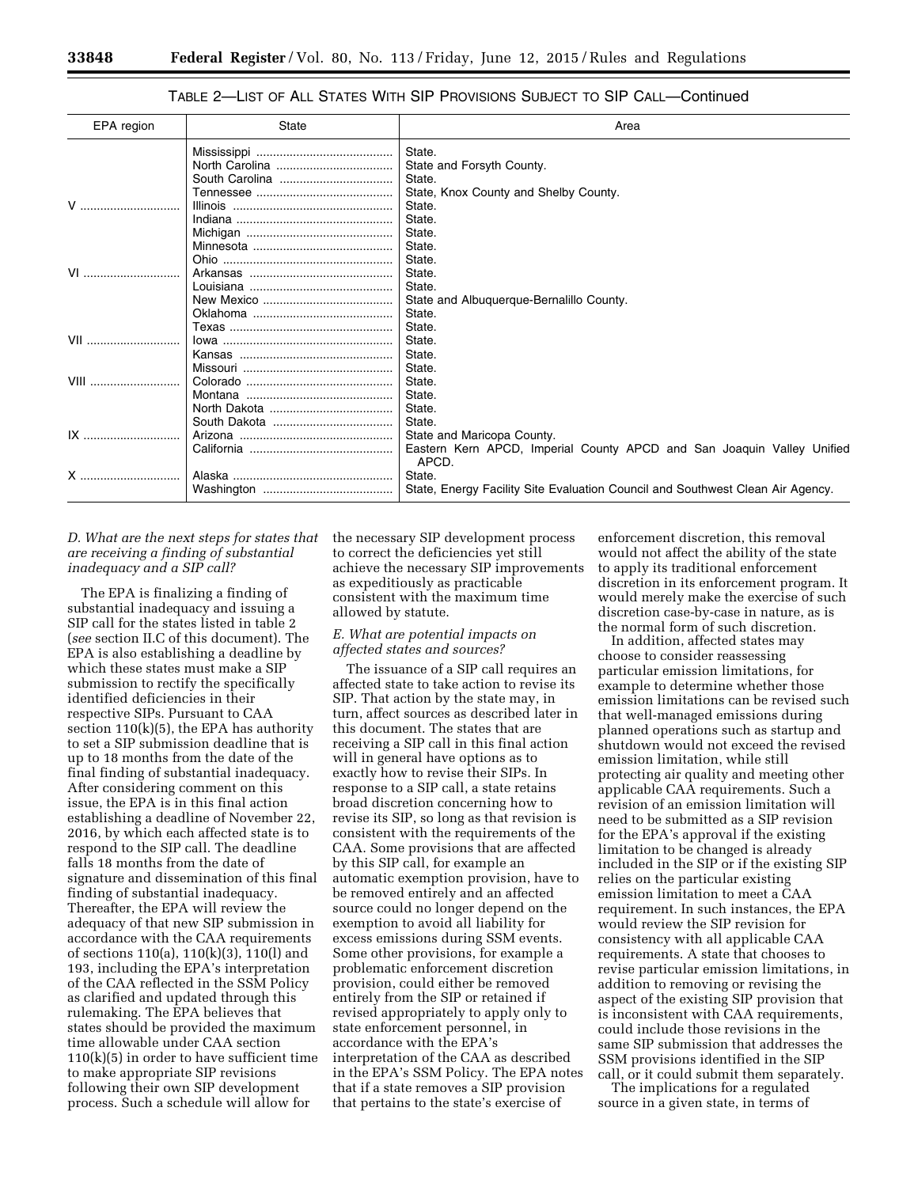# TABLE 2—LIST OF ALL STATES WITH SIP PROVISIONS SUBJECT TO SIP CALL—Continued

| EPA region                                                                                                                                                                                                                     | <b>State</b> | Area                                                                            |
|--------------------------------------------------------------------------------------------------------------------------------------------------------------------------------------------------------------------------------|--------------|---------------------------------------------------------------------------------|
|                                                                                                                                                                                                                                |              | State.                                                                          |
|                                                                                                                                                                                                                                |              | State and Forsyth County.                                                       |
|                                                                                                                                                                                                                                |              | State.                                                                          |
|                                                                                                                                                                                                                                |              | State, Knox County and Shelby County.                                           |
| V                                                                                                                                                                                                                              |              | State.                                                                          |
|                                                                                                                                                                                                                                |              | State.                                                                          |
| VI                                                                                                                                                                                                                             |              | State.                                                                          |
|                                                                                                                                                                                                                                |              | State.                                                                          |
|                                                                                                                                                                                                                                |              | State.                                                                          |
|                                                                                                                                                                                                                                |              | State.                                                                          |
|                                                                                                                                                                                                                                |              | State.                                                                          |
|                                                                                                                                                                                                                                |              | State and Albuquerque-Bernalillo County.                                        |
|                                                                                                                                                                                                                                |              | State.                                                                          |
|                                                                                                                                                                                                                                |              | State.                                                                          |
| VII and a series of the series of the series of the series of the series of the series of the series of the series of the series of the series of the series of the series of the series of the series of the series of the se |              | State.                                                                          |
|                                                                                                                                                                                                                                |              | State.                                                                          |
|                                                                                                                                                                                                                                |              | State.                                                                          |
| $VIII$                                                                                                                                                                                                                         |              | State.                                                                          |
|                                                                                                                                                                                                                                |              | State.                                                                          |
|                                                                                                                                                                                                                                |              | State.                                                                          |
|                                                                                                                                                                                                                                |              | State.                                                                          |
|                                                                                                                                                                                                                                |              | State and Maricopa County.                                                      |
|                                                                                                                                                                                                                                |              | Eastern Kern APCD, Imperial County APCD and San Joaquin Valley Unified<br>APCD. |
| X                                                                                                                                                                                                                              |              | State.                                                                          |
|                                                                                                                                                                                                                                |              | State, Energy Facility Site Evaluation Council and Southwest Clean Air Agency.  |

## *D. What are the next steps for states that are receiving a finding of substantial inadequacy and a SIP call?*

The EPA is finalizing a finding of substantial inadequacy and issuing a SIP call for the states listed in table 2 (*see* section II.C of this document). The EPA is also establishing a deadline by which these states must make a SIP submission to rectify the specifically identified deficiencies in their respective SIPs. Pursuant to CAA section  $110(k)(5)$ , the EPA has authority to set a SIP submission deadline that is up to 18 months from the date of the final finding of substantial inadequacy. After considering comment on this issue, the EPA is in this final action establishing a deadline of November 22, 2016, by which each affected state is to respond to the SIP call. The deadline falls 18 months from the date of signature and dissemination of this final finding of substantial inadequacy. Thereafter, the EPA will review the adequacy of that new SIP submission in accordance with the CAA requirements of sections 110(a), 110(k)(3), 110(l) and 193, including the EPA's interpretation of the CAA reflected in the SSM Policy as clarified and updated through this rulemaking. The EPA believes that states should be provided the maximum time allowable under CAA section 110(k)(5) in order to have sufficient time to make appropriate SIP revisions following their own SIP development process. Such a schedule will allow for

the necessary SIP development process to correct the deficiencies yet still achieve the necessary SIP improvements as expeditiously as practicable consistent with the maximum time allowed by statute.

### *E. What are potential impacts on affected states and sources?*

The issuance of a SIP call requires an affected state to take action to revise its SIP. That action by the state may, in turn, affect sources as described later in this document. The states that are receiving a SIP call in this final action will in general have options as to exactly how to revise their SIPs. In response to a SIP call, a state retains broad discretion concerning how to revise its SIP, so long as that revision is consistent with the requirements of the CAA. Some provisions that are affected by this SIP call, for example an automatic exemption provision, have to be removed entirely and an affected source could no longer depend on the exemption to avoid all liability for excess emissions during SSM events. Some other provisions, for example a problematic enforcement discretion provision, could either be removed entirely from the SIP or retained if revised appropriately to apply only to state enforcement personnel, in accordance with the EPA's interpretation of the CAA as described in the EPA's SSM Policy. The EPA notes that if a state removes a SIP provision that pertains to the state's exercise of

enforcement discretion, this removal would not affect the ability of the state to apply its traditional enforcement discretion in its enforcement program. It would merely make the exercise of such discretion case-by-case in nature, as is the normal form of such discretion.

In addition, affected states may choose to consider reassessing particular emission limitations, for example to determine whether those emission limitations can be revised such that well-managed emissions during planned operations such as startup and shutdown would not exceed the revised emission limitation, while still protecting air quality and meeting other applicable CAA requirements. Such a revision of an emission limitation will need to be submitted as a SIP revision for the EPA's approval if the existing limitation to be changed is already included in the SIP or if the existing SIP relies on the particular existing emission limitation to meet a CAA requirement. In such instances, the EPA would review the SIP revision for consistency with all applicable CAA requirements. A state that chooses to revise particular emission limitations, in addition to removing or revising the aspect of the existing SIP provision that is inconsistent with CAA requirements, could include those revisions in the same SIP submission that addresses the SSM provisions identified in the SIP call, or it could submit them separately.

The implications for a regulated source in a given state, in terms of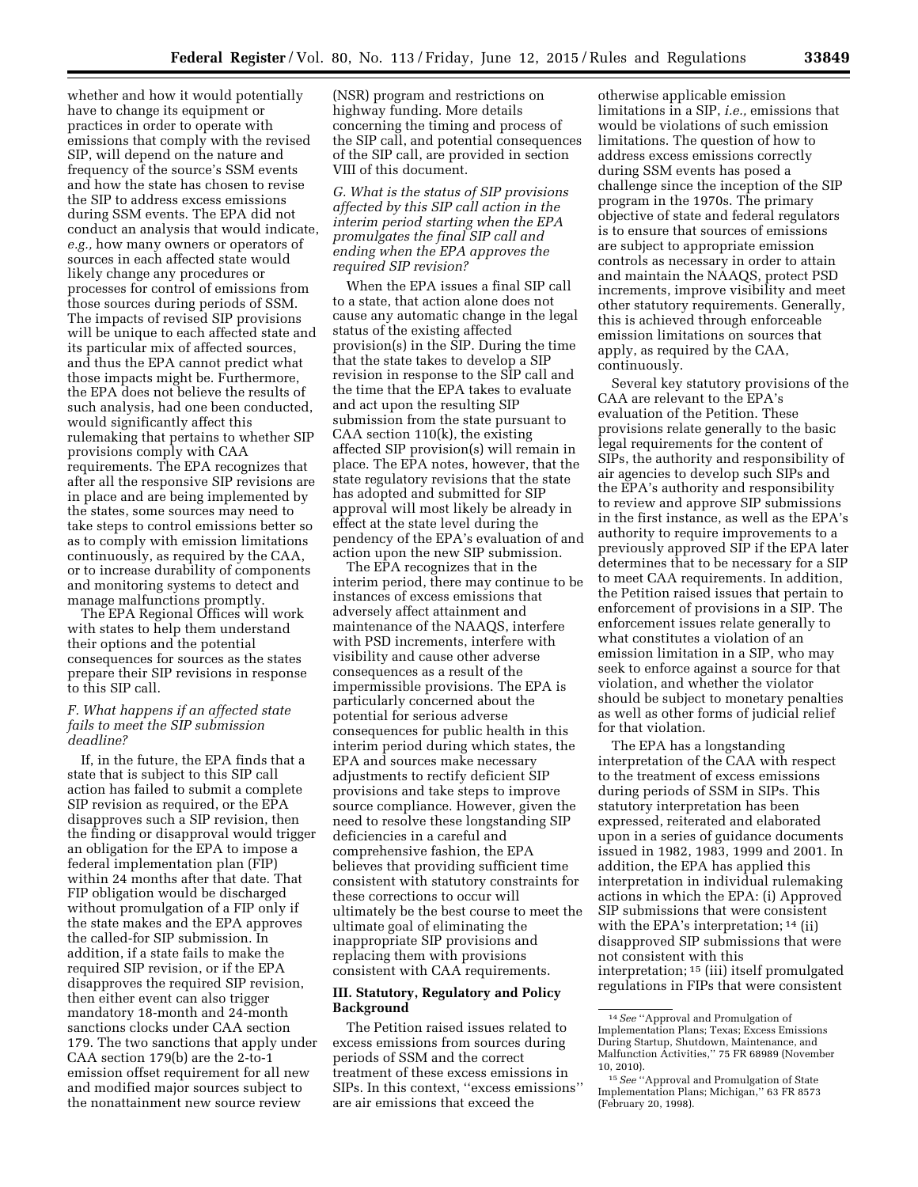whether and how it would potentially have to change its equipment or practices in order to operate with emissions that comply with the revised SIP, will depend on the nature and frequency of the source's SSM events and how the state has chosen to revise the SIP to address excess emissions during SSM events. The EPA did not conduct an analysis that would indicate, *e.g.,* how many owners or operators of sources in each affected state would likely change any procedures or processes for control of emissions from those sources during periods of SSM. The impacts of revised SIP provisions will be unique to each affected state and its particular mix of affected sources, and thus the EPA cannot predict what those impacts might be. Furthermore, the EPA does not believe the results of such analysis, had one been conducted, would significantly affect this rulemaking that pertains to whether SIP provisions comply with CAA requirements. The EPA recognizes that after all the responsive SIP revisions are in place and are being implemented by the states, some sources may need to take steps to control emissions better so as to comply with emission limitations continuously, as required by the CAA, or to increase durability of components and monitoring systems to detect and manage malfunctions promptly.

The EPA Regional Offices will work with states to help them understand their options and the potential consequences for sources as the states prepare their SIP revisions in response to this SIP call.

### *F. What happens if an affected state fails to meet the SIP submission deadline?*

If, in the future, the EPA finds that a state that is subject to this SIP call action has failed to submit a complete SIP revision as required, or the EPA disapproves such a SIP revision, then the finding or disapproval would trigger an obligation for the EPA to impose a federal implementation plan (FIP) within 24 months after that date. That FIP obligation would be discharged without promulgation of a FIP only if the state makes and the EPA approves the called-for SIP submission. In addition, if a state fails to make the required SIP revision, or if the EPA disapproves the required SIP revision, then either event can also trigger mandatory 18-month and 24-month sanctions clocks under CAA section 179. The two sanctions that apply under CAA section 179(b) are the 2-to-1 emission offset requirement for all new and modified major sources subject to the nonattainment new source review

(NSR) program and restrictions on highway funding. More details concerning the timing and process of the SIP call, and potential consequences of the SIP call, are provided in section VIII of this document.

*G. What is the status of SIP provisions affected by this SIP call action in the interim period starting when the EPA promulgates the final SIP call and ending when the EPA approves the required SIP revision?* 

When the EPA issues a final SIP call to a state, that action alone does not cause any automatic change in the legal status of the existing affected provision(s) in the SIP. During the time that the state takes to develop a SIP revision in response to the SIP call and the time that the EPA takes to evaluate and act upon the resulting SIP submission from the state pursuant to CAA section 110(k), the existing affected SIP provision(s) will remain in place. The EPA notes, however, that the state regulatory revisions that the state has adopted and submitted for SIP approval will most likely be already in effect at the state level during the pendency of the EPA's evaluation of and action upon the new SIP submission.

The EPA recognizes that in the interim period, there may continue to be instances of excess emissions that adversely affect attainment and maintenance of the NAAQS, interfere with PSD increments, interfere with visibility and cause other adverse consequences as a result of the impermissible provisions. The EPA is particularly concerned about the potential for serious adverse consequences for public health in this interim period during which states, the EPA and sources make necessary adjustments to rectify deficient SIP provisions and take steps to improve source compliance. However, given the need to resolve these longstanding SIP deficiencies in a careful and comprehensive fashion, the EPA believes that providing sufficient time consistent with statutory constraints for these corrections to occur will ultimately be the best course to meet the ultimate goal of eliminating the inappropriate SIP provisions and replacing them with provisions consistent with CAA requirements.

### **III. Statutory, Regulatory and Policy Background**

The Petition raised issues related to excess emissions from sources during periods of SSM and the correct treatment of these excess emissions in SIPs. In this context, ''excess emissions'' are air emissions that exceed the

otherwise applicable emission limitations in a SIP, *i.e.,* emissions that would be violations of such emission limitations. The question of how to address excess emissions correctly during SSM events has posed a challenge since the inception of the SIP program in the 1970s. The primary objective of state and federal regulators is to ensure that sources of emissions are subject to appropriate emission controls as necessary in order to attain and maintain the NAAQS, protect PSD increments, improve visibility and meet other statutory requirements. Generally, this is achieved through enforceable emission limitations on sources that apply, as required by the CAA, continuously.

Several key statutory provisions of the CAA are relevant to the EPA's evaluation of the Petition. These provisions relate generally to the basic legal requirements for the content of SIPs, the authority and responsibility of air agencies to develop such SIPs and the EPA's authority and responsibility to review and approve SIP submissions in the first instance, as well as the EPA's authority to require improvements to a previously approved SIP if the EPA later determines that to be necessary for a SIP to meet CAA requirements. In addition, the Petition raised issues that pertain to enforcement of provisions in a SIP. The enforcement issues relate generally to what constitutes a violation of an emission limitation in a SIP, who may seek to enforce against a source for that violation, and whether the violator should be subject to monetary penalties as well as other forms of judicial relief for that violation.

The EPA has a longstanding interpretation of the CAA with respect to the treatment of excess emissions during periods of SSM in SIPs. This statutory interpretation has been expressed, reiterated and elaborated upon in a series of guidance documents issued in 1982, 1983, 1999 and 2001. In addition, the EPA has applied this interpretation in individual rulemaking actions in which the EPA: (i) Approved SIP submissions that were consistent with the EPA's interpretation; <sup>14</sup> (ii) disapproved SIP submissions that were not consistent with this interpretation; 15 (iii) itself promulgated regulations in FIPs that were consistent

<sup>14</sup>*See* ''Approval and Promulgation of Implementation Plans; Texas; Excess Emissions During Startup, Shutdown, Maintenance, and Malfunction Activities,'' 75 FR 68989 (November 10, 2010).

<sup>15</sup>*See* ''Approval and Promulgation of State Implementation Plans; Michigan,'' 63 FR 8573 (February 20, 1998).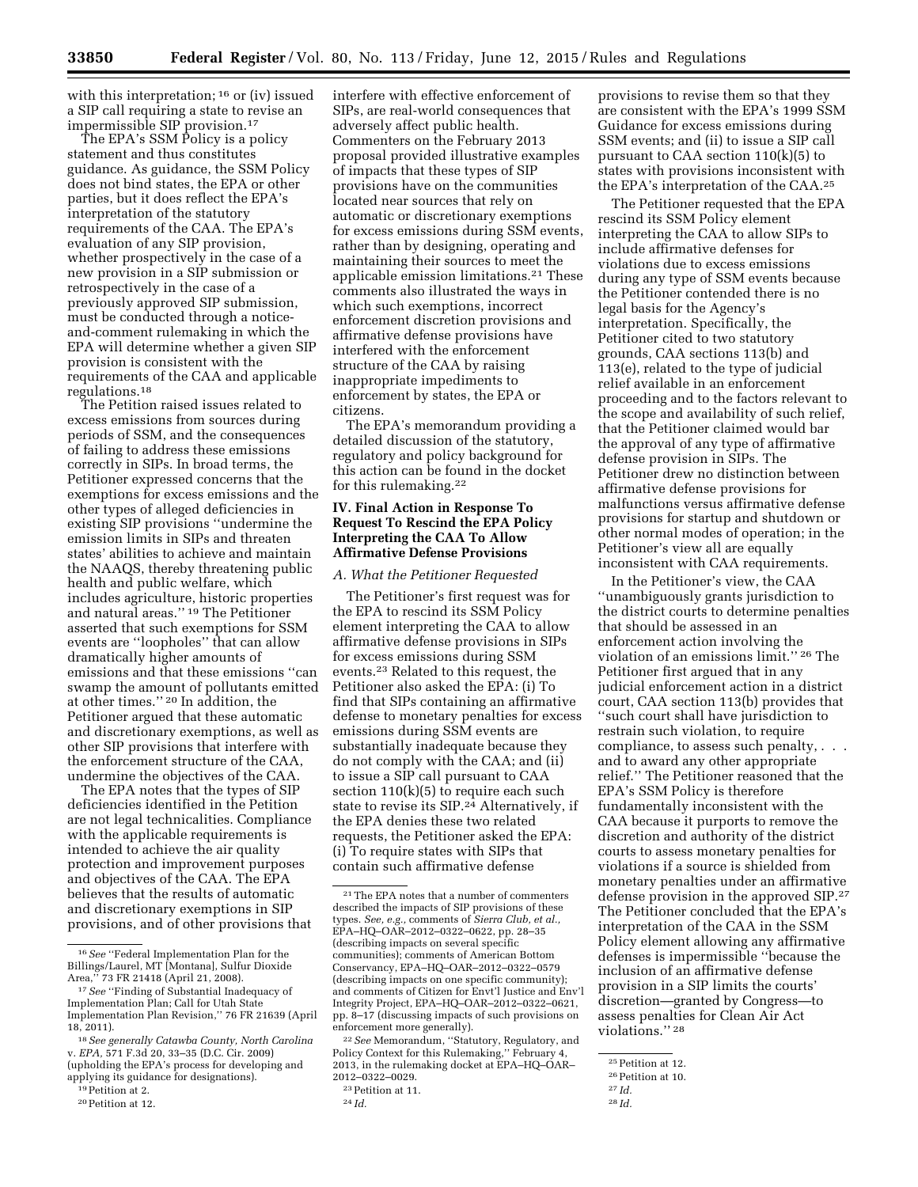with this interpretation;  $16$  or (iv) issued a SIP call requiring a state to revise an impermissible SIP provision.17

The EPA's SSM Policy is a policy statement and thus constitutes guidance. As guidance, the SSM Policy does not bind states, the EPA or other parties, but it does reflect the EPA's interpretation of the statutory requirements of the CAA. The EPA's evaluation of any SIP provision, whether prospectively in the case of a new provision in a SIP submission or retrospectively in the case of a previously approved SIP submission, must be conducted through a noticeand-comment rulemaking in which the EPA will determine whether a given SIP provision is consistent with the requirements of the CAA and applicable regulations.18

The Petition raised issues related to excess emissions from sources during periods of SSM, and the consequences of failing to address these emissions correctly in SIPs. In broad terms, the Petitioner expressed concerns that the exemptions for excess emissions and the other types of alleged deficiencies in existing SIP provisions ''undermine the emission limits in SIPs and threaten states' abilities to achieve and maintain the NAAQS, thereby threatening public health and public welfare, which includes agriculture, historic properties and natural areas.'' 19 The Petitioner asserted that such exemptions for SSM events are ''loopholes'' that can allow dramatically higher amounts of emissions and that these emissions ''can swamp the amount of pollutants emitted at other times.'' 20 In addition, the Petitioner argued that these automatic and discretionary exemptions, as well as other SIP provisions that interfere with the enforcement structure of the CAA, undermine the objectives of the CAA.

The EPA notes that the types of SIP deficiencies identified in the Petition are not legal technicalities. Compliance with the applicable requirements is intended to achieve the air quality protection and improvement purposes and objectives of the CAA. The EPA believes that the results of automatic and discretionary exemptions in SIP provisions, and of other provisions that

The EPA's memorandum providing a detailed discussion of the statutory, regulatory and policy background for this action can be found in the docket for this rulemaking.22

### **IV. Final Action in Response To Request To Rescind the EPA Policy Interpreting the CAA To Allow Affirmative Defense Provisions**

#### *A. What the Petitioner Requested*

The Petitioner's first request was for the EPA to rescind its SSM Policy element interpreting the CAA to allow affirmative defense provisions in SIPs for excess emissions during SSM events.23 Related to this request, the Petitioner also asked the EPA: (i) To find that SIPs containing an affirmative defense to monetary penalties for excess emissions during SSM events are substantially inadequate because they do not comply with the CAA; and (ii) to issue a SIP call pursuant to CAA section 110(k)(5) to require each such state to revise its SIP.<sup>24</sup> Alternatively, if the EPA denies these two related requests, the Petitioner asked the EPA: (i) To require states with SIPs that contain such affirmative defense

provisions to revise them so that they are consistent with the EPA's 1999 SSM Guidance for excess emissions during SSM events; and (ii) to issue a SIP call pursuant to CAA section 110(k)(5) to states with provisions inconsistent with the EPA's interpretation of the CAA.25

The Petitioner requested that the EPA rescind its SSM Policy element interpreting the CAA to allow SIPs to include affirmative defenses for violations due to excess emissions during any type of SSM events because the Petitioner contended there is no legal basis for the Agency's interpretation. Specifically, the Petitioner cited to two statutory grounds, CAA sections 113(b) and 113(e), related to the type of judicial relief available in an enforcement proceeding and to the factors relevant to the scope and availability of such relief, that the Petitioner claimed would bar the approval of any type of affirmative defense provision in SIPs. The Petitioner drew no distinction between affirmative defense provisions for malfunctions versus affirmative defense provisions for startup and shutdown or other normal modes of operation; in the Petitioner's view all are equally inconsistent with CAA requirements.

In the Petitioner's view, the CAA ''unambiguously grants jurisdiction to the district courts to determine penalties that should be assessed in an enforcement action involving the violation of an emissions limit.'' 26 The Petitioner first argued that in any judicial enforcement action in a district court, CAA section 113(b) provides that ''such court shall have jurisdiction to restrain such violation, to require compliance, to assess such penalty, . . . and to award any other appropriate relief.'' The Petitioner reasoned that the EPA's SSM Policy is therefore fundamentally inconsistent with the CAA because it purports to remove the discretion and authority of the district courts to assess monetary penalties for violations if a source is shielded from monetary penalties under an affirmative defense provision in the approved SIP.27 The Petitioner concluded that the EPA's interpretation of the CAA in the SSM Policy element allowing any affirmative defenses is impermissible ''because the inclusion of an affirmative defense provision in a SIP limits the courts' discretion—granted by Congress—to assess penalties for Clean Air Act violations.'' 28

<sup>16</sup>*See* ''Federal Implementation Plan for the Billings/Laurel, MT [Montana], Sulfur Dioxide Area,'' 73 FR 21418 (April 21, 2008).

<sup>17</sup>*See* ''Finding of Substantial Inadequacy of Implementation Plan; Call for Utah State Implementation Plan Revision,'' 76 FR 21639 (April 18, 2011).

<sup>18</sup>*See generally Catawba County, North Carolina*  v. *EPA,* 571 F.3d 20, 33–35 (D.C. Cir. 2009) (upholding the EPA's process for developing and applying its guidance for designations).

<sup>19</sup>Petition at 2. 20Petition at 12.

interfere with effective enforcement of SIPs, are real-world consequences that adversely affect public health. Commenters on the February 2013 proposal provided illustrative examples of impacts that these types of SIP provisions have on the communities located near sources that rely on automatic or discretionary exemptions for excess emissions during SSM events, rather than by designing, operating and maintaining their sources to meet the applicable emission limitations.21 These comments also illustrated the ways in which such exemptions, incorrect enforcement discretion provisions and affirmative defense provisions have interfered with the enforcement structure of the CAA by raising inappropriate impediments to enforcement by states, the EPA or citizens.

<sup>21</sup>The EPA notes that a number of commenters described the impacts of SIP provisions of these types. *See, e.g.,* comments of *Sierra Club, et al.,*  EPA–HQ–OAR–2012–0322–0622, pp. 28–35 (describing impacts on several specific communities); comments of American Bottom Conservancy, EPA–HQ–OAR–2012–0322–0579 (describing impacts on one specific community); and comments of Citizen for Envt'l Justice and Env'l Integrity Project, EPA–HQ–OAR–2012–0322–0621, pp. 8–17 (discussing impacts of such provisions on enforcement more generally).

<sup>22</sup>*See* Memorandum, ''Statutory, Regulatory, and Policy Context for this Rulemaking,'' February 4, 2013, in the rulemaking docket at EPA–HQ–OAR– 2012–0322–0029.

<sup>23</sup>Petition at 11.

<sup>24</sup> *Id.* 

<sup>25</sup>Petition at 12.

<sup>26</sup>Petition at 10.

<sup>27</sup> *Id.* 

<sup>28</sup> *Id.*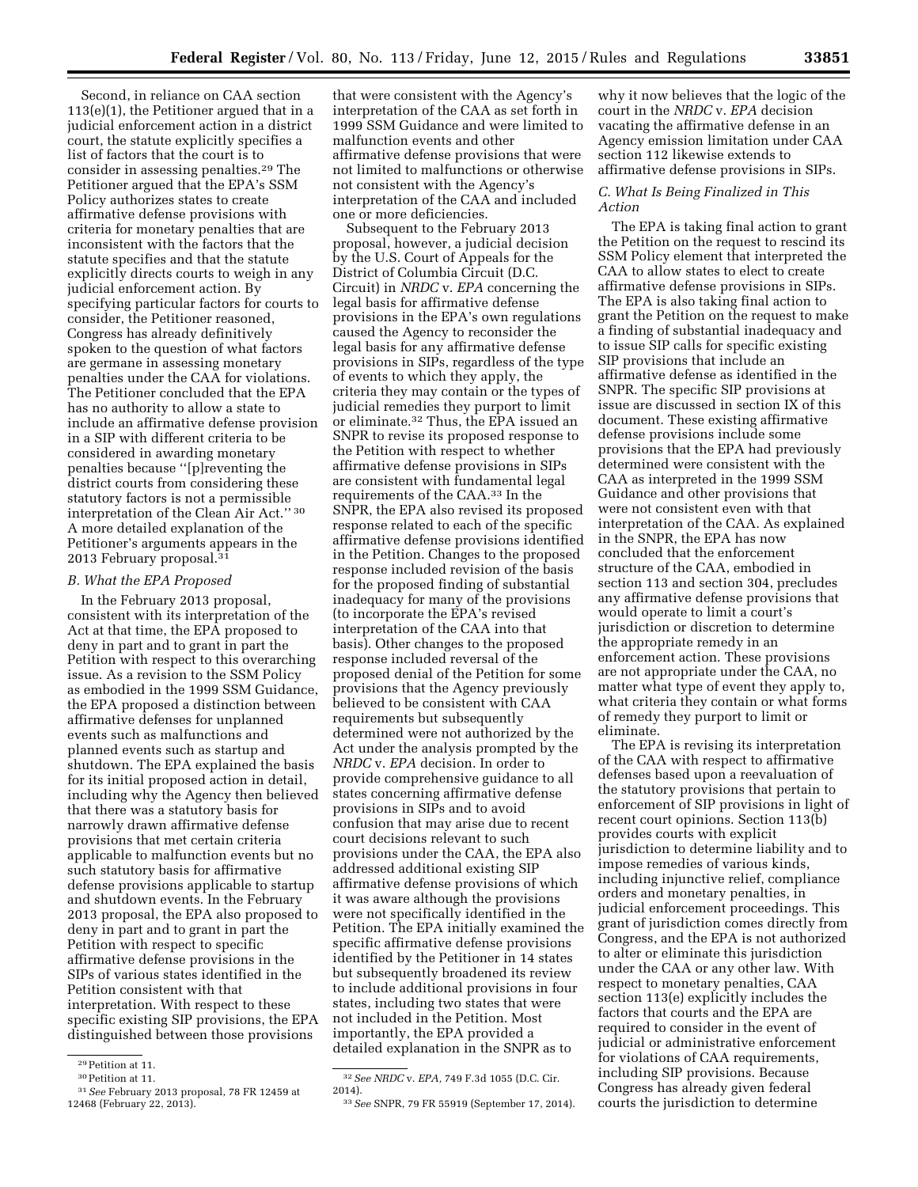that were consistent with the Agency's interpretation of the CAA as set forth in 1999 SSM Guidance and were limited to malfunction events and other affirmative defense provisions that were not limited to malfunctions or otherwise not consistent with the Agency's interpretation of the CAA and included one or more deficiencies. Subsequent to the February 2013

proposal, however, a judicial decision by the U.S. Court of Appeals for the District of Columbia Circuit (D.C. Circuit) in *NRDC* v. *EPA* concerning the legal basis for affirmative defense provisions in the EPA's own regulations caused the Agency to reconsider the legal basis for any affirmative defense provisions in SIPs, regardless of the type of events to which they apply, the criteria they may contain or the types of judicial remedies they purport to limit or eliminate.32 Thus, the EPA issued an SNPR to revise its proposed response to the Petition with respect to whether affirmative defense provisions in SIPs are consistent with fundamental legal requirements of the CAA.33 In the SNPR, the EPA also revised its proposed response related to each of the specific affirmative defense provisions identified in the Petition. Changes to the proposed response included revision of the basis for the proposed finding of substantial inadequacy for many of the provisions (to incorporate the EPA's revised interpretation of the CAA into that basis). Other changes to the proposed response included reversal of the proposed denial of the Petition for some provisions that the Agency previously believed to be consistent with CAA requirements but subsequently determined were not authorized by the Act under the analysis prompted by the *NRDC* v. *EPA* decision. In order to provide comprehensive guidance to all states concerning affirmative defense provisions in SIPs and to avoid confusion that may arise due to recent court decisions relevant to such provisions under the CAA, the EPA also addressed additional existing SIP affirmative defense provisions of which it was aware although the provisions were not specifically identified in the Petition. The EPA initially examined the specific affirmative defense provisions identified by the Petitioner in 14 states but subsequently broadened its review to include additional provisions in four states, including two states that were not included in the Petition. Most importantly, the EPA provided a detailed explanation in the SNPR as to

why it now believes that the logic of the court in the *NRDC* v. *EPA* decision vacating the affirmative defense in an Agency emission limitation under CAA section 112 likewise extends to affirmative defense provisions in SIPs.

#### *C. What Is Being Finalized in This Action*

The EPA is taking final action to grant the Petition on the request to rescind its SSM Policy element that interpreted the CAA to allow states to elect to create affirmative defense provisions in SIPs. The EPA is also taking final action to grant the Petition on the request to make a finding of substantial inadequacy and to issue SIP calls for specific existing SIP provisions that include an affirmative defense as identified in the SNPR. The specific SIP provisions at issue are discussed in section IX of this document. These existing affirmative defense provisions include some provisions that the EPA had previously determined were consistent with the CAA as interpreted in the 1999 SSM Guidance and other provisions that were not consistent even with that interpretation of the CAA. As explained in the SNPR, the EPA has now concluded that the enforcement structure of the CAA, embodied in section 113 and section 304, precludes any affirmative defense provisions that would operate to limit a court's jurisdiction or discretion to determine the appropriate remedy in an enforcement action. These provisions are not appropriate under the CAA, no matter what type of event they apply to, what criteria they contain or what forms of remedy they purport to limit or eliminate.

The EPA is revising its interpretation of the CAA with respect to affirmative defenses based upon a reevaluation of the statutory provisions that pertain to enforcement of SIP provisions in light of recent court opinions. Section 113(b) provides courts with explicit jurisdiction to determine liability and to impose remedies of various kinds, including injunctive relief, compliance orders and monetary penalties, in judicial enforcement proceedings. This grant of jurisdiction comes directly from Congress, and the EPA is not authorized to alter or eliminate this jurisdiction under the CAA or any other law. With respect to monetary penalties, CAA section 113(e) explicitly includes the factors that courts and the EPA are required to consider in the event of judicial or administrative enforcement for violations of CAA requirements, including SIP provisions. Because Congress has already given federal courts the jurisdiction to determine

Second, in reliance on CAA section 113(e)(1), the Petitioner argued that in a judicial enforcement action in a district court, the statute explicitly specifies a list of factors that the court is to consider in assessing penalties.29 The Petitioner argued that the EPA's SSM Policy authorizes states to create affirmative defense provisions with criteria for monetary penalties that are inconsistent with the factors that the statute specifies and that the statute explicitly directs courts to weigh in any judicial enforcement action. By specifying particular factors for courts to consider, the Petitioner reasoned, Congress has already definitively spoken to the question of what factors are germane in assessing monetary penalties under the CAA for violations. The Petitioner concluded that the EPA has no authority to allow a state to include an affirmative defense provision in a SIP with different criteria to be considered in awarding monetary penalties because ''[p]reventing the district courts from considering these statutory factors is not a permissible interpretation of the Clean Air Act.'' 30 A more detailed explanation of the Petitioner's arguments appears in the 2013 February proposal.31

#### *B. What the EPA Proposed*

In the February 2013 proposal, consistent with its interpretation of the Act at that time, the EPA proposed to deny in part and to grant in part the Petition with respect to this overarching issue. As a revision to the SSM Policy as embodied in the 1999 SSM Guidance, the EPA proposed a distinction between affirmative defenses for unplanned events such as malfunctions and planned events such as startup and shutdown. The EPA explained the basis for its initial proposed action in detail, including why the Agency then believed that there was a statutory basis for narrowly drawn affirmative defense provisions that met certain criteria applicable to malfunction events but no such statutory basis for affirmative defense provisions applicable to startup and shutdown events. In the February 2013 proposal, the EPA also proposed to deny in part and to grant in part the Petition with respect to specific affirmative defense provisions in the SIPs of various states identified in the Petition consistent with that interpretation. With respect to these specific existing SIP provisions, the EPA distinguished between those provisions

<sup>32</sup>*See NRDC* v. *EPA,* 749 F.3d 1055 (D.C. Cir. 2014).

<sup>33</sup>*See* SNPR, 79 FR 55919 (September 17, 2014).

<sup>29</sup>Petition at 11.

<sup>30</sup>Petition at 11.

<sup>31</sup>*See* February 2013 proposal, 78 FR 12459 at 12468 (February 22, 2013).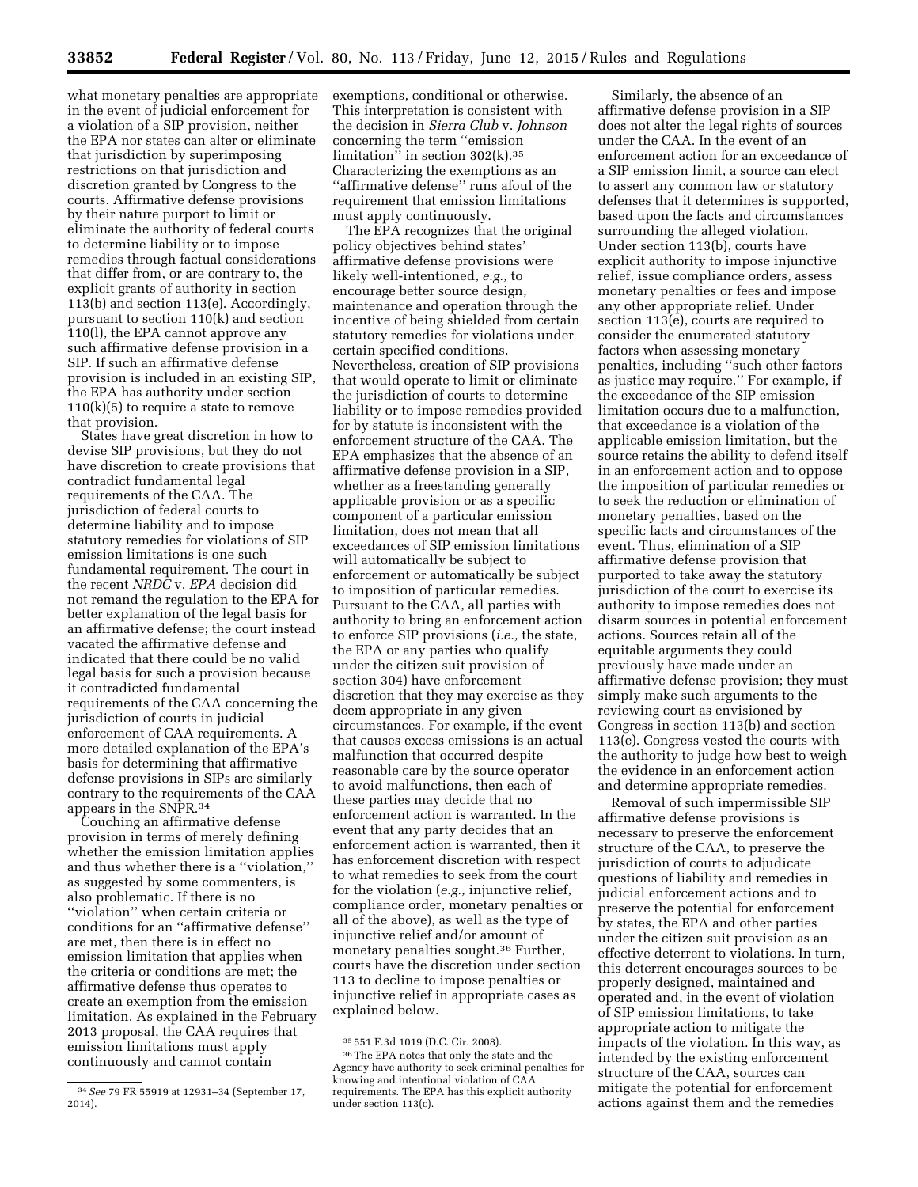what monetary penalties are appropriate in the event of judicial enforcement for a violation of a SIP provision, neither the EPA nor states can alter or eliminate that jurisdiction by superimposing restrictions on that jurisdiction and discretion granted by Congress to the courts. Affirmative defense provisions by their nature purport to limit or eliminate the authority of federal courts to determine liability or to impose remedies through factual considerations that differ from, or are contrary to, the explicit grants of authority in section 113(b) and section 113(e). Accordingly, pursuant to section 110(k) and section 110(l), the EPA cannot approve any such affirmative defense provision in a SIP. If such an affirmative defense provision is included in an existing SIP, the EPA has authority under section  $110(k)(5)$  to require a state to remove that provision.

States have great discretion in how to devise SIP provisions, but they do not have discretion to create provisions that contradict fundamental legal requirements of the CAA. The jurisdiction of federal courts to determine liability and to impose statutory remedies for violations of SIP emission limitations is one such fundamental requirement. The court in the recent *NRDC* v. *EPA* decision did not remand the regulation to the EPA for better explanation of the legal basis for an affirmative defense; the court instead vacated the affirmative defense and indicated that there could be no valid legal basis for such a provision because it contradicted fundamental requirements of the CAA concerning the jurisdiction of courts in judicial enforcement of CAA requirements. A more detailed explanation of the EPA's basis for determining that affirmative defense provisions in SIPs are similarly contrary to the requirements of the CAA appears in the SNPR.34

Couching an affirmative defense provision in terms of merely defining whether the emission limitation applies and thus whether there is a ''violation,'' as suggested by some commenters, is also problematic. If there is no ''violation'' when certain criteria or conditions for an ''affirmative defense'' are met, then there is in effect no emission limitation that applies when the criteria or conditions are met; the affirmative defense thus operates to create an exemption from the emission limitation. As explained in the February 2013 proposal, the CAA requires that emission limitations must apply continuously and cannot contain

exemptions, conditional or otherwise. This interpretation is consistent with the decision in *Sierra Club* v. *Johnson*  concerning the term ''emission limitation" in section  $302(k).$ <sup>35</sup> Characterizing the exemptions as an ''affirmative defense'' runs afoul of the requirement that emission limitations must apply continuously.

The EPA recognizes that the original policy objectives behind states' affirmative defense provisions were likely well-intentioned, *e.g.,* to encourage better source design, maintenance and operation through the incentive of being shielded from certain statutory remedies for violations under certain specified conditions. Nevertheless, creation of SIP provisions that would operate to limit or eliminate the jurisdiction of courts to determine liability or to impose remedies provided for by statute is inconsistent with the enforcement structure of the CAA. The EPA emphasizes that the absence of an affirmative defense provision in a SIP, whether as a freestanding generally applicable provision or as a specific component of a particular emission limitation, does not mean that all exceedances of SIP emission limitations will automatically be subject to enforcement or automatically be subject to imposition of particular remedies. Pursuant to the CAA, all parties with authority to bring an enforcement action to enforce SIP provisions (*i.e.,* the state, the EPA or any parties who qualify under the citizen suit provision of section 304) have enforcement discretion that they may exercise as they deem appropriate in any given circumstances. For example, if the event that causes excess emissions is an actual malfunction that occurred despite reasonable care by the source operator to avoid malfunctions, then each of these parties may decide that no enforcement action is warranted. In the event that any party decides that an enforcement action is warranted, then it has enforcement discretion with respect to what remedies to seek from the court for the violation (*e.g.,* injunctive relief, compliance order, monetary penalties or all of the above), as well as the type of injunctive relief and/or amount of monetary penalties sought.36 Further, courts have the discretion under section 113 to decline to impose penalties or injunctive relief in appropriate cases as explained below.

Similarly, the absence of an affirmative defense provision in a SIP does not alter the legal rights of sources under the CAA. In the event of an enforcement action for an exceedance of a SIP emission limit, a source can elect to assert any common law or statutory defenses that it determines is supported, based upon the facts and circumstances surrounding the alleged violation. Under section 113(b), courts have explicit authority to impose injunctive relief, issue compliance orders, assess monetary penalties or fees and impose any other appropriate relief. Under section 113(e), courts are required to consider the enumerated statutory factors when assessing monetary penalties, including ''such other factors as justice may require.'' For example, if the exceedance of the SIP emission limitation occurs due to a malfunction, that exceedance is a violation of the applicable emission limitation, but the source retains the ability to defend itself in an enforcement action and to oppose the imposition of particular remedies or to seek the reduction or elimination of monetary penalties, based on the specific facts and circumstances of the event. Thus, elimination of a SIP affirmative defense provision that purported to take away the statutory jurisdiction of the court to exercise its authority to impose remedies does not disarm sources in potential enforcement actions. Sources retain all of the equitable arguments they could previously have made under an affirmative defense provision; they must simply make such arguments to the reviewing court as envisioned by Congress in section 113(b) and section 113(e). Congress vested the courts with the authority to judge how best to weigh the evidence in an enforcement action and determine appropriate remedies.

Removal of such impermissible SIP affirmative defense provisions is necessary to preserve the enforcement structure of the CAA, to preserve the jurisdiction of courts to adjudicate questions of liability and remedies in judicial enforcement actions and to preserve the potential for enforcement by states, the EPA and other parties under the citizen suit provision as an effective deterrent to violations. In turn, this deterrent encourages sources to be properly designed, maintained and operated and, in the event of violation of SIP emission limitations, to take appropriate action to mitigate the impacts of the violation. In this way, as intended by the existing enforcement structure of the CAA, sources can mitigate the potential for enforcement actions against them and the remedies

<sup>34</sup>*See* 79 FR 55919 at 12931–34 (September 17, 2014).

<sup>35</sup> 551 F.3d 1019 (D.C. Cir. 2008).

<sup>36</sup>The EPA notes that only the state and the Agency have authority to seek criminal penalties for knowing and intentional violation of CAA requirements. The EPA has this explicit authority under section 113(c).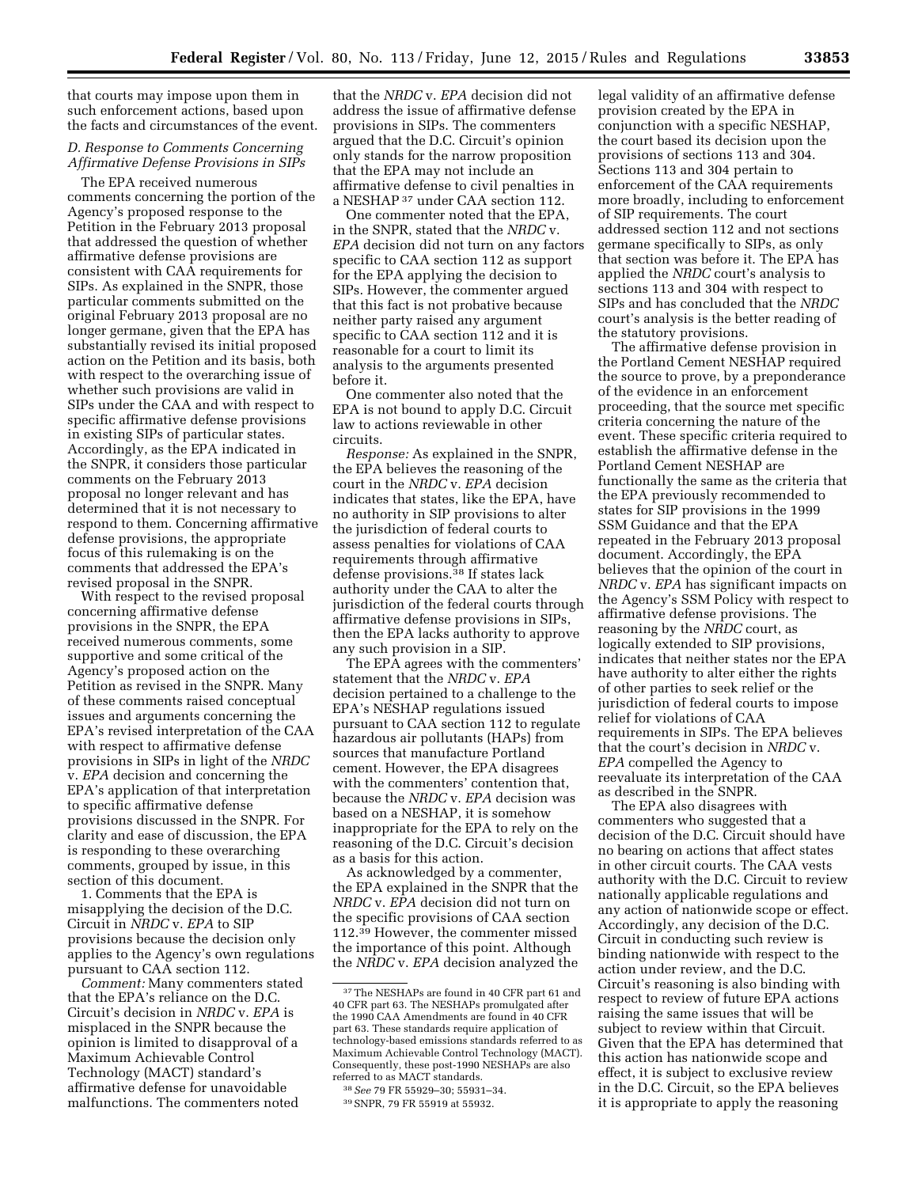that courts may impose upon them in such enforcement actions, based upon the facts and circumstances of the event.

# *D. Response to Comments Concerning Affirmative Defense Provisions in SIPs*

The EPA received numerous comments concerning the portion of the Agency's proposed response to the Petition in the February 2013 proposal that addressed the question of whether affirmative defense provisions are consistent with CAA requirements for SIPs. As explained in the SNPR, those particular comments submitted on the original February 2013 proposal are no longer germane, given that the EPA has substantially revised its initial proposed action on the Petition and its basis, both with respect to the overarching issue of whether such provisions are valid in SIPs under the CAA and with respect to specific affirmative defense provisions in existing SIPs of particular states. Accordingly, as the EPA indicated in the SNPR, it considers those particular comments on the February 2013 proposal no longer relevant and has determined that it is not necessary to respond to them. Concerning affirmative defense provisions, the appropriate focus of this rulemaking is on the comments that addressed the EPA's revised proposal in the SNPR.

With respect to the revised proposal concerning affirmative defense provisions in the SNPR, the EPA received numerous comments, some supportive and some critical of the Agency's proposed action on the Petition as revised in the SNPR. Many of these comments raised conceptual issues and arguments concerning the EPA's revised interpretation of the CAA with respect to affirmative defense provisions in SIPs in light of the *NRDC*  v. *EPA* decision and concerning the EPA's application of that interpretation to specific affirmative defense provisions discussed in the SNPR. For clarity and ease of discussion, the EPA is responding to these overarching comments, grouped by issue, in this section of this document.

1. Comments that the EPA is misapplying the decision of the D.C. Circuit in *NRDC* v. *EPA* to SIP provisions because the decision only applies to the Agency's own regulations pursuant to CAA section 112.

*Comment:* Many commenters stated that the EPA's reliance on the D.C. Circuit's decision in *NRDC* v. *EPA* is misplaced in the SNPR because the opinion is limited to disapproval of a Maximum Achievable Control Technology (MACT) standard's affirmative defense for unavoidable malfunctions. The commenters noted

that the *NRDC* v. *EPA* decision did not address the issue of affirmative defense provisions in SIPs. The commenters argued that the D.C. Circuit's opinion only stands for the narrow proposition that the EPA may not include an affirmative defense to civil penalties in a NESHAP 37 under CAA section 112.

One commenter noted that the EPA, in the SNPR, stated that the *NRDC* v. *EPA* decision did not turn on any factors specific to CAA section 112 as support for the EPA applying the decision to SIPs. However, the commenter argued that this fact is not probative because neither party raised any argument specific to CAA section 112 and it is reasonable for a court to limit its analysis to the arguments presented before it.

One commenter also noted that the EPA is not bound to apply D.C. Circuit law to actions reviewable in other circuits.

*Response:* As explained in the SNPR, the EPA believes the reasoning of the court in the *NRDC* v. *EPA* decision indicates that states, like the EPA, have no authority in SIP provisions to alter the jurisdiction of federal courts to assess penalties for violations of CAA requirements through affirmative defense provisions.38 If states lack authority under the CAA to alter the jurisdiction of the federal courts through affirmative defense provisions in SIPs, then the EPA lacks authority to approve any such provision in a SIP.

The EPA agrees with the commenters' statement that the *NRDC* v. *EPA*  decision pertained to a challenge to the EPA's NESHAP regulations issued pursuant to CAA section 112 to regulate hazardous air pollutants (HAPs) from sources that manufacture Portland cement. However, the EPA disagrees with the commenters' contention that, because the *NRDC* v. *EPA* decision was based on a NESHAP, it is somehow inappropriate for the EPA to rely on the reasoning of the D.C. Circuit's decision as a basis for this action.

As acknowledged by a commenter, the EPA explained in the SNPR that the *NRDC* v. *EPA* decision did not turn on the specific provisions of CAA section 112.39 However, the commenter missed the importance of this point. Although the *NRDC* v. *EPA* decision analyzed the legal validity of an affirmative defense provision created by the EPA in conjunction with a specific NESHAP, the court based its decision upon the provisions of sections 113 and 304. Sections 113 and 304 pertain to enforcement of the CAA requirements more broadly, including to enforcement of SIP requirements. The court addressed section 112 and not sections germane specifically to SIPs, as only that section was before it. The EPA has applied the *NRDC* court's analysis to sections 113 and 304 with respect to SIPs and has concluded that the *NRDC*  court's analysis is the better reading of

the statutory provisions. The affirmative defense provision in the Portland Cement NESHAP required the source to prove, by a preponderance of the evidence in an enforcement proceeding, that the source met specific criteria concerning the nature of the event. These specific criteria required to establish the affirmative defense in the Portland Cement NESHAP are functionally the same as the criteria that the EPA previously recommended to states for SIP provisions in the 1999 SSM Guidance and that the EPA repeated in the February 2013 proposal document. Accordingly, the EPA believes that the opinion of the court in *NRDC* v. *EPA* has significant impacts on the Agency's SSM Policy with respect to affirmative defense provisions. The reasoning by the *NRDC* court, as logically extended to SIP provisions, indicates that neither states nor the EPA have authority to alter either the rights of other parties to seek relief or the jurisdiction of federal courts to impose relief for violations of CAA requirements in SIPs. The EPA believes that the court's decision in *NRDC* v. *EPA* compelled the Agency to reevaluate its interpretation of the CAA as described in the SNPR.

The EPA also disagrees with commenters who suggested that a decision of the D.C. Circuit should have no bearing on actions that affect states in other circuit courts. The CAA vests authority with the D.C. Circuit to review nationally applicable regulations and any action of nationwide scope or effect. Accordingly, any decision of the D.C. Circuit in conducting such review is binding nationwide with respect to the action under review, and the D.C. Circuit's reasoning is also binding with respect to review of future EPA actions raising the same issues that will be subject to review within that Circuit. Given that the EPA has determined that this action has nationwide scope and effect, it is subject to exclusive review in the D.C. Circuit, so the EPA believes it is appropriate to apply the reasoning

<sup>37</sup>The NESHAPs are found in 40 CFR part 61 and 40 CFR part 63. The NESHAPs promulgated after the 1990 CAA Amendments are found in 40 CFR part 63. These standards require application of technology-based emissions standards referred to as Maximum Achievable Control Technology (MACT). Consequently, these post-1990 NESHAPs are also referred to as MACT standards.

<sup>38</sup>*See* 79 FR 55929–30; 55931–34. 39SNPR, 79 FR 55919 at 55932.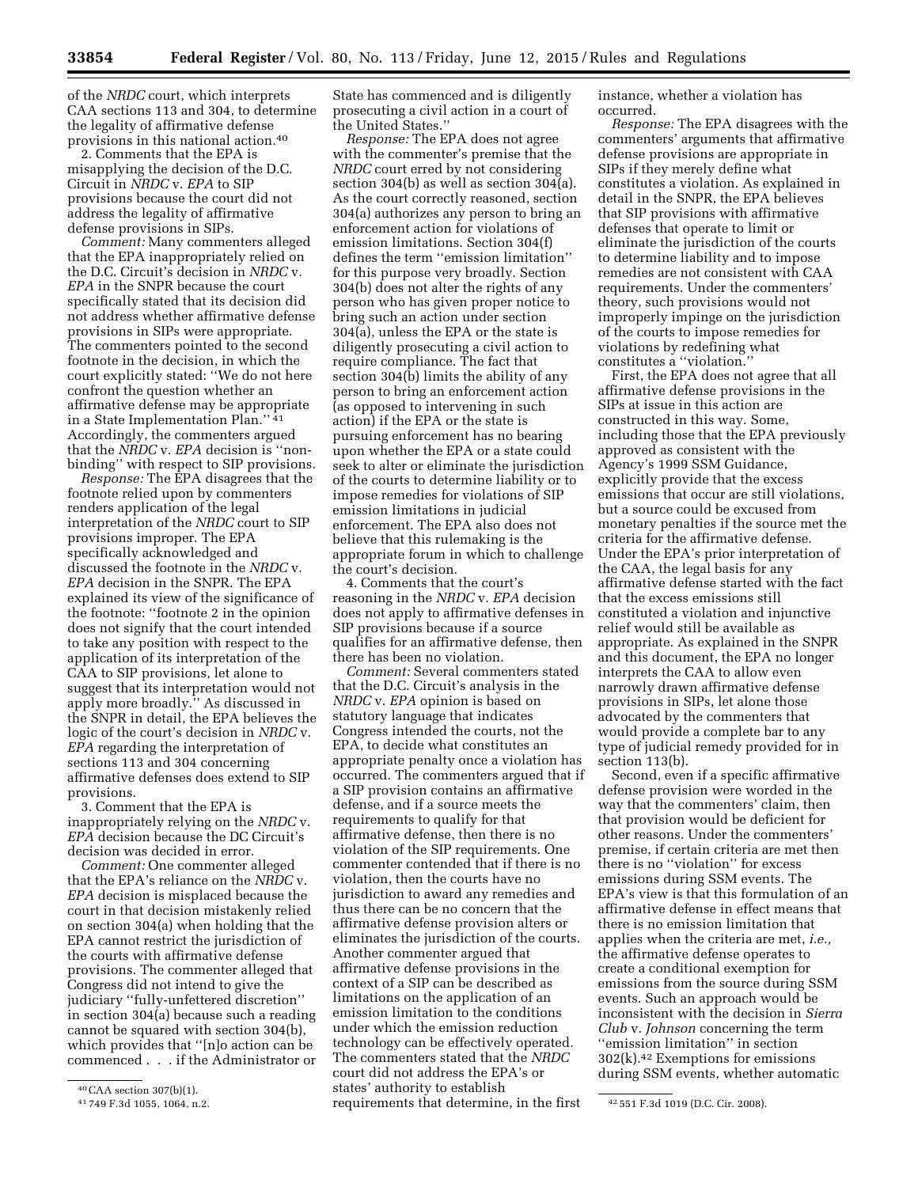of the *NRDC* court, which interprets CAA sections 113 and 304, to determine the legality of affirmative defense provisions in this national action.40

2. Comments that the EPA is misapplying the decision of the D.C. Circuit in *NRDC* v. *EPA* to SIP provisions because the court did not address the legality of affirmative defense provisions in SIPs.

*Comment:* Many commenters alleged that the EPA inappropriately relied on the D.C. Circuit's decision in *NRDC* v. *EPA* in the SNPR because the court specifically stated that its decision did not address whether affirmative defense provisions in SIPs were appropriate. The commenters pointed to the second footnote in the decision, in which the court explicitly stated: ''We do not here confront the question whether an affirmative defense may be appropriate in a State Implementation Plan.'' 41 Accordingly, the commenters argued that the *NRDC* v. *EPA* decision is ''nonbinding'' with respect to SIP provisions.

*Response:* The EPA disagrees that the footnote relied upon by commenters renders application of the legal interpretation of the *NRDC* court to SIP provisions improper. The EPA specifically acknowledged and discussed the footnote in the *NRDC* v. *EPA* decision in the SNPR. The EPA explained its view of the significance of the footnote: ''footnote 2 in the opinion does not signify that the court intended to take any position with respect to the application of its interpretation of the CAA to SIP provisions, let alone to suggest that its interpretation would not apply more broadly.'' As discussed in the SNPR in detail, the EPA believes the logic of the court's decision in *NRDC* v. *EPA* regarding the interpretation of sections 113 and 304 concerning affirmative defenses does extend to SIP provisions.

3. Comment that the EPA is inappropriately relying on the *NRDC* v. *EPA* decision because the DC Circuit's decision was decided in error.

*Comment:* One commenter alleged that the EPA's reliance on the *NRDC* v. *EPA* decision is misplaced because the court in that decision mistakenly relied on section 304(a) when holding that the EPA cannot restrict the jurisdiction of the courts with affirmative defense provisions. The commenter alleged that Congress did not intend to give the judiciary ''fully-unfettered discretion'' in section 304(a) because such a reading cannot be squared with section 304(b), which provides that ''[n]o action can be commenced . . . if the Administrator or

State has commenced and is diligently prosecuting a civil action in a court of the United States.''

*Response:* The EPA does not agree with the commenter's premise that the *NRDC* court erred by not considering section 304(b) as well as section 304(a). As the court correctly reasoned, section 304(a) authorizes any person to bring an enforcement action for violations of emission limitations. Section 304(f) defines the term ''emission limitation'' for this purpose very broadly. Section 304(b) does not alter the rights of any person who has given proper notice to bring such an action under section 304(a), unless the EPA or the state is diligently prosecuting a civil action to require compliance. The fact that section 304(b) limits the ability of any person to bring an enforcement action (as opposed to intervening in such action) if the EPA or the state is pursuing enforcement has no bearing upon whether the EPA or a state could seek to alter or eliminate the jurisdiction of the courts to determine liability or to impose remedies for violations of SIP emission limitations in judicial enforcement. The EPA also does not believe that this rulemaking is the appropriate forum in which to challenge the court's decision.

4. Comments that the court's reasoning in the *NRDC* v. *EPA* decision does not apply to affirmative defenses in SIP provisions because if a source qualifies for an affirmative defense, then there has been no violation.

 $41749$  F.3d 1055, 1064, n.2. requirements that determine, in the first  $42\,551$  F.3d 1019 (D.C. Cir. 2008). *Comment:* Several commenters stated that the D.C. Circuit's analysis in the *NRDC* v. *EPA* opinion is based on statutory language that indicates Congress intended the courts, not the EPA, to decide what constitutes an appropriate penalty once a violation has occurred. The commenters argued that if a SIP provision contains an affirmative defense, and if a source meets the requirements to qualify for that affirmative defense, then there is no violation of the SIP requirements. One commenter contended that if there is no violation, then the courts have no jurisdiction to award any remedies and thus there can be no concern that the affirmative defense provision alters or eliminates the jurisdiction of the courts. Another commenter argued that affirmative defense provisions in the context of a SIP can be described as limitations on the application of an emission limitation to the conditions under which the emission reduction technology can be effectively operated. The commenters stated that the *NRDC*  court did not address the EPA's or states' authority to establish

instance, whether a violation has occurred.

*Response:* The EPA disagrees with the commenters' arguments that affirmative defense provisions are appropriate in SIPs if they merely define what constitutes a violation. As explained in detail in the SNPR, the EPA believes that SIP provisions with affirmative defenses that operate to limit or eliminate the jurisdiction of the courts to determine liability and to impose remedies are not consistent with CAA requirements. Under the commenters' theory, such provisions would not improperly impinge on the jurisdiction of the courts to impose remedies for violations by redefining what constitutes a ''violation.''

First, the EPA does not agree that all affirmative defense provisions in the SIPs at issue in this action are constructed in this way. Some, including those that the EPA previously approved as consistent with the Agency's 1999 SSM Guidance, explicitly provide that the excess emissions that occur are still violations, but a source could be excused from monetary penalties if the source met the criteria for the affirmative defense. Under the EPA's prior interpretation of the CAA, the legal basis for any affirmative defense started with the fact that the excess emissions still constituted a violation and injunctive relief would still be available as appropriate. As explained in the SNPR and this document, the EPA no longer interprets the CAA to allow even narrowly drawn affirmative defense provisions in SIPs, let alone those advocated by the commenters that would provide a complete bar to any type of judicial remedy provided for in section 113(b).

Second, even if a specific affirmative defense provision were worded in the way that the commenters' claim, then that provision would be deficient for other reasons. Under the commenters' premise, if certain criteria are met then there is no ''violation'' for excess emissions during SSM events. The EPA's view is that this formulation of an affirmative defense in effect means that there is no emission limitation that applies when the criteria are met, *i.e.,*  the affirmative defense operates to create a conditional exemption for emissions from the source during SSM events. Such an approach would be inconsistent with the decision in *Sierra Club* v. *Johnson* concerning the term ''emission limitation'' in section 302(k).42 Exemptions for emissions during SSM events, whether automatic

<sup>40</sup>CAA section 307(b)(1).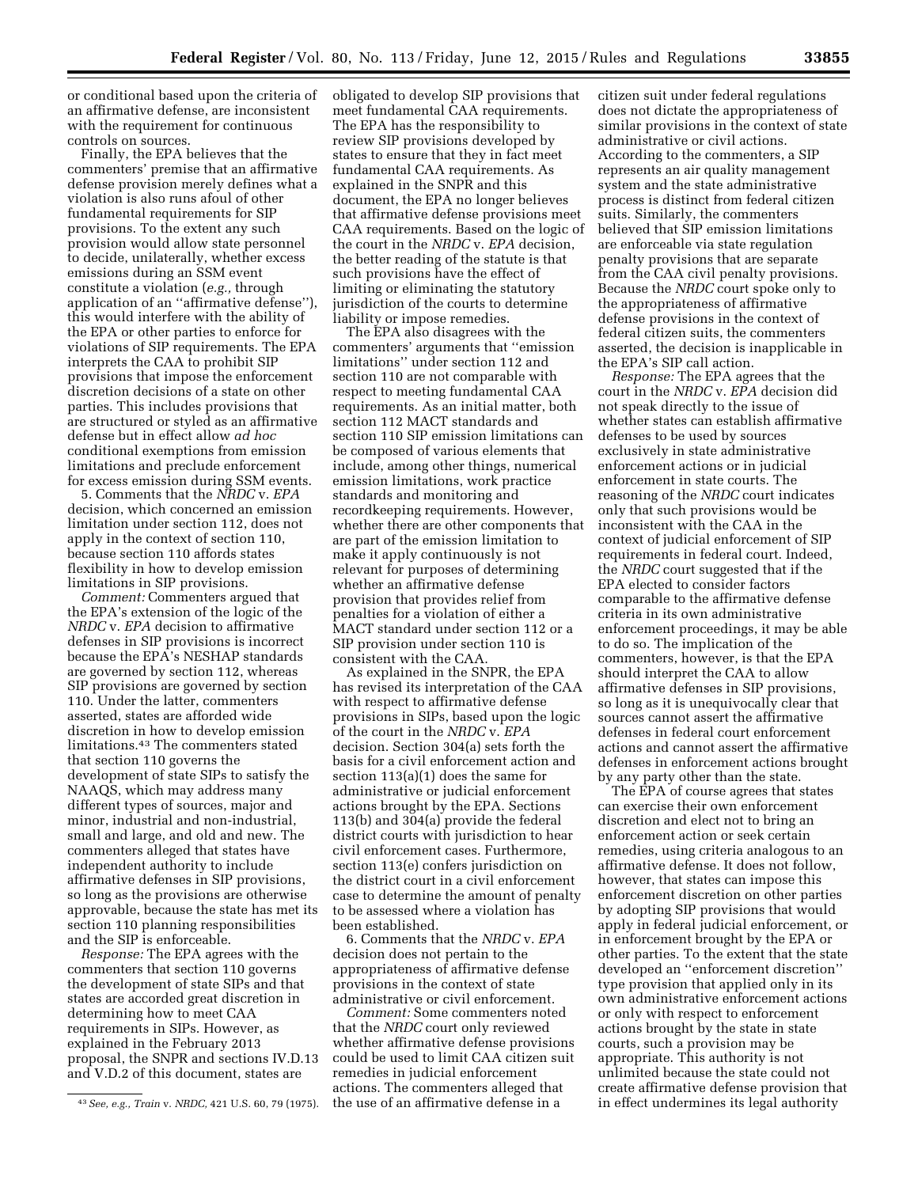or conditional based upon the criteria of an affirmative defense, are inconsistent with the requirement for continuous controls on sources.

Finally, the EPA believes that the commenters' premise that an affirmative defense provision merely defines what a violation is also runs afoul of other fundamental requirements for SIP provisions. To the extent any such provision would allow state personnel to decide, unilaterally, whether excess emissions during an SSM event constitute a violation (*e.g.,* through application of an ''affirmative defense''), this would interfere with the ability of the EPA or other parties to enforce for violations of SIP requirements. The EPA interprets the CAA to prohibit SIP provisions that impose the enforcement discretion decisions of a state on other parties. This includes provisions that are structured or styled as an affirmative defense but in effect allow *ad hoc*  conditional exemptions from emission limitations and preclude enforcement for excess emission during SSM events.

5. Comments that the *NRDC* v. *EPA*  decision, which concerned an emission limitation under section 112, does not apply in the context of section 110, because section 110 affords states flexibility in how to develop emission limitations in SIP provisions.

*Comment:* Commenters argued that the EPA's extension of the logic of the *NRDC* v. *EPA* decision to affirmative defenses in SIP provisions is incorrect because the EPA's NESHAP standards are governed by section 112, whereas SIP provisions are governed by section 110. Under the latter, commenters asserted, states are afforded wide discretion in how to develop emission limitations.43 The commenters stated that section 110 governs the development of state SIPs to satisfy the NAAQS, which may address many different types of sources, major and minor, industrial and non-industrial, small and large, and old and new. The commenters alleged that states have independent authority to include affirmative defenses in SIP provisions, so long as the provisions are otherwise approvable, because the state has met its section 110 planning responsibilities and the SIP is enforceable.

*Response:* The EPA agrees with the commenters that section 110 governs the development of state SIPs and that states are accorded great discretion in determining how to meet CAA requirements in SIPs. However, as explained in the February 2013 proposal, the SNPR and sections IV.D.13 and V.D.2 of this document, states are

obligated to develop SIP provisions that meet fundamental CAA requirements. The EPA has the responsibility to review SIP provisions developed by states to ensure that they in fact meet fundamental CAA requirements. As explained in the SNPR and this document, the EPA no longer believes that affirmative defense provisions meet CAA requirements. Based on the logic of the court in the *NRDC* v. *EPA* decision, the better reading of the statute is that such provisions have the effect of limiting or eliminating the statutory jurisdiction of the courts to determine liability or impose remedies.

The EPA also disagrees with the commenters' arguments that ''emission limitations'' under section 112 and section 110 are not comparable with respect to meeting fundamental CAA requirements. As an initial matter, both section 112 MACT standards and section 110 SIP emission limitations can be composed of various elements that include, among other things, numerical emission limitations, work practice standards and monitoring and recordkeeping requirements. However, whether there are other components that are part of the emission limitation to make it apply continuously is not relevant for purposes of determining whether an affirmative defense provision that provides relief from penalties for a violation of either a MACT standard under section 112 or a SIP provision under section 110 is consistent with the CAA.

As explained in the SNPR, the EPA has revised its interpretation of the CAA with respect to affirmative defense provisions in SIPs, based upon the logic of the court in the *NRDC* v. *EPA*  decision. Section 304(a) sets forth the basis for a civil enforcement action and section 113(a)(1) does the same for administrative or judicial enforcement actions brought by the EPA. Sections 113(b) and 304(a) provide the federal district courts with jurisdiction to hear civil enforcement cases. Furthermore, section 113(e) confers jurisdiction on the district court in a civil enforcement case to determine the amount of penalty to be assessed where a violation has been established.

6. Comments that the *NRDC* v. *EPA*  decision does not pertain to the appropriateness of affirmative defense provisions in the context of state administrative or civil enforcement.

*Comment:* Some commenters noted that the *NRDC* court only reviewed whether affirmative defense provisions could be used to limit CAA citizen suit remedies in judicial enforcement actions. The commenters alleged that the use of an affirmative defense in a

citizen suit under federal regulations does not dictate the appropriateness of similar provisions in the context of state administrative or civil actions. According to the commenters, a SIP represents an air quality management system and the state administrative process is distinct from federal citizen suits. Similarly, the commenters believed that SIP emission limitations are enforceable via state regulation penalty provisions that are separate from the CAA civil penalty provisions. Because the *NRDC* court spoke only to the appropriateness of affirmative defense provisions in the context of federal citizen suits, the commenters asserted, the decision is inapplicable in the EPA's SIP call action.

*Response:* The EPA agrees that the court in the *NRDC* v. *EPA* decision did not speak directly to the issue of whether states can establish affirmative defenses to be used by sources exclusively in state administrative enforcement actions or in judicial enforcement in state courts. The reasoning of the *NRDC* court indicates only that such provisions would be inconsistent with the CAA in the context of judicial enforcement of SIP requirements in federal court. Indeed, the *NRDC* court suggested that if the EPA elected to consider factors comparable to the affirmative defense criteria in its own administrative enforcement proceedings, it may be able to do so. The implication of the commenters, however, is that the EPA should interpret the CAA to allow affirmative defenses in SIP provisions, so long as it is unequivocally clear that sources cannot assert the affirmative defenses in federal court enforcement actions and cannot assert the affirmative defenses in enforcement actions brought by any party other than the state.

The EPA of course agrees that states can exercise their own enforcement discretion and elect not to bring an enforcement action or seek certain remedies, using criteria analogous to an affirmative defense. It does not follow, however, that states can impose this enforcement discretion on other parties by adopting SIP provisions that would apply in federal judicial enforcement, or in enforcement brought by the EPA or other parties. To the extent that the state developed an ''enforcement discretion'' type provision that applied only in its own administrative enforcement actions or only with respect to enforcement actions brought by the state in state courts, such a provision may be appropriate. This authority is not unlimited because the state could not create affirmative defense provision that in effect undermines its legal authority

<sup>43</sup>*See, e.g., Train* v. *NRDC,* 421 U.S. 60, 79 (1975).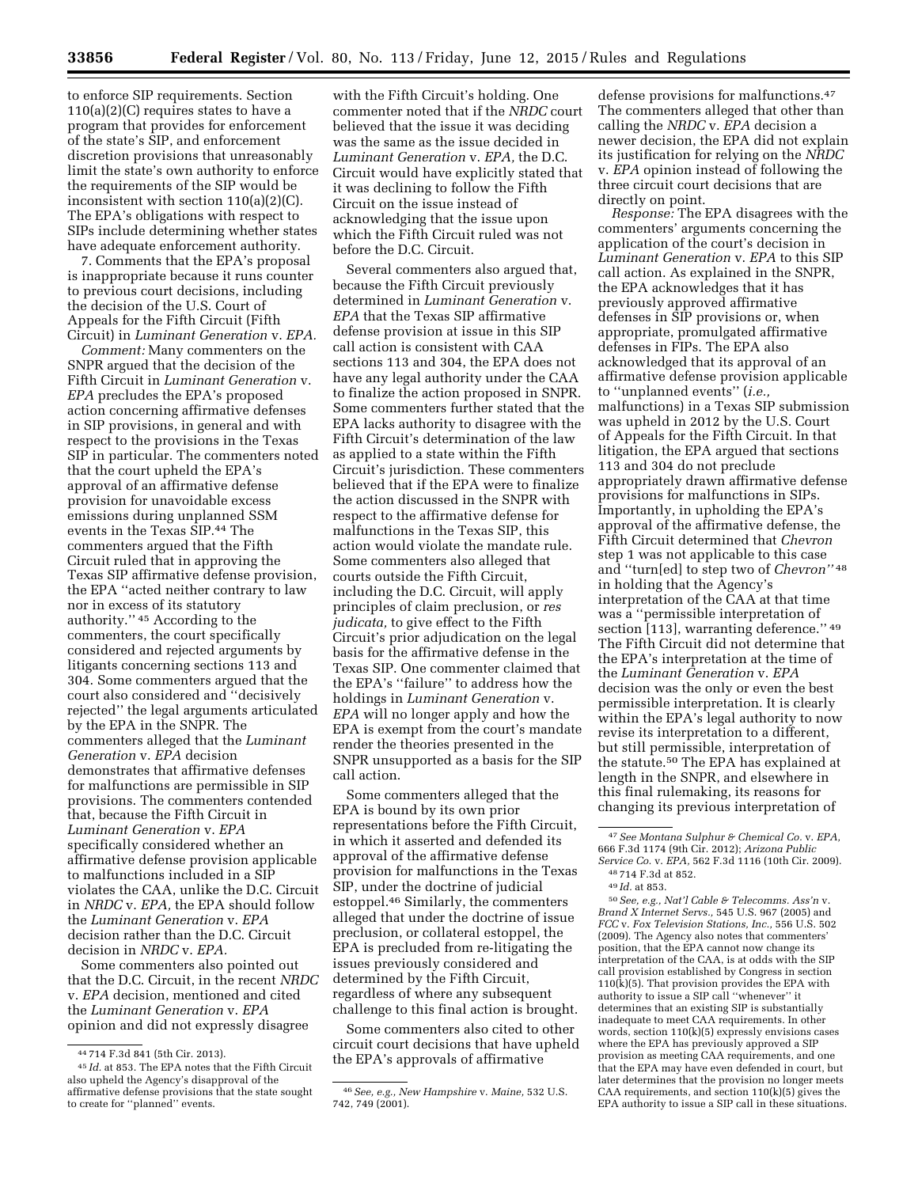to enforce SIP requirements. Section 110(a)(2)(C) requires states to have a program that provides for enforcement of the state's SIP, and enforcement discretion provisions that unreasonably limit the state's own authority to enforce the requirements of the SIP would be inconsistent with section 110(a)(2)(C). The EPA's obligations with respect to SIPs include determining whether states have adequate enforcement authority.

7. Comments that the EPA's proposal is inappropriate because it runs counter to previous court decisions, including the decision of the U.S. Court of Appeals for the Fifth Circuit (Fifth Circuit) in *Luminant Generation* v. *EPA.* 

*Comment:* Many commenters on the SNPR argued that the decision of the Fifth Circuit in *Luminant Generation* v. *EPA* precludes the EPA's proposed action concerning affirmative defenses in SIP provisions, in general and with respect to the provisions in the Texas SIP in particular. The commenters noted that the court upheld the EPA's approval of an affirmative defense provision for unavoidable excess emissions during unplanned SSM events in the Texas SIP.44 The commenters argued that the Fifth Circuit ruled that in approving the Texas SIP affirmative defense provision, the EPA ''acted neither contrary to law nor in excess of its statutory authority.'' 45 According to the commenters, the court specifically considered and rejected arguments by litigants concerning sections 113 and 304. Some commenters argued that the court also considered and ''decisively rejected'' the legal arguments articulated by the EPA in the SNPR. The commenters alleged that the *Luminant Generation* v. *EPA* decision demonstrates that affirmative defenses for malfunctions are permissible in SIP provisions. The commenters contended that, because the Fifth Circuit in *Luminant Generation* v. *EPA*  specifically considered whether an affirmative defense provision applicable to malfunctions included in a SIP violates the CAA, unlike the D.C. Circuit in *NRDC* v. *EPA,* the EPA should follow the *Luminant Generation* v. *EPA*  decision rather than the D.C. Circuit decision in *NRDC* v. *EPA.* 

Some commenters also pointed out that the D.C. Circuit, in the recent *NRDC*  v. *EPA* decision, mentioned and cited the *Luminant Generation* v. *EPA*  opinion and did not expressly disagree

with the Fifth Circuit's holding. One commenter noted that if the *NRDC* court believed that the issue it was deciding was the same as the issue decided in *Luminant Generation* v. *EPA,* the D.C. Circuit would have explicitly stated that it was declining to follow the Fifth Circuit on the issue instead of acknowledging that the issue upon which the Fifth Circuit ruled was not before the D.C. Circuit.

Several commenters also argued that, because the Fifth Circuit previously determined in *Luminant Generation* v. *EPA* that the Texas SIP affirmative defense provision at issue in this SIP call action is consistent with CAA sections 113 and 304, the EPA does not have any legal authority under the CAA to finalize the action proposed in SNPR. Some commenters further stated that the EPA lacks authority to disagree with the Fifth Circuit's determination of the law as applied to a state within the Fifth Circuit's jurisdiction. These commenters believed that if the EPA were to finalize the action discussed in the SNPR with respect to the affirmative defense for malfunctions in the Texas SIP, this action would violate the mandate rule. Some commenters also alleged that courts outside the Fifth Circuit, including the D.C. Circuit, will apply principles of claim preclusion, or *res judicata,* to give effect to the Fifth Circuit's prior adjudication on the legal basis for the affirmative defense in the Texas SIP. One commenter claimed that the EPA's ''failure'' to address how the holdings in *Luminant Generation* v. *EPA* will no longer apply and how the EPA is exempt from the court's mandate render the theories presented in the SNPR unsupported as a basis for the SIP call action.

Some commenters alleged that the EPA is bound by its own prior representations before the Fifth Circuit, in which it asserted and defended its approval of the affirmative defense provision for malfunctions in the Texas SIP, under the doctrine of judicial estoppel.46 Similarly, the commenters alleged that under the doctrine of issue preclusion, or collateral estoppel, the EPA is precluded from re-litigating the issues previously considered and determined by the Fifth Circuit, regardless of where any subsequent challenge to this final action is brought.

Some commenters also cited to other circuit court decisions that have upheld the EPA's approvals of affirmative

defense provisions for malfunctions.47 The commenters alleged that other than calling the *NRDC* v. *EPA* decision a newer decision, the EPA did not explain its justification for relying on the *NRDC*  v. *EPA* opinion instead of following the three circuit court decisions that are directly on point.

*Response:* The EPA disagrees with the commenters' arguments concerning the application of the court's decision in *Luminant Generation* v. *EPA* to this SIP call action. As explained in the SNPR, the EPA acknowledges that it has previously approved affirmative defenses in SIP provisions or, when appropriate, promulgated affirmative defenses in FIPs. The EPA also acknowledged that its approval of an affirmative defense provision applicable to ''unplanned events'' (*i.e.,*  malfunctions) in a Texas SIP submission was upheld in 2012 by the U.S. Court of Appeals for the Fifth Circuit. In that litigation, the EPA argued that sections 113 and 304 do not preclude appropriately drawn affirmative defense provisions for malfunctions in SIPs. Importantly, in upholding the EPA's approval of the affirmative defense, the Fifth Circuit determined that *Chevron*  step 1 was not applicable to this case and ''turn[ed] to step two of *Chevron''* 48 in holding that the Agency's interpretation of the CAA at that time was a ''permissible interpretation of section [113], warranting deference." 49 The Fifth Circuit did not determine that the EPA's interpretation at the time of the *Luminant Generation* v. *EPA*  decision was the only or even the best permissible interpretation. It is clearly within the EPA's legal authority to now revise its interpretation to a different, but still permissible, interpretation of the statute.50 The EPA has explained at length in the SNPR, and elsewhere in this final rulemaking, its reasons for changing its previous interpretation of

50*See, e.g., Nat'l Cable & Telecomms. Ass'n* v. *Brand X Internet Servs.,* 545 U.S. 967 (2005) and *FCC* v. *Fox Television Stations, Inc.,* 556 U.S. 502 (2009). The Agency also notes that commenters' position, that the EPA cannot now change its interpretation of the CAA, is at odds with the SIP call provision established by Congress in section  $110(k)(5)$ . That provision provides the EPA with authority to issue a SIP call ''whenever'' it determines that an existing SIP is substantially inadequate to meet CAA requirements. In other words, section 110(k)(5) expressly envisions cases where the EPA has previously approved a SIP provision as meeting CAA requirements, and one that the EPA may have even defended in court, but later determines that the provision no longer meets CAA requirements, and section 110(k)(5) gives the EPA authority to issue a SIP call in these situations.

<sup>44</sup> 714 F.3d 841 (5th Cir. 2013).

<sup>45</sup> *Id.* at 853. The EPA notes that the Fifth Circuit also upheld the Agency's disapproval of the affirmative defense provisions that the state sought to create for ''planned'' events.

<sup>46</sup>*See, e.g., New Hampshire* v. *Maine,* 532 U.S. 742, 749 (2001).

<sup>47</sup>*See Montana Sulphur & Chemical Co.* v. *EPA,*  666 F.3d 1174 (9th Cir. 2012); *Arizona Public Service Co.* v. *EPA,* 562 F.3d 1116 (10th Cir. 2009).

<sup>48</sup> 714 F.3d at 852.

<sup>49</sup> *Id.* at 853.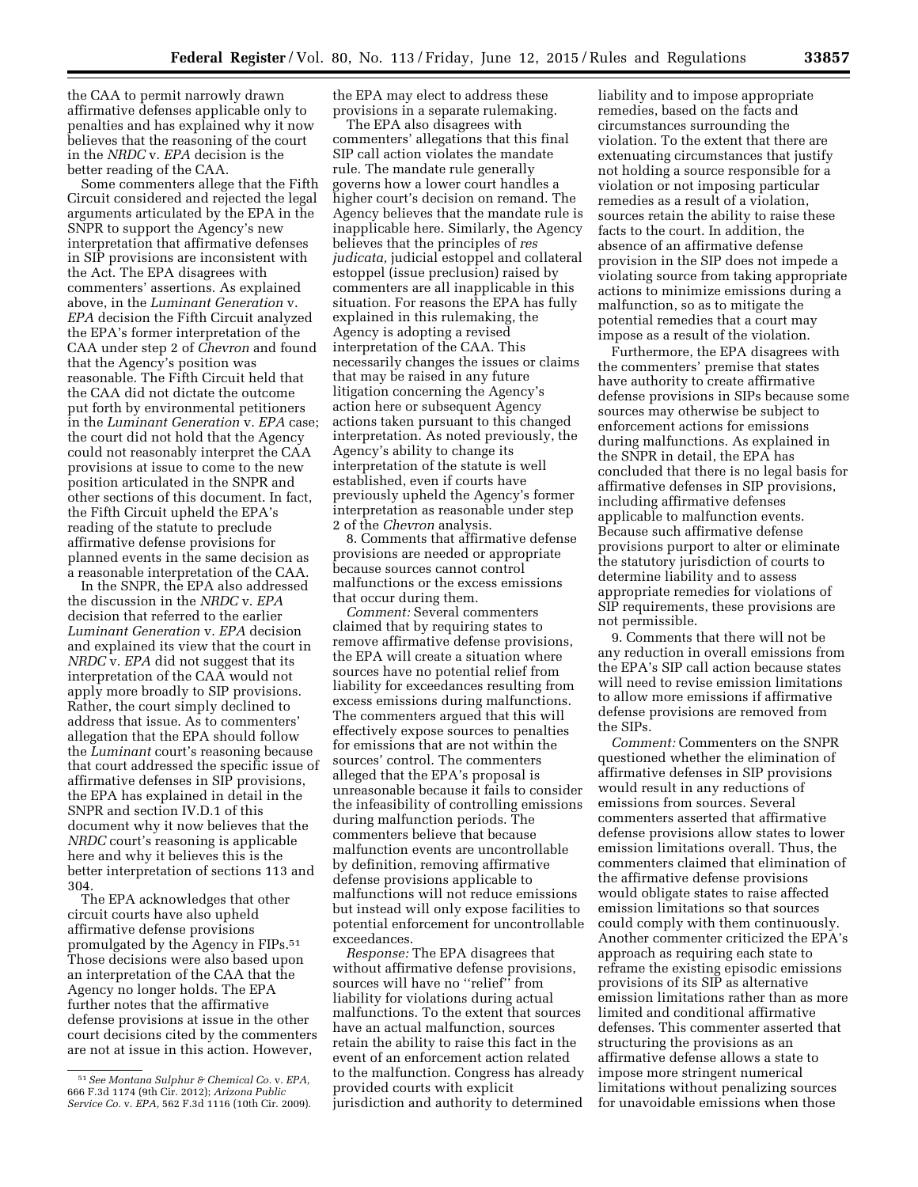the CAA to permit narrowly drawn affirmative defenses applicable only to penalties and has explained why it now believes that the reasoning of the court in the *NRDC* v. *EPA* decision is the better reading of the CAA.

Some commenters allege that the Fifth Circuit considered and rejected the legal arguments articulated by the EPA in the SNPR to support the Agency's new interpretation that affirmative defenses in SIP provisions are inconsistent with the Act. The EPA disagrees with commenters' assertions. As explained above, in the *Luminant Generation* v. *EPA* decision the Fifth Circuit analyzed the EPA's former interpretation of the CAA under step 2 of *Chevron* and found that the Agency's position was reasonable. The Fifth Circuit held that the CAA did not dictate the outcome put forth by environmental petitioners in the *Luminant Generation* v. *EPA* case; the court did not hold that the Agency could not reasonably interpret the CAA provisions at issue to come to the new position articulated in the SNPR and other sections of this document. In fact, the Fifth Circuit upheld the EPA's reading of the statute to preclude affirmative defense provisions for planned events in the same decision as a reasonable interpretation of the CAA.

In the SNPR, the EPA also addressed the discussion in the *NRDC* v. *EPA*  decision that referred to the earlier *Luminant Generation* v. *EPA* decision and explained its view that the court in *NRDC* v. *EPA* did not suggest that its interpretation of the CAA would not apply more broadly to SIP provisions. Rather, the court simply declined to address that issue. As to commenters' allegation that the EPA should follow the *Luminant* court's reasoning because that court addressed the specific issue of affirmative defenses in SIP provisions, the EPA has explained in detail in the SNPR and section IV.D.1 of this document why it now believes that the *NRDC* court's reasoning is applicable here and why it believes this is the better interpretation of sections 113 and 304.

The EPA acknowledges that other circuit courts have also upheld affirmative defense provisions promulgated by the Agency in FIPs.51 Those decisions were also based upon an interpretation of the CAA that the Agency no longer holds. The EPA further notes that the affirmative defense provisions at issue in the other court decisions cited by the commenters are not at issue in this action. However,

the EPA may elect to address these provisions in a separate rulemaking.

The EPA also disagrees with commenters' allegations that this final SIP call action violates the mandate rule. The mandate rule generally governs how a lower court handles a higher court's decision on remand. The Agency believes that the mandate rule is inapplicable here. Similarly, the Agency believes that the principles of *res judicata,* judicial estoppel and collateral estoppel (issue preclusion) raised by commenters are all inapplicable in this situation. For reasons the EPA has fully explained in this rulemaking, the Agency is adopting a revised interpretation of the CAA. This necessarily changes the issues or claims that may be raised in any future litigation concerning the Agency's action here or subsequent Agency actions taken pursuant to this changed interpretation. As noted previously, the Agency's ability to change its interpretation of the statute is well established, even if courts have previously upheld the Agency's former interpretation as reasonable under step 2 of the *Chevron* analysis.

8. Comments that affirmative defense provisions are needed or appropriate because sources cannot control malfunctions or the excess emissions that occur during them.

*Comment:* Several commenters claimed that by requiring states to remove affirmative defense provisions, the EPA will create a situation where sources have no potential relief from liability for exceedances resulting from excess emissions during malfunctions. The commenters argued that this will effectively expose sources to penalties for emissions that are not within the sources' control. The commenters alleged that the EPA's proposal is unreasonable because it fails to consider the infeasibility of controlling emissions during malfunction periods. The commenters believe that because malfunction events are uncontrollable by definition, removing affirmative defense provisions applicable to malfunctions will not reduce emissions but instead will only expose facilities to potential enforcement for uncontrollable exceedances.

*Response:* The EPA disagrees that without affirmative defense provisions, sources will have no ''relief'' from liability for violations during actual malfunctions. To the extent that sources have an actual malfunction, sources retain the ability to raise this fact in the event of an enforcement action related to the malfunction. Congress has already provided courts with explicit jurisdiction and authority to determined

liability and to impose appropriate remedies, based on the facts and circumstances surrounding the violation. To the extent that there are extenuating circumstances that justify not holding a source responsible for a violation or not imposing particular remedies as a result of a violation, sources retain the ability to raise these facts to the court. In addition, the absence of an affirmative defense provision in the SIP does not impede a violating source from taking appropriate actions to minimize emissions during a malfunction, so as to mitigate the potential remedies that a court may impose as a result of the violation.

Furthermore, the EPA disagrees with the commenters' premise that states have authority to create affirmative defense provisions in SIPs because some sources may otherwise be subject to enforcement actions for emissions during malfunctions. As explained in the SNPR in detail, the EPA has concluded that there is no legal basis for affirmative defenses in SIP provisions, including affirmative defenses applicable to malfunction events. Because such affirmative defense provisions purport to alter or eliminate the statutory jurisdiction of courts to determine liability and to assess appropriate remedies for violations of SIP requirements, these provisions are not permissible.

9. Comments that there will not be any reduction in overall emissions from the EPA's SIP call action because states will need to revise emission limitations to allow more emissions if affirmative defense provisions are removed from the SIPs.

*Comment:* Commenters on the SNPR questioned whether the elimination of affirmative defenses in SIP provisions would result in any reductions of emissions from sources. Several commenters asserted that affirmative defense provisions allow states to lower emission limitations overall. Thus, the commenters claimed that elimination of the affirmative defense provisions would obligate states to raise affected emission limitations so that sources could comply with them continuously. Another commenter criticized the EPA's approach as requiring each state to reframe the existing episodic emissions provisions of its SIP as alternative emission limitations rather than as more limited and conditional affirmative defenses. This commenter asserted that structuring the provisions as an affirmative defense allows a state to impose more stringent numerical limitations without penalizing sources for unavoidable emissions when those

<sup>51</sup>*See Montana Sulphur & Chemical Co.* v. *EPA,*  666 F.3d 1174 (9th Cir. 2012); *Arizona Public Service Co.* v. *EPA,* 562 F.3d 1116 (10th Cir. 2009).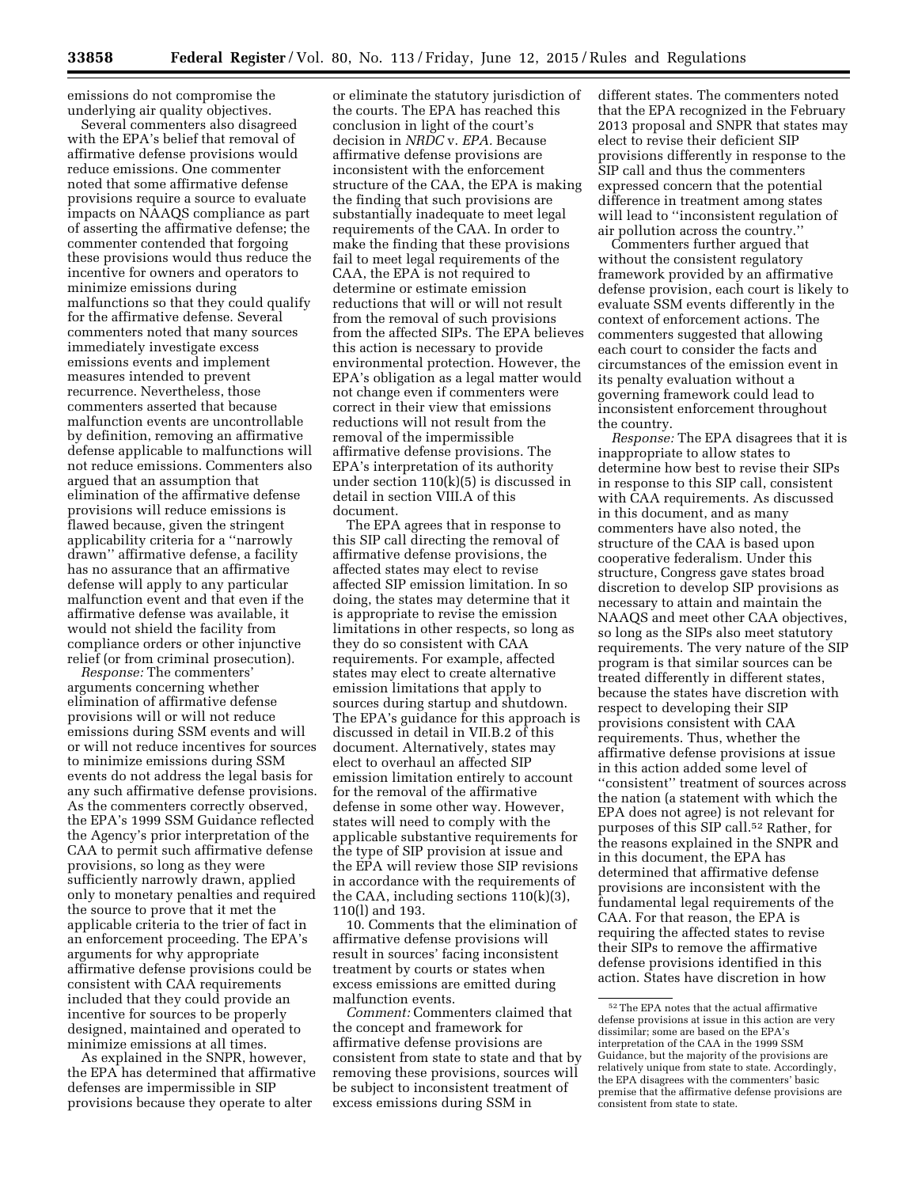emissions do not compromise the underlying air quality objectives.

Several commenters also disagreed with the EPA's belief that removal of affirmative defense provisions would reduce emissions. One commenter noted that some affirmative defense provisions require a source to evaluate impacts on NAAQS compliance as part of asserting the affirmative defense; the commenter contended that forgoing these provisions would thus reduce the incentive for owners and operators to minimize emissions during malfunctions so that they could qualify for the affirmative defense. Several commenters noted that many sources immediately investigate excess emissions events and implement measures intended to prevent recurrence. Nevertheless, those commenters asserted that because malfunction events are uncontrollable by definition, removing an affirmative defense applicable to malfunctions will not reduce emissions. Commenters also argued that an assumption that elimination of the affirmative defense provisions will reduce emissions is flawed because, given the stringent applicability criteria for a ''narrowly drawn'' affirmative defense, a facility has no assurance that an affirmative defense will apply to any particular malfunction event and that even if the affirmative defense was available, it would not shield the facility from compliance orders or other injunctive relief (or from criminal prosecution).

*Response:* The commenters' arguments concerning whether elimination of affirmative defense provisions will or will not reduce emissions during SSM events and will or will not reduce incentives for sources to minimize emissions during SSM events do not address the legal basis for any such affirmative defense provisions. As the commenters correctly observed, the EPA's 1999 SSM Guidance reflected the Agency's prior interpretation of the CAA to permit such affirmative defense provisions, so long as they were sufficiently narrowly drawn, applied only to monetary penalties and required the source to prove that it met the applicable criteria to the trier of fact in an enforcement proceeding. The EPA's arguments for why appropriate affirmative defense provisions could be consistent with CAA requirements included that they could provide an incentive for sources to be properly designed, maintained and operated to minimize emissions at all times.

As explained in the SNPR, however, the EPA has determined that affirmative defenses are impermissible in SIP provisions because they operate to alter

or eliminate the statutory jurisdiction of the courts. The EPA has reached this conclusion in light of the court's decision in *NRDC* v. *EPA.* Because affirmative defense provisions are inconsistent with the enforcement structure of the CAA, the EPA is making the finding that such provisions are substantially inadequate to meet legal requirements of the CAA. In order to make the finding that these provisions fail to meet legal requirements of the CAA, the EPA is not required to determine or estimate emission reductions that will or will not result from the removal of such provisions from the affected SIPs. The EPA believes this action is necessary to provide environmental protection. However, the EPA's obligation as a legal matter would not change even if commenters were correct in their view that emissions reductions will not result from the removal of the impermissible affirmative defense provisions. The EPA's interpretation of its authority under section 110(k)(5) is discussed in detail in section VIII.A of this document.

The EPA agrees that in response to this SIP call directing the removal of affirmative defense provisions, the affected states may elect to revise affected SIP emission limitation. In so doing, the states may determine that it is appropriate to revise the emission limitations in other respects, so long as they do so consistent with CAA requirements. For example, affected states may elect to create alternative emission limitations that apply to sources during startup and shutdown. The EPA's guidance for this approach is discussed in detail in VII.B.2 of this document. Alternatively, states may elect to overhaul an affected SIP emission limitation entirely to account for the removal of the affirmative defense in some other way. However, states will need to comply with the applicable substantive requirements for the type of SIP provision at issue and the EPA will review those SIP revisions in accordance with the requirements of the CAA, including sections 110(k)(3), 110(l) and 193.

10. Comments that the elimination of affirmative defense provisions will result in sources' facing inconsistent treatment by courts or states when excess emissions are emitted during malfunction events.

*Comment:* Commenters claimed that the concept and framework for affirmative defense provisions are consistent from state to state and that by removing these provisions, sources will be subject to inconsistent treatment of excess emissions during SSM in

different states. The commenters noted that the EPA recognized in the February 2013 proposal and SNPR that states may elect to revise their deficient SIP provisions differently in response to the SIP call and thus the commenters expressed concern that the potential difference in treatment among states will lead to ''inconsistent regulation of air pollution across the country.''

Commenters further argued that without the consistent regulatory framework provided by an affirmative defense provision, each court is likely to evaluate SSM events differently in the context of enforcement actions. The commenters suggested that allowing each court to consider the facts and circumstances of the emission event in its penalty evaluation without a governing framework could lead to inconsistent enforcement throughout the country.

*Response:* The EPA disagrees that it is inappropriate to allow states to determine how best to revise their SIPs in response to this SIP call, consistent with CAA requirements. As discussed in this document, and as many commenters have also noted, the structure of the CAA is based upon cooperative federalism. Under this structure, Congress gave states broad discretion to develop SIP provisions as necessary to attain and maintain the NAAQS and meet other CAA objectives, so long as the SIPs also meet statutory requirements. The very nature of the SIP program is that similar sources can be treated differently in different states, because the states have discretion with respect to developing their SIP provisions consistent with CAA requirements. Thus, whether the affirmative defense provisions at issue in this action added some level of ''consistent'' treatment of sources across the nation (a statement with which the EPA does not agree) is not relevant for purposes of this SIP call.52 Rather, for the reasons explained in the SNPR and in this document, the EPA has determined that affirmative defense provisions are inconsistent with the fundamental legal requirements of the CAA. For that reason, the EPA is requiring the affected states to revise their SIPs to remove the affirmative defense provisions identified in this action. States have discretion in how

<sup>52</sup>The EPA notes that the actual affirmative defense provisions at issue in this action are very dissimilar; some are based on the EPA's interpretation of the CAA in the 1999 SSM Guidance, but the majority of the provisions are relatively unique from state to state. Accordingly, the EPA disagrees with the commenters' basic premise that the affirmative defense provisions are consistent from state to state.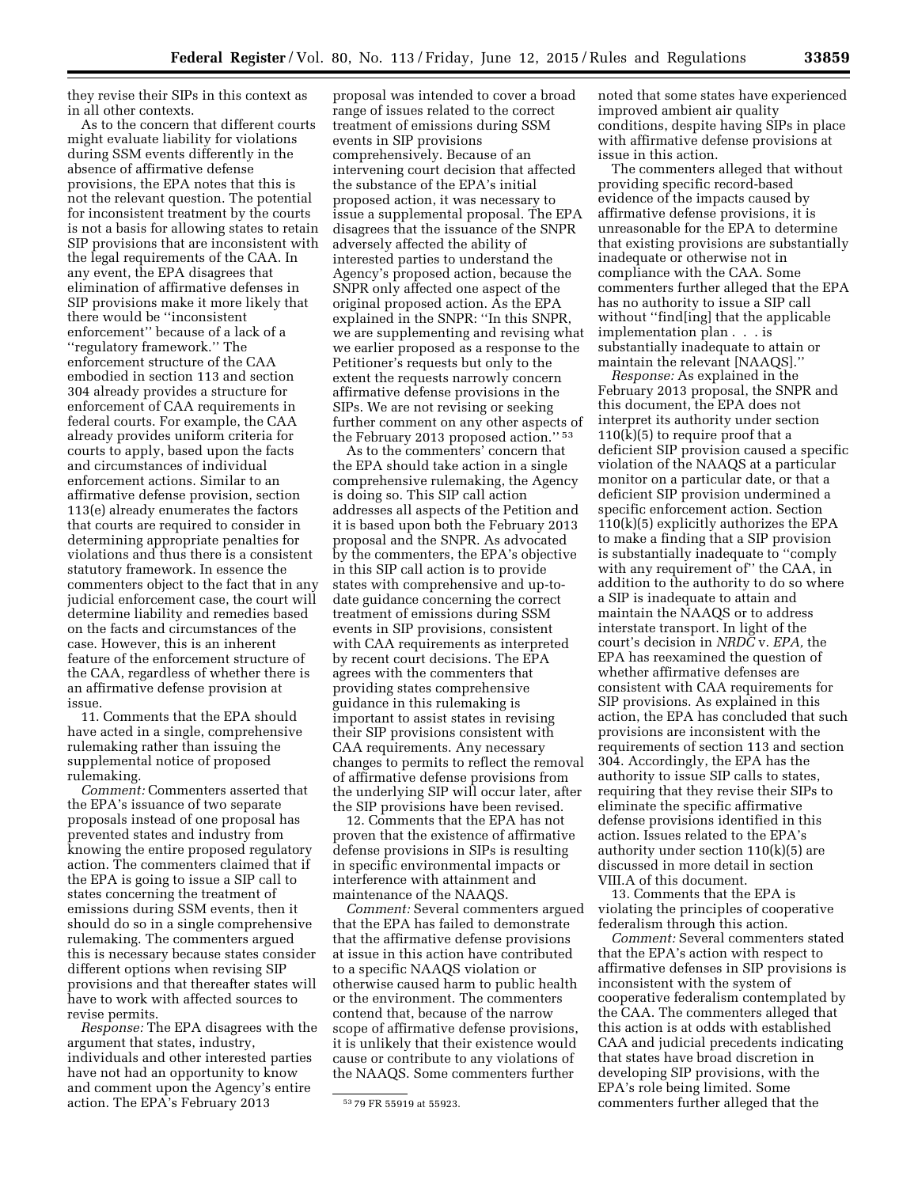they revise their SIPs in this context as in all other contexts.

As to the concern that different courts might evaluate liability for violations during SSM events differently in the absence of affirmative defense provisions, the EPA notes that this is not the relevant question. The potential for inconsistent treatment by the courts is not a basis for allowing states to retain SIP provisions that are inconsistent with the legal requirements of the CAA. In any event, the EPA disagrees that elimination of affirmative defenses in SIP provisions make it more likely that there would be ''inconsistent enforcement'' because of a lack of a ''regulatory framework.'' The enforcement structure of the CAA embodied in section 113 and section 304 already provides a structure for enforcement of CAA requirements in federal courts. For example, the CAA already provides uniform criteria for courts to apply, based upon the facts and circumstances of individual enforcement actions. Similar to an affirmative defense provision, section 113(e) already enumerates the factors that courts are required to consider in determining appropriate penalties for violations and thus there is a consistent statutory framework. In essence the commenters object to the fact that in any judicial enforcement case, the court will determine liability and remedies based on the facts and circumstances of the case. However, this is an inherent feature of the enforcement structure of the CAA, regardless of whether there is an affirmative defense provision at issue.

11. Comments that the EPA should have acted in a single, comprehensive rulemaking rather than issuing the supplemental notice of proposed rulemaking.

*Comment:* Commenters asserted that the EPA's issuance of two separate proposals instead of one proposal has prevented states and industry from knowing the entire proposed regulatory action. The commenters claimed that if the EPA is going to issue a SIP call to states concerning the treatment of emissions during SSM events, then it should do so in a single comprehensive rulemaking. The commenters argued this is necessary because states consider different options when revising SIP provisions and that thereafter states will have to work with affected sources to revise permits.

*Response:* The EPA disagrees with the argument that states, industry, individuals and other interested parties have not had an opportunity to know and comment upon the Agency's entire action. The EPA's February 2013

proposal was intended to cover a broad range of issues related to the correct treatment of emissions during SSM events in SIP provisions comprehensively. Because of an intervening court decision that affected the substance of the EPA's initial proposed action, it was necessary to issue a supplemental proposal. The EPA disagrees that the issuance of the SNPR adversely affected the ability of interested parties to understand the Agency's proposed action, because the SNPR only affected one aspect of the original proposed action. As the EPA explained in the SNPR: ''In this SNPR, we are supplementing and revising what we earlier proposed as a response to the Petitioner's requests but only to the extent the requests narrowly concern affirmative defense provisions in the SIPs. We are not revising or seeking further comment on any other aspects of the February 2013 proposed action.'' 53

As to the commenters' concern that the EPA should take action in a single comprehensive rulemaking, the Agency is doing so. This SIP call action addresses all aspects of the Petition and it is based upon both the February 2013 proposal and the SNPR. As advocated by the commenters, the EPA's objective in this SIP call action is to provide states with comprehensive and up-todate guidance concerning the correct treatment of emissions during SSM events in SIP provisions, consistent with CAA requirements as interpreted by recent court decisions. The EPA agrees with the commenters that providing states comprehensive guidance in this rulemaking is important to assist states in revising their SIP provisions consistent with CAA requirements. Any necessary changes to permits to reflect the removal of affirmative defense provisions from the underlying SIP will occur later, after the SIP provisions have been revised.

12. Comments that the EPA has not proven that the existence of affirmative defense provisions in SIPs is resulting in specific environmental impacts or interference with attainment and maintenance of the NAAQS.

*Comment:* Several commenters argued that the EPA has failed to demonstrate that the affirmative defense provisions at issue in this action have contributed to a specific NAAQS violation or otherwise caused harm to public health or the environment. The commenters contend that, because of the narrow scope of affirmative defense provisions, it is unlikely that their existence would cause or contribute to any violations of the NAAQS. Some commenters further

noted that some states have experienced improved ambient air quality conditions, despite having SIPs in place with affirmative defense provisions at issue in this action.

The commenters alleged that without providing specific record-based evidence of the impacts caused by affirmative defense provisions, it is unreasonable for the EPA to determine that existing provisions are substantially inadequate or otherwise not in compliance with the CAA. Some commenters further alleged that the EPA has no authority to issue a SIP call without ''find[ing] that the applicable implementation plan . . . is substantially inadequate to attain or maintain the relevant [NAAQS].''

*Response:* As explained in the February 2013 proposal, the SNPR and this document, the EPA does not interpret its authority under section  $110(k)(5)$  to require proof that a deficient SIP provision caused a specific violation of the NAAQS at a particular monitor on a particular date, or that a deficient SIP provision undermined a specific enforcement action. Section 110(k)(5) explicitly authorizes the EPA to make a finding that a SIP provision is substantially inadequate to ''comply with any requirement of" the CAA, in addition to the authority to do so where a SIP is inadequate to attain and maintain the NAAQS or to address interstate transport. In light of the court's decision in *NRDC* v. *EPA,* the EPA has reexamined the question of whether affirmative defenses are consistent with CAA requirements for SIP provisions. As explained in this action, the EPA has concluded that such provisions are inconsistent with the requirements of section 113 and section 304. Accordingly, the EPA has the authority to issue SIP calls to states, requiring that they revise their SIPs to eliminate the specific affirmative defense provisions identified in this action. Issues related to the EPA's authority under section 110(k)(5) are discussed in more detail in section VIII.A of this document.

13. Comments that the EPA is violating the principles of cooperative federalism through this action.

*Comment:* Several commenters stated that the EPA's action with respect to affirmative defenses in SIP provisions is inconsistent with the system of cooperative federalism contemplated by the CAA. The commenters alleged that this action is at odds with established CAA and judicial precedents indicating that states have broad discretion in developing SIP provisions, with the EPA's role being limited. Some commenters further alleged that the

<sup>53</sup> 79 FR 55919 at 55923.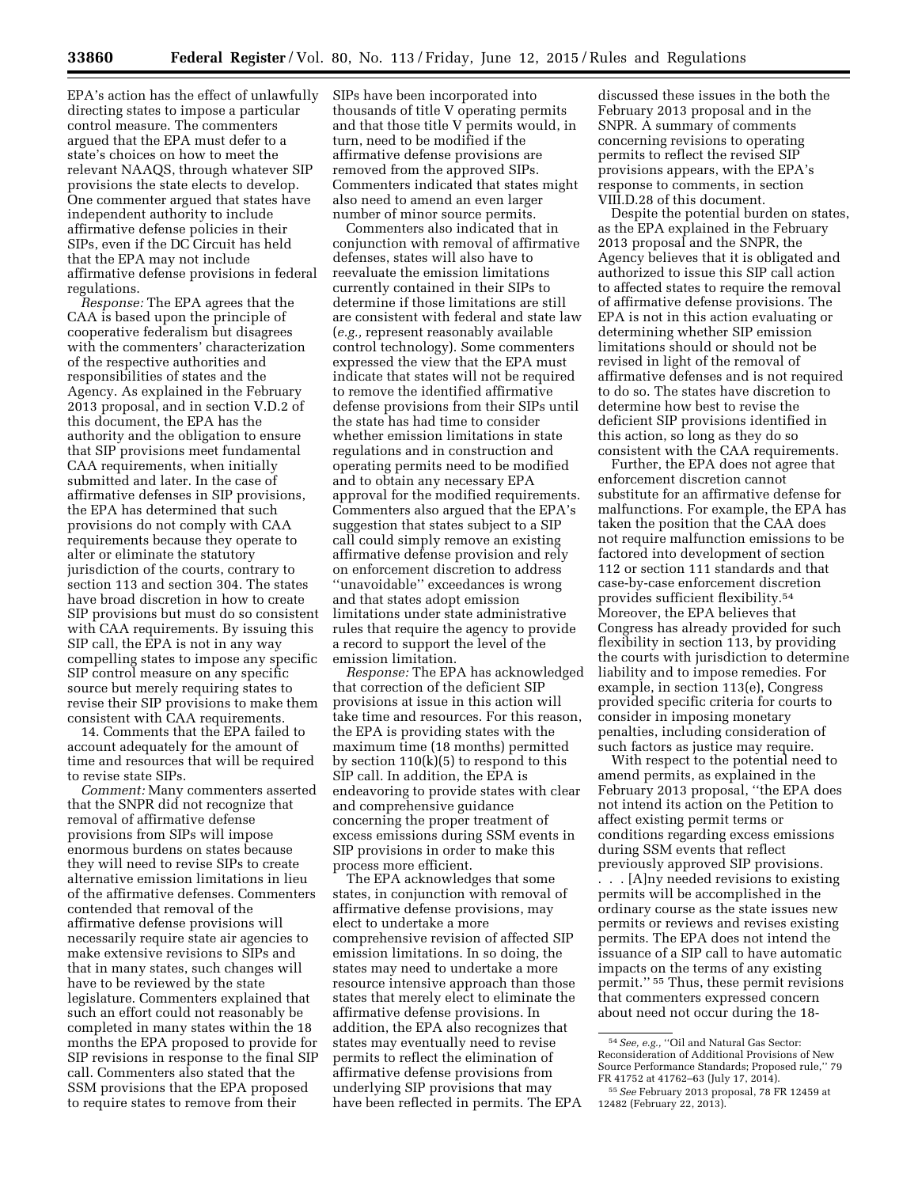EPA's action has the effect of unlawfully directing states to impose a particular control measure. The commenters argued that the EPA must defer to a state's choices on how to meet the relevant NAAQS, through whatever SIP provisions the state elects to develop. One commenter argued that states have independent authority to include affirmative defense policies in their SIPs, even if the DC Circuit has held that the EPA may not include affirmative defense provisions in federal regulations.

*Response:* The EPA agrees that the CAA is based upon the principle of cooperative federalism but disagrees with the commenters' characterization of the respective authorities and responsibilities of states and the Agency. As explained in the February 2013 proposal, and in section V.D.2 of this document, the EPA has the authority and the obligation to ensure that SIP provisions meet fundamental CAA requirements, when initially submitted and later. In the case of affirmative defenses in SIP provisions, the EPA has determined that such provisions do not comply with CAA requirements because they operate to alter or eliminate the statutory jurisdiction of the courts, contrary to section 113 and section 304. The states have broad discretion in how to create SIP provisions but must do so consistent with CAA requirements. By issuing this SIP call, the EPA is not in any way compelling states to impose any specific SIP control measure on any specific source but merely requiring states to revise their SIP provisions to make them consistent with CAA requirements.

14. Comments that the EPA failed to account adequately for the amount of time and resources that will be required to revise state SIPs.

*Comment:* Many commenters asserted that the SNPR did not recognize that removal of affirmative defense provisions from SIPs will impose enormous burdens on states because they will need to revise SIPs to create alternative emission limitations in lieu of the affirmative defenses. Commenters contended that removal of the affirmative defense provisions will necessarily require state air agencies to make extensive revisions to SIPs and that in many states, such changes will have to be reviewed by the state legislature. Commenters explained that such an effort could not reasonably be completed in many states within the 18 months the EPA proposed to provide for SIP revisions in response to the final SIP call. Commenters also stated that the SSM provisions that the EPA proposed to require states to remove from their

SIPs have been incorporated into thousands of title V operating permits and that those title V permits would, in turn, need to be modified if the affirmative defense provisions are removed from the approved SIPs. Commenters indicated that states might also need to amend an even larger number of minor source permits.

Commenters also indicated that in conjunction with removal of affirmative defenses, states will also have to reevaluate the emission limitations currently contained in their SIPs to determine if those limitations are still are consistent with federal and state law (*e.g.,* represent reasonably available control technology). Some commenters expressed the view that the EPA must indicate that states will not be required to remove the identified affirmative defense provisions from their SIPs until the state has had time to consider whether emission limitations in state regulations and in construction and operating permits need to be modified and to obtain any necessary EPA approval for the modified requirements. Commenters also argued that the EPA's suggestion that states subject to a SIP call could simply remove an existing affirmative defense provision and rely on enforcement discretion to address ''unavoidable'' exceedances is wrong and that states adopt emission limitations under state administrative rules that require the agency to provide a record to support the level of the emission limitation.

*Response:* The EPA has acknowledged that correction of the deficient SIP provisions at issue in this action will take time and resources. For this reason, the EPA is providing states with the maximum time (18 months) permitted by section 110(k)(5) to respond to this SIP call. In addition, the EPA is endeavoring to provide states with clear and comprehensive guidance concerning the proper treatment of excess emissions during SSM events in SIP provisions in order to make this process more efficient.

The EPA acknowledges that some states, in conjunction with removal of affirmative defense provisions, may elect to undertake a more comprehensive revision of affected SIP emission limitations. In so doing, the states may need to undertake a more resource intensive approach than those states that merely elect to eliminate the affirmative defense provisions. In addition, the EPA also recognizes that states may eventually need to revise permits to reflect the elimination of affirmative defense provisions from underlying SIP provisions that may have been reflected in permits. The EPA

discussed these issues in the both the February 2013 proposal and in the SNPR. A summary of comments concerning revisions to operating permits to reflect the revised SIP provisions appears, with the EPA's response to comments, in section VIII.D.28 of this document.

Despite the potential burden on states, as the EPA explained in the February 2013 proposal and the SNPR, the Agency believes that it is obligated and authorized to issue this SIP call action to affected states to require the removal of affirmative defense provisions. The EPA is not in this action evaluating or determining whether SIP emission limitations should or should not be revised in light of the removal of affirmative defenses and is not required to do so. The states have discretion to determine how best to revise the deficient SIP provisions identified in this action, so long as they do so consistent with the CAA requirements.

Further, the EPA does not agree that enforcement discretion cannot substitute for an affirmative defense for malfunctions. For example, the EPA has taken the position that the CAA does not require malfunction emissions to be factored into development of section 112 or section 111 standards and that case-by-case enforcement discretion provides sufficient flexibility.54 Moreover, the EPA believes that Congress has already provided for such flexibility in section 113, by providing the courts with jurisdiction to determine liability and to impose remedies. For example, in section 113(e), Congress provided specific criteria for courts to consider in imposing monetary penalties, including consideration of such factors as justice may require.

With respect to the potential need to amend permits, as explained in the February 2013 proposal, ''the EPA does not intend its action on the Petition to affect existing permit terms or conditions regarding excess emissions during SSM events that reflect previously approved SIP provisions.

. . . [A]ny needed revisions to existing permits will be accomplished in the ordinary course as the state issues new permits or reviews and revises existing permits. The EPA does not intend the issuance of a SIP call to have automatic impacts on the terms of any existing permit.'' 55 Thus, these permit revisions that commenters expressed concern about need not occur during the 18-

 $^{54}\,See,\,e.g.,$  "Oil and Natural Gas Sector: Reconsideration of Additional Provisions of New Source Performance Standards; Proposed rule,'' 79 FR 41752 at 41762–63 (July 17, 2014).

<sup>55</sup>*See* February 2013 proposal, 78 FR 12459 at 12482 (February 22, 2013).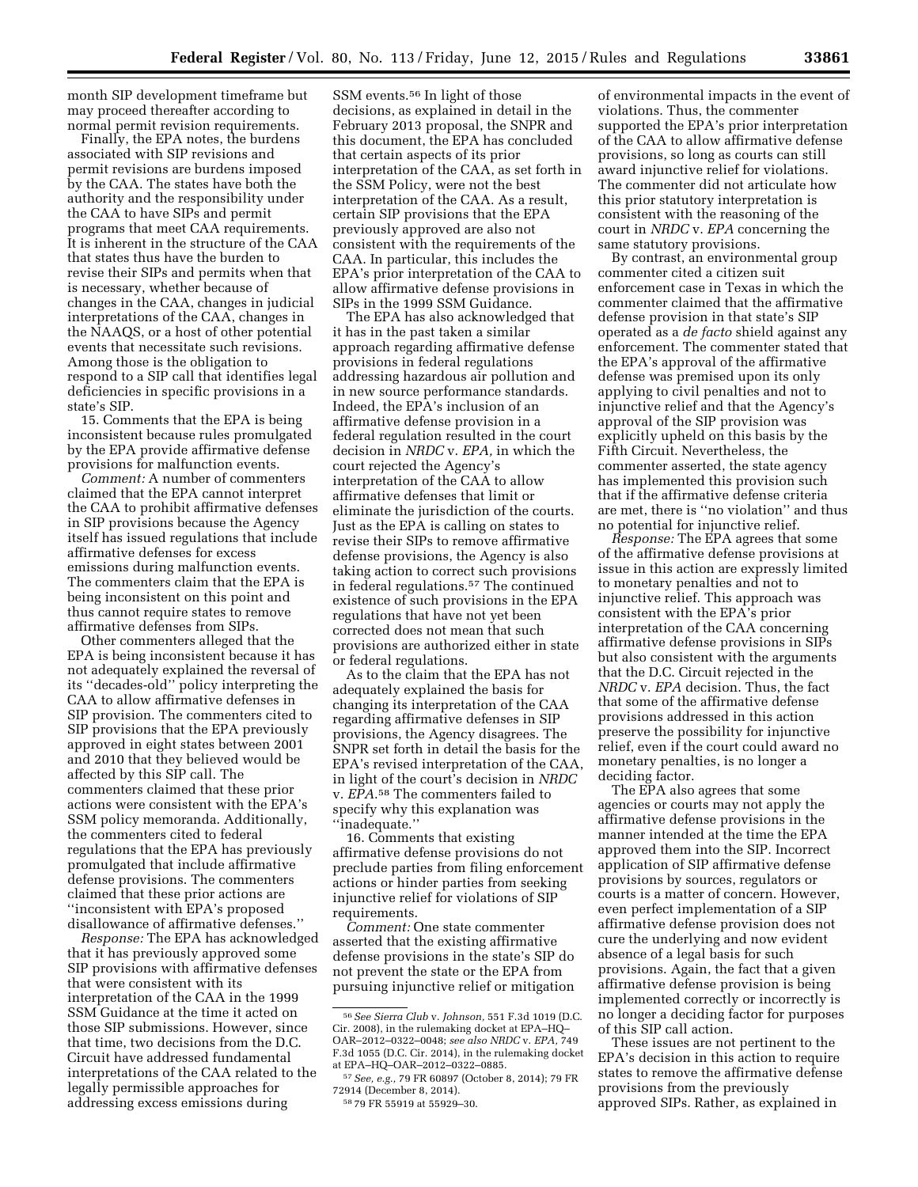month SIP development timeframe but may proceed thereafter according to normal permit revision requirements.

Finally, the EPA notes, the burdens associated with SIP revisions and permit revisions are burdens imposed by the CAA. The states have both the authority and the responsibility under the CAA to have SIPs and permit programs that meet CAA requirements. It is inherent in the structure of the CAA that states thus have the burden to revise their SIPs and permits when that is necessary, whether because of changes in the CAA, changes in judicial interpretations of the CAA, changes in the NAAQS, or a host of other potential events that necessitate such revisions. Among those is the obligation to respond to a SIP call that identifies legal deficiencies in specific provisions in a state's SIP.

15. Comments that the EPA is being inconsistent because rules promulgated by the EPA provide affirmative defense provisions for malfunction events.

*Comment:* A number of commenters claimed that the EPA cannot interpret the CAA to prohibit affirmative defenses in SIP provisions because the Agency itself has issued regulations that include affirmative defenses for excess emissions during malfunction events. The commenters claim that the EPA is being inconsistent on this point and thus cannot require states to remove affirmative defenses from SIPs.

Other commenters alleged that the EPA is being inconsistent because it has not adequately explained the reversal of its ''decades-old'' policy interpreting the CAA to allow affirmative defenses in SIP provision. The commenters cited to SIP provisions that the EPA previously approved in eight states between 2001 and 2010 that they believed would be affected by this SIP call. The commenters claimed that these prior actions were consistent with the EPA's SSM policy memoranda. Additionally, the commenters cited to federal regulations that the EPA has previously promulgated that include affirmative defense provisions. The commenters claimed that these prior actions are ''inconsistent with EPA's proposed disallowance of affirmative defenses.''

*Response:* The EPA has acknowledged that it has previously approved some SIP provisions with affirmative defenses that were consistent with its interpretation of the CAA in the 1999 SSM Guidance at the time it acted on those SIP submissions. However, since that time, two decisions from the D.C. Circuit have addressed fundamental interpretations of the CAA related to the legally permissible approaches for addressing excess emissions during

SSM events.56 In light of those decisions, as explained in detail in the February 2013 proposal, the SNPR and this document, the EPA has concluded that certain aspects of its prior interpretation of the CAA, as set forth in the SSM Policy, were not the best interpretation of the CAA. As a result, certain SIP provisions that the EPA previously approved are also not consistent with the requirements of the CAA. In particular, this includes the EPA's prior interpretation of the CAA to allow affirmative defense provisions in SIPs in the 1999 SSM Guidance.

The EPA has also acknowledged that it has in the past taken a similar approach regarding affirmative defense provisions in federal regulations addressing hazardous air pollution and in new source performance standards. Indeed, the EPA's inclusion of an affirmative defense provision in a federal regulation resulted in the court decision in *NRDC* v. *EPA,* in which the court rejected the Agency's interpretation of the CAA to allow affirmative defenses that limit or eliminate the jurisdiction of the courts. Just as the EPA is calling on states to revise their SIPs to remove affirmative defense provisions, the Agency is also taking action to correct such provisions in federal regulations.57 The continued existence of such provisions in the EPA regulations that have not yet been corrected does not mean that such provisions are authorized either in state or federal regulations.

As to the claim that the EPA has not adequately explained the basis for changing its interpretation of the CAA regarding affirmative defenses in SIP provisions, the Agency disagrees. The SNPR set forth in detail the basis for the EPA's revised interpretation of the CAA, in light of the court's decision in *NRDC*  v. *EPA*.58 The commenters failed to specify why this explanation was ''inadequate.''

16. Comments that existing affirmative defense provisions do not preclude parties from filing enforcement actions or hinder parties from seeking injunctive relief for violations of SIP requirements.

*Comment:* One state commenter asserted that the existing affirmative defense provisions in the state's SIP do not prevent the state or the EPA from pursuing injunctive relief or mitigation

of environmental impacts in the event of violations. Thus, the commenter supported the EPA's prior interpretation of the CAA to allow affirmative defense provisions, so long as courts can still award injunctive relief for violations. The commenter did not articulate how this prior statutory interpretation is consistent with the reasoning of the court in *NRDC* v. *EPA* concerning the same statutory provisions.

By contrast, an environmental group commenter cited a citizen suit enforcement case in Texas in which the commenter claimed that the affirmative defense provision in that state's SIP operated as a *de facto* shield against any enforcement. The commenter stated that the EPA's approval of the affirmative defense was premised upon its only applying to civil penalties and not to injunctive relief and that the Agency's approval of the SIP provision was explicitly upheld on this basis by the Fifth Circuit. Nevertheless, the commenter asserted, the state agency has implemented this provision such that if the affirmative defense criteria are met, there is ''no violation'' and thus no potential for injunctive relief.

*Response:* The EPA agrees that some of the affirmative defense provisions at issue in this action are expressly limited to monetary penalties and not to injunctive relief. This approach was consistent with the EPA's prior interpretation of the CAA concerning affirmative defense provisions in SIPs but also consistent with the arguments that the D.C. Circuit rejected in the *NRDC* v. *EPA* decision. Thus, the fact that some of the affirmative defense provisions addressed in this action preserve the possibility for injunctive relief, even if the court could award no monetary penalties, is no longer a deciding factor.

The EPA also agrees that some agencies or courts may not apply the affirmative defense provisions in the manner intended at the time the EPA approved them into the SIP. Incorrect application of SIP affirmative defense provisions by sources, regulators or courts is a matter of concern. However, even perfect implementation of a SIP affirmative defense provision does not cure the underlying and now evident absence of a legal basis for such provisions. Again, the fact that a given affirmative defense provision is being implemented correctly or incorrectly is no longer a deciding factor for purposes of this SIP call action.

These issues are not pertinent to the EPA's decision in this action to require states to remove the affirmative defense provisions from the previously approved SIPs. Rather, as explained in

<sup>56</sup>*See Sierra Club* v. *Johnson,* 551 F.3d 1019 (D.C. Cir. 2008), in the rulemaking docket at EPA–HQ– OAR–2012–0322–0048; *see also NRDC* v. *EPA,* 749 F.3d 1055 (D.C. Cir. 2014), in the rulemaking docket at EPA–HQ–OAR–2012–0322–0885.

<sup>57</sup>*See, e.g.,* 79 FR 60897 (October 8, 2014); 79 FR 72914 (December 8, 2014).

<sup>58</sup> 79 FR 55919 at 55929–30.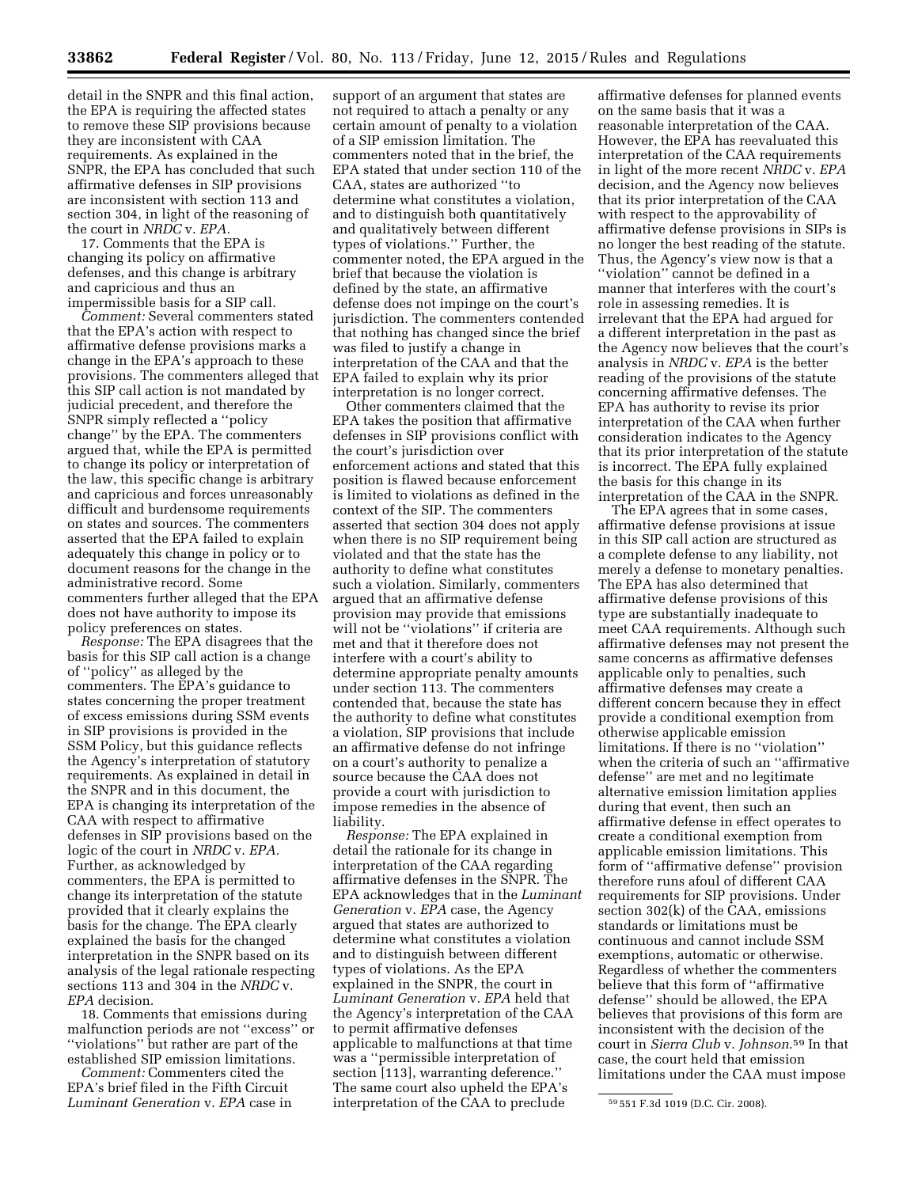detail in the SNPR and this final action, the EPA is requiring the affected states to remove these SIP provisions because they are inconsistent with CAA requirements. As explained in the SNPR, the EPA has concluded that such affirmative defenses in SIP provisions are inconsistent with section 113 and section 304, in light of the reasoning of the court in *NRDC* v. *EPA.* 

17. Comments that the EPA is changing its policy on affirmative defenses, and this change is arbitrary and capricious and thus an impermissible basis for a SIP call.

*Comment:* Several commenters stated that the EPA's action with respect to affirmative defense provisions marks a change in the EPA's approach to these provisions. The commenters alleged that this SIP call action is not mandated by judicial precedent, and therefore the SNPR simply reflected a ''policy change'' by the EPA. The commenters argued that, while the EPA is permitted to change its policy or interpretation of the law, this specific change is arbitrary and capricious and forces unreasonably difficult and burdensome requirements on states and sources. The commenters asserted that the EPA failed to explain adequately this change in policy or to document reasons for the change in the administrative record. Some commenters further alleged that the EPA does not have authority to impose its policy preferences on states.

*Response:* The EPA disagrees that the basis for this SIP call action is a change of ''policy'' as alleged by the commenters. The EPA's guidance to states concerning the proper treatment of excess emissions during SSM events in SIP provisions is provided in the SSM Policy, but this guidance reflects the Agency's interpretation of statutory requirements. As explained in detail in the SNPR and in this document, the EPA is changing its interpretation of the CAA with respect to affirmative defenses in SIP provisions based on the logic of the court in *NRDC* v. *EPA.*  Further, as acknowledged by commenters, the EPA is permitted to change its interpretation of the statute provided that it clearly explains the basis for the change. The EPA clearly explained the basis for the changed interpretation in the SNPR based on its analysis of the legal rationale respecting sections 113 and 304 in the *NRDC* v. *EPA* decision.

18. Comments that emissions during malfunction periods are not ''excess'' or ''violations'' but rather are part of the established SIP emission limitations.

*Comment:* Commenters cited the EPA's brief filed in the Fifth Circuit *Luminant Generation* v. *EPA* case in

support of an argument that states are not required to attach a penalty or any certain amount of penalty to a violation of a SIP emission limitation. The commenters noted that in the brief, the EPA stated that under section 110 of the CAA, states are authorized ''to determine what constitutes a violation, and to distinguish both quantitatively and qualitatively between different types of violations.'' Further, the commenter noted, the EPA argued in the brief that because the violation is defined by the state, an affirmative defense does not impinge on the court's jurisdiction. The commenters contended that nothing has changed since the brief was filed to justify a change in interpretation of the CAA and that the EPA failed to explain why its prior interpretation is no longer correct.

Other commenters claimed that the EPA takes the position that affirmative defenses in SIP provisions conflict with the court's jurisdiction over enforcement actions and stated that this position is flawed because enforcement is limited to violations as defined in the context of the SIP. The commenters asserted that section 304 does not apply when there is no SIP requirement being violated and that the state has the authority to define what constitutes such a violation. Similarly, commenters argued that an affirmative defense provision may provide that emissions will not be ''violations'' if criteria are met and that it therefore does not interfere with a court's ability to determine appropriate penalty amounts under section 113. The commenters contended that, because the state has the authority to define what constitutes a violation, SIP provisions that include an affirmative defense do not infringe on a court's authority to penalize a source because the CAA does not provide a court with jurisdiction to impose remedies in the absence of liability.

*Response:* The EPA explained in detail the rationale for its change in interpretation of the CAA regarding affirmative defenses in the SNPR. The EPA acknowledges that in the *Luminant Generation* v. *EPA* case, the Agency argued that states are authorized to determine what constitutes a violation and to distinguish between different types of violations. As the EPA explained in the SNPR, the court in *Luminant Generation* v. *EPA* held that the Agency's interpretation of the CAA to permit affirmative defenses applicable to malfunctions at that time was a ''permissible interpretation of section [113], warranting deference.'' The same court also upheld the EPA's interpretation of the CAA to preclude

affirmative defenses for planned events on the same basis that it was a reasonable interpretation of the CAA. However, the EPA has reevaluated this interpretation of the CAA requirements in light of the more recent *NRDC* v. *EPA*  decision, and the Agency now believes that its prior interpretation of the CAA with respect to the approvability of affirmative defense provisions in SIPs is no longer the best reading of the statute. Thus, the Agency's view now is that a ''violation'' cannot be defined in a manner that interferes with the court's role in assessing remedies. It is irrelevant that the EPA had argued for a different interpretation in the past as the Agency now believes that the court's analysis in *NRDC* v. *EPA* is the better reading of the provisions of the statute concerning affirmative defenses. The EPA has authority to revise its prior interpretation of the CAA when further consideration indicates to the Agency that its prior interpretation of the statute is incorrect. The EPA fully explained the basis for this change in its interpretation of the CAA in the SNPR.

The EPA agrees that in some cases, affirmative defense provisions at issue in this SIP call action are structured as a complete defense to any liability, not merely a defense to monetary penalties. The EPA has also determined that affirmative defense provisions of this type are substantially inadequate to meet CAA requirements. Although such affirmative defenses may not present the same concerns as affirmative defenses applicable only to penalties, such affirmative defenses may create a different concern because they in effect provide a conditional exemption from otherwise applicable emission limitations. If there is no ''violation'' when the criteria of such an ''affirmative defense'' are met and no legitimate alternative emission limitation applies during that event, then such an affirmative defense in effect operates to create a conditional exemption from applicable emission limitations. This form of ''affirmative defense'' provision therefore runs afoul of different CAA requirements for SIP provisions. Under section 302(k) of the CAA, emissions standards or limitations must be continuous and cannot include SSM exemptions, automatic or otherwise. Regardless of whether the commenters believe that this form of ''affirmative defense'' should be allowed, the EPA believes that provisions of this form are inconsistent with the decision of the court in *Sierra Club* v. *Johnson*.59 In that case, the court held that emission limitations under the CAA must impose

<sup>59</sup> 551 F.3d 1019 (D.C. Cir. 2008).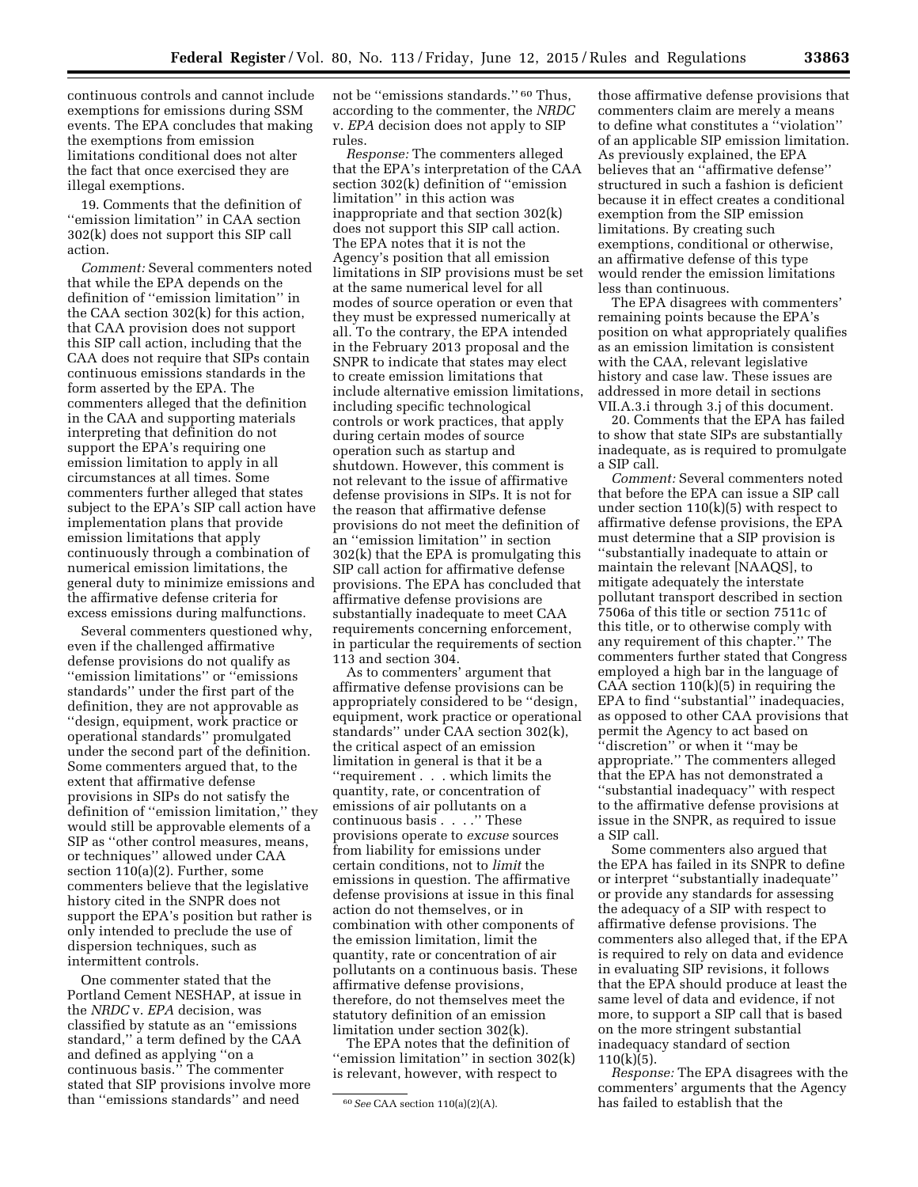continuous controls and cannot include exemptions for emissions during SSM events. The EPA concludes that making the exemptions from emission limitations conditional does not alter the fact that once exercised they are illegal exemptions.

19. Comments that the definition of ''emission limitation'' in CAA section 302(k) does not support this SIP call action.

*Comment:* Several commenters noted that while the EPA depends on the definition of ''emission limitation'' in the CAA section 302(k) for this action, that CAA provision does not support this SIP call action, including that the CAA does not require that SIPs contain continuous emissions standards in the form asserted by the EPA. The commenters alleged that the definition in the CAA and supporting materials interpreting that definition do not support the EPA's requiring one emission limitation to apply in all circumstances at all times. Some commenters further alleged that states subject to the EPA's SIP call action have implementation plans that provide emission limitations that apply continuously through a combination of numerical emission limitations, the general duty to minimize emissions and the affirmative defense criteria for excess emissions during malfunctions.

Several commenters questioned why, even if the challenged affirmative defense provisions do not qualify as ''emission limitations'' or ''emissions standards'' under the first part of the definition, they are not approvable as ''design, equipment, work practice or operational standards'' promulgated under the second part of the definition. Some commenters argued that, to the extent that affirmative defense provisions in SIPs do not satisfy the definition of ''emission limitation,'' they would still be approvable elements of a SIP as ''other control measures, means, or techniques'' allowed under CAA section 110(a)(2). Further, some commenters believe that the legislative history cited in the SNPR does not support the EPA's position but rather is only intended to preclude the use of dispersion techniques, such as intermittent controls.

One commenter stated that the Portland Cement NESHAP, at issue in the *NRDC* v. *EPA* decision, was classified by statute as an ''emissions standard,'' a term defined by the CAA and defined as applying ''on a continuous basis.'' The commenter stated that SIP provisions involve more than ''emissions standards'' and need

not be "emissions standards." <sup>60</sup> Thus, according to the commenter, the *NRDC*  v. *EPA* decision does not apply to SIP rules.

*Response:* The commenters alleged that the EPA's interpretation of the CAA section 302(k) definition of ''emission limitation'' in this action was inappropriate and that section 302(k) does not support this SIP call action. The EPA notes that it is not the Agency's position that all emission limitations in SIP provisions must be set at the same numerical level for all modes of source operation or even that they must be expressed numerically at all. To the contrary, the EPA intended in the February 2013 proposal and the SNPR to indicate that states may elect to create emission limitations that include alternative emission limitations, including specific technological controls or work practices, that apply during certain modes of source operation such as startup and shutdown. However, this comment is not relevant to the issue of affirmative defense provisions in SIPs. It is not for the reason that affirmative defense provisions do not meet the definition of an ''emission limitation'' in section 302(k) that the EPA is promulgating this SIP call action for affirmative defense provisions. The EPA has concluded that affirmative defense provisions are substantially inadequate to meet CAA requirements concerning enforcement, in particular the requirements of section 113 and section 304.

As to commenters' argument that affirmative defense provisions can be appropriately considered to be ''design, equipment, work practice or operational standards'' under CAA section 302(k), the critical aspect of an emission limitation in general is that it be a ''requirement . . . which limits the quantity, rate, or concentration of emissions of air pollutants on a continuous basis . . . .'' These provisions operate to *excuse* sources from liability for emissions under certain conditions, not to *limit* the emissions in question. The affirmative defense provisions at issue in this final action do not themselves, or in combination with other components of the emission limitation, limit the quantity, rate or concentration of air pollutants on a continuous basis. These affirmative defense provisions, therefore, do not themselves meet the statutory definition of an emission limitation under section 302(k).

The EPA notes that the definition of "emission limitation" in section 302(k) is relevant, however, with respect to

those affirmative defense provisions that commenters claim are merely a means to define what constitutes a ''violation'' of an applicable SIP emission limitation. As previously explained, the EPA believes that an ''affirmative defense'' structured in such a fashion is deficient because it in effect creates a conditional exemption from the SIP emission limitations. By creating such exemptions, conditional or otherwise, an affirmative defense of this type would render the emission limitations less than continuous.

The EPA disagrees with commenters' remaining points because the EPA's position on what appropriately qualifies as an emission limitation is consistent with the CAA, relevant legislative history and case law. These issues are addressed in more detail in sections VII.A.3.i through 3.j of this document.

20. Comments that the EPA has failed to show that state SIPs are substantially inadequate, as is required to promulgate a SIP call.

*Comment:* Several commenters noted that before the EPA can issue a SIP call under section 110(k)(5) with respect to affirmative defense provisions, the EPA must determine that a SIP provision is ''substantially inadequate to attain or maintain the relevant [NAAQS], to mitigate adequately the interstate pollutant transport described in section 7506a of this title or section 7511c of this title, or to otherwise comply with any requirement of this chapter.'' The commenters further stated that Congress employed a high bar in the language of CAA section 110(k)(5) in requiring the EPA to find ''substantial'' inadequacies, as opposed to other CAA provisions that permit the Agency to act based on ''discretion'' or when it ''may be appropriate.'' The commenters alleged that the EPA has not demonstrated a ''substantial inadequacy'' with respect to the affirmative defense provisions at issue in the SNPR, as required to issue a SIP call.

Some commenters also argued that the EPA has failed in its SNPR to define or interpret ''substantially inadequate'' or provide any standards for assessing the adequacy of a SIP with respect to affirmative defense provisions. The commenters also alleged that, if the EPA is required to rely on data and evidence in evaluating SIP revisions, it follows that the EPA should produce at least the same level of data and evidence, if not more, to support a SIP call that is based on the more stringent substantial inadequacy standard of section  $110(k)(5)$ .

*Response:* The EPA disagrees with the commenters' arguments that the Agency has failed to establish that the

<sup>60</sup>*See* CAA section 110(a)(2)(A).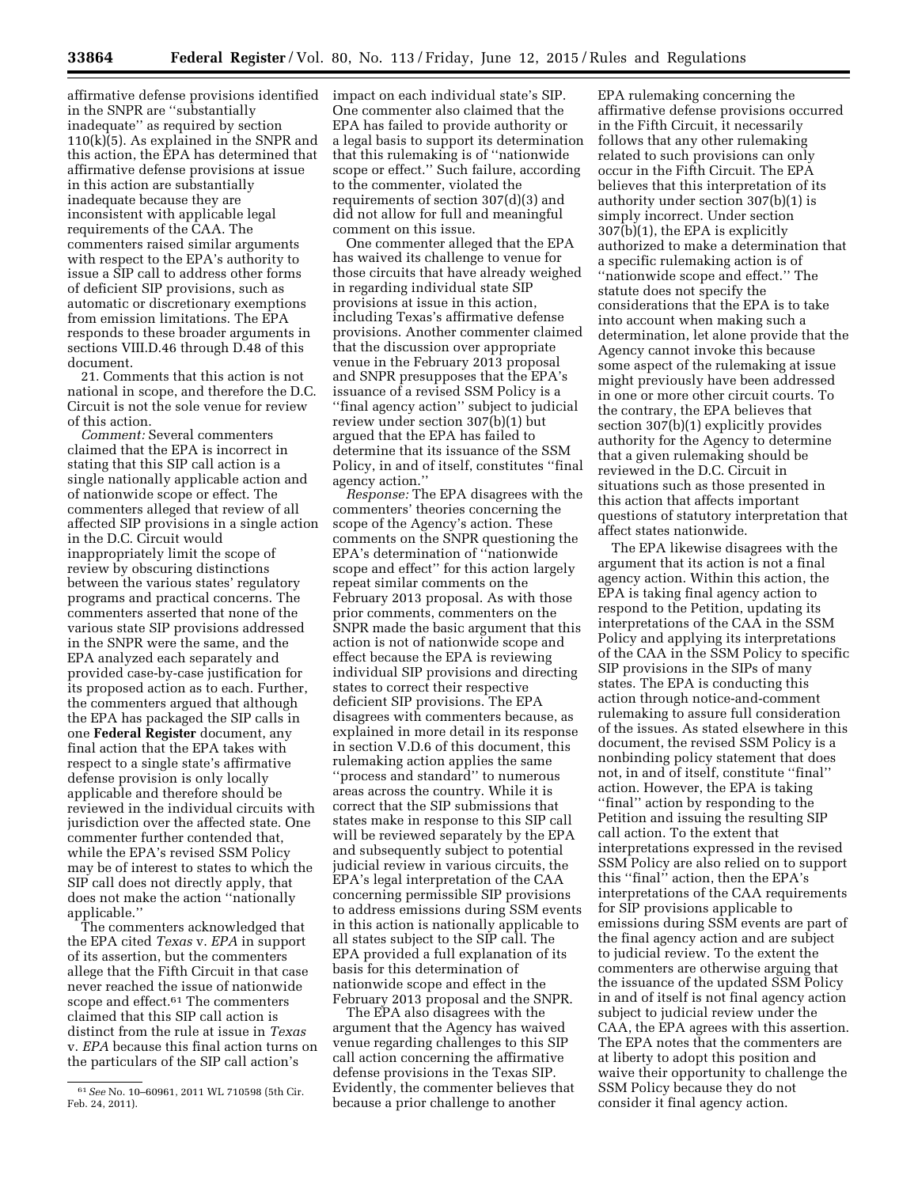affirmative defense provisions identified impact on each individual state's SIP. in the SNPR are ''substantially inadequate'' as required by section 110(k)(5). As explained in the SNPR and this action, the EPA has determined that affirmative defense provisions at issue in this action are substantially inadequate because they are inconsistent with applicable legal requirements of the CAA. The commenters raised similar arguments with respect to the EPA's authority to issue a SIP call to address other forms of deficient SIP provisions, such as automatic or discretionary exemptions from emission limitations. The EPA responds to these broader arguments in sections VIII.D.46 through D.48 of this document.

21. Comments that this action is not national in scope, and therefore the D.C. Circuit is not the sole venue for review of this action.

*Comment:* Several commenters claimed that the EPA is incorrect in stating that this SIP call action is a single nationally applicable action and of nationwide scope or effect. The commenters alleged that review of all affected SIP provisions in a single action in the D.C. Circuit would inappropriately limit the scope of review by obscuring distinctions between the various states' regulatory programs and practical concerns. The commenters asserted that none of the various state SIP provisions addressed in the SNPR were the same, and the EPA analyzed each separately and provided case-by-case justification for its proposed action as to each. Further, the commenters argued that although the EPA has packaged the SIP calls in one **Federal Register** document, any final action that the EPA takes with respect to a single state's affirmative defense provision is only locally applicable and therefore should be reviewed in the individual circuits with jurisdiction over the affected state. One commenter further contended that, while the EPA's revised SSM Policy may be of interest to states to which the SIP call does not directly apply, that does not make the action ''nationally applicable.''

The commenters acknowledged that the EPA cited *Texas* v. *EPA* in support of its assertion, but the commenters allege that the Fifth Circuit in that case never reached the issue of nationwide scope and effect.<sup>61</sup> The commenters claimed that this SIP call action is distinct from the rule at issue in *Texas*  v. *EPA* because this final action turns on the particulars of the SIP call action's

One commenter also claimed that the EPA has failed to provide authority or a legal basis to support its determination that this rulemaking is of ''nationwide scope or effect.'' Such failure, according to the commenter, violated the requirements of section 307(d)(3) and did not allow for full and meaningful comment on this issue.

One commenter alleged that the EPA has waived its challenge to venue for those circuits that have already weighed in regarding individual state SIP provisions at issue in this action, including Texas's affirmative defense provisions. Another commenter claimed that the discussion over appropriate venue in the February 2013 proposal and SNPR presupposes that the EPA's issuance of a revised SSM Policy is a ''final agency action'' subject to judicial review under section 307(b)(1) but argued that the EPA has failed to determine that its issuance of the SSM Policy, in and of itself, constitutes ''final agency action.''

*Response:* The EPA disagrees with the commenters' theories concerning the scope of the Agency's action. These comments on the SNPR questioning the EPA's determination of ''nationwide scope and effect'' for this action largely repeat similar comments on the February 2013 proposal. As with those prior comments, commenters on the SNPR made the basic argument that this action is not of nationwide scope and effect because the EPA is reviewing individual SIP provisions and directing states to correct their respective deficient SIP provisions. The EPA disagrees with commenters because, as explained in more detail in its response in section V.D.6 of this document, this rulemaking action applies the same ''process and standard'' to numerous areas across the country. While it is correct that the SIP submissions that states make in response to this SIP call will be reviewed separately by the EPA and subsequently subject to potential judicial review in various circuits, the EPA's legal interpretation of the CAA concerning permissible SIP provisions to address emissions during SSM events in this action is nationally applicable to all states subject to the SIP call. The EPA provided a full explanation of its basis for this determination of nationwide scope and effect in the February 2013 proposal and the SNPR.

The EPA also disagrees with the argument that the Agency has waived venue regarding challenges to this SIP call action concerning the affirmative defense provisions in the Texas SIP. Evidently, the commenter believes that because a prior challenge to another

EPA rulemaking concerning the affirmative defense provisions occurred in the Fifth Circuit, it necessarily follows that any other rulemaking related to such provisions can only occur in the Fifth Circuit. The EPA believes that this interpretation of its authority under section 307(b)(1) is simply incorrect. Under section 307(b)(1), the EPA is explicitly authorized to make a determination that a specific rulemaking action is of ''nationwide scope and effect.'' The statute does not specify the considerations that the EPA is to take into account when making such a determination, let alone provide that the Agency cannot invoke this because some aspect of the rulemaking at issue might previously have been addressed in one or more other circuit courts. To the contrary, the EPA believes that section 307(b)(1) explicitly provides authority for the Agency to determine that a given rulemaking should be reviewed in the D.C. Circuit in situations such as those presented in this action that affects important questions of statutory interpretation that affect states nationwide.

The EPA likewise disagrees with the argument that its action is not a final agency action. Within this action, the EPA is taking final agency action to respond to the Petition, updating its interpretations of the CAA in the SSM Policy and applying its interpretations of the CAA in the SSM Policy to specific SIP provisions in the SIPs of many states. The EPA is conducting this action through notice-and-comment rulemaking to assure full consideration of the issues. As stated elsewhere in this document, the revised SSM Policy is a nonbinding policy statement that does not, in and of itself, constitute ''final'' action. However, the EPA is taking ''final'' action by responding to the Petition and issuing the resulting SIP call action. To the extent that interpretations expressed in the revised SSM Policy are also relied on to support this ''final'' action, then the EPA's interpretations of the CAA requirements for SIP provisions applicable to emissions during SSM events are part of the final agency action and are subject to judicial review. To the extent the commenters are otherwise arguing that the issuance of the updated SSM Policy in and of itself is not final agency action subject to judicial review under the CAA, the EPA agrees with this assertion. The EPA notes that the commenters are at liberty to adopt this position and waive their opportunity to challenge the SSM Policy because they do not consider it final agency action.

<sup>61</sup>*See* No. 10–60961, 2011 WL 710598 (5th Cir. Feb. 24, 2011).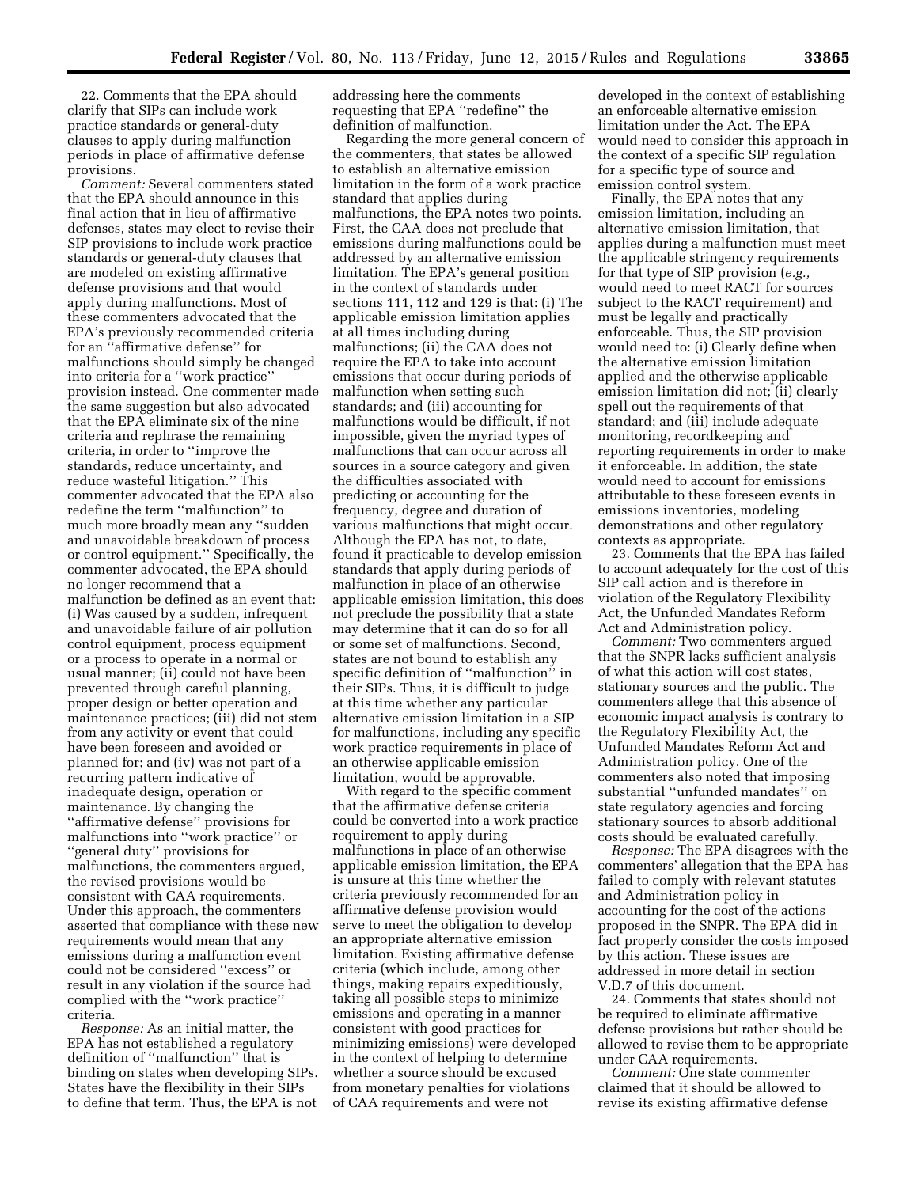22. Comments that the EPA should clarify that SIPs can include work practice standards or general-duty clauses to apply during malfunction periods in place of affirmative defense provisions.

*Comment:* Several commenters stated that the EPA should announce in this final action that in lieu of affirmative defenses, states may elect to revise their SIP provisions to include work practice standards or general-duty clauses that are modeled on existing affirmative defense provisions and that would apply during malfunctions. Most of these commenters advocated that the EPA's previously recommended criteria for an ''affirmative defense'' for malfunctions should simply be changed into criteria for a ''work practice'' provision instead. One commenter made the same suggestion but also advocated that the EPA eliminate six of the nine criteria and rephrase the remaining criteria, in order to ''improve the standards, reduce uncertainty, and reduce wasteful litigation.'' This commenter advocated that the EPA also redefine the term ''malfunction'' to much more broadly mean any ''sudden and unavoidable breakdown of process or control equipment.'' Specifically, the commenter advocated, the EPA should no longer recommend that a malfunction be defined as an event that: (i) Was caused by a sudden, infrequent and unavoidable failure of air pollution control equipment, process equipment or a process to operate in a normal or usual manner; (ii) could not have been prevented through careful planning, proper design or better operation and maintenance practices; (iii) did not stem from any activity or event that could have been foreseen and avoided or planned for; and (iv) was not part of a recurring pattern indicative of inadequate design, operation or maintenance. By changing the ''affirmative defense'' provisions for malfunctions into ''work practice'' or ''general duty'' provisions for malfunctions, the commenters argued, the revised provisions would be consistent with CAA requirements. Under this approach, the commenters asserted that compliance with these new requirements would mean that any emissions during a malfunction event could not be considered ''excess'' or result in any violation if the source had complied with the ''work practice'' criteria.

*Response:* As an initial matter, the EPA has not established a regulatory definition of ''malfunction'' that is binding on states when developing SIPs. States have the flexibility in their SIPs to define that term. Thus, the EPA is not

addressing here the comments requesting that EPA ''redefine'' the definition of malfunction.

Regarding the more general concern of the commenters, that states be allowed to establish an alternative emission limitation in the form of a work practice standard that applies during malfunctions, the EPA notes two points. First, the CAA does not preclude that emissions during malfunctions could be addressed by an alternative emission limitation. The EPA's general position in the context of standards under sections 111, 112 and 129 is that: (i) The applicable emission limitation applies at all times including during malfunctions; (ii) the CAA does not require the EPA to take into account emissions that occur during periods of malfunction when setting such standards; and (iii) accounting for malfunctions would be difficult, if not impossible, given the myriad types of malfunctions that can occur across all sources in a source category and given the difficulties associated with predicting or accounting for the frequency, degree and duration of various malfunctions that might occur. Although the EPA has not, to date, found it practicable to develop emission standards that apply during periods of malfunction in place of an otherwise applicable emission limitation, this does not preclude the possibility that a state may determine that it can do so for all or some set of malfunctions. Second, states are not bound to establish any specific definition of ''malfunction'' in their SIPs. Thus, it is difficult to judge at this time whether any particular alternative emission limitation in a SIP for malfunctions, including any specific work practice requirements in place of an otherwise applicable emission limitation, would be approvable.

With regard to the specific comment that the affirmative defense criteria could be converted into a work practice requirement to apply during malfunctions in place of an otherwise applicable emission limitation, the EPA is unsure at this time whether the criteria previously recommended for an affirmative defense provision would serve to meet the obligation to develop an appropriate alternative emission limitation. Existing affirmative defense criteria (which include, among other things, making repairs expeditiously, taking all possible steps to minimize emissions and operating in a manner consistent with good practices for minimizing emissions) were developed in the context of helping to determine whether a source should be excused from monetary penalties for violations of CAA requirements and were not

developed in the context of establishing an enforceable alternative emission limitation under the Act. The EPA would need to consider this approach in the context of a specific SIP regulation for a specific type of source and emission control system.

Finally, the EPA notes that any emission limitation, including an alternative emission limitation, that applies during a malfunction must meet the applicable stringency requirements for that type of SIP provision (*e.g.,*  would need to meet RACT for sources subject to the RACT requirement) and must be legally and practically enforceable. Thus, the SIP provision would need to: (i) Clearly define when the alternative emission limitation applied and the otherwise applicable emission limitation did not; (ii) clearly spell out the requirements of that standard; and (iii) include adequate monitoring, recordkeeping and reporting requirements in order to make it enforceable. In addition, the state would need to account for emissions attributable to these foreseen events in emissions inventories, modeling demonstrations and other regulatory contexts as appropriate.

23. Comments that the EPA has failed to account adequately for the cost of this SIP call action and is therefore in violation of the Regulatory Flexibility Act, the Unfunded Mandates Reform Act and Administration policy.

*Comment:* Two commenters argued that the SNPR lacks sufficient analysis of what this action will cost states, stationary sources and the public. The commenters allege that this absence of economic impact analysis is contrary to the Regulatory Flexibility Act, the Unfunded Mandates Reform Act and Administration policy. One of the commenters also noted that imposing substantial ''unfunded mandates'' on state regulatory agencies and forcing stationary sources to absorb additional costs should be evaluated carefully.

*Response:* The EPA disagrees with the commenters' allegation that the EPA has failed to comply with relevant statutes and Administration policy in accounting for the cost of the actions proposed in the SNPR. The EPA did in fact properly consider the costs imposed by this action. These issues are addressed in more detail in section V.D.7 of this document.

24. Comments that states should not be required to eliminate affirmative defense provisions but rather should be allowed to revise them to be appropriate under CAA requirements.

*Comment:* One state commenter claimed that it should be allowed to revise its existing affirmative defense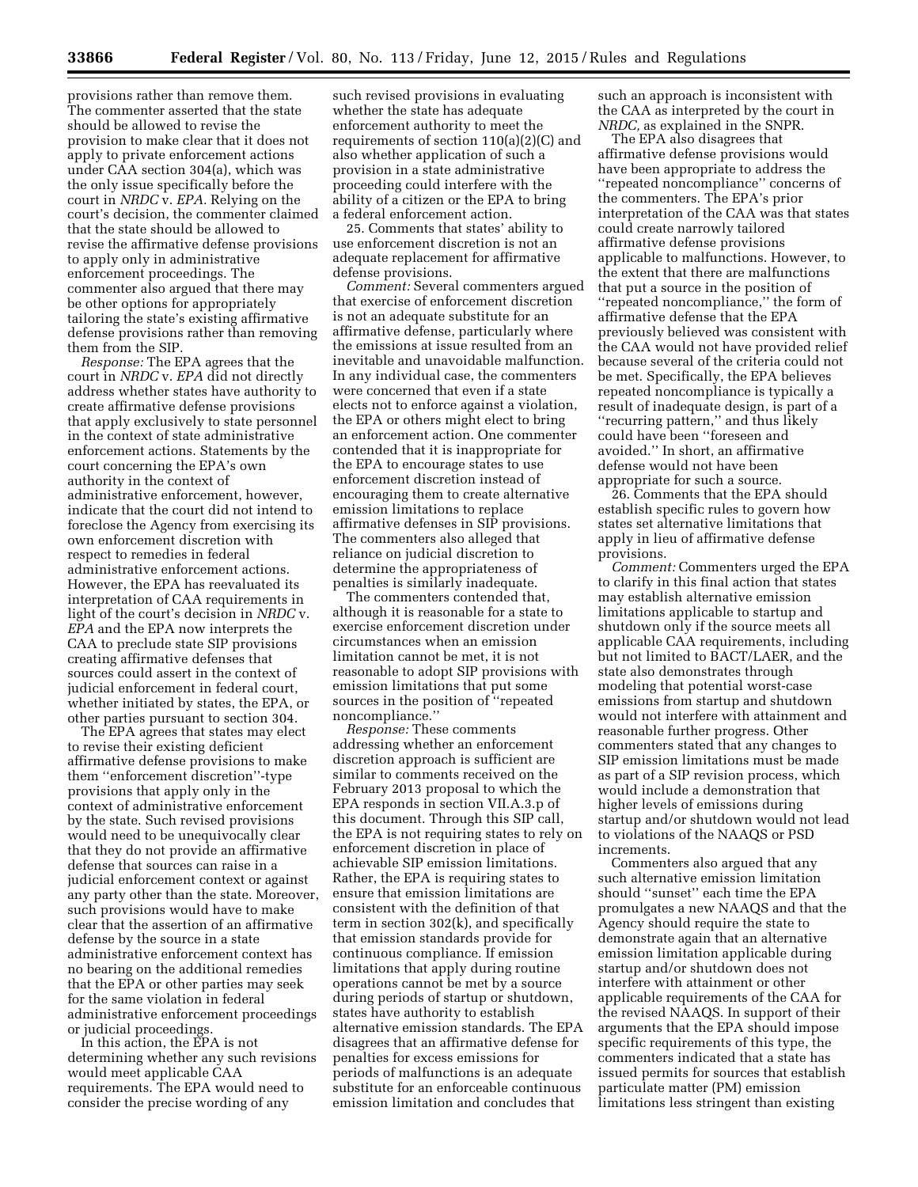provisions rather than remove them. The commenter asserted that the state should be allowed to revise the provision to make clear that it does not apply to private enforcement actions under CAA section 304(a), which was the only issue specifically before the court in *NRDC* v. *EPA.* Relying on the court's decision, the commenter claimed that the state should be allowed to revise the affirmative defense provisions to apply only in administrative enforcement proceedings. The commenter also argued that there may be other options for appropriately tailoring the state's existing affirmative defense provisions rather than removing them from the SIP.

*Response:* The EPA agrees that the court in *NRDC* v. *EPA* did not directly address whether states have authority to create affirmative defense provisions that apply exclusively to state personnel in the context of state administrative enforcement actions. Statements by the court concerning the EPA's own authority in the context of administrative enforcement, however, indicate that the court did not intend to foreclose the Agency from exercising its own enforcement discretion with respect to remedies in federal administrative enforcement actions. However, the EPA has reevaluated its interpretation of CAA requirements in light of the court's decision in *NRDC* v. *EPA* and the EPA now interprets the CAA to preclude state SIP provisions creating affirmative defenses that sources could assert in the context of judicial enforcement in federal court, whether initiated by states, the EPA, or other parties pursuant to section 304.

The EPA agrees that states may elect to revise their existing deficient affirmative defense provisions to make them ''enforcement discretion''-type provisions that apply only in the context of administrative enforcement by the state. Such revised provisions would need to be unequivocally clear that they do not provide an affirmative defense that sources can raise in a judicial enforcement context or against any party other than the state. Moreover, such provisions would have to make clear that the assertion of an affirmative defense by the source in a state administrative enforcement context has no bearing on the additional remedies that the EPA or other parties may seek for the same violation in federal administrative enforcement proceedings or judicial proceedings.

In this action, the EPA is not determining whether any such revisions would meet applicable CAA requirements. The EPA would need to consider the precise wording of any

such revised provisions in evaluating whether the state has adequate enforcement authority to meet the requirements of section 110(a)(2)(C) and also whether application of such a provision in a state administrative proceeding could interfere with the ability of a citizen or the EPA to bring a federal enforcement action.

25. Comments that states' ability to use enforcement discretion is not an adequate replacement for affirmative defense provisions.

*Comment:* Several commenters argued that exercise of enforcement discretion is not an adequate substitute for an affirmative defense, particularly where the emissions at issue resulted from an inevitable and unavoidable malfunction. In any individual case, the commenters were concerned that even if a state elects not to enforce against a violation, the EPA or others might elect to bring an enforcement action. One commenter contended that it is inappropriate for the EPA to encourage states to use enforcement discretion instead of encouraging them to create alternative emission limitations to replace affirmative defenses in SIP provisions. The commenters also alleged that reliance on judicial discretion to determine the appropriateness of penalties is similarly inadequate.

The commenters contended that, although it is reasonable for a state to exercise enforcement discretion under circumstances when an emission limitation cannot be met, it is not reasonable to adopt SIP provisions with emission limitations that put some sources in the position of ''repeated noncompliance.''

*Response:* These comments addressing whether an enforcement discretion approach is sufficient are similar to comments received on the February 2013 proposal to which the EPA responds in section VII.A.3.p of this document. Through this SIP call, the EPA is not requiring states to rely on enforcement discretion in place of achievable SIP emission limitations. Rather, the EPA is requiring states to ensure that emission limitations are consistent with the definition of that term in section 302(k), and specifically that emission standards provide for continuous compliance. If emission limitations that apply during routine operations cannot be met by a source during periods of startup or shutdown, states have authority to establish alternative emission standards. The EPA disagrees that an affirmative defense for penalties for excess emissions for periods of malfunctions is an adequate substitute for an enforceable continuous emission limitation and concludes that

such an approach is inconsistent with the CAA as interpreted by the court in *NRDC,* as explained in the SNPR.

The EPA also disagrees that affirmative defense provisions would have been appropriate to address the ''repeated noncompliance'' concerns of the commenters. The EPA's prior interpretation of the CAA was that states could create narrowly tailored affirmative defense provisions applicable to malfunctions. However, to the extent that there are malfunctions that put a source in the position of ''repeated noncompliance,'' the form of affirmative defense that the EPA previously believed was consistent with the CAA would not have provided relief because several of the criteria could not be met. Specifically, the EPA believes repeated noncompliance is typically a result of inadequate design, is part of a ''recurring pattern,'' and thus likely could have been ''foreseen and avoided.'' In short, an affirmative defense would not have been appropriate for such a source.

26. Comments that the EPA should establish specific rules to govern how states set alternative limitations that apply in lieu of affirmative defense provisions.

*Comment:* Commenters urged the EPA to clarify in this final action that states may establish alternative emission limitations applicable to startup and shutdown only if the source meets all applicable CAA requirements, including but not limited to BACT/LAER, and the state also demonstrates through modeling that potential worst-case emissions from startup and shutdown would not interfere with attainment and reasonable further progress. Other commenters stated that any changes to SIP emission limitations must be made as part of a SIP revision process, which would include a demonstration that higher levels of emissions during startup and/or shutdown would not lead to violations of the NAAQS or PSD increments.

Commenters also argued that any such alternative emission limitation should ''sunset'' each time the EPA promulgates a new NAAQS and that the Agency should require the state to demonstrate again that an alternative emission limitation applicable during startup and/or shutdown does not interfere with attainment or other applicable requirements of the CAA for the revised NAAQS. In support of their arguments that the EPA should impose specific requirements of this type, the commenters indicated that a state has issued permits for sources that establish particulate matter (PM) emission limitations less stringent than existing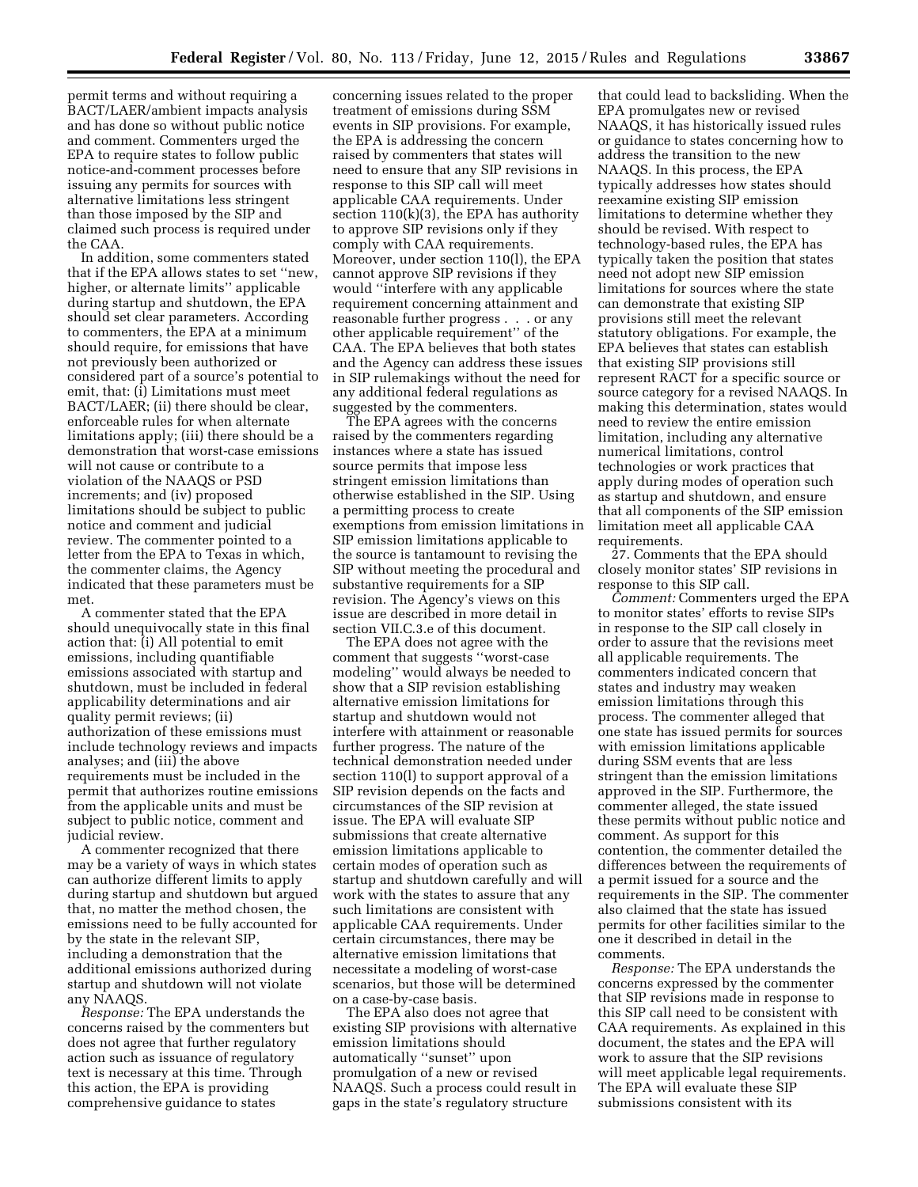permit terms and without requiring a BACT/LAER/ambient impacts analysis and has done so without public notice and comment. Commenters urged the EPA to require states to follow public notice-and-comment processes before issuing any permits for sources with alternative limitations less stringent than those imposed by the SIP and claimed such process is required under the CAA.

In addition, some commenters stated that if the EPA allows states to set ''new, higher, or alternate limits'' applicable during startup and shutdown, the EPA should set clear parameters. According to commenters, the EPA at a minimum should require, for emissions that have not previously been authorized or considered part of a source's potential to emit, that: (i) Limitations must meet BACT/LAER; (ii) there should be clear, enforceable rules for when alternate limitations apply; (iii) there should be a demonstration that worst-case emissions will not cause or contribute to a violation of the NAAQS or PSD increments; and (iv) proposed limitations should be subject to public notice and comment and judicial review. The commenter pointed to a letter from the EPA to Texas in which, the commenter claims, the Agency indicated that these parameters must be met.

A commenter stated that the EPA should unequivocally state in this final action that: (i) All potential to emit emissions, including quantifiable emissions associated with startup and shutdown, must be included in federal applicability determinations and air quality permit reviews; (ii) authorization of these emissions must include technology reviews and impacts analyses; and (iii) the above requirements must be included in the permit that authorizes routine emissions from the applicable units and must be subject to public notice, comment and judicial review.

A commenter recognized that there may be a variety of ways in which states can authorize different limits to apply during startup and shutdown but argued that, no matter the method chosen, the emissions need to be fully accounted for by the state in the relevant SIP, including a demonstration that the additional emissions authorized during startup and shutdown will not violate any NAAQS.

*Response:* The EPA understands the concerns raised by the commenters but does not agree that further regulatory action such as issuance of regulatory text is necessary at this time. Through this action, the EPA is providing comprehensive guidance to states

concerning issues related to the proper treatment of emissions during SSM events in SIP provisions. For example, the EPA is addressing the concern raised by commenters that states will need to ensure that any SIP revisions in response to this SIP call will meet applicable CAA requirements. Under section 110(k)(3), the EPA has authority to approve SIP revisions only if they comply with CAA requirements. Moreover, under section 110(l), the EPA cannot approve SIP revisions if they would ''interfere with any applicable requirement concerning attainment and reasonable further progress . . . or any other applicable requirement'' of the CAA. The EPA believes that both states and the Agency can address these issues in SIP rulemakings without the need for any additional federal regulations as suggested by the commenters.

The EPA agrees with the concerns raised by the commenters regarding instances where a state has issued source permits that impose less stringent emission limitations than otherwise established in the SIP. Using a permitting process to create exemptions from emission limitations in SIP emission limitations applicable to the source is tantamount to revising the SIP without meeting the procedural and substantive requirements for a SIP revision. The Agency's views on this issue are described in more detail in section VII.C.3.e of this document.

The EPA does not agree with the comment that suggests ''worst-case modeling'' would always be needed to show that a SIP revision establishing alternative emission limitations for startup and shutdown would not interfere with attainment or reasonable further progress. The nature of the technical demonstration needed under section 110(l) to support approval of a SIP revision depends on the facts and circumstances of the SIP revision at issue. The EPA will evaluate SIP submissions that create alternative emission limitations applicable to certain modes of operation such as startup and shutdown carefully and will work with the states to assure that any such limitations are consistent with applicable CAA requirements. Under certain circumstances, there may be alternative emission limitations that necessitate a modeling of worst-case scenarios, but those will be determined on a case-by-case basis.

The EPA also does not agree that existing SIP provisions with alternative emission limitations should automatically ''sunset'' upon promulgation of a new or revised NAAQS. Such a process could result in gaps in the state's regulatory structure

that could lead to backsliding. When the EPA promulgates new or revised NAAQS, it has historically issued rules or guidance to states concerning how to address the transition to the new NAAQS. In this process, the EPA typically addresses how states should reexamine existing SIP emission limitations to determine whether they should be revised. With respect to technology-based rules, the EPA has typically taken the position that states need not adopt new SIP emission limitations for sources where the state can demonstrate that existing SIP provisions still meet the relevant statutory obligations. For example, the EPA believes that states can establish that existing SIP provisions still represent RACT for a specific source or source category for a revised NAAQS. In making this determination, states would need to review the entire emission limitation, including any alternative numerical limitations, control technologies or work practices that apply during modes of operation such as startup and shutdown, and ensure that all components of the SIP emission limitation meet all applicable CAA requirements.

27. Comments that the EPA should closely monitor states' SIP revisions in response to this SIP call.

*Comment:* Commenters urged the EPA to monitor states' efforts to revise SIPs in response to the SIP call closely in order to assure that the revisions meet all applicable requirements. The commenters indicated concern that states and industry may weaken emission limitations through this process. The commenter alleged that one state has issued permits for sources with emission limitations applicable during SSM events that are less stringent than the emission limitations approved in the SIP. Furthermore, the commenter alleged, the state issued these permits without public notice and comment. As support for this contention, the commenter detailed the differences between the requirements of a permit issued for a source and the requirements in the SIP. The commenter also claimed that the state has issued permits for other facilities similar to the one it described in detail in the comments.

*Response:* The EPA understands the concerns expressed by the commenter that SIP revisions made in response to this SIP call need to be consistent with CAA requirements. As explained in this document, the states and the EPA will work to assure that the SIP revisions will meet applicable legal requirements. The EPA will evaluate these SIP submissions consistent with its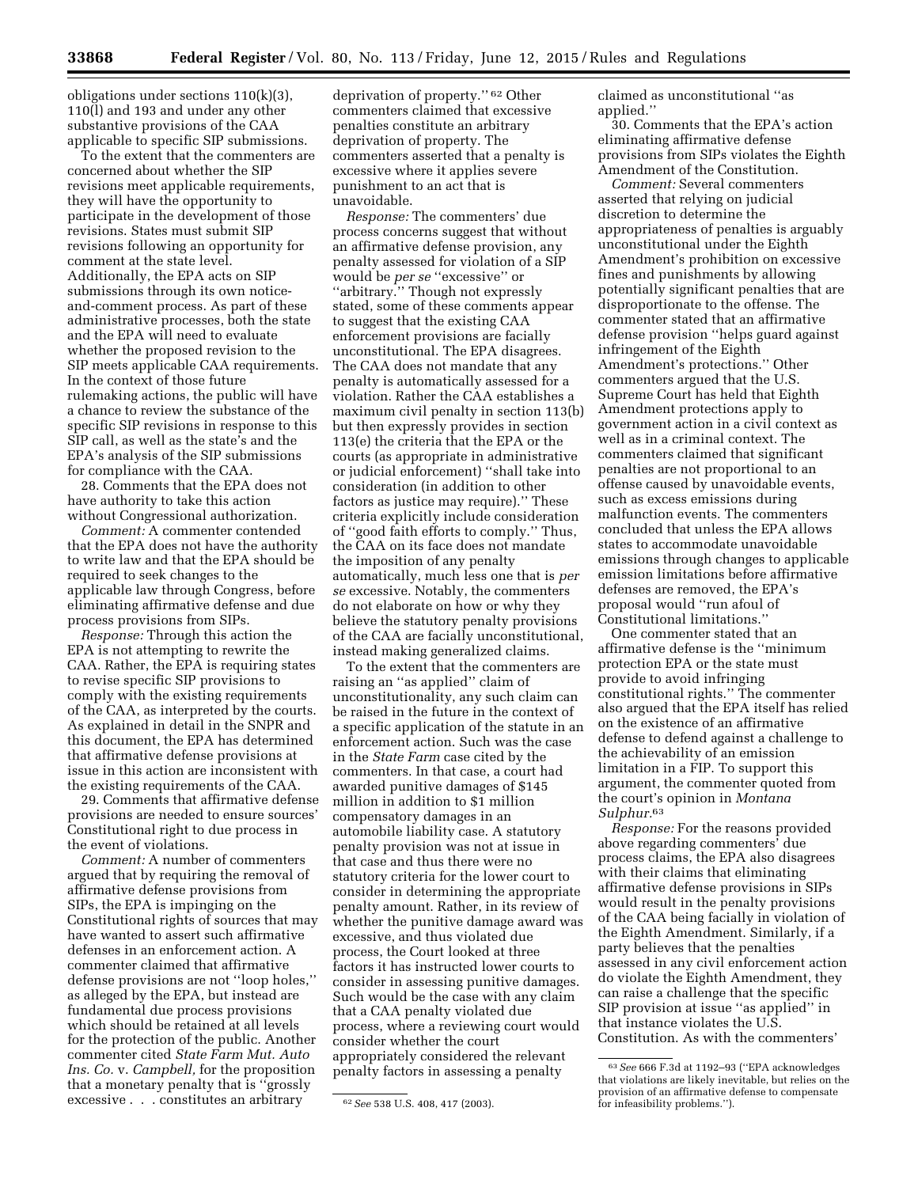obligations under sections 110(k)(3), 110(l) and 193 and under any other substantive provisions of the CAA applicable to specific SIP submissions.

To the extent that the commenters are concerned about whether the SIP revisions meet applicable requirements, they will have the opportunity to participate in the development of those revisions. States must submit SIP revisions following an opportunity for comment at the state level. Additionally, the EPA acts on SIP submissions through its own noticeand-comment process. As part of these administrative processes, both the state and the EPA will need to evaluate whether the proposed revision to the SIP meets applicable CAA requirements. In the context of those future rulemaking actions, the public will have a chance to review the substance of the specific SIP revisions in response to this SIP call, as well as the state's and the EPA's analysis of the SIP submissions for compliance with the CAA.

28. Comments that the EPA does not have authority to take this action without Congressional authorization.

*Comment:* A commenter contended that the EPA does not have the authority to write law and that the EPA should be required to seek changes to the applicable law through Congress, before eliminating affirmative defense and due process provisions from SIPs.

*Response:* Through this action the EPA is not attempting to rewrite the CAA. Rather, the EPA is requiring states to revise specific SIP provisions to comply with the existing requirements of the CAA, as interpreted by the courts. As explained in detail in the SNPR and this document, the EPA has determined that affirmative defense provisions at issue in this action are inconsistent with the existing requirements of the CAA.

29. Comments that affirmative defense provisions are needed to ensure sources' Constitutional right to due process in the event of violations.

*Comment:* A number of commenters argued that by requiring the removal of affirmative defense provisions from SIPs, the EPA is impinging on the Constitutional rights of sources that may have wanted to assert such affirmative defenses in an enforcement action. A commenter claimed that affirmative defense provisions are not ''loop holes,'' as alleged by the EPA, but instead are fundamental due process provisions which should be retained at all levels for the protection of the public. Another commenter cited *State Farm Mut. Auto Ins. Co.* v. *Campbell,* for the proposition that a monetary penalty that is ''grossly excessive . . . constitutes an arbitrary

deprivation of property.'' 62 Other commenters claimed that excessive penalties constitute an arbitrary deprivation of property. The commenters asserted that a penalty is excessive where it applies severe punishment to an act that is unavoidable.

*Response:* The commenters' due process concerns suggest that without an affirmative defense provision, any penalty assessed for violation of a SIP would be *per se* ''excessive'' or ''arbitrary.'' Though not expressly stated, some of these comments appear to suggest that the existing CAA enforcement provisions are facially unconstitutional. The EPA disagrees. The CAA does not mandate that any penalty is automatically assessed for a violation. Rather the CAA establishes a maximum civil penalty in section 113(b) but then expressly provides in section 113(e) the criteria that the EPA or the courts (as appropriate in administrative or judicial enforcement) ''shall take into consideration (in addition to other factors as justice may require).'' These criteria explicitly include consideration of ''good faith efforts to comply.'' Thus, the CAA on its face does not mandate the imposition of any penalty automatically, much less one that is *per se* excessive. Notably, the commenters do not elaborate on how or why they believe the statutory penalty provisions of the CAA are facially unconstitutional, instead making generalized claims.

To the extent that the commenters are raising an ''as applied'' claim of unconstitutionality, any such claim can be raised in the future in the context of a specific application of the statute in an enforcement action. Such was the case in the *State Farm* case cited by the commenters. In that case, a court had awarded punitive damages of \$145 million in addition to \$1 million compensatory damages in an automobile liability case. A statutory penalty provision was not at issue in that case and thus there were no statutory criteria for the lower court to consider in determining the appropriate penalty amount. Rather, in its review of whether the punitive damage award was excessive, and thus violated due process, the Court looked at three factors it has instructed lower courts to consider in assessing punitive damages. Such would be the case with any claim that a CAA penalty violated due process, where a reviewing court would consider whether the court appropriately considered the relevant penalty factors in assessing a penalty

claimed as unconstitutional ''as applied.''

30. Comments that the EPA's action eliminating affirmative defense provisions from SIPs violates the Eighth Amendment of the Constitution.

*Comment:* Several commenters asserted that relying on judicial discretion to determine the appropriateness of penalties is arguably unconstitutional under the Eighth Amendment's prohibition on excessive fines and punishments by allowing potentially significant penalties that are disproportionate to the offense. The commenter stated that an affirmative defense provision ''helps guard against infringement of the Eighth Amendment's protections.'' Other commenters argued that the U.S. Supreme Court has held that Eighth Amendment protections apply to government action in a civil context as well as in a criminal context. The commenters claimed that significant penalties are not proportional to an offense caused by unavoidable events, such as excess emissions during malfunction events. The commenters concluded that unless the EPA allows states to accommodate unavoidable emissions through changes to applicable emission limitations before affirmative defenses are removed, the EPA's proposal would ''run afoul of Constitutional limitations.''

One commenter stated that an affirmative defense is the ''minimum protection EPA or the state must provide to avoid infringing constitutional rights.'' The commenter also argued that the EPA itself has relied on the existence of an affirmative defense to defend against a challenge to the achievability of an emission limitation in a FIP. To support this argument, the commenter quoted from the court's opinion in *Montana Sulphur.*63

*Response:* For the reasons provided above regarding commenters' due process claims, the EPA also disagrees with their claims that eliminating affirmative defense provisions in SIPs would result in the penalty provisions of the CAA being facially in violation of the Eighth Amendment. Similarly, if a party believes that the penalties assessed in any civil enforcement action do violate the Eighth Amendment, they can raise a challenge that the specific SIP provision at issue ''as applied'' in that instance violates the U.S. Constitution. As with the commenters'

<sup>62</sup>*See* 538 U.S. 408, 417 (2003).

<sup>63</sup>*See* 666 F.3d at 1192–93 (''EPA acknowledges that violations are likely inevitable, but relies on the provision of an affirmative defense to compensate for infeasibility problems.'').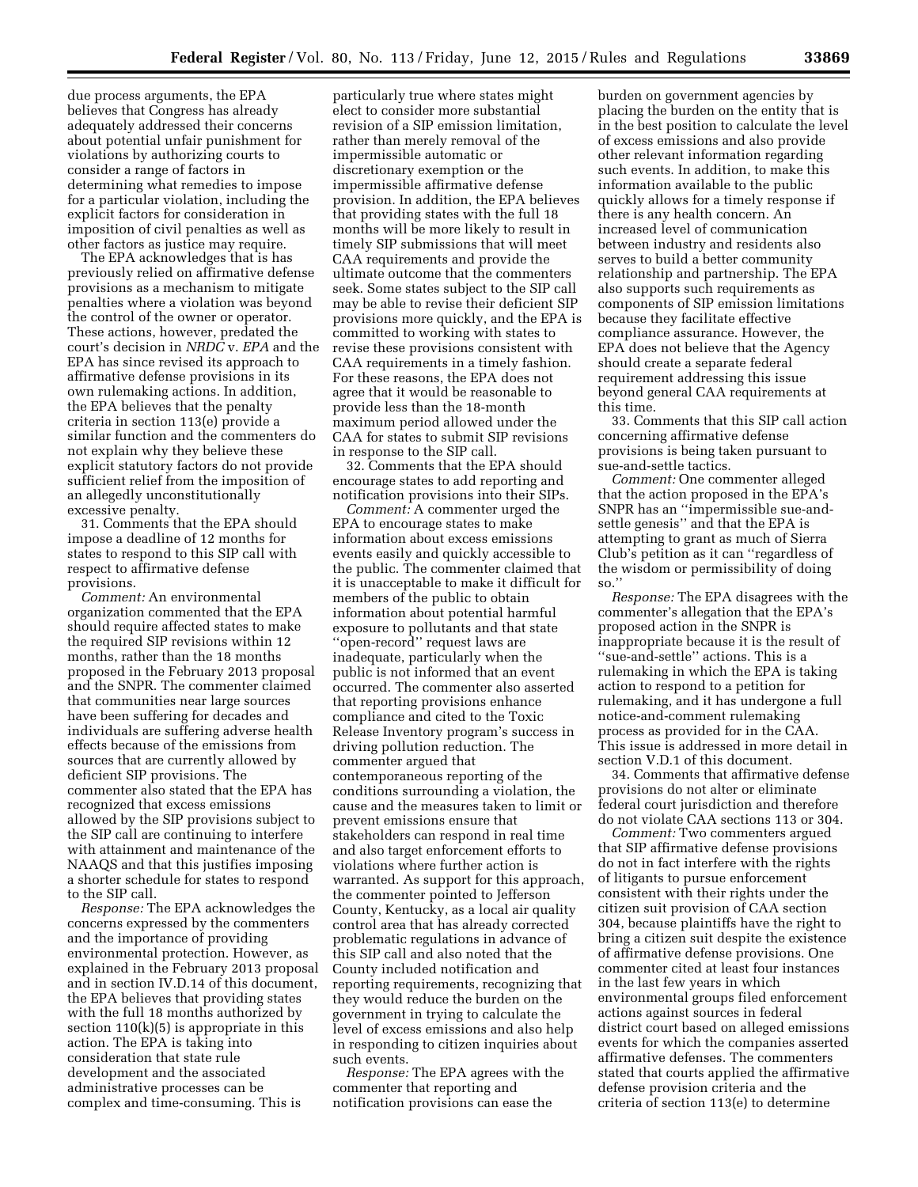due process arguments, the EPA believes that Congress has already adequately addressed their concerns about potential unfair punishment for violations by authorizing courts to consider a range of factors in determining what remedies to impose for a particular violation, including the explicit factors for consideration in imposition of civil penalties as well as other factors as justice may require.

The EPA acknowledges that is has previously relied on affirmative defense provisions as a mechanism to mitigate penalties where a violation was beyond the control of the owner or operator. These actions, however, predated the court's decision in *NRDC* v. *EPA* and the EPA has since revised its approach to affirmative defense provisions in its own rulemaking actions. In addition, the EPA believes that the penalty criteria in section 113(e) provide a similar function and the commenters do not explain why they believe these explicit statutory factors do not provide sufficient relief from the imposition of an allegedly unconstitutionally excessive penalty.

31. Comments that the EPA should impose a deadline of 12 months for states to respond to this SIP call with respect to affirmative defense provisions.

*Comment:* An environmental organization commented that the EPA should require affected states to make the required SIP revisions within 12 months, rather than the 18 months proposed in the February 2013 proposal and the SNPR. The commenter claimed that communities near large sources have been suffering for decades and individuals are suffering adverse health effects because of the emissions from sources that are currently allowed by deficient SIP provisions. The commenter also stated that the EPA has recognized that excess emissions allowed by the SIP provisions subject to the SIP call are continuing to interfere with attainment and maintenance of the NAAQS and that this justifies imposing a shorter schedule for states to respond to the SIP call.

*Response:* The EPA acknowledges the concerns expressed by the commenters and the importance of providing environmental protection. However, as explained in the February 2013 proposal and in section IV.D.14 of this document, the EPA believes that providing states with the full 18 months authorized by section  $110(k)(5)$  is appropriate in this action. The EPA is taking into consideration that state rule development and the associated administrative processes can be complex and time-consuming. This is

particularly true where states might elect to consider more substantial revision of a SIP emission limitation, rather than merely removal of the impermissible automatic or discretionary exemption or the impermissible affirmative defense provision. In addition, the EPA believes that providing states with the full 18 months will be more likely to result in timely SIP submissions that will meet CAA requirements and provide the ultimate outcome that the commenters seek. Some states subject to the SIP call may be able to revise their deficient SIP provisions more quickly, and the EPA is committed to working with states to revise these provisions consistent with CAA requirements in a timely fashion. For these reasons, the EPA does not agree that it would be reasonable to provide less than the 18-month maximum period allowed under the CAA for states to submit SIP revisions in response to the SIP call.

32. Comments that the EPA should encourage states to add reporting and notification provisions into their SIPs.

*Comment:* A commenter urged the EPA to encourage states to make information about excess emissions events easily and quickly accessible to the public. The commenter claimed that it is unacceptable to make it difficult for members of the public to obtain information about potential harmful exposure to pollutants and that state ''open-record'' request laws are inadequate, particularly when the public is not informed that an event occurred. The commenter also asserted that reporting provisions enhance compliance and cited to the Toxic Release Inventory program's success in driving pollution reduction. The commenter argued that contemporaneous reporting of the conditions surrounding a violation, the cause and the measures taken to limit or prevent emissions ensure that stakeholders can respond in real time and also target enforcement efforts to violations where further action is warranted. As support for this approach, the commenter pointed to Jefferson County, Kentucky, as a local air quality control area that has already corrected problematic regulations in advance of this SIP call and also noted that the County included notification and reporting requirements, recognizing that they would reduce the burden on the government in trying to calculate the level of excess emissions and also help in responding to citizen inquiries about such events.

*Response:* The EPA agrees with the commenter that reporting and notification provisions can ease the

burden on government agencies by placing the burden on the entity that is in the best position to calculate the level of excess emissions and also provide other relevant information regarding such events. In addition, to make this information available to the public quickly allows for a timely response if there is any health concern. An increased level of communication between industry and residents also serves to build a better community relationship and partnership. The EPA also supports such requirements as components of SIP emission limitations because they facilitate effective compliance assurance. However, the EPA does not believe that the Agency should create a separate federal requirement addressing this issue beyond general CAA requirements at this time.

33. Comments that this SIP call action concerning affirmative defense provisions is being taken pursuant to sue-and-settle tactics.

*Comment:* One commenter alleged that the action proposed in the EPA's SNPR has an ''impermissible sue-andsettle genesis'' and that the EPA is attempting to grant as much of Sierra Club's petition as it can ''regardless of the wisdom or permissibility of doing so.''

*Response:* The EPA disagrees with the commenter's allegation that the EPA's proposed action in the SNPR is inappropriate because it is the result of ''sue-and-settle'' actions. This is a rulemaking in which the EPA is taking action to respond to a petition for rulemaking, and it has undergone a full notice-and-comment rulemaking process as provided for in the CAA. This issue is addressed in more detail in section V.D.1 of this document.

34. Comments that affirmative defense provisions do not alter or eliminate federal court jurisdiction and therefore do not violate CAA sections 113 or 304.

*Comment:* Two commenters argued that SIP affirmative defense provisions do not in fact interfere with the rights of litigants to pursue enforcement consistent with their rights under the citizen suit provision of CAA section 304, because plaintiffs have the right to bring a citizen suit despite the existence of affirmative defense provisions. One commenter cited at least four instances in the last few years in which environmental groups filed enforcement actions against sources in federal district court based on alleged emissions events for which the companies asserted affirmative defenses. The commenters stated that courts applied the affirmative defense provision criteria and the criteria of section 113(e) to determine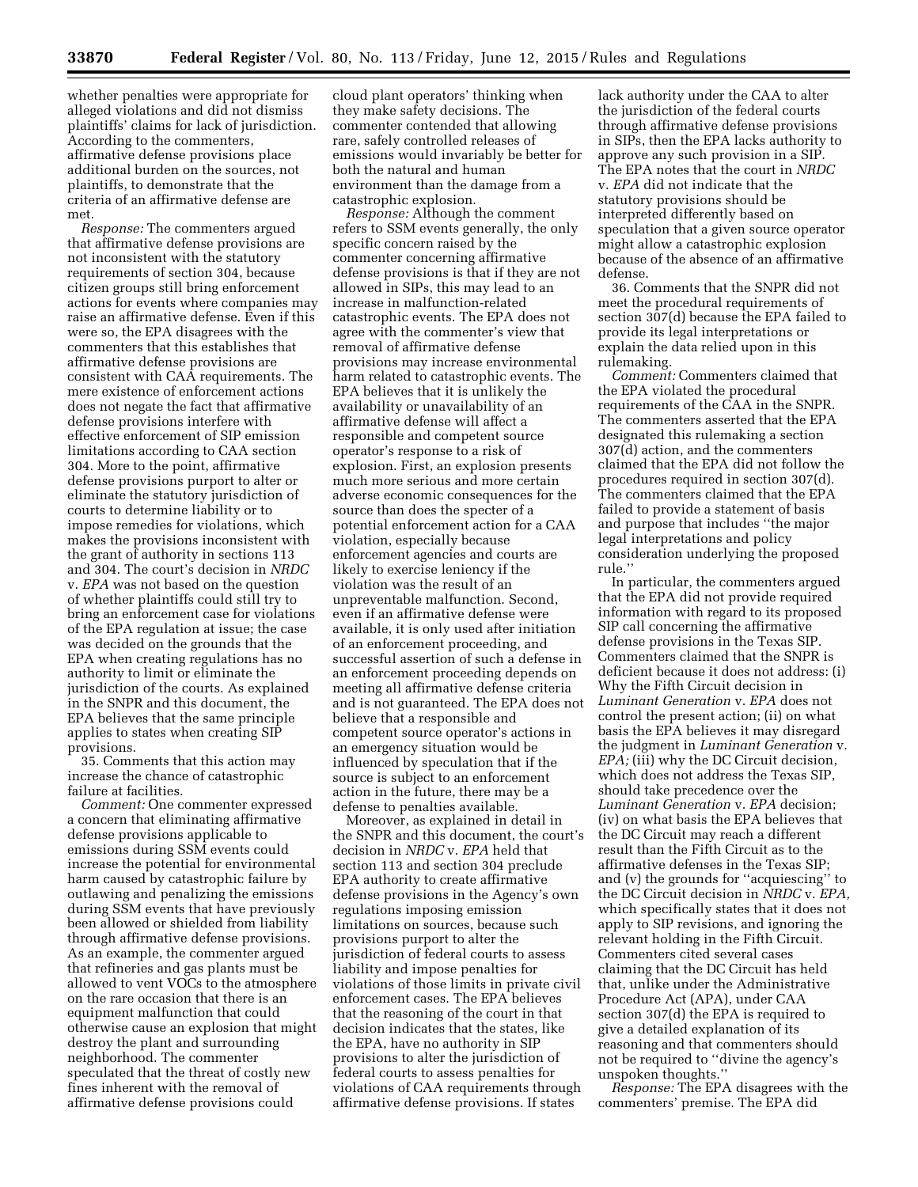whether penalties were appropriate for alleged violations and did not dismiss plaintiffs' claims for lack of jurisdiction. According to the commenters, affirmative defense provisions place additional burden on the sources, not plaintiffs, to demonstrate that the criteria of an affirmative defense are met.

*Response:* The commenters argued that affirmative defense provisions are not inconsistent with the statutory requirements of section 304, because citizen groups still bring enforcement actions for events where companies may raise an affirmative defense. Even if this were so, the EPA disagrees with the commenters that this establishes that affirmative defense provisions are consistent with CAA requirements. The mere existence of enforcement actions does not negate the fact that affirmative defense provisions interfere with effective enforcement of SIP emission limitations according to CAA section 304. More to the point, affirmative defense provisions purport to alter or eliminate the statutory jurisdiction of courts to determine liability or to impose remedies for violations, which makes the provisions inconsistent with the grant of authority in sections 113 and 304. The court's decision in *NRDC*  v. *EPA* was not based on the question of whether plaintiffs could still try to bring an enforcement case for violations of the EPA regulation at issue; the case was decided on the grounds that the EPA when creating regulations has no authority to limit or eliminate the jurisdiction of the courts. As explained in the SNPR and this document, the EPA believes that the same principle applies to states when creating SIP provisions.

35. Comments that this action may increase the chance of catastrophic failure at facilities.

*Comment:* One commenter expressed a concern that eliminating affirmative defense provisions applicable to emissions during SSM events could increase the potential for environmental harm caused by catastrophic failure by outlawing and penalizing the emissions during SSM events that have previously been allowed or shielded from liability through affirmative defense provisions. As an example, the commenter argued that refineries and gas plants must be allowed to vent VOCs to the atmosphere on the rare occasion that there is an equipment malfunction that could otherwise cause an explosion that might destroy the plant and surrounding neighborhood. The commenter speculated that the threat of costly new fines inherent with the removal of affirmative defense provisions could

cloud plant operators' thinking when they make safety decisions. The commenter contended that allowing rare, safely controlled releases of emissions would invariably be better for both the natural and human environment than the damage from a catastrophic explosion.

*Response:* Although the comment refers to SSM events generally, the only specific concern raised by the commenter concerning affirmative defense provisions is that if they are not allowed in SIPs, this may lead to an increase in malfunction-related catastrophic events. The EPA does not agree with the commenter's view that removal of affirmative defense provisions may increase environmental harm related to catastrophic events. The EPA believes that it is unlikely the availability or unavailability of an affirmative defense will affect a responsible and competent source operator's response to a risk of explosion. First, an explosion presents much more serious and more certain adverse economic consequences for the source than does the specter of a potential enforcement action for a CAA violation, especially because enforcement agencies and courts are likely to exercise leniency if the violation was the result of an unpreventable malfunction. Second, even if an affirmative defense were available, it is only used after initiation of an enforcement proceeding, and successful assertion of such a defense in an enforcement proceeding depends on meeting all affirmative defense criteria and is not guaranteed. The EPA does not believe that a responsible and competent source operator's actions in an emergency situation would be influenced by speculation that if the source is subject to an enforcement action in the future, there may be a defense to penalties available.

Moreover, as explained in detail in the SNPR and this document, the court's decision in *NRDC* v. *EPA* held that section 113 and section 304 preclude EPA authority to create affirmative defense provisions in the Agency's own regulations imposing emission limitations on sources, because such provisions purport to alter the jurisdiction of federal courts to assess liability and impose penalties for violations of those limits in private civil enforcement cases. The EPA believes that the reasoning of the court in that decision indicates that the states, like the EPA, have no authority in SIP provisions to alter the jurisdiction of federal courts to assess penalties for violations of CAA requirements through affirmative defense provisions. If states

lack authority under the CAA to alter the jurisdiction of the federal courts through affirmative defense provisions in SIPs, then the EPA lacks authority to approve any such provision in a SIP. The EPA notes that the court in *NRDC*  v. *EPA* did not indicate that the statutory provisions should be interpreted differently based on speculation that a given source operator might allow a catastrophic explosion because of the absence of an affirmative defense.

36. Comments that the SNPR did not meet the procedural requirements of section 307(d) because the EPA failed to provide its legal interpretations or explain the data relied upon in this rulemaking.

*Comment:* Commenters claimed that the EPA violated the procedural requirements of the CAA in the SNPR. The commenters asserted that the EPA designated this rulemaking a section 307(d) action, and the commenters claimed that the EPA did not follow the procedures required in section 307(d). The commenters claimed that the EPA failed to provide a statement of basis and purpose that includes ''the major legal interpretations and policy consideration underlying the proposed rule.''

In particular, the commenters argued that the EPA did not provide required information with regard to its proposed SIP call concerning the affirmative defense provisions in the Texas SIP. Commenters claimed that the SNPR is deficient because it does not address: (i) Why the Fifth Circuit decision in *Luminant Generation* v. *EPA* does not control the present action; (ii) on what basis the EPA believes it may disregard the judgment in *Luminant Generation* v. *EPA*; (iii) why the DC Circuit decision, which does not address the Texas SIP, should take precedence over the *Luminant Generation* v. *EPA* decision; (iv) on what basis the EPA believes that the DC Circuit may reach a different result than the Fifth Circuit as to the affirmative defenses in the Texas SIP; and (v) the grounds for ''acquiescing'' to the DC Circuit decision in *NRDC* v. *EPA,*  which specifically states that it does not apply to SIP revisions, and ignoring the relevant holding in the Fifth Circuit. Commenters cited several cases claiming that the DC Circuit has held that, unlike under the Administrative Procedure Act (APA), under CAA section 307(d) the EPA is required to give a detailed explanation of its reasoning and that commenters should not be required to ''divine the agency's unspoken thoughts.''

*Response:* The EPA disagrees with the commenters' premise. The EPA did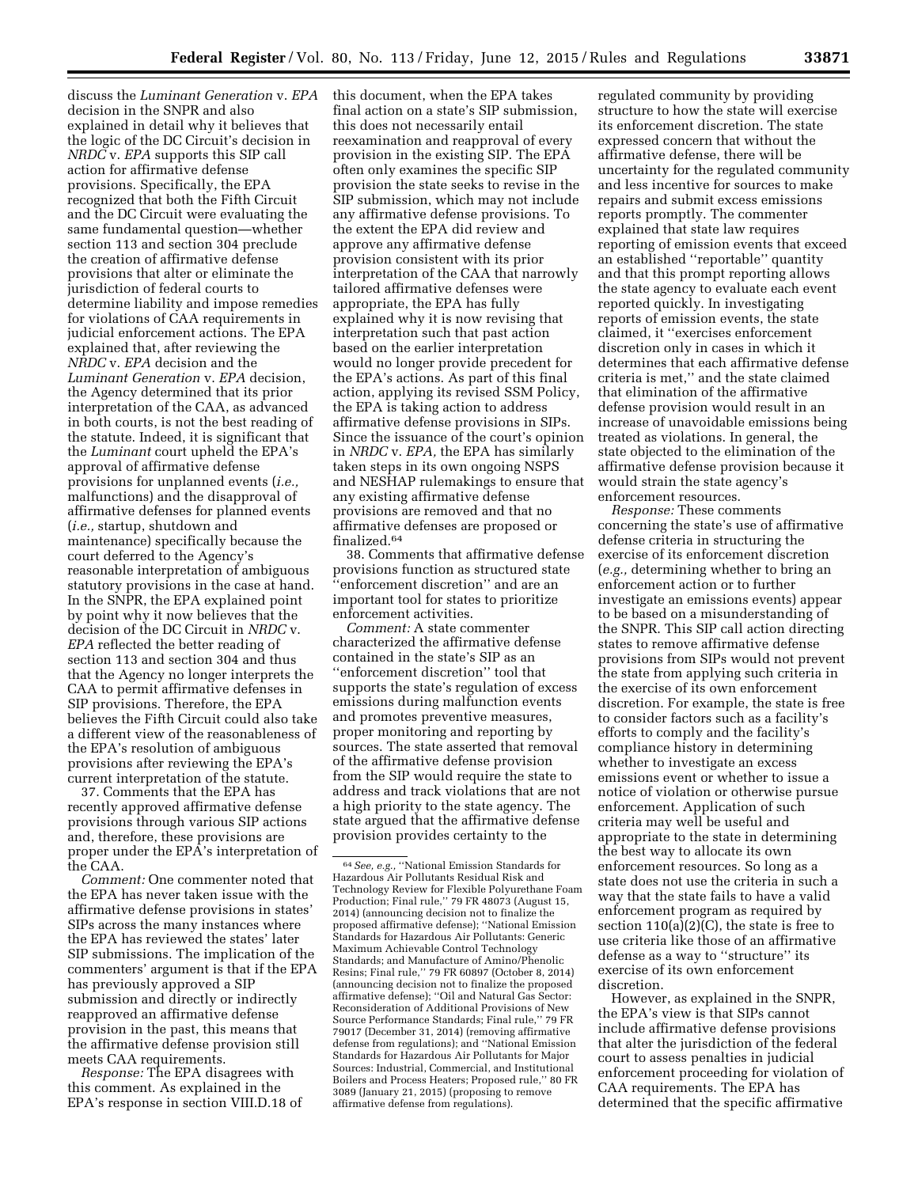discuss the *Luminant Generation* v. *EPA*  decision in the SNPR and also explained in detail why it believes that the logic of the DC Circuit's decision in *NRDC* v. *EPA* supports this SIP call action for affirmative defense provisions. Specifically, the EPA recognized that both the Fifth Circuit and the DC Circuit were evaluating the same fundamental question—whether section 113 and section 304 preclude the creation of affirmative defense provisions that alter or eliminate the jurisdiction of federal courts to determine liability and impose remedies for violations of CAA requirements in judicial enforcement actions. The EPA explained that, after reviewing the *NRDC* v. *EPA* decision and the *Luminant Generation* v. *EPA* decision, the Agency determined that its prior interpretation of the CAA, as advanced in both courts, is not the best reading of the statute. Indeed, it is significant that the *Luminant* court upheld the EPA's approval of affirmative defense provisions for unplanned events (*i.e.,*  malfunctions) and the disapproval of affirmative defenses for planned events (*i.e.,* startup, shutdown and maintenance) specifically because the court deferred to the Agency's reasonable interpretation of ambiguous statutory provisions in the case at hand. In the SNPR, the EPA explained point by point why it now believes that the decision of the DC Circuit in *NRDC* v. *EPA* reflected the better reading of section 113 and section 304 and thus that the Agency no longer interprets the CAA to permit affirmative defenses in SIP provisions. Therefore, the EPA believes the Fifth Circuit could also take a different view of the reasonableness of the EPA's resolution of ambiguous provisions after reviewing the EPA's current interpretation of the statute.

37. Comments that the EPA has recently approved affirmative defense provisions through various SIP actions and, therefore, these provisions are proper under the EPA's interpretation of the CAA.

*Comment:* One commenter noted that the EPA has never taken issue with the affirmative defense provisions in states' SIPs across the many instances where the EPA has reviewed the states' later SIP submissions. The implication of the commenters' argument is that if the EPA has previously approved a SIP submission and directly or indirectly reapproved an affirmative defense provision in the past, this means that the affirmative defense provision still meets CAA requirements.

*Response:* The EPA disagrees with this comment. As explained in the EPA's response in section VIII.D.18 of this document, when the EPA takes final action on a state's SIP submission, this does not necessarily entail reexamination and reapproval of every provision in the existing SIP. The EPA often only examines the specific SIP provision the state seeks to revise in the SIP submission, which may not include any affirmative defense provisions. To the extent the EPA did review and approve any affirmative defense provision consistent with its prior interpretation of the CAA that narrowly tailored affirmative defenses were appropriate, the EPA has fully explained why it is now revising that interpretation such that past action based on the earlier interpretation would no longer provide precedent for the EPA's actions. As part of this final action, applying its revised SSM Policy, the EPA is taking action to address affirmative defense provisions in SIPs. Since the issuance of the court's opinion in *NRDC* v. *EPA,* the EPA has similarly taken steps in its own ongoing NSPS and NESHAP rulemakings to ensure that any existing affirmative defense provisions are removed and that no affirmative defenses are proposed or finalized.64

38. Comments that affirmative defense provisions function as structured state 'enforcement discretion'' and are an important tool for states to prioritize enforcement activities.

*Comment:* A state commenter characterized the affirmative defense contained in the state's SIP as an ''enforcement discretion'' tool that supports the state's regulation of excess emissions during malfunction events and promotes preventive measures, proper monitoring and reporting by sources. The state asserted that removal of the affirmative defense provision from the SIP would require the state to address and track violations that are not a high priority to the state agency. The state argued that the affirmative defense provision provides certainty to the

regulated community by providing structure to how the state will exercise its enforcement discretion. The state expressed concern that without the affirmative defense, there will be uncertainty for the regulated community and less incentive for sources to make repairs and submit excess emissions reports promptly. The commenter explained that state law requires reporting of emission events that exceed an established ''reportable'' quantity and that this prompt reporting allows the state agency to evaluate each event reported quickly. In investigating reports of emission events, the state claimed, it ''exercises enforcement discretion only in cases in which it determines that each affirmative defense criteria is met,'' and the state claimed that elimination of the affirmative defense provision would result in an increase of unavoidable emissions being treated as violations. In general, the state objected to the elimination of the affirmative defense provision because it would strain the state agency's enforcement resources.

*Response:* These comments concerning the state's use of affirmative defense criteria in structuring the exercise of its enforcement discretion (*e.g.,* determining whether to bring an enforcement action or to further investigate an emissions events) appear to be based on a misunderstanding of the SNPR. This SIP call action directing states to remove affirmative defense provisions from SIPs would not prevent the state from applying such criteria in the exercise of its own enforcement discretion. For example, the state is free to consider factors such as a facility's efforts to comply and the facility's compliance history in determining whether to investigate an excess emissions event or whether to issue a notice of violation or otherwise pursue enforcement. Application of such criteria may well be useful and appropriate to the state in determining the best way to allocate its own enforcement resources. So long as a state does not use the criteria in such a way that the state fails to have a valid enforcement program as required by section 110(a)(2)(C), the state is free to use criteria like those of an affirmative defense as a way to ''structure'' its exercise of its own enforcement discretion.

However, as explained in the SNPR, the EPA's view is that SIPs cannot include affirmative defense provisions that alter the jurisdiction of the federal court to assess penalties in judicial enforcement proceeding for violation of CAA requirements. The EPA has determined that the specific affirmative

<sup>64</sup>*See, e.g.,* ''National Emission Standards for Hazardous Air Pollutants Residual Risk and Technology Review for Flexible Polyurethane Foam Production; Final rule,'' 79 FR 48073 (August 15, 2014) (announcing decision not to finalize the proposed affirmative defense); ''National Emission Standards for Hazardous Air Pollutants: Generic Maximum Achievable Control Technology Standards; and Manufacture of Amino/Phenolic Resins; Final rule,'' 79 FR 60897 (October 8, 2014) (announcing decision not to finalize the proposed affirmative defense); ''Oil and Natural Gas Sector: Reconsideration of Additional Provisions of New Source Performance Standards; Final rule,'' 79 FR 79017 (December 31, 2014) (removing affirmative defense from regulations); and ''National Emission Standards for Hazardous Air Pollutants for Major Sources: Industrial, Commercial, and Institutional Boilers and Process Heaters; Proposed rule,'' 80 FR 3089 (January 21, 2015) (proposing to remove affirmative defense from regulations).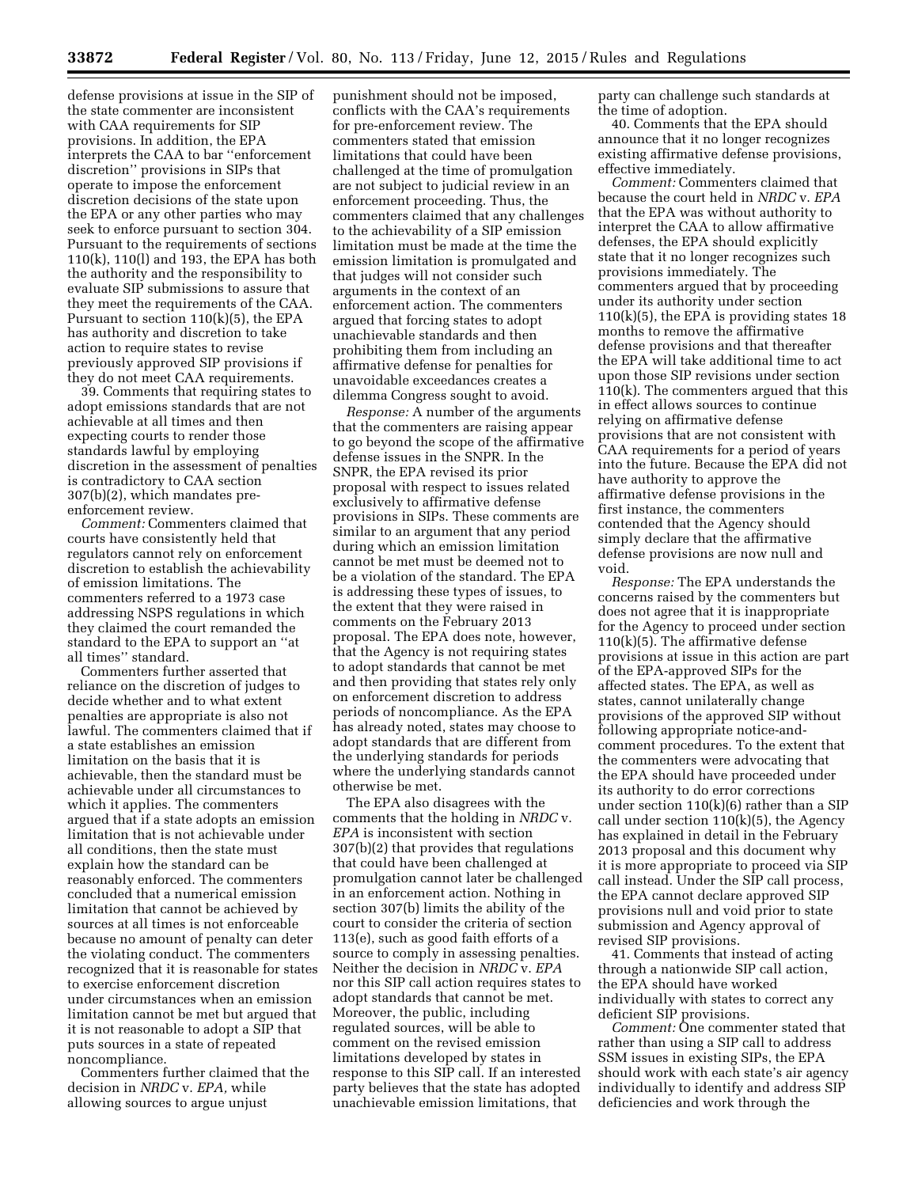defense provisions at issue in the SIP of the state commenter are inconsistent with CAA requirements for SIP provisions. In addition, the EPA interprets the CAA to bar ''enforcement discretion'' provisions in SIPs that operate to impose the enforcement discretion decisions of the state upon the EPA or any other parties who may seek to enforce pursuant to section 304. Pursuant to the requirements of sections 110(k), 110(l) and 193, the EPA has both the authority and the responsibility to evaluate SIP submissions to assure that they meet the requirements of the CAA. Pursuant to section 110(k)(5), the EPA has authority and discretion to take action to require states to revise previously approved SIP provisions if they do not meet CAA requirements.

39. Comments that requiring states to adopt emissions standards that are not achievable at all times and then expecting courts to render those standards lawful by employing discretion in the assessment of penalties is contradictory to CAA section 307(b)(2), which mandates preenforcement review.

*Comment:* Commenters claimed that courts have consistently held that regulators cannot rely on enforcement discretion to establish the achievability of emission limitations. The commenters referred to a 1973 case addressing NSPS regulations in which they claimed the court remanded the standard to the EPA to support an ''at all times'' standard.

Commenters further asserted that reliance on the discretion of judges to decide whether and to what extent penalties are appropriate is also not lawful. The commenters claimed that if a state establishes an emission limitation on the basis that it is achievable, then the standard must be achievable under all circumstances to which it applies. The commenters argued that if a state adopts an emission limitation that is not achievable under all conditions, then the state must explain how the standard can be reasonably enforced. The commenters concluded that a numerical emission limitation that cannot be achieved by sources at all times is not enforceable because no amount of penalty can deter the violating conduct. The commenters recognized that it is reasonable for states to exercise enforcement discretion under circumstances when an emission limitation cannot be met but argued that it is not reasonable to adopt a SIP that puts sources in a state of repeated noncompliance.

Commenters further claimed that the decision in *NRDC* v. *EPA,* while allowing sources to argue unjust

punishment should not be imposed, conflicts with the CAA's requirements for pre-enforcement review. The commenters stated that emission limitations that could have been challenged at the time of promulgation are not subject to judicial review in an enforcement proceeding. Thus, the commenters claimed that any challenges to the achievability of a SIP emission limitation must be made at the time the emission limitation is promulgated and that judges will not consider such arguments in the context of an enforcement action. The commenters argued that forcing states to adopt unachievable standards and then prohibiting them from including an affirmative defense for penalties for unavoidable exceedances creates a dilemma Congress sought to avoid.

*Response:* A number of the arguments that the commenters are raising appear to go beyond the scope of the affirmative defense issues in the SNPR. In the SNPR, the EPA revised its prior proposal with respect to issues related exclusively to affirmative defense provisions in SIPs. These comments are similar to an argument that any period during which an emission limitation cannot be met must be deemed not to be a violation of the standard. The EPA is addressing these types of issues, to the extent that they were raised in comments on the February 2013 proposal. The EPA does note, however, that the Agency is not requiring states to adopt standards that cannot be met and then providing that states rely only on enforcement discretion to address periods of noncompliance. As the EPA has already noted, states may choose to adopt standards that are different from the underlying standards for periods where the underlying standards cannot otherwise be met.

The EPA also disagrees with the comments that the holding in *NRDC* v. *EPA* is inconsistent with section 307(b)(2) that provides that regulations that could have been challenged at promulgation cannot later be challenged in an enforcement action. Nothing in section 307(b) limits the ability of the court to consider the criteria of section 113(e), such as good faith efforts of a source to comply in assessing penalties. Neither the decision in *NRDC* v. *EPA*  nor this SIP call action requires states to adopt standards that cannot be met. Moreover, the public, including regulated sources, will be able to comment on the revised emission limitations developed by states in response to this SIP call. If an interested party believes that the state has adopted unachievable emission limitations, that

party can challenge such standards at the time of adoption.

40. Comments that the EPA should announce that it no longer recognizes existing affirmative defense provisions, effective immediately.

*Comment:* Commenters claimed that because the court held in *NRDC* v. *EPA*  that the EPA was without authority to interpret the CAA to allow affirmative defenses, the EPA should explicitly state that it no longer recognizes such provisions immediately. The commenters argued that by proceeding under its authority under section  $110(k)(5)$ , the EPA is providing states 18 months to remove the affirmative defense provisions and that thereafter the EPA will take additional time to act upon those SIP revisions under section 110(k). The commenters argued that this in effect allows sources to continue relying on affirmative defense provisions that are not consistent with CAA requirements for a period of years into the future. Because the EPA did not have authority to approve the affirmative defense provisions in the first instance, the commenters contended that the Agency should simply declare that the affirmative defense provisions are now null and void.

*Response:* The EPA understands the concerns raised by the commenters but does not agree that it is inappropriate for the Agency to proceed under section 110(k)(5). The affirmative defense provisions at issue in this action are part of the EPA-approved SIPs for the affected states. The EPA, as well as states, cannot unilaterally change provisions of the approved SIP without following appropriate notice-andcomment procedures. To the extent that the commenters were advocating that the EPA should have proceeded under its authority to do error corrections under section 110(k)(6) rather than a SIP call under section  $110(k)(5)$ , the Agency has explained in detail in the February 2013 proposal and this document why it is more appropriate to proceed via SIP call instead. Under the SIP call process, the EPA cannot declare approved SIP provisions null and void prior to state submission and Agency approval of revised SIP provisions.

41. Comments that instead of acting through a nationwide SIP call action, the EPA should have worked individually with states to correct any deficient SIP provisions.

*Comment:* One commenter stated that rather than using a SIP call to address SSM issues in existing SIPs, the EPA should work with each state's air agency individually to identify and address SIP deficiencies and work through the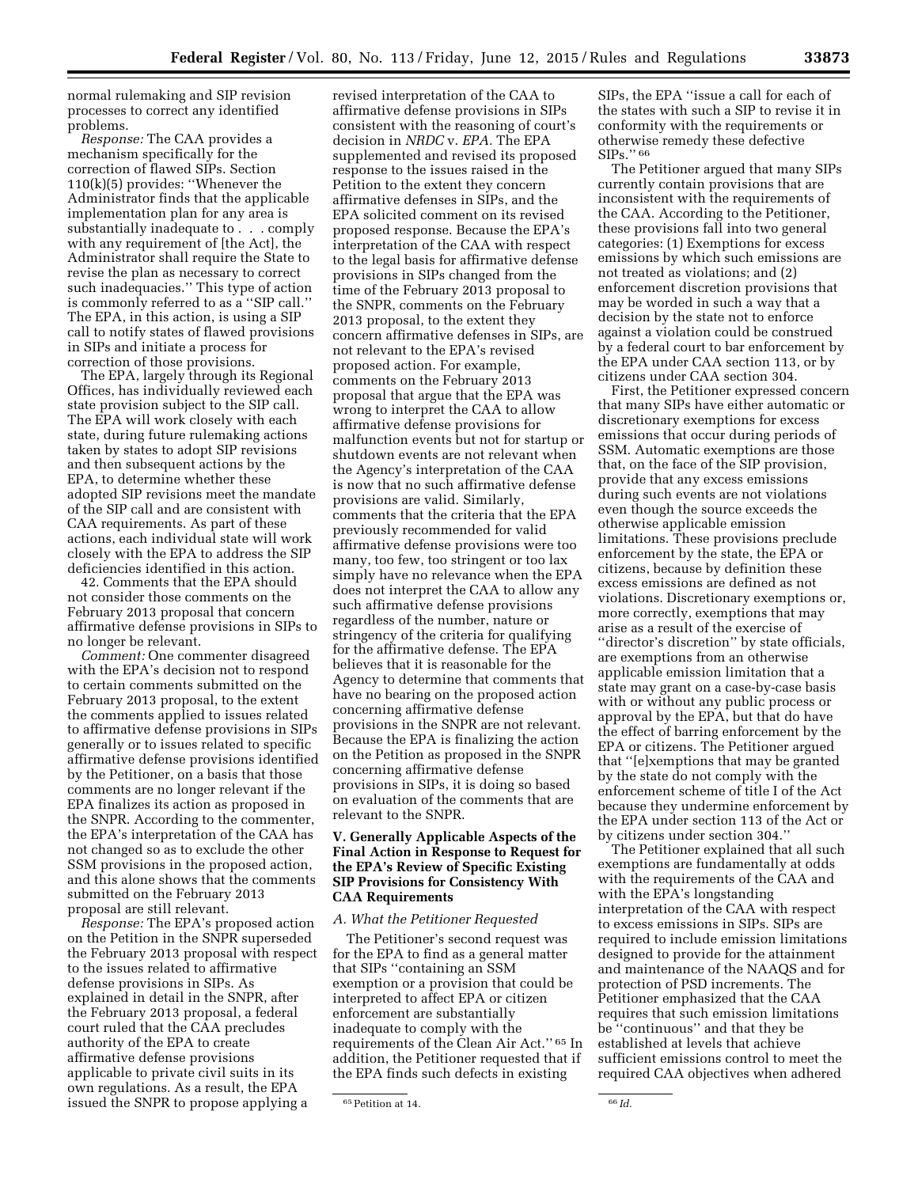normal rulemaking and SIP revision processes to correct any identified problems.

*Response:* The CAA provides a mechanism specifically for the correction of flawed SIPs. Section 110(k)(5) provides: ''Whenever the Administrator finds that the applicable implementation plan for any area is substantially inadequate to . . . comply with any requirement of [the Act], the Administrator shall require the State to revise the plan as necessary to correct such inadequacies.'' This type of action is commonly referred to as a ''SIP call.'' The EPA, in this action, is using a SIP call to notify states of flawed provisions in SIPs and initiate a process for correction of those provisions.

The EPA, largely through its Regional Offices, has individually reviewed each state provision subject to the SIP call. The EPA will work closely with each state, during future rulemaking actions taken by states to adopt SIP revisions and then subsequent actions by the EPA, to determine whether these adopted SIP revisions meet the mandate of the SIP call and are consistent with CAA requirements. As part of these actions, each individual state will work closely with the EPA to address the SIP deficiencies identified in this action.

42. Comments that the EPA should not consider those comments on the February 2013 proposal that concern affirmative defense provisions in SIPs to no longer be relevant.

*Comment:* One commenter disagreed with the EPA's decision not to respond to certain comments submitted on the February 2013 proposal, to the extent the comments applied to issues related to affirmative defense provisions in SIPs generally or to issues related to specific affirmative defense provisions identified by the Petitioner, on a basis that those comments are no longer relevant if the EPA finalizes its action as proposed in the SNPR. According to the commenter, the EPA's interpretation of the CAA has not changed so as to exclude the other SSM provisions in the proposed action, and this alone shows that the comments submitted on the February 2013 proposal are still relevant.

*Response:* The EPA's proposed action on the Petition in the SNPR superseded the February 2013 proposal with respect to the issues related to affirmative defense provisions in SIPs. As explained in detail in the SNPR, after the February 2013 proposal, a federal court ruled that the CAA precludes authority of the EPA to create affirmative defense provisions applicable to private civil suits in its own regulations. As a result, the EPA issued the SNPR to propose applying a

revised interpretation of the CAA to affirmative defense provisions in SIPs consistent with the reasoning of court's decision in *NRDC* v. *EPA.* The EPA supplemented and revised its proposed response to the issues raised in the Petition to the extent they concern affirmative defenses in SIPs, and the EPA solicited comment on its revised proposed response. Because the EPA's interpretation of the CAA with respect to the legal basis for affirmative defense provisions in SIPs changed from the time of the February 2013 proposal to the SNPR, comments on the February 2013 proposal, to the extent they concern affirmative defenses in SIPs, are not relevant to the EPA's revised proposed action. For example, comments on the February 2013 proposal that argue that the EPA was wrong to interpret the CAA to allow affirmative defense provisions for malfunction events but not for startup or shutdown events are not relevant when the Agency's interpretation of the CAA is now that no such affirmative defense provisions are valid. Similarly, comments that the criteria that the EPA previously recommended for valid affirmative defense provisions were too many, too few, too stringent or too lax simply have no relevance when the EPA does not interpret the CAA to allow any such affirmative defense provisions regardless of the number, nature or stringency of the criteria for qualifying for the affirmative defense. The EPA believes that it is reasonable for the Agency to determine that comments that have no bearing on the proposed action concerning affirmative defense provisions in the SNPR are not relevant. Because the EPA is finalizing the action on the Petition as proposed in the SNPR concerning affirmative defense provisions in SIPs, it is doing so based on evaluation of the comments that are relevant to the SNPR.

### **V. Generally Applicable Aspects of the Final Action in Response to Request for the EPA's Review of Specific Existing SIP Provisions for Consistency With CAA Requirements**

#### *A. What the Petitioner Requested*

The Petitioner's second request was for the EPA to find as a general matter that SIPs ''containing an SSM exemption or a provision that could be interpreted to affect EPA or citizen enforcement are substantially inadequate to comply with the requirements of the Clean Air Act.'' 65 In addition, the Petitioner requested that if the EPA finds such defects in existing

SIPs, the EPA ''issue a call for each of the states with such a SIP to revise it in conformity with the requirements or otherwise remedy these defective SIPs.'' 66

The Petitioner argued that many SIPs currently contain provisions that are inconsistent with the requirements of the CAA. According to the Petitioner, these provisions fall into two general categories: (1) Exemptions for excess emissions by which such emissions are not treated as violations; and (2) enforcement discretion provisions that may be worded in such a way that a decision by the state not to enforce against a violation could be construed by a federal court to bar enforcement by the EPA under CAA section 113, or by citizens under CAA section 304.

First, the Petitioner expressed concern that many SIPs have either automatic or discretionary exemptions for excess emissions that occur during periods of SSM. Automatic exemptions are those that, on the face of the SIP provision, provide that any excess emissions during such events are not violations even though the source exceeds the otherwise applicable emission limitations. These provisions preclude enforcement by the state, the EPA or citizens, because by definition these excess emissions are defined as not violations. Discretionary exemptions or, more correctly, exemptions that may arise as a result of the exercise of ''director's discretion'' by state officials, are exemptions from an otherwise applicable emission limitation that a state may grant on a case-by-case basis with or without any public process or approval by the EPA, but that do have the effect of barring enforcement by the EPA or citizens. The Petitioner argued that ''[e]xemptions that may be granted by the state do not comply with the enforcement scheme of title I of the Act because they undermine enforcement by the EPA under section 113 of the Act or by citizens under section 304.''

The Petitioner explained that all such exemptions are fundamentally at odds with the requirements of the CAA and with the EPA's longstanding interpretation of the CAA with respect to excess emissions in SIPs. SIPs are required to include emission limitations designed to provide for the attainment and maintenance of the NAAQS and for protection of PSD increments. The Petitioner emphasized that the CAA requires that such emission limitations be ''continuous'' and that they be established at levels that achieve sufficient emissions control to meet the required CAA objectives when adhered

<sup>65</sup>Petition at 14. 66 *Id.*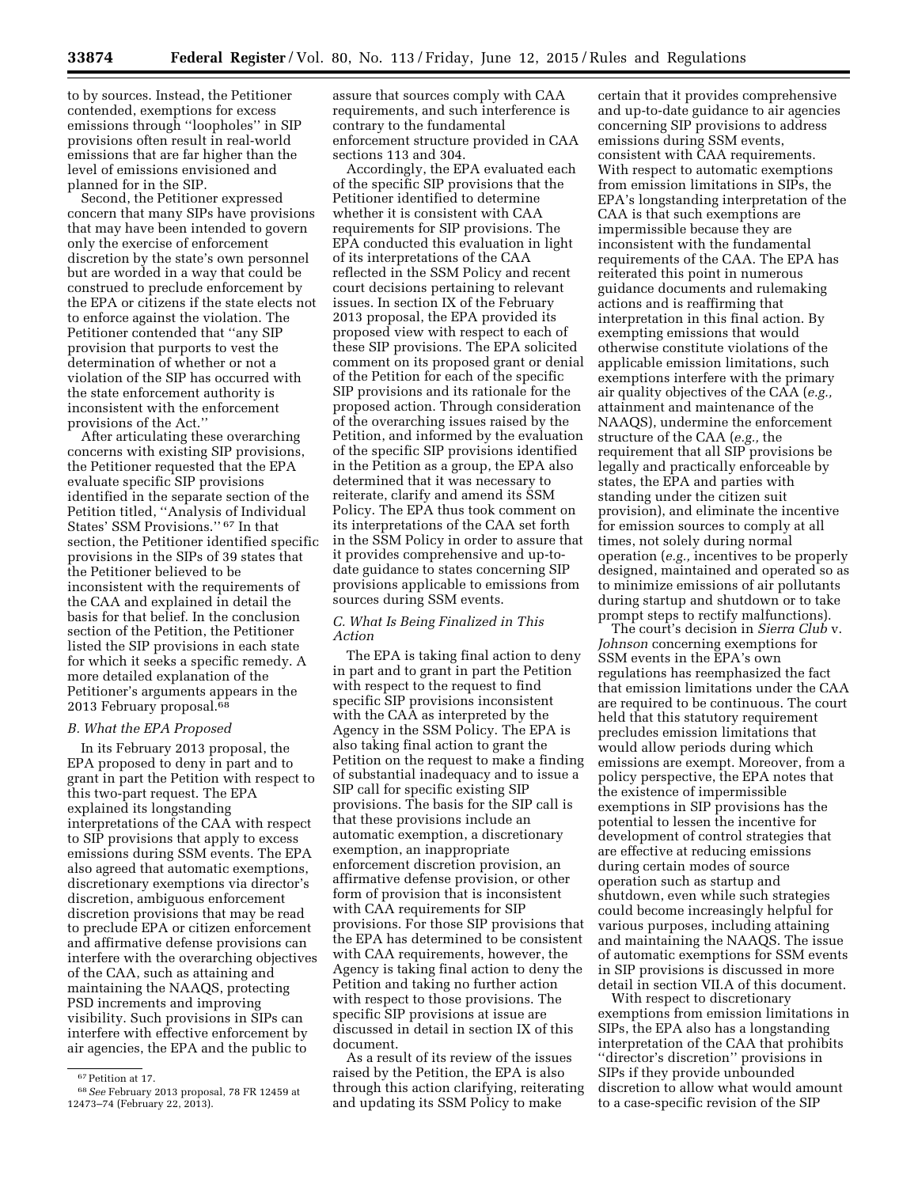to by sources. Instead, the Petitioner contended, exemptions for excess emissions through ''loopholes'' in SIP provisions often result in real-world emissions that are far higher than the level of emissions envisioned and planned for in the SIP.

Second, the Petitioner expressed concern that many SIPs have provisions that may have been intended to govern only the exercise of enforcement discretion by the state's own personnel but are worded in a way that could be construed to preclude enforcement by the EPA or citizens if the state elects not to enforce against the violation. The Petitioner contended that ''any SIP provision that purports to vest the determination of whether or not a violation of the SIP has occurred with the state enforcement authority is inconsistent with the enforcement provisions of the Act.''

After articulating these overarching concerns with existing SIP provisions, the Petitioner requested that the EPA evaluate specific SIP provisions identified in the separate section of the Petition titled, ''Analysis of Individual States' SSM Provisions.'' 67 In that section, the Petitioner identified specific provisions in the SIPs of 39 states that the Petitioner believed to be inconsistent with the requirements of the CAA and explained in detail the basis for that belief. In the conclusion section of the Petition, the Petitioner listed the SIP provisions in each state for which it seeks a specific remedy. A more detailed explanation of the Petitioner's arguments appears in the 2013 February proposal.68

#### *B. What the EPA Proposed*

In its February 2013 proposal, the EPA proposed to deny in part and to grant in part the Petition with respect to this two-part request. The EPA explained its longstanding interpretations of the CAA with respect to SIP provisions that apply to excess emissions during SSM events. The EPA also agreed that automatic exemptions, discretionary exemptions via director's discretion, ambiguous enforcement discretion provisions that may be read to preclude EPA or citizen enforcement and affirmative defense provisions can interfere with the overarching objectives of the CAA, such as attaining and maintaining the NAAQS, protecting PSD increments and improving visibility. Such provisions in SIPs can interfere with effective enforcement by air agencies, the EPA and the public to

assure that sources comply with CAA requirements, and such interference is contrary to the fundamental enforcement structure provided in CAA sections 113 and 304.

Accordingly, the EPA evaluated each of the specific SIP provisions that the Petitioner identified to determine whether it is consistent with CAA requirements for SIP provisions. The EPA conducted this evaluation in light of its interpretations of the CAA reflected in the SSM Policy and recent court decisions pertaining to relevant issues. In section IX of the February 2013 proposal, the EPA provided its proposed view with respect to each of these SIP provisions. The EPA solicited comment on its proposed grant or denial of the Petition for each of the specific SIP provisions and its rationale for the proposed action. Through consideration of the overarching issues raised by the Petition, and informed by the evaluation of the specific SIP provisions identified in the Petition as a group, the EPA also determined that it was necessary to reiterate, clarify and amend its SSM Policy. The EPA thus took comment on its interpretations of the CAA set forth in the SSM Policy in order to assure that it provides comprehensive and up-todate guidance to states concerning SIP provisions applicable to emissions from sources during SSM events.

### *C. What Is Being Finalized in This Action*

The EPA is taking final action to deny in part and to grant in part the Petition with respect to the request to find specific SIP provisions inconsistent with the CAA as interpreted by the Agency in the SSM Policy. The EPA is also taking final action to grant the Petition on the request to make a finding of substantial inadequacy and to issue a SIP call for specific existing SIP provisions. The basis for the SIP call is that these provisions include an automatic exemption, a discretionary exemption, an inappropriate enforcement discretion provision, an affirmative defense provision, or other form of provision that is inconsistent with CAA requirements for SIP provisions. For those SIP provisions that the EPA has determined to be consistent with CAA requirements, however, the Agency is taking final action to deny the Petition and taking no further action with respect to those provisions. The specific SIP provisions at issue are discussed in detail in section IX of this document.

As a result of its review of the issues raised by the Petition, the EPA is also through this action clarifying, reiterating and updating its SSM Policy to make

certain that it provides comprehensive and up-to-date guidance to air agencies concerning SIP provisions to address emissions during SSM events, consistent with CAA requirements. With respect to automatic exemptions from emission limitations in SIPs, the EPA's longstanding interpretation of the CAA is that such exemptions are impermissible because they are inconsistent with the fundamental requirements of the CAA. The EPA has reiterated this point in numerous guidance documents and rulemaking actions and is reaffirming that interpretation in this final action. By exempting emissions that would otherwise constitute violations of the applicable emission limitations, such exemptions interfere with the primary air quality objectives of the CAA (*e.g.,*  attainment and maintenance of the NAAQS), undermine the enforcement structure of the CAA (*e.g.,* the requirement that all SIP provisions be legally and practically enforceable by states, the EPA and parties with standing under the citizen suit provision), and eliminate the incentive for emission sources to comply at all times, not solely during normal operation (*e.g.,* incentives to be properly designed, maintained and operated so as to minimize emissions of air pollutants during startup and shutdown or to take prompt steps to rectify malfunctions).

The court's decision in *Sierra Club* v. *Johnson* concerning exemptions for SSM events in the EPA's own regulations has reemphasized the fact that emission limitations under the CAA are required to be continuous. The court held that this statutory requirement precludes emission limitations that would allow periods during which emissions are exempt. Moreover, from a policy perspective, the EPA notes that the existence of impermissible exemptions in SIP provisions has the potential to lessen the incentive for development of control strategies that are effective at reducing emissions during certain modes of source operation such as startup and shutdown, even while such strategies could become increasingly helpful for various purposes, including attaining and maintaining the NAAQS. The issue of automatic exemptions for SSM events in SIP provisions is discussed in more detail in section VII.A of this document.

With respect to discretionary exemptions from emission limitations in SIPs, the EPA also has a longstanding interpretation of the CAA that prohibits ''director's discretion'' provisions in SIPs if they provide unbounded discretion to allow what would amount to a case-specific revision of the SIP

<sup>67</sup>Petition at 17.

<sup>68</sup>*See* February 2013 proposal, 78 FR 12459 at 12473–74 (February 22, 2013).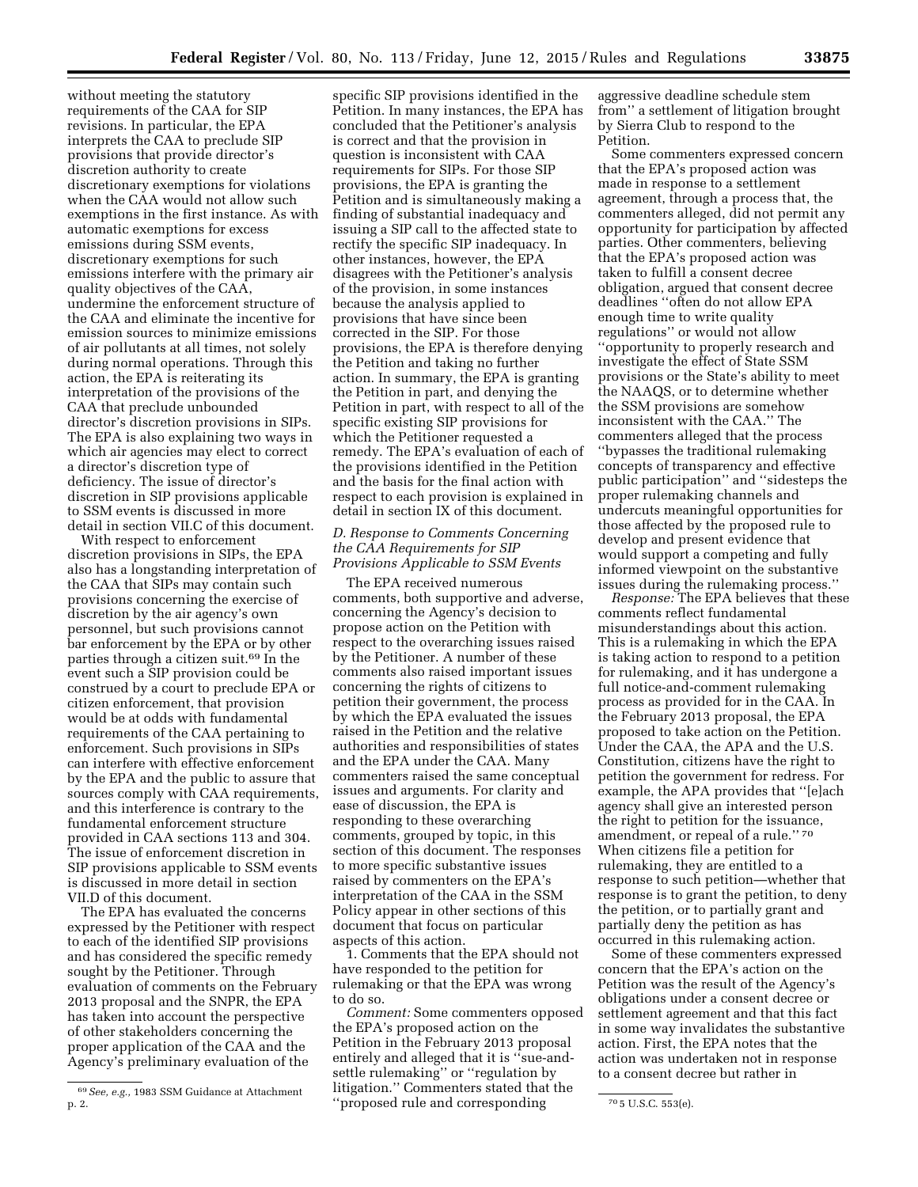without meeting the statutory requirements of the CAA for SIP revisions. In particular, the EPA interprets the CAA to preclude SIP provisions that provide director's discretion authority to create discretionary exemptions for violations when the CAA would not allow such exemptions in the first instance. As with automatic exemptions for excess emissions during SSM events, discretionary exemptions for such emissions interfere with the primary air quality objectives of the CAA, undermine the enforcement structure of the CAA and eliminate the incentive for emission sources to minimize emissions of air pollutants at all times, not solely during normal operations. Through this action, the EPA is reiterating its interpretation of the provisions of the CAA that preclude unbounded

director's discretion provisions in SIPs. The EPA is also explaining two ways in which air agencies may elect to correct a director's discretion type of deficiency. The issue of director's discretion in SIP provisions applicable to SSM events is discussed in more detail in section VII.C of this document.

With respect to enforcement discretion provisions in SIPs, the EPA also has a longstanding interpretation of the CAA that SIPs may contain such provisions concerning the exercise of discretion by the air agency's own personnel, but such provisions cannot bar enforcement by the EPA or by other parties through a citizen suit.69 In the event such a SIP provision could be construed by a court to preclude EPA or citizen enforcement, that provision would be at odds with fundamental requirements of the CAA pertaining to enforcement. Such provisions in SIPs can interfere with effective enforcement by the EPA and the public to assure that sources comply with CAA requirements, and this interference is contrary to the fundamental enforcement structure provided in CAA sections 113 and 304. The issue of enforcement discretion in SIP provisions applicable to SSM events is discussed in more detail in section VII.D of this document.

The EPA has evaluated the concerns expressed by the Petitioner with respect to each of the identified SIP provisions and has considered the specific remedy sought by the Petitioner. Through evaluation of comments on the February 2013 proposal and the SNPR, the EPA has taken into account the perspective of other stakeholders concerning the proper application of the CAA and the Agency's preliminary evaluation of the

specific SIP provisions identified in the Petition. In many instances, the EPA has concluded that the Petitioner's analysis is correct and that the provision in question is inconsistent with CAA requirements for SIPs. For those SIP provisions, the EPA is granting the Petition and is simultaneously making a finding of substantial inadequacy and issuing a SIP call to the affected state to rectify the specific SIP inadequacy. In other instances, however, the EPA disagrees with the Petitioner's analysis of the provision, in some instances because the analysis applied to provisions that have since been corrected in the SIP. For those provisions, the EPA is therefore denying the Petition and taking no further action. In summary, the EPA is granting the Petition in part, and denying the Petition in part, with respect to all of the specific existing SIP provisions for which the Petitioner requested a remedy. The EPA's evaluation of each of the provisions identified in the Petition and the basis for the final action with respect to each provision is explained in detail in section IX of this document.

#### *D. Response to Comments Concerning the CAA Requirements for SIP Provisions Applicable to SSM Events*

The EPA received numerous comments, both supportive and adverse, concerning the Agency's decision to propose action on the Petition with respect to the overarching issues raised by the Petitioner. A number of these comments also raised important issues concerning the rights of citizens to petition their government, the process by which the EPA evaluated the issues raised in the Petition and the relative authorities and responsibilities of states and the EPA under the CAA. Many commenters raised the same conceptual issues and arguments. For clarity and ease of discussion, the EPA is responding to these overarching comments, grouped by topic, in this section of this document. The responses to more specific substantive issues raised by commenters on the EPA's interpretation of the CAA in the SSM Policy appear in other sections of this document that focus on particular aspects of this action.

1. Comments that the EPA should not have responded to the petition for rulemaking or that the EPA was wrong to do so.

p. 2. The same state of the state of the state of the state of the state of the state of the state of the state of the state of the state of the state of the state of the state of the state of the state of the state of the *Comment:* Some commenters opposed the EPA's proposed action on the Petition in the February 2013 proposal entirely and alleged that it is "sue-andsettle rulemaking'' or ''regulation by litigation.'' Commenters stated that the

aggressive deadline schedule stem from'' a settlement of litigation brought by Sierra Club to respond to the Petition.

Some commenters expressed concern that the EPA's proposed action was made in response to a settlement agreement, through a process that, the commenters alleged, did not permit any opportunity for participation by affected parties. Other commenters, believing that the EPA's proposed action was taken to fulfill a consent decree obligation, argued that consent decree deadlines ''often do not allow EPA enough time to write quality regulations'' or would not allow ''opportunity to properly research and investigate the effect of State SSM provisions or the State's ability to meet the NAAQS, or to determine whether the SSM provisions are somehow inconsistent with the CAA.'' The commenters alleged that the process ''bypasses the traditional rulemaking concepts of transparency and effective public participation'' and ''sidesteps the proper rulemaking channels and undercuts meaningful opportunities for those affected by the proposed rule to develop and present evidence that would support a competing and fully informed viewpoint on the substantive issues during the rulemaking process.''

*Response:* The EPA believes that these comments reflect fundamental misunderstandings about this action. This is a rulemaking in which the EPA is taking action to respond to a petition for rulemaking, and it has undergone a full notice-and-comment rulemaking process as provided for in the CAA. In the February 2013 proposal, the EPA proposed to take action on the Petition. Under the CAA, the APA and the U.S. Constitution, citizens have the right to petition the government for redress. For example, the APA provides that ''[e]ach agency shall give an interested person the right to petition for the issuance, amendment, or repeal of a rule.'' 70 When citizens file a petition for rulemaking, they are entitled to a response to such petition—whether that response is to grant the petition, to deny the petition, or to partially grant and partially deny the petition as has occurred in this rulemaking action.

Some of these commenters expressed concern that the EPA's action on the Petition was the result of the Agency's obligations under a consent decree or settlement agreement and that this fact in some way invalidates the substantive action. First, the EPA notes that the action was undertaken not in response to a consent decree but rather in

<sup>69</sup>*See, e.g.,* 1983 SSM Guidance at Attachment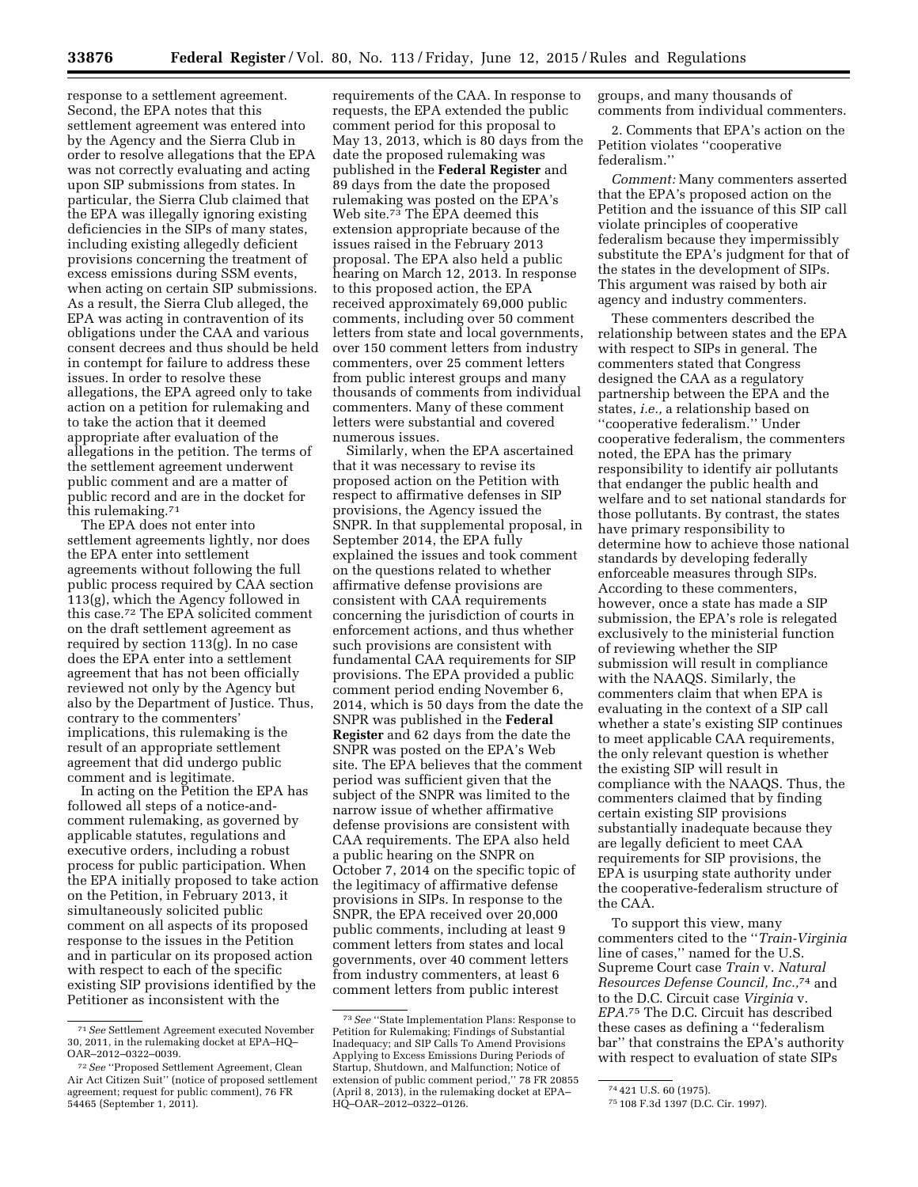response to a settlement agreement. Second, the EPA notes that this settlement agreement was entered into by the Agency and the Sierra Club in order to resolve allegations that the EPA was not correctly evaluating and acting upon SIP submissions from states. In particular, the Sierra Club claimed that the EPA was illegally ignoring existing deficiencies in the SIPs of many states, including existing allegedly deficient provisions concerning the treatment of excess emissions during SSM events, when acting on certain SIP submissions. As a result, the Sierra Club alleged, the EPA was acting in contravention of its obligations under the CAA and various consent decrees and thus should be held in contempt for failure to address these issues. In order to resolve these allegations, the EPA agreed only to take action on a petition for rulemaking and to take the action that it deemed appropriate after evaluation of the allegations in the petition. The terms of the settlement agreement underwent public comment and are a matter of public record and are in the docket for this rulemaking.71

The EPA does not enter into settlement agreements lightly, nor does the EPA enter into settlement agreements without following the full public process required by CAA section 113(g), which the Agency followed in this case.72 The EPA solicited comment on the draft settlement agreement as required by section 113(g). In no case does the EPA enter into a settlement agreement that has not been officially reviewed not only by the Agency but also by the Department of Justice. Thus, contrary to the commenters' implications, this rulemaking is the result of an appropriate settlement agreement that did undergo public comment and is legitimate.

In acting on the Petition the EPA has followed all steps of a notice-andcomment rulemaking, as governed by applicable statutes, regulations and executive orders, including a robust process for public participation. When the EPA initially proposed to take action on the Petition, in February 2013, it simultaneously solicited public comment on all aspects of its proposed response to the issues in the Petition and in particular on its proposed action with respect to each of the specific existing SIP provisions identified by the Petitioner as inconsistent with the

requirements of the CAA. In response to requests, the EPA extended the public comment period for this proposal to May 13, 2013, which is 80 days from the date the proposed rulemaking was published in the **Federal Register** and 89 days from the date the proposed rulemaking was posted on the EPA's Web site.73 The EPA deemed this extension appropriate because of the issues raised in the February 2013 proposal. The EPA also held a public hearing on March 12, 2013. In response to this proposed action, the EPA received approximately 69,000 public comments, including over 50 comment letters from state and local governments, over 150 comment letters from industry commenters, over 25 comment letters from public interest groups and many thousands of comments from individual commenters. Many of these comment letters were substantial and covered numerous issues.

Similarly, when the EPA ascertained that it was necessary to revise its proposed action on the Petition with respect to affirmative defenses in SIP provisions, the Agency issued the SNPR. In that supplemental proposal, in September 2014, the EPA fully explained the issues and took comment on the questions related to whether affirmative defense provisions are consistent with CAA requirements concerning the jurisdiction of courts in enforcement actions, and thus whether such provisions are consistent with fundamental CAA requirements for SIP provisions. The EPA provided a public comment period ending November 6, 2014, which is 50 days from the date the SNPR was published in the **Federal Register** and 62 days from the date the SNPR was posted on the EPA's Web site. The EPA believes that the comment period was sufficient given that the subject of the SNPR was limited to the narrow issue of whether affirmative defense provisions are consistent with CAA requirements. The EPA also held a public hearing on the SNPR on October 7, 2014 on the specific topic of the legitimacy of affirmative defense provisions in SIPs. In response to the SNPR, the EPA received over 20,000 public comments, including at least 9 comment letters from states and local governments, over 40 comment letters from industry commenters, at least 6 comment letters from public interest

groups, and many thousands of comments from individual commenters.

2. Comments that EPA's action on the Petition violates ''cooperative federalism.''

*Comment:* Many commenters asserted that the EPA's proposed action on the Petition and the issuance of this SIP call violate principles of cooperative federalism because they impermissibly substitute the EPA's judgment for that of the states in the development of SIPs. This argument was raised by both air agency and industry commenters.

These commenters described the relationship between states and the EPA with respect to SIPs in general. The commenters stated that Congress designed the CAA as a regulatory partnership between the EPA and the states, *i.e.,* a relationship based on ''cooperative federalism.'' Under cooperative federalism, the commenters noted, the EPA has the primary responsibility to identify air pollutants that endanger the public health and welfare and to set national standards for those pollutants. By contrast, the states have primary responsibility to determine how to achieve those national standards by developing federally enforceable measures through SIPs. According to these commenters, however, once a state has made a SIP submission, the EPA's role is relegated exclusively to the ministerial function of reviewing whether the SIP submission will result in compliance with the NAAQS. Similarly, the commenters claim that when EPA is evaluating in the context of a SIP call whether a state's existing SIP continues to meet applicable CAA requirements, the only relevant question is whether the existing SIP will result in compliance with the NAAQS. Thus, the commenters claimed that by finding certain existing SIP provisions substantially inadequate because they are legally deficient to meet CAA requirements for SIP provisions, the EPA is usurping state authority under the cooperative-federalism structure of the CAA.

To support this view, many commenters cited to the ''*Train-Virginia*  line of cases,'' named for the U.S. Supreme Court case *Train* v. *Natural Resources Defense Council, Inc.,*74 and to the D.C. Circuit case *Virginia* v. *EPA.*75 The D.C. Circuit has described these cases as defining a ''federalism bar'' that constrains the EPA's authority with respect to evaluation of state SIPs

<sup>71</sup>*See* Settlement Agreement executed November 30, 2011, in the rulemaking docket at EPA–HQ– OAR–2012–0322–0039.

<sup>72</sup>*See* ''Proposed Settlement Agreement, Clean Air Act Citizen Suit'' (notice of proposed settlement agreement; request for public comment), 76 FR 54465 (September 1, 2011).

<sup>73</sup>*See* ''State Implementation Plans: Response to Petition for Rulemaking; Findings of Substantial Inadequacy; and SIP Calls To Amend Provisions Applying to Excess Emissions During Periods of Startup, Shutdown, and Malfunction; Notice of extension of public comment period,'' 78 FR 20855 (April 8, 2013), in the rulemaking docket at EPA– HQ–OAR–2012–0322–0126.

<sup>74</sup> 421 U.S. 60 (1975).

<sup>75</sup> 108 F.3d 1397 (D.C. Cir. 1997).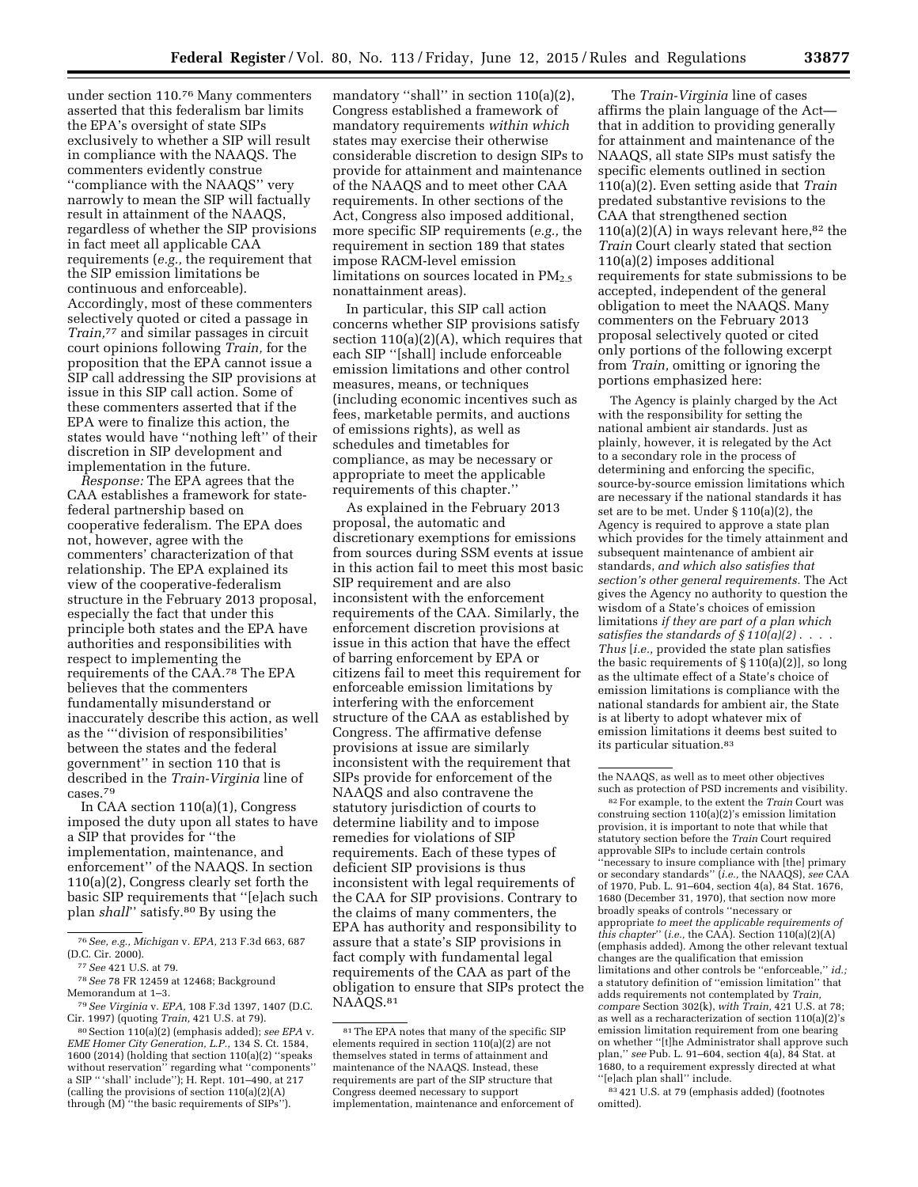under section 110.76 Many commenters asserted that this federalism bar limits the EPA's oversight of state SIPs exclusively to whether a SIP will result in compliance with the NAAQS. The commenters evidently construe ''compliance with the NAAQS'' very narrowly to mean the SIP will factually result in attainment of the NAAQS, regardless of whether the SIP provisions in fact meet all applicable CAA requirements (*e.g.,* the requirement that the SIP emission limitations be continuous and enforceable). Accordingly, most of these commenters selectively quoted or cited a passage in *Train,*77 and similar passages in circuit court opinions following *Train,* for the proposition that the EPA cannot issue a SIP call addressing the SIP provisions at issue in this SIP call action. Some of these commenters asserted that if the EPA were to finalize this action, the states would have ''nothing left'' of their discretion in SIP development and implementation in the future.

*Response:* The EPA agrees that the CAA establishes a framework for statefederal partnership based on cooperative federalism. The EPA does not, however, agree with the commenters' characterization of that relationship. The EPA explained its view of the cooperative-federalism structure in the February 2013 proposal, especially the fact that under this principle both states and the EPA have authorities and responsibilities with respect to implementing the requirements of the CAA.78 The EPA believes that the commenters fundamentally misunderstand or inaccurately describe this action, as well as the '''division of responsibilities' between the states and the federal government'' in section 110 that is described in the *Train-Virginia* line of cases.79

In CAA section 110(a)(1), Congress imposed the duty upon all states to have a SIP that provides for ''the implementation, maintenance, and enforcement'' of the NAAQS. In section 110(a)(2), Congress clearly set forth the basic SIP requirements that ''[e]ach such plan *shall*'' satisfy.80 By using the

mandatory "shall" in section 110(a)(2), Congress established a framework of mandatory requirements *within which*  states may exercise their otherwise considerable discretion to design SIPs to provide for attainment and maintenance of the NAAQS and to meet other CAA requirements. In other sections of the Act, Congress also imposed additional, more specific SIP requirements (*e.g.,* the requirement in section 189 that states impose RACM-level emission limitations on sources located in  $PM_{2.5}$ nonattainment areas).

In particular, this SIP call action concerns whether SIP provisions satisfy section  $110(a)(2)(A)$ , which requires that each SIP ''[shall] include enforceable emission limitations and other control measures, means, or techniques (including economic incentives such as fees, marketable permits, and auctions of emissions rights), as well as schedules and timetables for compliance, as may be necessary or appropriate to meet the applicable requirements of this chapter.''

As explained in the February 2013 proposal, the automatic and discretionary exemptions for emissions from sources during SSM events at issue in this action fail to meet this most basic SIP requirement and are also inconsistent with the enforcement requirements of the CAA. Similarly, the enforcement discretion provisions at issue in this action that have the effect of barring enforcement by EPA or citizens fail to meet this requirement for enforceable emission limitations by interfering with the enforcement structure of the CAA as established by Congress. The affirmative defense provisions at issue are similarly inconsistent with the requirement that SIPs provide for enforcement of the NAAQS and also contravene the statutory jurisdiction of courts to determine liability and to impose remedies for violations of SIP requirements. Each of these types of deficient SIP provisions is thus inconsistent with legal requirements of the CAA for SIP provisions. Contrary to the claims of many commenters, the EPA has authority and responsibility to assure that a state's SIP provisions in fact comply with fundamental legal requirements of the CAA as part of the obligation to ensure that SIPs protect the NAAQS.81

The *Train-Virginia* line of cases affirms the plain language of the Act that in addition to providing generally for attainment and maintenance of the NAAQS, all state SIPs must satisfy the specific elements outlined in section 110(a)(2). Even setting aside that *Train*  predated substantive revisions to the CAA that strengthened section  $110(a)(2)(A)$  in ways relevant here,<sup>82</sup> the *Train* Court clearly stated that section 110(a)(2) imposes additional requirements for state submissions to be accepted, independent of the general obligation to meet the NAAQS. Many commenters on the February 2013 proposal selectively quoted or cited only portions of the following excerpt from *Train,* omitting or ignoring the portions emphasized here:

The Agency is plainly charged by the Act with the responsibility for setting the national ambient air standards. Just as plainly, however, it is relegated by the Act to a secondary role in the process of determining and enforcing the specific, source-by-source emission limitations which are necessary if the national standards it has set are to be met. Under § 110(a)(2), the Agency is required to approve a state plan which provides for the timely attainment and subsequent maintenance of ambient air standards, *and which also satisfies that section's other general requirements.* The Act gives the Agency no authority to question the wisdom of a State's choices of emission limitations *if they are part of a plan which satisfies the standards of § 110(a)(2)* . . . . *Thus* [*i.e.,* provided the state plan satisfies the basic requirements of  $\S 110(a)(2)$ , so long as the ultimate effect of a State's choice of emission limitations is compliance with the national standards for ambient air, the State is at liberty to adopt whatever mix of emission limitations it deems best suited to its particular situation.83

82For example, to the extent the *Train* Court was construing section 110(a)(2)'s emission limitation provision, it is important to note that while that statutory section before the *Train* Court required approvable SIPs to include certain controls ''necessary to insure compliance with [the] primary or secondary standards'' (*i.e.,* the NAAQS), *see* CAA of 1970, Pub. L. 91–604, section 4(a), 84 Stat. 1676, 1680 (December 31, 1970), that section now more broadly speaks of controls ''necessary or appropriate *to meet the applicable requirements of this chapter*'' (*i.e.,* the CAA). Section 110(a)(2)(A) (emphasis added). Among the other relevant textual changes are the qualification that emission limitations and other controls be ''enforceable,'' *id.;*  a statutory definition of ''emission limitation'' that adds requirements not contemplated by *Train, compare* Section 302(k), *with Train,* 421 U.S. at 78; as well as a recharacterization of section 110(a)(2)'s emission limitation requirement from one bearing on whether ''[t]he Administrator shall approve such plan,'' *see* Pub. L. 91–604, section 4(a), 84 Stat. at 1680, to a requirement expressly directed at what ''[e]ach plan shall'' include.

83 421 U.S. at 79 (emphasis added) (footnotes omitted).

<sup>76</sup>*See, e.g., Michigan* v. *EPA,* 213 F.3d 663, 687 (D.C. Cir. 2000).

<sup>77</sup>*See* 421 U.S. at 79.

<sup>78</sup>*See* 78 FR 12459 at 12468; Background Memorandum at 1–3.

<sup>79</sup>*See Virginia* v. *EPA,* 108 F.3d 1397, 1407 (D.C. Cir. 1997) (quoting *Train,* 421 U.S. at 79).

<sup>80</sup>Section 110(a)(2) (emphasis added); *see EPA* v. *EME Homer City Generation, L.P.,* 134 S. Ct. 1584, 1600 (2014) (holding that section 110(a)(2) ''speaks without reservation'' regarding what ''components'' a SIP '' 'shall' include''); H. Rept. 101–490, at 217 (calling the provisions of section 110(a)(2)(A) through (M) ''the basic requirements of SIPs'').

<sup>81</sup>The EPA notes that many of the specific SIP elements required in section 110(a)(2) are not themselves stated in terms of attainment and maintenance of the NAAQS. Instead, these requirements are part of the SIP structure that Congress deemed necessary to support implementation, maintenance and enforcement of

the NAAQS, as well as to meet other objectives such as protection of PSD increments and visibility.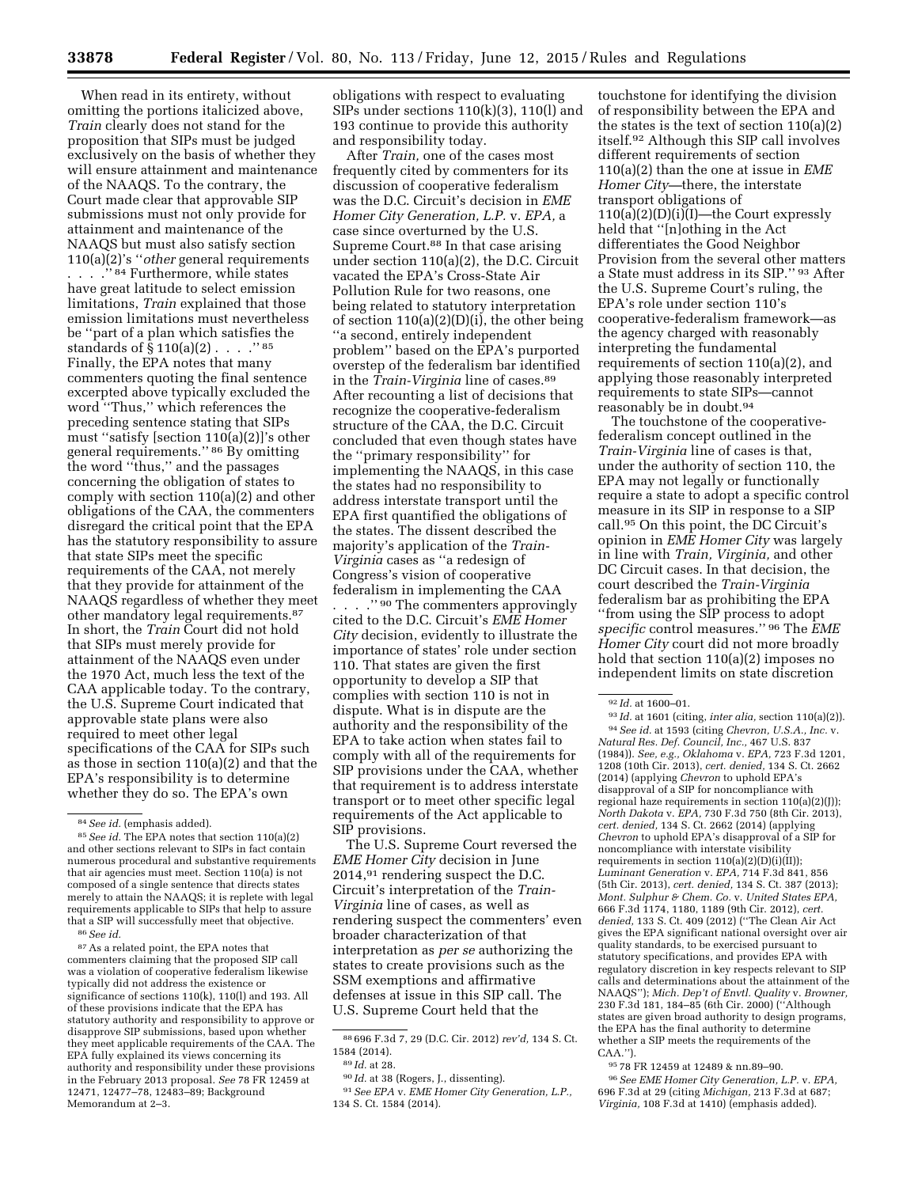When read in its entirety, without omitting the portions italicized above, *Train* clearly does not stand for the proposition that SIPs must be judged exclusively on the basis of whether they will ensure attainment and maintenance of the NAAQS. To the contrary, the Court made clear that approvable SIP submissions must not only provide for attainment and maintenance of the NAAQS but must also satisfy section 110(a)(2)'s ''*other* general requirements . . . . "<sup>84</sup> Furthermore, while states have great latitude to select emission limitations, *Train* explained that those emission limitations must nevertheless be ''part of a plan which satisfies the standards of  $\S 110(a)(2)$ .....<sup>785</sup> Finally, the EPA notes that many commenters quoting the final sentence excerpted above typically excluded the word ''Thus,'' which references the preceding sentence stating that SIPs must ''satisfy [section 110(a)(2)]'s other general requirements.'' 86 By omitting the word ''thus,'' and the passages concerning the obligation of states to comply with section 110(a)(2) and other obligations of the CAA, the commenters disregard the critical point that the EPA has the statutory responsibility to assure that state SIPs meet the specific requirements of the CAA, not merely that they provide for attainment of the NAAQS regardless of whether they meet other mandatory legal requirements.87 In short, the *Train* Court did not hold that SIPs must merely provide for attainment of the NAAQS even under the 1970 Act, much less the text of the CAA applicable today. To the contrary, the U.S. Supreme Court indicated that approvable state plans were also required to meet other legal specifications of the CAA for SIPs such as those in section 110(a)(2) and that the EPA's responsibility is to determine whether they do so. The EPA's own

86*See id.* 

 $^{\mathrm{87}}$  As a related point, the EPA notes that commenters claiming that the proposed SIP call was a violation of cooperative federalism likewise typically did not address the existence or significance of sections 110(k), 110(l) and 193. All of these provisions indicate that the EPA has statutory authority and responsibility to approve or disapprove SIP submissions, based upon whether they meet applicable requirements of the CAA. The EPA fully explained its views concerning its authority and responsibility under these provisions in the February 2013 proposal. *See* 78 FR 12459 at 12471, 12477–78, 12483–89; Background Memorandum at 2–3.

obligations with respect to evaluating SIPs under sections 110(k)(3), 110(l) and 193 continue to provide this authority and responsibility today.

After *Train,* one of the cases most frequently cited by commenters for its discussion of cooperative federalism was the D.C. Circuit's decision in *EME Homer City Generation, L.P.* v. *EPA,* a case since overturned by the U.S. Supreme Court.88 In that case arising under section 110(a)(2), the D.C. Circuit vacated the EPA's Cross-State Air Pollution Rule for two reasons, one being related to statutory interpretation of section 110(a)(2)(D)(i), the other being ''a second, entirely independent problem'' based on the EPA's purported overstep of the federalism bar identified in the *Train-Virginia* line of cases.89 After recounting a list of decisions that recognize the cooperative-federalism structure of the CAA, the D.C. Circuit concluded that even though states have the ''primary responsibility'' for implementing the NAAQS, in this case the states had no responsibility to address interstate transport until the EPA first quantified the obligations of the states. The dissent described the majority's application of the *Train-Virginia* cases as ''a redesign of Congress's vision of cooperative federalism in implementing the CAA . . . . " <sup>90</sup> The commenters approvingly cited to the D.C. Circuit's *EME Homer City* decision, evidently to illustrate the importance of states' role under section 110. That states are given the first opportunity to develop a SIP that complies with section 110 is not in dispute. What is in dispute are the authority and the responsibility of the EPA to take action when states fail to comply with all of the requirements for SIP provisions under the CAA, whether that requirement is to address interstate transport or to meet other specific legal requirements of the Act applicable to SIP provisions.

The U.S. Supreme Court reversed the *EME Homer City* decision in June 2014,91 rendering suspect the D.C. Circuit's interpretation of the *Train-Virginia* line of cases, as well as rendering suspect the commenters' even broader characterization of that interpretation as *per se* authorizing the states to create provisions such as the SSM exemptions and affirmative defenses at issue in this SIP call. The U.S. Supreme Court held that the

touchstone for identifying the division of responsibility between the EPA and the states is the text of section 110(a)(2) itself.92 Although this SIP call involves different requirements of section 110(a)(2) than the one at issue in *EME Homer City—*there, the interstate transport obligations of 110(a)(2)(D)(i)(I)—the Court expressly held that ''[n]othing in the Act differentiates the Good Neighbor Provision from the several other matters a State must address in its SIP.'' 93 After the U.S. Supreme Court's ruling, the EPA's role under section 110's cooperative-federalism framework—as the agency charged with reasonably interpreting the fundamental requirements of section 110(a)(2), and applying those reasonably interpreted requirements to state SIPs—cannot reasonably be in doubt.94

The touchstone of the cooperativefederalism concept outlined in the *Train-Virginia* line of cases is that, under the authority of section 110, the EPA may not legally or functionally require a state to adopt a specific control measure in its SIP in response to a SIP call.95 On this point, the DC Circuit's opinion in *EME Homer City* was largely in line with *Train, Virginia,* and other DC Circuit cases. In that decision, the court described the *Train-Virginia*  federalism bar as prohibiting the EPA ''from using the SIP process to adopt *specific* control measures.'' 96 The *EME Homer City* court did not more broadly hold that section 110(a)(2) imposes no independent limits on state discretion

93 *Id.* at 1601 (citing, *inter alia,* section 110(a)(2)). 94*See id.* at 1593 (citing *Chevron, U.S.A., Inc.* v. *Natural Res. Def. Council, Inc.,* 467 U.S. 837 (1984)). *See, e.g., Oklahoma* v. *EPA,* 723 F.3d 1201, 1208 (10th Cir. 2013), *cert. denied,* 134 S. Ct. 2662 (2014) (applying *Chevron* to uphold EPA's disapproval of a SIP for noncompliance with regional haze requirements in section 110(a)(2)(J)); *North Dakota* v. *EPA,* 730 F.3d 750 (8th Cir. 2013), *cert. denied,* 134 S. Ct. 2662 (2014) (applying *Chevron* to uphold EPA's disapproval of a SIP for noncompliance with interstate visibility requirements in section  $110(a)(2)(D)(i)(II)$ ; *Luminant Generation* v. *EPA,* 714 F.3d 841, 856 (5th Cir. 2013), *cert. denied,* 134 S. Ct. 387 (2013); *Mont. Sulphur & Chem. Co.* v. *United States EPA,*  666 F.3d 1174, 1180, 1189 (9th Cir. 2012), *cert. denied,* 133 S. Ct. 409 (2012) (''The Clean Air Act gives the EPA significant national oversight over air quality standards, to be exercised pursuant to statutory specifications, and provides EPA with regulatory discretion in key respects relevant to SIP calls and determinations about the attainment of the NAAQS''); *Mich. Dep't of Envtl. Quality* v. *Browner,*  230 F.3d 181, 184–85 (6th Cir. 2000) (''Although states are given broad authority to design programs, the EPA has the final authority to determine whether a SIP meets the requirements of the CAA.'').

96*See EME Homer City Generation, L.P.* v. *EPA,*  696 F.3d at 29 (citing *Michigan,* 213 F.3d at 687; *Virginia,* 108 F.3d at 1410) (emphasis added).

<sup>84</sup>*See id.* (emphasis added).

<sup>85</sup>*See id.* The EPA notes that section 110(a)(2) and other sections relevant to SIPs in fact contain numerous procedural and substantive requirements that air agencies must meet. Section 110(a) is not composed of a single sentence that directs states merely to attain the NAAQS; it is replete with legal requirements applicable to SIPs that help to assure that a SIP will successfully meet that objective.

<sup>88</sup> 696 F.3d 7, 29 (D.C. Cir. 2012) *rev'd,* 134 S. Ct. 1584 (2014).

<sup>89</sup> *Id.* at 28.

<sup>90</sup> *Id.* at 38 (Rogers, J., dissenting).

<sup>91</sup>*See EPA* v. *EME Homer City Generation, L.P.,*  134 S. Ct. 1584 (2014).

<sup>92</sup> *Id.* at 1600–01.

<sup>95</sup> 78 FR 12459 at 12489 & nn.89–90.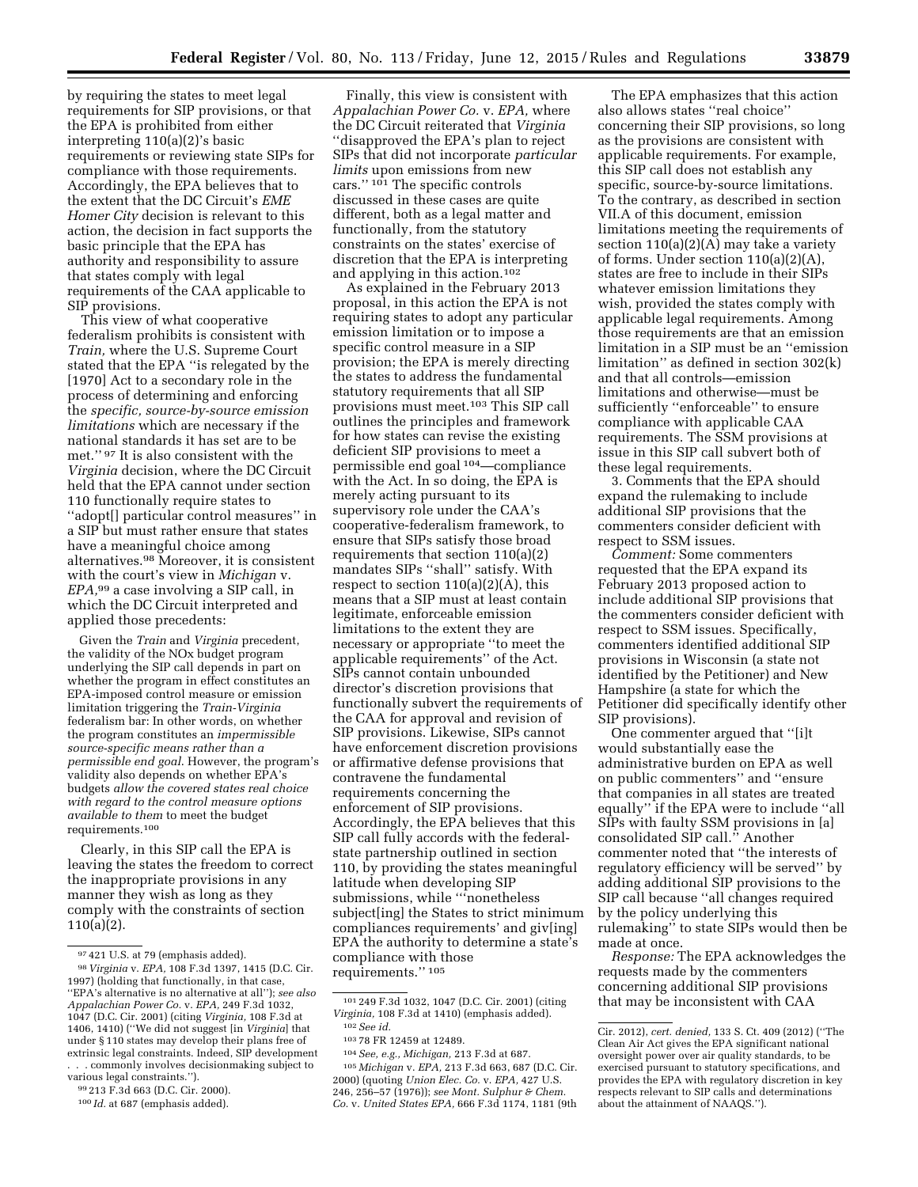by requiring the states to meet legal requirements for SIP provisions, or that the EPA is prohibited from either interpreting 110(a)(2)'s basic requirements or reviewing state SIPs for compliance with those requirements. Accordingly, the EPA believes that to the extent that the DC Circuit's *EME Homer City* decision is relevant to this action, the decision in fact supports the basic principle that the EPA has authority and responsibility to assure that states comply with legal requirements of the CAA applicable to SIP provisions.

This view of what cooperative federalism prohibits is consistent with *Train,* where the U.S. Supreme Court stated that the EPA ''is relegated by the [1970] Act to a secondary role in the process of determining and enforcing the *specific, source-by-source emission limitations* which are necessary if the national standards it has set are to be met.'' 97 It is also consistent with the *Virginia* decision, where the DC Circuit held that the EPA cannot under section 110 functionally require states to ''adopt[] particular control measures'' in a SIP but must rather ensure that states have a meaningful choice among alternatives.98 Moreover, it is consistent with the court's view in *Michigan* v. *EPA,*99 a case involving a SIP call, in which the DC Circuit interpreted and applied those precedents:

Given the *Train* and *Virginia* precedent, the validity of the NOx budget program underlying the SIP call depends in part on whether the program in effect constitutes an EPA-imposed control measure or emission limitation triggering the *Train-Virginia*  federalism bar: In other words, on whether the program constitutes an *impermissible source-specific means rather than a permissible end goal*. However, the program's validity also depends on whether EPA's budgets *allow the covered states real choice with regard to the control measure options available to them* to meet the budget requirements.100

Clearly, in this SIP call the EPA is leaving the states the freedom to correct the inappropriate provisions in any manner they wish as long as they comply with the constraints of section 110(a)(2).

Finally, this view is consistent with *Appalachian Power Co.* v. *EPA,* where the DC Circuit reiterated that *Virginia*  ''disapproved the EPA's plan to reject SIPs that did not incorporate *particular limits* upon emissions from new cars."<sup>101</sup> The specific controls discussed in these cases are quite different, both as a legal matter and functionally, from the statutory constraints on the states' exercise of discretion that the EPA is interpreting

and applying in this action.102 As explained in the February 2013 proposal, in this action the EPA is not requiring states to adopt any particular emission limitation or to impose a specific control measure in a SIP provision; the EPA is merely directing the states to address the fundamental statutory requirements that all SIP provisions must meet.103 This SIP call outlines the principles and framework for how states can revise the existing deficient SIP provisions to meet a permissible end goal 104—compliance with the Act. In so doing, the EPA is merely acting pursuant to its supervisory role under the CAA's cooperative-federalism framework, to ensure that SIPs satisfy those broad requirements that section 110(a)(2) mandates SIPs ''shall'' satisfy. With respect to section  $110(a)(2)(A)$ , this means that a SIP must at least contain legitimate, enforceable emission limitations to the extent they are necessary or appropriate ''to meet the applicable requirements'' of the Act. SIPs cannot contain unbounded director's discretion provisions that functionally subvert the requirements of the CAA for approval and revision of SIP provisions. Likewise, SIPs cannot have enforcement discretion provisions or affirmative defense provisions that contravene the fundamental requirements concerning the enforcement of SIP provisions. Accordingly, the EPA believes that this SIP call fully accords with the federalstate partnership outlined in section 110, by providing the states meaningful latitude when developing SIP submissions, while '''nonetheless subject[ing] the States to strict minimum compliances requirements' and giv[ing] EPA the authority to determine a state's compliance with those requirements.'' 105

105 *Michigan* v. *EPA,* 213 F.3d 663, 687 (D.C. Cir. 2000) (quoting *Union Elec. Co.* v. *EPA,* 427 U.S. 246, 256–57 (1976)); *see Mont. Sulphur & Chem. Co.* v. *United States EPA,* 666 F.3d 1174, 1181 (9th

The EPA emphasizes that this action also allows states ''real choice'' concerning their SIP provisions, so long as the provisions are consistent with applicable requirements. For example, this SIP call does not establish any specific, source-by-source limitations. To the contrary, as described in section VII.A of this document, emission limitations meeting the requirements of section 110(a)(2)(A) may take a variety of forms. Under section 110(a)(2)(A), states are free to include in their SIPs whatever emission limitations they wish, provided the states comply with applicable legal requirements. Among those requirements are that an emission limitation in a SIP must be an ''emission limitation'' as defined in section 302(k) and that all controls—emission limitations and otherwise—must be sufficiently ''enforceable'' to ensure compliance with applicable CAA requirements. The SSM provisions at issue in this SIP call subvert both of these legal requirements.

3. Comments that the EPA should expand the rulemaking to include additional SIP provisions that the commenters consider deficient with respect to SSM issues.

*Comment:* Some commenters requested that the EPA expand its February 2013 proposed action to include additional SIP provisions that the commenters consider deficient with respect to SSM issues. Specifically, commenters identified additional SIP provisions in Wisconsin (a state not identified by the Petitioner) and New Hampshire (a state for which the Petitioner did specifically identify other SIP provisions).

One commenter argued that ''[i]t would substantially ease the administrative burden on EPA as well on public commenters'' and ''ensure that companies in all states are treated equally'' if the EPA were to include ''all SIPs with faulty SSM provisions in [a] consolidated SIP call.'' Another commenter noted that ''the interests of regulatory efficiency will be served'' by adding additional SIP provisions to the SIP call because ''all changes required by the policy underlying this rulemaking'' to state SIPs would then be made at once.

*Response:* The EPA acknowledges the requests made by the commenters concerning additional SIP provisions that may be inconsistent with CAA

<sup>97</sup> 421 U.S. at 79 (emphasis added).

<sup>98</sup> *Virginia* v. *EPA,* 108 F.3d 1397, 1415 (D.C. Cir. 1997) (holding that functionally, in that case, ''EPA's alternative is no alternative at all''); *see also Appalachian Power Co.* v. *EPA,* 249 F.3d 1032, 1047 (D.C. Cir. 2001) (citing *Virginia,* 108 F.3d at 1406, 1410) (''We did not suggest [in *Virginia*] that under § 110 states may develop their plans free of extrinsic legal constraints. Indeed, SIP development . . . commonly involves decisionmaking subject to

various legal constraints.'').

<sup>99</sup> 213 F.3d 663 (D.C. Cir. 2000). 100 *Id.* at 687 (emphasis added).

<sup>101</sup> 249 F.3d 1032, 1047 (D.C. Cir. 2001) (citing *Virginia,* 108 F.3d at 1410) (emphasis added). 102*See id.* 

<sup>103</sup> 78 FR 12459 at 12489.

<sup>104</sup>*See, e.g., Michigan,* 213 F.3d at 687.

Cir. 2012), *cert. denied,* 133 S. Ct. 409 (2012) (''The Clean Air Act gives the EPA significant national oversight power over air quality standards, to be exercised pursuant to statutory specifications, and provides the EPA with regulatory discretion in key respects relevant to SIP calls and determinations about the attainment of NAAQS.'').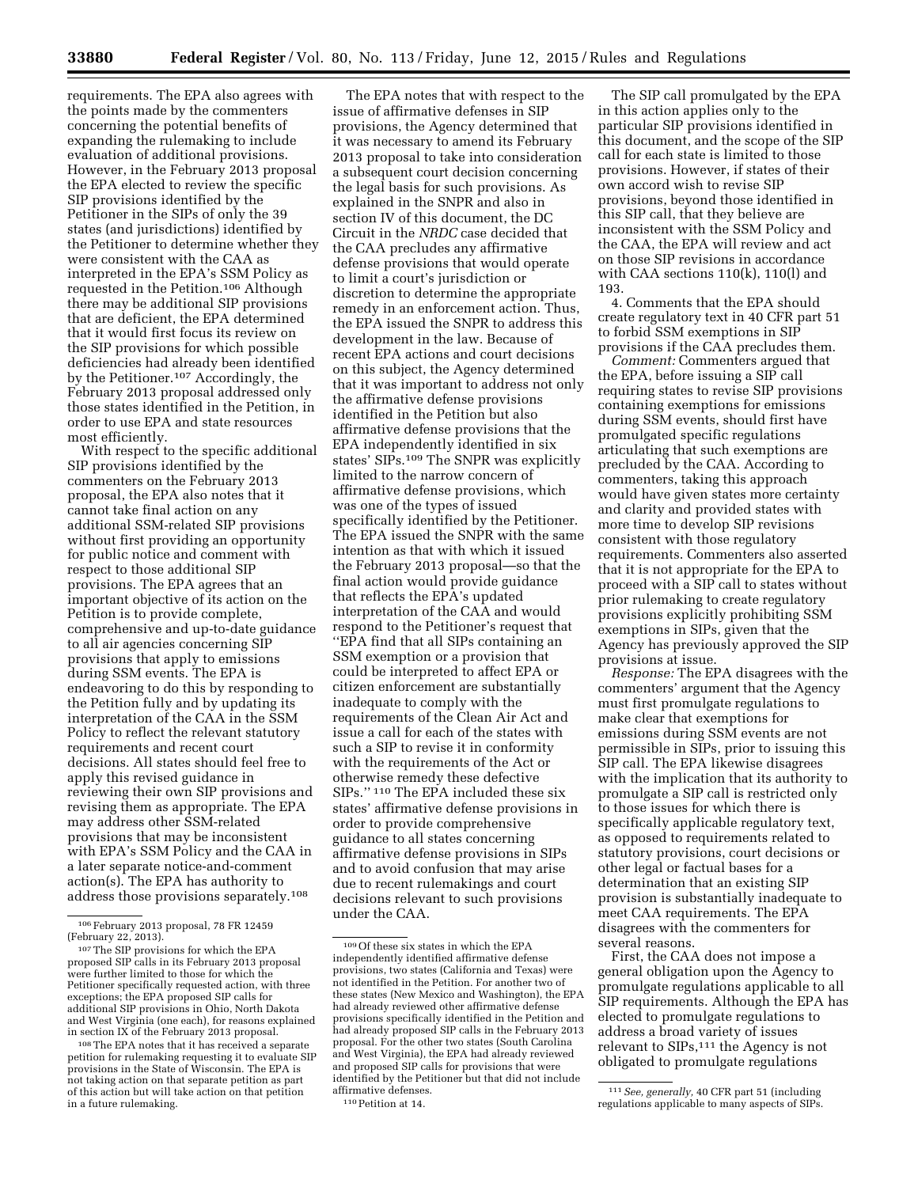requirements. The EPA also agrees with the points made by the commenters concerning the potential benefits of expanding the rulemaking to include evaluation of additional provisions. However, in the February 2013 proposal the EPA elected to review the specific SIP provisions identified by the Petitioner in the SIPs of only the 39 states (and jurisdictions) identified by the Petitioner to determine whether they were consistent with the CAA as interpreted in the EPA's SSM Policy as requested in the Petition.106 Although there may be additional SIP provisions that are deficient, the EPA determined that it would first focus its review on the SIP provisions for which possible deficiencies had already been identified by the Petitioner.107 Accordingly, the February 2013 proposal addressed only those states identified in the Petition, in order to use EPA and state resources most efficiently.

With respect to the specific additional SIP provisions identified by the commenters on the February 2013 proposal, the EPA also notes that it cannot take final action on any additional SSM-related SIP provisions without first providing an opportunity for public notice and comment with respect to those additional SIP provisions. The EPA agrees that an important objective of its action on the Petition is to provide complete, comprehensive and up-to-date guidance to all air agencies concerning SIP provisions that apply to emissions during SSM events. The EPA is endeavoring to do this by responding to the Petition fully and by updating its interpretation of the CAA in the SSM Policy to reflect the relevant statutory requirements and recent court decisions. All states should feel free to apply this revised guidance in reviewing their own SIP provisions and revising them as appropriate. The EPA may address other SSM-related provisions that may be inconsistent with EPA's SSM Policy and the CAA in a later separate notice-and-comment action(s). The EPA has authority to address those provisions separately.108

The EPA notes that with respect to the issue of affirmative defenses in SIP provisions, the Agency determined that it was necessary to amend its February 2013 proposal to take into consideration a subsequent court decision concerning the legal basis for such provisions. As explained in the SNPR and also in section IV of this document, the DC Circuit in the *NRDC* case decided that the CAA precludes any affirmative defense provisions that would operate to limit a court's jurisdiction or discretion to determine the appropriate remedy in an enforcement action. Thus, the EPA issued the SNPR to address this development in the law. Because of recent EPA actions and court decisions on this subject, the Agency determined that it was important to address not only the affirmative defense provisions identified in the Petition but also affirmative defense provisions that the EPA independently identified in six states' SIPs.<sup>109</sup> The SNPR was explicitly limited to the narrow concern of affirmative defense provisions, which was one of the types of issued specifically identified by the Petitioner. The EPA issued the SNPR with the same intention as that with which it issued the February 2013 proposal—so that the final action would provide guidance that reflects the EPA's updated interpretation of the CAA and would respond to the Petitioner's request that ''EPA find that all SIPs containing an SSM exemption or a provision that could be interpreted to affect EPA or citizen enforcement are substantially inadequate to comply with the requirements of the Clean Air Act and issue a call for each of the states with such a SIP to revise it in conformity with the requirements of the Act or otherwise remedy these defective SIPs.'' 110 The EPA included these six states' affirmative defense provisions in order to provide comprehensive guidance to all states concerning affirmative defense provisions in SIPs and to avoid confusion that may arise due to recent rulemakings and court decisions relevant to such provisions under the CAA.

particular SIP provisions identified in this document, and the scope of the SIP call for each state is limited to those provisions. However, if states of their own accord wish to revise SIP provisions, beyond those identified in this SIP call, that they believe are inconsistent with the SSM Policy and the CAA, the EPA will review and act on those SIP revisions in accordance with CAA sections 110(k), 110(l) and 193. 4. Comments that the EPA should

create regulatory text in 40 CFR part 51 to forbid SSM exemptions in SIP provisions if the CAA precludes them.

The SIP call promulgated by the EPA

in this action applies only to the

*Comment:* Commenters argued that the EPA, before issuing a SIP call requiring states to revise SIP provisions containing exemptions for emissions during SSM events, should first have promulgated specific regulations articulating that such exemptions are precluded by the CAA. According to commenters, taking this approach would have given states more certainty and clarity and provided states with more time to develop SIP revisions consistent with those regulatory requirements. Commenters also asserted that it is not appropriate for the EPA to proceed with a SIP call to states without prior rulemaking to create regulatory provisions explicitly prohibiting SSM exemptions in SIPs, given that the Agency has previously approved the SIP provisions at issue.

*Response:* The EPA disagrees with the commenters' argument that the Agency must first promulgate regulations to make clear that exemptions for emissions during SSM events are not permissible in SIPs, prior to issuing this SIP call. The EPA likewise disagrees with the implication that its authority to promulgate a SIP call is restricted only to those issues for which there is specifically applicable regulatory text, as opposed to requirements related to statutory provisions, court decisions or other legal or factual bases for a determination that an existing SIP provision is substantially inadequate to meet CAA requirements. The EPA disagrees with the commenters for several reasons.

First, the CAA does not impose a general obligation upon the Agency to promulgate regulations applicable to all SIP requirements. Although the EPA has elected to promulgate regulations to address a broad variety of issues relevant to SIPs,<sup>111</sup> the Agency is not obligated to promulgate regulations

<sup>&</sup>lt;sup>106</sup> February 2013 proposal, 78 FR 12459<br>(February 22, 2013).

<sup>(</sup>February 22, 2013).<br><sup>107</sup> The SIP provisions for which the EPA<br>proposed SIP calls in its February 2013 proposal were further limited to those for which the Petitioner specifically requested action, with three exceptions; the EPA proposed SIP calls for additional SIP provisions in Ohio, North Dakota and West Virginia (one each), for reasons explained

<sup>&</sup>lt;sup>108</sup> The EPA notes that it has received a separate petition for rulemaking requesting it to evaluate SIP provisions in the State of Wisconsin. The EPA is not taking action on that separate petition as part of this action but will take action on that petition in a future rulemaking.

<sup>109</sup>Of these six states in which the EPA independently identified affirmative defense provisions, two states (California and Texas) were not identified in the Petition. For another two of these states (New Mexico and Washington), the EPA had already reviewed other affirmative defense provisions specifically identified in the Petition and had already proposed SIP calls in the February 2013 proposal. For the other two states (South Carolina and West Virginia), the EPA had already reviewed and proposed SIP calls for provisions that were identified by the Petitioner but that did not include affirmative defenses. 110Petition at 14.

<sup>111</sup>*See, generally,* 40 CFR part 51 (including regulations applicable to many aspects of SIPs.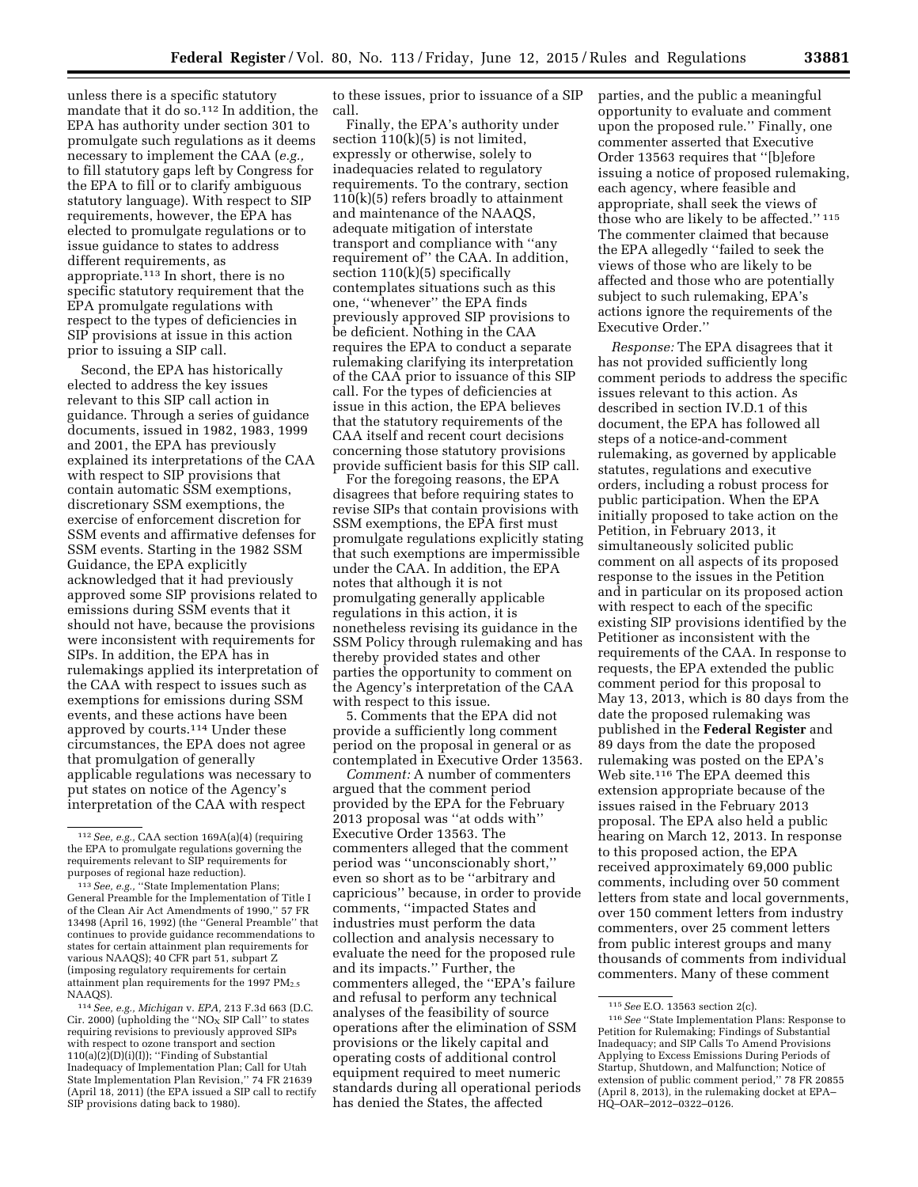unless there is a specific statutory mandate that it do so.<sup>112</sup> In addition, the EPA has authority under section 301 to promulgate such regulations as it deems necessary to implement the CAA (*e.g.,*  to fill statutory gaps left by Congress for the EPA to fill or to clarify ambiguous statutory language). With respect to SIP requirements, however, the EPA has elected to promulgate regulations or to issue guidance to states to address different requirements, as appropriate.113 In short, there is no specific statutory requirement that the EPA promulgate regulations with respect to the types of deficiencies in SIP provisions at issue in this action prior to issuing a SIP call.

Second, the EPA has historically elected to address the key issues relevant to this SIP call action in guidance. Through a series of guidance documents, issued in 1982, 1983, 1999 and 2001, the EPA has previously explained its interpretations of the CAA with respect to SIP provisions that contain automatic SSM exemptions, discretionary SSM exemptions, the exercise of enforcement discretion for SSM events and affirmative defenses for SSM events. Starting in the 1982 SSM Guidance, the EPA explicitly acknowledged that it had previously approved some SIP provisions related to emissions during SSM events that it should not have, because the provisions were inconsistent with requirements for SIPs. In addition, the EPA has in rulemakings applied its interpretation of the CAA with respect to issues such as exemptions for emissions during SSM events, and these actions have been approved by courts.114 Under these circumstances, the EPA does not agree that promulgation of generally applicable regulations was necessary to put states on notice of the Agency's interpretation of the CAA with respect

to these issues, prior to issuance of a SIP call.

Finally, the EPA's authority under section  $110(k)(5)$  is not limited, expressly or otherwise, solely to inadequacies related to regulatory requirements. To the contrary, section  $110(k)(5)$  refers broadly to attainment and maintenance of the NAAQS, adequate mitigation of interstate transport and compliance with ''any requirement of'' the CAA. In addition, section 110(k)(5) specifically contemplates situations such as this one, ''whenever'' the EPA finds previously approved SIP provisions to be deficient. Nothing in the CAA requires the EPA to conduct a separate rulemaking clarifying its interpretation of the CAA prior to issuance of this SIP call. For the types of deficiencies at issue in this action, the EPA believes that the statutory requirements of the CAA itself and recent court decisions concerning those statutory provisions provide sufficient basis for this SIP call.

For the foregoing reasons, the EPA disagrees that before requiring states to revise SIPs that contain provisions with SSM exemptions, the EPA first must promulgate regulations explicitly stating that such exemptions are impermissible under the CAA. In addition, the EPA notes that although it is not promulgating generally applicable regulations in this action, it is nonetheless revising its guidance in the SSM Policy through rulemaking and has thereby provided states and other parties the opportunity to comment on the Agency's interpretation of the CAA with respect to this issue.

5. Comments that the EPA did not provide a sufficiently long comment period on the proposal in general or as contemplated in Executive Order 13563.

*Comment:* A number of commenters argued that the comment period provided by the EPA for the February 2013 proposal was ''at odds with'' Executive Order 13563. The commenters alleged that the comment period was ''unconscionably short,'' even so short as to be ''arbitrary and capricious'' because, in order to provide comments, ''impacted States and industries must perform the data collection and analysis necessary to evaluate the need for the proposed rule and its impacts.'' Further, the commenters alleged, the ''EPA's failure and refusal to perform any technical analyses of the feasibility of source operations after the elimination of SSM provisions or the likely capital and operating costs of additional control equipment required to meet numeric standards during all operational periods has denied the States, the affected

parties, and the public a meaningful opportunity to evaluate and comment upon the proposed rule.'' Finally, one commenter asserted that Executive Order 13563 requires that ''[b]efore issuing a notice of proposed rulemaking, each agency, where feasible and appropriate, shall seek the views of those who are likely to be affected.'' 115 The commenter claimed that because the EPA allegedly ''failed to seek the views of those who are likely to be affected and those who are potentially subject to such rulemaking, EPA's actions ignore the requirements of the Executive Order.''

*Response:* The EPA disagrees that it has not provided sufficiently long comment periods to address the specific issues relevant to this action. As described in section IV.D.1 of this document, the EPA has followed all steps of a notice-and-comment rulemaking, as governed by applicable statutes, regulations and executive orders, including a robust process for public participation. When the EPA initially proposed to take action on the Petition, in February 2013, it simultaneously solicited public comment on all aspects of its proposed response to the issues in the Petition and in particular on its proposed action with respect to each of the specific existing SIP provisions identified by the Petitioner as inconsistent with the requirements of the CAA. In response to requests, the EPA extended the public comment period for this proposal to May 13, 2013, which is 80 days from the date the proposed rulemaking was published in the **Federal Register** and 89 days from the date the proposed rulemaking was posted on the EPA's Web site.116 The EPA deemed this extension appropriate because of the issues raised in the February 2013 proposal. The EPA also held a public hearing on March 12, 2013. In response to this proposed action, the EPA received approximately 69,000 public comments, including over 50 comment letters from state and local governments, over 150 comment letters from industry commenters, over 25 comment letters from public interest groups and many thousands of comments from individual commenters. Many of these comment

<sup>112</sup>*See, e.g.,* CAA section 169A(a)(4) (requiring the EPA to promulgate regulations governing the requirements relevant to SIP requirements for purposes of regional haze reduction).

<sup>113</sup>*See, e.g.,* ''State Implementation Plans; General Preamble for the Implementation of Title I of the Clean Air Act Amendments of 1990,'' 57 FR 13498 (April 16, 1992) (the ''General Preamble'' that continues to provide guidance recommendations to states for certain attainment plan requirements for various NAAQS); 40 CFR part 51, subpart Z (imposing regulatory requirements for certain attainment plan requirements for the 1997  $PM_{2.5}$ NAAQS).

<sup>114</sup>*See, e.g., Michigan* v. *EPA,* 213 F.3d 663 (D.C. Cir. 2000) (upholding the " $NO<sub>x</sub>$  SIP Call" to states requiring revisions to previously approved SIPs with respect to ozone transport and section  $110(a)(2)$ (D)(i)(I)); "Finding of Substantial Inadequacy of Implementation Plan; Call for Utah State Implementation Plan Revision,'' 74 FR 21639 (April 18, 2011) (the EPA issued a SIP call to rectify SIP provisions dating back to 1980).

<sup>115</sup>*See* E.O. 13563 section 2(c).

<sup>116</sup>*See* ''State Implementation Plans: Response to Petition for Rulemaking; Findings of Substantial Inadequacy; and SIP Calls To Amend Provisions Applying to Excess Emissions During Periods of Startup, Shutdown, and Malfunction; Notice of extension of public comment period,'' 78 FR 20855 (April 8, 2013), in the rulemaking docket at EPA– HQ–OAR–2012–0322–0126.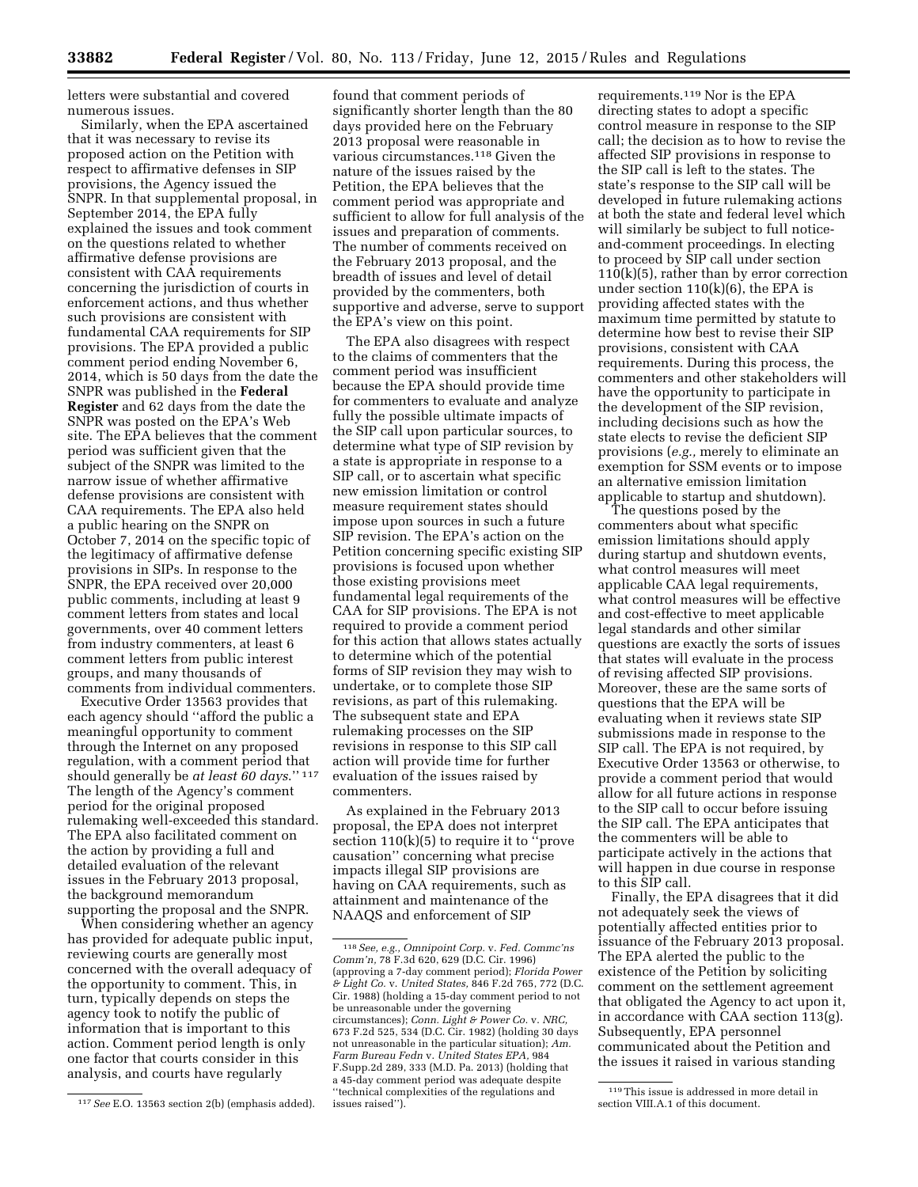letters were substantial and covered numerous issues.

Similarly, when the EPA ascertained that it was necessary to revise its proposed action on the Petition with respect to affirmative defenses in SIP provisions, the Agency issued the SNPR. In that supplemental proposal, in September 2014, the EPA fully explained the issues and took comment on the questions related to whether affirmative defense provisions are consistent with CAA requirements concerning the jurisdiction of courts in enforcement actions, and thus whether such provisions are consistent with fundamental CAA requirements for SIP provisions. The EPA provided a public comment period ending November 6, 2014, which is 50 days from the date the SNPR was published in the **Federal Register** and 62 days from the date the SNPR was posted on the EPA's Web site. The EPA believes that the comment period was sufficient given that the subject of the SNPR was limited to the narrow issue of whether affirmative defense provisions are consistent with CAA requirements. The EPA also held a public hearing on the SNPR on October 7, 2014 on the specific topic of the legitimacy of affirmative defense provisions in SIPs. In response to the SNPR, the EPA received over 20,000 public comments, including at least 9 comment letters from states and local governments, over 40 comment letters from industry commenters, at least 6 comment letters from public interest groups, and many thousands of comments from individual commenters.

Executive Order 13563 provides that each agency should ''afford the public a meaningful opportunity to comment through the Internet on any proposed regulation, with a comment period that should generally be *at least 60 days*.'' 117 The length of the Agency's comment period for the original proposed rulemaking well-exceeded this standard. The EPA also facilitated comment on the action by providing a full and detailed evaluation of the relevant issues in the February 2013 proposal, the background memorandum supporting the proposal and the SNPR.

When considering whether an agency has provided for adequate public input, reviewing courts are generally most concerned with the overall adequacy of the opportunity to comment. This, in turn, typically depends on steps the agency took to notify the public of information that is important to this action. Comment period length is only one factor that courts consider in this analysis, and courts have regularly

found that comment periods of significantly shorter length than the 80 days provided here on the February 2013 proposal were reasonable in various circumstances.118 Given the nature of the issues raised by the Petition, the EPA believes that the comment period was appropriate and sufficient to allow for full analysis of the issues and preparation of comments. The number of comments received on the February 2013 proposal, and the breadth of issues and level of detail provided by the commenters, both supportive and adverse, serve to support the EPA's view on this point.

The EPA also disagrees with respect to the claims of commenters that the comment period was insufficient because the EPA should provide time for commenters to evaluate and analyze fully the possible ultimate impacts of the SIP call upon particular sources, to determine what type of SIP revision by a state is appropriate in response to a SIP call, or to ascertain what specific new emission limitation or control measure requirement states should impose upon sources in such a future SIP revision. The EPA's action on the Petition concerning specific existing SIP provisions is focused upon whether those existing provisions meet fundamental legal requirements of the CAA for SIP provisions. The EPA is not required to provide a comment period for this action that allows states actually to determine which of the potential forms of SIP revision they may wish to undertake, or to complete those SIP revisions, as part of this rulemaking. The subsequent state and EPA rulemaking processes on the SIP revisions in response to this SIP call action will provide time for further evaluation of the issues raised by commenters.

As explained in the February 2013 proposal, the EPA does not interpret section 110(k)(5) to require it to ''prove causation'' concerning what precise impacts illegal SIP provisions are having on CAA requirements, such as attainment and maintenance of the NAAQS and enforcement of SIP

requirements.119 Nor is the EPA directing states to adopt a specific control measure in response to the SIP call; the decision as to how to revise the affected SIP provisions in response to the SIP call is left to the states. The state's response to the SIP call will be developed in future rulemaking actions at both the state and federal level which will similarly be subject to full noticeand-comment proceedings. In electing to proceed by SIP call under section 110(k)(5), rather than by error correction under section  $110(k)(6)$ , the EPA is providing affected states with the maximum time permitted by statute to determine how best to revise their SIP provisions, consistent with CAA requirements. During this process, the commenters and other stakeholders will have the opportunity to participate in the development of the SIP revision, including decisions such as how the state elects to revise the deficient SIP provisions (*e.g.,* merely to eliminate an exemption for SSM events or to impose an alternative emission limitation applicable to startup and shutdown).

The questions posed by the commenters about what specific emission limitations should apply during startup and shutdown events, what control measures will meet applicable CAA legal requirements, what control measures will be effective and cost-effective to meet applicable legal standards and other similar questions are exactly the sorts of issues that states will evaluate in the process of revising affected SIP provisions. Moreover, these are the same sorts of questions that the EPA will be evaluating when it reviews state SIP submissions made in response to the SIP call. The EPA is not required, by Executive Order 13563 or otherwise, to provide a comment period that would allow for all future actions in response to the SIP call to occur before issuing the SIP call. The EPA anticipates that the commenters will be able to participate actively in the actions that will happen in due course in response to this SIP call.

Finally, the EPA disagrees that it did not adequately seek the views of potentially affected entities prior to issuance of the February 2013 proposal. The EPA alerted the public to the existence of the Petition by soliciting comment on the settlement agreement that obligated the Agency to act upon it, in accordance with CAA section 113(g). Subsequently, EPA personnel communicated about the Petition and the issues it raised in various standing

<sup>117</sup>*See* E.O. 13563 section 2(b) (emphasis added).

<sup>118</sup>*See, e.g., Omnipoint Corp.* v. *Fed. Commc'ns Comm'n,* 78 F.3d 620, 629 (D.C. Cir. 1996) (approving a 7-day comment period); *Florida Power & Light Co.* v. *United States,* 846 F.2d 765, 772 (D.C. Cir. 1988) (holding a 15-day comment period to not be unreasonable under the governing circumstances); *Conn. Light & Power Co.* v. *NRC,*  673 F.2d 525, 534 (D.C. Cir. 1982) (holding 30 days not unreasonable in the particular situation); *Am. Farm Bureau Fedn* v. *United States EPA,* 984 F.Supp.2d 289, 333 (M.D. Pa. 2013) (holding that a 45-day comment period was adequate despite ''technical complexities of the regulations and issues raised'').

<sup>119</sup>This issue is addressed in more detail in section VIII.A.1 of this document.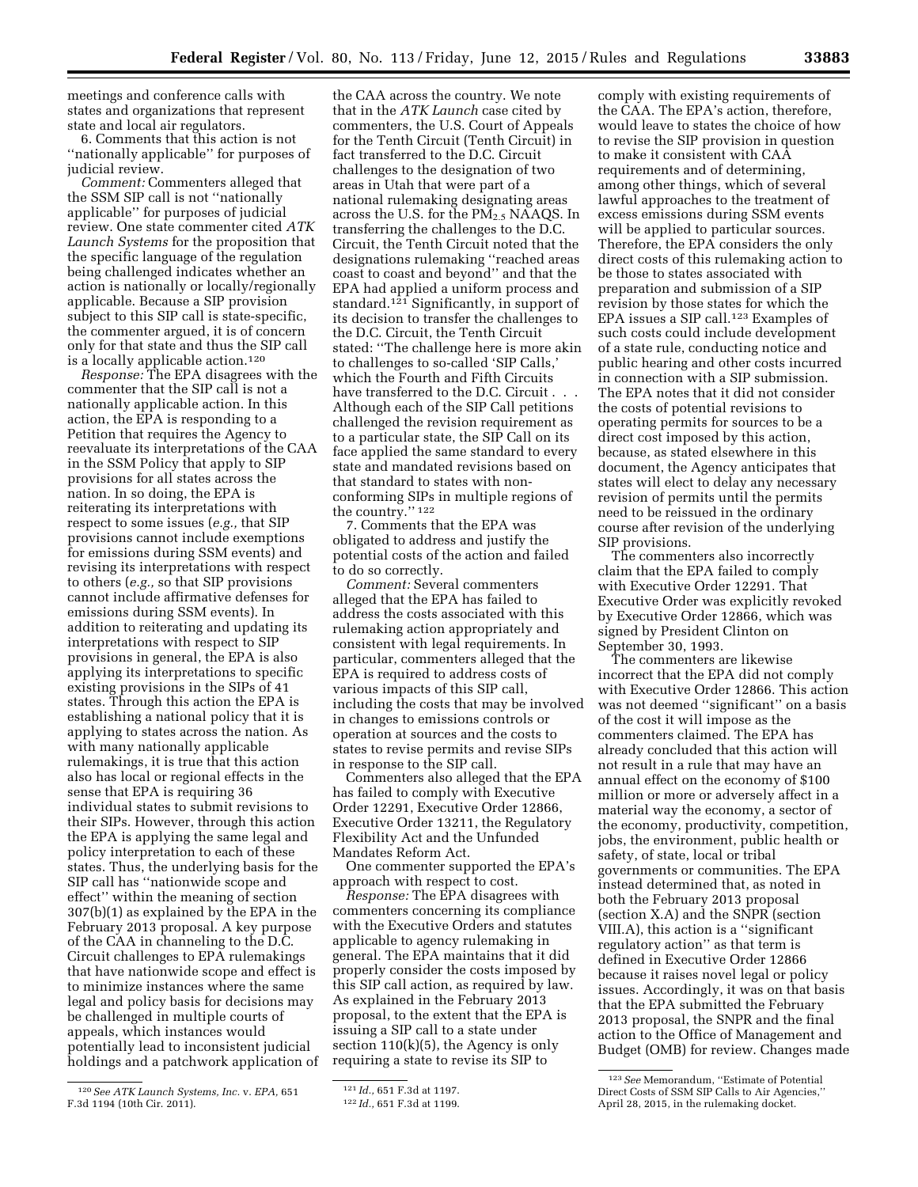meetings and conference calls with states and organizations that represent state and local air regulators.

6. Comments that this action is not ''nationally applicable'' for purposes of judicial review.

*Comment:* Commenters alleged that the SSM SIP call is not ''nationally applicable'' for purposes of judicial review. One state commenter cited *ATK Launch Systems* for the proposition that the specific language of the regulation being challenged indicates whether an action is nationally or locally/regionally applicable. Because a SIP provision subject to this SIP call is state-specific, the commenter argued, it is of concern only for that state and thus the SIP call is a locally applicable action.120

*Response:* The EPA disagrees with the commenter that the SIP call is not a nationally applicable action. In this action, the EPA is responding to a Petition that requires the Agency to reevaluate its interpretations of the CAA in the SSM Policy that apply to SIP provisions for all states across the nation. In so doing, the EPA is reiterating its interpretations with respect to some issues (*e.g.,* that SIP provisions cannot include exemptions for emissions during SSM events) and revising its interpretations with respect to others (*e.g.,* so that SIP provisions cannot include affirmative defenses for emissions during SSM events). In addition to reiterating and updating its interpretations with respect to SIP provisions in general, the EPA is also applying its interpretations to specific existing provisions in the SIPs of 41 states. Through this action the EPA is establishing a national policy that it is applying to states across the nation. As with many nationally applicable rulemakings, it is true that this action also has local or regional effects in the sense that EPA is requiring 36 individual states to submit revisions to their SIPs. However, through this action the EPA is applying the same legal and policy interpretation to each of these states. Thus, the underlying basis for the SIP call has ''nationwide scope and effect'' within the meaning of section 307(b)(1) as explained by the EPA in the February 2013 proposal. A key purpose of the CAA in channeling to the D.C. Circuit challenges to EPA rulemakings that have nationwide scope and effect is to minimize instances where the same legal and policy basis for decisions may be challenged in multiple courts of appeals, which instances would potentially lead to inconsistent judicial holdings and a patchwork application of

the CAA across the country. We note that in the *ATK Launch* case cited by commenters, the U.S. Court of Appeals for the Tenth Circuit (Tenth Circuit) in fact transferred to the D.C. Circuit challenges to the designation of two areas in Utah that were part of a national rulemaking designating areas across the U.S. for the PM<sub>2.5</sub> NAAQS. In transferring the challenges to the D.C. Circuit, the Tenth Circuit noted that the designations rulemaking ''reached areas coast to coast and beyond'' and that the EPA had applied a uniform process and standard.121 Significantly, in support of its decision to transfer the challenges to the D.C. Circuit, the Tenth Circuit stated: ''The challenge here is more akin to challenges to so-called 'SIP Calls,' which the Fourth and Fifth Circuits have transferred to the D.C. Circuit . . . Although each of the SIP Call petitions challenged the revision requirement as to a particular state, the SIP Call on its face applied the same standard to every state and mandated revisions based on that standard to states with nonconforming SIPs in multiple regions of the country.'' 122

7. Comments that the EPA was obligated to address and justify the potential costs of the action and failed to do so correctly.

*Comment:* Several commenters alleged that the EPA has failed to address the costs associated with this rulemaking action appropriately and consistent with legal requirements. In particular, commenters alleged that the EPA is required to address costs of various impacts of this SIP call, including the costs that may be involved in changes to emissions controls or operation at sources and the costs to states to revise permits and revise SIPs in response to the SIP call.

Commenters also alleged that the EPA has failed to comply with Executive Order 12291, Executive Order 12866, Executive Order 13211, the Regulatory Flexibility Act and the Unfunded Mandates Reform Act.

One commenter supported the EPA's approach with respect to cost.

*Response:* The EPA disagrees with commenters concerning its compliance with the Executive Orders and statutes applicable to agency rulemaking in general. The EPA maintains that it did properly consider the costs imposed by this SIP call action, as required by law. As explained in the February 2013 proposal, to the extent that the EPA is issuing a SIP call to a state under section 110(k)(5), the Agency is only requiring a state to revise its SIP to

comply with existing requirements of the CAA. The EPA's action, therefore, would leave to states the choice of how to revise the SIP provision in question to make it consistent with CAA requirements and of determining, among other things, which of several lawful approaches to the treatment of excess emissions during SSM events will be applied to particular sources. Therefore, the EPA considers the only direct costs of this rulemaking action to be those to states associated with preparation and submission of a SIP revision by those states for which the EPA issues a SIP call.<sup>123</sup> Examples of such costs could include development of a state rule, conducting notice and public hearing and other costs incurred in connection with a SIP submission. The EPA notes that it did not consider the costs of potential revisions to operating permits for sources to be a direct cost imposed by this action, because, as stated elsewhere in this document, the Agency anticipates that states will elect to delay any necessary revision of permits until the permits need to be reissued in the ordinary course after revision of the underlying SIP provisions.

The commenters also incorrectly claim that the EPA failed to comply with Executive Order 12291. That Executive Order was explicitly revoked by Executive Order 12866, which was signed by President Clinton on September 30, 1993.

The commenters are likewise incorrect that the EPA did not comply with Executive Order 12866. This action was not deemed ''significant'' on a basis of the cost it will impose as the commenters claimed. The EPA has already concluded that this action will not result in a rule that may have an annual effect on the economy of \$100 million or more or adversely affect in a material way the economy, a sector of the economy, productivity, competition, jobs, the environment, public health or safety, of state, local or tribal governments or communities. The EPA instead determined that, as noted in both the February 2013 proposal (section X.A) and the SNPR (section VIII.A), this action is a ''significant regulatory action'' as that term is defined in Executive Order 12866 because it raises novel legal or policy issues. Accordingly, it was on that basis that the EPA submitted the February 2013 proposal, the SNPR and the final action to the Office of Management and Budget (OMB) for review. Changes made

<sup>120</sup>*See ATK Launch Systems, Inc.* v. *EPA,* 651 F.3d 1194 (10th Cir. 2011).

<sup>121</sup> *Id.,* 651 F.3d at 1197.

<sup>122</sup> *Id.,* 651 F.3d at 1199.

<sup>123</sup>*See* Memorandum, ''Estimate of Potential Direct Costs of SSM SIP Calls to Air Agencies,'' April 28, 2015, in the rulemaking docket.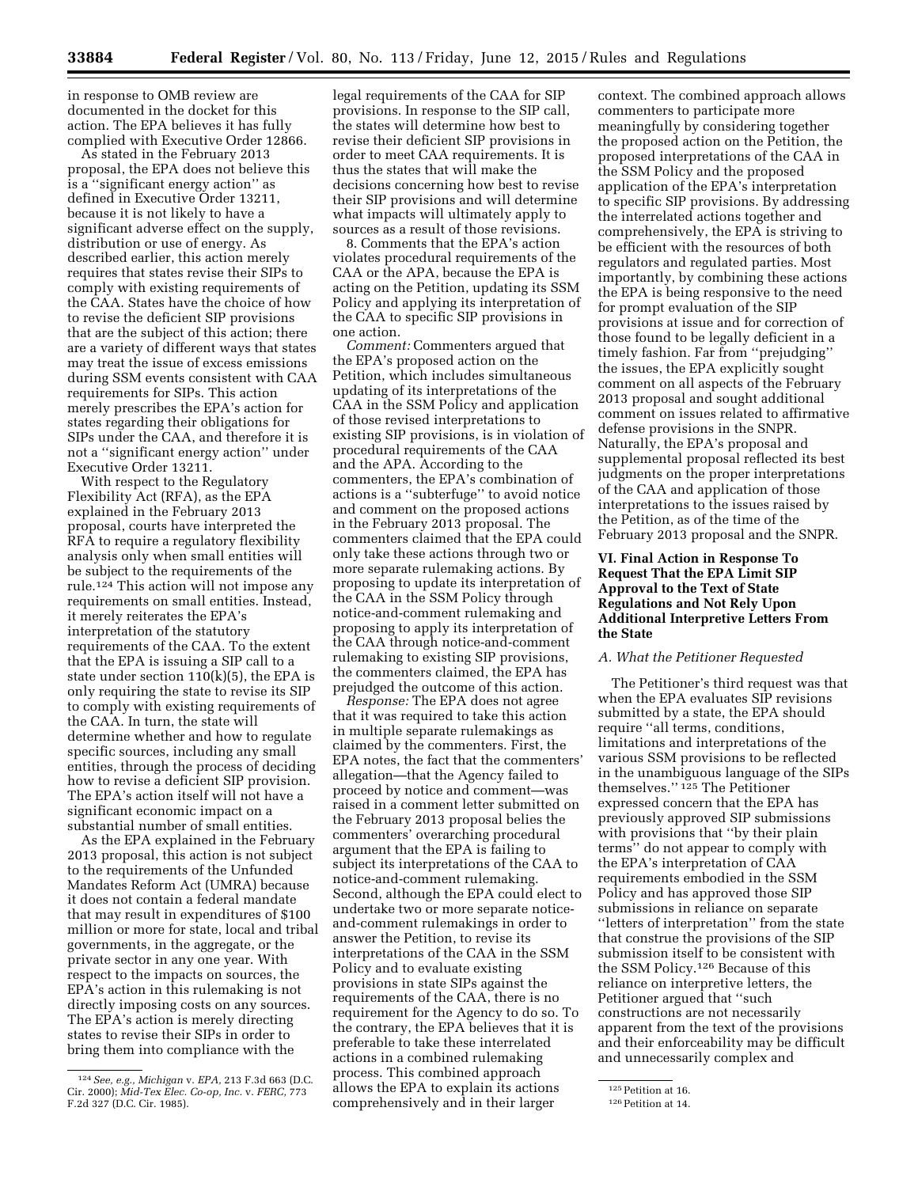in response to OMB review are documented in the docket for this action. The EPA believes it has fully complied with Executive Order 12866.

As stated in the February 2013 proposal, the EPA does not believe this is a ''significant energy action'' as defined in Executive Order 13211, because it is not likely to have a significant adverse effect on the supply, distribution or use of energy. As described earlier, this action merely requires that states revise their SIPs to comply with existing requirements of the CAA. States have the choice of how to revise the deficient SIP provisions that are the subject of this action; there are a variety of different ways that states may treat the issue of excess emissions during SSM events consistent with CAA requirements for SIPs. This action merely prescribes the EPA's action for states regarding their obligations for SIPs under the CAA, and therefore it is not a ''significant energy action'' under Executive Order 13211.

With respect to the Regulatory Flexibility Act (RFA), as the EPA explained in the February 2013 proposal, courts have interpreted the RFA to require a regulatory flexibility analysis only when small entities will be subject to the requirements of the rule.124 This action will not impose any requirements on small entities. Instead, it merely reiterates the EPA's interpretation of the statutory requirements of the CAA. To the extent that the EPA is issuing a SIP call to a state under section  $110(k)(5)$ , the EPA is only requiring the state to revise its SIP to comply with existing requirements of the CAA. In turn, the state will determine whether and how to regulate specific sources, including any small entities, through the process of deciding how to revise a deficient SIP provision. The EPA's action itself will not have a significant economic impact on a substantial number of small entities.

As the EPA explained in the February 2013 proposal, this action is not subject to the requirements of the Unfunded Mandates Reform Act (UMRA) because it does not contain a federal mandate that may result in expenditures of \$100 million or more for state, local and tribal governments, in the aggregate, or the private sector in any one year. With respect to the impacts on sources, the EPA's action in this rulemaking is not directly imposing costs on any sources. The EPA's action is merely directing states to revise their SIPs in order to bring them into compliance with the

legal requirements of the CAA for SIP provisions. In response to the SIP call, the states will determine how best to revise their deficient SIP provisions in order to meet CAA requirements. It is thus the states that will make the decisions concerning how best to revise their SIP provisions and will determine what impacts will ultimately apply to sources as a result of those revisions.

8. Comments that the EPA's action violates procedural requirements of the CAA or the APA, because the EPA is acting on the Petition, updating its SSM Policy and applying its interpretation of the CAA to specific SIP provisions in one action.

*Comment:* Commenters argued that the EPA's proposed action on the Petition, which includes simultaneous updating of its interpretations of the CAA in the SSM Policy and application of those revised interpretations to existing SIP provisions, is in violation of procedural requirements of the CAA and the APA. According to the commenters, the EPA's combination of actions is a ''subterfuge'' to avoid notice and comment on the proposed actions in the February 2013 proposal. The commenters claimed that the EPA could only take these actions through two or more separate rulemaking actions. By proposing to update its interpretation of the CAA in the SSM Policy through notice-and-comment rulemaking and proposing to apply its interpretation of the CAA through notice-and-comment rulemaking to existing SIP provisions, the commenters claimed, the EPA has prejudged the outcome of this action.

*Response:* The EPA does not agree that it was required to take this action in multiple separate rulemakings as claimed by the commenters. First, the EPA notes, the fact that the commenters' allegation—that the Agency failed to proceed by notice and comment—was raised in a comment letter submitted on the February 2013 proposal belies the commenters' overarching procedural argument that the EPA is failing to subject its interpretations of the CAA to notice-and-comment rulemaking. Second, although the EPA could elect to undertake two or more separate noticeand-comment rulemakings in order to answer the Petition, to revise its interpretations of the CAA in the SSM Policy and to evaluate existing provisions in state SIPs against the requirements of the CAA, there is no requirement for the Agency to do so. To the contrary, the EPA believes that it is preferable to take these interrelated actions in a combined rulemaking process. This combined approach allows the EPA to explain its actions comprehensively and in their larger

context. The combined approach allows commenters to participate more meaningfully by considering together the proposed action on the Petition, the proposed interpretations of the CAA in the SSM Policy and the proposed application of the EPA's interpretation to specific SIP provisions. By addressing the interrelated actions together and comprehensively, the EPA is striving to be efficient with the resources of both regulators and regulated parties. Most importantly, by combining these actions the EPA is being responsive to the need for prompt evaluation of the SIP provisions at issue and for correction of those found to be legally deficient in a timely fashion. Far from ''prejudging'' the issues, the EPA explicitly sought comment on all aspects of the February 2013 proposal and sought additional comment on issues related to affirmative defense provisions in the SNPR. Naturally, the EPA's proposal and supplemental proposal reflected its best judgments on the proper interpretations of the CAA and application of those interpretations to the issues raised by the Petition, as of the time of the February 2013 proposal and the SNPR.

# **VI. Final Action in Response To Request That the EPA Limit SIP Approval to the Text of State Regulations and Not Rely Upon Additional Interpretive Letters From the State**

# *A. What the Petitioner Requested*

The Petitioner's third request was that when the EPA evaluates SIP revisions submitted by a state, the EPA should require ''all terms, conditions, limitations and interpretations of the various SSM provisions to be reflected in the unambiguous language of the SIPs themselves.'' 125 The Petitioner expressed concern that the EPA has previously approved SIP submissions with provisions that ''by their plain terms'' do not appear to comply with the EPA's interpretation of CAA requirements embodied in the SSM Policy and has approved those SIP submissions in reliance on separate ''letters of interpretation'' from the state that construe the provisions of the SIP submission itself to be consistent with the SSM Policy.126 Because of this reliance on interpretive letters, the Petitioner argued that ''such constructions are not necessarily apparent from the text of the provisions and their enforceability may be difficult and unnecessarily complex and

<sup>124</sup>*See, e.g., Michigan* v. *EPA,* 213 F.3d 663 (D.C. Cir. 2000); *Mid-Tex Elec. Co-op, Inc.* v. *FERC,* 773 F.2d 327 (D.C. Cir. 1985).

<sup>125</sup> Petition at 16.

<sup>&</sup>lt;sup>126</sup> Petition at 14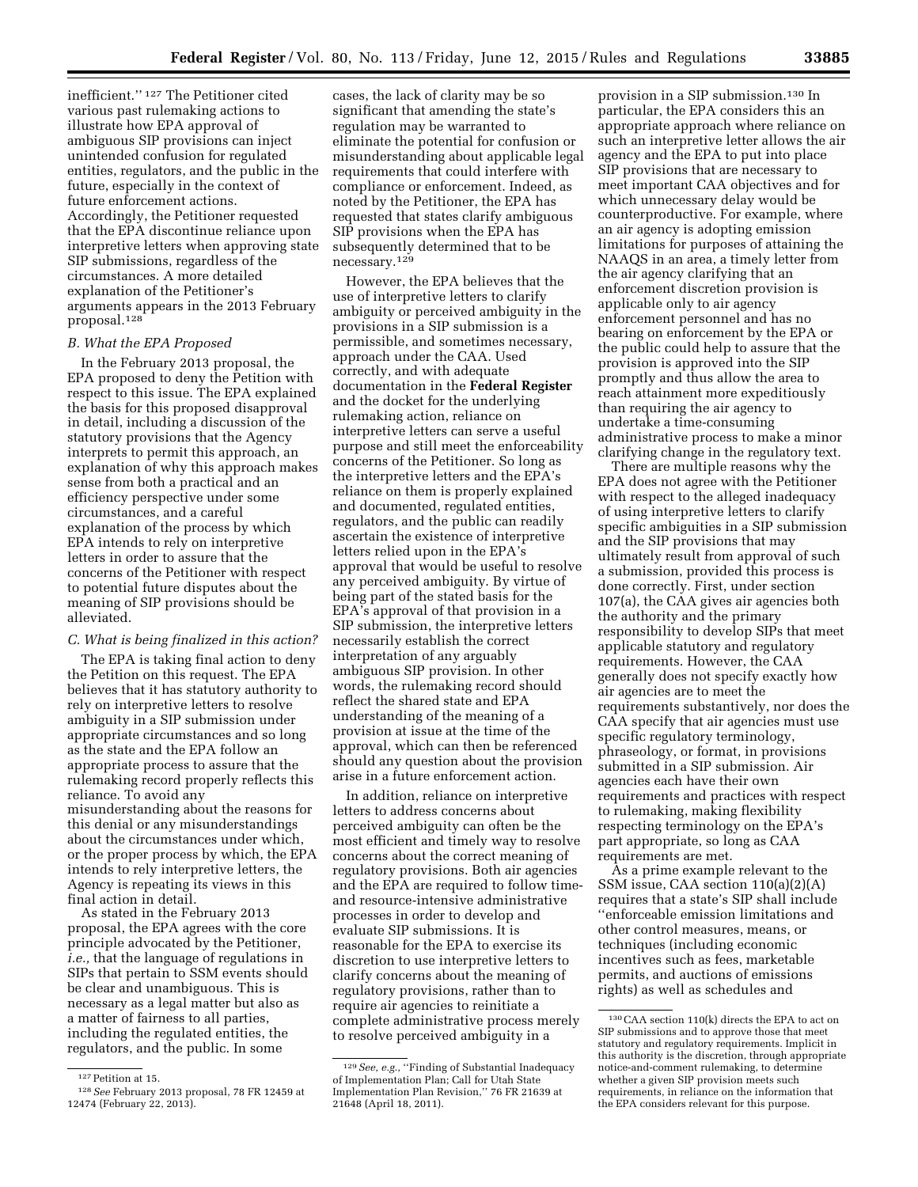inefficient.'' 127 The Petitioner cited various past rulemaking actions to illustrate how EPA approval of ambiguous SIP provisions can inject unintended confusion for regulated entities, regulators, and the public in the future, especially in the context of future enforcement actions. Accordingly, the Petitioner requested that the EPA discontinue reliance upon interpretive letters when approving state SIP submissions, regardless of the circumstances. A more detailed explanation of the Petitioner's arguments appears in the 2013 February proposal.128

# *B. What the EPA Proposed*

In the February 2013 proposal, the EPA proposed to deny the Petition with respect to this issue. The EPA explained the basis for this proposed disapproval in detail, including a discussion of the statutory provisions that the Agency interprets to permit this approach, an explanation of why this approach makes sense from both a practical and an efficiency perspective under some circumstances, and a careful explanation of the process by which EPA intends to rely on interpretive letters in order to assure that the concerns of the Petitioner with respect to potential future disputes about the meaning of SIP provisions should be alleviated.

# *C. What is being finalized in this action?*

The EPA is taking final action to deny the Petition on this request. The EPA believes that it has statutory authority to rely on interpretive letters to resolve ambiguity in a SIP submission under appropriate circumstances and so long as the state and the EPA follow an appropriate process to assure that the rulemaking record properly reflects this reliance. To avoid any misunderstanding about the reasons for this denial or any misunderstandings about the circumstances under which, or the proper process by which, the EPA intends to rely interpretive letters, the Agency is repeating its views in this final action in detail.

As stated in the February 2013 proposal, the EPA agrees with the core principle advocated by the Petitioner, *i.e.,* that the language of regulations in SIPs that pertain to SSM events should be clear and unambiguous. This is necessary as a legal matter but also as a matter of fairness to all parties, including the regulated entities, the regulators, and the public. In some

cases, the lack of clarity may be so significant that amending the state's regulation may be warranted to eliminate the potential for confusion or misunderstanding about applicable legal requirements that could interfere with compliance or enforcement. Indeed, as noted by the Petitioner, the EPA has requested that states clarify ambiguous SIP provisions when the EPA has subsequently determined that to be necessary.129

However, the EPA believes that the use of interpretive letters to clarify ambiguity or perceived ambiguity in the provisions in a SIP submission is a permissible, and sometimes necessary, approach under the CAA. Used correctly, and with adequate documentation in the **Federal Register**  and the docket for the underlying rulemaking action, reliance on interpretive letters can serve a useful purpose and still meet the enforceability concerns of the Petitioner. So long as the interpretive letters and the EPA's reliance on them is properly explained and documented, regulated entities, regulators, and the public can readily ascertain the existence of interpretive letters relied upon in the EPA's approval that would be useful to resolve any perceived ambiguity. By virtue of being part of the stated basis for the EPA's approval of that provision in a SIP submission, the interpretive letters necessarily establish the correct interpretation of any arguably ambiguous SIP provision. In other words, the rulemaking record should reflect the shared state and EPA understanding of the meaning of a provision at issue at the time of the approval, which can then be referenced should any question about the provision arise in a future enforcement action.

In addition, reliance on interpretive letters to address concerns about perceived ambiguity can often be the most efficient and timely way to resolve concerns about the correct meaning of regulatory provisions. Both air agencies and the EPA are required to follow timeand resource-intensive administrative processes in order to develop and evaluate SIP submissions. It is reasonable for the EPA to exercise its discretion to use interpretive letters to clarify concerns about the meaning of regulatory provisions, rather than to require air agencies to reinitiate a complete administrative process merely to resolve perceived ambiguity in a

provision in a SIP submission.130 In particular, the EPA considers this an appropriate approach where reliance on such an interpretive letter allows the air agency and the EPA to put into place SIP provisions that are necessary to meet important CAA objectives and for which unnecessary delay would be counterproductive. For example, where an air agency is adopting emission limitations for purposes of attaining the NAAQS in an area, a timely letter from the air agency clarifying that an enforcement discretion provision is applicable only to air agency enforcement personnel and has no bearing on enforcement by the EPA or the public could help to assure that the provision is approved into the SIP promptly and thus allow the area to reach attainment more expeditiously than requiring the air agency to undertake a time-consuming administrative process to make a minor clarifying change in the regulatory text.

There are multiple reasons why the EPA does not agree with the Petitioner with respect to the alleged inadequacy of using interpretive letters to clarify specific ambiguities in a SIP submission and the SIP provisions that may ultimately result from approval of such a submission, provided this process is done correctly. First, under section 107(a), the CAA gives air agencies both the authority and the primary responsibility to develop SIPs that meet applicable statutory and regulatory requirements. However, the CAA generally does not specify exactly how air agencies are to meet the requirements substantively, nor does the CAA specify that air agencies must use specific regulatory terminology, phraseology, or format, in provisions submitted in a SIP submission. Air agencies each have their own requirements and practices with respect to rulemaking, making flexibility respecting terminology on the EPA's part appropriate, so long as CAA requirements are met.

As a prime example relevant to the SSM issue, CAA section 110(a)(2)(A) requires that a state's SIP shall include ''enforceable emission limitations and other control measures, means, or techniques (including economic incentives such as fees, marketable permits, and auctions of emissions rights) as well as schedules and

<sup>127</sup>Petition at 15.

<sup>128</sup>*See* February 2013 proposal, 78 FR 12459 at 12474 (February 22, 2013).

<sup>129</sup>*See, e.g.,* ''Finding of Substantial Inadequacy of Implementation Plan; Call for Utah State Implementation Plan Revision,'' 76 FR 21639 at 21648 (April 18, 2011).

 $^{130}\mathrm{CAA}$  section 110(k) directs the EPA to act on SIP submissions and to approve those that meet statutory and regulatory requirements. Implicit in this authority is the discretion, through appropriate notice-and-comment rulemaking, to determine whether a given SIP provision meets such requirements, in reliance on the information that the EPA considers relevant for this purpose.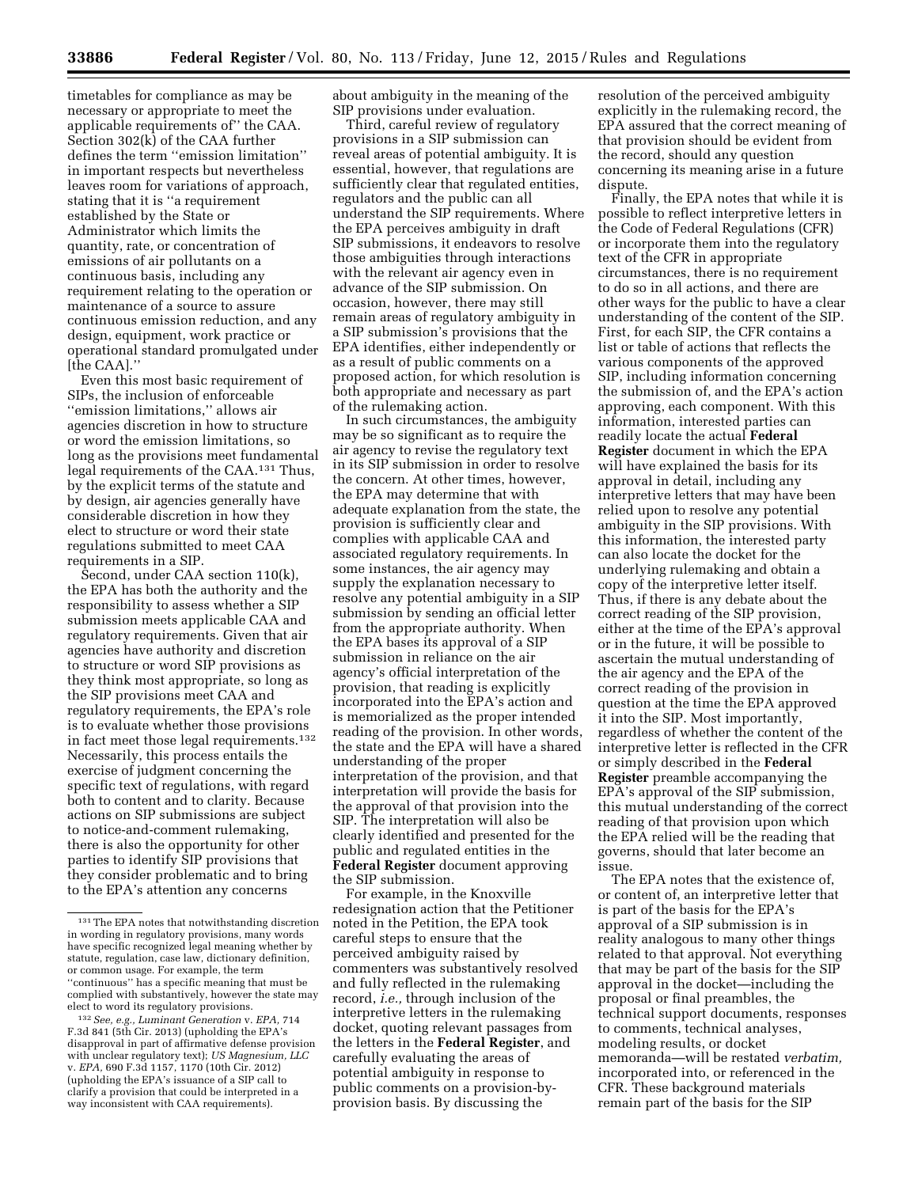timetables for compliance as may be necessary or appropriate to meet the applicable requirements of'' the CAA. Section 302(k) of the CAA further defines the term ''emission limitation'' in important respects but nevertheless leaves room for variations of approach, stating that it is ''a requirement established by the State or Administrator which limits the quantity, rate, or concentration of emissions of air pollutants on a continuous basis, including any requirement relating to the operation or maintenance of a source to assure continuous emission reduction, and any design, equipment, work practice or operational standard promulgated under [the CAA].''

Even this most basic requirement of SIPs, the inclusion of enforceable ''emission limitations,'' allows air agencies discretion in how to structure or word the emission limitations, so long as the provisions meet fundamental legal requirements of the CAA.131 Thus, by the explicit terms of the statute and by design, air agencies generally have considerable discretion in how they elect to structure or word their state regulations submitted to meet CAA requirements in a SIP.

Second, under CAA section 110(k), the EPA has both the authority and the responsibility to assess whether a SIP submission meets applicable CAA and regulatory requirements. Given that air agencies have authority and discretion to structure or word SIP provisions as they think most appropriate, so long as the SIP provisions meet CAA and regulatory requirements, the EPA's role is to evaluate whether those provisions in fact meet those legal requirements.132 Necessarily, this process entails the exercise of judgment concerning the specific text of regulations, with regard both to content and to clarity. Because actions on SIP submissions are subject to notice-and-comment rulemaking, there is also the opportunity for other parties to identify SIP provisions that they consider problematic and to bring to the EPA's attention any concerns

132*See, e.g., Luminant Generation* v. *EPA,* 714 F.3d 841 (5th Cir. 2013) (upholding the EPA's disapproval in part of affirmative defense provision with unclear regulatory text); *US Magnesium, LLC*  v. *EPA,* 690 F.3d 1157, 1170 (10th Cir. 2012) (upholding the EPA's issuance of a SIP call to clarify a provision that could be interpreted in a way inconsistent with CAA requirements).

about ambiguity in the meaning of the SIP provisions under evaluation.

Third, careful review of regulatory provisions in a SIP submission can reveal areas of potential ambiguity. It is essential, however, that regulations are sufficiently clear that regulated entities, regulators and the public can all understand the SIP requirements. Where the EPA perceives ambiguity in draft SIP submissions, it endeavors to resolve those ambiguities through interactions with the relevant air agency even in advance of the SIP submission. On occasion, however, there may still remain areas of regulatory ambiguity in a SIP submission's provisions that the EPA identifies, either independently or as a result of public comments on a proposed action, for which resolution is both appropriate and necessary as part of the rulemaking action.

In such circumstances, the ambiguity may be so significant as to require the air agency to revise the regulatory text in its SIP submission in order to resolve the concern. At other times, however, the EPA may determine that with adequate explanation from the state, the provision is sufficiently clear and complies with applicable CAA and associated regulatory requirements. In some instances, the air agency may supply the explanation necessary to resolve any potential ambiguity in a SIP submission by sending an official letter from the appropriate authority. When the EPA bases its approval of a SIP submission in reliance on the air agency's official interpretation of the provision, that reading is explicitly incorporated into the EPA's action and is memorialized as the proper intended reading of the provision. In other words, the state and the EPA will have a shared understanding of the proper interpretation of the provision, and that interpretation will provide the basis for the approval of that provision into the SIP. The interpretation will also be clearly identified and presented for the public and regulated entities in the **Federal Register** document approving the SIP submission.

For example, in the Knoxville redesignation action that the Petitioner noted in the Petition, the EPA took careful steps to ensure that the perceived ambiguity raised by commenters was substantively resolved and fully reflected in the rulemaking record, *i.e.,* through inclusion of the interpretive letters in the rulemaking docket, quoting relevant passages from the letters in the **Federal Register**, and carefully evaluating the areas of potential ambiguity in response to public comments on a provision-byprovision basis. By discussing the

resolution of the perceived ambiguity explicitly in the rulemaking record, the EPA assured that the correct meaning of that provision should be evident from the record, should any question concerning its meaning arise in a future dispute.

Finally, the EPA notes that while it is possible to reflect interpretive letters in the Code of Federal Regulations (CFR) or incorporate them into the regulatory text of the CFR in appropriate circumstances, there is no requirement to do so in all actions, and there are other ways for the public to have a clear understanding of the content of the SIP. First, for each SIP, the CFR contains a list or table of actions that reflects the various components of the approved SIP, including information concerning the submission of, and the EPA's action approving, each component. With this information, interested parties can readily locate the actual **Federal Register** document in which the EPA will have explained the basis for its approval in detail, including any interpretive letters that may have been relied upon to resolve any potential ambiguity in the SIP provisions. With this information, the interested party can also locate the docket for the underlying rulemaking and obtain a copy of the interpretive letter itself. Thus, if there is any debate about the correct reading of the SIP provision, either at the time of the EPA's approval or in the future, it will be possible to ascertain the mutual understanding of the air agency and the EPA of the correct reading of the provision in question at the time the EPA approved it into the SIP. Most importantly, regardless of whether the content of the interpretive letter is reflected in the CFR or simply described in the **Federal Register** preamble accompanying the EPA's approval of the SIP submission, this mutual understanding of the correct reading of that provision upon which the EPA relied will be the reading that governs, should that later become an issue.

The EPA notes that the existence of, or content of, an interpretive letter that is part of the basis for the EPA's approval of a SIP submission is in reality analogous to many other things related to that approval. Not everything that may be part of the basis for the SIP approval in the docket—including the proposal or final preambles, the technical support documents, responses to comments, technical analyses, modeling results, or docket memoranda—will be restated *verbatim,*  incorporated into, or referenced in the CFR. These background materials remain part of the basis for the SIP

<sup>131</sup>The EPA notes that notwithstanding discretion in wording in regulatory provisions, many words have specific recognized legal meaning whether by statute, regulation, case law, dictionary definition, or common usage. For example, the term ''continuous'' has a specific meaning that must be complied with substantively, however the state may elect to word its regulatory provisions.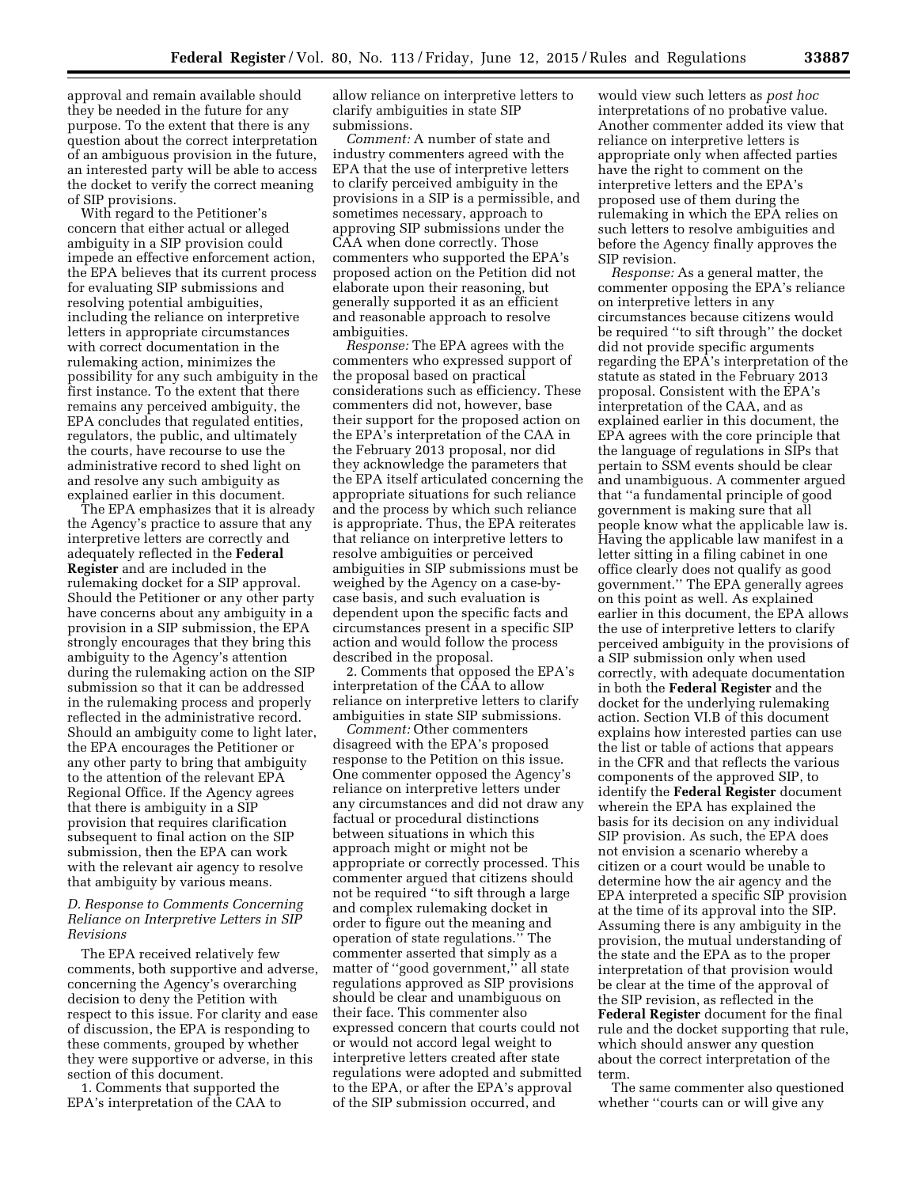approval and remain available should they be needed in the future for any purpose. To the extent that there is any question about the correct interpretation of an ambiguous provision in the future, an interested party will be able to access the docket to verify the correct meaning of SIP provisions.

With regard to the Petitioner's concern that either actual or alleged ambiguity in a SIP provision could impede an effective enforcement action, the EPA believes that its current process for evaluating SIP submissions and resolving potential ambiguities, including the reliance on interpretive letters in appropriate circumstances with correct documentation in the rulemaking action, minimizes the possibility for any such ambiguity in the first instance. To the extent that there remains any perceived ambiguity, the EPA concludes that regulated entities, regulators, the public, and ultimately the courts, have recourse to use the administrative record to shed light on and resolve any such ambiguity as explained earlier in this document.

The EPA emphasizes that it is already the Agency's practice to assure that any interpretive letters are correctly and adequately reflected in the **Federal Register** and are included in the rulemaking docket for a SIP approval. Should the Petitioner or any other party have concerns about any ambiguity in a provision in a SIP submission, the EPA strongly encourages that they bring this ambiguity to the Agency's attention during the rulemaking action on the SIP submission so that it can be addressed in the rulemaking process and properly reflected in the administrative record. Should an ambiguity come to light later, the EPA encourages the Petitioner or any other party to bring that ambiguity to the attention of the relevant EPA Regional Office. If the Agency agrees that there is ambiguity in a SIP provision that requires clarification subsequent to final action on the SIP submission, then the EPA can work with the relevant air agency to resolve that ambiguity by various means.

### *D. Response to Comments Concerning Reliance on Interpretive Letters in SIP Revisions*

The EPA received relatively few comments, both supportive and adverse, concerning the Agency's overarching decision to deny the Petition with respect to this issue. For clarity and ease of discussion, the EPA is responding to these comments, grouped by whether they were supportive or adverse, in this section of this document.

1. Comments that supported the EPA's interpretation of the CAA to allow reliance on interpretive letters to clarify ambiguities in state SIP submissions.

*Comment:* A number of state and industry commenters agreed with the EPA that the use of interpretive letters to clarify perceived ambiguity in the provisions in a SIP is a permissible, and sometimes necessary, approach to approving SIP submissions under the CAA when done correctly. Those commenters who supported the EPA's proposed action on the Petition did not elaborate upon their reasoning, but generally supported it as an efficient and reasonable approach to resolve ambiguities.

*Response:* The EPA agrees with the commenters who expressed support of the proposal based on practical considerations such as efficiency. These commenters did not, however, base their support for the proposed action on the EPA's interpretation of the CAA in the February 2013 proposal, nor did they acknowledge the parameters that the EPA itself articulated concerning the appropriate situations for such reliance and the process by which such reliance is appropriate. Thus, the EPA reiterates that reliance on interpretive letters to resolve ambiguities or perceived ambiguities in SIP submissions must be weighed by the Agency on a case-bycase basis, and such evaluation is dependent upon the specific facts and circumstances present in a specific SIP action and would follow the process described in the proposal.

2. Comments that opposed the EPA's interpretation of the CAA to allow reliance on interpretive letters to clarify ambiguities in state SIP submissions.

*Comment:* Other commenters disagreed with the EPA's proposed response to the Petition on this issue. One commenter opposed the Agency's reliance on interpretive letters under any circumstances and did not draw any factual or procedural distinctions between situations in which this approach might or might not be appropriate or correctly processed. This commenter argued that citizens should not be required ''to sift through a large and complex rulemaking docket in order to figure out the meaning and operation of state regulations.'' The commenter asserted that simply as a matter of ''good government,'' all state regulations approved as SIP provisions should be clear and unambiguous on their face. This commenter also expressed concern that courts could not or would not accord legal weight to interpretive letters created after state regulations were adopted and submitted to the EPA, or after the EPA's approval of the SIP submission occurred, and

would view such letters as *post hoc*  interpretations of no probative value. Another commenter added its view that reliance on interpretive letters is appropriate only when affected parties have the right to comment on the interpretive letters and the EPA's proposed use of them during the rulemaking in which the EPA relies on such letters to resolve ambiguities and before the Agency finally approves the SIP revision.

*Response:* As a general matter, the commenter opposing the EPA's reliance on interpretive letters in any circumstances because citizens would be required ''to sift through'' the docket did not provide specific arguments regarding the EPA's interpretation of the statute as stated in the February 2013 proposal. Consistent with the EPA's interpretation of the CAA, and as explained earlier in this document, the EPA agrees with the core principle that the language of regulations in SIPs that pertain to SSM events should be clear and unambiguous. A commenter argued that ''a fundamental principle of good government is making sure that all people know what the applicable law is. Having the applicable law manifest in a letter sitting in a filing cabinet in one office clearly does not qualify as good government.'' The EPA generally agrees on this point as well. As explained earlier in this document, the EPA allows the use of interpretive letters to clarify perceived ambiguity in the provisions of a SIP submission only when used correctly, with adequate documentation in both the **Federal Register** and the docket for the underlying rulemaking action. Section VI.B of this document explains how interested parties can use the list or table of actions that appears in the CFR and that reflects the various components of the approved SIP, to identify the **Federal Register** document wherein the EPA has explained the basis for its decision on any individual SIP provision. As such, the EPA does not envision a scenario whereby a citizen or a court would be unable to determine how the air agency and the EPA interpreted a specific SIP provision at the time of its approval into the SIP. Assuming there is any ambiguity in the provision, the mutual understanding of the state and the EPA as to the proper interpretation of that provision would be clear at the time of the approval of the SIP revision, as reflected in the **Federal Register** document for the final rule and the docket supporting that rule, which should answer any question about the correct interpretation of the term.

The same commenter also questioned whether "courts can or will give any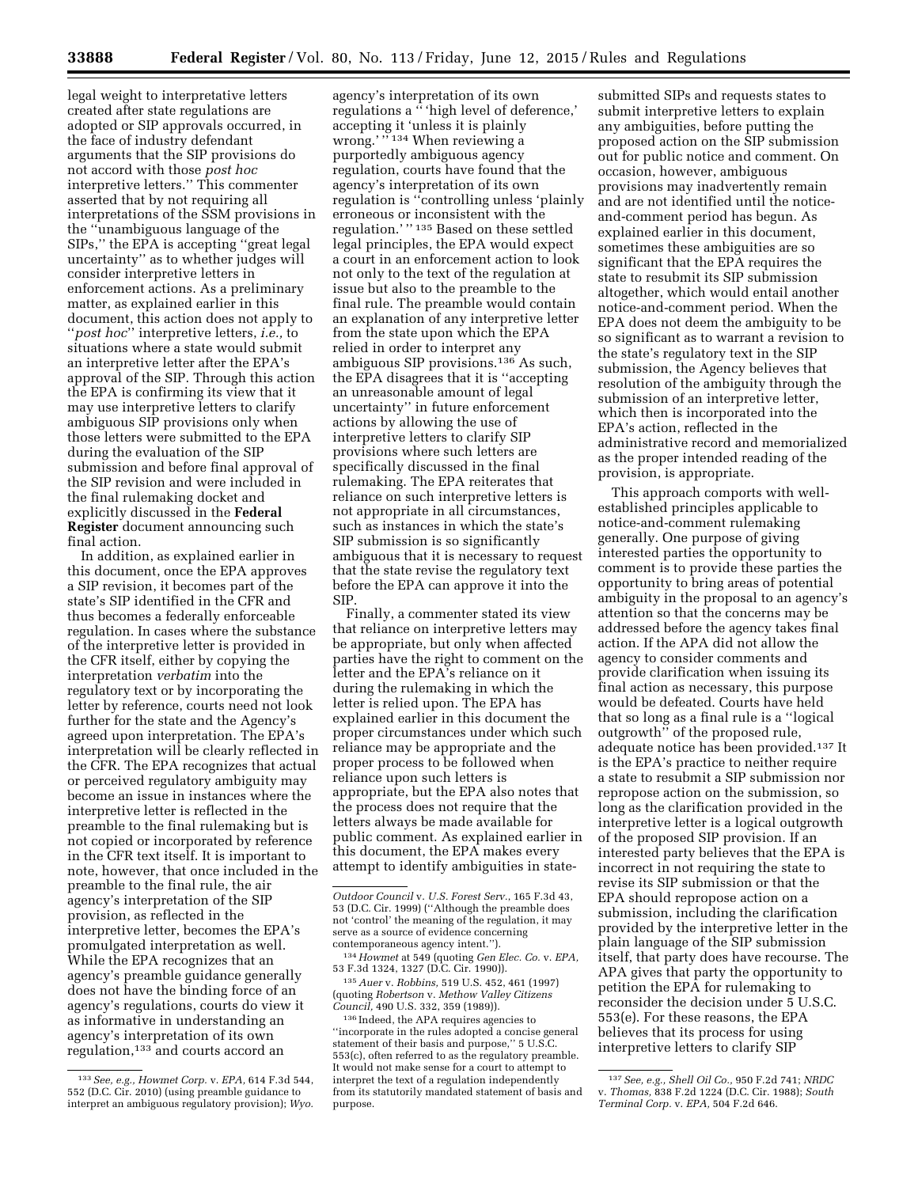legal weight to interpretative letters created after state regulations are adopted or SIP approvals occurred, in the face of industry defendant arguments that the SIP provisions do not accord with those *post hoc*  interpretive letters.'' This commenter asserted that by not requiring all interpretations of the SSM provisions in the ''unambiguous language of the SIPs,'' the EPA is accepting ''great legal uncertainty'' as to whether judges will consider interpretive letters in enforcement actions. As a preliminary matter, as explained earlier in this document, this action does not apply to ''*post hoc*'' interpretive letters, *i.e.,* to situations where a state would submit an interpretive letter after the EPA's approval of the SIP. Through this action the EPA is confirming its view that it may use interpretive letters to clarify ambiguous SIP provisions only when those letters were submitted to the EPA during the evaluation of the SIP submission and before final approval of the SIP revision and were included in the final rulemaking docket and explicitly discussed in the **Federal Register** document announcing such final action.

In addition, as explained earlier in this document, once the EPA approves a SIP revision, it becomes part of the state's SIP identified in the CFR and thus becomes a federally enforceable regulation. In cases where the substance of the interpretive letter is provided in the CFR itself, either by copying the interpretation *verbatim* into the regulatory text or by incorporating the letter by reference, courts need not look further for the state and the Agency's agreed upon interpretation. The EPA's interpretation will be clearly reflected in the CFR. The EPA recognizes that actual or perceived regulatory ambiguity may become an issue in instances where the interpretive letter is reflected in the preamble to the final rulemaking but is not copied or incorporated by reference in the CFR text itself. It is important to note, however, that once included in the preamble to the final rule, the air agency's interpretation of the SIP provision, as reflected in the interpretive letter, becomes the EPA's promulgated interpretation as well. While the EPA recognizes that an agency's preamble guidance generally does not have the binding force of an agency's regulations, courts do view it as informative in understanding an agency's interpretation of its own regulation,133 and courts accord an

agency's interpretation of its own regulations a '' 'high level of deference,' accepting it 'unless it is plainly wrong.' "134 When reviewing a purportedly ambiguous agency regulation, courts have found that the agency's interpretation of its own regulation is ''controlling unless 'plainly erroneous or inconsistent with the regulation.' '' 135 Based on these settled legal principles, the EPA would expect a court in an enforcement action to look not only to the text of the regulation at issue but also to the preamble to the final rule. The preamble would contain an explanation of any interpretive letter from the state upon which the EPA relied in order to interpret any ambiguous SIP provisions.136 As such, the EPA disagrees that it is ''accepting an unreasonable amount of legal uncertainty'' in future enforcement actions by allowing the use of interpretive letters to clarify SIP provisions where such letters are specifically discussed in the final rulemaking. The EPA reiterates that reliance on such interpretive letters is not appropriate in all circumstances, such as instances in which the state's SIP submission is so significantly ambiguous that it is necessary to request that the state revise the regulatory text before the EPA can approve it into the SIP.

Finally, a commenter stated its view that reliance on interpretive letters may be appropriate, but only when affected parties have the right to comment on the letter and the EPA's reliance on it during the rulemaking in which the letter is relied upon. The EPA has explained earlier in this document the proper circumstances under which such reliance may be appropriate and the proper process to be followed when reliance upon such letters is appropriate, but the EPA also notes that the process does not require that the letters always be made available for public comment. As explained earlier in this document, the EPA makes every attempt to identify ambiguities in state-

134*Howmet* at 549 (quoting *Gen Elec. Co.* v. *EPA,*  53 F.3d 1324, 1327 (D.C. Cir. 1990)).

135*Auer* v. *Robbins,* 519 U.S. 452, 461 (1997) (quoting *Robertson* v. *Methow Valley Citizens Council,* 490 U.S. 332, 359 (1989)).

136 Indeed, the APA requires agencies to ''incorporate in the rules adopted a concise general statement of their basis and purpose,'' 5 U.S.C. 553(c), often referred to as the regulatory preamble. It would not make sense for a court to attempt to interpret the text of a regulation independently from its statutorily mandated statement of basis and purpose.

submitted SIPs and requests states to submit interpretive letters to explain any ambiguities, before putting the proposed action on the SIP submission out for public notice and comment. On occasion, however, ambiguous provisions may inadvertently remain and are not identified until the noticeand-comment period has begun. As explained earlier in this document, sometimes these ambiguities are so significant that the EPA requires the state to resubmit its SIP submission altogether, which would entail another notice-and-comment period. When the EPA does not deem the ambiguity to be so significant as to warrant a revision to the state's regulatory text in the SIP submission, the Agency believes that resolution of the ambiguity through the submission of an interpretive letter, which then is incorporated into the EPA's action, reflected in the administrative record and memorialized as the proper intended reading of the provision, is appropriate.

This approach comports with wellestablished principles applicable to notice-and-comment rulemaking generally. One purpose of giving interested parties the opportunity to comment is to provide these parties the opportunity to bring areas of potential ambiguity in the proposal to an agency's attention so that the concerns may be addressed before the agency takes final action. If the APA did not allow the agency to consider comments and provide clarification when issuing its final action as necessary, this purpose would be defeated. Courts have held that so long as a final rule is a ''logical outgrowth'' of the proposed rule, adequate notice has been provided.137 It is the EPA's practice to neither require a state to resubmit a SIP submission nor repropose action on the submission, so long as the clarification provided in the interpretive letter is a logical outgrowth of the proposed SIP provision. If an interested party believes that the EPA is incorrect in not requiring the state to revise its SIP submission or that the EPA should repropose action on a submission, including the clarification provided by the interpretive letter in the plain language of the SIP submission itself, that party does have recourse. The APA gives that party the opportunity to petition the EPA for rulemaking to reconsider the decision under 5 U.S.C. 553(e). For these reasons, the EPA believes that its process for using interpretive letters to clarify SIP

<sup>133</sup>*See, e.g., Howmet Corp.* v. *EPA,* 614 F.3d 544, 552 (D.C. Cir. 2010) (using preamble guidance to interpret an ambiguous regulatory provision); *Wyo.* 

*Outdoor Council* v. *U.S. Forest Serv.*, 165 F.3d 43, 53 (D.C. Cir. 1999) (''Although the preamble does not 'control' the meaning of the regulation, it may serve as a source of evidence concerning contemporaneous agency intent.'').

<sup>137</sup>*See, e.g., Shell Oil Co.,* 950 F.2d 741; *NRDC*  v. *Thomas,* 838 F.2d 1224 (D.C. Cir. 1988); *South Terminal Corp.* v. *EPA,* 504 F.2d 646.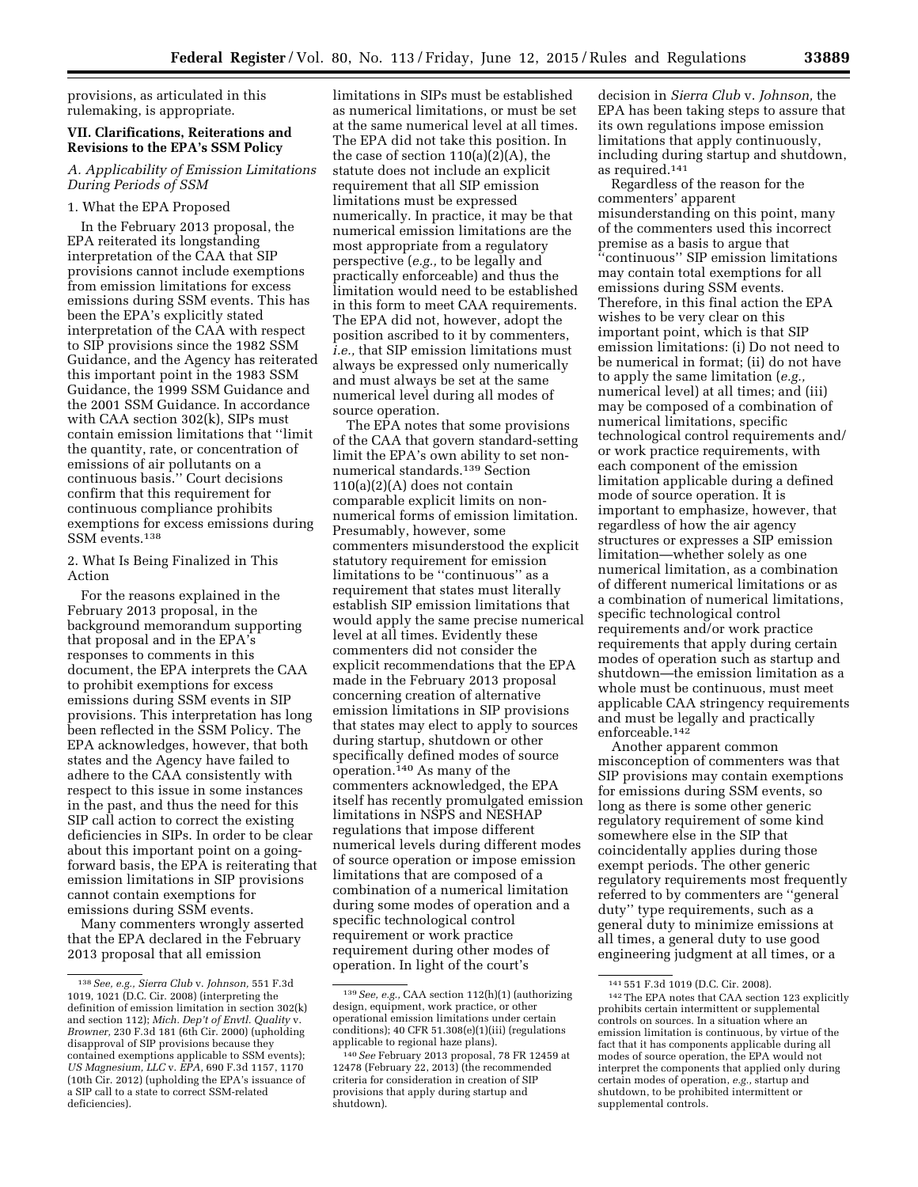provisions, as articulated in this rulemaking, is appropriate.

### **VII. Clarifications, Reiterations and Revisions to the EPA's SSM Policy**

*A. Applicability of Emission Limitations During Periods of SSM* 

#### 1. What the EPA Proposed

In the February 2013 proposal, the EPA reiterated its longstanding interpretation of the CAA that SIP provisions cannot include exemptions from emission limitations for excess emissions during SSM events. This has been the EPA's explicitly stated interpretation of the CAA with respect to SIP provisions since the 1982 SSM Guidance, and the Agency has reiterated this important point in the 1983 SSM Guidance, the 1999 SSM Guidance and the 2001 SSM Guidance. In accordance with CAA section 302(k), SIPs must contain emission limitations that ''limit the quantity, rate, or concentration of emissions of air pollutants on a continuous basis.'' Court decisions confirm that this requirement for continuous compliance prohibits exemptions for excess emissions during SSM events.138

2. What Is Being Finalized in This Action

For the reasons explained in the February 2013 proposal, in the background memorandum supporting that proposal and in the EPA's responses to comments in this document, the EPA interprets the CAA to prohibit exemptions for excess emissions during SSM events in SIP provisions. This interpretation has long been reflected in the SSM Policy. The EPA acknowledges, however, that both states and the Agency have failed to adhere to the CAA consistently with respect to this issue in some instances in the past, and thus the need for this SIP call action to correct the existing deficiencies in SIPs. In order to be clear about this important point on a goingforward basis, the EPA is reiterating that emission limitations in SIP provisions cannot contain exemptions for emissions during SSM events.

Many commenters wrongly asserted that the EPA declared in the February 2013 proposal that all emission

limitations in SIPs must be established as numerical limitations, or must be set at the same numerical level at all times. The EPA did not take this position. In the case of section  $110(a)(2)(A)$ , the statute does not include an explicit requirement that all SIP emission limitations must be expressed numerically. In practice, it may be that numerical emission limitations are the most appropriate from a regulatory perspective (*e.g.,* to be legally and practically enforceable) and thus the limitation would need to be established in this form to meet CAA requirements. The EPA did not, however, adopt the position ascribed to it by commenters, *i.e.,* that SIP emission limitations must always be expressed only numerically and must always be set at the same numerical level during all modes of source operation.

The EPA notes that some provisions of the CAA that govern standard-setting limit the EPA's own ability to set nonnumerical standards.139 Section  $110(a)(2)(A)$  does not contain comparable explicit limits on nonnumerical forms of emission limitation. Presumably, however, some commenters misunderstood the explicit statutory requirement for emission limitations to be ''continuous'' as a requirement that states must literally establish SIP emission limitations that would apply the same precise numerical level at all times. Evidently these commenters did not consider the explicit recommendations that the EPA made in the February 2013 proposal concerning creation of alternative emission limitations in SIP provisions that states may elect to apply to sources during startup, shutdown or other specifically defined modes of source operation.140 As many of the commenters acknowledged, the EPA itself has recently promulgated emission limitations in NSPS and NESHAP regulations that impose different numerical levels during different modes of source operation or impose emission limitations that are composed of a combination of a numerical limitation during some modes of operation and a specific technological control requirement or work practice requirement during other modes of operation. In light of the court's

decision in *Sierra Club* v. *Johnson,* the EPA has been taking steps to assure that its own regulations impose emission limitations that apply continuously, including during startup and shutdown, as required.141

Regardless of the reason for the commenters' apparent misunderstanding on this point, many of the commenters used this incorrect premise as a basis to argue that ''continuous'' SIP emission limitations may contain total exemptions for all emissions during SSM events. Therefore, in this final action the EPA wishes to be very clear on this important point, which is that SIP emission limitations: (i) Do not need to be numerical in format; (ii) do not have to apply the same limitation (*e.g.,*  numerical level) at all times; and (iii) may be composed of a combination of numerical limitations, specific technological control requirements and/ or work practice requirements, with each component of the emission limitation applicable during a defined mode of source operation. It is important to emphasize, however, that regardless of how the air agency structures or expresses a SIP emission limitation—whether solely as one numerical limitation, as a combination of different numerical limitations or as a combination of numerical limitations, specific technological control requirements and/or work practice requirements that apply during certain modes of operation such as startup and shutdown—the emission limitation as a whole must be continuous, must meet applicable CAA stringency requirements and must be legally and practically enforceable.142

Another apparent common misconception of commenters was that SIP provisions may contain exemptions for emissions during SSM events, so long as there is some other generic regulatory requirement of some kind somewhere else in the SIP that coincidentally applies during those exempt periods. The other generic regulatory requirements most frequently referred to by commenters are ''general duty'' type requirements, such as a general duty to minimize emissions at all times, a general duty to use good engineering judgment at all times, or a

<sup>138</sup>*See, e.g., Sierra Club* v. *Johnson,* 551 F.3d 1019, 1021 (D.C. Cir. 2008) (interpreting the definition of emission limitation in section 302(k) and section 112); *Mich. Dep't of Envtl. Quality* v. *Browner,* 230 F.3d 181 (6th Cir. 2000) (upholding disapproval of SIP provisions because they contained exemptions applicable to SSM events); *US Magnesium, LLC* v. *EPA,* 690 F.3d 1157, 1170 (10th Cir. 2012) (upholding the EPA's issuance of a SIP call to a state to correct SSM-related deficiencies).

<sup>139</sup>*See, e.g.,* CAA section 112(h)(1) (authorizing design, equipment, work practice, or other operational emission limitations under certain conditions); 40 CFR 51.308(e)(1)(iii) (regulations applicable to regional haze plans).

<sup>140</sup>*See* February 2013 proposal, 78 FR 12459 at 12478 (February 22, 2013) (the recommended criteria for consideration in creation of SIP provisions that apply during startup and shutdown).

<sup>141</sup> 551 F.3d 1019 (D.C. Cir. 2008). 142The EPA notes that CAA section 123 explicitly prohibits certain intermittent or supplemental controls on sources. In a situation where an emission limitation is continuous, by virtue of the fact that it has components applicable during all modes of source operation, the EPA would not interpret the components that applied only during certain modes of operation, *e.g.,* startup and shutdown, to be prohibited intermittent or supplemental controls.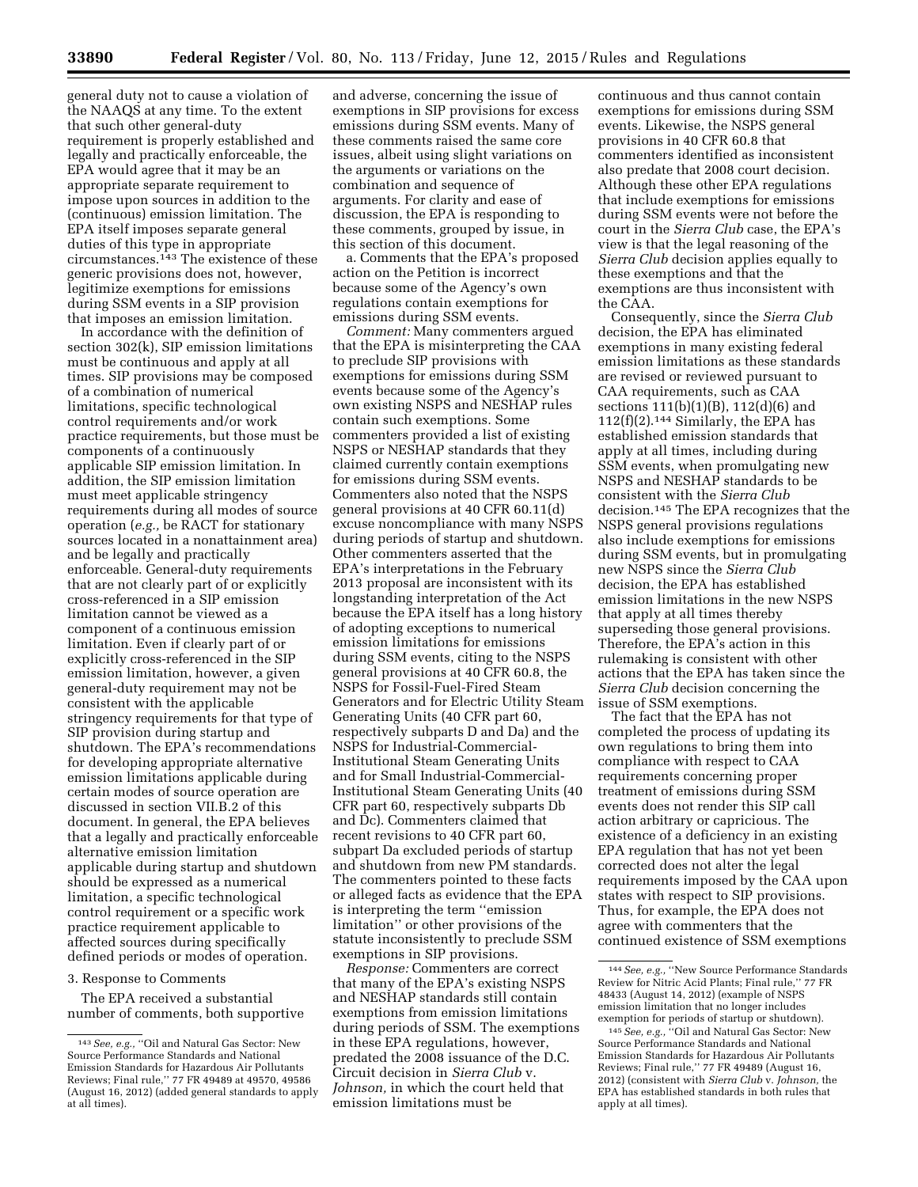general duty not to cause a violation of the NAAQS at any time. To the extent that such other general-duty requirement is properly established and legally and practically enforceable, the EPA would agree that it may be an appropriate separate requirement to impose upon sources in addition to the (continuous) emission limitation. The EPA itself imposes separate general duties of this type in appropriate circumstances.143 The existence of these generic provisions does not, however, legitimize exemptions for emissions during SSM events in a SIP provision that imposes an emission limitation.

In accordance with the definition of section 302(k), SIP emission limitations must be continuous and apply at all times. SIP provisions may be composed of a combination of numerical limitations, specific technological control requirements and/or work practice requirements, but those must be components of a continuously applicable SIP emission limitation. In addition, the SIP emission limitation must meet applicable stringency requirements during all modes of source operation (*e.g.,* be RACT for stationary sources located in a nonattainment area) and be legally and practically enforceable. General-duty requirements that are not clearly part of or explicitly cross-referenced in a SIP emission limitation cannot be viewed as a component of a continuous emission limitation. Even if clearly part of or explicitly cross-referenced in the SIP emission limitation, however, a given general-duty requirement may not be consistent with the applicable stringency requirements for that type of SIP provision during startup and shutdown. The EPA's recommendations for developing appropriate alternative emission limitations applicable during certain modes of source operation are discussed in section VII.B.2 of this document. In general, the EPA believes that a legally and practically enforceable alternative emission limitation applicable during startup and shutdown should be expressed as a numerical limitation, a specific technological control requirement or a specific work practice requirement applicable to affected sources during specifically defined periods or modes of operation.

#### 3. Response to Comments

The EPA received a substantial number of comments, both supportive

and adverse, concerning the issue of exemptions in SIP provisions for excess emissions during SSM events. Many of these comments raised the same core issues, albeit using slight variations on the arguments or variations on the combination and sequence of arguments. For clarity and ease of discussion, the EPA is responding to these comments, grouped by issue, in this section of this document.

a. Comments that the EPA's proposed action on the Petition is incorrect because some of the Agency's own regulations contain exemptions for emissions during SSM events.

*Comment:* Many commenters argued that the EPA is misinterpreting the CAA to preclude SIP provisions with exemptions for emissions during SSM events because some of the Agency's own existing NSPS and NESHAP rules contain such exemptions. Some commenters provided a list of existing NSPS or NESHAP standards that they claimed currently contain exemptions for emissions during SSM events. Commenters also noted that the NSPS general provisions at 40 CFR 60.11(d) excuse noncompliance with many NSPS during periods of startup and shutdown. Other commenters asserted that the EPA's interpretations in the February 2013 proposal are inconsistent with its longstanding interpretation of the Act because the EPA itself has a long history of adopting exceptions to numerical emission limitations for emissions during SSM events, citing to the NSPS general provisions at 40 CFR 60.8, the NSPS for Fossil-Fuel-Fired Steam Generators and for Electric Utility Steam Generating Units (40 CFR part 60, respectively subparts D and Da) and the NSPS for Industrial-Commercial-Institutional Steam Generating Units and for Small Industrial-Commercial-Institutional Steam Generating Units (40 CFR part 60, respectively subparts Db and Dc). Commenters claimed that recent revisions to 40 CFR part 60, subpart Da excluded periods of startup and shutdown from new PM standards. The commenters pointed to these facts or alleged facts as evidence that the EPA is interpreting the term ''emission limitation'' or other provisions of the statute inconsistently to preclude SSM exemptions in SIP provisions.

*Response:* Commenters are correct that many of the EPA's existing NSPS and NESHAP standards still contain exemptions from emission limitations during periods of SSM. The exemptions in these EPA regulations, however, predated the 2008 issuance of the D.C. Circuit decision in *Sierra Club* v. *Johnson,* in which the court held that emission limitations must be

continuous and thus cannot contain exemptions for emissions during SSM events. Likewise, the NSPS general provisions in 40 CFR 60.8 that commenters identified as inconsistent also predate that 2008 court decision. Although these other EPA regulations that include exemptions for emissions during SSM events were not before the court in the *Sierra Club* case, the EPA's view is that the legal reasoning of the *Sierra Club* decision applies equally to these exemptions and that the exemptions are thus inconsistent with the CAA.

Consequently, since the *Sierra Club*  decision, the EPA has eliminated exemptions in many existing federal emission limitations as these standards are revised or reviewed pursuant to CAA requirements, such as CAA sections 111(b)(1)(B), 112(d)(6) and  $112(f)(2).<sup>144</sup> Similarly, the EPA has$ established emission standards that apply at all times, including during SSM events, when promulgating new NSPS and NESHAP standards to be consistent with the *Sierra Club*  decision.145 The EPA recognizes that the NSPS general provisions regulations also include exemptions for emissions during SSM events, but in promulgating new NSPS since the *Sierra Club*  decision, the EPA has established emission limitations in the new NSPS that apply at all times thereby superseding those general provisions. Therefore, the EPA's action in this rulemaking is consistent with other actions that the EPA has taken since the *Sierra Club* decision concerning the issue of SSM exemptions.

The fact that the EPA has not completed the process of updating its own regulations to bring them into compliance with respect to CAA requirements concerning proper treatment of emissions during SSM events does not render this SIP call action arbitrary or capricious. The existence of a deficiency in an existing EPA regulation that has not yet been corrected does not alter the legal requirements imposed by the CAA upon states with respect to SIP provisions. Thus, for example, the EPA does not agree with commenters that the continued existence of SSM exemptions

<sup>&</sup>lt;sup>143</sup> See, e.g., "Oil and Natural Gas Sector: New Source Performance Standards and National Emission Standards for Hazardous Air Pollutants Reviews; Final rule,'' 77 FR 49489 at 49570, 49586 (August 16, 2012) (added general standards to apply at all times).

<sup>144</sup>*See, e.g.,* ''New Source Performance Standards Review for Nitric Acid Plants; Final rule,'' 77 FR 48433 (August 14, 2012) (example of NSPS emission limitation that no longer includes exemption for periods of startup or shutdown).

<sup>145</sup>*See, e.g.,* ''Oil and Natural Gas Sector: New Source Performance Standards and National Emission Standards for Hazardous Air Pollutants Reviews; Final rule,'' 77 FR 49489 (August 16, 2012) (consistent with *Sierra Club* v. *Johnson,* the EPA has established standards in both rules that apply at all times).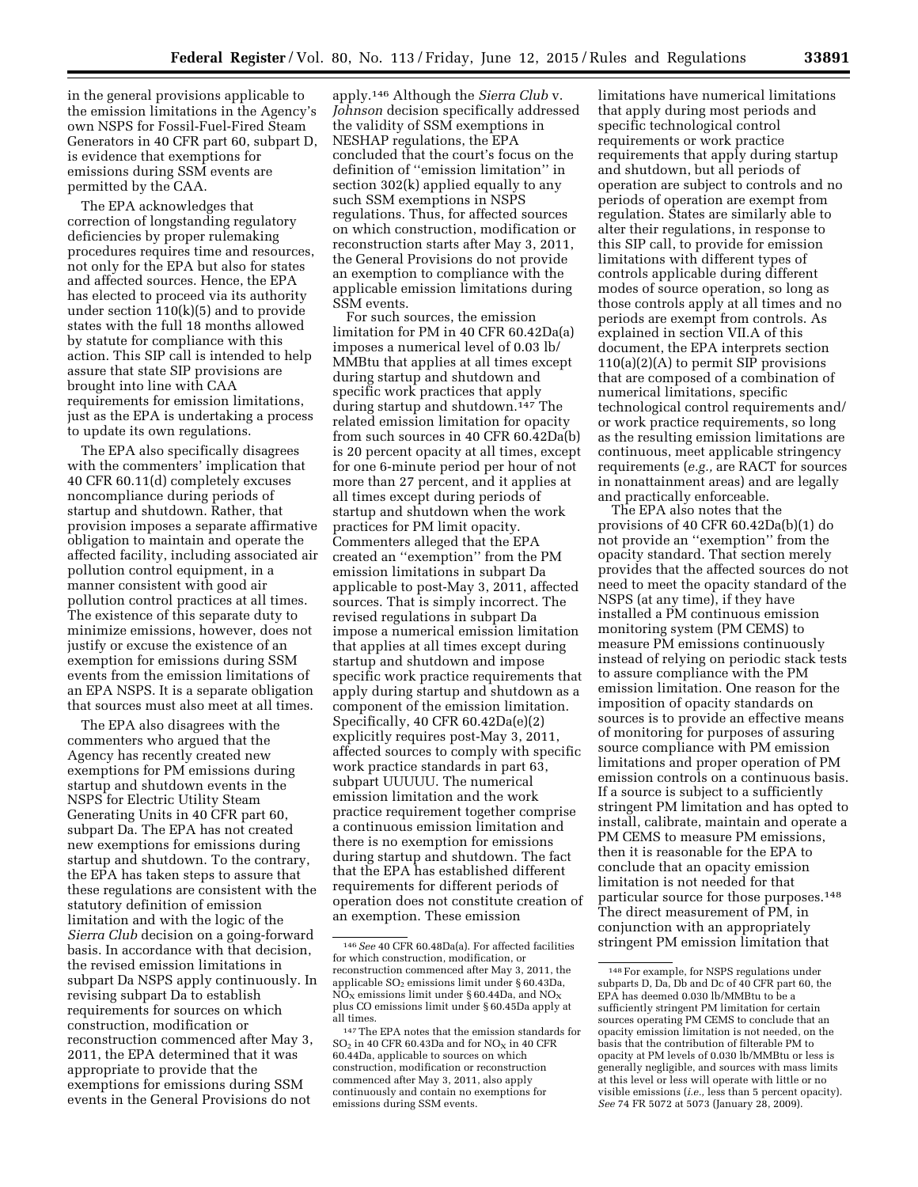in the general provisions applicable to the emission limitations in the Agency's own NSPS for Fossil-Fuel-Fired Steam Generators in 40 CFR part 60, subpart D, is evidence that exemptions for emissions during SSM events are permitted by the CAA.

The EPA acknowledges that correction of longstanding regulatory deficiencies by proper rulemaking procedures requires time and resources, not only for the EPA but also for states and affected sources. Hence, the EPA has elected to proceed via its authority under section  $110(k)(5)$  and to provide states with the full 18 months allowed by statute for compliance with this action. This SIP call is intended to help assure that state SIP provisions are brought into line with CAA requirements for emission limitations, just as the EPA is undertaking a process to update its own regulations.

The EPA also specifically disagrees with the commenters' implication that 40 CFR 60.11(d) completely excuses noncompliance during periods of startup and shutdown. Rather, that provision imposes a separate affirmative obligation to maintain and operate the affected facility, including associated air pollution control equipment, in a manner consistent with good air pollution control practices at all times. The existence of this separate duty to minimize emissions, however, does not justify or excuse the existence of an exemption for emissions during SSM events from the emission limitations of an EPA NSPS. It is a separate obligation that sources must also meet at all times.

The EPA also disagrees with the commenters who argued that the Agency has recently created new exemptions for PM emissions during startup and shutdown events in the NSPS for Electric Utility Steam Generating Units in 40 CFR part 60, subpart Da. The EPA has not created new exemptions for emissions during startup and shutdown. To the contrary, the EPA has taken steps to assure that these regulations are consistent with the statutory definition of emission limitation and with the logic of the *Sierra Club* decision on a going-forward basis. In accordance with that decision, the revised emission limitations in subpart Da NSPS apply continuously. In revising subpart Da to establish requirements for sources on which construction, modification or reconstruction commenced after May 3, 2011, the EPA determined that it was appropriate to provide that the exemptions for emissions during SSM events in the General Provisions do not

apply.146 Although the *Sierra Club* v. *Johnson* decision specifically addressed the validity of SSM exemptions in NESHAP regulations, the EPA concluded that the court's focus on the definition of ''emission limitation'' in section 302(k) applied equally to any such SSM exemptions in NSPS regulations. Thus, for affected sources on which construction, modification or reconstruction starts after May 3, 2011, the General Provisions do not provide an exemption to compliance with the applicable emission limitations during SSM events.

For such sources, the emission limitation for PM in 40 CFR 60.42Da(a) imposes a numerical level of 0.03 lb/ MMBtu that applies at all times except during startup and shutdown and specific work practices that apply during startup and shutdown.147 The related emission limitation for opacity from such sources in 40 CFR 60.42Da(b) is 20 percent opacity at all times, except for one 6-minute period per hour of not more than 27 percent, and it applies at all times except during periods of startup and shutdown when the work practices for PM limit opacity. Commenters alleged that the EPA created an ''exemption'' from the PM emission limitations in subpart Da applicable to post-May 3, 2011, affected sources. That is simply incorrect. The revised regulations in subpart Da impose a numerical emission limitation that applies at all times except during startup and shutdown and impose specific work practice requirements that apply during startup and shutdown as a component of the emission limitation. Specifically, 40 CFR 60.42Da(e)(2) explicitly requires post-May 3, 2011, affected sources to comply with specific work practice standards in part 63, subpart UUUUU. The numerical emission limitation and the work practice requirement together comprise a continuous emission limitation and there is no exemption for emissions during startup and shutdown. The fact that the EPA has established different requirements for different periods of operation does not constitute creation of an exemption. These emission

limitations have numerical limitations that apply during most periods and specific technological control requirements or work practice requirements that apply during startup and shutdown, but all periods of operation are subject to controls and no periods of operation are exempt from regulation. States are similarly able to alter their regulations, in response to this SIP call, to provide for emission limitations with different types of controls applicable during different modes of source operation, so long as those controls apply at all times and no periods are exempt from controls. As explained in section VII.A of this document, the EPA interprets section 110(a)(2)(A) to permit SIP provisions that are composed of a combination of numerical limitations, specific technological control requirements and/ or work practice requirements, so long as the resulting emission limitations are continuous, meet applicable stringency requirements (*e.g.,* are RACT for sources in nonattainment areas) and are legally and practically enforceable.

The EPA also notes that the provisions of 40 CFR 60.42Da(b)(1) do not provide an ''exemption'' from the opacity standard. That section merely provides that the affected sources do not need to meet the opacity standard of the NSPS (at any time), if they have installed a PM continuous emission monitoring system (PM CEMS) to measure PM emissions continuously instead of relying on periodic stack tests to assure compliance with the PM emission limitation. One reason for the imposition of opacity standards on sources is to provide an effective means of monitoring for purposes of assuring source compliance with PM emission limitations and proper operation of PM emission controls on a continuous basis. If a source is subject to a sufficiently stringent PM limitation and has opted to install, calibrate, maintain and operate a PM CEMS to measure PM emissions, then it is reasonable for the EPA to conclude that an opacity emission limitation is not needed for that particular source for those purposes.148 The direct measurement of PM, in conjunction with an appropriately stringent PM emission limitation that

<sup>146</sup>*See* 40 CFR 60.48Da(a). For affected facilities for which construction, modification, or reconstruction commenced after May 3, 2011, the applicable  $SO<sub>2</sub>$  emissions limit under § 60.43Da,  $NO<sub>x</sub>$  emissions limit under § 60.44Da, and  $NO<sub>x</sub>$ plus CO emissions limit under § 60.45Da apply at all times.

<sup>147</sup>The EPA notes that the emission standards for  $SO<sub>2</sub>$  in 40 CFR 60.43Da and for  $NO<sub>X</sub>$  in 40 CFR 60.44Da, applicable to sources on which construction, modification or reconstruction commenced after May 3, 2011, also apply continuously and contain no exemptions for emissions during SSM events.

<sup>148</sup>For example, for NSPS regulations under subparts D, Da, Db and Dc of 40 CFR part 60, the EPA has deemed 0.030 lb/MMBtu to be a sufficiently stringent PM limitation for certain sources operating PM CEMS to conclude that an opacity emission limitation is not needed, on the basis that the contribution of filterable PM to opacity at PM levels of 0.030 lb/MMBtu or less is generally negligible, and sources with mass limits at this level or less will operate with little or no visible emissions (*i.e.,* less than 5 percent opacity). *See* 74 FR 5072 at 5073 (January 28, 2009).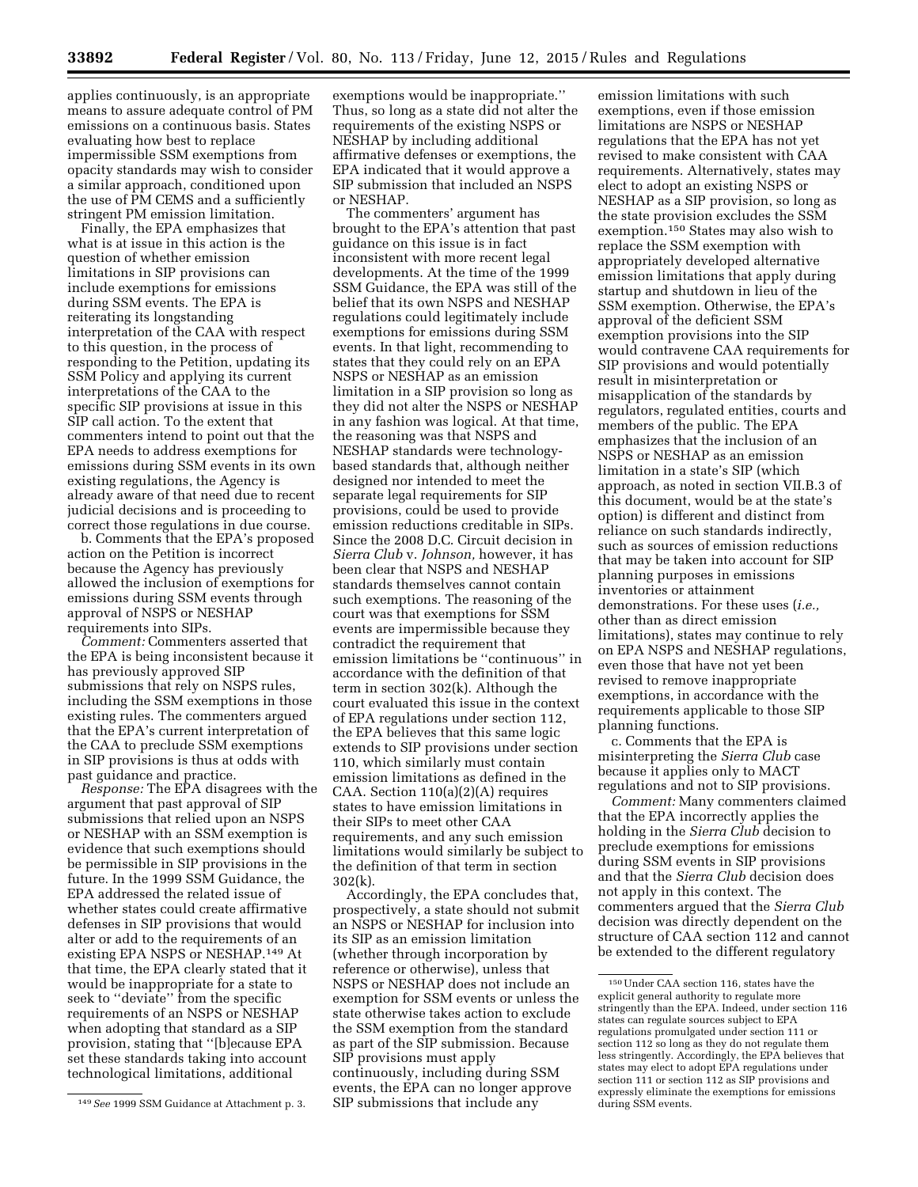applies continuously, is an appropriate means to assure adequate control of PM emissions on a continuous basis. States evaluating how best to replace impermissible SSM exemptions from opacity standards may wish to consider a similar approach, conditioned upon the use of PM CEMS and a sufficiently stringent PM emission limitation.

Finally, the EPA emphasizes that what is at issue in this action is the question of whether emission limitations in SIP provisions can include exemptions for emissions during SSM events. The EPA is reiterating its longstanding interpretation of the CAA with respect to this question, in the process of responding to the Petition, updating its SSM Policy and applying its current interpretations of the CAA to the specific SIP provisions at issue in this SIP call action. To the extent that commenters intend to point out that the EPA needs to address exemptions for emissions during SSM events in its own existing regulations, the Agency is already aware of that need due to recent judicial decisions and is proceeding to correct those regulations in due course.

b. Comments that the EPA's proposed action on the Petition is incorrect because the Agency has previously allowed the inclusion of exemptions for emissions during SSM events through approval of NSPS or NESHAP requirements into SIPs.

*Comment:* Commenters asserted that the EPA is being inconsistent because it has previously approved SIP submissions that rely on NSPS rules, including the SSM exemptions in those existing rules. The commenters argued that the EPA's current interpretation of the CAA to preclude SSM exemptions in SIP provisions is thus at odds with past guidance and practice.

*Response:* The EPA disagrees with the argument that past approval of SIP submissions that relied upon an NSPS or NESHAP with an SSM exemption is evidence that such exemptions should be permissible in SIP provisions in the future. In the 1999 SSM Guidance, the EPA addressed the related issue of whether states could create affirmative defenses in SIP provisions that would alter or add to the requirements of an existing EPA NSPS or NESHAP.149 At that time, the EPA clearly stated that it would be inappropriate for a state to seek to ''deviate'' from the specific requirements of an NSPS or NESHAP when adopting that standard as a SIP provision, stating that ''[b]ecause EPA set these standards taking into account technological limitations, additional

exemptions would be inappropriate.'' Thus, so long as a state did not alter the requirements of the existing NSPS or NESHAP by including additional affirmative defenses or exemptions, the EPA indicated that it would approve a SIP submission that included an NSPS or NESHAP.

The commenters' argument has brought to the EPA's attention that past guidance on this issue is in fact inconsistent with more recent legal developments. At the time of the 1999 SSM Guidance, the EPA was still of the belief that its own NSPS and NESHAP regulations could legitimately include exemptions for emissions during SSM events. In that light, recommending to states that they could rely on an EPA NSPS or NESHAP as an emission limitation in a SIP provision so long as they did not alter the NSPS or NESHAP in any fashion was logical. At that time, the reasoning was that NSPS and NESHAP standards were technologybased standards that, although neither designed nor intended to meet the separate legal requirements for SIP provisions, could be used to provide emission reductions creditable in SIPs. Since the 2008 D.C. Circuit decision in *Sierra Club* v. *Johnson,* however, it has been clear that NSPS and NESHAP standards themselves cannot contain such exemptions. The reasoning of the court was that exemptions for SSM events are impermissible because they contradict the requirement that emission limitations be ''continuous'' in accordance with the definition of that term in section 302(k). Although the court evaluated this issue in the context of EPA regulations under section 112, the EPA believes that this same logic extends to SIP provisions under section 110, which similarly must contain emission limitations as defined in the CAA. Section 110(a)(2)(A) requires states to have emission limitations in their SIPs to meet other CAA requirements, and any such emission limitations would similarly be subject to the definition of that term in section 302(k).

Accordingly, the EPA concludes that, prospectively, a state should not submit an NSPS or NESHAP for inclusion into its SIP as an emission limitation (whether through incorporation by reference or otherwise), unless that NSPS or NESHAP does not include an exemption for SSM events or unless the state otherwise takes action to exclude the SSM exemption from the standard as part of the SIP submission. Because SIP provisions must apply continuously, including during SSM events, the EPA can no longer approve SIP submissions that include any

emission limitations with such exemptions, even if those emission limitations are NSPS or NESHAP regulations that the EPA has not yet revised to make consistent with CAA requirements. Alternatively, states may elect to adopt an existing NSPS or NESHAP as a SIP provision, so long as the state provision excludes the SSM exemption.150 States may also wish to replace the SSM exemption with appropriately developed alternative emission limitations that apply during startup and shutdown in lieu of the SSM exemption. Otherwise, the EPA's approval of the deficient SSM exemption provisions into the SIP would contravene CAA requirements for SIP provisions and would potentially result in misinterpretation or misapplication of the standards by regulators, regulated entities, courts and members of the public. The EPA emphasizes that the inclusion of an NSPS or NESHAP as an emission limitation in a state's SIP (which approach, as noted in section VII.B.3 of this document, would be at the state's option) is different and distinct from reliance on such standards indirectly, such as sources of emission reductions that may be taken into account for SIP planning purposes in emissions inventories or attainment demonstrations. For these uses (*i.e.,*  other than as direct emission limitations), states may continue to rely on EPA NSPS and NESHAP regulations, even those that have not yet been revised to remove inappropriate exemptions, in accordance with the requirements applicable to those SIP planning functions.

c. Comments that the EPA is misinterpreting the *Sierra Club* case because it applies only to MACT regulations and not to SIP provisions.

*Comment:* Many commenters claimed that the EPA incorrectly applies the holding in the *Sierra Club* decision to preclude exemptions for emissions during SSM events in SIP provisions and that the *Sierra Club* decision does not apply in this context. The commenters argued that the *Sierra Club*  decision was directly dependent on the structure of CAA section 112 and cannot be extended to the different regulatory

<sup>149</sup>*See* 1999 SSM Guidance at Attachment p. 3.

<sup>150</sup>Under CAA section 116, states have the explicit general authority to regulate more stringently than the EPA. Indeed, under section 116 states can regulate sources subject to EPA regulations promulgated under section 111 or section 112 so long as they do not regulate them less stringently. Accordingly, the EPA believes that states may elect to adopt EPA regulations under section 111 or section 112 as SIP provisions and expressly eliminate the exemptions for emissions during SSM events.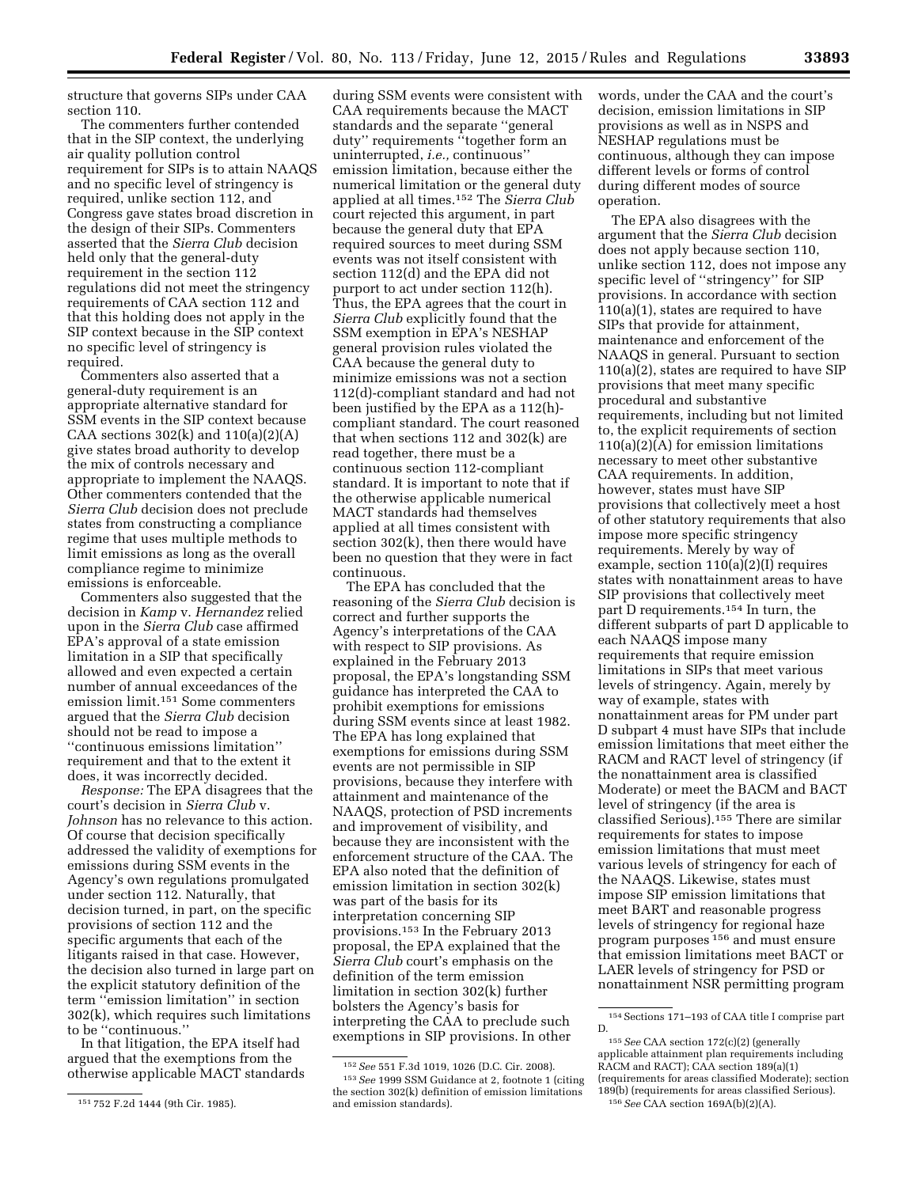structure that governs SIPs under CAA section 110.

The commenters further contended that in the SIP context, the underlying air quality pollution control requirement for SIPs is to attain NAAQS and no specific level of stringency is required, unlike section 112, and Congress gave states broad discretion in the design of their SIPs. Commenters asserted that the *Sierra Club* decision held only that the general-duty requirement in the section 112 regulations did not meet the stringency requirements of CAA section 112 and that this holding does not apply in the SIP context because in the SIP context no specific level of stringency is required.

Commenters also asserted that a general-duty requirement is an appropriate alternative standard for SSM events in the SIP context because CAA sections  $302(k)$  and  $110(a)(2)(A)$ give states broad authority to develop the mix of controls necessary and appropriate to implement the NAAQS. Other commenters contended that the *Sierra Club* decision does not preclude states from constructing a compliance regime that uses multiple methods to limit emissions as long as the overall compliance regime to minimize emissions is enforceable.

Commenters also suggested that the decision in *Kamp* v. *Hernandez* relied upon in the *Sierra Club* case affirmed EPA's approval of a state emission limitation in a SIP that specifically allowed and even expected a certain number of annual exceedances of the emission limit.151 Some commenters argued that the *Sierra Club* decision should not be read to impose a ''continuous emissions limitation'' requirement and that to the extent it does, it was incorrectly decided.

*Response:* The EPA disagrees that the court's decision in *Sierra Club* v. *Johnson* has no relevance to this action. Of course that decision specifically addressed the validity of exemptions for emissions during SSM events in the Agency's own regulations promulgated under section 112. Naturally, that decision turned, in part, on the specific provisions of section 112 and the specific arguments that each of the litigants raised in that case. However, the decision also turned in large part on the explicit statutory definition of the term ''emission limitation'' in section 302(k), which requires such limitations to be ''continuous.''

In that litigation, the EPA itself had argued that the exemptions from the otherwise applicable MACT standards

during SSM events were consistent with CAA requirements because the MACT standards and the separate ''general duty'' requirements ''together form an uninterrupted, *i.e.,* continuous'' emission limitation, because either the numerical limitation or the general duty applied at all times.152 The *Sierra Club*  court rejected this argument, in part because the general duty that EPA required sources to meet during SSM events was not itself consistent with section 112(d) and the EPA did not purport to act under section 112(h). Thus, the EPA agrees that the court in *Sierra Club* explicitly found that the SSM exemption in EPA's NESHAP general provision rules violated the CAA because the general duty to minimize emissions was not a section 112(d)-compliant standard and had not been justified by the EPA as a 112(h) compliant standard. The court reasoned that when sections 112 and 302(k) are read together, there must be a continuous section 112-compliant standard. It is important to note that if the otherwise applicable numerical MACT standards had themselves applied at all times consistent with section 302(k), then there would have been no question that they were in fact continuous.

The EPA has concluded that the reasoning of the *Sierra Club* decision is correct and further supports the Agency's interpretations of the CAA with respect to SIP provisions. As explained in the February 2013 proposal, the EPA's longstanding SSM guidance has interpreted the CAA to prohibit exemptions for emissions during SSM events since at least 1982. The EPA has long explained that exemptions for emissions during SSM events are not permissible in SIP provisions, because they interfere with attainment and maintenance of the NAAQS, protection of PSD increments and improvement of visibility, and because they are inconsistent with the enforcement structure of the CAA. The EPA also noted that the definition of emission limitation in section 302(k) was part of the basis for its interpretation concerning SIP provisions.153 In the February 2013 proposal, the EPA explained that the *Sierra Club* court's emphasis on the definition of the term emission limitation in section 302(k) further bolsters the Agency's basis for interpreting the CAA to preclude such exemptions in SIP provisions. In other

words, under the CAA and the court's decision, emission limitations in SIP provisions as well as in NSPS and NESHAP regulations must be continuous, although they can impose different levels or forms of control during different modes of source operation.

The EPA also disagrees with the argument that the *Sierra Club* decision does not apply because section 110, unlike section 112, does not impose any specific level of ''stringency'' for SIP provisions. In accordance with section 110(a)(1), states are required to have SIPs that provide for attainment, maintenance and enforcement of the NAAQS in general. Pursuant to section 110(a)(2), states are required to have SIP provisions that meet many specific procedural and substantive requirements, including but not limited to, the explicit requirements of section 110(a)(2)(A) for emission limitations necessary to meet other substantive CAA requirements. In addition, however, states must have SIP provisions that collectively meet a host of other statutory requirements that also impose more specific stringency requirements. Merely by way of example, section 110(a)(2)(I) requires states with nonattainment areas to have SIP provisions that collectively meet part D requirements.154 In turn, the different subparts of part D applicable to each NAAQS impose many requirements that require emission limitations in SIPs that meet various levels of stringency. Again, merely by way of example, states with nonattainment areas for PM under part D subpart 4 must have SIPs that include emission limitations that meet either the RACM and RACT level of stringency (if the nonattainment area is classified Moderate) or meet the BACM and BACT level of stringency (if the area is classified Serious).155 There are similar requirements for states to impose emission limitations that must meet various levels of stringency for each of the NAAQS. Likewise, states must impose SIP emission limitations that meet BART and reasonable progress levels of stringency for regional haze program purposes 156 and must ensure that emission limitations meet BACT or LAER levels of stringency for PSD or nonattainment NSR permitting program

<sup>151</sup> 752 F.2d 1444 (9th Cir. 1985).

<sup>152</sup>*See* 551 F.3d 1019, 1026 (D.C. Cir. 2008). 153*See* 1999 SSM Guidance at 2, footnote 1 (citing the section 302(k) definition of emission limitations and emission standards).

<sup>154</sup> Sections 171-193 of CAA title I comprise part D.

<sup>155</sup>*See* CAA section 172(c)(2) (generally applicable attainment plan requirements including RACM and RACT); CAA section 189(a)(1) (requirements for areas classified Moderate); section 189(b) (requirements for areas classified Serious). 156*See* CAA section 169A(b)(2)(A).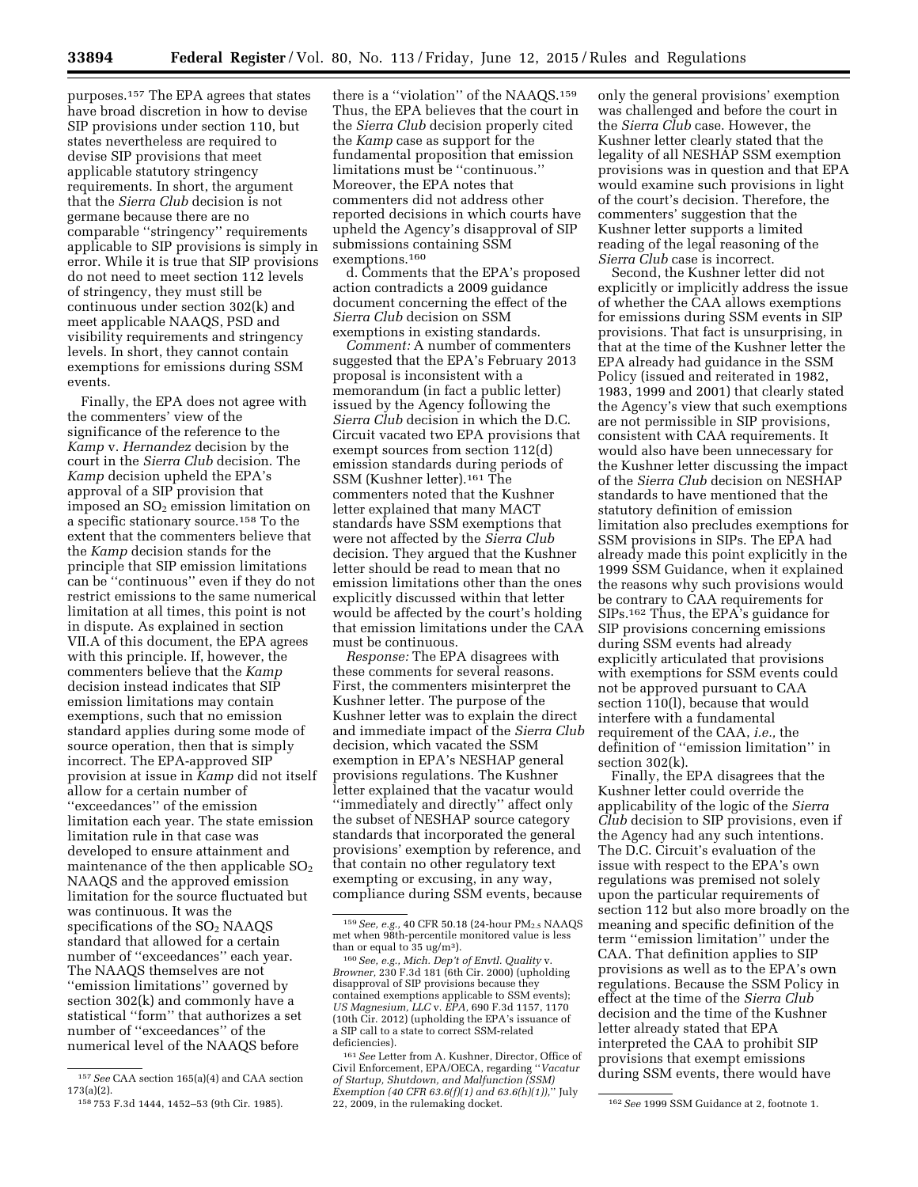purposes.157 The EPA agrees that states have broad discretion in how to devise SIP provisions under section 110, but states nevertheless are required to devise SIP provisions that meet applicable statutory stringency requirements. In short, the argument that the *Sierra Club* decision is not germane because there are no comparable ''stringency'' requirements applicable to SIP provisions is simply in error. While it is true that SIP provisions do not need to meet section 112 levels of stringency, they must still be continuous under section 302(k) and meet applicable NAAQS, PSD and visibility requirements and stringency levels. In short, they cannot contain exemptions for emissions during SSM events.

Finally, the EPA does not agree with the commenters' view of the significance of the reference to the *Kamp* v. *Hernandez* decision by the court in the *Sierra Club* decision. The *Kamp* decision upheld the EPA's approval of a SIP provision that imposed an  $SO<sub>2</sub>$  emission limitation on a specific stationary source.158 To the extent that the commenters believe that the *Kamp* decision stands for the principle that SIP emission limitations can be ''continuous'' even if they do not restrict emissions to the same numerical limitation at all times, this point is not in dispute. As explained in section VII.A of this document, the EPA agrees with this principle. If, however, the commenters believe that the *Kamp*  decision instead indicates that SIP emission limitations may contain exemptions, such that no emission standard applies during some mode of source operation, then that is simply incorrect. The EPA-approved SIP provision at issue in *Kamp* did not itself allow for a certain number of ''exceedances'' of the emission limitation each year. The state emission limitation rule in that case was developed to ensure attainment and maintenance of the then applicable  $SO<sub>2</sub>$ NAAQS and the approved emission limitation for the source fluctuated but was continuous. It was the specifications of the SO<sub>2</sub> NAAOS standard that allowed for a certain number of ''exceedances'' each year. The NAAQS themselves are not ''emission limitations'' governed by section 302(k) and commonly have a statistical ''form'' that authorizes a set number of ''exceedances'' of the numerical level of the NAAQS before

there is a ''violation'' of the NAAQS.159 Thus, the EPA believes that the court in the *Sierra Club* decision properly cited the *Kamp* case as support for the fundamental proposition that emission limitations must be ''continuous.'' Moreover, the EPA notes that commenters did not address other reported decisions in which courts have upheld the Agency's disapproval of SIP submissions containing SSM exemptions.160

d. Comments that the EPA's proposed action contradicts a 2009 guidance document concerning the effect of the *Sierra Club* decision on SSM exemptions in existing standards.

*Comment:* A number of commenters suggested that the EPA's February 2013 proposal is inconsistent with a memorandum (in fact a public letter) issued by the Agency following the *Sierra Club* decision in which the D.C. Circuit vacated two EPA provisions that exempt sources from section 112(d) emission standards during periods of SSM (Kushner letter).161 The commenters noted that the Kushner letter explained that many MACT standards have SSM exemptions that were not affected by the *Sierra Club*  decision. They argued that the Kushner letter should be read to mean that no emission limitations other than the ones explicitly discussed within that letter would be affected by the court's holding that emission limitations under the CAA must be continuous.

*Response:* The EPA disagrees with these comments for several reasons. First, the commenters misinterpret the Kushner letter. The purpose of the Kushner letter was to explain the direct and immediate impact of the *Sierra Club*  decision, which vacated the SSM exemption in EPA's NESHAP general provisions regulations. The Kushner letter explained that the vacatur would ''immediately and directly'' affect only the subset of NESHAP source category standards that incorporated the general provisions' exemption by reference, and that contain no other regulatory text exempting or excusing, in any way, compliance during SSM events, because

only the general provisions' exemption was challenged and before the court in the *Sierra Club* case. However, the Kushner letter clearly stated that the legality of all NESHAP SSM exemption provisions was in question and that EPA would examine such provisions in light of the court's decision. Therefore, the commenters' suggestion that the Kushner letter supports a limited reading of the legal reasoning of the *Sierra Club* case is incorrect.

Second, the Kushner letter did not explicitly or implicitly address the issue of whether the CAA allows exemptions for emissions during SSM events in SIP provisions. That fact is unsurprising, in that at the time of the Kushner letter the EPA already had guidance in the SSM Policy (issued and reiterated in 1982, 1983, 1999 and 2001) that clearly stated the Agency's view that such exemptions are not permissible in SIP provisions, consistent with CAA requirements. It would also have been unnecessary for the Kushner letter discussing the impact of the *Sierra Club* decision on NESHAP standards to have mentioned that the statutory definition of emission limitation also precludes exemptions for SSM provisions in SIPs. The EPA had already made this point explicitly in the 1999 SSM Guidance, when it explained the reasons why such provisions would be contrary to CAA requirements for SIPs.162 Thus, the EPA's guidance for SIP provisions concerning emissions during SSM events had already explicitly articulated that provisions with exemptions for SSM events could not be approved pursuant to CAA section 110(l), because that would interfere with a fundamental requirement of the CAA, *i.e.,* the definition of ''emission limitation'' in section 302(k).

Finally, the EPA disagrees that the Kushner letter could override the applicability of the logic of the *Sierra Club* decision to SIP provisions, even if the Agency had any such intentions. The D.C. Circuit's evaluation of the issue with respect to the EPA's own regulations was premised not solely upon the particular requirements of section 112 but also more broadly on the meaning and specific definition of the term ''emission limitation'' under the CAA. That definition applies to SIP provisions as well as to the EPA's own regulations. Because the SSM Policy in effect at the time of the *Sierra Club*  decision and the time of the Kushner letter already stated that EPA interpreted the CAA to prohibit SIP provisions that exempt emissions during SSM events, there would have

<sup>157</sup>*See* CAA section 165(a)(4) and CAA section 173(a)(2).

<sup>158</sup> 753 F.3d 1444, 1452–53 (9th Cir. 1985).

<sup>&</sup>lt;sup>159</sup> See, e.g., 40 CFR 50.18 (24-hour PM<sub>2.5</sub> NAAQS met when 98th-percentile monitored value is less

than or equal to 35 ug/m3). 160*See, e.g., Mich. Dep't of Envtl. Quality* v. *Browner,* 230 F.3d 181 (6th Cir. 2000) (upholding disapproval of SIP provisions because they contained exemptions applicable to SSM events); *US Magnesium, LLC* v. *EPA,* 690 F.3d 1157, 1170 (10th Cir. 2012) (upholding the EPA's issuance of a SIP call to a state to correct SSM-related deficiencies).

<sup>161</sup>*See* Letter from A. Kushner, Director, Office of Civil Enforcement, EPA/OECA, regarding ''*Vacatur of Startup, Shutdown, and Malfunction (SSM) Exemption (40 CFR 63.6(f)(1) and 63.6(h)(1)),*'' July

<sup>&</sup>lt;sup>162</sup> See 1999 SSM Guidance at 2, footnote 1.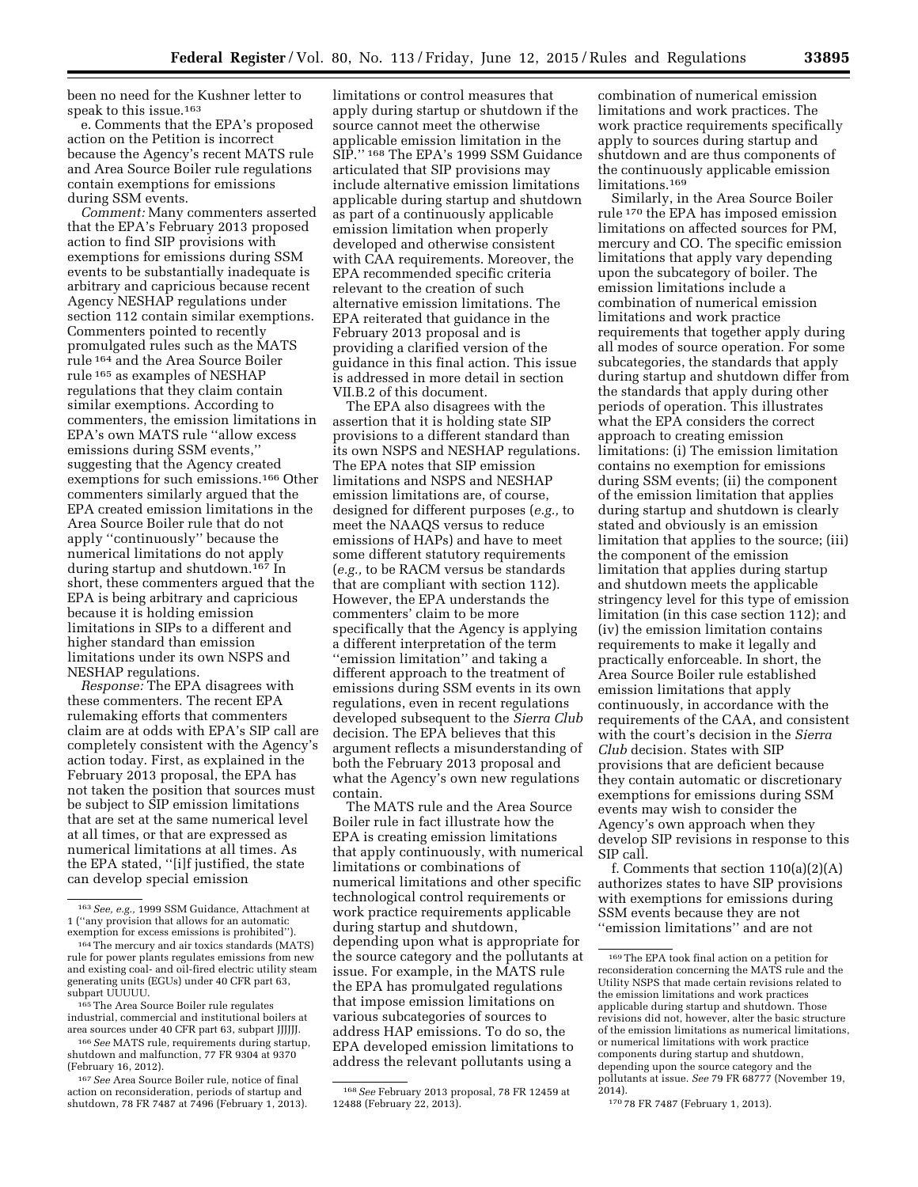been no need for the Kushner letter to speak to this issue.163

e. Comments that the EPA's proposed action on the Petition is incorrect because the Agency's recent MATS rule and Area Source Boiler rule regulations contain exemptions for emissions during SSM events.

*Comment:* Many commenters asserted that the EPA's February 2013 proposed action to find SIP provisions with exemptions for emissions during SSM events to be substantially inadequate is arbitrary and capricious because recent Agency NESHAP regulations under section 112 contain similar exemptions. Commenters pointed to recently promulgated rules such as the MATS rule 164 and the Area Source Boiler rule 165 as examples of NESHAP regulations that they claim contain similar exemptions. According to commenters, the emission limitations in EPA's own MATS rule ''allow excess emissions during SSM events,'' suggesting that the Agency created exemptions for such emissions.166 Other commenters similarly argued that the EPA created emission limitations in the Area Source Boiler rule that do not apply ''continuously'' because the numerical limitations do not apply during startup and shutdown.167 In short, these commenters argued that the EPA is being arbitrary and capricious because it is holding emission limitations in SIPs to a different and higher standard than emission limitations under its own NSPS and NESHAP regulations.

*Response:* The EPA disagrees with these commenters. The recent EPA rulemaking efforts that commenters claim are at odds with EPA's SIP call are completely consistent with the Agency's action today. First, as explained in the February 2013 proposal, the EPA has not taken the position that sources must be subject to SIP emission limitations that are set at the same numerical level at all times, or that are expressed as numerical limitations at all times. As the EPA stated, ''[i]f justified, the state can develop special emission

limitations or control measures that apply during startup or shutdown if the source cannot meet the otherwise applicable emission limitation in the SIP.'' 168 The EPA's 1999 SSM Guidance articulated that SIP provisions may include alternative emission limitations applicable during startup and shutdown as part of a continuously applicable emission limitation when properly developed and otherwise consistent with CAA requirements. Moreover, the EPA recommended specific criteria relevant to the creation of such alternative emission limitations. The EPA reiterated that guidance in the February 2013 proposal and is providing a clarified version of the guidance in this final action. This issue is addressed in more detail in section VII.B.2 of this document.

The EPA also disagrees with the assertion that it is holding state SIP provisions to a different standard than its own NSPS and NESHAP regulations. The EPA notes that SIP emission limitations and NSPS and NESHAP emission limitations are, of course, designed for different purposes (*e.g.,* to meet the NAAQS versus to reduce emissions of HAPs) and have to meet some different statutory requirements (*e.g.,* to be RACM versus be standards that are compliant with section 112). However, the EPA understands the commenters' claim to be more specifically that the Agency is applying a different interpretation of the term ''emission limitation'' and taking a different approach to the treatment of emissions during SSM events in its own regulations, even in recent regulations developed subsequent to the *Sierra Club*  decision. The EPA believes that this argument reflects a misunderstanding of both the February 2013 proposal and what the Agency's own new regulations contain.

The MATS rule and the Area Source Boiler rule in fact illustrate how the EPA is creating emission limitations that apply continuously, with numerical limitations or combinations of numerical limitations and other specific technological control requirements or work practice requirements applicable during startup and shutdown, depending upon what is appropriate for the source category and the pollutants at issue. For example, in the MATS rule the EPA has promulgated regulations that impose emission limitations on various subcategories of sources to address HAP emissions. To do so, the EPA developed emission limitations to address the relevant pollutants using a

combination of numerical emission limitations and work practices. The work practice requirements specifically apply to sources during startup and shutdown and are thus components of the continuously applicable emission limitations.<sup>169</sup>

Similarly, in the Area Source Boiler rule 170 the EPA has imposed emission limitations on affected sources for PM, mercury and CO. The specific emission limitations that apply vary depending upon the subcategory of boiler. The emission limitations include a combination of numerical emission limitations and work practice requirements that together apply during all modes of source operation. For some subcategories, the standards that apply during startup and shutdown differ from the standards that apply during other periods of operation. This illustrates what the EPA considers the correct approach to creating emission limitations: (i) The emission limitation contains no exemption for emissions during SSM events; (ii) the component of the emission limitation that applies during startup and shutdown is clearly stated and obviously is an emission limitation that applies to the source; (iii) the component of the emission limitation that applies during startup and shutdown meets the applicable stringency level for this type of emission limitation (in this case section 112); and (iv) the emission limitation contains requirements to make it legally and practically enforceable. In short, the Area Source Boiler rule established emission limitations that apply continuously, in accordance with the requirements of the CAA, and consistent with the court's decision in the *Sierra Club* decision. States with SIP provisions that are deficient because they contain automatic or discretionary exemptions for emissions during SSM events may wish to consider the Agency's own approach when they develop SIP revisions in response to this SIP call.

f. Comments that section 110(a)(2)(A) authorizes states to have SIP provisions with exemptions for emissions during SSM events because they are not ''emission limitations'' and are not

<sup>163</sup>*See, e.g.,* 1999 SSM Guidance, Attachment at 1 (''any provision that allows for an automatic

<sup>164</sup> The mercury and air toxics standards (MATS). rule for power plants regulates emissions from new and existing coal- and oil-fired electric utility steam generating units (EGUs) under 40 CFR part 63, subpart UUUUU.

<sup>&</sup>lt;sup>165</sup>The Area Source Boiler rule regulates industrial, commercial and institutional boilers at area sources under 40 CFR part 63, subpart JJJJJJ.

<sup>166</sup>*See* MATS rule, requirements during startup, shutdown and malfunction, 77 FR 9304 at 9370 (February 16, 2012).

<sup>167</sup>*See* Area Source Boiler rule, notice of final action on reconsideration, periods of startup and shutdown, 78 FR 7487 at 7496 (February 1, 2013).

<sup>168</sup>*See* February 2013 proposal, 78 FR 12459 at 12488 (February 22, 2013).

<sup>169</sup>The EPA took final action on a petition for reconsideration concerning the MATS rule and the Utility NSPS that made certain revisions related to the emission limitations and work practices applicable during startup and shutdown. Those revisions did not, however, alter the basic structure of the emission limitations as numerical limitations, or numerical limitations with work practice components during startup and shutdown, depending upon the source category and the pollutants at issue. *See* 79 FR 68777 (November 19, 2014).

<sup>170</sup> 78 FR 7487 (February 1, 2013).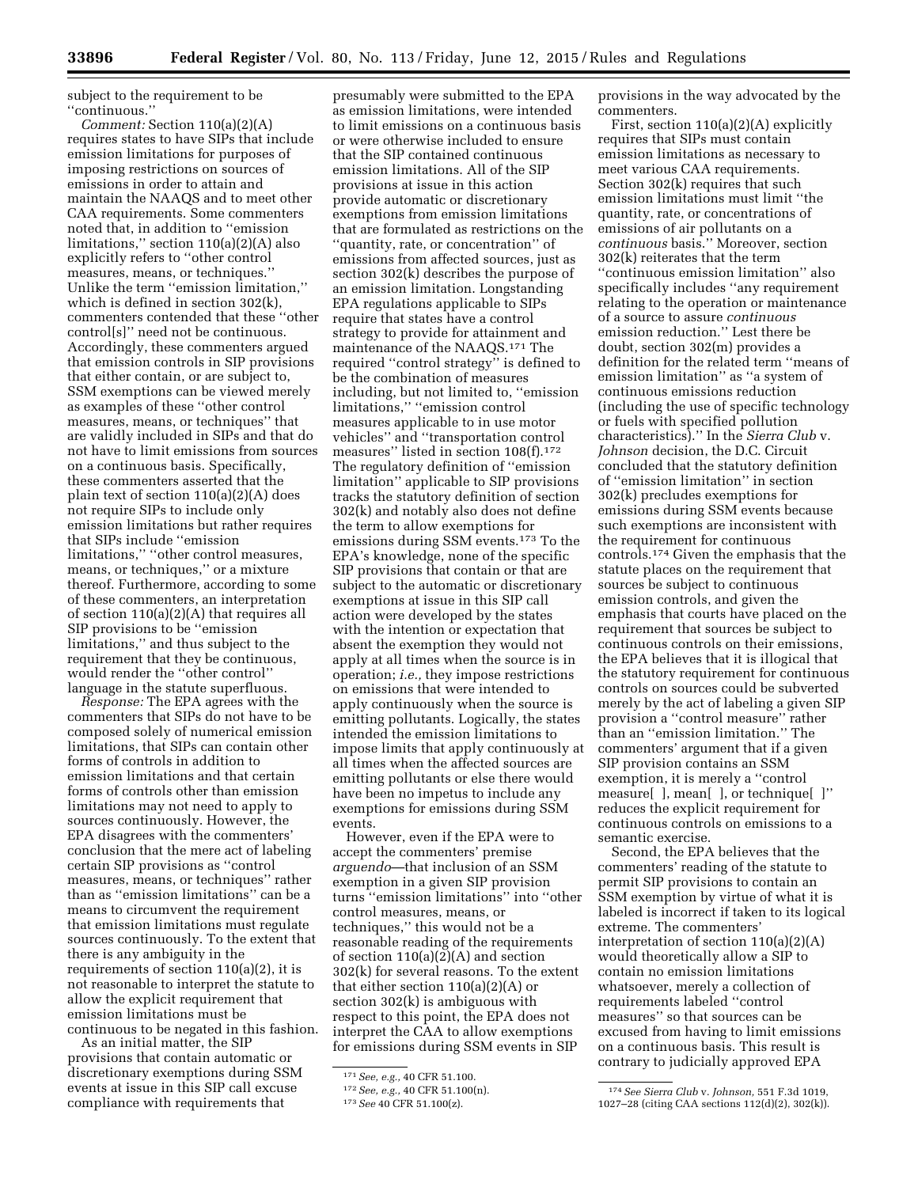subject to the requirement to be ''continuous.''

*Comment:* Section 110(a)(2)(A) requires states to have SIPs that include emission limitations for purposes of imposing restrictions on sources of emissions in order to attain and maintain the NAAQS and to meet other CAA requirements. Some commenters noted that, in addition to ''emission limitations,'' section 110(a)(2)(A) also explicitly refers to ''other control measures, means, or techniques.'' Unlike the term ''emission limitation,'' which is defined in section 302(k), commenters contended that these ''other control[s]'' need not be continuous. Accordingly, these commenters argued that emission controls in SIP provisions that either contain, or are subject to, SSM exemptions can be viewed merely as examples of these ''other control measures, means, or techniques'' that are validly included in SIPs and that do not have to limit emissions from sources on a continuous basis. Specifically, these commenters asserted that the plain text of section 110(a)(2)(A) does not require SIPs to include only emission limitations but rather requires that SIPs include ''emission limitations,'' ''other control measures, means, or techniques,'' or a mixture thereof. Furthermore, according to some of these commenters, an interpretation of section 110(a)(2)(A) that requires all SIP provisions to be ''emission limitations,'' and thus subject to the requirement that they be continuous, would render the ''other control'' language in the statute superfluous.

*Response:* The EPA agrees with the commenters that SIPs do not have to be composed solely of numerical emission limitations, that SIPs can contain other forms of controls in addition to emission limitations and that certain forms of controls other than emission limitations may not need to apply to sources continuously. However, the EPA disagrees with the commenters' conclusion that the mere act of labeling certain SIP provisions as ''control measures, means, or techniques'' rather than as ''emission limitations'' can be a means to circumvent the requirement that emission limitations must regulate sources continuously. To the extent that there is any ambiguity in the requirements of section 110(a)(2), it is not reasonable to interpret the statute to allow the explicit requirement that emission limitations must be continuous to be negated in this fashion.

As an initial matter, the SIP provisions that contain automatic or discretionary exemptions during SSM events at issue in this SIP call excuse compliance with requirements that

presumably were submitted to the EPA as emission limitations, were intended to limit emissions on a continuous basis or were otherwise included to ensure that the SIP contained continuous emission limitations. All of the SIP provisions at issue in this action provide automatic or discretionary exemptions from emission limitations that are formulated as restrictions on the ''quantity, rate, or concentration'' of emissions from affected sources, just as section 302(k) describes the purpose of an emission limitation. Longstanding EPA regulations applicable to SIPs require that states have a control strategy to provide for attainment and maintenance of the NAAQS.171 The required ''control strategy'' is defined to be the combination of measures including, but not limited to, ''emission limitations,'' ''emission control measures applicable to in use motor vehicles'' and ''transportation control measures'' listed in section 108(f).172 The regulatory definition of ''emission limitation'' applicable to SIP provisions tracks the statutory definition of section 302(k) and notably also does not define the term to allow exemptions for emissions during SSM events.173 To the EPA's knowledge, none of the specific SIP provisions that contain or that are subject to the automatic or discretionary exemptions at issue in this SIP call action were developed by the states with the intention or expectation that absent the exemption they would not apply at all times when the source is in operation; *i.e.,* they impose restrictions on emissions that were intended to apply continuously when the source is emitting pollutants. Logically, the states intended the emission limitations to impose limits that apply continuously at all times when the affected sources are emitting pollutants or else there would have been no impetus to include any exemptions for emissions during SSM events.

However, even if the EPA were to accept the commenters' premise *arguendo*—that inclusion of an SSM exemption in a given SIP provision turns ''emission limitations'' into ''other control measures, means, or techniques,'' this would not be a reasonable reading of the requirements of section 110(a)(2)(A) and section 302(k) for several reasons. To the extent that either section  $110(a)(2)(A)$  or section 302(k) is ambiguous with respect to this point, the EPA does not interpret the CAA to allow exemptions for emissions during SSM events in SIP

provisions in the way advocated by the commenters.

First, section 110(a)(2)(A) explicitly requires that SIPs must contain emission limitations as necessary to meet various CAA requirements. Section 302(k) requires that such emission limitations must limit ''the quantity, rate, or concentrations of emissions of air pollutants on a *continuous* basis.'' Moreover, section 302(k) reiterates that the term ''continuous emission limitation'' also specifically includes ''any requirement relating to the operation or maintenance of a source to assure *continuous*  emission reduction.'' Lest there be doubt, section 302(m) provides a definition for the related term ''means of emission limitation'' as ''a system of continuous emissions reduction (including the use of specific technology or fuels with specified pollution characteristics).'' In the *Sierra Club* v. *Johnson* decision, the D.C. Circuit concluded that the statutory definition of ''emission limitation'' in section 302(k) precludes exemptions for emissions during SSM events because such exemptions are inconsistent with the requirement for continuous controls.174 Given the emphasis that the statute places on the requirement that sources be subject to continuous emission controls, and given the emphasis that courts have placed on the requirement that sources be subject to continuous controls on their emissions, the EPA believes that it is illogical that the statutory requirement for continuous controls on sources could be subverted merely by the act of labeling a given SIP provision a ''control measure'' rather than an ''emission limitation.'' The commenters' argument that if a given SIP provision contains an SSM exemption, it is merely a ''control measure[ ], mean[ ], or technique[ ]'' reduces the explicit requirement for continuous controls on emissions to a semantic exercise.

Second, the EPA believes that the commenters' reading of the statute to permit SIP provisions to contain an SSM exemption by virtue of what it is labeled is incorrect if taken to its logical extreme. The commenters' interpretation of section 110(a)(2)(A) would theoretically allow a SIP to contain no emission limitations whatsoever, merely a collection of requirements labeled ''control measures'' so that sources can be excused from having to limit emissions on a continuous basis. This result is contrary to judicially approved EPA

<sup>171</sup>*See, e.g.,* 40 CFR 51.100.

<sup>172</sup>*See, e.g.,* 40 CFR 51.100(n).

<sup>173</sup>*See* 40 CFR 51.100(z).

<sup>174</sup>*See Sierra Club* v. *Johnson,* 551 F.3d 1019, 1027–28 (citing CAA sections 112(d)(2), 302(k)).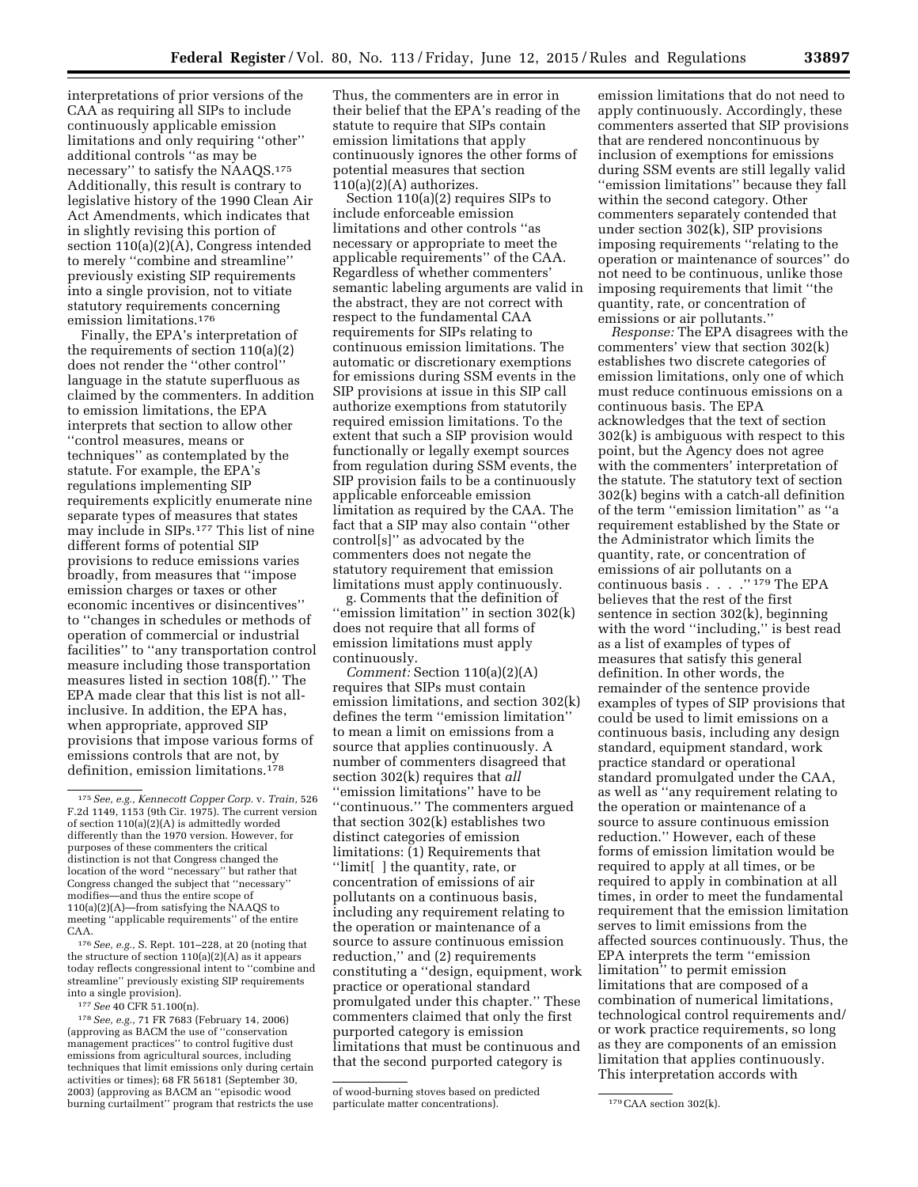interpretations of prior versions of the CAA as requiring all SIPs to include continuously applicable emission limitations and only requiring ''other'' additional controls ''as may be necessary'' to satisfy the NAAQS.175 Additionally, this result is contrary to legislative history of the 1990 Clean Air Act Amendments, which indicates that in slightly revising this portion of section 110(a)(2)(A), Congress intended to merely ''combine and streamline'' previously existing SIP requirements into a single provision, not to vitiate statutory requirements concerning emission limitations.176

Finally, the EPA's interpretation of the requirements of section 110(a)(2) does not render the ''other control'' language in the statute superfluous as claimed by the commenters. In addition to emission limitations, the EPA interprets that section to allow other ''control measures, means or techniques'' as contemplated by the statute. For example, the EPA's regulations implementing SIP requirements explicitly enumerate nine separate types of measures that states may include in SIPs.177 This list of nine different forms of potential SIP provisions to reduce emissions varies broadly, from measures that ''impose emission charges or taxes or other economic incentives or disincentives'' to ''changes in schedules or methods of operation of commercial or industrial facilities'' to ''any transportation control measure including those transportation measures listed in section 108(f).'' The EPA made clear that this list is not allinclusive. In addition, the EPA has, when appropriate, approved SIP provisions that impose various forms of emissions controls that are not, by definition, emission limitations.178

176*See, e.g.,* S. Rept. 101–228, at 20 (noting that the structure of section 110(a)(2)(A) as it appears today reflects congressional intent to ''combine and streamline'' previously existing SIP requirements into a single provision).

177*See* 40 CFR 51.100(n).

178*See, e.g.,* 71 FR 7683 (February 14, 2006) (approving as BACM the use of ''conservation management practices'' to control fugitive dust emissions from agricultural sources, including techniques that limit emissions only during certain activities or times); 68 FR 56181 (September 30, 2003) (approving as BACM an ''episodic wood burning curtailment'' program that restricts the use

Thus, the commenters are in error in their belief that the EPA's reading of the statute to require that SIPs contain emission limitations that apply continuously ignores the other forms of potential measures that section  $110(a)(2)(A)$  authorizes.

Section 110(a)(2) requires SIPs to include enforceable emission limitations and other controls ''as necessary or appropriate to meet the applicable requirements'' of the CAA. Regardless of whether commenters' semantic labeling arguments are valid in the abstract, they are not correct with respect to the fundamental CAA requirements for SIPs relating to continuous emission limitations. The automatic or discretionary exemptions for emissions during SSM events in the SIP provisions at issue in this SIP call authorize exemptions from statutorily required emission limitations. To the extent that such a SIP provision would functionally or legally exempt sources from regulation during SSM events, the SIP provision fails to be a continuously applicable enforceable emission limitation as required by the CAA. The fact that a SIP may also contain ''other control[s]'' as advocated by the commenters does not negate the statutory requirement that emission limitations must apply continuously.

g. Comments that the definition of ''emission limitation'' in section 302(k) does not require that all forms of emission limitations must apply continuously.

*Comment:* Section 110(a)(2)(A) requires that SIPs must contain emission limitations, and section 302(k) defines the term ''emission limitation'' to mean a limit on emissions from a source that applies continuously. A number of commenters disagreed that section 302(k) requires that *all*  ''emission limitations'' have to be ''continuous.'' The commenters argued that section 302(k) establishes two distinct categories of emission limitations: (1) Requirements that ''limit[ ] the quantity, rate, or concentration of emissions of air pollutants on a continuous basis, including any requirement relating to the operation or maintenance of a source to assure continuous emission reduction,'' and (2) requirements constituting a ''design, equipment, work practice or operational standard promulgated under this chapter.'' These commenters claimed that only the first purported category is emission limitations that must be continuous and that the second purported category is

of wood-burning stoves based on predicted particulate matter concentrations). 179 CAA section 302(k).

emission limitations that do not need to apply continuously. Accordingly, these commenters asserted that SIP provisions that are rendered noncontinuous by inclusion of exemptions for emissions during SSM events are still legally valid ''emission limitations'' because they fall within the second category. Other commenters separately contended that under section 302(k), SIP provisions imposing requirements ''relating to the operation or maintenance of sources'' do not need to be continuous, unlike those imposing requirements that limit ''the quantity, rate, or concentration of emissions or air pollutants.''

*Response:* The EPA disagrees with the commenters' view that section 302(k) establishes two discrete categories of emission limitations, only one of which must reduce continuous emissions on a continuous basis. The EPA acknowledges that the text of section 302(k) is ambiguous with respect to this point, but the Agency does not agree with the commenters' interpretation of the statute. The statutory text of section 302(k) begins with a catch-all definition of the term ''emission limitation'' as ''a requirement established by the State or the Administrator which limits the quantity, rate, or concentration of emissions of air pollutants on a continuous basis . . . .'' 179 The EPA believes that the rest of the first sentence in section 302(k), beginning with the word "including," is best read as a list of examples of types of measures that satisfy this general definition. In other words, the remainder of the sentence provide examples of types of SIP provisions that could be used to limit emissions on a continuous basis, including any design standard, equipment standard, work practice standard or operational standard promulgated under the CAA, as well as ''any requirement relating to the operation or maintenance of a source to assure continuous emission reduction.'' However, each of these forms of emission limitation would be required to apply at all times, or be required to apply in combination at all times, in order to meet the fundamental requirement that the emission limitation serves to limit emissions from the affected sources continuously. Thus, the EPA interprets the term ''emission limitation'' to permit emission limitations that are composed of a combination of numerical limitations, technological control requirements and/ or work practice requirements, so long as they are components of an emission limitation that applies continuously. This interpretation accords with

<sup>175</sup>*See, e.g., Kennecott Copper Corp.* v. *Train,* 526 F.2d 1149, 1153 (9th Cir. 1975). The current version of section 110(a)(2)(A) is admittedly worded differently than the 1970 version. However, for purposes of these commenters the critical distinction is not that Congress changed the location of the word ''necessary'' but rather that Congress changed the subject that ''necessary'' modifies—and thus the entire scope of 110(a)(2)(A)—from satisfying the NAAQS to meeting ''applicable requirements'' of the entire CAA.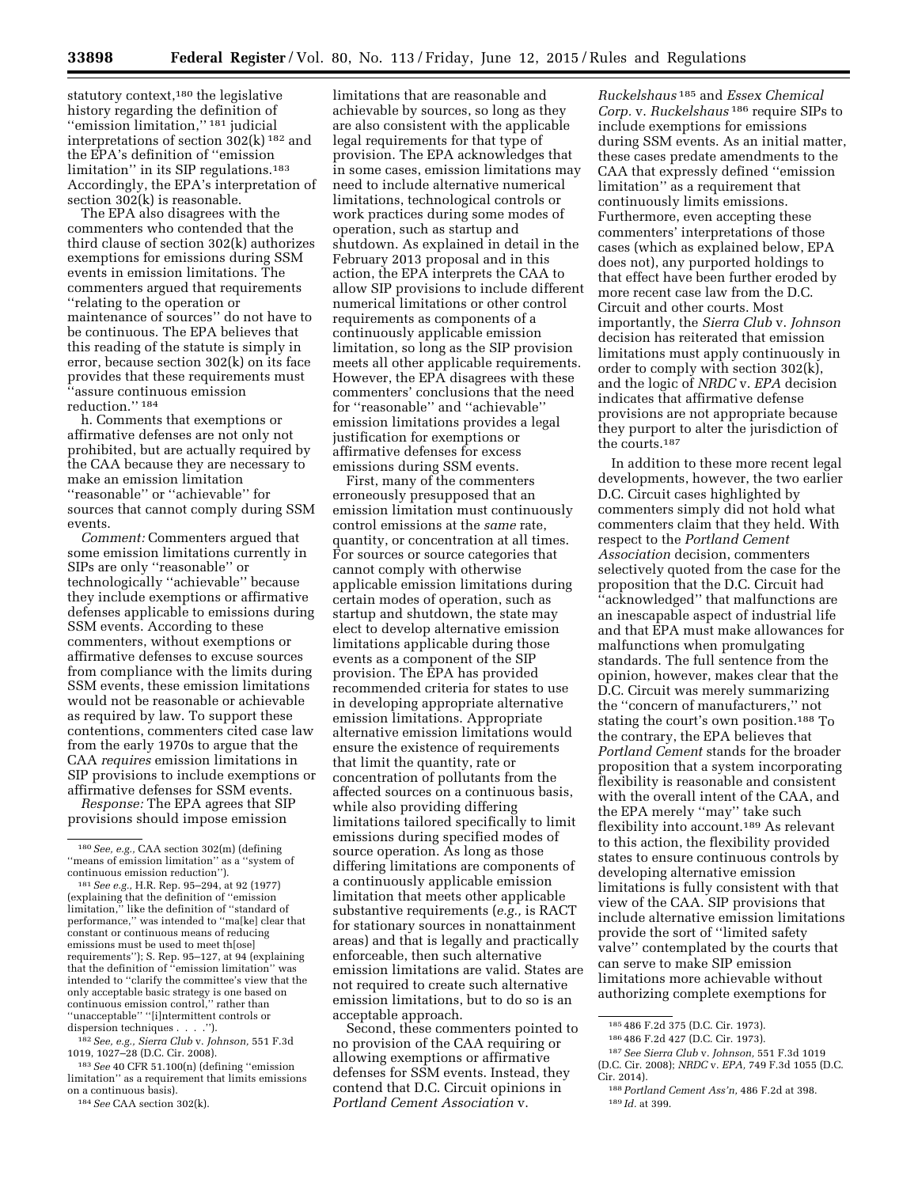statutory context,<sup>180</sup> the legislative history regarding the definition of ''emission limitation,'' 181 judicial interpretations of section 302(k) 182 and the EPA's definition of ''emission limitation" in its SIP regulations.<sup>183</sup> Accordingly, the EPA's interpretation of section 302(k) is reasonable.

The EPA also disagrees with the commenters who contended that the third clause of section 302(k) authorizes exemptions for emissions during SSM events in emission limitations. The commenters argued that requirements ''relating to the operation or maintenance of sources'' do not have to be continuous. The EPA believes that this reading of the statute is simply in error, because section 302(k) on its face provides that these requirements must ''assure continuous emission reduction.'' 184

h. Comments that exemptions or affirmative defenses are not only not prohibited, but are actually required by the CAA because they are necessary to make an emission limitation ''reasonable'' or ''achievable'' for sources that cannot comply during SSM events.

*Comment:* Commenters argued that some emission limitations currently in SIPs are only ''reasonable'' or technologically ''achievable'' because they include exemptions or affirmative defenses applicable to emissions during SSM events. According to these commenters, without exemptions or affirmative defenses to excuse sources from compliance with the limits during SSM events, these emission limitations would not be reasonable or achievable as required by law. To support these contentions, commenters cited case law from the early 1970s to argue that the CAA *requires* emission limitations in SIP provisions to include exemptions or affirmative defenses for SSM events.

*Response:* The EPA agrees that SIP provisions should impose emission

182*See, e.g., Sierra Club* v. *Johnson,* 551 F.3d 1019, 1027–28 (D.C. Cir. 2008).

183*See* 40 CFR 51.100(n) (defining ''emission limitation'' as a requirement that limits emissions on a continuous basis).

184*See* CAA section 302(k).

limitations that are reasonable and achievable by sources, so long as they are also consistent with the applicable legal requirements for that type of provision. The EPA acknowledges that in some cases, emission limitations may need to include alternative numerical limitations, technological controls or work practices during some modes of operation, such as startup and shutdown. As explained in detail in the February 2013 proposal and in this action, the EPA interprets the CAA to allow SIP provisions to include different numerical limitations or other control requirements as components of a continuously applicable emission limitation, so long as the SIP provision meets all other applicable requirements. However, the EPA disagrees with these commenters' conclusions that the need for ''reasonable'' and ''achievable'' emission limitations provides a legal justification for exemptions or affirmative defenses for excess emissions during SSM events.

First, many of the commenters erroneously presupposed that an emission limitation must continuously control emissions at the *same* rate, quantity, or concentration at all times. For sources or source categories that cannot comply with otherwise applicable emission limitations during certain modes of operation, such as startup and shutdown, the state may elect to develop alternative emission limitations applicable during those events as a component of the SIP provision. The EPA has provided recommended criteria for states to use in developing appropriate alternative emission limitations. Appropriate alternative emission limitations would ensure the existence of requirements that limit the quantity, rate or concentration of pollutants from the affected sources on a continuous basis, while also providing differing limitations tailored specifically to limit emissions during specified modes of source operation. As long as those differing limitations are components of a continuously applicable emission limitation that meets other applicable substantive requirements (*e.g.,* is RACT for stationary sources in nonattainment areas) and that is legally and practically enforceable, then such alternative emission limitations are valid. States are not required to create such alternative emission limitations, but to do so is an acceptable approach.

Second, these commenters pointed to no provision of the CAA requiring or allowing exemptions or affirmative defenses for SSM events. Instead, they contend that D.C. Circuit opinions in *Portland Cement Association* v.

*Ruckelshaus* 185 and *Essex Chemical Corp.* v. *Ruckelshaus* 186 require SIPs to include exemptions for emissions during SSM events. As an initial matter, these cases predate amendments to the CAA that expressly defined ''emission limitation'' as a requirement that continuously limits emissions. Furthermore, even accepting these commenters' interpretations of those cases (which as explained below, EPA does not), any purported holdings to that effect have been further eroded by more recent case law from the D.C. Circuit and other courts. Most importantly, the *Sierra Club* v. *Johnson*  decision has reiterated that emission limitations must apply continuously in order to comply with section 302(k), and the logic of *NRDC* v. *EPA* decision indicates that affirmative defense provisions are not appropriate because they purport to alter the jurisdiction of the courts.187

In addition to these more recent legal developments, however, the two earlier D.C. Circuit cases highlighted by commenters simply did not hold what commenters claim that they held. With respect to the *Portland Cement Association* decision, commenters selectively quoted from the case for the proposition that the D.C. Circuit had ''acknowledged'' that malfunctions are an inescapable aspect of industrial life and that EPA must make allowances for malfunctions when promulgating standards. The full sentence from the opinion, however, makes clear that the D.C. Circuit was merely summarizing the ''concern of manufacturers,'' not stating the court's own position.188 To the contrary, the EPA believes that *Portland Cement* stands for the broader proposition that a system incorporating flexibility is reasonable and consistent with the overall intent of the CAA, and the EPA merely ''may'' take such flexibility into account.189 As relevant to this action, the flexibility provided states to ensure continuous controls by developing alternative emission limitations is fully consistent with that view of the CAA. SIP provisions that include alternative emission limitations provide the sort of ''limited safety valve'' contemplated by the courts that can serve to make SIP emission limitations more achievable without authorizing complete exemptions for

<sup>180</sup>*See, e.g.,* CAA section 302(m) (defining ''means of emission limitation'' as a ''system of continuous emission reduction'').

<sup>181</sup>*See e.g.,* H.R. Rep. 95–294, at 92 (1977) (explaining that the definition of ''emission limitation,'' like the definition of ''standard of performance,'' was intended to ''ma[ke] clear that constant or continuous means of reducing emissions must be used to meet th[ose] requirements''); S. Rep. 95–127, at 94 (explaining that the definition of ''emission limitation'' was intended to ''clarify the committee's view that the only acceptable basic strategy is one based on continuous emission control,'' rather than ''unacceptable'' ''[i]ntermittent controls or dispersion techniques . . . .'').

<sup>185</sup> 486 F.2d 375 (D.C. Cir. 1973).

<sup>186</sup> 486 F.2d 427 (D.C. Cir. 1973).

<sup>187</sup>*See Sierra Club* v. *Johnson,* 551 F.3d 1019 (D.C. Cir. 2008); *NRDC* v. *EPA,* 749 F.3d 1055 (D.C. Cir. 2014).

<sup>188</sup>*Portland Cement Ass'n,* 486 F.2d at 398. 189 *Id.* at 399.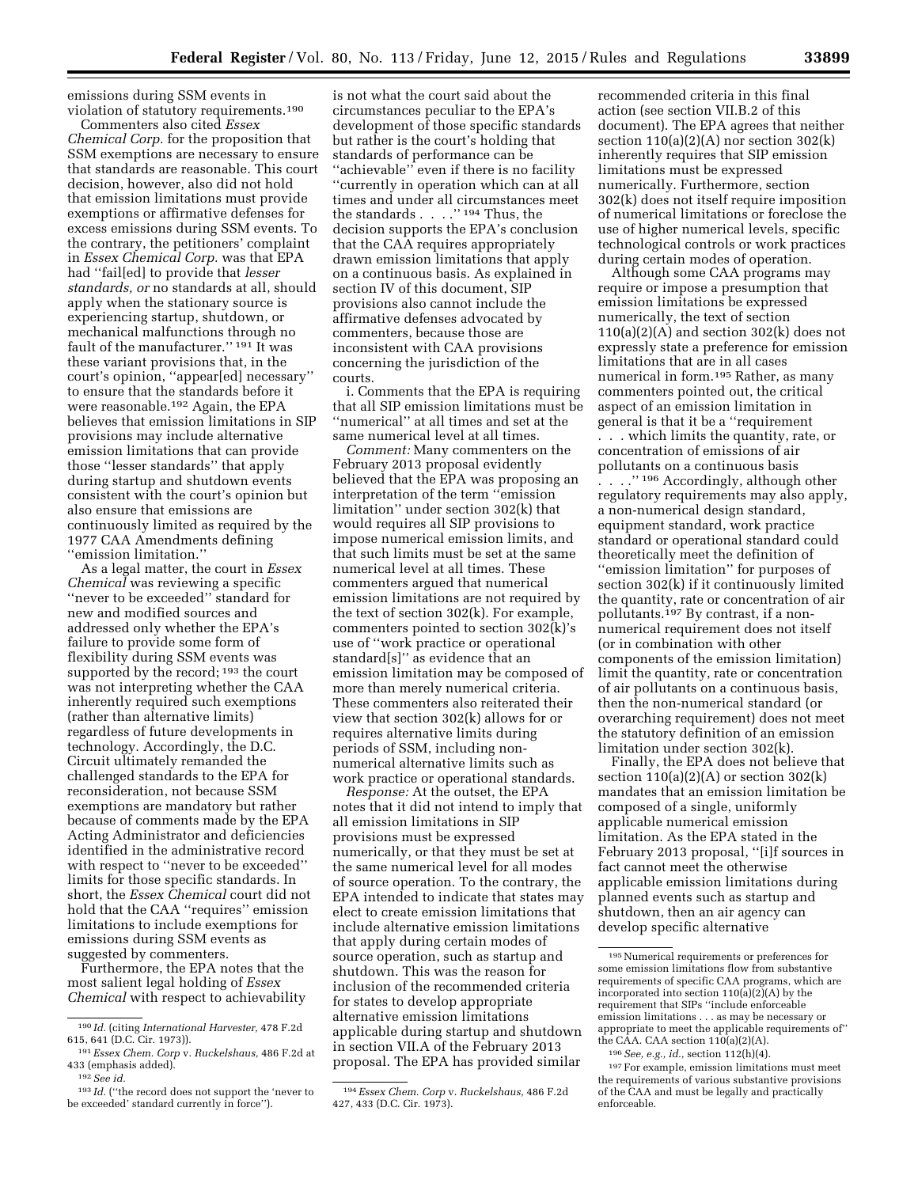emissions during SSM events in violation of statutory requirements.190

Commenters also cited *Essex Chemical Corp.* for the proposition that SSM exemptions are necessary to ensure that standards are reasonable. This court decision, however, also did not hold that emission limitations must provide exemptions or affirmative defenses for excess emissions during SSM events. To the contrary, the petitioners' complaint in *Essex Chemical Corp.* was that EPA had ''fail[ed] to provide that *lesser standards, or* no standards at all, should apply when the stationary source is experiencing startup, shutdown, or mechanical malfunctions through no fault of the manufacturer.'' 191 It was these variant provisions that, in the court's opinion, ''appear[ed] necessary'' to ensure that the standards before it were reasonable.192 Again, the EPA believes that emission limitations in SIP provisions may include alternative emission limitations that can provide those ''lesser standards'' that apply during startup and shutdown events consistent with the court's opinion but also ensure that emissions are continuously limited as required by the 1977 CAA Amendments defining ''emission limitation.''

As a legal matter, the court in *Essex Chemical* was reviewing a specific ''never to be exceeded'' standard for new and modified sources and addressed only whether the EPA's failure to provide some form of flexibility during SSM events was supported by the record; <sup>193</sup> the court was not interpreting whether the CAA inherently required such exemptions (rather than alternative limits) regardless of future developments in technology. Accordingly, the D.C. Circuit ultimately remanded the challenged standards to the EPA for reconsideration, not because SSM exemptions are mandatory but rather because of comments made by the EPA Acting Administrator and deficiencies identified in the administrative record with respect to ''never to be exceeded'' limits for those specific standards. In short, the *Essex Chemical* court did not hold that the CAA ''requires'' emission limitations to include exemptions for emissions during SSM events as suggested by commenters.

Furthermore, the EPA notes that the most salient legal holding of *Essex Chemical* with respect to achievability

is not what the court said about the circumstances peculiar to the EPA's development of those specific standards but rather is the court's holding that standards of performance can be ''achievable'' even if there is no facility ''currently in operation which can at all times and under all circumstances meet the standards . . . . " $^{\rm 194}$  Thus, the decision supports the EPA's conclusion that the CAA requires appropriately drawn emission limitations that apply on a continuous basis. As explained in section IV of this document, SIP provisions also cannot include the affirmative defenses advocated by commenters, because those are inconsistent with CAA provisions concerning the jurisdiction of the courts.

i. Comments that the EPA is requiring that all SIP emission limitations must be ''numerical'' at all times and set at the same numerical level at all times.

*Comment:* Many commenters on the February 2013 proposal evidently believed that the EPA was proposing an interpretation of the term ''emission limitation'' under section 302(k) that would requires all SIP provisions to impose numerical emission limits, and that such limits must be set at the same numerical level at all times. These commenters argued that numerical emission limitations are not required by the text of section 302(k). For example, commenters pointed to section 302(k)'s use of ''work practice or operational standard[s]'' as evidence that an emission limitation may be composed of more than merely numerical criteria. These commenters also reiterated their view that section 302(k) allows for or requires alternative limits during periods of SSM, including nonnumerical alternative limits such as work practice or operational standards.

*Response:* At the outset, the EPA notes that it did not intend to imply that all emission limitations in SIP provisions must be expressed numerically, or that they must be set at the same numerical level for all modes of source operation. To the contrary, the EPA intended to indicate that states may elect to create emission limitations that include alternative emission limitations that apply during certain modes of source operation, such as startup and shutdown. This was the reason for inclusion of the recommended criteria for states to develop appropriate alternative emission limitations applicable during startup and shutdown in section VII.A of the February 2013 proposal. The EPA has provided similar

recommended criteria in this final action (see section VII.B.2 of this document). The EPA agrees that neither section  $110(a)(2)(A)$  nor section  $302(k)$ inherently requires that SIP emission limitations must be expressed numerically. Furthermore, section 302(k) does not itself require imposition of numerical limitations or foreclose the use of higher numerical levels, specific technological controls or work practices during certain modes of operation.

Although some CAA programs may require or impose a presumption that emission limitations be expressed numerically, the text of section  $110(a)(2)(A)$  and section  $302(k)$  does not expressly state a preference for emission limitations that are in all cases numerical in form.195 Rather, as many commenters pointed out, the critical aspect of an emission limitation in general is that it be a ''requirement . . . which limits the quantity, rate, or concentration of emissions of air pollutants on a continuous basis

. . . .'' 196 Accordingly, although other regulatory requirements may also apply, a non-numerical design standard, equipment standard, work practice standard or operational standard could theoretically meet the definition of ''emission limitation'' for purposes of section 302(k) if it continuously limited the quantity, rate or concentration of air pollutants.197 By contrast, if a nonnumerical requirement does not itself (or in combination with other components of the emission limitation) limit the quantity, rate or concentration of air pollutants on a continuous basis, then the non-numerical standard (or overarching requirement) does not meet the statutory definition of an emission limitation under section 302(k).

Finally, the EPA does not believe that section  $110(a)(2)(A)$  or section  $302(k)$ mandates that an emission limitation be composed of a single, uniformly applicable numerical emission limitation. As the EPA stated in the February 2013 proposal, ''[i]f sources in fact cannot meet the otherwise applicable emission limitations during planned events such as startup and shutdown, then an air agency can develop specific alternative

<sup>190</sup> *Id.* (citing *International Harvester,* 478 F.2d 615, 641 (D.C. Cir. 1973)).

<sup>191</sup>*Essex Chem. Corp* v. *Ruckelshaus,* 486 F.2d at 433 (emphasis added).

<sup>192</sup>*See id.* 

<sup>&</sup>lt;sup>193</sup> Id. ("the record does not support the 'never to be exceeded' standard currently in force'').

<sup>194</sup>*Essex Chem. Corp* v. *Ruckelshaus,* 486 F.2d 427, 433 (D.C. Cir. 1973).

<sup>195</sup>Numerical requirements or preferences for some emission limitations flow from substantive requirements of specific CAA programs, which are incorporated into section  $110(a)(2)(A)$  by the requirement that SIPs ''include enforceable emission limitations . . . as may be necessary or appropriate to meet the applicable requirements of'' the CAA. CAA section  $110(a)(2)(A)$ . 196*See, e.g., id.,* section 112(h)(4).

<sup>197</sup>For example, emission limitations must meet the requirements of various substantive provisions of the CAA and must be legally and practically enforceable.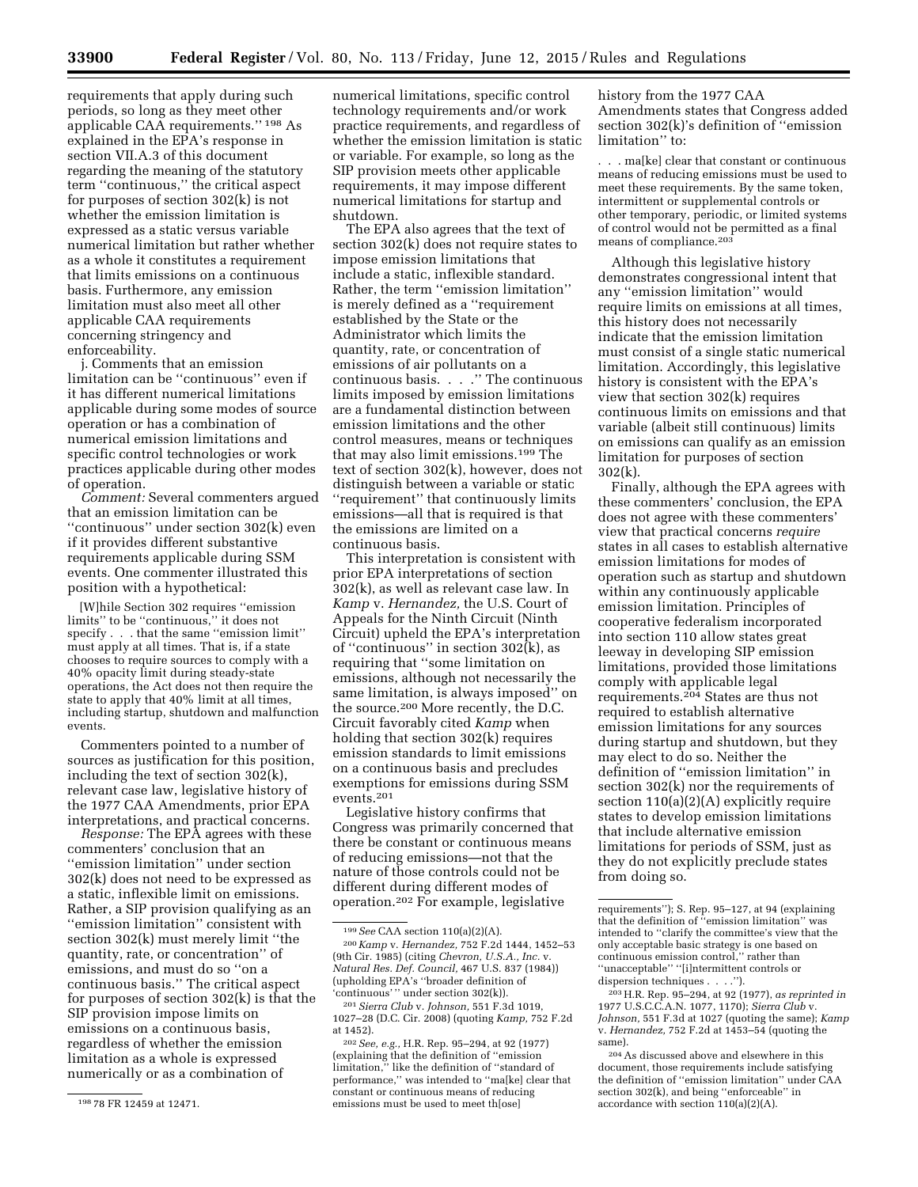requirements that apply during such periods, so long as they meet other applicable CAA requirements.'' 198 As explained in the EPA's response in section VII.A.3 of this document regarding the meaning of the statutory term ''continuous,'' the critical aspect for purposes of section 302(k) is not whether the emission limitation is expressed as a static versus variable numerical limitation but rather whether as a whole it constitutes a requirement that limits emissions on a continuous basis. Furthermore, any emission limitation must also meet all other applicable CAA requirements concerning stringency and enforceability.

j. Comments that an emission limitation can be ''continuous'' even if it has different numerical limitations applicable during some modes of source operation or has a combination of numerical emission limitations and specific control technologies or work practices applicable during other modes of operation.

*Comment:* Several commenters argued that an emission limitation can be ''continuous'' under section 302(k) even if it provides different substantive requirements applicable during SSM events. One commenter illustrated this position with a hypothetical:

[W]hile Section 302 requires ''emission limits'' to be ''continuous,'' it does not specify . . . that the same ''emission limit'' must apply at all times. That is, if a state chooses to require sources to comply with a 40% opacity limit during steady-state operations, the Act does not then require the state to apply that 40% limit at all times, including startup, shutdown and malfunction events.

Commenters pointed to a number of sources as justification for this position, including the text of section 302(k), relevant case law, legislative history of the 1977 CAA Amendments, prior EPA interpretations, and practical concerns.

*Response:* The EPA agrees with these commenters' conclusion that an ''emission limitation'' under section 302(k) does not need to be expressed as a static, inflexible limit on emissions. Rather, a SIP provision qualifying as an ''emission limitation'' consistent with section 302(k) must merely limit ''the quantity, rate, or concentration'' of emissions, and must do so ''on a continuous basis.'' The critical aspect for purposes of section 302(k) is that the SIP provision impose limits on emissions on a continuous basis, regardless of whether the emission limitation as a whole is expressed numerically or as a combination of

numerical limitations, specific control technology requirements and/or work practice requirements, and regardless of whether the emission limitation is static or variable. For example, so long as the SIP provision meets other applicable requirements, it may impose different numerical limitations for startup and shutdown.

The EPA also agrees that the text of section 302(k) does not require states to impose emission limitations that include a static, inflexible standard. Rather, the term ''emission limitation'' is merely defined as a ''requirement established by the State or the Administrator which limits the quantity, rate, or concentration of emissions of air pollutants on a continuous basis. . . .'' The continuous limits imposed by emission limitations are a fundamental distinction between emission limitations and the other control measures, means or techniques that may also limit emissions.199 The text of section 302(k), however, does not distinguish between a variable or static ''requirement'' that continuously limits emissions—all that is required is that the emissions are limited on a continuous basis.

This interpretation is consistent with prior EPA interpretations of section 302(k), as well as relevant case law. In *Kamp* v. *Hernandez,* the U.S. Court of Appeals for the Ninth Circuit (Ninth Circuit) upheld the EPA's interpretation of ''continuous'' in section 302(k), as requiring that ''some limitation on emissions, although not necessarily the same limitation, is always imposed'' on the source.200 More recently, the D.C. Circuit favorably cited *Kamp* when holding that section 302(k) requires emission standards to limit emissions on a continuous basis and precludes exemptions for emissions during SSM events.201

Legislative history confirms that Congress was primarily concerned that there be constant or continuous means of reducing emissions—not that the nature of those controls could not be different during different modes of operation.202 For example, legislative

history from the 1977 CAA Amendments states that Congress added section 302(k)'s definition of ''emission limitation'' to:

. . . ma[ke] clear that constant or continuous means of reducing emissions must be used to meet these requirements. By the same token, intermittent or supplemental controls or other temporary, periodic, or limited systems of control would not be permitted as a final means of compliance.203

Although this legislative history demonstrates congressional intent that any ''emission limitation'' would require limits on emissions at all times, this history does not necessarily indicate that the emission limitation must consist of a single static numerical limitation. Accordingly, this legislative history is consistent with the EPA's view that section 302(k) requires continuous limits on emissions and that variable (albeit still continuous) limits on emissions can qualify as an emission limitation for purposes of section 302(k).

Finally, although the EPA agrees with these commenters' conclusion, the EPA does not agree with these commenters' view that practical concerns *require*  states in all cases to establish alternative emission limitations for modes of operation such as startup and shutdown within any continuously applicable emission limitation. Principles of cooperative federalism incorporated into section 110 allow states great leeway in developing SIP emission limitations, provided those limitations comply with applicable legal requirements.204 States are thus not required to establish alternative emission limitations for any sources during startup and shutdown, but they may elect to do so. Neither the definition of ''emission limitation'' in section 302(k) nor the requirements of section 110(a)(2)(A) explicitly require states to develop emission limitations that include alternative emission limitations for periods of SSM, just as they do not explicitly preclude states from doing so.

<sup>198</sup> 78 FR 12459 at 12471.

<sup>199</sup>*See* CAA section 110(a)(2)(A).

<sup>200</sup>*Kamp* v. *Hernandez,* 752 F.2d 1444, 1452–53 (9th Cir. 1985) (citing *Chevron, U.S.A., Inc.* v. *Natural Res. Def. Council,* 467 U.S. 837 (1984)) (upholding EPA's ''broader definition of 'continuous' '' under section 302(k)).

<sup>201</sup>*Sierra Club* v. *Johnson,* 551 F.3d 1019, 1027–28 (D.C. Cir. 2008) (quoting *Kamp,* 752 F.2d at 1452).

<sup>202</sup>*See, e.g.,* H.R. Rep. 95–294, at 92 (1977) (explaining that the definition of ''emission limitation,'' like the definition of ''standard of performance,'' was intended to ''ma[ke] clear that constant or continuous means of reducing emissions must be used to meet th[ose]

requirements''); S. Rep. 95–127, at 94 (explaining that the definition of ''emission limitation'' was intended to ''clarify the committee's view that the only acceptable basic strategy is one based on continuous emission control,'' rather than ''unacceptable'' ''[i]ntermittent controls or dispersion techniques . . . .'').

<sup>203</sup>H.R. Rep. 95–294, at 92 (1977), *as reprinted in*  1977 U.S.C.C.A.N. 1077, 1170); *Sierra Club* v. *Johnson,* 551 F.3d at 1027 (quoting the same); *Kamp*  v. *Hernandez,* 752 F.2d at 1453–54 (quoting the same).

<sup>204</sup>As discussed above and elsewhere in this document, those requirements include satisfying the definition of ''emission limitation'' under CAA section 302(k), and being ''enforceable'' in accordance with section 110(a)(2)(A).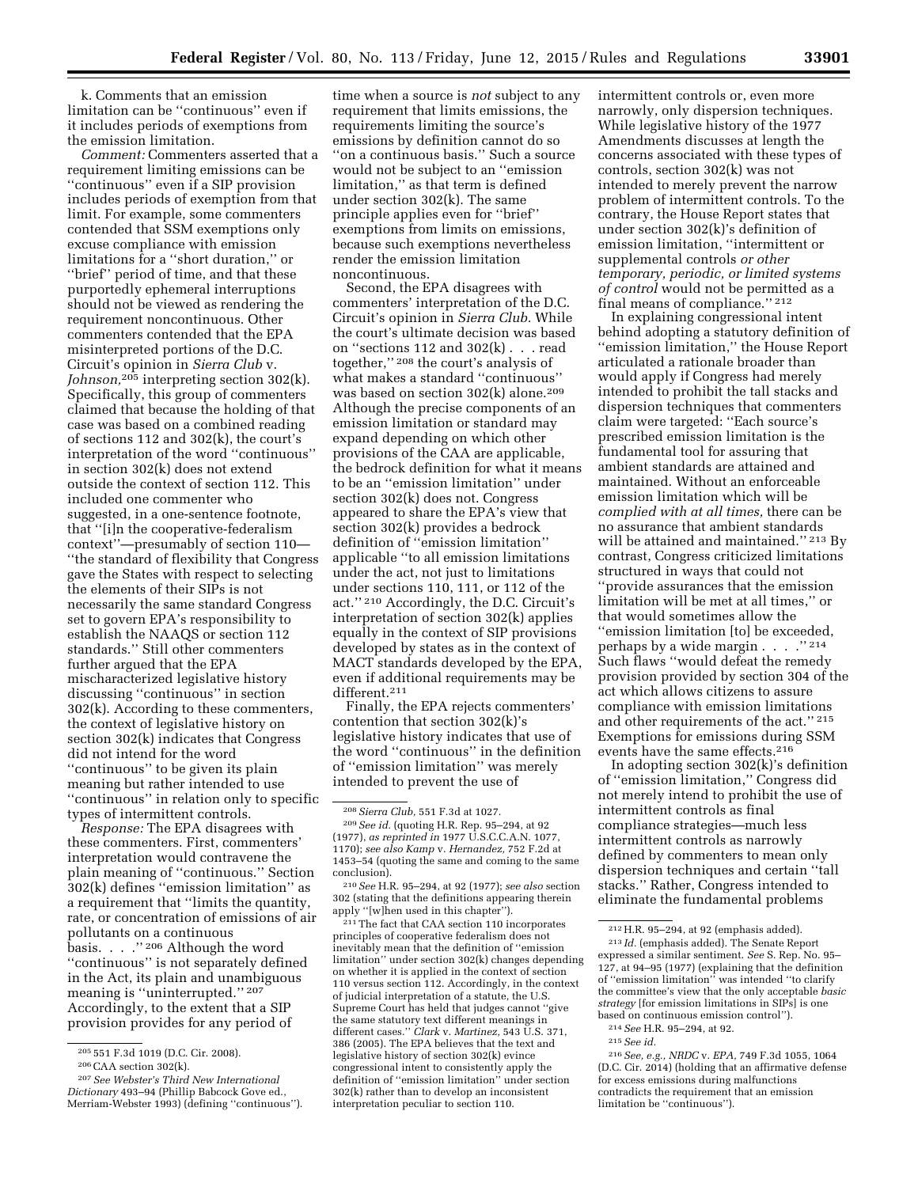k. Comments that an emission limitation can be ''continuous'' even if it includes periods of exemptions from the emission limitation.

*Comment:* Commenters asserted that a requirement limiting emissions can be ''continuous'' even if a SIP provision includes periods of exemption from that limit. For example, some commenters contended that SSM exemptions only excuse compliance with emission limitations for a ''short duration,'' or ''brief'' period of time, and that these purportedly ephemeral interruptions should not be viewed as rendering the requirement noncontinuous. Other commenters contended that the EPA misinterpreted portions of the D.C. Circuit's opinion in *Sierra Club* v. *Johnson,*205 interpreting section 302(k). Specifically, this group of commenters claimed that because the holding of that case was based on a combined reading of sections 112 and 302(k), the court's interpretation of the word ''continuous'' in section 302(k) does not extend outside the context of section 112. This included one commenter who suggested, in a one-sentence footnote, that ''[i]n the cooperative-federalism context''—presumably of section 110— ''the standard of flexibility that Congress gave the States with respect to selecting the elements of their SIPs is not necessarily the same standard Congress set to govern EPA's responsibility to establish the NAAQS or section 112 standards.'' Still other commenters further argued that the EPA mischaracterized legislative history discussing ''continuous'' in section 302(k). According to these commenters, the context of legislative history on section 302(k) indicates that Congress did not intend for the word ''continuous'' to be given its plain meaning but rather intended to use ''continuous'' in relation only to specific types of intermittent controls.

*Response:* The EPA disagrees with these commenters. First, commenters' interpretation would contravene the plain meaning of ''continuous.'' Section 302(k) defines ''emission limitation'' as a requirement that ''limits the quantity, rate, or concentration of emissions of air pollutants on a continuous basis.  $\therefore$  . . . . . . . . . 206 Although the word ''continuous'' is not separately defined in the Act, its plain and unambiguous meaning is "uninterrupted."<sup>207</sup> Accordingly, to the extent that a SIP provision provides for any period of

time when a source is *not* subject to any requirement that limits emissions, the requirements limiting the source's emissions by definition cannot do so ''on a continuous basis.'' Such a source would not be subject to an ''emission limitation,'' as that term is defined under section 302(k). The same principle applies even for ''brief'' exemptions from limits on emissions, because such exemptions nevertheless render the emission limitation noncontinuous.

Second, the EPA disagrees with commenters' interpretation of the D.C. Circuit's opinion in *Sierra Club.* While the court's ultimate decision was based on ''sections 112 and 302(k) . . . read together,'' 208 the court's analysis of what makes a standard ''continuous'' was based on section 302(k) alone.209 Although the precise components of an emission limitation or standard may expand depending on which other provisions of the CAA are applicable, the bedrock definition for what it means to be an ''emission limitation'' under section 302(k) does not. Congress appeared to share the EPA's view that section 302(k) provides a bedrock definition of ''emission limitation'' applicable ''to all emission limitations under the act, not just to limitations under sections 110, 111, or 112 of the act.'' 210 Accordingly, the D.C. Circuit's interpretation of section 302(k) applies equally in the context of SIP provisions developed by states as in the context of MACT standards developed by the EPA, even if additional requirements may be different.211

Finally, the EPA rejects commenters' contention that section 302(k)'s legislative history indicates that use of the word ''continuous'' in the definition of ''emission limitation'' was merely intended to prevent the use of

210*See* H.R. 95–294, at 92 (1977); *see also* section 302 (stating that the definitions appearing therein apply ''[w]hen used in this chapter'').

211The fact that CAA section 110 incorporates principles of cooperative federalism does not inevitably mean that the definition of ''emission limitation'' under section 302(k) changes depending on whether it is applied in the context of section 110 versus section 112. Accordingly, in the context of judicial interpretation of a statute, the U.S. Supreme Court has held that judges cannot ''give the same statutory text different meanings in different cases.'' *Clark* v. *Martinez,* 543 U.S. 371, 386 (2005). The EPA believes that the text and legislative history of section 302(k) evince congressional intent to consistently apply the definition of ''emission limitation'' under section 302(k) rather than to develop an inconsistent interpretation peculiar to section 110.

intermittent controls or, even more narrowly, only dispersion techniques. While legislative history of the 1977 Amendments discusses at length the concerns associated with these types of controls, section 302(k) was not intended to merely prevent the narrow problem of intermittent controls. To the contrary, the House Report states that under section 302(k)'s definition of emission limitation, ''intermittent or supplemental controls *or other temporary, periodic, or limited systems of control* would not be permitted as a final means of compliance.'' 212

In explaining congressional intent behind adopting a statutory definition of ''emission limitation,'' the House Report articulated a rationale broader than would apply if Congress had merely intended to prohibit the tall stacks and dispersion techniques that commenters claim were targeted: ''Each source's prescribed emission limitation is the fundamental tool for assuring that ambient standards are attained and maintained. Without an enforceable emission limitation which will be *complied with at all times,* there can be no assurance that ambient standards will be attained and maintained.'' 213 By contrast, Congress criticized limitations structured in ways that could not ''provide assurances that the emission limitation will be met at all times,'' or that would sometimes allow the ''emission limitation [to] be exceeded, perhaps by a wide margin . . . .'' 214 Such flaws ''would defeat the remedy provision provided by section 304 of the act which allows citizens to assure compliance with emission limitations and other requirements of the act.'' 215 Exemptions for emissions during SSM events have the same effects.216

In adopting section 302(k)'s definition of ''emission limitation,'' Congress did not merely intend to prohibit the use of intermittent controls as final compliance strategies—much less intermittent controls as narrowly defined by commenters to mean only dispersion techniques and certain ''tall stacks.'' Rather, Congress intended to eliminate the fundamental problems

<sup>205</sup> 551 F.3d 1019 (D.C. Cir. 2008).

<sup>206</sup>CAA section 302(k).

<sup>207</sup>*See Webster's Third New International Dictionary* 493–94 (Phillip Babcock Gove ed., Merriam-Webster 1993) (defining ''continuous'').

<sup>208</sup>*Sierra Club,* 551 F.3d at 1027.

<sup>209</sup>*See id.* (quoting H.R. Rep. 95–294, at 92 (1977), *as reprinted in* 1977 U.S.C.C.A.N. 1077, 1170); *see also Kamp* v. *Hernandez,* 752 F.2d at 1453–54 (quoting the same and coming to the same conclusion).

<sup>212</sup>H.R. 95–294, at 92 (emphasis added).

<sup>213</sup> *Id.* (emphasis added). The Senate Report expressed a similar sentiment. *See* S. Rep. No. 95– 127, at 94–95 (1977) (explaining that the definition of ''emission limitation'' was intended ''to clarify the committee's view that the only acceptable *basic strategy* [for emission limitations in SIPs] is one based on continuous emission control'').

<sup>214</sup>*See* H.R. 95–294, at 92.

<sup>215</sup>*See id.* 

<sup>216</sup>*See, e.g., NRDC* v. *EPA,* 749 F.3d 1055, 1064 (D.C. Cir. 2014) (holding that an affirmative defense for excess emissions during malfunctions contradicts the requirement that an emission limitation be ''continuous'').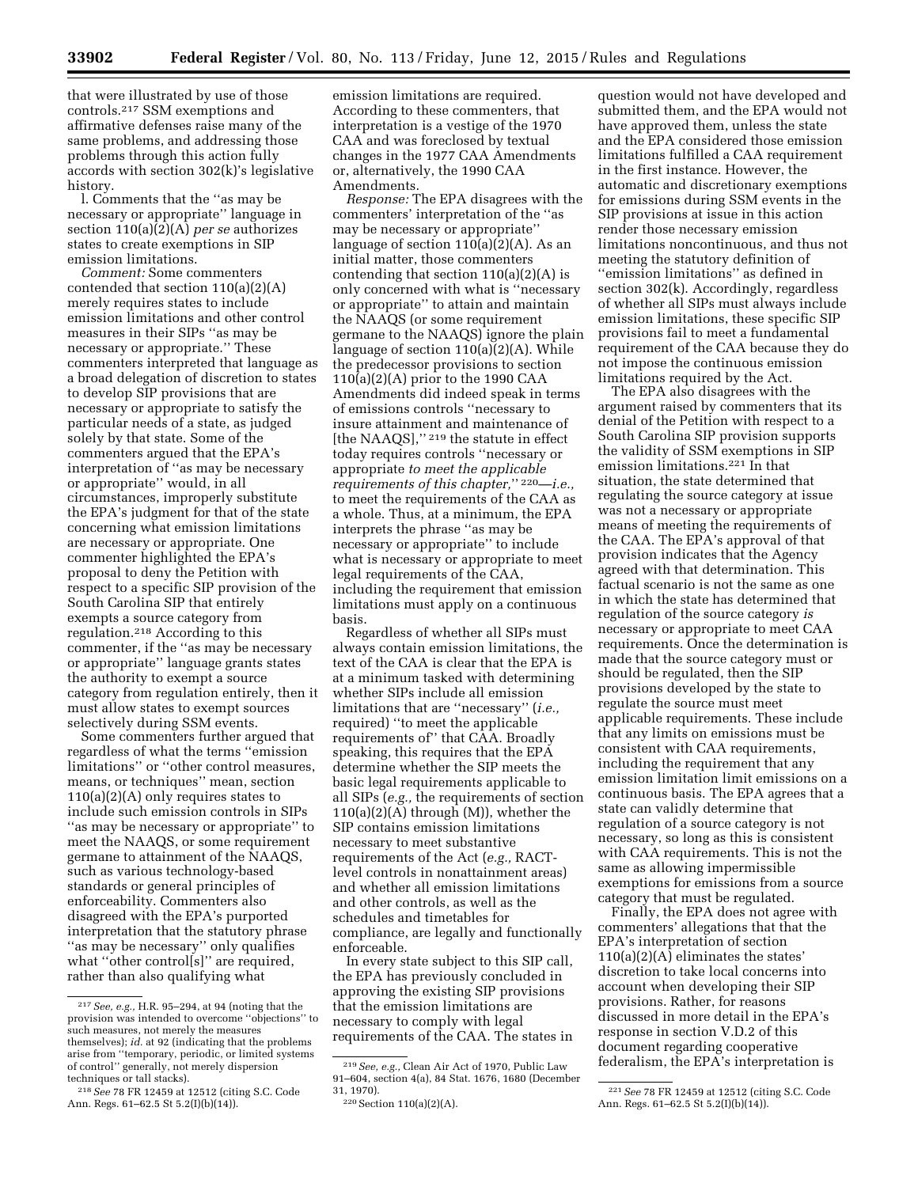that were illustrated by use of those controls.217 SSM exemptions and affirmative defenses raise many of the same problems, and addressing those problems through this action fully accords with section 302(k)'s legislative history.

l. Comments that the ''as may be necessary or appropriate'' language in section 110(a)(2)(A) *per se* authorizes states to create exemptions in SIP emission limitations.

*Comment:* Some commenters contended that section 110(a)(2)(A) merely requires states to include emission limitations and other control measures in their SIPs ''as may be necessary or appropriate.'' These commenters interpreted that language as a broad delegation of discretion to states to develop SIP provisions that are necessary or appropriate to satisfy the particular needs of a state, as judged solely by that state. Some of the commenters argued that the EPA's interpretation of ''as may be necessary or appropriate'' would, in all circumstances, improperly substitute the EPA's judgment for that of the state concerning what emission limitations are necessary or appropriate. One commenter highlighted the EPA's proposal to deny the Petition with respect to a specific SIP provision of the South Carolina SIP that entirely exempts a source category from regulation.218 According to this commenter, if the ''as may be necessary or appropriate'' language grants states the authority to exempt a source category from regulation entirely, then it must allow states to exempt sources selectively during SSM events.

Some commenters further argued that regardless of what the terms ''emission limitations'' or ''other control measures, means, or techniques'' mean, section 110(a)(2)(A) only requires states to include such emission controls in SIPs ''as may be necessary or appropriate'' to meet the NAAQS, or some requirement germane to attainment of the NAAQS, such as various technology-based standards or general principles of enforceability. Commenters also disagreed with the EPA's purported interpretation that the statutory phrase ''as may be necessary'' only qualifies what "other controlls]" are required, rather than also qualifying what

emission limitations are required. According to these commenters, that interpretation is a vestige of the 1970 CAA and was foreclosed by textual changes in the 1977 CAA Amendments or, alternatively, the 1990 CAA Amendments.

*Response:* The EPA disagrees with the commenters' interpretation of the ''as may be necessary or appropriate'' language of section  $110(a)(2)(A)$ . As an initial matter, those commenters contending that section 110(a)(2)(A) is only concerned with what is ''necessary or appropriate'' to attain and maintain the NAAQS (or some requirement germane to the NAAQS) ignore the plain language of section 110(a)(2)(A). While the predecessor provisions to section 110(a)(2)(A) prior to the 1990 CAA Amendments did indeed speak in terms of emissions controls ''necessary to insure attainment and maintenance of [the NAAQS],"<sup>219</sup> the statute in effect today requires controls ''necessary or appropriate *to meet the applicable requirements of this chapter,*'' 220—*i.e.,*  to meet the requirements of the CAA as a whole. Thus, at a minimum, the EPA interprets the phrase ''as may be necessary or appropriate'' to include what is necessary or appropriate to meet legal requirements of the CAA, including the requirement that emission limitations must apply on a continuous basis.

Regardless of whether all SIPs must always contain emission limitations, the text of the CAA is clear that the EPA is at a minimum tasked with determining whether SIPs include all emission limitations that are ''necessary'' (*i.e.,*  required) ''to meet the applicable requirements of'' that CAA. Broadly speaking, this requires that the EPA determine whether the SIP meets the basic legal requirements applicable to all SIPs (*e.g.,* the requirements of section 110(a)(2)(A) through (M)), whether the SIP contains emission limitations necessary to meet substantive requirements of the Act (*e.g.,* RACTlevel controls in nonattainment areas) and whether all emission limitations and other controls, as well as the schedules and timetables for compliance, are legally and functionally enforceable.

In every state subject to this SIP call, the EPA has previously concluded in approving the existing SIP provisions that the emission limitations are necessary to comply with legal requirements of the CAA. The states in

question would not have developed and submitted them, and the EPA would not have approved them, unless the state and the EPA considered those emission limitations fulfilled a CAA requirement in the first instance. However, the automatic and discretionary exemptions for emissions during SSM events in the SIP provisions at issue in this action render those necessary emission limitations noncontinuous, and thus not meeting the statutory definition of ''emission limitations'' as defined in section 302(k). Accordingly, regardless of whether all SIPs must always include emission limitations, these specific SIP provisions fail to meet a fundamental requirement of the CAA because they do not impose the continuous emission limitations required by the Act.

The EPA also disagrees with the argument raised by commenters that its denial of the Petition with respect to a South Carolina SIP provision supports the validity of SSM exemptions in SIP emission limitations.221 In that situation, the state determined that regulating the source category at issue was not a necessary or appropriate means of meeting the requirements of the CAA. The EPA's approval of that provision indicates that the Agency agreed with that determination. This factual scenario is not the same as one in which the state has determined that regulation of the source category *is*  necessary or appropriate to meet CAA requirements. Once the determination is made that the source category must or should be regulated, then the SIP provisions developed by the state to regulate the source must meet applicable requirements. These include that any limits on emissions must be consistent with CAA requirements, including the requirement that any emission limitation limit emissions on a continuous basis. The EPA agrees that a state can validly determine that regulation of a source category is not necessary, so long as this is consistent with CAA requirements. This is not the same as allowing impermissible exemptions for emissions from a source category that must be regulated.

Finally, the EPA does not agree with commenters' allegations that that the EPA's interpretation of section  $110(a)(2)(A)$  eliminates the states discretion to take local concerns into account when developing their SIP provisions. Rather, for reasons discussed in more detail in the EPA's response in section V.D.2 of this document regarding cooperative federalism, the EPA's interpretation is

<sup>217</sup>*See, e.g.,* H.R. 95–294, at 94 (noting that the provision was intended to overcome ''objections'' to such measures, not merely the measures themselves); *id.* at 92 (indicating that the problems arise from ''temporary, periodic, or limited systems of control'' generally, not merely dispersion techniques or tall stacks).

<sup>218</sup>*See* 78 FR 12459 at 12512 (citing S.C. Code Ann. Regs. 61–62.5 St 5.2(I)(b)(14)).

<sup>219</sup>*See, e.g.,* Clean Air Act of 1970, Public Law 91–604, section 4(a), 84 Stat. 1676, 1680 (December 31, 1970).

<sup>220</sup>Section 110(a)(2)(A).

<sup>221</sup>*See* 78 FR 12459 at 12512 (citing S.C. Code Ann. Regs. 61–62.5 St 5.2(I)(b)(14)).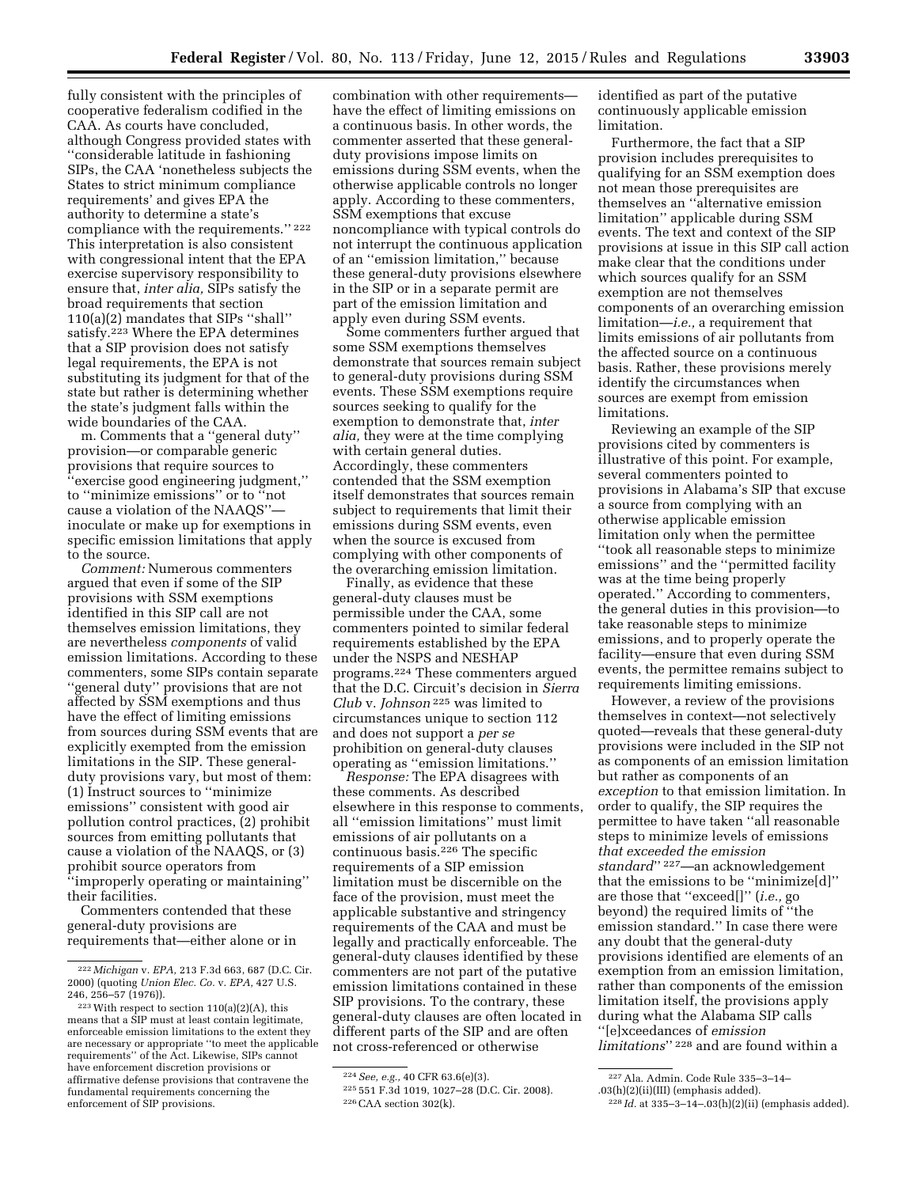fully consistent with the principles of cooperative federalism codified in the CAA. As courts have concluded, although Congress provided states with ''considerable latitude in fashioning SIPs, the CAA 'nonetheless subjects the States to strict minimum compliance requirements' and gives EPA the authority to determine a state's compliance with the requirements.'' 222 This interpretation is also consistent with congressional intent that the EPA exercise supervisory responsibility to ensure that, *inter alia,* SIPs satisfy the broad requirements that section 110(a)(2) mandates that SIPs ''shall'' satisfy.223 Where the EPA determines that a SIP provision does not satisfy legal requirements, the EPA is not substituting its judgment for that of the state but rather is determining whether the state's judgment falls within the wide boundaries of the CAA.

m. Comments that a ''general duty'' provision—or comparable generic provisions that require sources to ''exercise good engineering judgment,'' to ''minimize emissions'' or to ''not cause a violation of the NAAQS'' inoculate or make up for exemptions in specific emission limitations that apply to the source.

*Comment:* Numerous commenters argued that even if some of the SIP provisions with SSM exemptions identified in this SIP call are not themselves emission limitations, they are nevertheless *components* of valid emission limitations. According to these commenters, some SIPs contain separate ''general duty'' provisions that are not affected by SSM exemptions and thus have the effect of limiting emissions from sources during SSM events that are explicitly exempted from the emission limitations in the SIP. These generalduty provisions vary, but most of them: (1) Instruct sources to ''minimize emissions'' consistent with good air pollution control practices, (2) prohibit sources from emitting pollutants that cause a violation of the NAAQS, or (3) prohibit source operators from ''improperly operating or maintaining''

their facilities. Commenters contended that these general-duty provisions are

requirements that—either alone or in

combination with other requirements have the effect of limiting emissions on a continuous basis. In other words, the commenter asserted that these generalduty provisions impose limits on emissions during SSM events, when the otherwise applicable controls no longer apply. According to these commenters, SSM exemptions that excuse noncompliance with typical controls do not interrupt the continuous application of an ''emission limitation,'' because these general-duty provisions elsewhere in the SIP or in a separate permit are part of the emission limitation and apply even during SSM events.

Some commenters further argued that some SSM exemptions themselves demonstrate that sources remain subject to general-duty provisions during SSM events. These SSM exemptions require sources seeking to qualify for the exemption to demonstrate that, *inter alia,* they were at the time complying with certain general duties. Accordingly, these commenters contended that the SSM exemption itself demonstrates that sources remain subject to requirements that limit their emissions during SSM events, even when the source is excused from complying with other components of the overarching emission limitation.

Finally, as evidence that these general-duty clauses must be permissible under the CAA, some commenters pointed to similar federal requirements established by the EPA under the NSPS and NESHAP programs.224 These commenters argued that the D.C. Circuit's decision in *Sierra Club* v. *Johnson* 225 was limited to circumstances unique to section 112 and does not support a *per se*  prohibition on general-duty clauses operating as ''emission limitations.''

*Response:* The EPA disagrees with these comments. As described elsewhere in this response to comments, all ''emission limitations'' must limit emissions of air pollutants on a continuous basis.226 The specific requirements of a SIP emission limitation must be discernible on the face of the provision, must meet the applicable substantive and stringency requirements of the CAA and must be legally and practically enforceable. The general-duty clauses identified by these commenters are not part of the putative emission limitations contained in these SIP provisions. To the contrary, these general-duty clauses are often located in different parts of the SIP and are often not cross-referenced or otherwise

identified as part of the putative continuously applicable emission limitation.

Furthermore, the fact that a SIP provision includes prerequisites to qualifying for an SSM exemption does not mean those prerequisites are themselves an ''alternative emission limitation'' applicable during SSM events. The text and context of the SIP provisions at issue in this SIP call action make clear that the conditions under which sources qualify for an SSM exemption are not themselves components of an overarching emission limitation—*i.e.,* a requirement that limits emissions of air pollutants from the affected source on a continuous basis. Rather, these provisions merely identify the circumstances when sources are exempt from emission limitations.

Reviewing an example of the SIP provisions cited by commenters is illustrative of this point. For example, several commenters pointed to provisions in Alabama's SIP that excuse a source from complying with an otherwise applicable emission limitation only when the permittee ''took all reasonable steps to minimize emissions'' and the ''permitted facility was at the time being properly operated.'' According to commenters, the general duties in this provision—to take reasonable steps to minimize emissions, and to properly operate the facility—ensure that even during SSM events, the permittee remains subject to requirements limiting emissions.

However, a review of the provisions themselves in context—not selectively quoted—reveals that these general-duty provisions were included in the SIP not as components of an emission limitation but rather as components of an *exception* to that emission limitation. In order to qualify, the SIP requires the permittee to have taken ''all reasonable steps to minimize levels of emissions *that exceeded the emission standard*'' 227—an acknowledgement that the emissions to be ''minimize[d]'' are those that ''exceed[]'' (*i.e.,* go beyond) the required limits of ''the emission standard.'' In case there were any doubt that the general-duty provisions identified are elements of an exemption from an emission limitation, rather than components of the emission limitation itself, the provisions apply during what the Alabama SIP calls ''[e]xceedances of *emission limitations*'' 228 and are found within a

<sup>222</sup> *Michigan* v. *EPA,* 213 F.3d 663, 687 (D.C. Cir. 2000) (quoting *Union Elec. Co.* v. *EPA,* 427 U.S. 246, 256–57 (1976)).

<sup>223</sup>With respect to section 110(a)(2)(A), this means that a SIP must at least contain legitimate, enforceable emission limitations to the extent they are necessary or appropriate ''to meet the applicable requirements'' of the Act. Likewise, SIPs cannot have enforcement discretion provisions or affirmative defense provisions that contravene the fundamental requirements concerning the enforcement of SIP provisions.

<sup>224</sup>*See, e.g.,* 40 CFR 63.6(e)(3).

<sup>225</sup> 551 F.3d 1019, 1027–28 (D.C. Cir. 2008). 226CAA section 302(k).

<sup>227</sup>Ala. Admin. Code Rule 335–3–14–

<sup>.03(</sup>h)(2)(ii)(III) (emphasis added).

<sup>228</sup> *Id.* at 335–3–14–.03(h)(2)(ii) (emphasis added).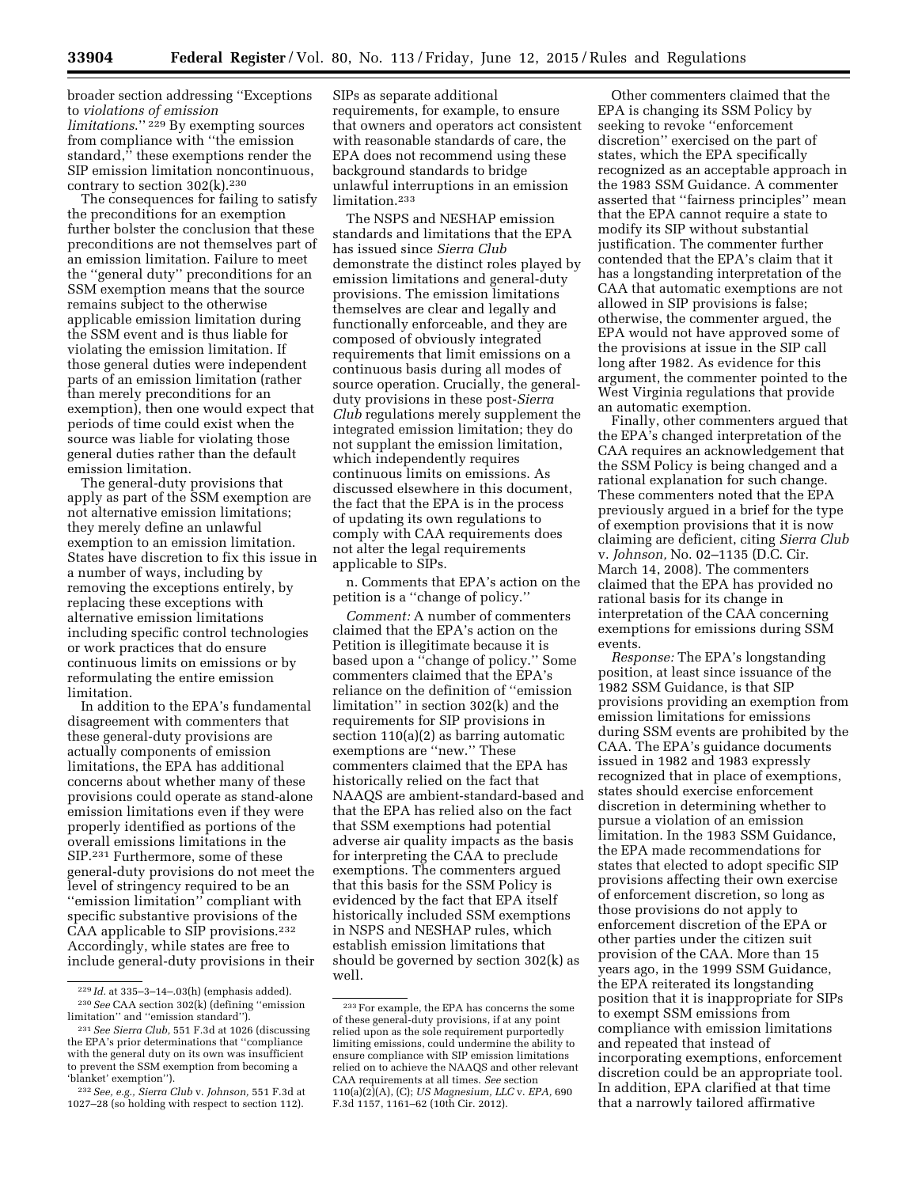broader section addressing ''Exceptions to *violations of emission limitations*.'' 229 By exempting sources from compliance with ''the emission standard,'' these exemptions render the SIP emission limitation noncontinuous, contrary to section  $302(k)$ .<sup>230</sup>

The consequences for failing to satisfy the preconditions for an exemption further bolster the conclusion that these preconditions are not themselves part of an emission limitation. Failure to meet the ''general duty'' preconditions for an SSM exemption means that the source remains subject to the otherwise applicable emission limitation during the SSM event and is thus liable for violating the emission limitation. If those general duties were independent parts of an emission limitation (rather than merely preconditions for an exemption), then one would expect that periods of time could exist when the source was liable for violating those general duties rather than the default emission limitation.

The general-duty provisions that apply as part of the SSM exemption are not alternative emission limitations; they merely define an unlawful exemption to an emission limitation. States have discretion to fix this issue in a number of ways, including by removing the exceptions entirely, by replacing these exceptions with alternative emission limitations including specific control technologies or work practices that do ensure continuous limits on emissions or by reformulating the entire emission limitation.

In addition to the EPA's fundamental disagreement with commenters that these general-duty provisions are actually components of emission limitations, the EPA has additional concerns about whether many of these provisions could operate as stand-alone emission limitations even if they were properly identified as portions of the overall emissions limitations in the SIP.231 Furthermore, some of these general-duty provisions do not meet the level of stringency required to be an ''emission limitation'' compliant with specific substantive provisions of the CAA applicable to SIP provisions.232 Accordingly, while states are free to include general-duty provisions in their SIPs as separate additional requirements, for example, to ensure that owners and operators act consistent with reasonable standards of care, the EPA does not recommend using these background standards to bridge unlawful interruptions in an emission limitation.233

The NSPS and NESHAP emission standards and limitations that the EPA has issued since *Sierra Club*  demonstrate the distinct roles played by emission limitations and general-duty provisions. The emission limitations themselves are clear and legally and functionally enforceable, and they are composed of obviously integrated requirements that limit emissions on a continuous basis during all modes of source operation. Crucially, the generalduty provisions in these post-*Sierra Club* regulations merely supplement the integrated emission limitation; they do not supplant the emission limitation, which independently requires continuous limits on emissions. As discussed elsewhere in this document, the fact that the EPA is in the process of updating its own regulations to comply with CAA requirements does not alter the legal requirements applicable to SIPs.

n. Comments that EPA's action on the petition is a ''change of policy.''

*Comment:* A number of commenters claimed that the EPA's action on the Petition is illegitimate because it is based upon a ''change of policy.'' Some commenters claimed that the EPA's reliance on the definition of ''emission limitation'' in section 302(k) and the requirements for SIP provisions in section 110(a)(2) as barring automatic exemptions are ''new.'' These commenters claimed that the EPA has historically relied on the fact that NAAQS are ambient-standard-based and that the EPA has relied also on the fact that SSM exemptions had potential adverse air quality impacts as the basis for interpreting the CAA to preclude exemptions. The commenters argued that this basis for the SSM Policy is evidenced by the fact that EPA itself historically included SSM exemptions in NSPS and NESHAP rules, which establish emission limitations that should be governed by section 302(k) as well.

Other commenters claimed that the EPA is changing its SSM Policy by seeking to revoke ''enforcement discretion'' exercised on the part of states, which the EPA specifically recognized as an acceptable approach in the 1983 SSM Guidance. A commenter asserted that ''fairness principles'' mean that the EPA cannot require a state to modify its SIP without substantial justification. The commenter further contended that the EPA's claim that it has a longstanding interpretation of the CAA that automatic exemptions are not allowed in SIP provisions is false; otherwise, the commenter argued, the EPA would not have approved some of the provisions at issue in the SIP call long after 1982. As evidence for this argument, the commenter pointed to the West Virginia regulations that provide an automatic exemption.

Finally, other commenters argued that the EPA's changed interpretation of the CAA requires an acknowledgement that the SSM Policy is being changed and a rational explanation for such change. These commenters noted that the EPA previously argued in a brief for the type of exemption provisions that it is now claiming are deficient, citing *Sierra Club*  v. *Johnson,* No. 02–1135 (D.C. Cir. March 14, 2008). The commenters claimed that the EPA has provided no rational basis for its change in interpretation of the CAA concerning exemptions for emissions during SSM events.

*Response:* The EPA's longstanding position, at least since issuance of the 1982 SSM Guidance, is that SIP provisions providing an exemption from emission limitations for emissions during SSM events are prohibited by the CAA. The EPA's guidance documents issued in 1982 and 1983 expressly recognized that in place of exemptions, states should exercise enforcement discretion in determining whether to pursue a violation of an emission limitation. In the 1983 SSM Guidance, the EPA made recommendations for states that elected to adopt specific SIP provisions affecting their own exercise of enforcement discretion, so long as those provisions do not apply to enforcement discretion of the EPA or other parties under the citizen suit provision of the CAA. More than 15 years ago, in the 1999 SSM Guidance, the EPA reiterated its longstanding position that it is inappropriate for SIPs to exempt SSM emissions from compliance with emission limitations and repeated that instead of incorporating exemptions, enforcement discretion could be an appropriate tool. In addition, EPA clarified at that time that a narrowly tailored affirmative

<sup>229</sup> *Id.* at 335–3–14–.03(h) (emphasis added). 230*See* CAA section 302(k) (defining ''emission limitation'' and ''emission standard'').

<sup>231</sup>*See Sierra Club,* 551 F.3d at 1026 (discussing the EPA's prior determinations that ''compliance with the general duty on its own was insufficient to prevent the SSM exemption from becoming a 'blanket' exemption'').

<sup>232</sup>*See, e.g., Sierra Club* v. *Johnson,* 551 F.3d at 1027–28 (so holding with respect to section 112).

<sup>233</sup>For example, the EPA has concerns the some of these general-duty provisions, if at any point relied upon as the sole requirement purportedly limiting emissions, could undermine the ability to ensure compliance with SIP emission limitations relied on to achieve the NAAQS and other relevant CAA requirements at all times. *See* section 110(a)(2)(A), (C); *US Magnesium, LLC* v. *EPA,* 690 F.3d 1157, 1161–62 (10th Cir. 2012).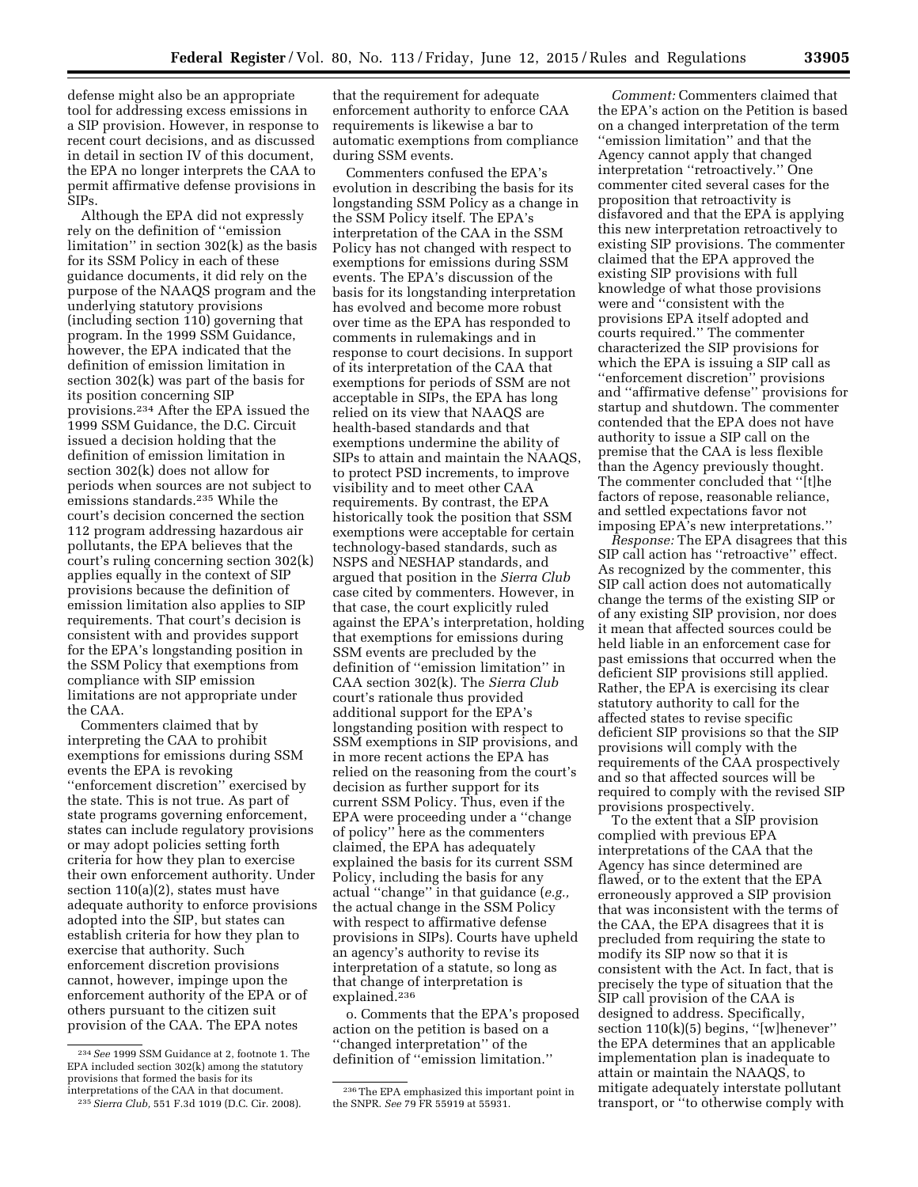defense might also be an appropriate tool for addressing excess emissions in a SIP provision. However, in response to recent court decisions, and as discussed in detail in section IV of this document, the EPA no longer interprets the CAA to permit affirmative defense provisions in SIPs.

Although the EPA did not expressly rely on the definition of ''emission limitation'' in section 302(k) as the basis for its SSM Policy in each of these guidance documents, it did rely on the purpose of the NAAQS program and the underlying statutory provisions (including section 110) governing that program. In the 1999 SSM Guidance, however, the EPA indicated that the definition of emission limitation in section 302(k) was part of the basis for its position concerning SIP provisions.234 After the EPA issued the 1999 SSM Guidance, the D.C. Circuit issued a decision holding that the definition of emission limitation in section 302(k) does not allow for periods when sources are not subject to emissions standards.235 While the court's decision concerned the section 112 program addressing hazardous air pollutants, the EPA believes that the court's ruling concerning section 302(k) applies equally in the context of SIP provisions because the definition of emission limitation also applies to SIP requirements. That court's decision is consistent with and provides support for the EPA's longstanding position in the SSM Policy that exemptions from compliance with SIP emission limitations are not appropriate under the CAA.

Commenters claimed that by interpreting the CAA to prohibit exemptions for emissions during SSM events the EPA is revoking ''enforcement discretion'' exercised by the state. This is not true. As part of state programs governing enforcement, states can include regulatory provisions or may adopt policies setting forth criteria for how they plan to exercise their own enforcement authority. Under section 110(a)(2), states must have adequate authority to enforce provisions adopted into the SIP, but states can establish criteria for how they plan to exercise that authority. Such enforcement discretion provisions cannot, however, impinge upon the enforcement authority of the EPA or of others pursuant to the citizen suit provision of the CAA. The EPA notes

that the requirement for adequate enforcement authority to enforce CAA requirements is likewise a bar to automatic exemptions from compliance during SSM events.

Commenters confused the EPA's evolution in describing the basis for its longstanding SSM Policy as a change in the SSM Policy itself. The EPA's interpretation of the CAA in the SSM Policy has not changed with respect to exemptions for emissions during SSM events. The EPA's discussion of the basis for its longstanding interpretation has evolved and become more robust over time as the EPA has responded to comments in rulemakings and in response to court decisions. In support of its interpretation of the CAA that exemptions for periods of SSM are not acceptable in SIPs, the EPA has long relied on its view that NAAQS are health-based standards and that exemptions undermine the ability of SIPs to attain and maintain the NAAQS, to protect PSD increments, to improve visibility and to meet other CAA requirements. By contrast, the EPA historically took the position that SSM exemptions were acceptable for certain technology-based standards, such as NSPS and NESHAP standards, and argued that position in the *Sierra Club*  case cited by commenters. However, in that case, the court explicitly ruled against the EPA's interpretation, holding that exemptions for emissions during SSM events are precluded by the definition of ''emission limitation'' in CAA section 302(k). The *Sierra Club*  court's rationale thus provided additional support for the EPA's longstanding position with respect to SSM exemptions in SIP provisions, and in more recent actions the EPA has relied on the reasoning from the court's decision as further support for its current SSM Policy. Thus, even if the EPA were proceeding under a ''change of policy'' here as the commenters claimed, the EPA has adequately explained the basis for its current SSM Policy, including the basis for any actual ''change'' in that guidance (*e.g.,*  the actual change in the SSM Policy with respect to affirmative defense provisions in SIPs). Courts have upheld an agency's authority to revise its interpretation of a statute, so long as that change of interpretation is explained.236

o. Comments that the EPA's proposed action on the petition is based on a ''changed interpretation'' of the definition of ''emission limitation.''

*Comment:* Commenters claimed that the EPA's action on the Petition is based on a changed interpretation of the term ''emission limitation'' and that the Agency cannot apply that changed interpretation ''retroactively.'' One commenter cited several cases for the proposition that retroactivity is disfavored and that the EPA is applying this new interpretation retroactively to existing SIP provisions. The commenter claimed that the EPA approved the existing SIP provisions with full knowledge of what those provisions were and ''consistent with the provisions EPA itself adopted and courts required.'' The commenter characterized the SIP provisions for which the EPA is issuing a SIP call as ''enforcement discretion'' provisions and ''affirmative defense'' provisions for startup and shutdown. The commenter contended that the EPA does not have authority to issue a SIP call on the premise that the CAA is less flexible than the Agency previously thought. The commenter concluded that ''[t]he factors of repose, reasonable reliance, and settled expectations favor not imposing EPA's new interpretations.''

*Response:* The EPA disagrees that this SIP call action has ''retroactive'' effect. As recognized by the commenter, this SIP call action does not automatically change the terms of the existing SIP or of any existing SIP provision, nor does it mean that affected sources could be held liable in an enforcement case for past emissions that occurred when the deficient SIP provisions still applied. Rather, the EPA is exercising its clear statutory authority to call for the affected states to revise specific deficient SIP provisions so that the SIP provisions will comply with the requirements of the CAA prospectively and so that affected sources will be required to comply with the revised SIP provisions prospectively.

To the extent that a SIP provision complied with previous EPA interpretations of the CAA that the Agency has since determined are flawed, or to the extent that the EPA erroneously approved a SIP provision that was inconsistent with the terms of the CAA, the EPA disagrees that it is precluded from requiring the state to modify its SIP now so that it is consistent with the Act. In fact, that is precisely the type of situation that the SIP call provision of the CAA is designed to address. Specifically, section 110(k)(5) begins, ''[w]henever'' the EPA determines that an applicable implementation plan is inadequate to attain or maintain the NAAQS, to mitigate adequately interstate pollutant transport, or ''to otherwise comply with

<sup>234</sup>*See* 1999 SSM Guidance at 2, footnote 1. The EPA included section 302(k) among the statutory provisions that formed the basis for its interpretations of the CAA in that document.

<sup>235</sup>*Sierra Club,* 551 F.3d 1019 (D.C. Cir. 2008).

<sup>236</sup>The EPA emphasized this important point in the SNPR. *See* 79 FR 55919 at 55931.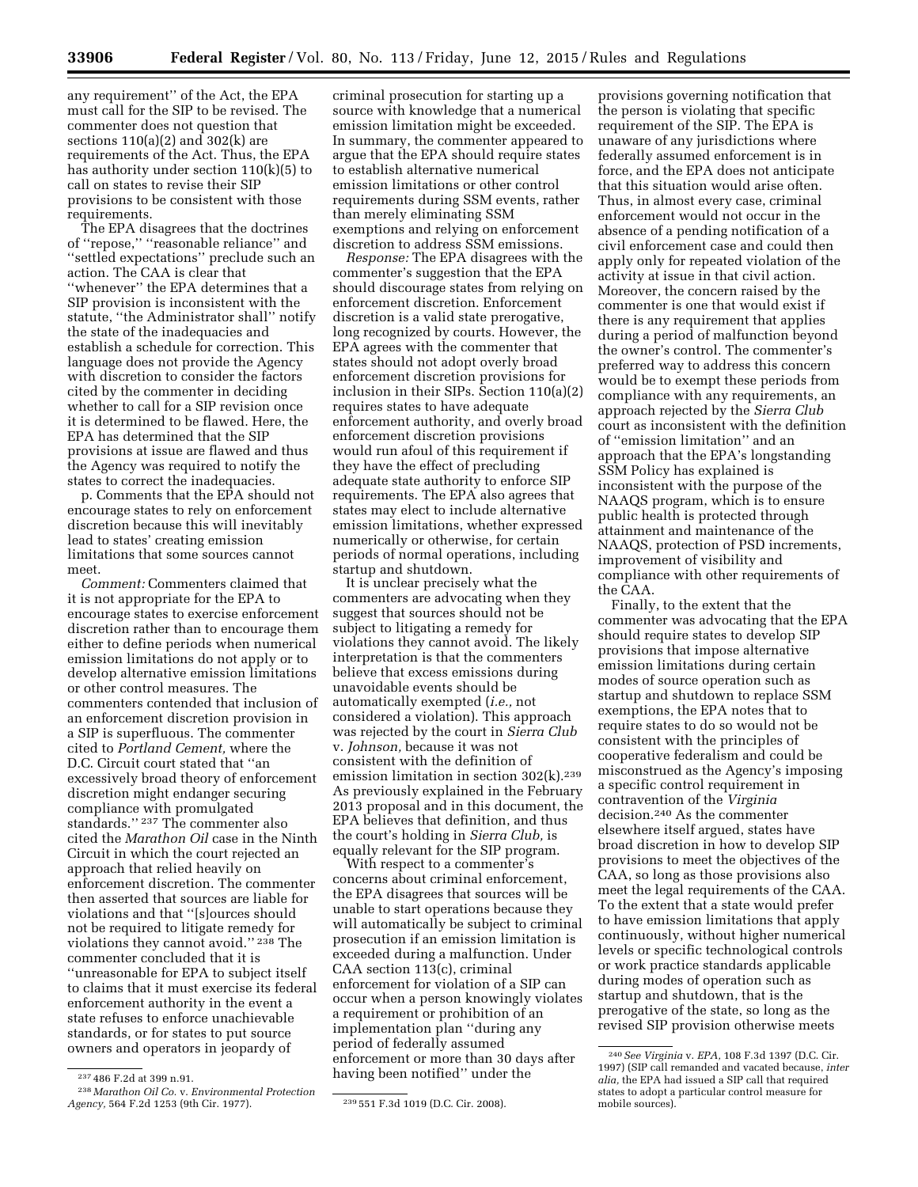any requirement'' of the Act, the EPA must call for the SIP to be revised. The commenter does not question that sections 110(a)(2) and 302(k) are requirements of the Act. Thus, the EPA has authority under section 110(k)(5) to call on states to revise their SIP provisions to be consistent with those requirements.

The EPA disagrees that the doctrines of ''repose,'' ''reasonable reliance'' and ''settled expectations'' preclude such an action. The CAA is clear that ''whenever'' the EPA determines that a SIP provision is inconsistent with the statute, ''the Administrator shall'' notify the state of the inadequacies and establish a schedule for correction. This language does not provide the Agency with discretion to consider the factors cited by the commenter in deciding whether to call for a SIP revision once it is determined to be flawed. Here, the EPA has determined that the SIP provisions at issue are flawed and thus the Agency was required to notify the states to correct the inadequacies.

p. Comments that the EPA should not encourage states to rely on enforcement discretion because this will inevitably lead to states' creating emission limitations that some sources cannot meet.

*Comment:* Commenters claimed that it is not appropriate for the EPA to encourage states to exercise enforcement discretion rather than to encourage them either to define periods when numerical emission limitations do not apply or to develop alternative emission limitations or other control measures. The commenters contended that inclusion of an enforcement discretion provision in a SIP is superfluous. The commenter cited to *Portland Cement,* where the D.C. Circuit court stated that ''an excessively broad theory of enforcement discretion might endanger securing compliance with promulgated standards.'' 237 The commenter also cited the *Marathon Oil* case in the Ninth Circuit in which the court rejected an approach that relied heavily on enforcement discretion. The commenter then asserted that sources are liable for violations and that ''[s]ources should not be required to litigate remedy for violations they cannot avoid."<sup>238</sup> The commenter concluded that it is ''unreasonable for EPA to subject itself to claims that it must exercise its federal enforcement authority in the event a state refuses to enforce unachievable standards, or for states to put source owners and operators in jeopardy of

criminal prosecution for starting up a source with knowledge that a numerical emission limitation might be exceeded. In summary, the commenter appeared to argue that the EPA should require states to establish alternative numerical emission limitations or other control requirements during SSM events, rather than merely eliminating SSM exemptions and relying on enforcement discretion to address SSM emissions.

*Response:* The EPA disagrees with the commenter's suggestion that the EPA should discourage states from relying on enforcement discretion. Enforcement discretion is a valid state prerogative, long recognized by courts. However, the EPA agrees with the commenter that states should not adopt overly broad enforcement discretion provisions for inclusion in their SIPs. Section 110(a)(2) requires states to have adequate enforcement authority, and overly broad enforcement discretion provisions would run afoul of this requirement if they have the effect of precluding adequate state authority to enforce SIP requirements. The EPA also agrees that states may elect to include alternative emission limitations, whether expressed numerically or otherwise, for certain periods of normal operations, including startup and shutdown.

It is unclear precisely what the commenters are advocating when they suggest that sources should not be subject to litigating a remedy for violations they cannot avoid. The likely interpretation is that the commenters believe that excess emissions during unavoidable events should be automatically exempted (*i.e.,* not considered a violation). This approach was rejected by the court in *Sierra Club*  v. *Johnson,* because it was not consistent with the definition of emission limitation in section 302(k).<sup>239</sup> As previously explained in the February 2013 proposal and in this document, the EPA believes that definition, and thus the court's holding in *Sierra Club,* is equally relevant for the SIP program.

With respect to a commenter's concerns about criminal enforcement, the EPA disagrees that sources will be unable to start operations because they will automatically be subject to criminal prosecution if an emission limitation is exceeded during a malfunction. Under CAA section 113(c), criminal enforcement for violation of a SIP can occur when a person knowingly violates a requirement or prohibition of an implementation plan ''during any period of federally assumed enforcement or more than 30 days after having been notified'' under the

provisions governing notification that the person is violating that specific requirement of the SIP. The EPA is unaware of any jurisdictions where federally assumed enforcement is in force, and the EPA does not anticipate that this situation would arise often. Thus, in almost every case, criminal enforcement would not occur in the absence of a pending notification of a civil enforcement case and could then apply only for repeated violation of the activity at issue in that civil action. Moreover, the concern raised by the commenter is one that would exist if there is any requirement that applies during a period of malfunction beyond the owner's control. The commenter's preferred way to address this concern would be to exempt these periods from compliance with any requirements, an approach rejected by the *Sierra Club*  court as inconsistent with the definition of ''emission limitation'' and an approach that the EPA's longstanding SSM Policy has explained is inconsistent with the purpose of the NAAQS program, which is to ensure public health is protected through attainment and maintenance of the NAAQS, protection of PSD increments, improvement of visibility and compliance with other requirements of the CAA.

Finally, to the extent that the commenter was advocating that the EPA should require states to develop SIP provisions that impose alternative emission limitations during certain modes of source operation such as startup and shutdown to replace SSM exemptions, the EPA notes that to require states to do so would not be consistent with the principles of cooperative federalism and could be misconstrued as the Agency's imposing a specific control requirement in contravention of the *Virginia*  decision.240 As the commenter elsewhere itself argued, states have broad discretion in how to develop SIP provisions to meet the objectives of the CAA, so long as those provisions also meet the legal requirements of the CAA. To the extent that a state would prefer to have emission limitations that apply continuously, without higher numerical levels or specific technological controls or work practice standards applicable during modes of operation such as startup and shutdown, that is the prerogative of the state, so long as the revised SIP provision otherwise meets

<sup>237</sup> 486 F.2d at 399 n.91.

<sup>238</sup> *Marathon Oil Co.* v. *Environmental Protection Agency,* 564 F.2d 1253 (9th Cir. 1977). 239 551 F.3d 1019 (D.C. Cir. 2008).

<sup>240</sup>*See Virginia* v. *EPA,* 108 F.3d 1397 (D.C. Cir. 1997) (SIP call remanded and vacated because, *inter alia,* the EPA had issued a SIP call that required states to adopt a particular control measure for mobile sources).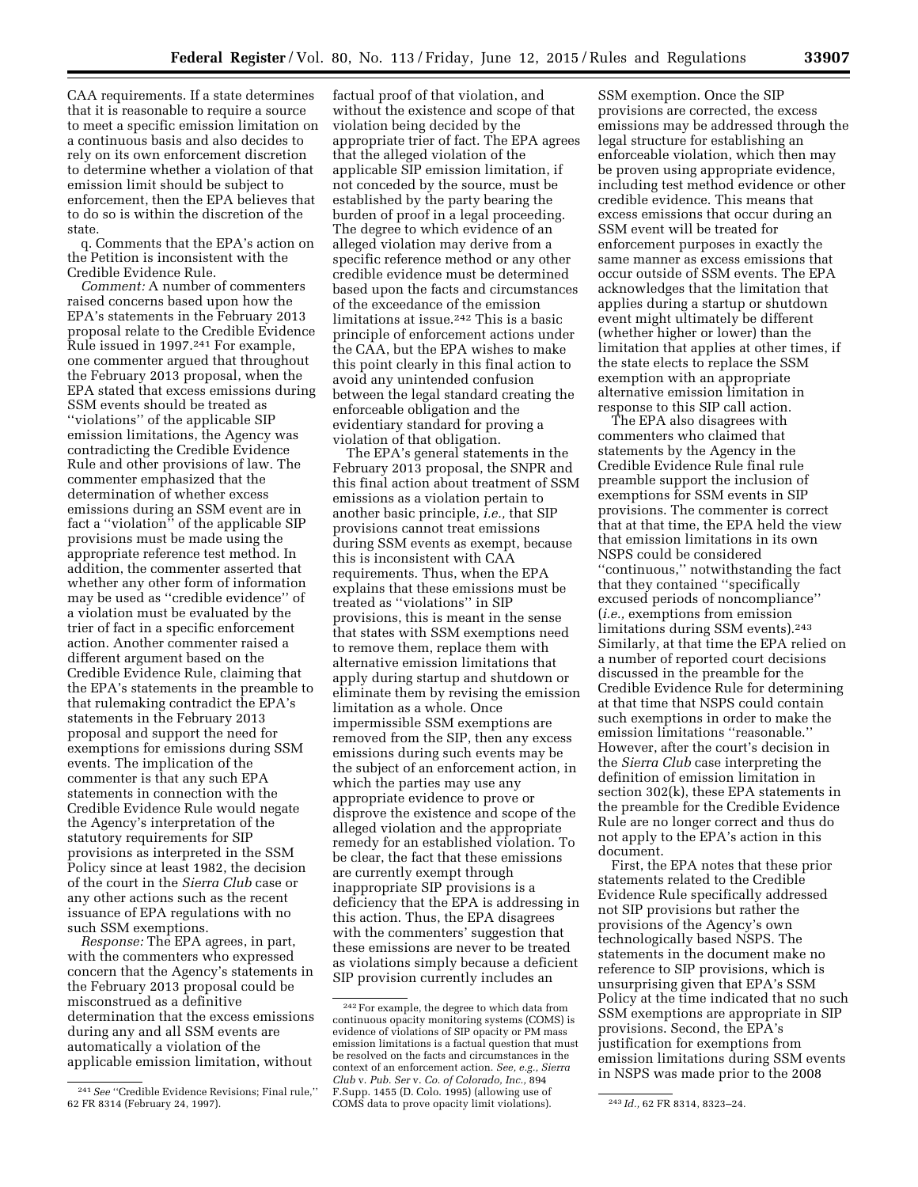CAA requirements. If a state determines that it is reasonable to require a source to meet a specific emission limitation on a continuous basis and also decides to rely on its own enforcement discretion to determine whether a violation of that emission limit should be subject to enforcement, then the EPA believes that to do so is within the discretion of the state.

q. Comments that the EPA's action on the Petition is inconsistent with the Credible Evidence Rule.

*Comment:* A number of commenters raised concerns based upon how the EPA's statements in the February 2013 proposal relate to the Credible Evidence Rule issued in 1997.241 For example, one commenter argued that throughout the February 2013 proposal, when the EPA stated that excess emissions during SSM events should be treated as ''violations'' of the applicable SIP emission limitations, the Agency was contradicting the Credible Evidence Rule and other provisions of law. The commenter emphasized that the determination of whether excess emissions during an SSM event are in fact a ''violation'' of the applicable SIP provisions must be made using the appropriate reference test method. In addition, the commenter asserted that whether any other form of information may be used as ''credible evidence'' of a violation must be evaluated by the trier of fact in a specific enforcement action. Another commenter raised a different argument based on the Credible Evidence Rule, claiming that the EPA's statements in the preamble to that rulemaking contradict the EPA's statements in the February 2013 proposal and support the need for exemptions for emissions during SSM events. The implication of the commenter is that any such EPA statements in connection with the Credible Evidence Rule would negate the Agency's interpretation of the statutory requirements for SIP provisions as interpreted in the SSM Policy since at least 1982, the decision of the court in the *Sierra Club* case or any other actions such as the recent issuance of EPA regulations with no such SSM exemptions.

*Response:* The EPA agrees, in part, with the commenters who expressed concern that the Agency's statements in the February 2013 proposal could be misconstrued as a definitive determination that the excess emissions during any and all SSM events are automatically a violation of the applicable emission limitation, without

factual proof of that violation, and without the existence and scope of that violation being decided by the appropriate trier of fact. The EPA agrees that the alleged violation of the applicable SIP emission limitation, if not conceded by the source, must be established by the party bearing the burden of proof in a legal proceeding. The degree to which evidence of an alleged violation may derive from a specific reference method or any other credible evidence must be determined based upon the facts and circumstances of the exceedance of the emission limitations at issue.242 This is a basic principle of enforcement actions under the CAA, but the EPA wishes to make this point clearly in this final action to avoid any unintended confusion between the legal standard creating the enforceable obligation and the evidentiary standard for proving a violation of that obligation.

The EPA's general statements in the February 2013 proposal, the SNPR and this final action about treatment of SSM emissions as a violation pertain to another basic principle, *i.e.,* that SIP provisions cannot treat emissions during SSM events as exempt, because this is inconsistent with CAA requirements. Thus, when the EPA explains that these emissions must be treated as ''violations'' in SIP provisions, this is meant in the sense that states with SSM exemptions need to remove them, replace them with alternative emission limitations that apply during startup and shutdown or eliminate them by revising the emission limitation as a whole. Once impermissible SSM exemptions are removed from the SIP, then any excess emissions during such events may be the subject of an enforcement action, in which the parties may use any appropriate evidence to prove or disprove the existence and scope of the alleged violation and the appropriate remedy for an established violation. To be clear, the fact that these emissions are currently exempt through inappropriate SIP provisions is a deficiency that the EPA is addressing in this action. Thus, the EPA disagrees with the commenters' suggestion that these emissions are never to be treated as violations simply because a deficient SIP provision currently includes an

SSM exemption. Once the SIP provisions are corrected, the excess emissions may be addressed through the legal structure for establishing an enforceable violation, which then may be proven using appropriate evidence, including test method evidence or other credible evidence. This means that excess emissions that occur during an SSM event will be treated for enforcement purposes in exactly the same manner as excess emissions that occur outside of SSM events. The EPA acknowledges that the limitation that applies during a startup or shutdown event might ultimately be different (whether higher or lower) than the limitation that applies at other times, if the state elects to replace the SSM exemption with an appropriate alternative emission limitation in response to this SIP call action.

The EPA also disagrees with commenters who claimed that statements by the Agency in the Credible Evidence Rule final rule preamble support the inclusion of exemptions for SSM events in SIP provisions. The commenter is correct that at that time, the EPA held the view that emission limitations in its own NSPS could be considered ''continuous,'' notwithstanding the fact that they contained ''specifically excused periods of noncompliance'' (*i.e.,* exemptions from emission limitations during SSM events).243 Similarly, at that time the EPA relied on a number of reported court decisions discussed in the preamble for the Credible Evidence Rule for determining at that time that NSPS could contain such exemptions in order to make the emission limitations ''reasonable.'' However, after the court's decision in the *Sierra Club* case interpreting the definition of emission limitation in section 302(k), these EPA statements in the preamble for the Credible Evidence Rule are no longer correct and thus do not apply to the EPA's action in this document.

First, the EPA notes that these prior statements related to the Credible Evidence Rule specifically addressed not SIP provisions but rather the provisions of the Agency's own technologically based NSPS. The statements in the document make no reference to SIP provisions, which is unsurprising given that EPA's SSM Policy at the time indicated that no such SSM exemptions are appropriate in SIP provisions. Second, the EPA's justification for exemptions from emission limitations during SSM events in NSPS was made prior to the 2008

<sup>241</sup>*See* ''Credible Evidence Revisions; Final rule,'' 62 FR 8314 (February 24, 1997).

<sup>242</sup>For example, the degree to which data from continuous opacity monitoring systems (COMS) is evidence of violations of SIP opacity or PM mass emission limitations is a factual question that must be resolved on the facts and circumstances in the context of an enforcement action. *See, e.g., Sierra Club* v. *Pub. Ser* v. *Co. of Colorado, Inc.,* 894 F.Supp. 1455 (D. Colo. 1995) (allowing use of COMS data to prove opacity limit violations). 243 *Id.,* 62 FR 8314, 8323–24.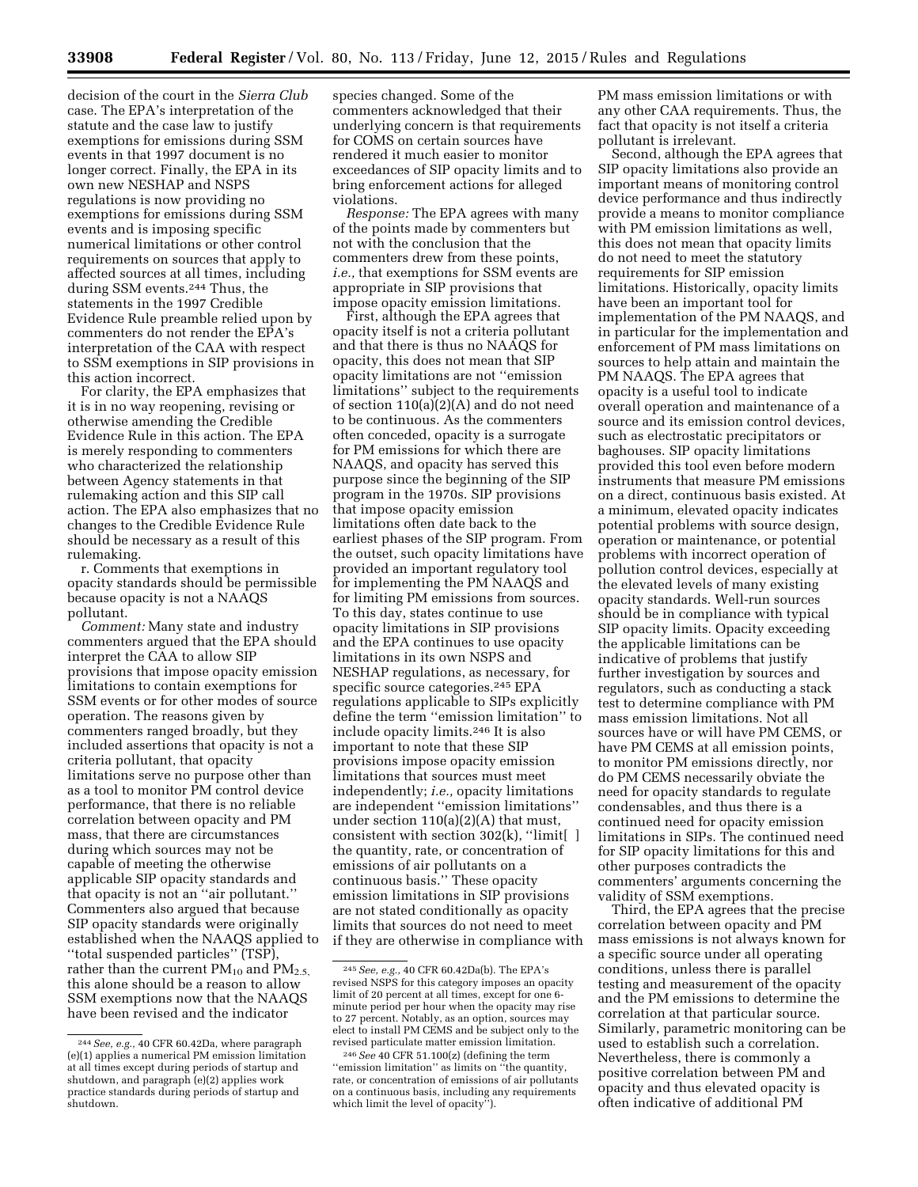decision of the court in the *Sierra Club*  case. The EPA's interpretation of the statute and the case law to justify exemptions for emissions during SSM events in that 1997 document is no longer correct. Finally, the EPA in its own new NESHAP and NSPS regulations is now providing no exemptions for emissions during SSM events and is imposing specific numerical limitations or other control requirements on sources that apply to affected sources at all times, including during SSM events.244 Thus, the statements in the 1997 Credible Evidence Rule preamble relied upon by commenters do not render the EPA's interpretation of the CAA with respect to SSM exemptions in SIP provisions in this action incorrect.

For clarity, the EPA emphasizes that it is in no way reopening, revising or otherwise amending the Credible Evidence Rule in this action. The EPA is merely responding to commenters who characterized the relationship between Agency statements in that rulemaking action and this SIP call action. The EPA also emphasizes that no changes to the Credible Evidence Rule should be necessary as a result of this rulemaking.

r. Comments that exemptions in opacity standards should be permissible because opacity is not a NAAQS pollutant.

*Comment:* Many state and industry commenters argued that the EPA should interpret the CAA to allow SIP provisions that impose opacity emission limitations to contain exemptions for SSM events or for other modes of source operation. The reasons given by commenters ranged broadly, but they included assertions that opacity is not a criteria pollutant, that opacity limitations serve no purpose other than as a tool to monitor PM control device performance, that there is no reliable correlation between opacity and PM mass, that there are circumstances during which sources may not be capable of meeting the otherwise applicable SIP opacity standards and that opacity is not an ''air pollutant.'' Commenters also argued that because SIP opacity standards were originally established when the NAAQS applied to ''total suspended particles'' (TSP), rather than the current  $PM_{10}$  and  $PM_{2.5}$ this alone should be a reason to allow SSM exemptions now that the NAAQS have been revised and the indicator

species changed. Some of the commenters acknowledged that their underlying concern is that requirements for COMS on certain sources have rendered it much easier to monitor exceedances of SIP opacity limits and to bring enforcement actions for alleged violations.

*Response:* The EPA agrees with many of the points made by commenters but not with the conclusion that the commenters drew from these points, *i.e.,* that exemptions for SSM events are appropriate in SIP provisions that impose opacity emission limitations.

First, although the EPA agrees that opacity itself is not a criteria pollutant and that there is thus no NAAQS for opacity, this does not mean that SIP opacity limitations are not ''emission limitations'' subject to the requirements of section 110(a)(2)(A) and do not need to be continuous. As the commenters often conceded, opacity is a surrogate for PM emissions for which there are NAAQS, and opacity has served this purpose since the beginning of the SIP program in the 1970s. SIP provisions that impose opacity emission limitations often date back to the earliest phases of the SIP program. From the outset, such opacity limitations have provided an important regulatory tool for implementing the PM NAAQS and for limiting PM emissions from sources. To this day, states continue to use opacity limitations in SIP provisions and the EPA continues to use opacity limitations in its own NSPS and NESHAP regulations, as necessary, for specific source categories.<sup>245</sup> EPA regulations applicable to SIPs explicitly define the term ''emission limitation'' to include opacity limits.246 It is also important to note that these SIP provisions impose opacity emission limitations that sources must meet independently; *i.e.,* opacity limitations are independent ''emission limitations'' under section 110(a)(2)(A) that must, consistent with section 302(k), ''limit[ ] the quantity, rate, or concentration of emissions of air pollutants on a continuous basis.'' These opacity emission limitations in SIP provisions are not stated conditionally as opacity limits that sources do not need to meet if they are otherwise in compliance with PM mass emission limitations or with any other CAA requirements. Thus, the fact that opacity is not itself a criteria pollutant is irrelevant.

Second, although the EPA agrees that SIP opacity limitations also provide an important means of monitoring control device performance and thus indirectly provide a means to monitor compliance with PM emission limitations as well, this does not mean that opacity limits do not need to meet the statutory requirements for SIP emission limitations. Historically, opacity limits have been an important tool for implementation of the PM NAAQS, and in particular for the implementation and enforcement of PM mass limitations on sources to help attain and maintain the PM NAAQS. The EPA agrees that opacity is a useful tool to indicate overall operation and maintenance of a source and its emission control devices, such as electrostatic precipitators or baghouses. SIP opacity limitations provided this tool even before modern instruments that measure PM emissions on a direct, continuous basis existed. At a minimum, elevated opacity indicates potential problems with source design, operation or maintenance, or potential problems with incorrect operation of pollution control devices, especially at the elevated levels of many existing opacity standards. Well-run sources should be in compliance with typical SIP opacity limits. Opacity exceeding the applicable limitations can be indicative of problems that justify further investigation by sources and regulators, such as conducting a stack test to determine compliance with PM mass emission limitations. Not all sources have or will have PM CEMS, or have PM CEMS at all emission points, to monitor PM emissions directly, nor do PM CEMS necessarily obviate the need for opacity standards to regulate condensables, and thus there is a continued need for opacity emission limitations in SIPs. The continued need for SIP opacity limitations for this and other purposes contradicts the commenters' arguments concerning the validity of SSM exemptions.

Third, the EPA agrees that the precise correlation between opacity and PM mass emissions is not always known for a specific source under all operating conditions, unless there is parallel testing and measurement of the opacity and the PM emissions to determine the correlation at that particular source. Similarly, parametric monitoring can be used to establish such a correlation. Nevertheless, there is commonly a positive correlation between PM and opacity and thus elevated opacity is often indicative of additional PM

<sup>244</sup>*See, e.g.,* 40 CFR 60.42Da, where paragraph (e)(1) applies a numerical PM emission limitation at all times except during periods of startup and shutdown, and paragraph (e)(2) applies work practice standards during periods of startup and shutdown.

<sup>245</sup>*See, e.g.,* 40 CFR 60.42Da(b). The EPA's revised NSPS for this category imposes an opacity limit of 20 percent at all times, except for one 6 minute period per hour when the opacity may rise to 27 percent. Notably, as an option, sources may elect to install PM CEMS and be subject only to the revised particulate matter emission limitation.

<sup>246</sup>*See* 40 CFR 51.100(z) (defining the term ''emission limitation'' as limits on ''the quantity, rate, or concentration of emissions of air pollutants on a continuous basis, including any requirements which limit the level of opacity'').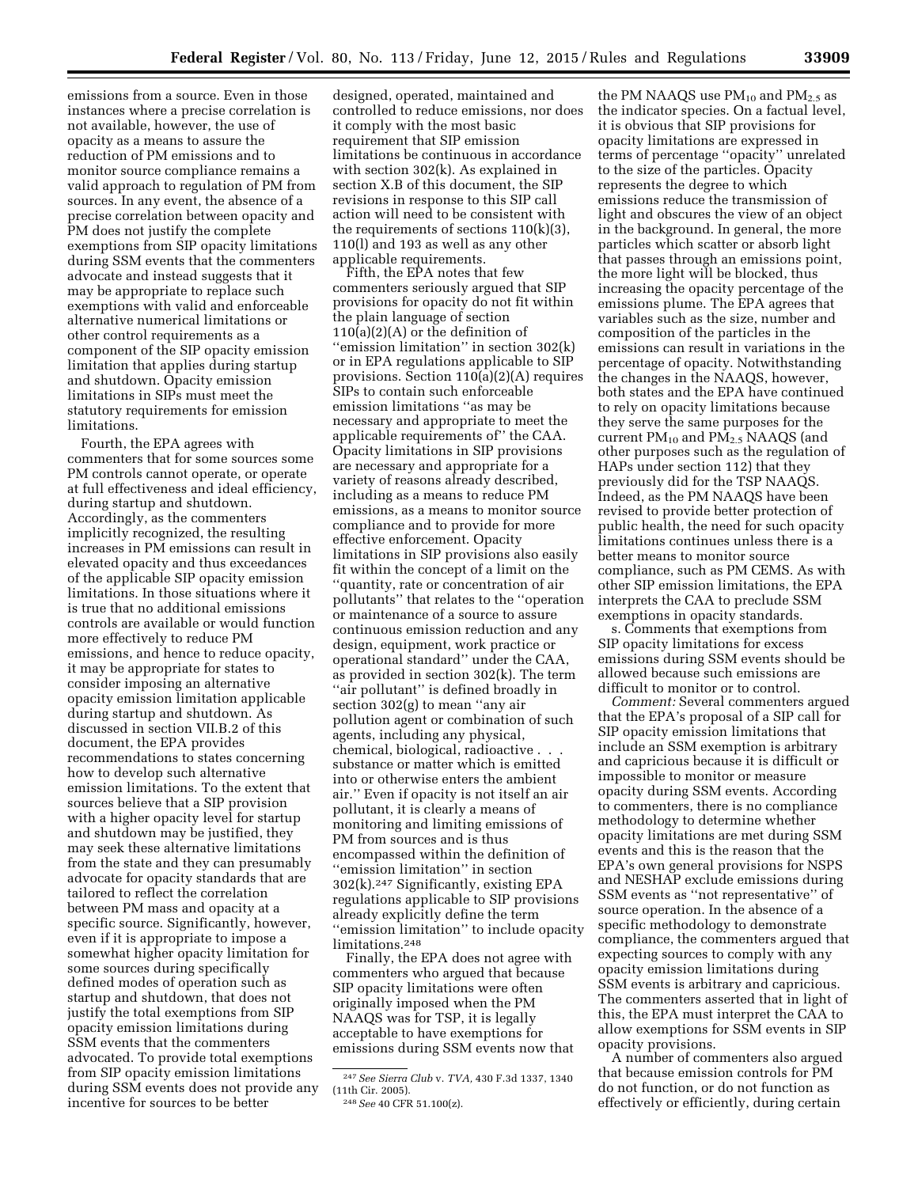emissions from a source. Even in those instances where a precise correlation is not available, however, the use of opacity as a means to assure the reduction of PM emissions and to monitor source compliance remains a valid approach to regulation of PM from sources. In any event, the absence of a precise correlation between opacity and PM does not justify the complete exemptions from SIP opacity limitations during SSM events that the commenters advocate and instead suggests that it may be appropriate to replace such exemptions with valid and enforceable alternative numerical limitations or other control requirements as a component of the SIP opacity emission limitation that applies during startup and shutdown. Opacity emission limitations in SIPs must meet the statutory requirements for emission limitations.

Fourth, the EPA agrees with commenters that for some sources some PM controls cannot operate, or operate at full effectiveness and ideal efficiency, during startup and shutdown. Accordingly, as the commenters implicitly recognized, the resulting increases in PM emissions can result in elevated opacity and thus exceedances of the applicable SIP opacity emission limitations. In those situations where it is true that no additional emissions controls are available or would function more effectively to reduce PM emissions, and hence to reduce opacity, it may be appropriate for states to consider imposing an alternative opacity emission limitation applicable during startup and shutdown. As discussed in section VII.B.2 of this document, the EPA provides recommendations to states concerning how to develop such alternative emission limitations. To the extent that sources believe that a SIP provision with a higher opacity level for startup and shutdown may be justified, they may seek these alternative limitations from the state and they can presumably advocate for opacity standards that are tailored to reflect the correlation between PM mass and opacity at a specific source. Significantly, however, even if it is appropriate to impose a somewhat higher opacity limitation for some sources during specifically defined modes of operation such as startup and shutdown, that does not justify the total exemptions from SIP opacity emission limitations during SSM events that the commenters advocated. To provide total exemptions from SIP opacity emission limitations during SSM events does not provide any incentive for sources to be better

designed, operated, maintained and controlled to reduce emissions, nor does it comply with the most basic requirement that SIP emission limitations be continuous in accordance with section 302(k). As explained in section X.B of this document, the SIP revisions in response to this SIP call action will need to be consistent with the requirements of sections 110(k)(3), 110(l) and 193 as well as any other applicable requirements.

Fifth, the EPA notes that few commenters seriously argued that SIP provisions for opacity do not fit within the plain language of section 110(a)(2)(A) or the definition of ''emission limitation'' in section 302(k) or in EPA regulations applicable to SIP provisions. Section  $110(a)(2)(A)$  requires SIPs to contain such enforceable emission limitations ''as may be necessary and appropriate to meet the applicable requirements of'' the CAA. Opacity limitations in SIP provisions are necessary and appropriate for a variety of reasons already described, including as a means to reduce PM emissions, as a means to monitor source compliance and to provide for more effective enforcement. Opacity limitations in SIP provisions also easily fit within the concept of a limit on the ''quantity, rate or concentration of air pollutants'' that relates to the ''operation or maintenance of a source to assure continuous emission reduction and any design, equipment, work practice or operational standard'' under the CAA, as provided in section 302(k). The term "air pollutant" is defined broadly in section 302(g) to mean ''any air pollution agent or combination of such agents, including any physical, chemical, biological, radioactive . . . substance or matter which is emitted into or otherwise enters the ambient air.'' Even if opacity is not itself an air pollutant, it is clearly a means of monitoring and limiting emissions of PM from sources and is thus encompassed within the definition of ''emission limitation'' in section 302(k).247 Significantly, existing EPA regulations applicable to SIP provisions already explicitly define the term ''emission limitation'' to include opacity limitations.248

Finally, the EPA does not agree with commenters who argued that because SIP opacity limitations were often originally imposed when the PM NAAQS was for TSP, it is legally acceptable to have exemptions for emissions during SSM events now that

the PM NAAQS use  $PM_{10}$  and  $PM_{2.5}$  as the indicator species. On a factual level, it is obvious that SIP provisions for opacity limitations are expressed in terms of percentage ''opacity'' unrelated to the size of the particles. Opacity represents the degree to which emissions reduce the transmission of light and obscures the view of an object in the background. In general, the more particles which scatter or absorb light that passes through an emissions point, the more light will be blocked, thus increasing the opacity percentage of the emissions plume. The EPA agrees that variables such as the size, number and composition of the particles in the emissions can result in variations in the percentage of opacity. Notwithstanding the changes in the NAAQS, however, both states and the EPA have continued to rely on opacity limitations because they serve the same purposes for the current  $PM_{10}$  and  $PM_{2.5}$  NAAQS (and other purposes such as the regulation of HAPs under section 112) that they previously did for the TSP NAAQS. Indeed, as the PM NAAQS have been revised to provide better protection of public health, the need for such opacity limitations continues unless there is a better means to monitor source compliance, such as PM CEMS. As with other SIP emission limitations, the EPA interprets the CAA to preclude SSM exemptions in opacity standards.

s. Comments that exemptions from SIP opacity limitations for excess emissions during SSM events should be allowed because such emissions are difficult to monitor or to control.

*Comment:* Several commenters argued that the EPA's proposal of a SIP call for SIP opacity emission limitations that include an SSM exemption is arbitrary and capricious because it is difficult or impossible to monitor or measure opacity during SSM events. According to commenters, there is no compliance methodology to determine whether opacity limitations are met during SSM events and this is the reason that the EPA's own general provisions for NSPS and NESHAP exclude emissions during SSM events as ''not representative'' of source operation. In the absence of a specific methodology to demonstrate compliance, the commenters argued that expecting sources to comply with any opacity emission limitations during SSM events is arbitrary and capricious. The commenters asserted that in light of this, the EPA must interpret the CAA to allow exemptions for SSM events in SIP opacity provisions.

A number of commenters also argued that because emission controls for PM do not function, or do not function as effectively or efficiently, during certain

<sup>247</sup>*See Sierra Club* v. *TVA,* 430 F.3d 1337, 1340 (11th Cir. 2005).

<sup>248</sup>*See* 40 CFR 51.100(z).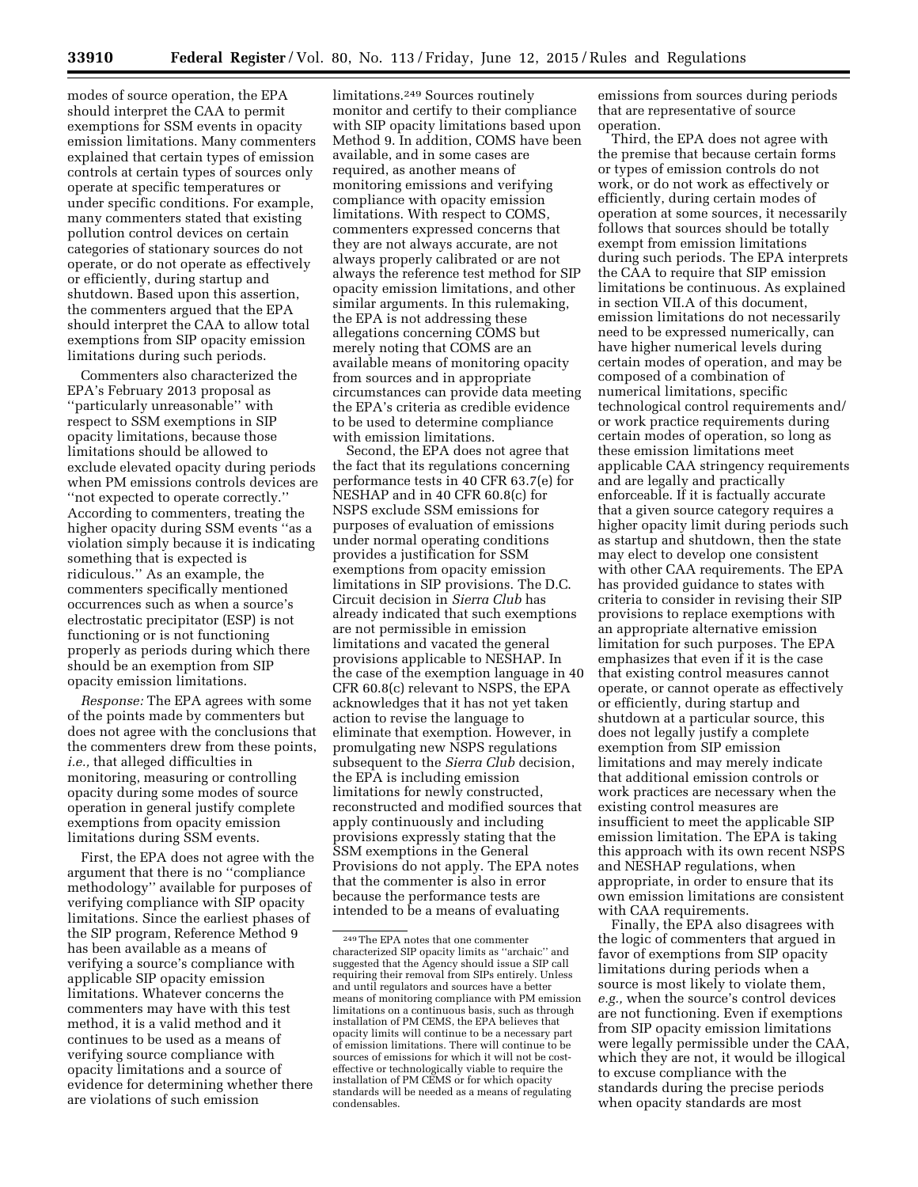modes of source operation, the EPA should interpret the CAA to permit exemptions for SSM events in opacity emission limitations. Many commenters explained that certain types of emission controls at certain types of sources only operate at specific temperatures or under specific conditions. For example, many commenters stated that existing pollution control devices on certain categories of stationary sources do not operate, or do not operate as effectively or efficiently, during startup and shutdown. Based upon this assertion, the commenters argued that the EPA should interpret the CAA to allow total exemptions from SIP opacity emission limitations during such periods.

Commenters also characterized the EPA's February 2013 proposal as ''particularly unreasonable'' with respect to SSM exemptions in SIP opacity limitations, because those limitations should be allowed to exclude elevated opacity during periods when PM emissions controls devices are ''not expected to operate correctly.'' According to commenters, treating the higher opacity during SSM events ''as a violation simply because it is indicating something that is expected is ridiculous.'' As an example, the commenters specifically mentioned occurrences such as when a source's electrostatic precipitator (ESP) is not functioning or is not functioning properly as periods during which there should be an exemption from SIP opacity emission limitations.

*Response:* The EPA agrees with some of the points made by commenters but does not agree with the conclusions that the commenters drew from these points, *i.e.,* that alleged difficulties in monitoring, measuring or controlling opacity during some modes of source operation in general justify complete exemptions from opacity emission limitations during SSM events.

First, the EPA does not agree with the argument that there is no ''compliance methodology'' available for purposes of verifying compliance with SIP opacity limitations. Since the earliest phases of the SIP program, Reference Method 9 has been available as a means of verifying a source's compliance with applicable SIP opacity emission limitations. Whatever concerns the commenters may have with this test method, it is a valid method and it continues to be used as a means of verifying source compliance with opacity limitations and a source of evidence for determining whether there are violations of such emission

limitations.249 Sources routinely monitor and certify to their compliance with SIP opacity limitations based upon Method 9. In addition, COMS have been available, and in some cases are required, as another means of monitoring emissions and verifying compliance with opacity emission limitations. With respect to COMS, commenters expressed concerns that they are not always accurate, are not always properly calibrated or are not always the reference test method for SIP opacity emission limitations, and other similar arguments. In this rulemaking, the EPA is not addressing these allegations concerning COMS but merely noting that COMS are an available means of monitoring opacity from sources and in appropriate circumstances can provide data meeting the EPA's criteria as credible evidence to be used to determine compliance with emission limitations.

Second, the EPA does not agree that the fact that its regulations concerning performance tests in 40 CFR 63.7(e) for NESHAP and in 40 CFR 60.8(c) for NSPS exclude SSM emissions for purposes of evaluation of emissions under normal operating conditions provides a justification for SSM exemptions from opacity emission limitations in SIP provisions. The D.C. Circuit decision in *Sierra Club* has already indicated that such exemptions are not permissible in emission limitations and vacated the general provisions applicable to NESHAP. In the case of the exemption language in 40 CFR 60.8(c) relevant to NSPS, the EPA acknowledges that it has not yet taken action to revise the language to eliminate that exemption. However, in promulgating new NSPS regulations subsequent to the *Sierra Club* decision, the EPA is including emission limitations for newly constructed, reconstructed and modified sources that apply continuously and including provisions expressly stating that the SSM exemptions in the General Provisions do not apply. The EPA notes that the commenter is also in error because the performance tests are intended to be a means of evaluating

emissions from sources during periods that are representative of source operation.

Third, the EPA does not agree with the premise that because certain forms or types of emission controls do not work, or do not work as effectively or efficiently, during certain modes of operation at some sources, it necessarily follows that sources should be totally exempt from emission limitations during such periods. The EPA interprets the CAA to require that SIP emission limitations be continuous. As explained in section VII.A of this document, emission limitations do not necessarily need to be expressed numerically, can have higher numerical levels during certain modes of operation, and may be composed of a combination of numerical limitations, specific technological control requirements and/ or work practice requirements during certain modes of operation, so long as these emission limitations meet applicable CAA stringency requirements and are legally and practically enforceable. If it is factually accurate that a given source category requires a higher opacity limit during periods such as startup and shutdown, then the state may elect to develop one consistent with other CAA requirements. The EPA has provided guidance to states with criteria to consider in revising their SIP provisions to replace exemptions with an appropriate alternative emission limitation for such purposes. The EPA emphasizes that even if it is the case that existing control measures cannot operate, or cannot operate as effectively or efficiently, during startup and shutdown at a particular source, this does not legally justify a complete exemption from SIP emission limitations and may merely indicate that additional emission controls or work practices are necessary when the existing control measures are insufficient to meet the applicable SIP emission limitation. The EPA is taking this approach with its own recent NSPS and NESHAP regulations, when appropriate, in order to ensure that its own emission limitations are consistent with CAA requirements.

Finally, the EPA also disagrees with the logic of commenters that argued in favor of exemptions from SIP opacity limitations during periods when a source is most likely to violate them, *e.g.,* when the source's control devices are not functioning. Even if exemptions from SIP opacity emission limitations were legally permissible under the CAA, which they are not, it would be illogical to excuse compliance with the standards during the precise periods when opacity standards are most

<sup>249</sup>The EPA notes that one commenter characterized SIP opacity limits as ''archaic'' and suggested that the  $\rm \AA{gen}$  cy should issue a SIP call requiring their removal from SIPs entirely. Unless and until regulators and sources have a better means of monitoring compliance with PM emission limitations on a continuous basis, such as through installation of PM CEMS, the EPA believes that opacity limits will continue to be a necessary part of emission limitations. There will continue to be sources of emissions for which it will not be costeffective or technologically viable to require the installation of PM CEMS or for which opacity standards will be needed as a means of regulating condensables.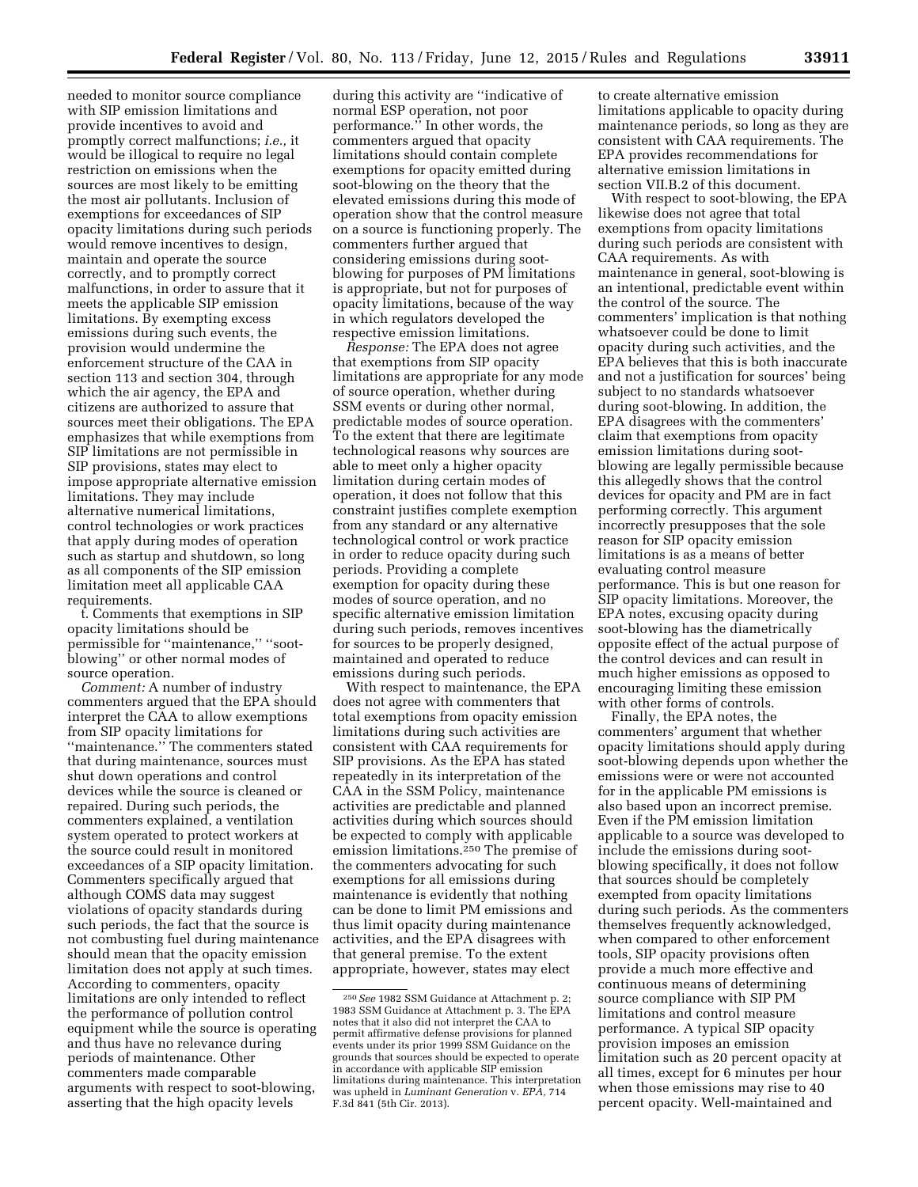needed to monitor source compliance with SIP emission limitations and provide incentives to avoid and promptly correct malfunctions; *i.e.,* it would be illogical to require no legal restriction on emissions when the sources are most likely to be emitting the most air pollutants. Inclusion of exemptions for exceedances of SIP opacity limitations during such periods would remove incentives to design, maintain and operate the source correctly, and to promptly correct malfunctions, in order to assure that it meets the applicable SIP emission limitations. By exempting excess emissions during such events, the provision would undermine the enforcement structure of the CAA in section 113 and section 304, through which the air agency, the EPA and citizens are authorized to assure that sources meet their obligations. The EPA emphasizes that while exemptions from SIP limitations are not permissible in SIP provisions, states may elect to impose appropriate alternative emission limitations. They may include alternative numerical limitations, control technologies or work practices that apply during modes of operation such as startup and shutdown, so long as all components of the SIP emission limitation meet all applicable CAA requirements.

t. Comments that exemptions in SIP opacity limitations should be permissible for ''maintenance,'' ''sootblowing'' or other normal modes of source operation.

*Comment:* A number of industry commenters argued that the EPA should interpret the CAA to allow exemptions from SIP opacity limitations for ''maintenance.'' The commenters stated that during maintenance, sources must shut down operations and control devices while the source is cleaned or repaired. During such periods, the commenters explained, a ventilation system operated to protect workers at the source could result in monitored exceedances of a SIP opacity limitation. Commenters specifically argued that although COMS data may suggest violations of opacity standards during such periods, the fact that the source is not combusting fuel during maintenance should mean that the opacity emission limitation does not apply at such times. According to commenters, opacity limitations are only intended to reflect the performance of pollution control equipment while the source is operating and thus have no relevance during periods of maintenance. Other commenters made comparable arguments with respect to soot-blowing, asserting that the high opacity levels

during this activity are ''indicative of normal ESP operation, not poor performance.'' In other words, the commenters argued that opacity limitations should contain complete exemptions for opacity emitted during soot-blowing on the theory that the elevated emissions during this mode of operation show that the control measure on a source is functioning properly. The commenters further argued that considering emissions during sootblowing for purposes of PM limitations is appropriate, but not for purposes of opacity limitations, because of the way in which regulators developed the respective emission limitations.

*Response:* The EPA does not agree that exemptions from SIP opacity limitations are appropriate for any mode of source operation, whether during SSM events or during other normal, predictable modes of source operation. To the extent that there are legitimate technological reasons why sources are able to meet only a higher opacity limitation during certain modes of operation, it does not follow that this constraint justifies complete exemption from any standard or any alternative technological control or work practice in order to reduce opacity during such periods. Providing a complete exemption for opacity during these modes of source operation, and no specific alternative emission limitation during such periods, removes incentives for sources to be properly designed, maintained and operated to reduce emissions during such periods.

With respect to maintenance, the EPA does not agree with commenters that total exemptions from opacity emission limitations during such activities are consistent with CAA requirements for SIP provisions. As the EPA has stated repeatedly in its interpretation of the CAA in the SSM Policy, maintenance activities are predictable and planned activities during which sources should be expected to comply with applicable emission limitations.250 The premise of the commenters advocating for such exemptions for all emissions during maintenance is evidently that nothing can be done to limit PM emissions and thus limit opacity during maintenance activities, and the EPA disagrees with that general premise. To the extent appropriate, however, states may elect

to create alternative emission limitations applicable to opacity during maintenance periods, so long as they are consistent with CAA requirements. The EPA provides recommendations for alternative emission limitations in section VII.B.2 of this document.

With respect to soot-blowing, the EPA likewise does not agree that total exemptions from opacity limitations during such periods are consistent with CAA requirements. As with maintenance in general, soot-blowing is an intentional, predictable event within the control of the source. The commenters' implication is that nothing whatsoever could be done to limit opacity during such activities, and the EPA believes that this is both inaccurate and not a justification for sources' being subject to no standards whatsoever during soot-blowing. In addition, the EPA disagrees with the commenters' claim that exemptions from opacity emission limitations during sootblowing are legally permissible because this allegedly shows that the control devices for opacity and PM are in fact performing correctly. This argument incorrectly presupposes that the sole reason for SIP opacity emission limitations is as a means of better evaluating control measure performance. This is but one reason for SIP opacity limitations. Moreover, the EPA notes, excusing opacity during soot-blowing has the diametrically opposite effect of the actual purpose of the control devices and can result in much higher emissions as opposed to encouraging limiting these emission with other forms of controls.

Finally, the EPA notes, the commenters' argument that whether opacity limitations should apply during soot-blowing depends upon whether the emissions were or were not accounted for in the applicable PM emissions is also based upon an incorrect premise. Even if the PM emission limitation applicable to a source was developed to include the emissions during sootblowing specifically, it does not follow that sources should be completely exempted from opacity limitations during such periods. As the commenters themselves frequently acknowledged, when compared to other enforcement tools, SIP opacity provisions often provide a much more effective and continuous means of determining source compliance with SIP PM limitations and control measure performance. A typical SIP opacity provision imposes an emission limitation such as 20 percent opacity at all times, except for 6 minutes per hour when those emissions may rise to 40 percent opacity. Well-maintained and

<sup>250</sup>*See* 1982 SSM Guidance at Attachment p. 2; 1983 SSM Guidance at Attachment p. 3. The EPA notes that it also did not interpret the CAA to permit affirmative defense provisions for planned events under its prior 1999 SSM Guidance on the grounds that sources should be expected to operate in accordance with applicable SIP emission limitations during maintenance. This interpretation was upheld in *Luminant Generation* v. *EPA,* 714 F.3d 841 (5th Cir. 2013).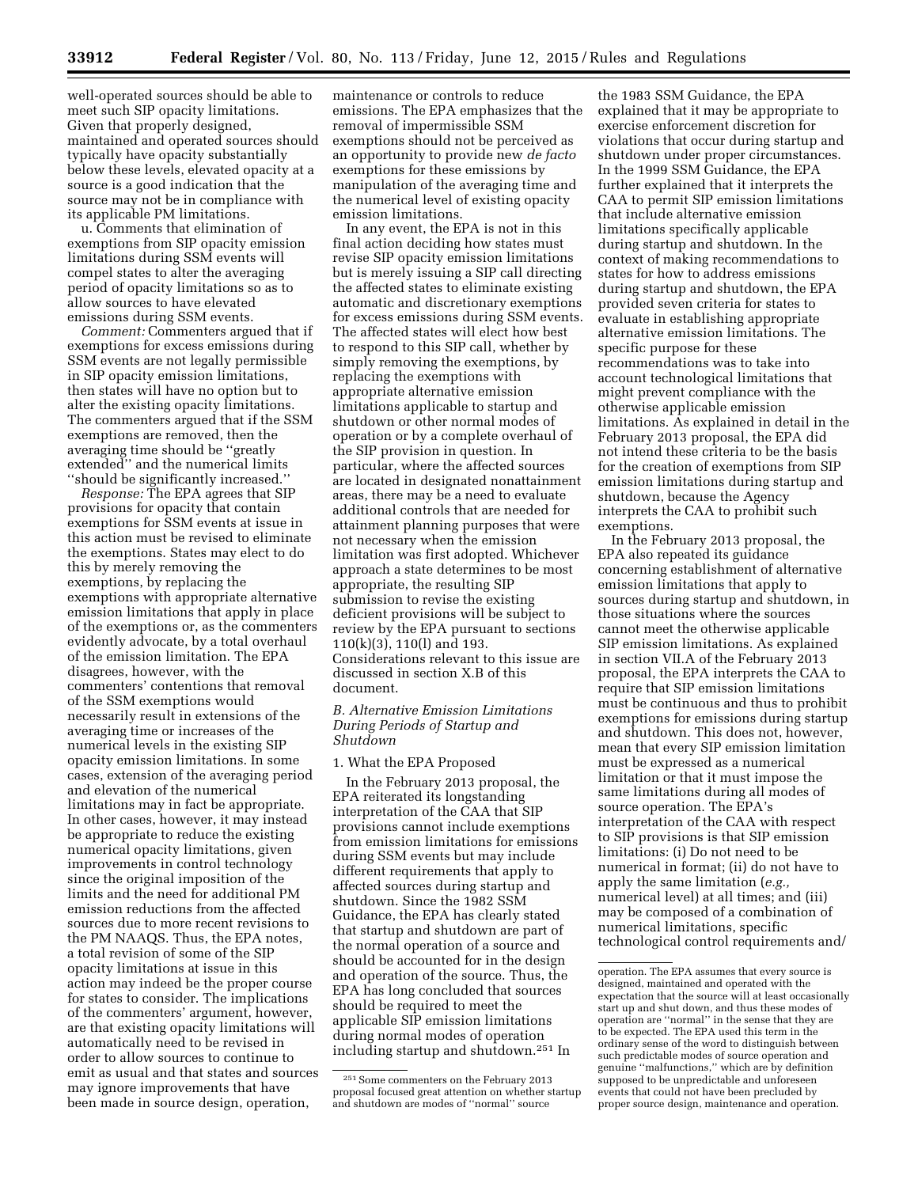well-operated sources should be able to meet such SIP opacity limitations. Given that properly designed, maintained and operated sources should typically have opacity substantially below these levels, elevated opacity at a source is a good indication that the source may not be in compliance with its applicable PM limitations.

u. Comments that elimination of exemptions from SIP opacity emission limitations during SSM events will compel states to alter the averaging period of opacity limitations so as to allow sources to have elevated emissions during SSM events.

*Comment:* Commenters argued that if exemptions for excess emissions during SSM events are not legally permissible in SIP opacity emission limitations, then states will have no option but to alter the existing opacity limitations. The commenters argued that if the SSM exemptions are removed, then the averaging time should be ''greatly extended'' and the numerical limits ''should be significantly increased.''

*Response:* The EPA agrees that SIP provisions for opacity that contain exemptions for SSM events at issue in this action must be revised to eliminate the exemptions. States may elect to do this by merely removing the exemptions, by replacing the exemptions with appropriate alternative emission limitations that apply in place of the exemptions or, as the commenters evidently advocate, by a total overhaul of the emission limitation. The EPA disagrees, however, with the commenters' contentions that removal of the SSM exemptions would necessarily result in extensions of the averaging time or increases of the numerical levels in the existing SIP opacity emission limitations. In some cases, extension of the averaging period and elevation of the numerical limitations may in fact be appropriate. In other cases, however, it may instead be appropriate to reduce the existing numerical opacity limitations, given improvements in control technology since the original imposition of the limits and the need for additional PM emission reductions from the affected sources due to more recent revisions to the PM NAAQS. Thus, the EPA notes, a total revision of some of the SIP opacity limitations at issue in this action may indeed be the proper course for states to consider. The implications of the commenters' argument, however, are that existing opacity limitations will automatically need to be revised in order to allow sources to continue to emit as usual and that states and sources may ignore improvements that have been made in source design, operation,

maintenance or controls to reduce emissions. The EPA emphasizes that the removal of impermissible SSM exemptions should not be perceived as an opportunity to provide new *de facto*  exemptions for these emissions by manipulation of the averaging time and the numerical level of existing opacity emission limitations.

In any event, the EPA is not in this final action deciding how states must revise SIP opacity emission limitations but is merely issuing a SIP call directing the affected states to eliminate existing automatic and discretionary exemptions for excess emissions during SSM events. The affected states will elect how best to respond to this SIP call, whether by simply removing the exemptions, by replacing the exemptions with appropriate alternative emission limitations applicable to startup and shutdown or other normal modes of operation or by a complete overhaul of the SIP provision in question. In particular, where the affected sources are located in designated nonattainment areas, there may be a need to evaluate additional controls that are needed for attainment planning purposes that were not necessary when the emission limitation was first adopted. Whichever approach a state determines to be most appropriate, the resulting SIP submission to revise the existing deficient provisions will be subject to review by the EPA pursuant to sections 110(k)(3), 110(l) and 193. Considerations relevant to this issue are discussed in section X.B of this document.

## *B. Alternative Emission Limitations During Periods of Startup and Shutdown*

#### 1. What the EPA Proposed

In the February 2013 proposal, the EPA reiterated its longstanding interpretation of the CAA that SIP provisions cannot include exemptions from emission limitations for emissions during SSM events but may include different requirements that apply to affected sources during startup and shutdown. Since the 1982 SSM Guidance, the EPA has clearly stated that startup and shutdown are part of the normal operation of a source and should be accounted for in the design and operation of the source. Thus, the EPA has long concluded that sources should be required to meet the applicable SIP emission limitations during normal modes of operation including startup and shutdown.251 In

the 1983 SSM Guidance, the EPA explained that it may be appropriate to exercise enforcement discretion for violations that occur during startup and shutdown under proper circumstances. In the 1999 SSM Guidance, the EPA further explained that it interprets the CAA to permit SIP emission limitations that include alternative emission limitations specifically applicable during startup and shutdown. In the context of making recommendations to states for how to address emissions during startup and shutdown, the EPA provided seven criteria for states to evaluate in establishing appropriate alternative emission limitations. The specific purpose for these recommendations was to take into account technological limitations that might prevent compliance with the otherwise applicable emission limitations. As explained in detail in the February 2013 proposal, the EPA did not intend these criteria to be the basis for the creation of exemptions from SIP emission limitations during startup and shutdown, because the Agency interprets the CAA to prohibit such exemptions.

In the February 2013 proposal, the EPA also repeated its guidance concerning establishment of alternative emission limitations that apply to sources during startup and shutdown, in those situations where the sources cannot meet the otherwise applicable SIP emission limitations. As explained in section VII.A of the February 2013 proposal, the EPA interprets the CAA to require that SIP emission limitations must be continuous and thus to prohibit exemptions for emissions during startup and shutdown. This does not, however, mean that every SIP emission limitation must be expressed as a numerical limitation or that it must impose the same limitations during all modes of source operation. The EPA's interpretation of the CAA with respect to SIP provisions is that SIP emission limitations: (i) Do not need to be numerical in format; (ii) do not have to apply the same limitation (*e.g.,*  numerical level) at all times; and (iii) may be composed of a combination of numerical limitations, specific technological control requirements and/

<sup>251</sup>Some commenters on the February 2013 proposal focused great attention on whether startup and shutdown are modes of ''normal'' source

operation. The EPA assumes that every source is designed, maintained and operated with the expectation that the source will at least occasionally start up and shut down, and thus these modes of operation are ''normal'' in the sense that they are to be expected. The EPA used this term in the ordinary sense of the word to distinguish between such predictable modes of source operation and genuine ''malfunctions,'' which are by definition supposed to be unpredictable and unforeseen events that could not have been precluded by proper source design, maintenance and operation.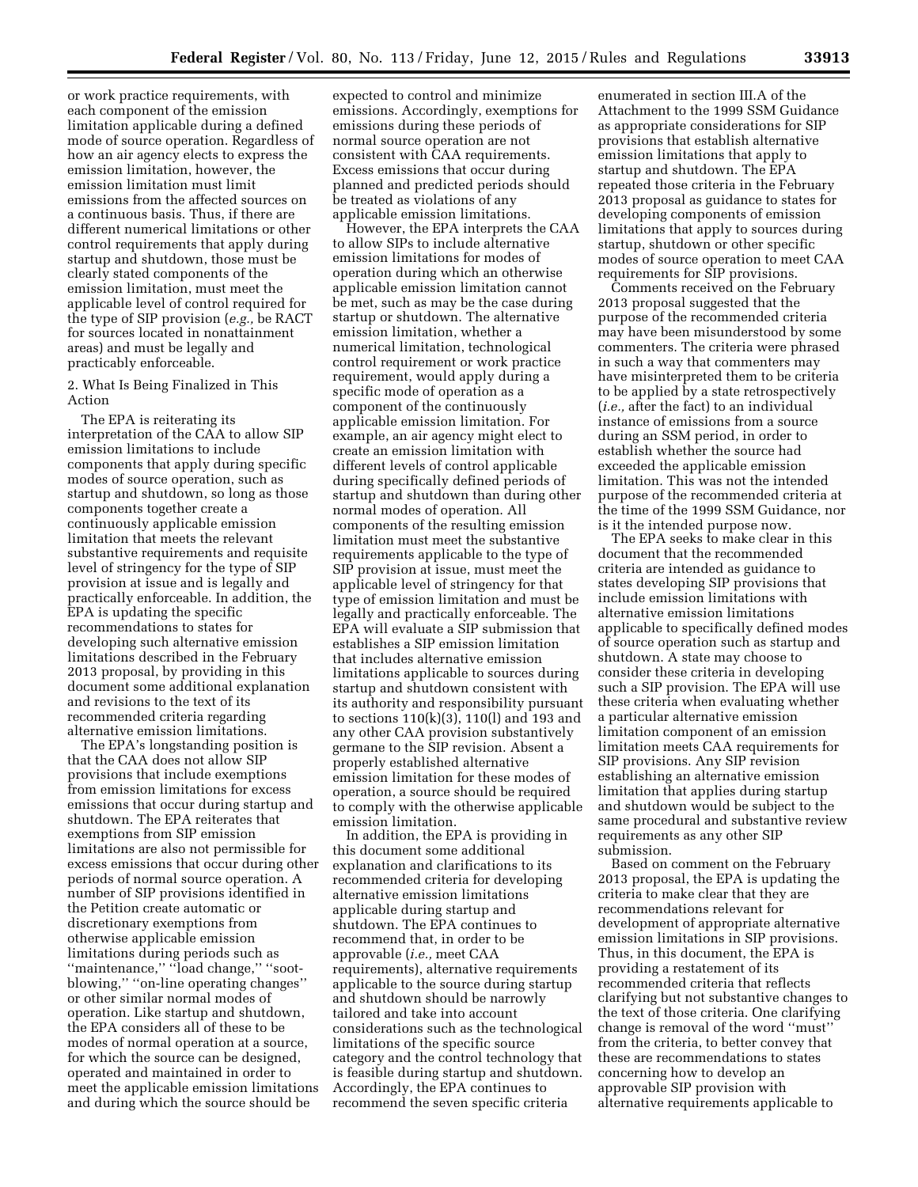or work practice requirements, with each component of the emission limitation applicable during a defined mode of source operation. Regardless of how an air agency elects to express the emission limitation, however, the emission limitation must limit emissions from the affected sources on a continuous basis. Thus, if there are different numerical limitations or other control requirements that apply during startup and shutdown, those must be clearly stated components of the emission limitation, must meet the applicable level of control required for the type of SIP provision (*e.g.,* be RACT for sources located in nonattainment areas) and must be legally and practicably enforceable.

2. What Is Being Finalized in This Action

The EPA is reiterating its interpretation of the CAA to allow SIP emission limitations to include components that apply during specific modes of source operation, such as startup and shutdown, so long as those components together create a continuously applicable emission limitation that meets the relevant substantive requirements and requisite level of stringency for the type of SIP provision at issue and is legally and practically enforceable. In addition, the EPA is updating the specific recommendations to states for developing such alternative emission limitations described in the February 2013 proposal, by providing in this document some additional explanation and revisions to the text of its recommended criteria regarding alternative emission limitations.

The EPA's longstanding position is that the CAA does not allow SIP provisions that include exemptions from emission limitations for excess emissions that occur during startup and shutdown. The EPA reiterates that exemptions from SIP emission limitations are also not permissible for excess emissions that occur during other periods of normal source operation. A number of SIP provisions identified in the Petition create automatic or discretionary exemptions from otherwise applicable emission limitations during periods such as ''maintenance,'' ''load change,'' ''sootblowing,'' ''on-line operating changes'' or other similar normal modes of operation. Like startup and shutdown, the EPA considers all of these to be modes of normal operation at a source, for which the source can be designed, operated and maintained in order to meet the applicable emission limitations and during which the source should be

expected to control and minimize emissions. Accordingly, exemptions for emissions during these periods of normal source operation are not consistent with CAA requirements. Excess emissions that occur during planned and predicted periods should be treated as violations of any applicable emission limitations.

However, the EPA interprets the CAA to allow SIPs to include alternative emission limitations for modes of operation during which an otherwise applicable emission limitation cannot be met, such as may be the case during startup or shutdown. The alternative emission limitation, whether a numerical limitation, technological control requirement or work practice requirement, would apply during a specific mode of operation as a component of the continuously applicable emission limitation. For example, an air agency might elect to create an emission limitation with different levels of control applicable during specifically defined periods of startup and shutdown than during other normal modes of operation. All components of the resulting emission limitation must meet the substantive requirements applicable to the type of SIP provision at issue, must meet the applicable level of stringency for that type of emission limitation and must be legally and practically enforceable. The EPA will evaluate a SIP submission that establishes a SIP emission limitation that includes alternative emission limitations applicable to sources during startup and shutdown consistent with its authority and responsibility pursuant to sections 110(k)(3), 110(l) and 193 and any other CAA provision substantively germane to the SIP revision. Absent a properly established alternative emission limitation for these modes of operation, a source should be required to comply with the otherwise applicable emission limitation.

In addition, the EPA is providing in this document some additional explanation and clarifications to its recommended criteria for developing alternative emission limitations applicable during startup and shutdown. The EPA continues to recommend that, in order to be approvable (*i.e.,* meet CAA requirements), alternative requirements applicable to the source during startup and shutdown should be narrowly tailored and take into account considerations such as the technological limitations of the specific source category and the control technology that is feasible during startup and shutdown. Accordingly, the EPA continues to recommend the seven specific criteria

enumerated in section III.A of the Attachment to the 1999 SSM Guidance as appropriate considerations for SIP provisions that establish alternative emission limitations that apply to startup and shutdown. The EPA repeated those criteria in the February 2013 proposal as guidance to states for developing components of emission limitations that apply to sources during startup, shutdown or other specific modes of source operation to meet CAA requirements for SIP provisions.

Comments received on the February 2013 proposal suggested that the purpose of the recommended criteria may have been misunderstood by some commenters. The criteria were phrased in such a way that commenters may have misinterpreted them to be criteria to be applied by a state retrospectively (*i.e.,* after the fact) to an individual instance of emissions from a source during an SSM period, in order to establish whether the source had exceeded the applicable emission limitation. This was not the intended purpose of the recommended criteria at the time of the 1999 SSM Guidance, nor is it the intended purpose now.

The EPA seeks to make clear in this document that the recommended criteria are intended as guidance to states developing SIP provisions that include emission limitations with alternative emission limitations applicable to specifically defined modes of source operation such as startup and shutdown. A state may choose to consider these criteria in developing such a SIP provision. The EPA will use these criteria when evaluating whether a particular alternative emission limitation component of an emission limitation meets CAA requirements for SIP provisions. Any SIP revision establishing an alternative emission limitation that applies during startup and shutdown would be subject to the same procedural and substantive review requirements as any other SIP submission.

Based on comment on the February 2013 proposal, the EPA is updating the criteria to make clear that they are recommendations relevant for development of appropriate alternative emission limitations in SIP provisions. Thus, in this document, the EPA is providing a restatement of its recommended criteria that reflects clarifying but not substantive changes to the text of those criteria. One clarifying change is removal of the word ''must'' from the criteria, to better convey that these are recommendations to states concerning how to develop an approvable SIP provision with alternative requirements applicable to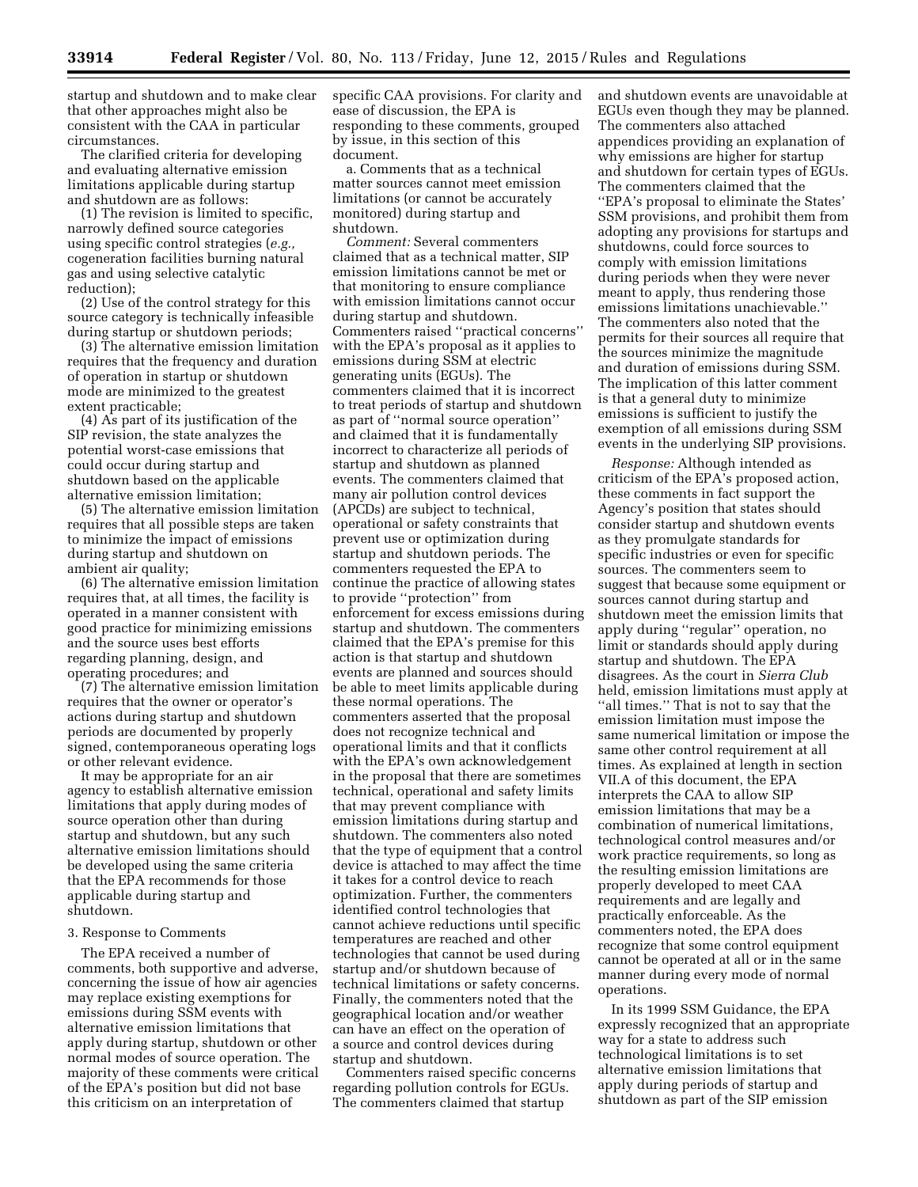startup and shutdown and to make clear that other approaches might also be consistent with the CAA in particular circumstances.

The clarified criteria for developing and evaluating alternative emission limitations applicable during startup and shutdown are as follows:

(1) The revision is limited to specific, narrowly defined source categories using specific control strategies (*e.g.,*  cogeneration facilities burning natural gas and using selective catalytic reduction);

(2) Use of the control strategy for this source category is technically infeasible during startup or shutdown periods;

(3) The alternative emission limitation requires that the frequency and duration of operation in startup or shutdown mode are minimized to the greatest extent practicable;

(4) As part of its justification of the SIP revision, the state analyzes the potential worst-case emissions that could occur during startup and shutdown based on the applicable alternative emission limitation;

(5) The alternative emission limitation requires that all possible steps are taken to minimize the impact of emissions during startup and shutdown on ambient air quality;

(6) The alternative emission limitation requires that, at all times, the facility is operated in a manner consistent with good practice for minimizing emissions and the source uses best efforts regarding planning, design, and operating procedures; and

(7) The alternative emission limitation requires that the owner or operator's actions during startup and shutdown periods are documented by properly signed, contemporaneous operating logs or other relevant evidence.

It may be appropriate for an air agency to establish alternative emission limitations that apply during modes of source operation other than during startup and shutdown, but any such alternative emission limitations should be developed using the same criteria that the EPA recommends for those applicable during startup and shutdown.

### 3. Response to Comments

The EPA received a number of comments, both supportive and adverse, concerning the issue of how air agencies may replace existing exemptions for emissions during SSM events with alternative emission limitations that apply during startup, shutdown or other normal modes of source operation. The majority of these comments were critical of the EPA's position but did not base this criticism on an interpretation of

specific CAA provisions. For clarity and ease of discussion, the EPA is responding to these comments, grouped by issue, in this section of this document.

a. Comments that as a technical matter sources cannot meet emission limitations (or cannot be accurately monitored) during startup and shutdown.

*Comment:* Several commenters claimed that as a technical matter, SIP emission limitations cannot be met or that monitoring to ensure compliance with emission limitations cannot occur during startup and shutdown. Commenters raised ''practical concerns'' with the EPA's proposal as it applies to emissions during SSM at electric generating units (EGUs). The commenters claimed that it is incorrect to treat periods of startup and shutdown as part of ''normal source operation'' and claimed that it is fundamentally incorrect to characterize all periods of startup and shutdown as planned events. The commenters claimed that many air pollution control devices (APCDs) are subject to technical, operational or safety constraints that prevent use or optimization during startup and shutdown periods. The commenters requested the EPA to continue the practice of allowing states to provide ''protection'' from enforcement for excess emissions during startup and shutdown. The commenters claimed that the EPA's premise for this action is that startup and shutdown events are planned and sources should be able to meet limits applicable during these normal operations. The commenters asserted that the proposal does not recognize technical and operational limits and that it conflicts with the EPA's own acknowledgement in the proposal that there are sometimes technical, operational and safety limits that may prevent compliance with emission limitations during startup and shutdown. The commenters also noted that the type of equipment that a control device is attached to may affect the time it takes for a control device to reach optimization. Further, the commenters identified control technologies that cannot achieve reductions until specific temperatures are reached and other technologies that cannot be used during startup and/or shutdown because of technical limitations or safety concerns. Finally, the commenters noted that the geographical location and/or weather can have an effect on the operation of a source and control devices during startup and shutdown.

Commenters raised specific concerns regarding pollution controls for EGUs. The commenters claimed that startup

and shutdown events are unavoidable at EGUs even though they may be planned. The commenters also attached appendices providing an explanation of why emissions are higher for startup and shutdown for certain types of EGUs. The commenters claimed that the ''EPA's proposal to eliminate the States' SSM provisions, and prohibit them from adopting any provisions for startups and shutdowns, could force sources to comply with emission limitations during periods when they were never meant to apply, thus rendering those emissions limitations unachievable.'' The commenters also noted that the permits for their sources all require that the sources minimize the magnitude and duration of emissions during SSM. The implication of this latter comment is that a general duty to minimize emissions is sufficient to justify the exemption of all emissions during SSM events in the underlying SIP provisions.

*Response:* Although intended as criticism of the EPA's proposed action, these comments in fact support the Agency's position that states should consider startup and shutdown events as they promulgate standards for specific industries or even for specific sources. The commenters seem to suggest that because some equipment or sources cannot during startup and shutdown meet the emission limits that apply during ''regular'' operation, no limit or standards should apply during startup and shutdown. The EPA disagrees. As the court in *Sierra Club*  held, emission limitations must apply at ''all times.'' That is not to say that the emission limitation must impose the same numerical limitation or impose the same other control requirement at all times. As explained at length in section VII.A of this document, the EPA interprets the CAA to allow SIP emission limitations that may be a combination of numerical limitations, technological control measures and/or work practice requirements, so long as the resulting emission limitations are properly developed to meet CAA requirements and are legally and practically enforceable. As the commenters noted, the EPA does recognize that some control equipment cannot be operated at all or in the same manner during every mode of normal operations.

In its 1999 SSM Guidance, the EPA expressly recognized that an appropriate way for a state to address such technological limitations is to set alternative emission limitations that apply during periods of startup and shutdown as part of the SIP emission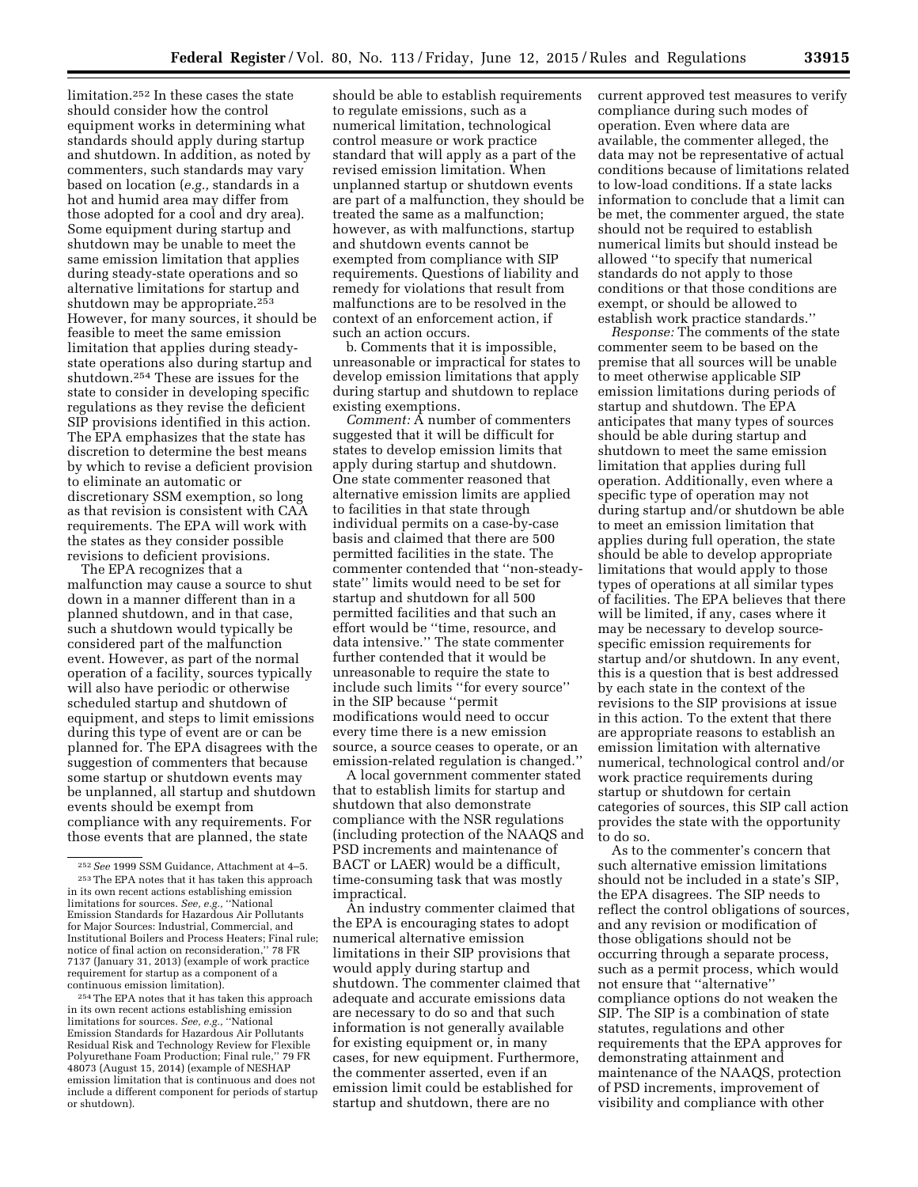limitation.252 In these cases the state should consider how the control equipment works in determining what standards should apply during startup and shutdown. In addition, as noted by commenters, such standards may vary based on location (*e.g.,* standards in a hot and humid area may differ from those adopted for a cool and dry area). Some equipment during startup and shutdown may be unable to meet the same emission limitation that applies during steady-state operations and so alternative limitations for startup and shutdown may be appropriate.<sup>253</sup> However, for many sources, it should be feasible to meet the same emission limitation that applies during steadystate operations also during startup and shutdown.254 These are issues for the state to consider in developing specific regulations as they revise the deficient SIP provisions identified in this action. The EPA emphasizes that the state has discretion to determine the best means by which to revise a deficient provision to eliminate an automatic or discretionary SSM exemption, so long as that revision is consistent with CAA requirements. The EPA will work with the states as they consider possible revisions to deficient provisions.

The EPA recognizes that a malfunction may cause a source to shut down in a manner different than in a planned shutdown, and in that case, such a shutdown would typically be considered part of the malfunction event. However, as part of the normal operation of a facility, sources typically will also have periodic or otherwise scheduled startup and shutdown of equipment, and steps to limit emissions during this type of event are or can be planned for. The EPA disagrees with the suggestion of commenters that because some startup or shutdown events may be unplanned, all startup and shutdown events should be exempt from compliance with any requirements. For those events that are planned, the state

254The EPA notes that it has taken this approach in its own recent actions establishing emission limitations for sources. *See, e.g.,* ''National Emission Standards for Hazardous Air Pollutants Residual Risk and Technology Review for Flexible Polyurethane Foam Production; Final rule,'' 79 FR 48073 (August 15, 2014) (example of NESHAP emission limitation that is continuous and does not include a different component for periods of startup or shutdown).

should be able to establish requirements to regulate emissions, such as a numerical limitation, technological control measure or work practice standard that will apply as a part of the revised emission limitation. When unplanned startup or shutdown events are part of a malfunction, they should be treated the same as a malfunction; however, as with malfunctions, startup and shutdown events cannot be exempted from compliance with SIP requirements. Questions of liability and remedy for violations that result from malfunctions are to be resolved in the context of an enforcement action, if such an action occurs.

b. Comments that it is impossible, unreasonable or impractical for states to develop emission limitations that apply during startup and shutdown to replace existing exemptions.

*Comment:* A number of commenters suggested that it will be difficult for states to develop emission limits that apply during startup and shutdown. One state commenter reasoned that alternative emission limits are applied to facilities in that state through individual permits on a case-by-case basis and claimed that there are 500 permitted facilities in the state. The commenter contended that ''non-steadystate'' limits would need to be set for startup and shutdown for all 500 permitted facilities and that such an effort would be ''time, resource, and data intensive.'' The state commenter further contended that it would be unreasonable to require the state to include such limits ''for every source'' in the SIP because ''permit modifications would need to occur every time there is a new emission source, a source ceases to operate, or an emission-related regulation is changed.''

A local government commenter stated that to establish limits for startup and shutdown that also demonstrate compliance with the NSR regulations (including protection of the NAAQS and PSD increments and maintenance of BACT or LAER) would be a difficult, time-consuming task that was mostly impractical.

An industry commenter claimed that the EPA is encouraging states to adopt numerical alternative emission limitations in their SIP provisions that would apply during startup and shutdown. The commenter claimed that adequate and accurate emissions data are necessary to do so and that such information is not generally available for existing equipment or, in many cases, for new equipment. Furthermore, the commenter asserted, even if an emission limit could be established for startup and shutdown, there are no

current approved test measures to verify compliance during such modes of operation. Even where data are available, the commenter alleged, the data may not be representative of actual conditions because of limitations related to low-load conditions. If a state lacks information to conclude that a limit can be met, the commenter argued, the state should not be required to establish numerical limits but should instead be allowed ''to specify that numerical standards do not apply to those conditions or that those conditions are exempt, or should be allowed to establish work practice standards.''

*Response:* The comments of the state commenter seem to be based on the premise that all sources will be unable to meet otherwise applicable SIP emission limitations during periods of startup and shutdown. The EPA anticipates that many types of sources should be able during startup and shutdown to meet the same emission limitation that applies during full operation. Additionally, even where a specific type of operation may not during startup and/or shutdown be able to meet an emission limitation that applies during full operation, the state should be able to develop appropriate limitations that would apply to those types of operations at all similar types of facilities. The EPA believes that there will be limited, if any, cases where it may be necessary to develop sourcespecific emission requirements for startup and/or shutdown. In any event, this is a question that is best addressed by each state in the context of the revisions to the SIP provisions at issue in this action. To the extent that there are appropriate reasons to establish an emission limitation with alternative numerical, technological control and/or work practice requirements during startup or shutdown for certain categories of sources, this SIP call action provides the state with the opportunity to do so.

As to the commenter's concern that such alternative emission limitations should not be included in a state's SIP, the EPA disagrees. The SIP needs to reflect the control obligations of sources, and any revision or modification of those obligations should not be occurring through a separate process, such as a permit process, which would not ensure that ''alternative'' compliance options do not weaken the SIP. The SIP is a combination of state statutes, regulations and other requirements that the EPA approves for demonstrating attainment and maintenance of the NAAQS, protection of PSD increments, improvement of visibility and compliance with other

<sup>252</sup>*See* 1999 SSM Guidance, Attachment at 4–5. 253The EPA notes that it has taken this approach in its own recent actions establishing emission limitations for sources. *See, e.g.,* ''National Emission Standards for Hazardous Air Pollutants for Major Sources: Industrial, Commercial, and Institutional Boilers and Process Heaters; Final rule; notice of final action on reconsideration,'' 78 FR 7137 (January 31, 2013) (example of work practice requirement for startup as a component of a continuous emission limitation).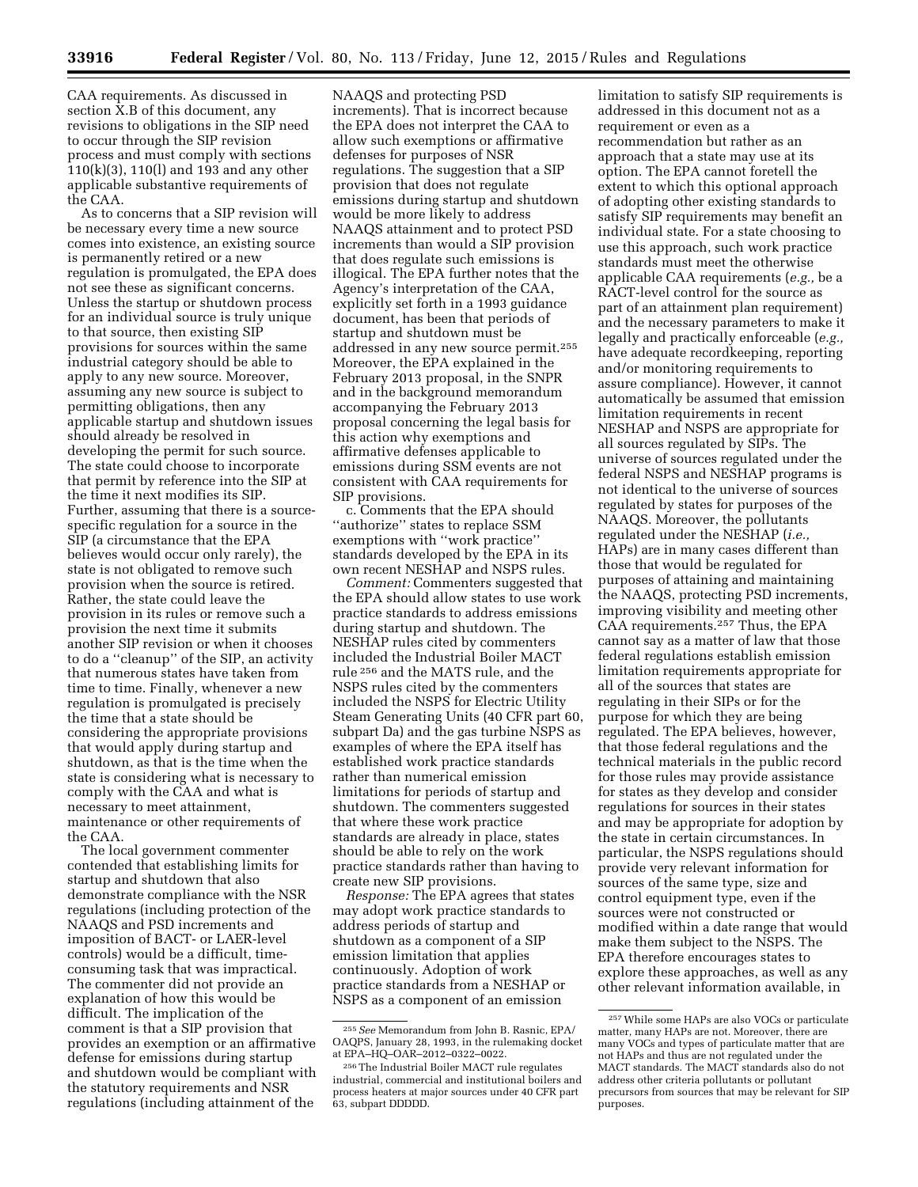CAA requirements. As discussed in section X.B of this document, any revisions to obligations in the SIP need to occur through the SIP revision process and must comply with sections 110(k)(3), 110(l) and 193 and any other applicable substantive requirements of the CAA.

As to concerns that a SIP revision will be necessary every time a new source comes into existence, an existing source is permanently retired or a new regulation is promulgated, the EPA does not see these as significant concerns. Unless the startup or shutdown process for an individual source is truly unique to that source, then existing SIP provisions for sources within the same industrial category should be able to apply to any new source. Moreover, assuming any new source is subject to permitting obligations, then any applicable startup and shutdown issues should already be resolved in developing the permit for such source. The state could choose to incorporate that permit by reference into the SIP at the time it next modifies its SIP. Further, assuming that there is a sourcespecific regulation for a source in the SIP (a circumstance that the EPA believes would occur only rarely), the state is not obligated to remove such provision when the source is retired. Rather, the state could leave the provision in its rules or remove such a provision the next time it submits another SIP revision or when it chooses to do a ''cleanup'' of the SIP, an activity that numerous states have taken from time to time. Finally, whenever a new regulation is promulgated is precisely the time that a state should be considering the appropriate provisions that would apply during startup and shutdown, as that is the time when the state is considering what is necessary to comply with the CAA and what is necessary to meet attainment, maintenance or other requirements of the CAA.

The local government commenter contended that establishing limits for startup and shutdown that also demonstrate compliance with the NSR regulations (including protection of the NAAQS and PSD increments and imposition of BACT- or LAER-level controls) would be a difficult, timeconsuming task that was impractical. The commenter did not provide an explanation of how this would be difficult. The implication of the comment is that a SIP provision that provides an exemption or an affirmative defense for emissions during startup and shutdown would be compliant with the statutory requirements and NSR regulations (including attainment of the

NAAQS and protecting PSD increments). That is incorrect because the EPA does not interpret the CAA to allow such exemptions or affirmative defenses for purposes of NSR regulations. The suggestion that a SIP provision that does not regulate emissions during startup and shutdown would be more likely to address NAAQS attainment and to protect PSD increments than would a SIP provision that does regulate such emissions is illogical. The EPA further notes that the Agency's interpretation of the CAA, explicitly set forth in a 1993 guidance document, has been that periods of startup and shutdown must be addressed in any new source permit.255 Moreover, the EPA explained in the February 2013 proposal, in the SNPR and in the background memorandum accompanying the February 2013 proposal concerning the legal basis for this action why exemptions and affirmative defenses applicable to emissions during SSM events are not consistent with CAA requirements for SIP provisions.

c. Comments that the EPA should ''authorize'' states to replace SSM exemptions with ''work practice'' standards developed by the EPA in its own recent NESHAP and NSPS rules.

*Comment:* Commenters suggested that the EPA should allow states to use work practice standards to address emissions during startup and shutdown. The NESHAP rules cited by commenters included the Industrial Boiler MACT rule 256 and the MATS rule, and the NSPS rules cited by the commenters included the NSPS for Electric Utility Steam Generating Units (40 CFR part 60, subpart Da) and the gas turbine NSPS as examples of where the EPA itself has established work practice standards rather than numerical emission limitations for periods of startup and shutdown. The commenters suggested that where these work practice standards are already in place, states should be able to rely on the work practice standards rather than having to create new SIP provisions.

*Response:* The EPA agrees that states may adopt work practice standards to address periods of startup and shutdown as a component of a SIP emission limitation that applies continuously. Adoption of work practice standards from a NESHAP or NSPS as a component of an emission

limitation to satisfy SIP requirements is addressed in this document not as a requirement or even as a recommendation but rather as an approach that a state may use at its option. The EPA cannot foretell the extent to which this optional approach of adopting other existing standards to satisfy SIP requirements may benefit an individual state. For a state choosing to use this approach, such work practice standards must meet the otherwise applicable CAA requirements (*e.g.,* be a RACT-level control for the source as part of an attainment plan requirement) and the necessary parameters to make it legally and practically enforceable (*e.g.,*  have adequate recordkeeping, reporting and/or monitoring requirements to assure compliance). However, it cannot automatically be assumed that emission limitation requirements in recent NESHAP and NSPS are appropriate for all sources regulated by SIPs. The universe of sources regulated under the federal NSPS and NESHAP programs is not identical to the universe of sources regulated by states for purposes of the NAAQS. Moreover, the pollutants regulated under the NESHAP (*i.e.,*  HAPs) are in many cases different than those that would be regulated for purposes of attaining and maintaining the NAAQS, protecting PSD increments, improving visibility and meeting other CAA requirements.257 Thus, the EPA cannot say as a matter of law that those federal regulations establish emission limitation requirements appropriate for all of the sources that states are regulating in their SIPs or for the purpose for which they are being regulated. The EPA believes, however, that those federal regulations and the technical materials in the public record for those rules may provide assistance for states as they develop and consider regulations for sources in their states and may be appropriate for adoption by the state in certain circumstances. In particular, the NSPS regulations should provide very relevant information for sources of the same type, size and control equipment type, even if the sources were not constructed or modified within a date range that would make them subject to the NSPS. The EPA therefore encourages states to explore these approaches, as well as any other relevant information available, in

<sup>255</sup>*See* Memorandum from John B. Rasnic, EPA/ OAQPS, January 28, 1993, in the rulemaking docket at EPA–HQ–OAR–2012–0322–0022.

<sup>256</sup>The Industrial Boiler MACT rule regulates industrial, commercial and institutional boilers and process heaters at major sources under 40 CFR part 63, subpart DDDDD.

<sup>257</sup>While some HAPs are also VOCs or particulate matter, many HAPs are not. Moreover, there are many VOCs and types of particulate matter that are not HAPs and thus are not regulated under the MACT standards. The MACT standards also do not address other criteria pollutants or pollutant precursors from sources that may be relevant for SIP purposes.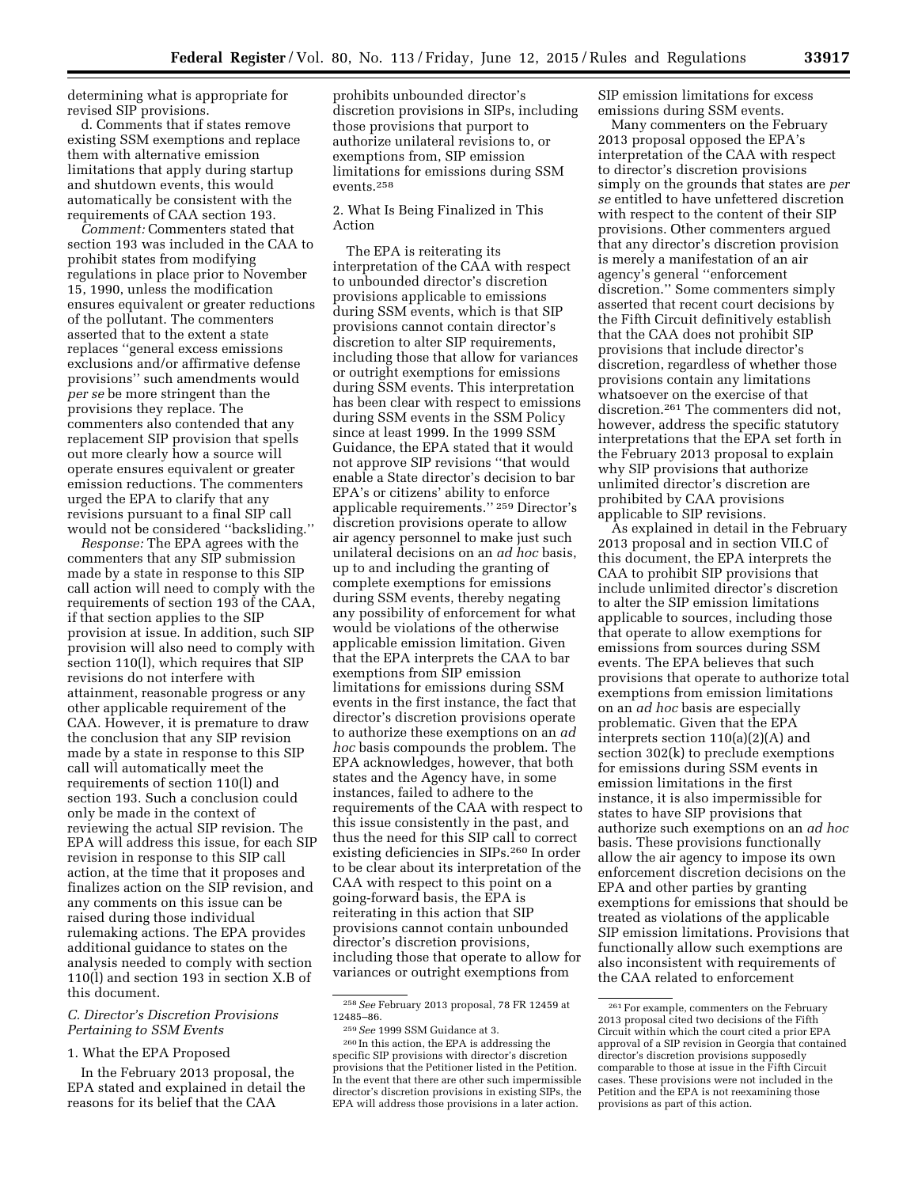determining what is appropriate for revised SIP provisions.

d. Comments that if states remove existing SSM exemptions and replace them with alternative emission limitations that apply during startup and shutdown events, this would automatically be consistent with the requirements of CAA section 193.

*Comment:* Commenters stated that section 193 was included in the CAA to prohibit states from modifying regulations in place prior to November 15, 1990, unless the modification ensures equivalent or greater reductions of the pollutant. The commenters asserted that to the extent a state replaces ''general excess emissions exclusions and/or affirmative defense provisions'' such amendments would *per se* be more stringent than the provisions they replace. The commenters also contended that any replacement SIP provision that spells out more clearly how a source will operate ensures equivalent or greater emission reductions. The commenters urged the EPA to clarify that any revisions pursuant to a final SIP call would not be considered ''backsliding.''

*Response:* The EPA agrees with the commenters that any SIP submission made by a state in response to this SIP call action will need to comply with the requirements of section 193 of the CAA, if that section applies to the SIP provision at issue. In addition, such SIP provision will also need to comply with section 110(l), which requires that SIP revisions do not interfere with attainment, reasonable progress or any other applicable requirement of the CAA. However, it is premature to draw the conclusion that any SIP revision made by a state in response to this SIP call will automatically meet the requirements of section 110(l) and section 193. Such a conclusion could only be made in the context of reviewing the actual SIP revision. The EPA will address this issue, for each SIP revision in response to this SIP call action, at the time that it proposes and finalizes action on the SIP revision, and any comments on this issue can be raised during those individual rulemaking actions. The EPA provides additional guidance to states on the analysis needed to comply with section 110(l) and section 193 in section X.B of this document.

# *C. Director's Discretion Provisions Pertaining to SSM Events*

### 1. What the EPA Proposed

In the February 2013 proposal, the EPA stated and explained in detail the reasons for its belief that the CAA

prohibits unbounded director's discretion provisions in SIPs, including those provisions that purport to authorize unilateral revisions to, or exemptions from, SIP emission limitations for emissions during SSM events.258

2. What Is Being Finalized in This Action

The EPA is reiterating its interpretation of the CAA with respect to unbounded director's discretion provisions applicable to emissions during SSM events, which is that SIP provisions cannot contain director's discretion to alter SIP requirements, including those that allow for variances or outright exemptions for emissions during SSM events. This interpretation has been clear with respect to emissions during SSM events in the SSM Policy since at least 1999. In the 1999 SSM Guidance, the EPA stated that it would not approve SIP revisions ''that would enable a State director's decision to bar EPA's or citizens' ability to enforce applicable requirements.'' 259 Director's discretion provisions operate to allow air agency personnel to make just such unilateral decisions on an *ad hoc* basis, up to and including the granting of complete exemptions for emissions during SSM events, thereby negating any possibility of enforcement for what would be violations of the otherwise applicable emission limitation. Given that the EPA interprets the CAA to bar exemptions from SIP emission limitations for emissions during SSM events in the first instance, the fact that director's discretion provisions operate to authorize these exemptions on an *ad hoc* basis compounds the problem. The EPA acknowledges, however, that both states and the Agency have, in some instances, failed to adhere to the requirements of the CAA with respect to this issue consistently in the past, and thus the need for this SIP call to correct existing deficiencies in SIPs.260 In order to be clear about its interpretation of the CAA with respect to this point on a going-forward basis, the EPA is reiterating in this action that SIP provisions cannot contain unbounded director's discretion provisions, including those that operate to allow for variances or outright exemptions from

SIP emission limitations for excess emissions during SSM events.

Many commenters on the February 2013 proposal opposed the EPA's interpretation of the CAA with respect to director's discretion provisions simply on the grounds that states are *per se* entitled to have unfettered discretion with respect to the content of their SIP provisions. Other commenters argued that any director's discretion provision is merely a manifestation of an air agency's general ''enforcement discretion.'' Some commenters simply asserted that recent court decisions by the Fifth Circuit definitively establish that the CAA does not prohibit SIP provisions that include director's discretion, regardless of whether those provisions contain any limitations whatsoever on the exercise of that discretion.261 The commenters did not, however, address the specific statutory interpretations that the EPA set forth in the February 2013 proposal to explain why SIP provisions that authorize unlimited director's discretion are prohibited by CAA provisions applicable to SIP revisions.

As explained in detail in the February 2013 proposal and in section VII.C of this document, the EPA interprets the CAA to prohibit SIP provisions that include unlimited director's discretion to alter the SIP emission limitations applicable to sources, including those that operate to allow exemptions for emissions from sources during SSM events. The EPA believes that such provisions that operate to authorize total exemptions from emission limitations on an *ad hoc* basis are especially problematic. Given that the EPA interprets section 110(a)(2)(A) and section 302(k) to preclude exemptions for emissions during SSM events in emission limitations in the first instance, it is also impermissible for states to have SIP provisions that authorize such exemptions on an *ad hoc*  basis. These provisions functionally allow the air agency to impose its own enforcement discretion decisions on the EPA and other parties by granting exemptions for emissions that should be treated as violations of the applicable SIP emission limitations. Provisions that functionally allow such exemptions are also inconsistent with requirements of the CAA related to enforcement

<sup>258</sup>*See* February 2013 proposal, 78 FR 12459 at 12485–86.

<sup>259</sup>*See* 1999 SSM Guidance at 3.

<sup>260</sup> In this action, the EPA is addressing the specific SIP provisions with director's discretion provisions that the Petitioner listed in the Petition. In the event that there are other such impermissible director's discretion provisions in existing SIPs, the EPA will address those provisions in a later action.

<sup>261</sup>For example, commenters on the February 2013 proposal cited two decisions of the Fifth Circuit within which the court cited a prior EPA approval of a SIP revision in Georgia that contained director's discretion provisions supposedly comparable to those at issue in the Fifth Circuit cases. These provisions were not included in the Petition and the EPA is not reexamining those provisions as part of this action.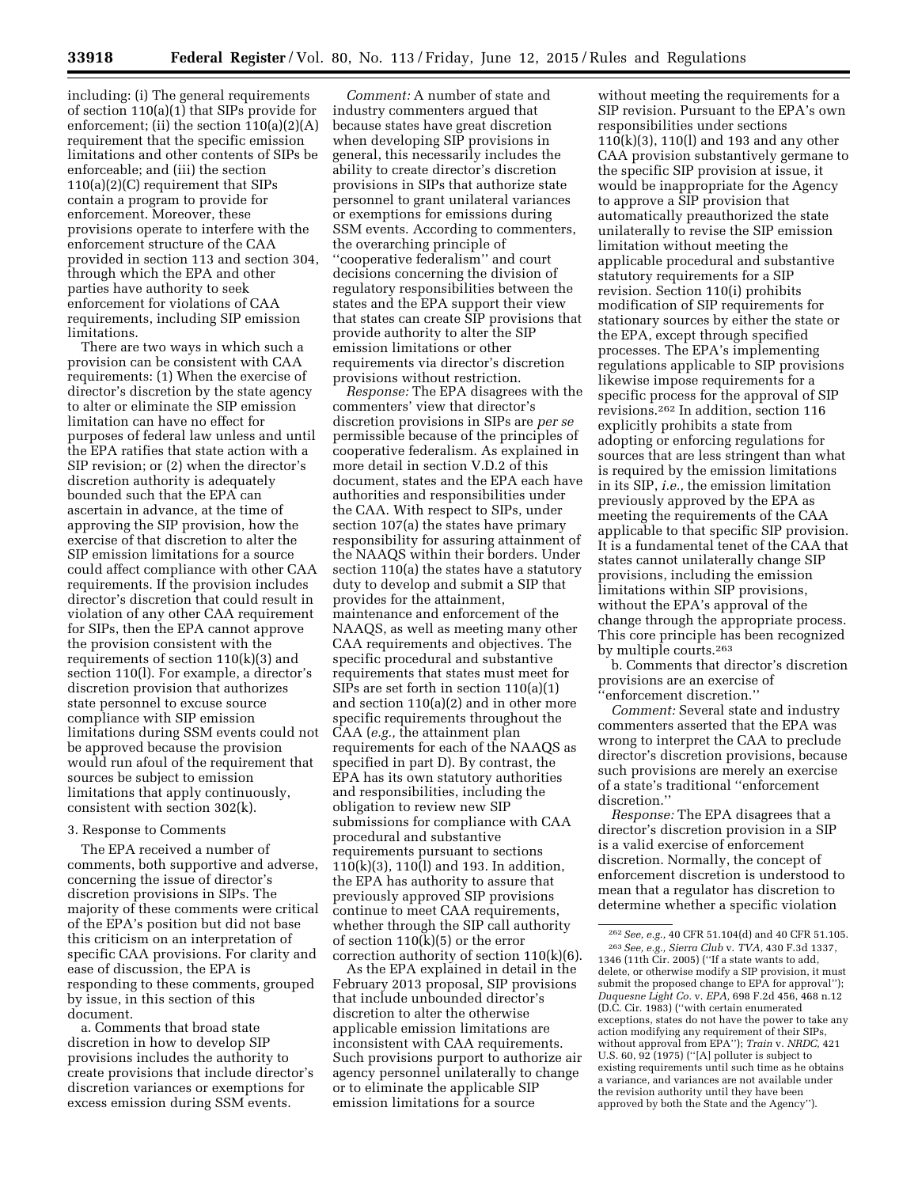including: (i) The general requirements of section 110(a)(1) that SIPs provide for enforcement; (ii) the section 110(a)(2)(A) requirement that the specific emission limitations and other contents of SIPs be enforceable; and (iii) the section 110(a)(2)(C) requirement that SIPs contain a program to provide for enforcement. Moreover, these provisions operate to interfere with the enforcement structure of the CAA provided in section 113 and section 304, through which the EPA and other parties have authority to seek enforcement for violations of CAA requirements, including SIP emission limitations.

There are two ways in which such a provision can be consistent with CAA requirements: (1) When the exercise of director's discretion by the state agency to alter or eliminate the SIP emission limitation can have no effect for purposes of federal law unless and until the EPA ratifies that state action with a SIP revision; or (2) when the director's discretion authority is adequately bounded such that the EPA can ascertain in advance, at the time of approving the SIP provision, how the exercise of that discretion to alter the SIP emission limitations for a source could affect compliance with other CAA requirements. If the provision includes director's discretion that could result in violation of any other CAA requirement for SIPs, then the EPA cannot approve the provision consistent with the requirements of section 110(k)(3) and section 110(l). For example, a director's discretion provision that authorizes state personnel to excuse source compliance with SIP emission limitations during SSM events could not be approved because the provision would run afoul of the requirement that sources be subject to emission limitations that apply continuously, consistent with section 302(k).

### 3. Response to Comments

The EPA received a number of comments, both supportive and adverse, concerning the issue of director's discretion provisions in SIPs. The majority of these comments were critical of the EPA's position but did not base this criticism on an interpretation of specific CAA provisions. For clarity and ease of discussion, the EPA is responding to these comments, grouped by issue, in this section of this document.

a. Comments that broad state discretion in how to develop SIP provisions includes the authority to create provisions that include director's discretion variances or exemptions for excess emission during SSM events.

*Comment:* A number of state and industry commenters argued that because states have great discretion when developing SIP provisions in general, this necessarily includes the ability to create director's discretion provisions in SIPs that authorize state personnel to grant unilateral variances or exemptions for emissions during SSM events. According to commenters, the overarching principle of ''cooperative federalism'' and court decisions concerning the division of regulatory responsibilities between the states and the EPA support their view that states can create SIP provisions that provide authority to alter the SIP emission limitations or other requirements via director's discretion provisions without restriction.

*Response:* The EPA disagrees with the commenters' view that director's discretion provisions in SIPs are *per se*  permissible because of the principles of cooperative federalism. As explained in more detail in section V.D.2 of this document, states and the EPA each have authorities and responsibilities under the CAA. With respect to SIPs, under section 107(a) the states have primary responsibility for assuring attainment of the NAAQS within their borders. Under section 110(a) the states have a statutory duty to develop and submit a SIP that provides for the attainment, maintenance and enforcement of the NAAQS, as well as meeting many other CAA requirements and objectives. The specific procedural and substantive requirements that states must meet for SIPs are set forth in section 110(a)(1) and section 110(a)(2) and in other more specific requirements throughout the CAA (*e.g.,* the attainment plan requirements for each of the NAAQS as specified in part D). By contrast, the EPA has its own statutory authorities and responsibilities, including the obligation to review new SIP submissions for compliance with CAA procedural and substantive requirements pursuant to sections 110(k)(3), 110(l) and 193. In addition, the EPA has authority to assure that previously approved SIP provisions continue to meet CAA requirements, whether through the SIP call authority of section 110(k)(5) or the error correction authority of section 110(k)(6).

As the EPA explained in detail in the February 2013 proposal, SIP provisions that include unbounded director's discretion to alter the otherwise applicable emission limitations are inconsistent with CAA requirements. Such provisions purport to authorize air agency personnel unilaterally to change or to eliminate the applicable SIP emission limitations for a source

without meeting the requirements for a SIP revision. Pursuant to the EPA's own responsibilities under sections 110(k)(3), 110(l) and 193 and any other CAA provision substantively germane to the specific SIP provision at issue, it would be inappropriate for the Agency to approve a SIP provision that automatically preauthorized the state unilaterally to revise the SIP emission limitation without meeting the applicable procedural and substantive statutory requirements for a SIP revision. Section 110(i) prohibits modification of SIP requirements for stationary sources by either the state or the EPA, except through specified processes. The EPA's implementing regulations applicable to SIP provisions likewise impose requirements for a specific process for the approval of SIP revisions.262 In addition, section 116 explicitly prohibits a state from adopting or enforcing regulations for sources that are less stringent than what is required by the emission limitations in its SIP, *i.e.,* the emission limitation previously approved by the EPA as meeting the requirements of the CAA applicable to that specific SIP provision. It is a fundamental tenet of the CAA that states cannot unilaterally change SIP provisions, including the emission limitations within SIP provisions, without the EPA's approval of the change through the appropriate process. This core principle has been recognized by multiple courts.263

b. Comments that director's discretion provisions are an exercise of ''enforcement discretion.''

*Comment:* Several state and industry commenters asserted that the EPA was wrong to interpret the CAA to preclude director's discretion provisions, because such provisions are merely an exercise of a state's traditional ''enforcement discretion.''

*Response:* The EPA disagrees that a director's discretion provision in a SIP is a valid exercise of enforcement discretion. Normally, the concept of enforcement discretion is understood to mean that a regulator has discretion to determine whether a specific violation

<sup>262</sup>*See, e.g.,* 40 CFR 51.104(d) and 40 CFR 51.105. 263*See, e.g., Sierra Club* v. *TVA,* 430 F.3d 1337, 1346 (11th Cir. 2005) (''If a state wants to add, delete, or otherwise modify a SIP provision, it must submit the proposed change to EPA for approval''); *Duquesne Light Co.* v. *EPA,* 698 F.2d 456, 468 n.12 (D.C. Cir. 1983) (''with certain enumerated exceptions, states do not have the power to take any action modifying any requirement of their SIPs, without approval from EPA''); *Train* v. *NRDC,* 421 U.S. 60, 92 (1975) (''[A] polluter is subject to existing requirements until such time as he obtains a variance, and variances are not available under the revision authority until they have been approved by both the State and the Agency'').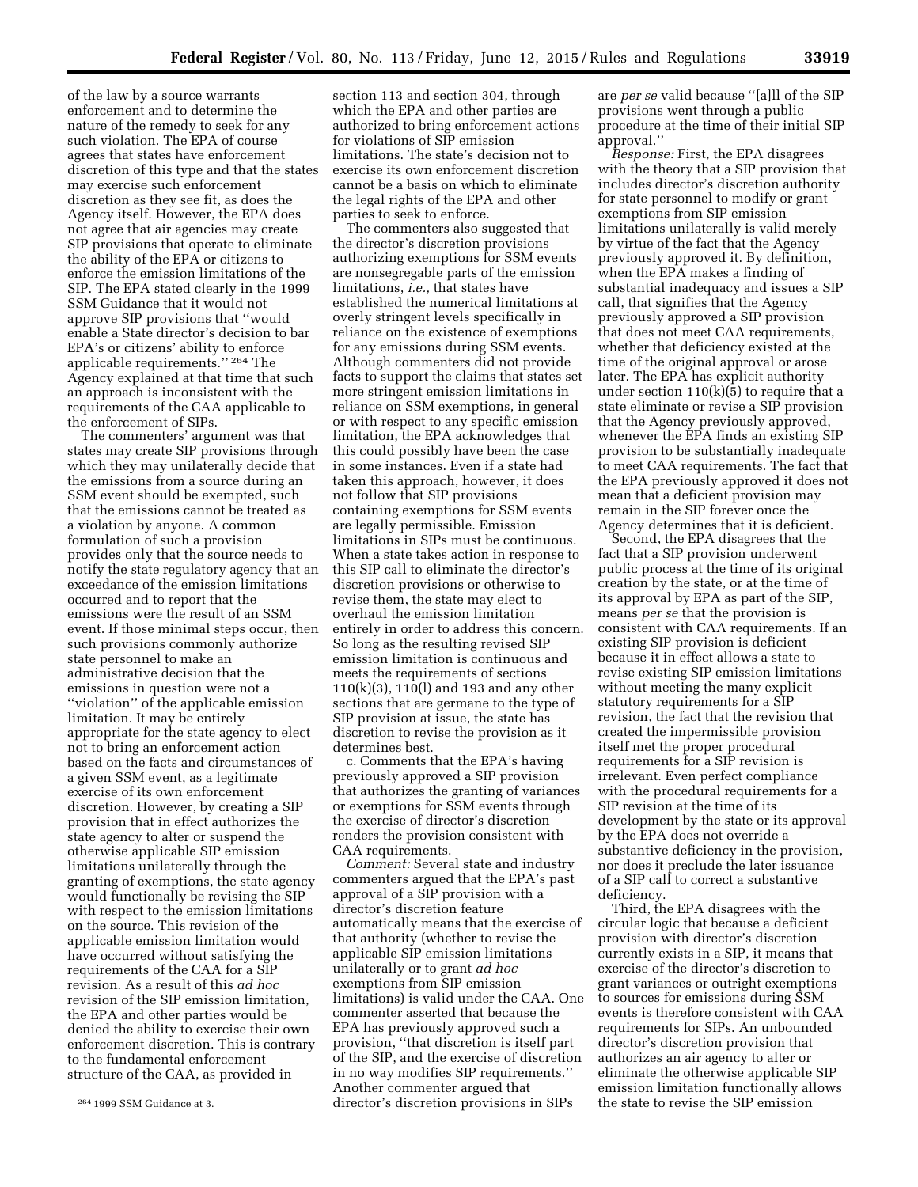of the law by a source warrants enforcement and to determine the nature of the remedy to seek for any such violation. The EPA of course agrees that states have enforcement discretion of this type and that the states may exercise such enforcement discretion as they see fit, as does the Agency itself. However, the EPA does not agree that air agencies may create SIP provisions that operate to eliminate the ability of the EPA or citizens to enforce the emission limitations of the SIP. The EPA stated clearly in the 1999 SSM Guidance that it would not approve SIP provisions that ''would enable a State director's decision to bar EPA's or citizens' ability to enforce applicable requirements.'' 264 The Agency explained at that time that such an approach is inconsistent with the requirements of the CAA applicable to the enforcement of SIPs.

The commenters' argument was that states may create SIP provisions through which they may unilaterally decide that the emissions from a source during an SSM event should be exempted, such that the emissions cannot be treated as a violation by anyone. A common formulation of such a provision provides only that the source needs to notify the state regulatory agency that an exceedance of the emission limitations occurred and to report that the emissions were the result of an SSM event. If those minimal steps occur, then such provisions commonly authorize state personnel to make an administrative decision that the emissions in question were not a ''violation'' of the applicable emission limitation. It may be entirely appropriate for the state agency to elect not to bring an enforcement action based on the facts and circumstances of a given SSM event, as a legitimate exercise of its own enforcement discretion. However, by creating a SIP provision that in effect authorizes the state agency to alter or suspend the otherwise applicable SIP emission limitations unilaterally through the granting of exemptions, the state agency would functionally be revising the SIP with respect to the emission limitations on the source. This revision of the applicable emission limitation would have occurred without satisfying the requirements of the CAA for a SIP revision. As a result of this *ad hoc*  revision of the SIP emission limitation, the EPA and other parties would be denied the ability to exercise their own enforcement discretion. This is contrary to the fundamental enforcement structure of the CAA, as provided in

section 113 and section 304, through which the EPA and other parties are authorized to bring enforcement actions for violations of SIP emission limitations. The state's decision not to exercise its own enforcement discretion cannot be a basis on which to eliminate the legal rights of the EPA and other parties to seek to enforce.

The commenters also suggested that the director's discretion provisions authorizing exemptions for SSM events are nonsegregable parts of the emission limitations, *i.e.,* that states have established the numerical limitations at overly stringent levels specifically in reliance on the existence of exemptions for any emissions during SSM events. Although commenters did not provide facts to support the claims that states set more stringent emission limitations in reliance on SSM exemptions, in general or with respect to any specific emission limitation, the EPA acknowledges that this could possibly have been the case in some instances. Even if a state had taken this approach, however, it does not follow that SIP provisions containing exemptions for SSM events are legally permissible. Emission limitations in SIPs must be continuous. When a state takes action in response to this SIP call to eliminate the director's discretion provisions or otherwise to revise them, the state may elect to overhaul the emission limitation entirely in order to address this concern. So long as the resulting revised SIP emission limitation is continuous and meets the requirements of sections 110(k)(3), 110(l) and 193 and any other sections that are germane to the type of SIP provision at issue, the state has discretion to revise the provision as it determines best.

c. Comments that the EPA's having previously approved a SIP provision that authorizes the granting of variances or exemptions for SSM events through the exercise of director's discretion renders the provision consistent with CAA requirements.

*Comment:* Several state and industry commenters argued that the EPA's past approval of a SIP provision with a director's discretion feature automatically means that the exercise of that authority (whether to revise the applicable SIP emission limitations unilaterally or to grant *ad hoc*  exemptions from SIP emission limitations) is valid under the CAA. One commenter asserted that because the EPA has previously approved such a provision, ''that discretion is itself part of the SIP, and the exercise of discretion in no way modifies SIP requirements.'' Another commenter argued that director's discretion provisions in SIPs

are *per se* valid because ''[a]ll of the SIP provisions went through a public procedure at the time of their initial SIP approval.''

*Response:* First, the EPA disagrees with the theory that a SIP provision that includes director's discretion authority for state personnel to modify or grant exemptions from SIP emission limitations unilaterally is valid merely by virtue of the fact that the Agency previously approved it. By definition, when the EPA makes a finding of substantial inadequacy and issues a SIP call, that signifies that the Agency previously approved a SIP provision that does not meet CAA requirements, whether that deficiency existed at the time of the original approval or arose later. The EPA has explicit authority under section  $110(k)(5)$  to require that a state eliminate or revise a SIP provision that the Agency previously approved, whenever the EPA finds an existing SIP provision to be substantially inadequate to meet CAA requirements. The fact that the EPA previously approved it does not mean that a deficient provision may remain in the SIP forever once the Agency determines that it is deficient.

Second, the EPA disagrees that the fact that a SIP provision underwent public process at the time of its original creation by the state, or at the time of its approval by EPA as part of the SIP, means *per se* that the provision is consistent with CAA requirements. If an existing SIP provision is deficient because it in effect allows a state to revise existing SIP emission limitations without meeting the many explicit statutory requirements for a SIP revision, the fact that the revision that created the impermissible provision itself met the proper procedural requirements for a SIP revision is irrelevant. Even perfect compliance with the procedural requirements for a SIP revision at the time of its development by the state or its approval by the EPA does not override a substantive deficiency in the provision, nor does it preclude the later issuance of a SIP call to correct a substantive deficiency.

Third, the EPA disagrees with the circular logic that because a deficient provision with director's discretion currently exists in a SIP, it means that exercise of the director's discretion to grant variances or outright exemptions to sources for emissions during SSM events is therefore consistent with CAA requirements for SIPs. An unbounded director's discretion provision that authorizes an air agency to alter or eliminate the otherwise applicable SIP emission limitation functionally allows the state to revise the SIP emission

<sup>264</sup> 1999 SSM Guidance at 3.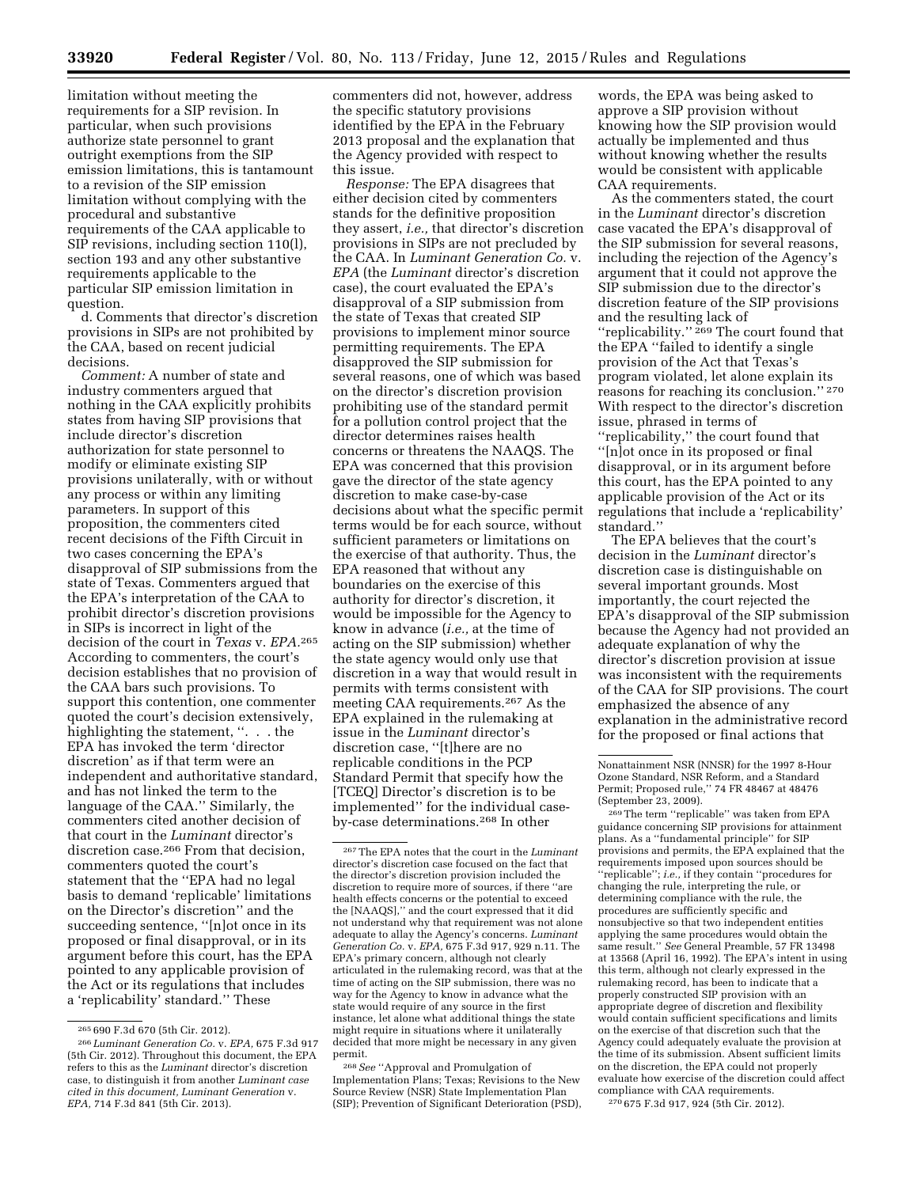limitation without meeting the requirements for a SIP revision. In particular, when such provisions authorize state personnel to grant outright exemptions from the SIP emission limitations, this is tantamount to a revision of the SIP emission limitation without complying with the procedural and substantive requirements of the CAA applicable to SIP revisions, including section 110(l), section 193 and any other substantive requirements applicable to the particular SIP emission limitation in question.

d. Comments that director's discretion provisions in SIPs are not prohibited by the CAA, based on recent judicial decisions.

*Comment:* A number of state and industry commenters argued that nothing in the CAA explicitly prohibits states from having SIP provisions that include director's discretion authorization for state personnel to modify or eliminate existing SIP provisions unilaterally, with or without any process or within any limiting parameters. In support of this proposition, the commenters cited recent decisions of the Fifth Circuit in two cases concerning the EPA's disapproval of SIP submissions from the state of Texas. Commenters argued that the EPA's interpretation of the CAA to prohibit director's discretion provisions in SIPs is incorrect in light of the decision of the court in *Texas* v. *EPA.*265 According to commenters, the court's decision establishes that no provision of the CAA bars such provisions. To support this contention, one commenter quoted the court's decision extensively, highlighting the statement, ". . . the EPA has invoked the term 'director discretion' as if that term were an independent and authoritative standard, and has not linked the term to the language of the CAA.'' Similarly, the commenters cited another decision of that court in the *Luminant* director's discretion case.266 From that decision, commenters quoted the court's statement that the ''EPA had no legal basis to demand 'replicable' limitations on the Director's discretion'' and the succeeding sentence, ''[n]ot once in its proposed or final disapproval, or in its argument before this court, has the EPA pointed to any applicable provision of the Act or its regulations that includes a 'replicability' standard.'' These

commenters did not, however, address the specific statutory provisions identified by the EPA in the February 2013 proposal and the explanation that the Agency provided with respect to this issue.

*Response:* The EPA disagrees that either decision cited by commenters stands for the definitive proposition they assert, *i.e.,* that director's discretion provisions in SIPs are not precluded by the CAA. In *Luminant Generation Co.* v. *EPA* (the *Luminant* director's discretion case), the court evaluated the EPA's disapproval of a SIP submission from the state of Texas that created SIP provisions to implement minor source permitting requirements. The EPA disapproved the SIP submission for several reasons, one of which was based on the director's discretion provision prohibiting use of the standard permit for a pollution control project that the director determines raises health concerns or threatens the NAAQS. The EPA was concerned that this provision gave the director of the state agency discretion to make case-by-case decisions about what the specific permit terms would be for each source, without sufficient parameters or limitations on the exercise of that authority. Thus, the EPA reasoned that without any boundaries on the exercise of this authority for director's discretion, it would be impossible for the Agency to know in advance (*i.e.,* at the time of acting on the SIP submission) whether the state agency would only use that discretion in a way that would result in permits with terms consistent with meeting CAA requirements.267 As the EPA explained in the rulemaking at issue in the *Luminant* director's discretion case, ''[t]here are no replicable conditions in the PCP Standard Permit that specify how the [TCEQ] Director's discretion is to be implemented'' for the individual caseby-case determinations.268 In other

268*See* ''Approval and Promulgation of Implementation Plans; Texas; Revisions to the New Source Review (NSR) State Implementation Plan (SIP); Prevention of Significant Deterioration (PSD),

words, the EPA was being asked to approve a SIP provision without knowing how the SIP provision would actually be implemented and thus without knowing whether the results would be consistent with applicable CAA requirements.

As the commenters stated, the court in the *Luminant* director's discretion case vacated the EPA's disapproval of the SIP submission for several reasons, including the rejection of the Agency's argument that it could not approve the SIP submission due to the director's discretion feature of the SIP provisions and the resulting lack of "replicability."<sup>269</sup> The court found that the EPA ''failed to identify a single provision of the Act that Texas's program violated, let alone explain its reasons for reaching its conclusion.'' 270 With respect to the director's discretion issue, phrased in terms of ''replicability,'' the court found that ''[n]ot once in its proposed or final disapproval, or in its argument before

this court, has the EPA pointed to any applicable provision of the Act or its regulations that include a 'replicability' standard.''

The EPA believes that the court's decision in the *Luminant* director's discretion case is distinguishable on several important grounds. Most importantly, the court rejected the EPA's disapproval of the SIP submission because the Agency had not provided an adequate explanation of why the director's discretion provision at issue was inconsistent with the requirements of the CAA for SIP provisions. The court emphasized the absence of any explanation in the administrative record for the proposed or final actions that

269The term ''replicable'' was taken from EPA guidance concerning SIP provisions for attainment plans. As a ''fundamental principle'' for SIP provisions and permits, the EPA explained that the requirements imposed upon sources should be ''replicable''; *i.e.,* if they contain ''procedures for changing the rule, interpreting the rule, or determining compliance with the rule, the procedures are sufficiently specific and nonsubjective so that two independent entities applying the same procedures would obtain the same result." See General Preamble, 57 FR 13498 at 13568 (April 16, 1992). The EPA's intent in using this term, although not clearly expressed in the rulemaking record, has been to indicate that a properly constructed SIP provision with an appropriate degree of discretion and flexibility would contain sufficient specifications and limits on the exercise of that discretion such that the Agency could adequately evaluate the provision at the time of its submission. Absent sufficient limits on the discretion, the EPA could not properly evaluate how exercise of the discretion could affect compliance with CAA requirements.

270 675 F.3d 917, 924 (5th Cir. 2012).

<sup>265</sup> 690 F.3d 670 (5th Cir. 2012).

<sup>266</sup> *Luminant Generation Co.* v. *EPA,* 675 F.3d 917 (5th Cir. 2012). Throughout this document, the EPA refers to this as the *Luminant* director's discretion case, to distinguish it from another *Luminant case cited in this document, Luminant Generation* v. *EPA,* 714 F.3d 841 (5th Cir. 2013).

<sup>267</sup>The EPA notes that the court in the *Luminant*  director's discretion case focused on the fact that the director's discretion provision included the discretion to require more of sources, if there ''are health effects concerns or the potential to exceed the [NAAQS],'' and the court expressed that it did not understand why that requirement was not alone adequate to allay the Agency's concerns. *Luminant Generation Co.* v. *EPA,* 675 F.3d 917, 929 n.11. The EPA's primary concern, although not clearly articulated in the rulemaking record, was that at the time of acting on the SIP submission, there was no way for the Agency to know in advance what the state would require of any source in the first instance, let alone what additional things the state might require in situations where it unilaterally decided that more might be necessary in any given permit.

Nonattainment NSR (NNSR) for the 1997 8-Hour Ozone Standard, NSR Reform, and a Standard Permit; Proposed rule,'' 74 FR 48467 at 48476 (September 23, 2009).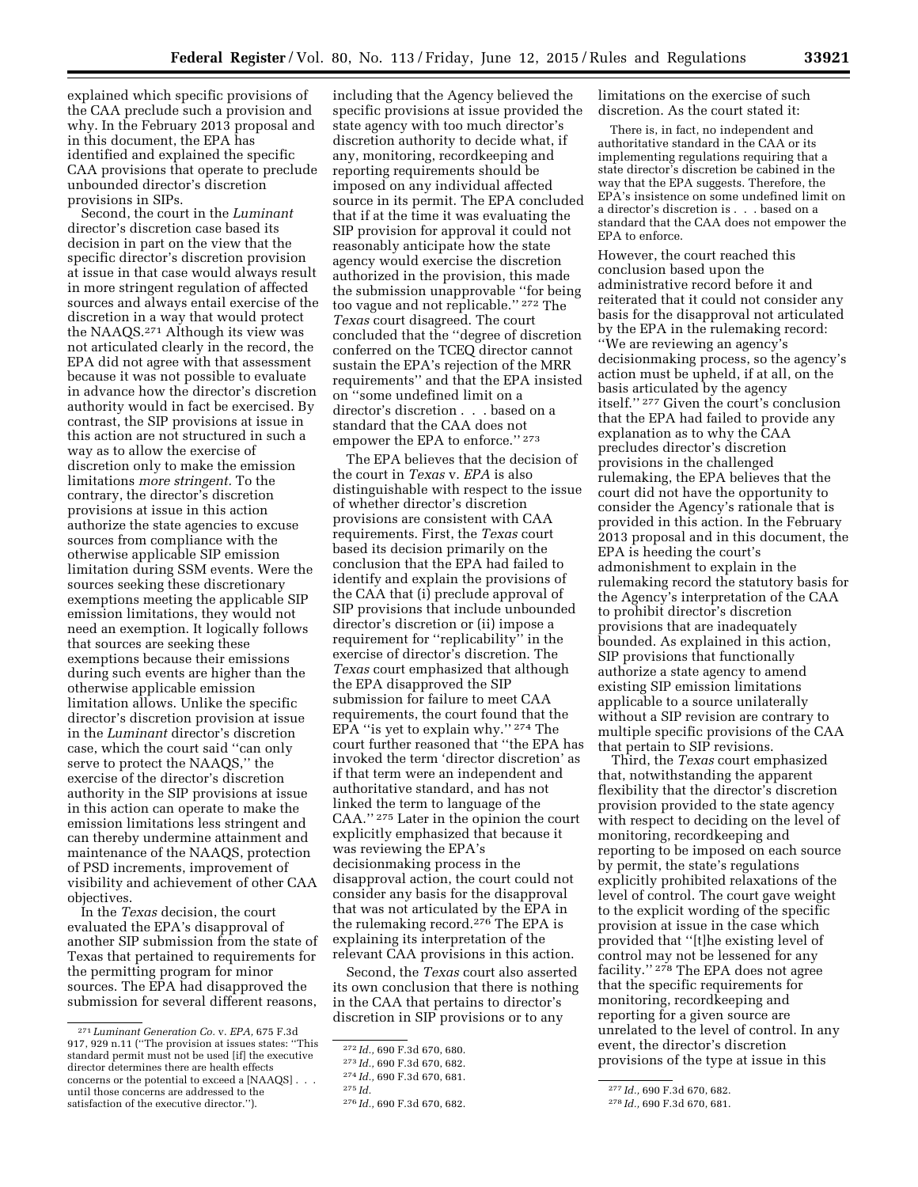explained which specific provisions of the CAA preclude such a provision and why. In the February 2013 proposal and in this document, the EPA has identified and explained the specific CAA provisions that operate to preclude unbounded director's discretion provisions in SIPs.

Second, the court in the *Luminant*  director's discretion case based its decision in part on the view that the specific director's discretion provision at issue in that case would always result in more stringent regulation of affected sources and always entail exercise of the discretion in a way that would protect the NAAQS.271 Although its view was not articulated clearly in the record, the EPA did not agree with that assessment because it was not possible to evaluate in advance how the director's discretion authority would in fact be exercised. By contrast, the SIP provisions at issue in this action are not structured in such a way as to allow the exercise of discretion only to make the emission limitations *more stringent.* To the contrary, the director's discretion provisions at issue in this action authorize the state agencies to excuse sources from compliance with the otherwise applicable SIP emission limitation during SSM events. Were the sources seeking these discretionary exemptions meeting the applicable SIP emission limitations, they would not need an exemption. It logically follows that sources are seeking these exemptions because their emissions during such events are higher than the otherwise applicable emission limitation allows. Unlike the specific director's discretion provision at issue in the *Luminant* director's discretion case, which the court said ''can only serve to protect the NAAQS,'' the exercise of the director's discretion authority in the SIP provisions at issue in this action can operate to make the emission limitations less stringent and can thereby undermine attainment and maintenance of the NAAQS, protection of PSD increments, improvement of visibility and achievement of other CAA objectives.

In the *Texas* decision, the court evaluated the EPA's disapproval of another SIP submission from the state of Texas that pertained to requirements for the permitting program for minor sources. The EPA had disapproved the submission for several different reasons, including that the Agency believed the specific provisions at issue provided the state agency with too much director's discretion authority to decide what, if any, monitoring, recordkeeping and reporting requirements should be imposed on any individual affected source in its permit. The EPA concluded that if at the time it was evaluating the SIP provision for approval it could not reasonably anticipate how the state agency would exercise the discretion authorized in the provision, this made the submission unapprovable ''for being too vague and not replicable.'' 272 The *Texas* court disagreed. The court concluded that the ''degree of discretion conferred on the TCEQ director cannot sustain the EPA's rejection of the MRR requirements'' and that the EPA insisted on ''some undefined limit on a director's discretion . . . based on a standard that the CAA does not empower the EPA to enforce.'' 273

The EPA believes that the decision of the court in *Texas* v. *EPA* is also distinguishable with respect to the issue of whether director's discretion provisions are consistent with CAA requirements. First, the *Texas* court based its decision primarily on the conclusion that the EPA had failed to identify and explain the provisions of the CAA that (i) preclude approval of SIP provisions that include unbounded director's discretion or (ii) impose a requirement for ''replicability'' in the exercise of director's discretion. The *Texas* court emphasized that although the EPA disapproved the SIP submission for failure to meet CAA requirements, the court found that the  $\rm{EPA}$  "is yet to explain why."  $^{274}$  The court further reasoned that ''the EPA has invoked the term 'director discretion' as if that term were an independent and authoritative standard, and has not linked the term to language of the CAA.'' 275 Later in the opinion the court explicitly emphasized that because it was reviewing the EPA's decisionmaking process in the disapproval action, the court could not consider any basis for the disapproval that was not articulated by the EPA in the rulemaking record.276 The EPA is explaining its interpretation of the relevant CAA provisions in this action.

Second, the *Texas* court also asserted its own conclusion that there is nothing in the CAA that pertains to director's discretion in SIP provisions or to any

limitations on the exercise of such discretion. As the court stated it:

There is, in fact, no independent and authoritative standard in the CAA or its implementing regulations requiring that a state director's discretion be cabined in the way that the EPA suggests. Therefore, the EPA's insistence on some undefined limit on a director's discretion is . . . based on a standard that the CAA does not empower the EPA to enforce.

However, the court reached this conclusion based upon the administrative record before it and reiterated that it could not consider any basis for the disapproval not articulated by the EPA in the rulemaking record: ''We are reviewing an agency's decisionmaking process, so the agency's action must be upheld, if at all, on the basis articulated by the agency itself.'' 277 Given the court's conclusion that the EPA had failed to provide any explanation as to why the CAA precludes director's discretion provisions in the challenged rulemaking, the EPA believes that the court did not have the opportunity to consider the Agency's rationale that is provided in this action. In the February 2013 proposal and in this document, the EPA is heeding the court's admonishment to explain in the rulemaking record the statutory basis for the Agency's interpretation of the CAA to prohibit director's discretion provisions that are inadequately bounded. As explained in this action, SIP provisions that functionally authorize a state agency to amend existing SIP emission limitations applicable to a source unilaterally without a SIP revision are contrary to multiple specific provisions of the CAA that pertain to SIP revisions.

Third, the *Texas* court emphasized that, notwithstanding the apparent flexibility that the director's discretion provision provided to the state agency with respect to deciding on the level of monitoring, recordkeeping and reporting to be imposed on each source by permit, the state's regulations explicitly prohibited relaxations of the level of control. The court gave weight to the explicit wording of the specific provision at issue in the case which provided that ''[t]he existing level of control may not be lessened for any facility."<sup>278</sup> The EPA does not agree that the specific requirements for monitoring, recordkeeping and reporting for a given source are unrelated to the level of control. In any event, the director's discretion provisions of the type at issue in this

<sup>271</sup> *Luminant Generation Co.* v. *EPA,* 675 F.3d 917, 929 n.11 (''The provision at issues states: ''This standard permit must not be used [if] the executive director determines there are health effects concerns or the potential to exceed a [NAAQS] . . . until those concerns are addressed to the satisfaction of the executive director.'').

<sup>272</sup> *Id.,* 690 F.3d 670, 680.

<sup>273</sup> *Id.,* 690 F.3d 670, 682.

<sup>274</sup> *Id.,* 690 F.3d 670, 681.

<sup>275</sup> *Id.* 

<sup>276</sup> *Id.,* 690 F.3d 670, 682.

<sup>277</sup> *Id.,* 690 F.3d 670, 682.

<sup>278</sup> *Id.,* 690 F.3d 670, 681.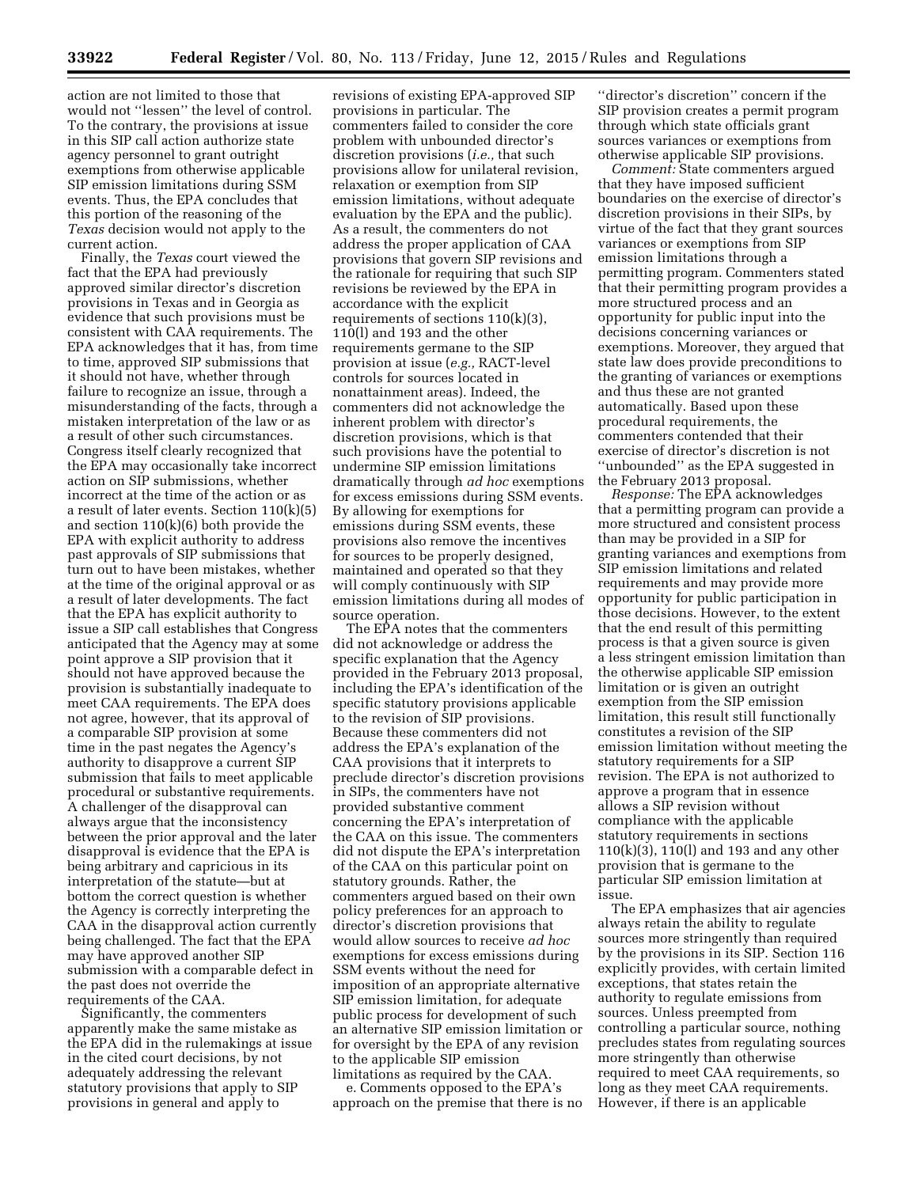action are not limited to those that would not ''lessen'' the level of control. To the contrary, the provisions at issue in this SIP call action authorize state agency personnel to grant outright exemptions from otherwise applicable SIP emission limitations during SSM events. Thus, the EPA concludes that this portion of the reasoning of the *Texas* decision would not apply to the current action.

Finally, the *Texas* court viewed the fact that the EPA had previously approved similar director's discretion provisions in Texas and in Georgia as evidence that such provisions must be consistent with CAA requirements. The EPA acknowledges that it has, from time to time, approved SIP submissions that it should not have, whether through failure to recognize an issue, through a misunderstanding of the facts, through a mistaken interpretation of the law or as a result of other such circumstances. Congress itself clearly recognized that the EPA may occasionally take incorrect action on SIP submissions, whether incorrect at the time of the action or as a result of later events. Section 110(k)(5) and section 110(k)(6) both provide the EPA with explicit authority to address past approvals of SIP submissions that turn out to have been mistakes, whether at the time of the original approval or as a result of later developments. The fact that the EPA has explicit authority to issue a SIP call establishes that Congress anticipated that the Agency may at some point approve a SIP provision that it should not have approved because the provision is substantially inadequate to meet CAA requirements. The EPA does not agree, however, that its approval of a comparable SIP provision at some time in the past negates the Agency's authority to disapprove a current SIP submission that fails to meet applicable procedural or substantive requirements. A challenger of the disapproval can always argue that the inconsistency between the prior approval and the later disapproval is evidence that the EPA is being arbitrary and capricious in its interpretation of the statute—but at bottom the correct question is whether the Agency is correctly interpreting the CAA in the disapproval action currently being challenged. The fact that the EPA may have approved another SIP submission with a comparable defect in the past does not override the requirements of the CAA.

Significantly, the commenters apparently make the same mistake as the EPA did in the rulemakings at issue in the cited court decisions, by not adequately addressing the relevant statutory provisions that apply to SIP provisions in general and apply to

revisions of existing EPA-approved SIP provisions in particular. The commenters failed to consider the core problem with unbounded director's discretion provisions (*i.e.,* that such provisions allow for unilateral revision, relaxation or exemption from SIP emission limitations, without adequate evaluation by the EPA and the public). As a result, the commenters do not address the proper application of CAA provisions that govern SIP revisions and the rationale for requiring that such SIP revisions be reviewed by the EPA in accordance with the explicit requirements of sections 110(k)(3), 110(l) and 193 and the other requirements germane to the SIP provision at issue (*e.g.,* RACT-level controls for sources located in nonattainment areas). Indeed, the commenters did not acknowledge the inherent problem with director's discretion provisions, which is that such provisions have the potential to undermine SIP emission limitations dramatically through *ad hoc* exemptions for excess emissions during SSM events. By allowing for exemptions for emissions during SSM events, these provisions also remove the incentives for sources to be properly designed, maintained and operated so that they will comply continuously with SIP emission limitations during all modes of source operation.

The EPA notes that the commenters did not acknowledge or address the specific explanation that the Agency provided in the February 2013 proposal, including the EPA's identification of the specific statutory provisions applicable to the revision of SIP provisions. Because these commenters did not address the EPA's explanation of the CAA provisions that it interprets to preclude director's discretion provisions in SIPs, the commenters have not provided substantive comment concerning the EPA's interpretation of the CAA on this issue. The commenters did not dispute the EPA's interpretation of the CAA on this particular point on statutory grounds. Rather, the commenters argued based on their own policy preferences for an approach to director's discretion provisions that would allow sources to receive *ad hoc*  exemptions for excess emissions during SSM events without the need for imposition of an appropriate alternative SIP emission limitation, for adequate public process for development of such an alternative SIP emission limitation or for oversight by the EPA of any revision to the applicable SIP emission limitations as required by the CAA.

e. Comments opposed to the EPA's approach on the premise that there is no ''director's discretion'' concern if the SIP provision creates a permit program through which state officials grant sources variances or exemptions from otherwise applicable SIP provisions.

*Comment:* State commenters argued that they have imposed sufficient boundaries on the exercise of director's discretion provisions in their SIPs, by virtue of the fact that they grant sources variances or exemptions from SIP emission limitations through a permitting program. Commenters stated that their permitting program provides a more structured process and an opportunity for public input into the decisions concerning variances or exemptions. Moreover, they argued that state law does provide preconditions to the granting of variances or exemptions and thus these are not granted automatically. Based upon these procedural requirements, the commenters contended that their exercise of director's discretion is not ''unbounded'' as the EPA suggested in the February 2013 proposal.

*Response:* The EPA acknowledges that a permitting program can provide a more structured and consistent process than may be provided in a SIP for granting variances and exemptions from SIP emission limitations and related requirements and may provide more opportunity for public participation in those decisions. However, to the extent that the end result of this permitting process is that a given source is given a less stringent emission limitation than the otherwise applicable SIP emission limitation or is given an outright exemption from the SIP emission limitation, this result still functionally constitutes a revision of the SIP emission limitation without meeting the statutory requirements for a SIP revision. The EPA is not authorized to approve a program that in essence allows a SIP revision without compliance with the applicable statutory requirements in sections 110(k)(3), 110(l) and 193 and any other provision that is germane to the particular SIP emission limitation at issue.

The EPA emphasizes that air agencies always retain the ability to regulate sources more stringently than required by the provisions in its SIP. Section 116 explicitly provides, with certain limited exceptions, that states retain the authority to regulate emissions from sources. Unless preempted from controlling a particular source, nothing precludes states from regulating sources more stringently than otherwise required to meet CAA requirements, so long as they meet CAA requirements. However, if there is an applicable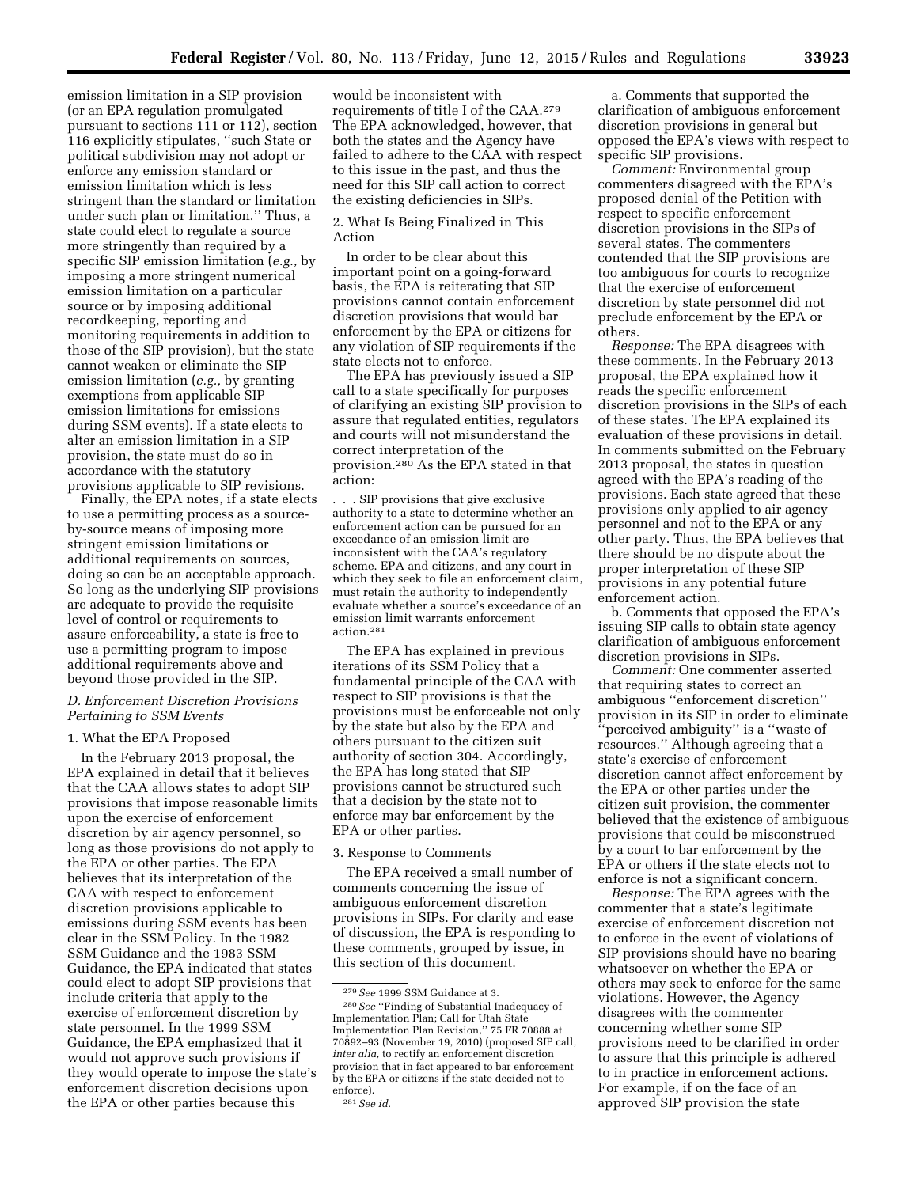emission limitation in a SIP provision (or an EPA regulation promulgated pursuant to sections 111 or 112), section 116 explicitly stipulates, ''such State or political subdivision may not adopt or enforce any emission standard or emission limitation which is less stringent than the standard or limitation under such plan or limitation.'' Thus, a state could elect to regulate a source more stringently than required by a specific SIP emission limitation (*e.g.,* by imposing a more stringent numerical emission limitation on a particular source or by imposing additional recordkeeping, reporting and monitoring requirements in addition to those of the SIP provision), but the state cannot weaken or eliminate the SIP emission limitation (*e.g.,* by granting exemptions from applicable SIP emission limitations for emissions during SSM events). If a state elects to alter an emission limitation in a SIP provision, the state must do so in accordance with the statutory provisions applicable to SIP revisions.

Finally, the EPA notes, if a state elects to use a permitting process as a sourceby-source means of imposing more stringent emission limitations or additional requirements on sources, doing so can be an acceptable approach. So long as the underlying SIP provisions are adequate to provide the requisite level of control or requirements to assure enforceability, a state is free to use a permitting program to impose additional requirements above and beyond those provided in the SIP.

# *D. Enforcement Discretion Provisions Pertaining to SSM Events*

## 1. What the EPA Proposed

In the February 2013 proposal, the EPA explained in detail that it believes that the CAA allows states to adopt SIP provisions that impose reasonable limits upon the exercise of enforcement discretion by air agency personnel, so long as those provisions do not apply to the EPA or other parties. The EPA believes that its interpretation of the CAA with respect to enforcement discretion provisions applicable to emissions during SSM events has been clear in the SSM Policy. In the 1982 SSM Guidance and the 1983 SSM Guidance, the EPA indicated that states could elect to adopt SIP provisions that include criteria that apply to the exercise of enforcement discretion by state personnel. In the 1999 SSM Guidance, the EPA emphasized that it would not approve such provisions if they would operate to impose the state's enforcement discretion decisions upon the EPA or other parties because this

would be inconsistent with requirements of title I of the CAA.279 The EPA acknowledged, however, that both the states and the Agency have failed to adhere to the CAA with respect to this issue in the past, and thus the need for this SIP call action to correct the existing deficiencies in SIPs.

2. What Is Being Finalized in This Action

In order to be clear about this important point on a going-forward basis, the EPA is reiterating that SIP provisions cannot contain enforcement discretion provisions that would bar enforcement by the EPA or citizens for any violation of SIP requirements if the state elects not to enforce.

The EPA has previously issued a SIP call to a state specifically for purposes of clarifying an existing SIP provision to assure that regulated entities, regulators and courts will not misunderstand the correct interpretation of the provision.280 As the EPA stated in that action:

. . . SIP provisions that give exclusive authority to a state to determine whether an enforcement action can be pursued for an exceedance of an emission limit are inconsistent with the CAA's regulatory scheme. EPA and citizens, and any court in which they seek to file an enforcement claim, must retain the authority to independently evaluate whether a source's exceedance of an emission limit warrants enforcement action.281

The EPA has explained in previous iterations of its SSM Policy that a fundamental principle of the CAA with respect to SIP provisions is that the provisions must be enforceable not only by the state but also by the EPA and others pursuant to the citizen suit authority of section 304. Accordingly, the EPA has long stated that SIP provisions cannot be structured such that a decision by the state not to enforce may bar enforcement by the EPA or other parties.

#### 3. Response to Comments

The EPA received a small number of comments concerning the issue of ambiguous enforcement discretion provisions in SIPs. For clarity and ease of discussion, the EPA is responding to these comments, grouped by issue, in this section of this document.

a. Comments that supported the clarification of ambiguous enforcement discretion provisions in general but opposed the EPA's views with respect to specific SIP provisions.

*Comment:* Environmental group commenters disagreed with the EPA's proposed denial of the Petition with respect to specific enforcement discretion provisions in the SIPs of several states. The commenters contended that the SIP provisions are too ambiguous for courts to recognize that the exercise of enforcement discretion by state personnel did not preclude enforcement by the EPA or others.

*Response:* The EPA disagrees with these comments. In the February 2013 proposal, the EPA explained how it reads the specific enforcement discretion provisions in the SIPs of each of these states. The EPA explained its evaluation of these provisions in detail. In comments submitted on the February 2013 proposal, the states in question agreed with the EPA's reading of the provisions. Each state agreed that these provisions only applied to air agency personnel and not to the EPA or any other party. Thus, the EPA believes that there should be no dispute about the proper interpretation of these SIP provisions in any potential future enforcement action.

b. Comments that opposed the EPA's issuing SIP calls to obtain state agency clarification of ambiguous enforcement discretion provisions in SIPs.

*Comment:* One commenter asserted that requiring states to correct an ambiguous ''enforcement discretion'' provision in its SIP in order to eliminate ''perceived ambiguity'' is a ''waste of resources.'' Although agreeing that a state's exercise of enforcement discretion cannot affect enforcement by the EPA or other parties under the citizen suit provision, the commenter believed that the existence of ambiguous provisions that could be misconstrued by a court to bar enforcement by the EPA or others if the state elects not to enforce is not a significant concern.

*Response:* The EPA agrees with the commenter that a state's legitimate exercise of enforcement discretion not to enforce in the event of violations of SIP provisions should have no bearing whatsoever on whether the EPA or others may seek to enforce for the same violations. However, the Agency disagrees with the commenter concerning whether some SIP provisions need to be clarified in order to assure that this principle is adhered to in practice in enforcement actions. For example, if on the face of an approved SIP provision the state

<sup>279</sup>*See* 1999 SSM Guidance at 3. 280*See* ''Finding of Substantial Inadequacy of Implementation Plan; Call for Utah State Implementation Plan Revision,'' 75 FR 70888 at 70892–93 (November 19, 2010) (proposed SIP call, *inter alia,* to rectify an enforcement discretion provision that in fact appeared to bar enforcement by the EPA or citizens if the state decided not to enforce). 281*See id.*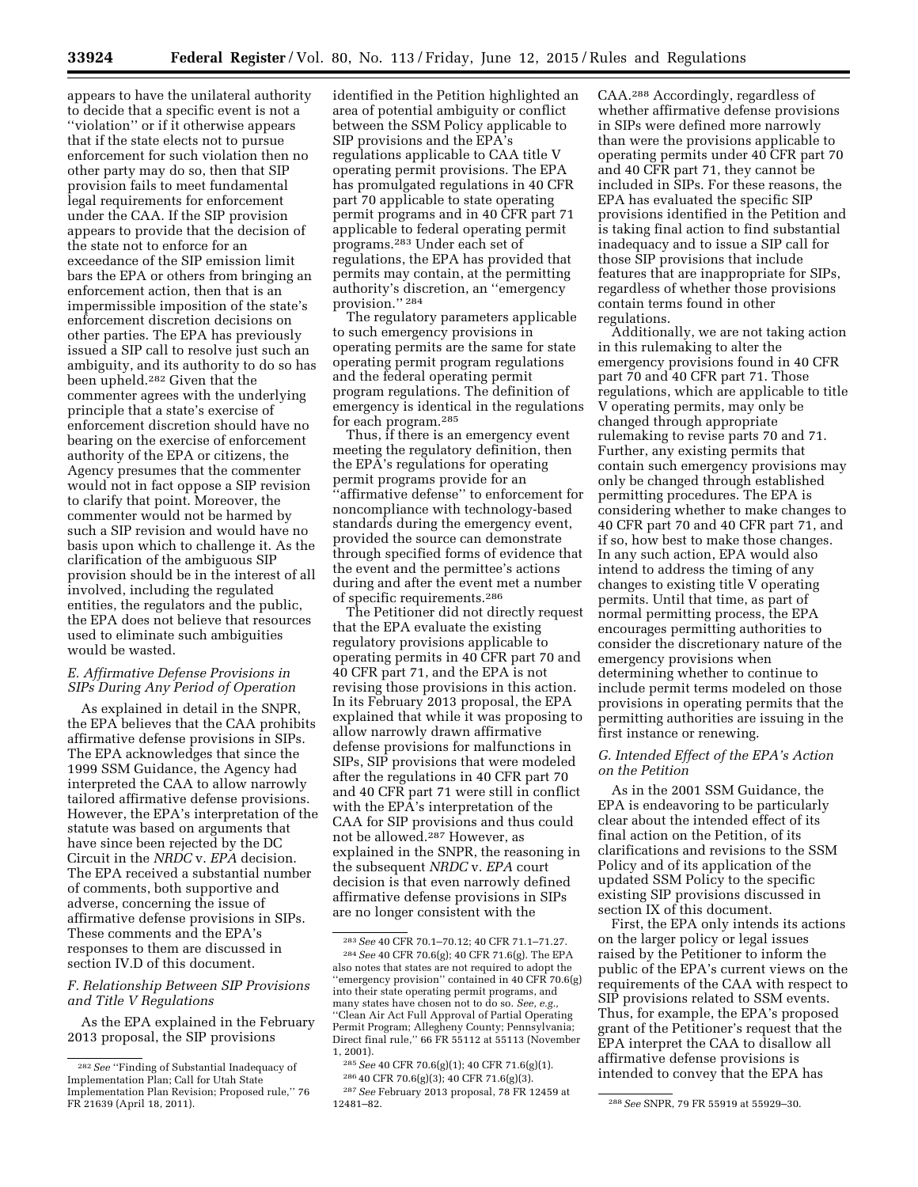appears to have the unilateral authority to decide that a specific event is not a ''violation'' or if it otherwise appears that if the state elects not to pursue enforcement for such violation then no other party may do so, then that SIP provision fails to meet fundamental legal requirements for enforcement under the CAA. If the SIP provision appears to provide that the decision of the state not to enforce for an exceedance of the SIP emission limit bars the EPA or others from bringing an enforcement action, then that is an impermissible imposition of the state's enforcement discretion decisions on other parties. The EPA has previously issued a SIP call to resolve just such an ambiguity, and its authority to do so has been upheld.282 Given that the commenter agrees with the underlying principle that a state's exercise of enforcement discretion should have no bearing on the exercise of enforcement authority of the EPA or citizens, the Agency presumes that the commenter would not in fact oppose a SIP revision to clarify that point. Moreover, the commenter would not be harmed by such a SIP revision and would have no basis upon which to challenge it. As the clarification of the ambiguous SIP provision should be in the interest of all involved, including the regulated entities, the regulators and the public, the EPA does not believe that resources used to eliminate such ambiguities would be wasted.

## *E. Affirmative Defense Provisions in SIPs During Any Period of Operation*

As explained in detail in the SNPR, the EPA believes that the CAA prohibits affirmative defense provisions in SIPs. The EPA acknowledges that since the 1999 SSM Guidance, the Agency had interpreted the CAA to allow narrowly tailored affirmative defense provisions. However, the EPA's interpretation of the statute was based on arguments that have since been rejected by the DC Circuit in the *NRDC* v. *EPA* decision. The EPA received a substantial number of comments, both supportive and adverse, concerning the issue of affirmative defense provisions in SIPs. These comments and the EPA's responses to them are discussed in section IV.D of this document.

# *F. Relationship Between SIP Provisions and Title V Regulations*

As the EPA explained in the February 2013 proposal, the SIP provisions

identified in the Petition highlighted an area of potential ambiguity or conflict between the SSM Policy applicable to SIP provisions and the EPA's regulations applicable to CAA title V operating permit provisions. The EPA has promulgated regulations in 40 CFR part 70 applicable to state operating permit programs and in 40 CFR part 71 applicable to federal operating permit programs.283 Under each set of regulations, the EPA has provided that permits may contain, at the permitting authority's discretion, an ''emergency provision.'' 284

The regulatory parameters applicable to such emergency provisions in operating permits are the same for state operating permit program regulations and the federal operating permit program regulations. The definition of emergency is identical in the regulations for each program.285

Thus, if there is an emergency event meeting the regulatory definition, then the EPA's regulations for operating permit programs provide for an ''affirmative defense'' to enforcement for noncompliance with technology-based standards during the emergency event, provided the source can demonstrate through specified forms of evidence that the event and the permittee's actions during and after the event met a number of specific requirements.286

The Petitioner did not directly request that the EPA evaluate the existing regulatory provisions applicable to operating permits in 40 CFR part 70 and 40 CFR part 71, and the EPA is not revising those provisions in this action. In its February 2013 proposal, the EPA explained that while it was proposing to allow narrowly drawn affirmative defense provisions for malfunctions in SIPs, SIP provisions that were modeled after the regulations in 40 CFR part 70 and 40 CFR part 71 were still in conflict with the EPA's interpretation of the CAA for SIP provisions and thus could not be allowed.287 However, as explained in the SNPR, the reasoning in the subsequent *NRDC* v. *EPA* court decision is that even narrowly defined affirmative defense provisions in SIPs are no longer consistent with the

286 40 CFR 70.6(g)(3); 40 CFR 71.6(g)(3).

CAA.288 Accordingly, regardless of whether affirmative defense provisions in SIPs were defined more narrowly than were the provisions applicable to operating permits under 40 CFR part 70 and 40 CFR part 71, they cannot be included in SIPs. For these reasons, the EPA has evaluated the specific SIP provisions identified in the Petition and is taking final action to find substantial inadequacy and to issue a SIP call for those SIP provisions that include features that are inappropriate for SIPs, regardless of whether those provisions contain terms found in other regulations.

Additionally, we are not taking action in this rulemaking to alter the emergency provisions found in 40 CFR part 70 and 40 CFR part 71. Those regulations, which are applicable to title V operating permits, may only be changed through appropriate rulemaking to revise parts 70 and 71. Further, any existing permits that contain such emergency provisions may only be changed through established permitting procedures. The EPA is considering whether to make changes to 40 CFR part 70 and 40 CFR part 71, and if so, how best to make those changes. In any such action, EPA would also intend to address the timing of any changes to existing title V operating permits. Until that time, as part of normal permitting process, the EPA encourages permitting authorities to consider the discretionary nature of the emergency provisions when determining whether to continue to include permit terms modeled on those provisions in operating permits that the permitting authorities are issuing in the first instance or renewing.

## *G. Intended Effect of the EPA's Action on the Petition*

As in the 2001 SSM Guidance, the EPA is endeavoring to be particularly clear about the intended effect of its final action on the Petition, of its clarifications and revisions to the SSM Policy and of its application of the updated SSM Policy to the specific existing SIP provisions discussed in section IX of this document.

First, the EPA only intends its actions on the larger policy or legal issues raised by the Petitioner to inform the public of the EPA's current views on the requirements of the CAA with respect to SIP provisions related to SSM events. Thus, for example, the EPA's proposed grant of the Petitioner's request that the EPA interpret the CAA to disallow all affirmative defense provisions is intended to convey that the EPA has

<sup>282</sup>*See* ''Finding of Substantial Inadequacy of Implementation Plan; Call for Utah State Implementation Plan Revision; Proposed rule,'' 76 FR 21639 (April 18, 2011).

<sup>283</sup>*See* 40 CFR 70.1–70.12; 40 CFR 71.1–71.27. 284*See* 40 CFR 70.6(g); 40 CFR 71.6(g). The EPA also notes that states are not required to adopt the ''emergency provision'' contained in 40 CFR 70.6(g) into their state operating permit programs, and many states have chosen not to do so. *See, e.g.,*  ''Clean Air Act Full Approval of Partial Operating Permit Program; Allegheny County; Pennsylvania; Direct final rule,'' 66 FR 55112 at 55113 (November 1, 2001).

<sup>285</sup>*See* 40 CFR 70.6(g)(1); 40 CFR 71.6(g)(1).

<sup>287</sup>*See* February 2013 proposal, 78 FR 12459 at

<sup>12481–82. 288</sup>*See* SNPR, 79 FR 55919 at 55929–30.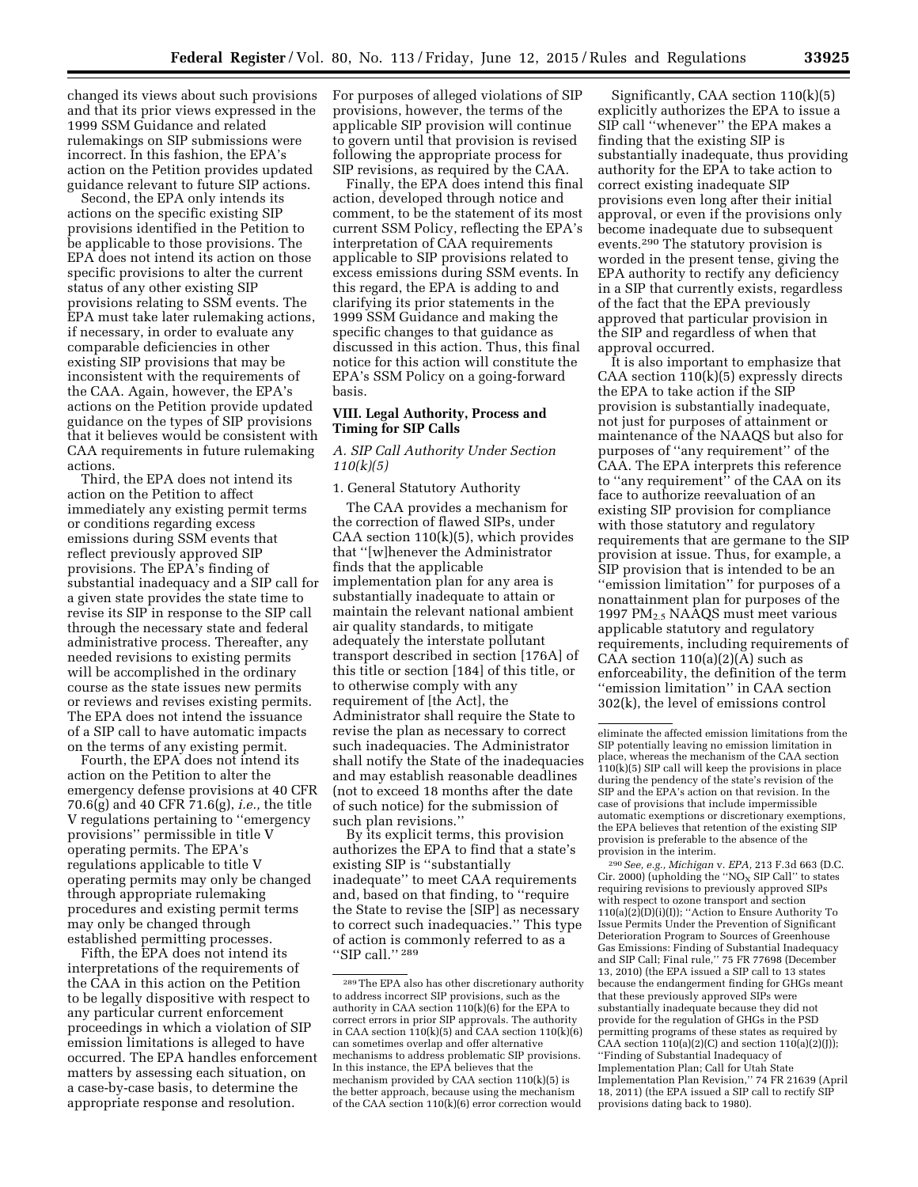changed its views about such provisions and that its prior views expressed in the 1999 SSM Guidance and related rulemakings on SIP submissions were incorrect. In this fashion, the EPA's action on the Petition provides updated guidance relevant to future SIP actions.

Second, the EPA only intends its actions on the specific existing SIP provisions identified in the Petition to be applicable to those provisions. The EPA does not intend its action on those specific provisions to alter the current status of any other existing SIP provisions relating to SSM events. The EPA must take later rulemaking actions, if necessary, in order to evaluate any comparable deficiencies in other existing SIP provisions that may be inconsistent with the requirements of the CAA. Again, however, the EPA's actions on the Petition provide updated guidance on the types of SIP provisions that it believes would be consistent with CAA requirements in future rulemaking actions.

Third, the EPA does not intend its action on the Petition to affect immediately any existing permit terms or conditions regarding excess emissions during SSM events that reflect previously approved SIP provisions. The EPA's finding of substantial inadequacy and a SIP call for a given state provides the state time to revise its SIP in response to the SIP call through the necessary state and federal administrative process. Thereafter, any needed revisions to existing permits will be accomplished in the ordinary course as the state issues new permits or reviews and revises existing permits. The EPA does not intend the issuance of a SIP call to have automatic impacts on the terms of any existing permit.

Fourth, the EPA does not intend its action on the Petition to alter the emergency defense provisions at 40 CFR 70.6(g) and 40 CFR 71.6(g), *i.e.,* the title V regulations pertaining to ''emergency provisions'' permissible in title V operating permits. The EPA's regulations applicable to title V operating permits may only be changed through appropriate rulemaking procedures and existing permit terms may only be changed through established permitting processes.

Fifth, the EPA does not intend its interpretations of the requirements of the CAA in this action on the Petition to be legally dispositive with respect to any particular current enforcement proceedings in which a violation of SIP emission limitations is alleged to have occurred. The EPA handles enforcement matters by assessing each situation, on a case-by-case basis, to determine the appropriate response and resolution.

For purposes of alleged violations of SIP provisions, however, the terms of the applicable SIP provision will continue to govern until that provision is revised following the appropriate process for SIP revisions, as required by the CAA.

Finally, the EPA does intend this final action, developed through notice and comment, to be the statement of its most current SSM Policy, reflecting the EPA's interpretation of CAA requirements applicable to SIP provisions related to excess emissions during SSM events. In this regard, the EPA is adding to and clarifying its prior statements in the 1999 SSM Guidance and making the specific changes to that guidance as discussed in this action. Thus, this final notice for this action will constitute the EPA's SSM Policy on a going-forward basis.

## **VIII. Legal Authority, Process and Timing for SIP Calls**

*A. SIP Call Authority Under Section 110(k)(5)* 

1. General Statutory Authority

The CAA provides a mechanism for the correction of flawed SIPs, under  $CAA$  section  $110(k)(5)$ , which provides that ''[w]henever the Administrator finds that the applicable implementation plan for any area is substantially inadequate to attain or maintain the relevant national ambient air quality standards, to mitigate adequately the interstate pollutant transport described in section [176A] of this title or section [184] of this title, or to otherwise comply with any requirement of [the Act], the Administrator shall require the State to revise the plan as necessary to correct such inadequacies. The Administrator shall notify the State of the inadequacies and may establish reasonable deadlines (not to exceed 18 months after the date of such notice) for the submission of such plan revisions.''

By its explicit terms, this provision authorizes the EPA to find that a state's existing SIP is ''substantially inadequate'' to meet CAA requirements and, based on that finding, to ''require the State to revise the [SIP] as necessary to correct such inadequacies.'' This type of action is commonly referred to as a "SIP call."<sup>289</sup>

Significantly, CAA section 110(k)(5) explicitly authorizes the EPA to issue a SIP call ''whenever'' the EPA makes a finding that the existing SIP is substantially inadequate, thus providing authority for the EPA to take action to correct existing inadequate SIP provisions even long after their initial approval, or even if the provisions only become inadequate due to subsequent events.290 The statutory provision is worded in the present tense, giving the EPA authority to rectify any deficiency in a SIP that currently exists, regardless of the fact that the EPA previously approved that particular provision in the SIP and regardless of when that approval occurred.

It is also important to emphasize that CAA section 110(k)(5) expressly directs the EPA to take action if the SIP provision is substantially inadequate, not just for purposes of attainment or maintenance of the NAAQS but also for purposes of ''any requirement'' of the CAA. The EPA interprets this reference to ''any requirement'' of the CAA on its face to authorize reevaluation of an existing SIP provision for compliance with those statutory and regulatory requirements that are germane to the SIP provision at issue. Thus, for example, a SIP provision that is intended to be an ''emission limitation'' for purposes of a nonattainment plan for purposes of the 1997 PM2.5 NAAQS must meet various applicable statutory and regulatory requirements, including requirements of CAA section  $110(a)(2)(A)$  such as enforceability, the definition of the term ''emission limitation'' in CAA section 302(k), the level of emissions control

290*See, e.g., Michigan* v. *EPA,* 213 F.3d 663 (D.C. Cir. 2000) (upholding the ''NO $_{\rm X}$  SIP Call'' to states requiring revisions to previously approved SIPs with respect to ozone transport and section 110(a)(2)(D)(i)(I)); ''Action to Ensure Authority To Issue Permits Under the Prevention of Significant Deterioration Program to Sources of Greenhouse Gas Emissions: Finding of Substantial Inadequacy and SIP Call; Final rule,'' 75 FR 77698 (December 13, 2010) (the EPA issued a SIP call to 13 states because the endangerment finding for GHGs meant that these previously approved SIPs were substantially inadequate because they did not provide for the regulation of GHGs in the PSD permitting programs of these states as required by CAA section  $110(a)(2)(C)$  and section  $110(a)(2)(J)$ ; ''Finding of Substantial Inadequacy of Implementation Plan; Call for Utah State Implementation Plan Revision,'' 74 FR 21639 (April 18, 2011) (the EPA issued a SIP call to rectify SIP provisions dating back to 1980).

<sup>289</sup>The EPA also has other discretionary authority to address incorrect SIP provisions, such as the authority in CAA section 110(k)(6) for the EPA to correct errors in prior SIP approvals. The authority in CAA section  $110(k)(5)$  and CAA section  $110(k)(6)$ can sometimes overlap and offer alternative mechanisms to address problematic SIP provisions. In this instance, the EPA believes that the mechanism provided by CAA section 110(k)(5) is the better approach, because using the mechanism of the CAA section 110(k)(6) error correction would

eliminate the affected emission limitations from the SIP potentially leaving no emission limitation in place, whereas the mechanism of the CAA section 110(k)(5) SIP call will keep the provisions in place during the pendency of the state's revision of the SIP and the EPA's action on that revision. In the case of provisions that include impermissible automatic exemptions or discretionary exemptions, the EPA believes that retention of the existing SIP provision is preferable to the absence of the provision in the interim.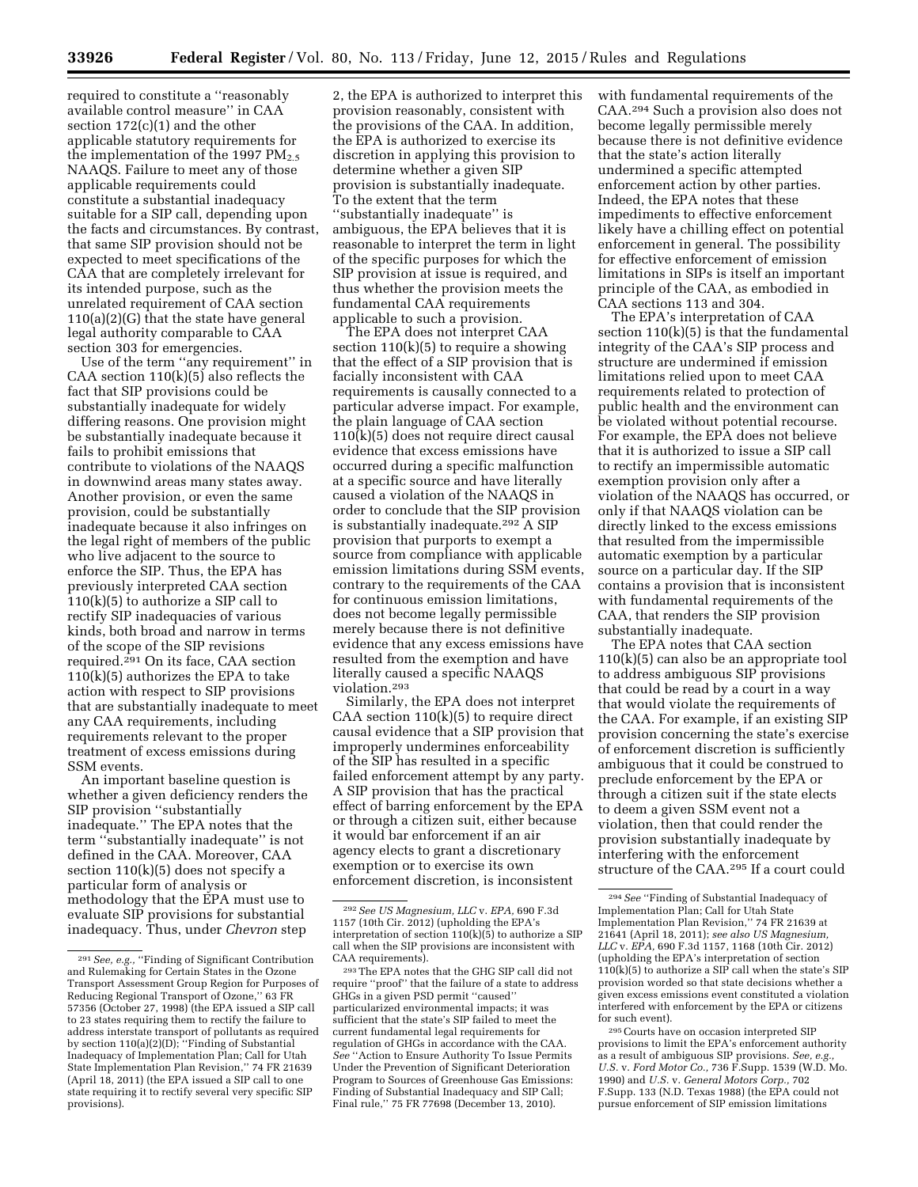required to constitute a ''reasonably available control measure'' in CAA section 172(c)(1) and the other applicable statutory requirements for the implementation of the 1997  $PM_{2.5}$ NAAQS. Failure to meet any of those applicable requirements could constitute a substantial inadequacy suitable for a SIP call, depending upon the facts and circumstances. By contrast, that same SIP provision should not be expected to meet specifications of the CAA that are completely irrelevant for its intended purpose, such as the unrelated requirement of CAA section 110(a)(2)(G) that the state have general legal authority comparable to CAA section 303 for emergencies.

Use of the term ''any requirement'' in CAA section  $110(k)(5)$  also reflects the fact that SIP provisions could be substantially inadequate for widely differing reasons. One provision might be substantially inadequate because it fails to prohibit emissions that contribute to violations of the NAAQS in downwind areas many states away. Another provision, or even the same provision, could be substantially inadequate because it also infringes on the legal right of members of the public who live adjacent to the source to enforce the SIP. Thus, the EPA has previously interpreted CAA section  $110(k)(5)$  to authorize a SIP call to rectify SIP inadequacies of various kinds, both broad and narrow in terms of the scope of the SIP revisions required.<sup>291</sup> On its face, CAA section  $110(k)(5)$  authorizes the EPA to take action with respect to SIP provisions that are substantially inadequate to meet any CAA requirements, including requirements relevant to the proper treatment of excess emissions during SSM events.

An important baseline question is whether a given deficiency renders the SIP provision ''substantially inadequate.'' The EPA notes that the term ''substantially inadequate'' is not defined in the CAA. Moreover, CAA section  $110(k)(5)$  does not specify a particular form of analysis or methodology that the EPA must use to evaluate SIP provisions for substantial inadequacy. Thus, under *Chevron* step

2, the EPA is authorized to interpret this provision reasonably, consistent with the provisions of the CAA. In addition, the EPA is authorized to exercise its discretion in applying this provision to determine whether a given SIP provision is substantially inadequate. To the extent that the term ''substantially inadequate'' is ambiguous, the EPA believes that it is reasonable to interpret the term in light of the specific purposes for which the SIP provision at issue is required, and thus whether the provision meets the fundamental CAA requirements applicable to such a provision.

The EPA does not interpret CAA section  $110(k)(5)$  to require a showing that the effect of a SIP provision that is facially inconsistent with CAA requirements is causally connected to a particular adverse impact. For example, the plain language of CAA section  $110(k)(5)$  does not require direct causal evidence that excess emissions have occurred during a specific malfunction at a specific source and have literally caused a violation of the NAAQS in order to conclude that the SIP provision is substantially inadequate.292 A SIP provision that purports to exempt a source from compliance with applicable emission limitations during SSM events, contrary to the requirements of the CAA for continuous emission limitations, does not become legally permissible merely because there is not definitive evidence that any excess emissions have resulted from the exemption and have literally caused a specific NAAQS violation.293

Similarly, the EPA does not interpret CAA section  $110(k)(5)$  to require direct causal evidence that a SIP provision that improperly undermines enforceability of the SIP has resulted in a specific failed enforcement attempt by any party. A SIP provision that has the practical effect of barring enforcement by the EPA or through a citizen suit, either because it would bar enforcement if an air agency elects to grant a discretionary exemption or to exercise its own enforcement discretion, is inconsistent

with fundamental requirements of the CAA.294 Such a provision also does not become legally permissible merely because there is not definitive evidence that the state's action literally undermined a specific attempted enforcement action by other parties. Indeed, the EPA notes that these impediments to effective enforcement likely have a chilling effect on potential enforcement in general. The possibility for effective enforcement of emission limitations in SIPs is itself an important principle of the CAA, as embodied in CAA sections 113 and 304.

The EPA's interpretation of CAA section 110(k)(5) is that the fundamental integrity of the CAA's SIP process and structure are undermined if emission limitations relied upon to meet CAA requirements related to protection of public health and the environment can be violated without potential recourse. For example, the EPA does not believe that it is authorized to issue a SIP call to rectify an impermissible automatic exemption provision only after a violation of the NAAQS has occurred, or only if that NAAQS violation can be directly linked to the excess emissions that resulted from the impermissible automatic exemption by a particular source on a particular day. If the SIP contains a provision that is inconsistent with fundamental requirements of the CAA, that renders the SIP provision substantially inadequate.

The EPA notes that CAA section 110(k)(5) can also be an appropriate tool to address ambiguous SIP provisions that could be read by a court in a way that would violate the requirements of the CAA. For example, if an existing SIP provision concerning the state's exercise of enforcement discretion is sufficiently ambiguous that it could be construed to preclude enforcement by the EPA or through a citizen suit if the state elects to deem a given SSM event not a violation, then that could render the provision substantially inadequate by interfering with the enforcement structure of the CAA.295 If a court could

<sup>291</sup>*See, e.g.,* ''Finding of Significant Contribution and Rulemaking for Certain States in the Ozone Transport Assessment Group Region for Purposes of Reducing Regional Transport of Ozone,'' 63 FR 57356 (October 27, 1998) (the EPA issued a SIP call to 23 states requiring them to rectify the failure to address interstate transport of pollutants as required by section 110(a)(2)(D); ''Finding of Substantial Inadequacy of Implementation Plan; Call for Utah State Implementation Plan Revision,'' 74 FR 21639 (April 18, 2011) (the EPA issued a SIP call to one state requiring it to rectify several very specific SIP provisions).

<sup>292</sup>*See US Magnesium, LLC* v. *EPA,* 690 F.3d 1157 (10th Cir. 2012) (upholding the EPA's interpretation of section  $110(k)(5)$  to authorize a SIP call when the SIP provisions are inconsistent with CAA requirements).

<sup>293</sup>The EPA notes that the GHG SIP call did not require ''proof'' that the failure of a state to address GHGs in a given PSD permit ''caused'' particularized environmental impacts; it was sufficient that the state's SIP failed to meet the current fundamental legal requirements for regulation of GHGs in accordance with the CAA. *See* ''Action to Ensure Authority To Issue Permits Under the Prevention of Significant Deterioration Program to Sources of Greenhouse Gas Emissions: Finding of Substantial Inadequacy and SIP Call; Final rule,'' 75 FR 77698 (December 13, 2010).

<sup>294</sup>*See* ''Finding of Substantial Inadequacy of Implementation Plan; Call for Utah State Implementation Plan Revision,'' 74 FR 21639 at 21641 (April 18, 2011); *see also US Magnesium, LLC* v. *EPA,* 690 F.3d 1157, 1168 (10th Cir. 2012) (upholding the EPA's interpretation of section  $110(k)(5)$  to authorize a SIP call when the state's SIP provision worded so that state decisions whether a given excess emissions event constituted a violation interfered with enforcement by the EPA or citizens for such event).

<sup>295</sup>Courts have on occasion interpreted SIP provisions to limit the EPA's enforcement authority as a result of ambiguous SIP provisions. *See, e.g., U.S.* v. *Ford Motor Co.,* 736 F.Supp. 1539 (W.D. Mo. 1990) and *U.S.* v. *General Motors Corp.,* 702 F.Supp. 133 (N.D. Texas 1988) (the EPA could not pursue enforcement of SIP emission limitations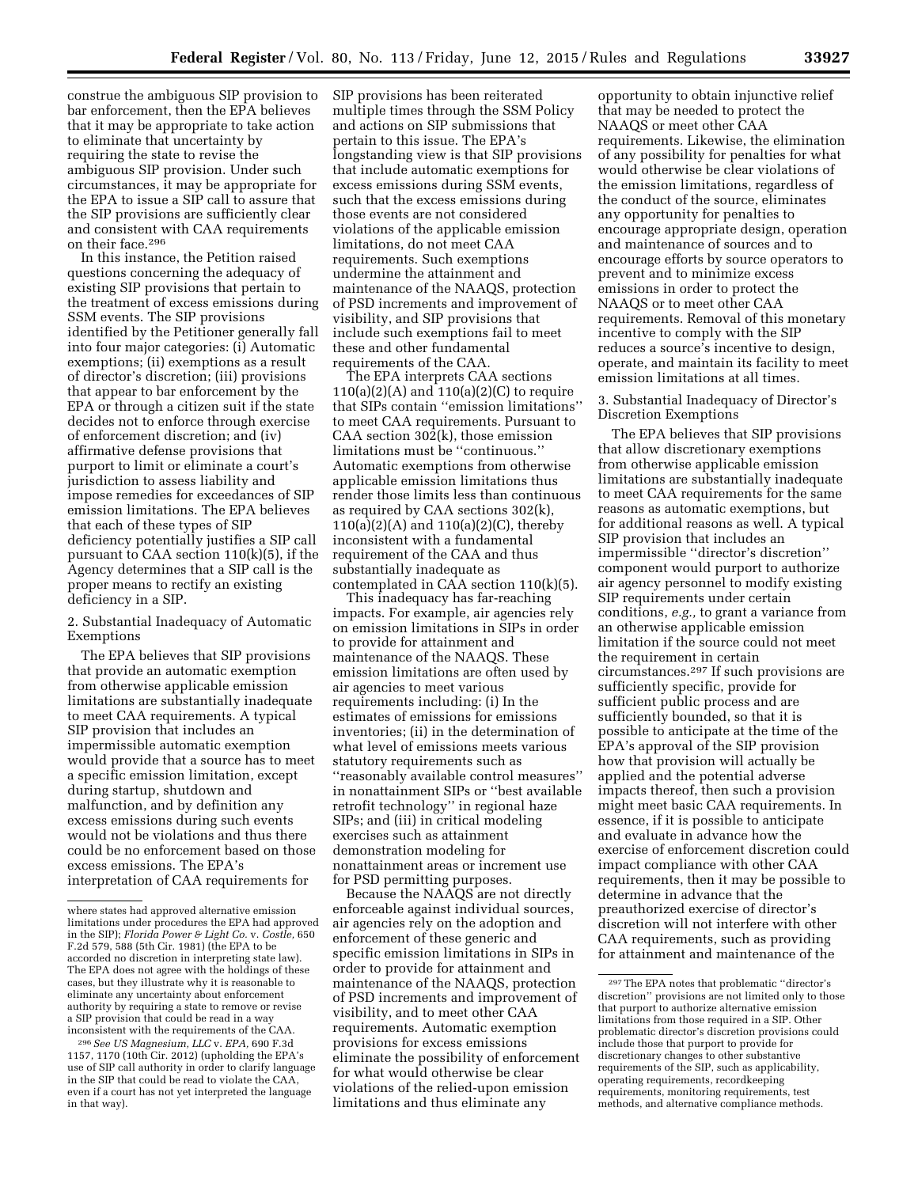construe the ambiguous SIP provision to bar enforcement, then the EPA believes that it may be appropriate to take action to eliminate that uncertainty by requiring the state to revise the ambiguous SIP provision. Under such circumstances, it may be appropriate for the EPA to issue a SIP call to assure that the SIP provisions are sufficiently clear and consistent with CAA requirements on their face.296

In this instance, the Petition raised questions concerning the adequacy of existing SIP provisions that pertain to the treatment of excess emissions during SSM events. The SIP provisions identified by the Petitioner generally fall into four major categories: (i) Automatic exemptions; (ii) exemptions as a result of director's discretion; (iii) provisions that appear to bar enforcement by the EPA or through a citizen suit if the state decides not to enforce through exercise of enforcement discretion; and (iv) affirmative defense provisions that purport to limit or eliminate a court's jurisdiction to assess liability and impose remedies for exceedances of SIP emission limitations. The EPA believes that each of these types of SIP deficiency potentially justifies a SIP call pursuant to CAA section 110(k)(5), if the Agency determines that a SIP call is the proper means to rectify an existing deficiency in a SIP.

2. Substantial Inadequacy of Automatic Exemptions

The EPA believes that SIP provisions that provide an automatic exemption from otherwise applicable emission limitations are substantially inadequate to meet CAA requirements. A typical SIP provision that includes an impermissible automatic exemption would provide that a source has to meet a specific emission limitation, except during startup, shutdown and malfunction, and by definition any excess emissions during such events would not be violations and thus there could be no enforcement based on those excess emissions. The EPA's interpretation of CAA requirements for

296*See US Magnesium, LLC* v. *EPA,* 690 F.3d 1157, 1170 (10th Cir. 2012) (upholding the EPA's use of SIP call authority in order to clarify language in the SIP that could be read to violate the CAA, even if a court has not yet interpreted the language in that way).

SIP provisions has been reiterated multiple times through the SSM Policy and actions on SIP submissions that pertain to this issue. The EPA's longstanding view is that SIP provisions that include automatic exemptions for excess emissions during SSM events, such that the excess emissions during those events are not considered violations of the applicable emission limitations, do not meet CAA requirements. Such exemptions undermine the attainment and maintenance of the NAAQS, protection of PSD increments and improvement of visibility, and SIP provisions that include such exemptions fail to meet these and other fundamental requirements of the CAA.

The EPA interprets CAA sections  $110(a)(2)(A)$  and  $110(a)(2)(C)$  to require that SIPs contain ''emission limitations'' to meet CAA requirements. Pursuant to CAA section  $30\overline{2}$ (k), those emission limitations must be ''continuous.'' Automatic exemptions from otherwise applicable emission limitations thus render those limits less than continuous as required by CAA sections 302(k), 110(a)(2)(A) and 110(a)(2)(C), thereby inconsistent with a fundamental requirement of the CAA and thus substantially inadequate as contemplated in CAA section 110(k)(5).

This inadequacy has far-reaching impacts. For example, air agencies rely on emission limitations in SIPs in order to provide for attainment and maintenance of the NAAQS. These emission limitations are often used by air agencies to meet various requirements including: (i) In the estimates of emissions for emissions inventories; (ii) in the determination of what level of emissions meets various statutory requirements such as ''reasonably available control measures'' in nonattainment SIPs or ''best available retrofit technology'' in regional haze SIPs; and (iii) in critical modeling exercises such as attainment demonstration modeling for nonattainment areas or increment use for PSD permitting purposes.

Because the NAAQS are not directly enforceable against individual sources, air agencies rely on the adoption and enforcement of these generic and specific emission limitations in SIPs in order to provide for attainment and maintenance of the NAAQS, protection of PSD increments and improvement of visibility, and to meet other CAA requirements. Automatic exemption provisions for excess emissions eliminate the possibility of enforcement for what would otherwise be clear violations of the relied-upon emission limitations and thus eliminate any

opportunity to obtain injunctive relief that may be needed to protect the NAAQS or meet other CAA requirements. Likewise, the elimination of any possibility for penalties for what would otherwise be clear violations of the emission limitations, regardless of the conduct of the source, eliminates any opportunity for penalties to encourage appropriate design, operation and maintenance of sources and to encourage efforts by source operators to prevent and to minimize excess emissions in order to protect the NAAQS or to meet other CAA requirements. Removal of this monetary incentive to comply with the SIP reduces a source's incentive to design, operate, and maintain its facility to meet emission limitations at all times.

3. Substantial Inadequacy of Director's Discretion Exemptions

The EPA believes that SIP provisions that allow discretionary exemptions from otherwise applicable emission limitations are substantially inadequate to meet CAA requirements for the same reasons as automatic exemptions, but for additional reasons as well. A typical SIP provision that includes an impermissible ''director's discretion'' component would purport to authorize air agency personnel to modify existing SIP requirements under certain conditions, *e.g.,* to grant a variance from an otherwise applicable emission limitation if the source could not meet the requirement in certain circumstances.297 If such provisions are sufficiently specific, provide for sufficient public process and are sufficiently bounded, so that it is possible to anticipate at the time of the EPA's approval of the SIP provision how that provision will actually be applied and the potential adverse impacts thereof, then such a provision might meet basic CAA requirements. In essence, if it is possible to anticipate and evaluate in advance how the exercise of enforcement discretion could impact compliance with other CAA requirements, then it may be possible to determine in advance that the preauthorized exercise of director's discretion will not interfere with other CAA requirements, such as providing for attainment and maintenance of the

where states had approved alternative emission limitations under procedures the EPA had approved in the SIP); *Florida Power & Light Co.* v. *Costle,* 650 F.2d 579, 588 (5th Cir. 1981) (the EPA to be accorded no discretion in interpreting state law). The EPA does not agree with the holdings of these cases, but they illustrate why it is reasonable to eliminate any uncertainty about enforcement authority by requiring a state to remove or revise a SIP provision that could be read in a way inconsistent with the requirements of the CAA.

<sup>297</sup>The EPA notes that problematic ''director's discretion'' provisions are not limited only to those that purport to authorize alternative emission limitations from those required in a SIP. Other problematic director's discretion provisions could include those that purport to provide for discretionary changes to other substantive requirements of the SIP, such as applicability, operating requirements, recordkeeping requirements, monitoring requirements, test methods, and alternative compliance methods.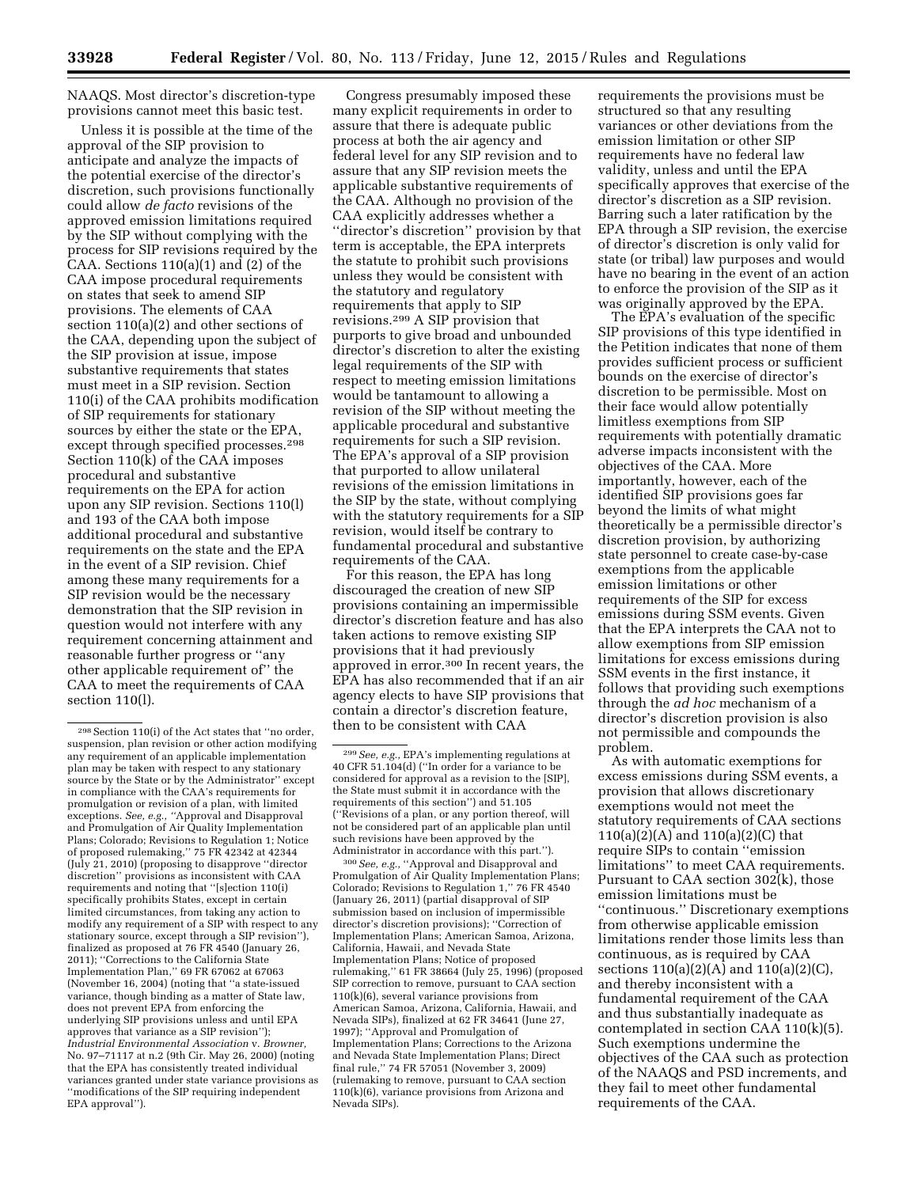NAAQS. Most director's discretion-type provisions cannot meet this basic test.

Unless it is possible at the time of the approval of the SIP provision to anticipate and analyze the impacts of the potential exercise of the director's discretion, such provisions functionally could allow *de facto* revisions of the approved emission limitations required by the SIP without complying with the process for SIP revisions required by the CAA. Sections  $110(a)(1)$  and  $(2)$  of the CAA impose procedural requirements on states that seek to amend SIP provisions. The elements of CAA section 110(a)(2) and other sections of the CAA, depending upon the subject of the SIP provision at issue, impose substantive requirements that states must meet in a SIP revision. Section 110(i) of the CAA prohibits modification of SIP requirements for stationary sources by either the state or the EPA, except through specified processes.298 Section 110(k) of the CAA imposes procedural and substantive requirements on the EPA for action upon any SIP revision. Sections 110(l) and 193 of the CAA both impose additional procedural and substantive requirements on the state and the EPA in the event of a SIP revision. Chief among these many requirements for a SIP revision would be the necessary demonstration that the SIP revision in question would not interfere with any requirement concerning attainment and reasonable further progress or ''any other applicable requirement of'' the CAA to meet the requirements of CAA section 110(l).

Congress presumably imposed these many explicit requirements in order to assure that there is adequate public process at both the air agency and federal level for any SIP revision and to assure that any SIP revision meets the applicable substantive requirements of the CAA. Although no provision of the CAA explicitly addresses whether a ''director's discretion'' provision by that term is acceptable, the EPA interprets the statute to prohibit such provisions unless they would be consistent with the statutory and regulatory requirements that apply to SIP revisions.299 A SIP provision that purports to give broad and unbounded director's discretion to alter the existing legal requirements of the SIP with respect to meeting emission limitations would be tantamount to allowing a revision of the SIP without meeting the applicable procedural and substantive requirements for such a SIP revision. The EPA's approval of a SIP provision that purported to allow unilateral revisions of the emission limitations in the SIP by the state, without complying with the statutory requirements for a SIP revision, would itself be contrary to fundamental procedural and substantive requirements of the CAA.

For this reason, the EPA has long discouraged the creation of new SIP provisions containing an impermissible director's discretion feature and has also taken actions to remove existing SIP provisions that it had previously approved in error.300 In recent years, the EPA has also recommended that if an air agency elects to have SIP provisions that contain a director's discretion feature, then to be consistent with CAA

300*See, e.g.,* ''Approval and Disapproval and Promulgation of Air Quality Implementation Plans; Colorado; Revisions to Regulation 1,'' 76 FR 4540 (January 26, 2011) (partial disapproval of SIP submission based on inclusion of impermissible director's discretion provisions); ''Correction of Implementation Plans; American Samoa, Arizona, California, Hawaii, and Nevada State Implementation Plans; Notice of proposed rulemaking,'' 61 FR 38664 (July 25, 1996) (proposed SIP correction to remove, pursuant to CAA section 110(k)(6), several variance provisions from American Samoa, Arizona, California, Hawaii, and Nevada SIPs), finalized at 62 FR 34641 (June 27, 1997); ''Approval and Promulgation of Implementation Plans; Corrections to the Arizona and Nevada State Implementation Plans; Direct final rule,'' 74 FR 57051 (November 3, 2009) (rulemaking to remove, pursuant to CAA section 110(k)(6), variance provisions from Arizona and Nevada SIPs).

requirements the provisions must be structured so that any resulting variances or other deviations from the emission limitation or other SIP requirements have no federal law validity, unless and until the EPA specifically approves that exercise of the director's discretion as a SIP revision. Barring such a later ratification by the EPA through a SIP revision, the exercise of director's discretion is only valid for state (or tribal) law purposes and would have no bearing in the event of an action to enforce the provision of the SIP as it was originally approved by the EPA.

The EPA's evaluation of the specific SIP provisions of this type identified in the Petition indicates that none of them provides sufficient process or sufficient bounds on the exercise of director's discretion to be permissible. Most on their face would allow potentially limitless exemptions from SIP requirements with potentially dramatic adverse impacts inconsistent with the objectives of the CAA. More importantly, however, each of the identified SIP provisions goes far beyond the limits of what might theoretically be a permissible director's discretion provision, by authorizing state personnel to create case-by-case exemptions from the applicable emission limitations or other requirements of the SIP for excess emissions during SSM events. Given that the EPA interprets the CAA not to allow exemptions from SIP emission limitations for excess emissions during SSM events in the first instance, it follows that providing such exemptions through the *ad hoc* mechanism of a director's discretion provision is also not permissible and compounds the problem.

As with automatic exemptions for excess emissions during SSM events, a provision that allows discretionary exemptions would not meet the statutory requirements of CAA sections 110(a)(2)(A) and 110(a)(2)(C) that require SIPs to contain ''emission limitations'' to meet CAA requirements. Pursuant to CAA section 302(k), those emission limitations must be ''continuous.'' Discretionary exemptions from otherwise applicable emission limitations render those limits less than continuous, as is required by CAA sections 110(a)(2)(A) and 110(a)(2)(C), and thereby inconsistent with a fundamental requirement of the CAA and thus substantially inadequate as contemplated in section CAA 110(k)(5). Such exemptions undermine the objectives of the CAA such as protection of the NAAQS and PSD increments, and they fail to meet other fundamental requirements of the CAA.

<sup>298</sup>Section 110(i) of the Act states that ''no order, suspension, plan revision or other action modifying any requirement of an applicable implementation plan may be taken with respect to any stationary source by the State or by the Administrator" except in compliance with the CAA's requirements for promulgation or revision of a plan, with limited exceptions. *See, e.g., ''*Approval and Disapproval and Promulgation of Air Quality Implementation Plans; Colorado; Revisions to Regulation 1; Notice of proposed rulemaking,'' 75 FR 42342 at 42344 (July 21, 2010) (proposing to disapprove ''director discretion'' provisions as inconsistent with CAA requirements and noting that ''[s]ection 110(i) specifically prohibits States, except in certain limited circumstances, from taking any action to modify any requirement of a SIP with respect to any stationary source, except through a SIP revision''), finalized as proposed at 76 FR 4540 (January 26, 2011); ''Corrections to the California State Implementation Plan,'' 69 FR 67062 at 67063 (November 16, 2004) (noting that ''a state-issued variance, though binding as a matter of State law, does not prevent EPA from enforcing the underlying SIP provisions unless and until EPA approves that variance as a SIP revision''); *Industrial Environmental Association* v. *Browner,*  No. 97–71117 at n.2 (9th Cir. May 26, 2000) (noting that the EPA has consistently treated individual variances granted under state variance provisions as 'modifications of the SIP requiring independent EPA approval'').

<sup>299</sup>*See, e.g.,* EPA's implementing regulations at 40 CFR 51.104(d) (''In order for a variance to be considered for approval as a revision to the [SIP], the State must submit it in accordance with the requirements of this section'') and 51.105 (''Revisions of a plan, or any portion thereof, will not be considered part of an applicable plan until such revisions have been approved by the Administrator in accordance with this part.'').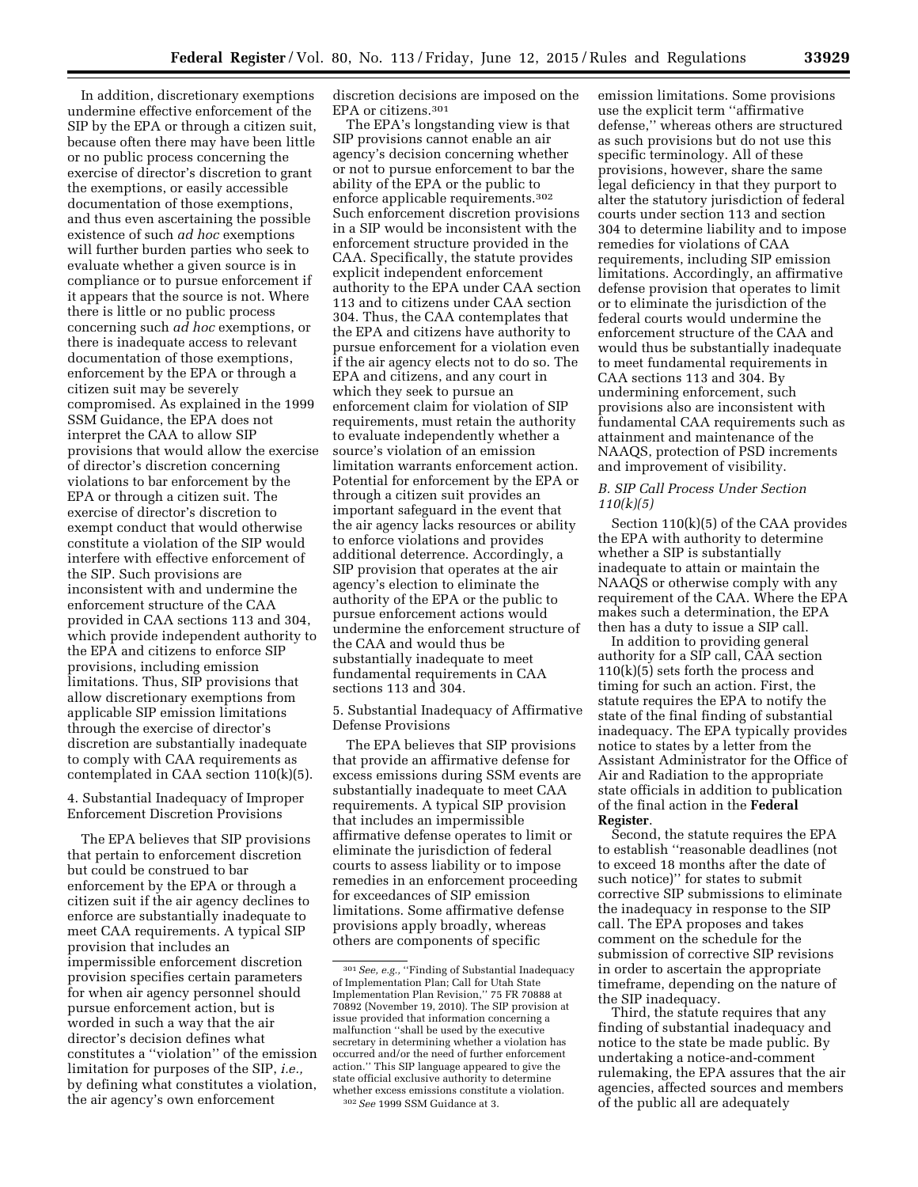In addition, discretionary exemptions undermine effective enforcement of the SIP by the EPA or through a citizen suit, because often there may have been little or no public process concerning the exercise of director's discretion to grant the exemptions, or easily accessible documentation of those exemptions, and thus even ascertaining the possible existence of such *ad hoc* exemptions will further burden parties who seek to evaluate whether a given source is in compliance or to pursue enforcement if it appears that the source is not. Where there is little or no public process concerning such *ad hoc* exemptions, or there is inadequate access to relevant documentation of those exemptions, enforcement by the EPA or through a citizen suit may be severely compromised. As explained in the 1999 SSM Guidance, the EPA does not interpret the CAA to allow SIP provisions that would allow the exercise of director's discretion concerning violations to bar enforcement by the EPA or through a citizen suit. The exercise of director's discretion to exempt conduct that would otherwise constitute a violation of the SIP would interfere with effective enforcement of the SIP. Such provisions are inconsistent with and undermine the enforcement structure of the CAA provided in CAA sections 113 and 304, which provide independent authority to the EPA and citizens to enforce SIP provisions, including emission limitations. Thus, SIP provisions that allow discretionary exemptions from applicable SIP emission limitations through the exercise of director's discretion are substantially inadequate to comply with CAA requirements as contemplated in CAA section 110(k)(5).

4. Substantial Inadequacy of Improper Enforcement Discretion Provisions

The EPA believes that SIP provisions that pertain to enforcement discretion but could be construed to bar enforcement by the EPA or through a citizen suit if the air agency declines to enforce are substantially inadequate to meet CAA requirements. A typical SIP provision that includes an impermissible enforcement discretion provision specifies certain parameters for when air agency personnel should pursue enforcement action, but is worded in such a way that the air director's decision defines what constitutes a ''violation'' of the emission limitation for purposes of the SIP, *i.e.,*  by defining what constitutes a violation, the air agency's own enforcement

discretion decisions are imposed on the EPA or citizens.301

The EPA's longstanding view is that SIP provisions cannot enable an air agency's decision concerning whether or not to pursue enforcement to bar the ability of the EPA or the public to enforce applicable requirements.302 Such enforcement discretion provisions in a SIP would be inconsistent with the enforcement structure provided in the CAA. Specifically, the statute provides explicit independent enforcement authority to the EPA under CAA section 113 and to citizens under CAA section 304. Thus, the CAA contemplates that the EPA and citizens have authority to pursue enforcement for a violation even if the air agency elects not to do so. The EPA and citizens, and any court in which they seek to pursue an enforcement claim for violation of SIP requirements, must retain the authority to evaluate independently whether a source's violation of an emission limitation warrants enforcement action. Potential for enforcement by the EPA or through a citizen suit provides an important safeguard in the event that the air agency lacks resources or ability to enforce violations and provides additional deterrence. Accordingly, a SIP provision that operates at the air agency's election to eliminate the authority of the EPA or the public to pursue enforcement actions would undermine the enforcement structure of the CAA and would thus be substantially inadequate to meet fundamental requirements in CAA sections 113 and 304.

5. Substantial Inadequacy of Affirmative Defense Provisions

The EPA believes that SIP provisions that provide an affirmative defense for excess emissions during SSM events are substantially inadequate to meet CAA requirements. A typical SIP provision that includes an impermissible affirmative defense operates to limit or eliminate the jurisdiction of federal courts to assess liability or to impose remedies in an enforcement proceeding for exceedances of SIP emission limitations. Some affirmative defense provisions apply broadly, whereas others are components of specific

emission limitations. Some provisions use the explicit term ''affirmative defense,'' whereas others are structured as such provisions but do not use this specific terminology. All of these provisions, however, share the same legal deficiency in that they purport to alter the statutory jurisdiction of federal courts under section 113 and section 304 to determine liability and to impose remedies for violations of CAA requirements, including SIP emission limitations. Accordingly, an affirmative defense provision that operates to limit or to eliminate the jurisdiction of the federal courts would undermine the enforcement structure of the CAA and would thus be substantially inadequate to meet fundamental requirements in CAA sections 113 and 304. By undermining enforcement, such provisions also are inconsistent with fundamental CAA requirements such as attainment and maintenance of the NAAQS, protection of PSD increments and improvement of visibility.

## *B. SIP Call Process Under Section 110(k)(5)*

Section 110(k)(5) of the CAA provides the EPA with authority to determine whether a SIP is substantially inadequate to attain or maintain the NAAQS or otherwise comply with any requirement of the CAA. Where the EPA makes such a determination, the EPA then has a duty to issue a SIP call.

In addition to providing general authority for a SIP call, CAA section 110(k)(5) sets forth the process and timing for such an action. First, the statute requires the EPA to notify the state of the final finding of substantial inadequacy. The EPA typically provides notice to states by a letter from the Assistant Administrator for the Office of Air and Radiation to the appropriate state officials in addition to publication of the final action in the **Federal Register**.

Second, the statute requires the EPA to establish ''reasonable deadlines (not to exceed 18 months after the date of such notice)'' for states to submit corrective SIP submissions to eliminate the inadequacy in response to the SIP call. The EPA proposes and takes comment on the schedule for the submission of corrective SIP revisions in order to ascertain the appropriate timeframe, depending on the nature of the SIP inadequacy.

Third, the statute requires that any finding of substantial inadequacy and notice to the state be made public. By undertaking a notice-and-comment rulemaking, the EPA assures that the air agencies, affected sources and members of the public all are adequately

<sup>301</sup>*See, e.g.,* ''Finding of Substantial Inadequacy of Implementation Plan; Call for Utah State Implementation Plan Revision,'' 75 FR 70888 at 70892 (November 19, 2010). The SIP provision at issue provided that information concerning a malfunction ''shall be used by the executive secretary in determining whether a violation has occurred and/or the need of further enforcement action.'' This SIP language appeared to give the state official exclusive authority to determine whether excess emissions constitute a violation. 302*See* 1999 SSM Guidance at 3.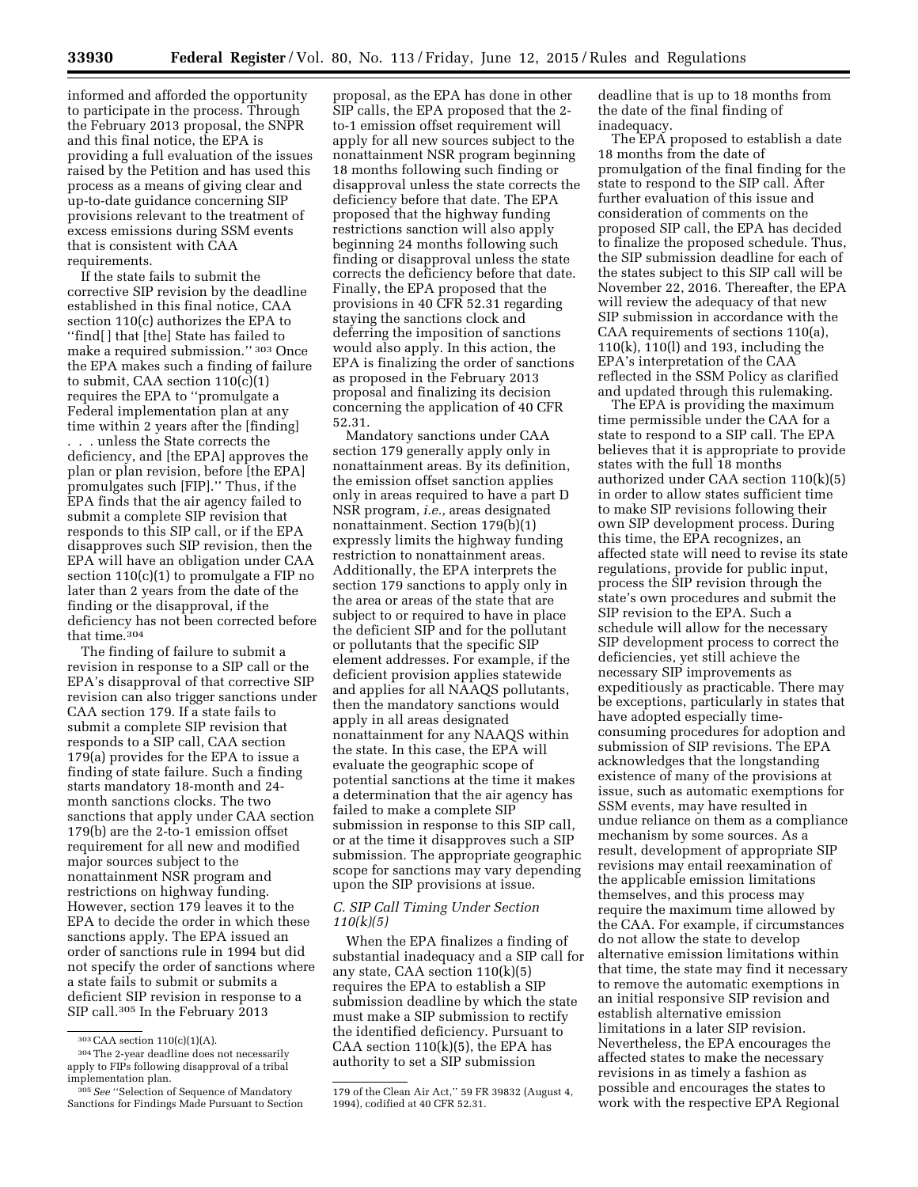informed and afforded the opportunity to participate in the process. Through the February 2013 proposal, the SNPR and this final notice, the EPA is providing a full evaluation of the issues raised by the Petition and has used this process as a means of giving clear and up-to-date guidance concerning SIP provisions relevant to the treatment of excess emissions during SSM events that is consistent with CAA requirements.

If the state fails to submit the corrective SIP revision by the deadline established in this final notice, CAA section 110(c) authorizes the EPA to ''find[ ] that [the] State has failed to make a required submission.'' 303 Once the EPA makes such a finding of failure to submit, CAA section 110(c)(1) requires the EPA to ''promulgate a Federal implementation plan at any time within 2 years after the [finding] . . . unless the State corrects the deficiency, and [the EPA] approves the plan or plan revision, before [the EPA] promulgates such [FIP].'' Thus, if the EPA finds that the air agency failed to submit a complete SIP revision that responds to this SIP call, or if the EPA disapproves such SIP revision, then the EPA will have an obligation under CAA section 110(c)(1) to promulgate a FIP no later than 2 years from the date of the finding or the disapproval, if the deficiency has not been corrected before that time.304

The finding of failure to submit a revision in response to a SIP call or the EPA's disapproval of that corrective SIP revision can also trigger sanctions under CAA section 179. If a state fails to submit a complete SIP revision that responds to a SIP call, CAA section 179(a) provides for the EPA to issue a finding of state failure. Such a finding starts mandatory 18-month and 24 month sanctions clocks. The two sanctions that apply under CAA section 179(b) are the 2-to-1 emission offset requirement for all new and modified major sources subject to the nonattainment NSR program and restrictions on highway funding. However, section 179 leaves it to the EPA to decide the order in which these sanctions apply. The EPA issued an order of sanctions rule in 1994 but did not specify the order of sanctions where a state fails to submit or submits a deficient SIP revision in response to a SIP call.305 In the February 2013

proposal, as the EPA has done in other SIP calls, the EPA proposed that the 2 to-1 emission offset requirement will apply for all new sources subject to the nonattainment NSR program beginning 18 months following such finding or disapproval unless the state corrects the deficiency before that date. The EPA proposed that the highway funding restrictions sanction will also apply beginning 24 months following such finding or disapproval unless the state corrects the deficiency before that date. Finally, the EPA proposed that the provisions in 40 CFR 52.31 regarding staying the sanctions clock and deferring the imposition of sanctions would also apply. In this action, the EPA is finalizing the order of sanctions as proposed in the February 2013 proposal and finalizing its decision concerning the application of 40 CFR 52.31.

Mandatory sanctions under CAA section 179 generally apply only in nonattainment areas. By its definition, the emission offset sanction applies only in areas required to have a part D NSR program, *i.e.,* areas designated nonattainment. Section 179(b)(1) expressly limits the highway funding restriction to nonattainment areas. Additionally, the EPA interprets the section 179 sanctions to apply only in the area or areas of the state that are subject to or required to have in place the deficient SIP and for the pollutant or pollutants that the specific SIP element addresses. For example, if the deficient provision applies statewide and applies for all NAAQS pollutants, then the mandatory sanctions would apply in all areas designated nonattainment for any NAAQS within the state. In this case, the EPA will evaluate the geographic scope of potential sanctions at the time it makes a determination that the air agency has failed to make a complete SIP submission in response to this SIP call, or at the time it disapproves such a SIP submission. The appropriate geographic scope for sanctions may vary depending upon the SIP provisions at issue.

# *C. SIP Call Timing Under Section 110(k)(5)*

When the EPA finalizes a finding of substantial inadequacy and a SIP call for any state, CAA section 110(k)(5) requires the EPA to establish a SIP submission deadline by which the state must make a SIP submission to rectify the identified deficiency. Pursuant to CAA section  $110(k)(5)$ , the EPA has authority to set a SIP submission

deadline that is up to 18 months from the date of the final finding of inadequacy.

The EPA proposed to establish a date 18 months from the date of promulgation of the final finding for the state to respond to the SIP call. After further evaluation of this issue and consideration of comments on the proposed SIP call, the EPA has decided to finalize the proposed schedule. Thus, the SIP submission deadline for each of the states subject to this SIP call will be November 22, 2016. Thereafter, the EPA will review the adequacy of that new SIP submission in accordance with the CAA requirements of sections 110(a), 110(k), 110(l) and 193, including the EPA's interpretation of the CAA reflected in the SSM Policy as clarified and updated through this rulemaking.

The EPA is providing the maximum time permissible under the CAA for a state to respond to a SIP call. The EPA believes that it is appropriate to provide states with the full 18 months authorized under CAA section 110(k)(5) in order to allow states sufficient time to make SIP revisions following their own SIP development process. During this time, the EPA recognizes, an affected state will need to revise its state regulations, provide for public input, process the SIP revision through the state's own procedures and submit the SIP revision to the EPA. Such a schedule will allow for the necessary SIP development process to correct the deficiencies, yet still achieve the necessary SIP improvements as expeditiously as practicable. There may be exceptions, particularly in states that have adopted especially timeconsuming procedures for adoption and submission of SIP revisions. The EPA acknowledges that the longstanding existence of many of the provisions at issue, such as automatic exemptions for SSM events, may have resulted in undue reliance on them as a compliance mechanism by some sources. As a result, development of appropriate SIP revisions may entail reexamination of the applicable emission limitations themselves, and this process may require the maximum time allowed by the CAA. For example, if circumstances do not allow the state to develop alternative emission limitations within that time, the state may find it necessary to remove the automatic exemptions in an initial responsive SIP revision and establish alternative emission limitations in a later SIP revision. Nevertheless, the EPA encourages the affected states to make the necessary revisions in as timely a fashion as possible and encourages the states to work with the respective EPA Regional

<sup>303</sup>CAA section 110(c)(1)(A).

<sup>304</sup>The 2-year deadline does not necessarily apply to FIPs following disapproval of a tribal implementation plan.

<sup>305</sup>*See* ''Selection of Sequence of Mandatory Sanctions for Findings Made Pursuant to Section

<sup>179</sup> of the Clean Air Act,'' 59 FR 39832 (August 4, 1994), codified at 40 CFR 52.31.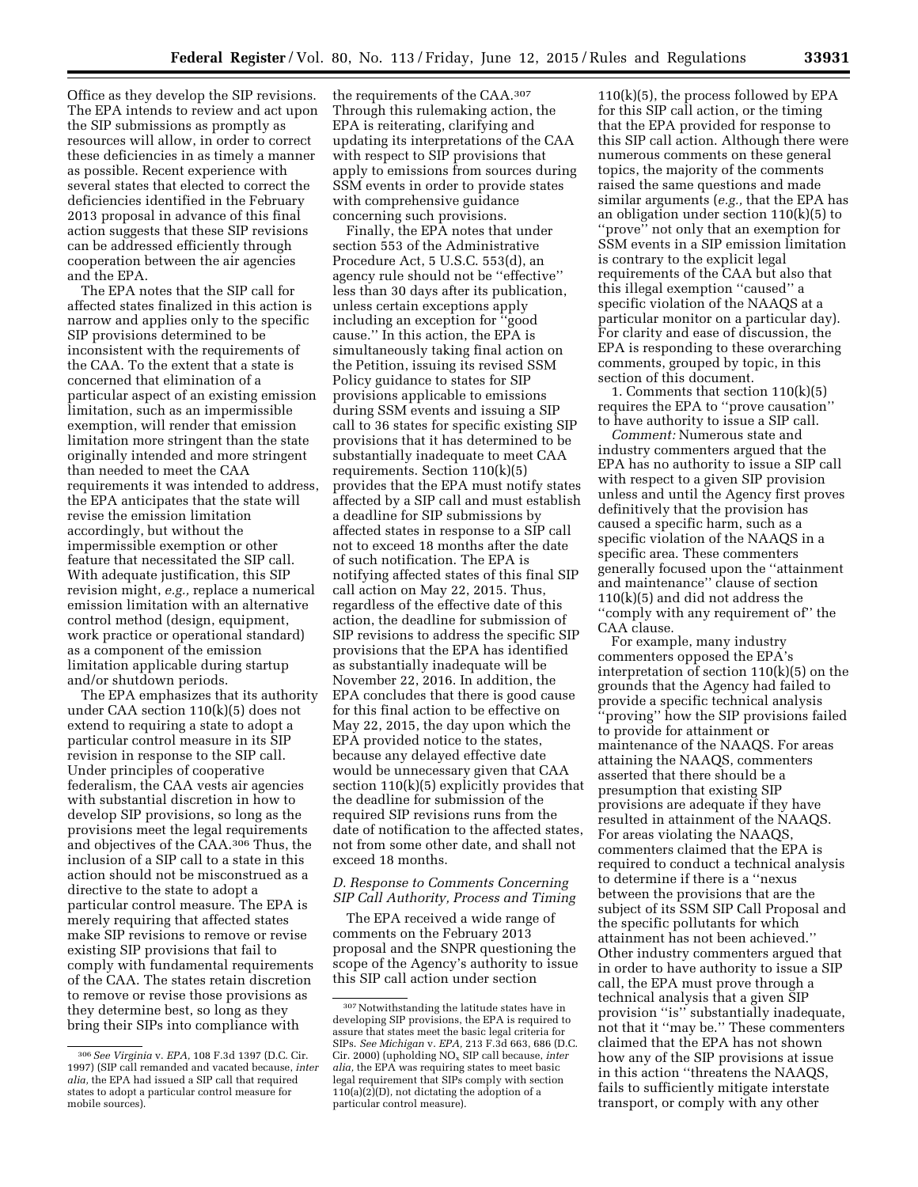Office as they develop the SIP revisions. The EPA intends to review and act upon the SIP submissions as promptly as resources will allow, in order to correct these deficiencies in as timely a manner as possible. Recent experience with several states that elected to correct the deficiencies identified in the February 2013 proposal in advance of this final action suggests that these SIP revisions can be addressed efficiently through cooperation between the air agencies and the EPA.

The EPA notes that the SIP call for affected states finalized in this action is narrow and applies only to the specific SIP provisions determined to be inconsistent with the requirements of the CAA. To the extent that a state is concerned that elimination of a particular aspect of an existing emission limitation, such as an impermissible exemption, will render that emission limitation more stringent than the state originally intended and more stringent than needed to meet the CAA requirements it was intended to address, the EPA anticipates that the state will revise the emission limitation accordingly, but without the impermissible exemption or other feature that necessitated the SIP call. With adequate justification, this SIP revision might, *e.g.,* replace a numerical emission limitation with an alternative control method (design, equipment, work practice or operational standard) as a component of the emission limitation applicable during startup and/or shutdown periods.

The EPA emphasizes that its authority under CAA section 110(k)(5) does not extend to requiring a state to adopt a particular control measure in its SIP revision in response to the SIP call. Under principles of cooperative federalism, the CAA vests air agencies with substantial discretion in how to develop SIP provisions, so long as the provisions meet the legal requirements and objectives of the CAA.306 Thus, the inclusion of a SIP call to a state in this action should not be misconstrued as a directive to the state to adopt a particular control measure. The EPA is merely requiring that affected states make SIP revisions to remove or revise existing SIP provisions that fail to comply with fundamental requirements of the CAA. The states retain discretion to remove or revise those provisions as they determine best, so long as they bring their SIPs into compliance with

the requirements of the CAA.307 Through this rulemaking action, the EPA is reiterating, clarifying and updating its interpretations of the CAA with respect to SIP provisions that apply to emissions from sources during SSM events in order to provide states with comprehensive guidance concerning such provisions.

Finally, the EPA notes that under section 553 of the Administrative Procedure Act, 5 U.S.C. 553(d), an agency rule should not be ''effective'' less than 30 days after its publication, unless certain exceptions apply including an exception for ''good cause.'' In this action, the EPA is simultaneously taking final action on the Petition, issuing its revised SSM Policy guidance to states for SIP provisions applicable to emissions during SSM events and issuing a SIP call to 36 states for specific existing SIP provisions that it has determined to be substantially inadequate to meet CAA requirements. Section 110(k)(5) provides that the EPA must notify states affected by a SIP call and must establish a deadline for SIP submissions by affected states in response to a SIP call not to exceed 18 months after the date of such notification. The EPA is notifying affected states of this final SIP call action on May 22, 2015. Thus, regardless of the effective date of this action, the deadline for submission of SIP revisions to address the specific SIP provisions that the EPA has identified as substantially inadequate will be November 22, 2016. In addition, the EPA concludes that there is good cause for this final action to be effective on May 22, 2015, the day upon which the EPA provided notice to the states, because any delayed effective date would be unnecessary given that CAA section 110(k)(5) explicitly provides that the deadline for submission of the required SIP revisions runs from the date of notification to the affected states, not from some other date, and shall not exceed 18 months.

# *D. Response to Comments Concerning SIP Call Authority, Process and Timing*

The EPA received a wide range of comments on the February 2013 proposal and the SNPR questioning the scope of the Agency's authority to issue this SIP call action under section

 $110(k)(5)$ , the process followed by EPA for this SIP call action, or the timing that the EPA provided for response to this SIP call action. Although there were numerous comments on these general topics, the majority of the comments raised the same questions and made similar arguments (*e.g.,* that the EPA has an obligation under section 110(k)(5) to ''prove'' not only that an exemption for SSM events in a SIP emission limitation is contrary to the explicit legal requirements of the CAA but also that this illegal exemption ''caused'' a specific violation of the NAAQS at a particular monitor on a particular day). For clarity and ease of discussion, the EPA is responding to these overarching comments, grouped by topic, in this section of this document.

1. Comments that section 110(k)(5) requires the EPA to ''prove causation'' to have authority to issue a SIP call.

*Comment:* Numerous state and industry commenters argued that the EPA has no authority to issue a SIP call with respect to a given SIP provision unless and until the Agency first proves definitively that the provision has caused a specific harm, such as a specific violation of the NAAQS in a specific area. These commenters generally focused upon the ''attainment and maintenance'' clause of section 110(k)(5) and did not address the ''comply with any requirement of'' the CAA clause.

For example, many industry commenters opposed the EPA's interpretation of section 110(k)(5) on the grounds that the Agency had failed to provide a specific technical analysis ''proving'' how the SIP provisions failed to provide for attainment or maintenance of the NAAQS. For areas attaining the NAAQS, commenters asserted that there should be a presumption that existing SIP provisions are adequate if they have resulted in attainment of the NAAQS. For areas violating the NAAQS, commenters claimed that the EPA is required to conduct a technical analysis to determine if there is a ''nexus between the provisions that are the subject of its SSM SIP Call Proposal and the specific pollutants for which attainment has not been achieved.'' Other industry commenters argued that in order to have authority to issue a SIP call, the EPA must prove through a technical analysis that a given SIP provision ''is'' substantially inadequate, not that it ''may be.'' These commenters claimed that the EPA has not shown how any of the SIP provisions at issue in this action ''threatens the NAAQS, fails to sufficiently mitigate interstate transport, or comply with any other

<sup>306</sup>*See Virginia* v. *EPA,* 108 F.3d 1397 (D.C. Cir. 1997) (SIP call remanded and vacated because, *inter alia,* the EPA had issued a SIP call that required states to adopt a particular control measure for mobile sources).

<sup>307</sup>Notwithstanding the latitude states have in developing SIP provisions, the EPA is required to assure that states meet the basic legal criteria for SIPs. *See Michigan* v. *EPA,* 213 F.3d 663, 686 (D.C. Cir. 2000) (upholding NOx SIP call because, *inter alia,* the EPA was requiring states to meet basic legal requirement that SIPs comply with section  $110(a)(2)$ (D), not dictating the adoption of a particular control measure).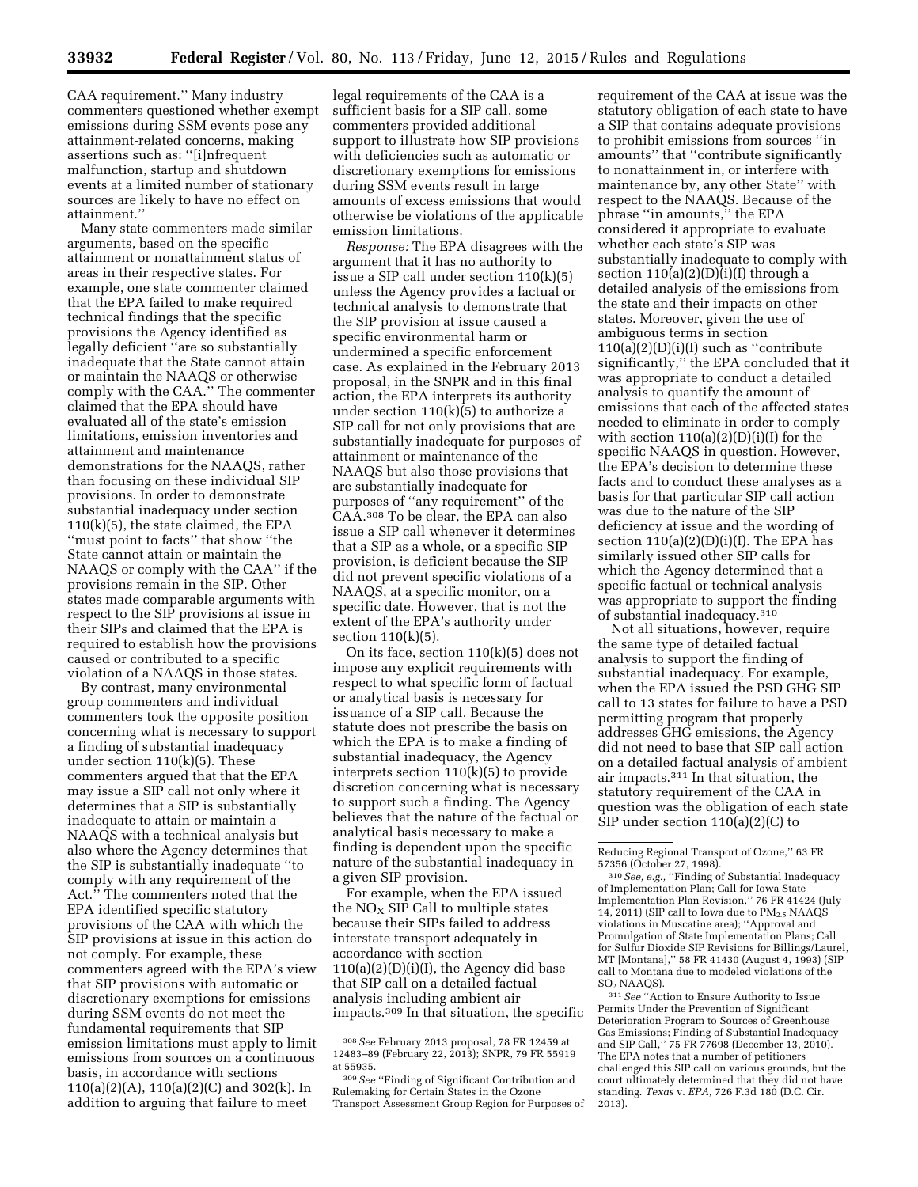CAA requirement.'' Many industry commenters questioned whether exempt emissions during SSM events pose any attainment-related concerns, making assertions such as: ''[i]nfrequent malfunction, startup and shutdown events at a limited number of stationary sources are likely to have no effect on attainment.''

Many state commenters made similar arguments, based on the specific attainment or nonattainment status of areas in their respective states. For example, one state commenter claimed that the EPA failed to make required technical findings that the specific provisions the Agency identified as legally deficient ''are so substantially inadequate that the State cannot attain or maintain the NAAQS or otherwise comply with the CAA.'' The commenter claimed that the EPA should have evaluated all of the state's emission limitations, emission inventories and attainment and maintenance demonstrations for the NAAQS, rather than focusing on these individual SIP provisions. In order to demonstrate substantial inadequacy under section  $110(k)(5)$ , the state claimed, the EPA ''must point to facts'' that show ''the State cannot attain or maintain the NAAQS or comply with the CAA'' if the provisions remain in the SIP. Other states made comparable arguments with respect to the SIP provisions at issue in their SIPs and claimed that the EPA is required to establish how the provisions caused or contributed to a specific violation of a NAAQS in those states.

By contrast, many environmental group commenters and individual commenters took the opposite position concerning what is necessary to support a finding of substantial inadequacy under section 110(k)(5). These commenters argued that that the EPA may issue a SIP call not only where it determines that a SIP is substantially inadequate to attain or maintain a NAAQS with a technical analysis but also where the Agency determines that the SIP is substantially inadequate ''to comply with any requirement of the Act.'' The commenters noted that the EPA identified specific statutory provisions of the CAA with which the SIP provisions at issue in this action do not comply. For example, these commenters agreed with the EPA's view that SIP provisions with automatic or discretionary exemptions for emissions during SSM events do not meet the fundamental requirements that SIP emission limitations must apply to limit emissions from sources on a continuous basis, in accordance with sections 110(a)(2)(A), 110(a)(2)(C) and 302(k). In addition to arguing that failure to meet

legal requirements of the CAA is a sufficient basis for a SIP call, some commenters provided additional support to illustrate how SIP provisions with deficiencies such as automatic or discretionary exemptions for emissions during SSM events result in large amounts of excess emissions that would otherwise be violations of the applicable emission limitations.

*Response:* The EPA disagrees with the argument that it has no authority to issue a SIP call under section 110(k)(5) unless the Agency provides a factual or technical analysis to demonstrate that the SIP provision at issue caused a specific environmental harm or undermined a specific enforcement case. As explained in the February 2013 proposal, in the SNPR and in this final action, the EPA interprets its authority under section  $110(k)(5)$  to authorize a SIP call for not only provisions that are substantially inadequate for purposes of attainment or maintenance of the NAAQS but also those provisions that are substantially inadequate for purposes of ''any requirement'' of the CAA.308 To be clear, the EPA can also issue a SIP call whenever it determines that a SIP as a whole, or a specific SIP provision, is deficient because the SIP did not prevent specific violations of a NAAQS, at a specific monitor, on a specific date. However, that is not the extent of the EPA's authority under section 110(k)(5).

On its face, section 110(k)(5) does not impose any explicit requirements with respect to what specific form of factual or analytical basis is necessary for issuance of a SIP call. Because the statute does not prescribe the basis on which the EPA is to make a finding of substantial inadequacy, the Agency interprets section 110(k)(5) to provide discretion concerning what is necessary to support such a finding. The Agency believes that the nature of the factual or analytical basis necessary to make a finding is dependent upon the specific nature of the substantial inadequacy in a given SIP provision.

For example, when the EPA issued the  $NO<sub>x</sub>$  SIP Call to multiple states because their SIPs failed to address interstate transport adequately in accordance with section  $110(a)(2)(D)(i)(I)$ , the Agency did base that SIP call on a detailed factual analysis including ambient air impacts.309 In that situation, the specific requirement of the CAA at issue was the statutory obligation of each state to have a SIP that contains adequate provisions to prohibit emissions from sources ''in amounts'' that ''contribute significantly to nonattainment in, or interfere with maintenance by, any other State'' with respect to the NAAQS. Because of the phrase ''in amounts,'' the EPA considered it appropriate to evaluate whether each state's SIP was substantially inadequate to comply with section  $110(a)(2)(D)(i)(I)$  through a detailed analysis of the emissions from the state and their impacts on other states. Moreover, given the use of ambiguous terms in section  $110(a)(2)(D)(i)(I)$  such as "contribute" significantly,'' the EPA concluded that it was appropriate to conduct a detailed analysis to quantify the amount of emissions that each of the affected states needed to eliminate in order to comply with section  $110(a)(2)(D)(i)(I)$  for the specific NAAQS in question. However, the EPA's decision to determine these facts and to conduct these analyses as a basis for that particular SIP call action was due to the nature of the SIP deficiency at issue and the wording of section  $110(a)(2)(D)(i)(I)$ . The EPA has similarly issued other SIP calls for which the Agency determined that a specific factual or technical analysis was appropriate to support the finding of substantial inadequacy.310

Not all situations, however, require the same type of detailed factual analysis to support the finding of substantial inadequacy. For example, when the EPA issued the PSD GHG SIP call to 13 states for failure to have a PSD permitting program that properly addresses GHG emissions, the Agency did not need to base that SIP call action on a detailed factual analysis of ambient air impacts.311 In that situation, the statutory requirement of the CAA in question was the obligation of each state SIP under section 110(a)(2)(C) to

310*See, e.g.,* ''Finding of Substantial Inadequacy of Implementation Plan; Call for Iowa State Implementation Plan Revision,'' 76 FR 41424 (July 14, 2011) (SIP call to Iowa due to  $PM_{2.5}$  NAAQS violations in Muscatine area); ''Approval and Promulgation of State Implementation Plans; Call for Sulfur Dioxide SIP Revisions for Billings/Laurel, MT [Montana],'' 58 FR 41430 (August 4, 1993) (SIP call to Montana due to modeled violations of the SO2 NAAQS).

311*See* ''Action to Ensure Authority to Issue Permits Under the Prevention of Significant Deterioration Program to Sources of Greenhouse Gas Emissions; Finding of Substantial Inadequacy and SIP Call,'' 75 FR 77698 (December 13, 2010). The EPA notes that a number of petitioners challenged this SIP call on various grounds, but the court ultimately determined that they did not have standing. *Texas* v. *EPA,* 726 F.3d 180 (D.C. Cir. 2013).

<sup>308</sup>*See* February 2013 proposal, 78 FR 12459 at 12483–89 (February 22, 2013); SNPR, 79 FR 55919 at 55935.

<sup>309</sup>*See* ''Finding of Significant Contribution and Rulemaking for Certain States in the Ozone Transport Assessment Group Region for Purposes of

Reducing Regional Transport of Ozone,'' 63 FR 57356 (October 27, 1998).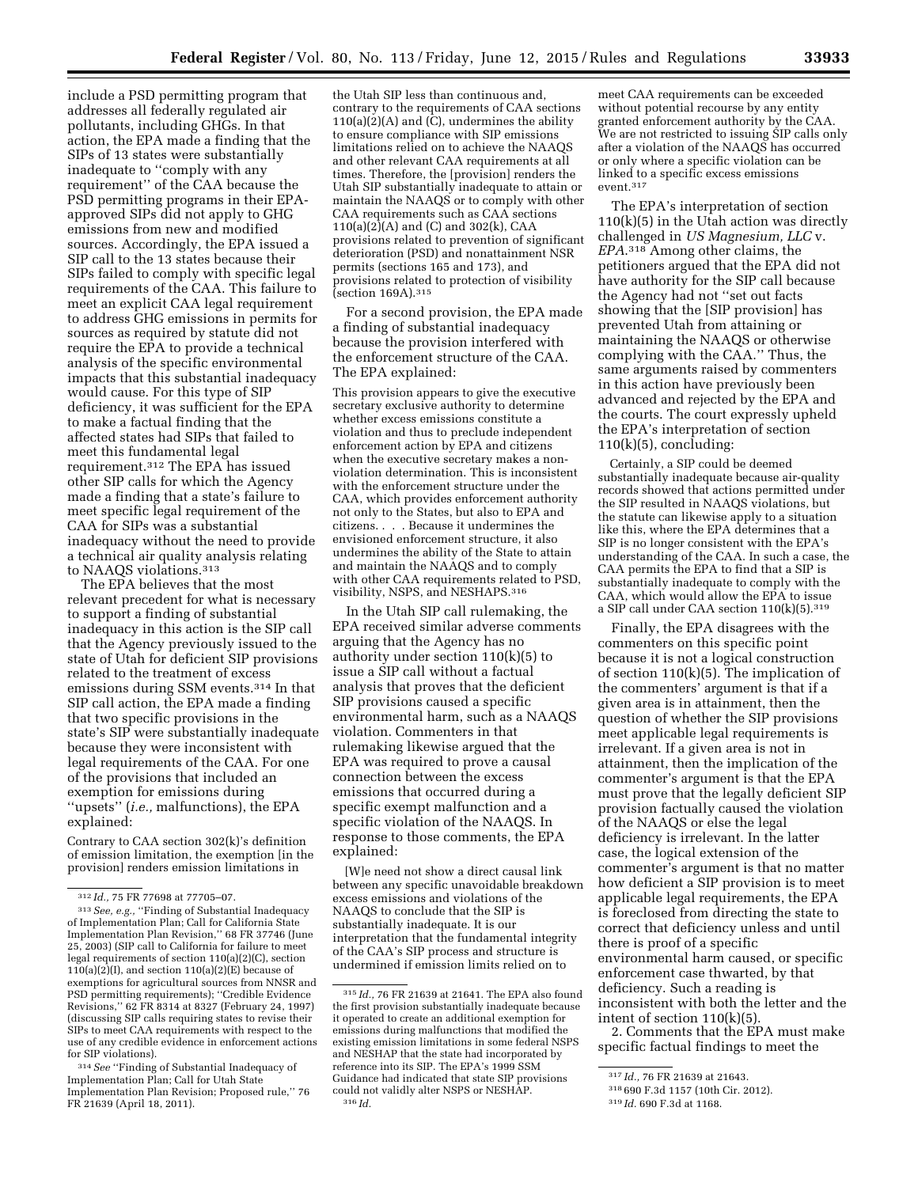include a PSD permitting program that addresses all federally regulated air pollutants, including GHGs. In that action, the EPA made a finding that the SIPs of 13 states were substantially inadequate to ''comply with any requirement'' of the CAA because the PSD permitting programs in their EPAapproved SIPs did not apply to GHG emissions from new and modified sources. Accordingly, the EPA issued a SIP call to the 13 states because their SIPs failed to comply with specific legal requirements of the CAA. This failure to meet an explicit CAA legal requirement to address GHG emissions in permits for sources as required by statute did not require the EPA to provide a technical analysis of the specific environmental impacts that this substantial inadequacy would cause. For this type of SIP deficiency, it was sufficient for the EPA to make a factual finding that the affected states had SIPs that failed to meet this fundamental legal requirement.312 The EPA has issued other SIP calls for which the Agency made a finding that a state's failure to meet specific legal requirement of the CAA for SIPs was a substantial inadequacy without the need to provide a technical air quality analysis relating to NAAQS violations.313

The EPA believes that the most relevant precedent for what is necessary to support a finding of substantial inadequacy in this action is the SIP call that the Agency previously issued to the state of Utah for deficient SIP provisions related to the treatment of excess emissions during SSM events.314 In that SIP call action, the EPA made a finding that two specific provisions in the state's SIP were substantially inadequate because they were inconsistent with legal requirements of the CAA. For one of the provisions that included an exemption for emissions during ''upsets'' (*i.e.,* malfunctions), the EPA explained:

Contrary to CAA section 302(k)'s definition of emission limitation, the exemption [in the provision] renders emission limitations in

the Utah SIP less than continuous and, contrary to the requirements of CAA sections  $110(a)(2)(A)$  and (C), undermines the ability to ensure compliance with SIP emissions limitations relied on to achieve the NAAQS and other relevant CAA requirements at all times. Therefore, the [provision] renders the Utah SIP substantially inadequate to attain or maintain the NAAQS or to comply with other CAA requirements such as CAA sections  $110(a)(2)(A)$  and (C) and  $302(k)$ , CAA provisions related to prevention of significant deterioration (PSD) and nonattainment NSR permits (sections 165 and 173), and provisions related to protection of visibility (section 169A).315

For a second provision, the EPA made a finding of substantial inadequacy because the provision interfered with the enforcement structure of the CAA. The EPA explained:

This provision appears to give the executive secretary exclusive authority to determine whether excess emissions constitute a violation and thus to preclude independent enforcement action by EPA and citizens when the executive secretary makes a nonviolation determination. This is inconsistent with the enforcement structure under the CAA, which provides enforcement authority not only to the States, but also to EPA and citizens. . . . Because it undermines the envisioned enforcement structure, it also undermines the ability of the State to attain and maintain the NAAQS and to comply with other CAA requirements related to PSD, visibility, NSPS, and NESHAPS.316

In the Utah SIP call rulemaking, the EPA received similar adverse comments arguing that the Agency has no authority under section 110(k)(5) to issue a SIP call without a factual analysis that proves that the deficient SIP provisions caused a specific environmental harm, such as a NAAQS violation. Commenters in that rulemaking likewise argued that the EPA was required to prove a causal connection between the excess emissions that occurred during a specific exempt malfunction and a specific violation of the NAAQS. In response to those comments, the EPA explained:

[W]e need not show a direct causal link between any specific unavoidable breakdown excess emissions and violations of the NAAQS to conclude that the SIP is substantially inadequate. It is our interpretation that the fundamental integrity of the CAA's SIP process and structure is undermined if emission limits relied on to

meet CAA requirements can be exceeded without potential recourse by any entity granted enforcement authority by the CAA. We are not restricted to issuing SIP calls only after a violation of the NAAQS has occurred or only where a specific violation can be linked to a specific excess emissions event.317

The EPA's interpretation of section 110(k)(5) in the Utah action was directly challenged in *US Magnesium, LLC* v. *EPA*.318 Among other claims, the petitioners argued that the EPA did not have authority for the SIP call because the Agency had not ''set out facts showing that the [SIP provision] has prevented Utah from attaining or maintaining the NAAQS or otherwise complying with the CAA.'' Thus, the same arguments raised by commenters in this action have previously been advanced and rejected by the EPA and the courts. The court expressly upheld the EPA's interpretation of section  $110(k)(5)$ , concluding:

Certainly, a SIP could be deemed substantially inadequate because air-quality records showed that actions permitted under the SIP resulted in NAAQS violations, but the statute can likewise apply to a situation like this, where the EPA determines that a SIP is no longer consistent with the EPA's understanding of the CAA. In such a case, the CAA permits the EPA to find that a SIP is substantially inadequate to comply with the CAA, which would allow the EPA to issue a SIP call under CAA section 110(k)(5).319

Finally, the EPA disagrees with the commenters on this specific point because it is not a logical construction of section  $110(k)(5)$ . The implication of the commenters' argument is that if a given area is in attainment, then the question of whether the SIP provisions meet applicable legal requirements is irrelevant. If a given area is not in attainment, then the implication of the commenter's argument is that the EPA must prove that the legally deficient SIP provision factually caused the violation of the NAAQS or else the legal deficiency is irrelevant. In the latter case, the logical extension of the commenter's argument is that no matter how deficient a SIP provision is to meet applicable legal requirements, the EPA is foreclosed from directing the state to correct that deficiency unless and until there is proof of a specific environmental harm caused, or specific enforcement case thwarted, by that deficiency. Such a reading is inconsistent with both the letter and the intent of section 110(k)(5).

2. Comments that the EPA must make specific factual findings to meet the

<sup>312</sup> *Id.,* 75 FR 77698 at 77705–07.

<sup>313</sup>*See, e.g.,* ''Finding of Substantial Inadequacy of Implementation Plan; Call for California State Implementation Plan Revision,'' 68 FR 37746 (June 25, 2003) (SIP call to California for failure to meet legal requirements of section 110(a)(2)(C), section  $110(a)(2)$ (I), and section  $110(a)(2)$ (E) because of exemptions for agricultural sources from NNSR and PSD permitting requirements); "Credible Evidence Revisions,'' 62 FR 8314 at 8327 (February 24, 1997) (discussing SIP calls requiring states to revise their SIPs to meet CAA requirements with respect to the use of any credible evidence in enforcement actions for SIP violations).

<sup>314</sup>*See* ''Finding of Substantial Inadequacy of Implementation Plan; Call for Utah State Implementation Plan Revision; Proposed rule,'' 76 FR 21639 (April 18, 2011).

<sup>315</sup> *Id.,* 76 FR 21639 at 21641. The EPA also found the first provision substantially inadequate because it operated to create an additional exemption for emissions during malfunctions that modified the existing emission limitations in some federal NSPS and NESHAP that the state had incorporated by reference into its SIP. The EPA's 1999 SSM Guidance had indicated that state SIP provisions could not validly alter NSPS or NESHAP. 316 *Id.* 

<sup>317</sup> *Id.,* 76 FR 21639 at 21643.

<sup>318</sup> 690 F.3d 1157 (10th Cir. 2012).

<sup>319</sup> *Id.* 690 F.3d at 1168.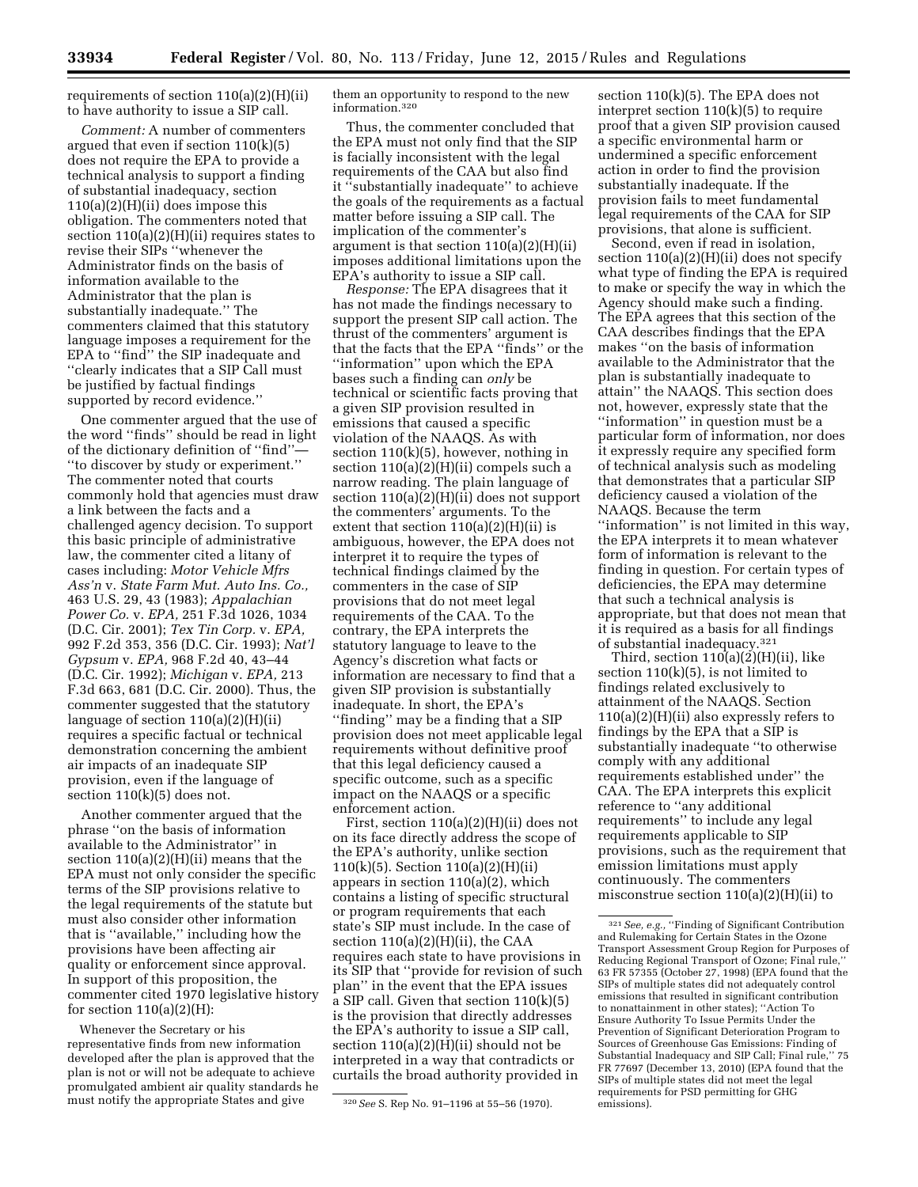requirements of section 110(a)(2)(H)(ii) to have authority to issue a SIP call.

*Comment:* A number of commenters argued that even if section 110(k)(5) does not require the EPA to provide a technical analysis to support a finding of substantial inadequacy, section  $110(a)(2)(H)(ii)$  does impose this obligation. The commenters noted that section  $110(a)(2)(H)(ii)$  requires states to revise their SIPs ''whenever the Administrator finds on the basis of information available to the Administrator that the plan is substantially inadequate.'' The commenters claimed that this statutory language imposes a requirement for the EPA to ''find'' the SIP inadequate and ''clearly indicates that a SIP Call must be justified by factual findings supported by record evidence.''

One commenter argued that the use of the word ''finds'' should be read in light of the dictionary definition of ''find''— ''to discover by study or experiment.'' The commenter noted that courts commonly hold that agencies must draw a link between the facts and a challenged agency decision. To support this basic principle of administrative law, the commenter cited a litany of cases including: *Motor Vehicle Mfrs Ass'n* v. *State Farm Mut. Auto Ins. Co.,*  463 U.S. 29, 43 (1983); *Appalachian Power Co.* v. *EPA,* 251 F.3d 1026, 1034 (D.C. Cir. 2001); *Tex Tin Corp.* v. *EPA,*  992 F.2d 353, 356 (D.C. Cir. 1993); *Nat'l Gypsum* v. *EPA,* 968 F.2d 40, 43–44 (D.C. Cir. 1992); *Michigan* v. *EPA,* 213 F.3d 663, 681 (D.C. Cir. 2000). Thus, the commenter suggested that the statutory language of section 110(a)(2)(H)(ii) requires a specific factual or technical demonstration concerning the ambient air impacts of an inadequate SIP provision, even if the language of section 110(k)(5) does not.

Another commenter argued that the phrase ''on the basis of information available to the Administrator'' in section 110(a)(2)(H)(ii) means that the EPA must not only consider the specific terms of the SIP provisions relative to the legal requirements of the statute but must also consider other information that is ''available,'' including how the provisions have been affecting air quality or enforcement since approval. In support of this proposition, the commenter cited 1970 legislative history for section  $110(a)(2)(H)$ :

Whenever the Secretary or his representative finds from new information developed after the plan is approved that the plan is not or will not be adequate to achieve promulgated ambient air quality standards he must notify the appropriate States and give

them an opportunity to respond to the new information.320

Thus, the commenter concluded that the EPA must not only find that the SIP is facially inconsistent with the legal requirements of the CAA but also find it ''substantially inadequate'' to achieve the goals of the requirements as a factual matter before issuing a SIP call. The implication of the commenter's argument is that section 110(a)(2)(H)(ii) imposes additional limitations upon the EPA's authority to issue a SIP call.

*Response:* The EPA disagrees that it has not made the findings necessary to support the present SIP call action. The thrust of the commenters' argument is that the facts that the EPA ''finds'' or the ''information'' upon which the EPA bases such a finding can *only* be technical or scientific facts proving that a given SIP provision resulted in emissions that caused a specific violation of the NAAQS. As with section 110(k)(5), however, nothing in section 110(a)(2)(H)(ii) compels such a narrow reading. The plain language of section 110(a)(2)(H)(ii) does not support the commenters' arguments. To the extent that section  $110(a)(2)(H)(ii)$  is ambiguous, however, the EPA does not interpret it to require the types of technical findings claimed by the commenters in the case of SIP provisions that do not meet legal requirements of the CAA. To the contrary, the EPA interprets the statutory language to leave to the Agency's discretion what facts or information are necessary to find that a given SIP provision is substantially inadequate. In short, the EPA's ''finding'' may be a finding that a SIP provision does not meet applicable legal requirements without definitive proof that this legal deficiency caused a specific outcome, such as a specific impact on the NAAQS or a specific enforcement action.

First, section 110(a)(2)(H)(ii) does not on its face directly address the scope of the EPA's authority, unlike section 110(k)(5). Section 110(a)(2)(H)(ii) appears in section 110(a)(2), which contains a listing of specific structural or program requirements that each state's SIP must include. In the case of section  $110(a)(2)(H)(ii)$ , the CAA requires each state to have provisions in its SIP that ''provide for revision of such plan'' in the event that the EPA issues a SIP call. Given that section 110(k)(5) is the provision that directly addresses the EPA's authority to issue a SIP call, section  $110(a)(2)(H)(ii)$  should not be interpreted in a way that contradicts or curtails the broad authority provided in

section 110(k)(5). The EPA does not interpret section 110(k)(5) to require proof that a given SIP provision caused a specific environmental harm or undermined a specific enforcement action in order to find the provision substantially inadequate. If the provision fails to meet fundamental legal requirements of the CAA for SIP provisions, that alone is sufficient.

Second, even if read in isolation, section 110(a)(2)(H)(ii) does not specify what type of finding the EPA is required to make or specify the way in which the Agency should make such a finding. The EPA agrees that this section of the CAA describes findings that the EPA makes ''on the basis of information available to the Administrator that the plan is substantially inadequate to attain'' the NAAQS. This section does not, however, expressly state that the ''information'' in question must be a particular form of information, nor does it expressly require any specified form of technical analysis such as modeling that demonstrates that a particular SIP deficiency caused a violation of the NAAQS. Because the term ''information'' is not limited in this way, the EPA interprets it to mean whatever form of information is relevant to the finding in question. For certain types of deficiencies, the EPA may determine that such a technical analysis is appropriate, but that does not mean that it is required as a basis for all findings of substantial inadequacy.321

Third, section  $110(a)(2)(H)(ii)$ , like section  $110(k)(5)$ , is not limited to findings related exclusively to attainment of the NAAQS. Section 110(a)(2)(H)(ii) also expressly refers to findings by the EPA that a SIP is substantially inadequate ''to otherwise comply with any additional requirements established under'' the CAA. The EPA interprets this explicit reference to ''any additional requirements'' to include any legal requirements applicable to SIP provisions, such as the requirement that emission limitations must apply continuously. The commenters misconstrue section 110(a)(2)(H)(ii) to

<sup>320</sup>*See* S. Rep No. 91–1196 at 55–56 (1970).

<sup>321</sup>*See, e.g.,* ''Finding of Significant Contribution and Rulemaking for Certain States in the Ozone Transport Assessment Group Region for Purposes of Reducing Regional Transport of Ozone; Final rule,'' 63 FR 57355 (October 27, 1998) (EPA found that the SIPs of multiple states did not adequately control emissions that resulted in significant contribution to nonattainment in other states); ''Action To Ensure Authority To Issue Permits Under the Prevention of Significant Deterioration Program to Sources of Greenhouse Gas Emissions: Finding of Substantial Inadequacy and SIP Call; Final rule,'' 75 FR 77697 (December 13, 2010) (EPA found that the SIPs of multiple states did not meet the legal requirements for PSD permitting for GHG emissions).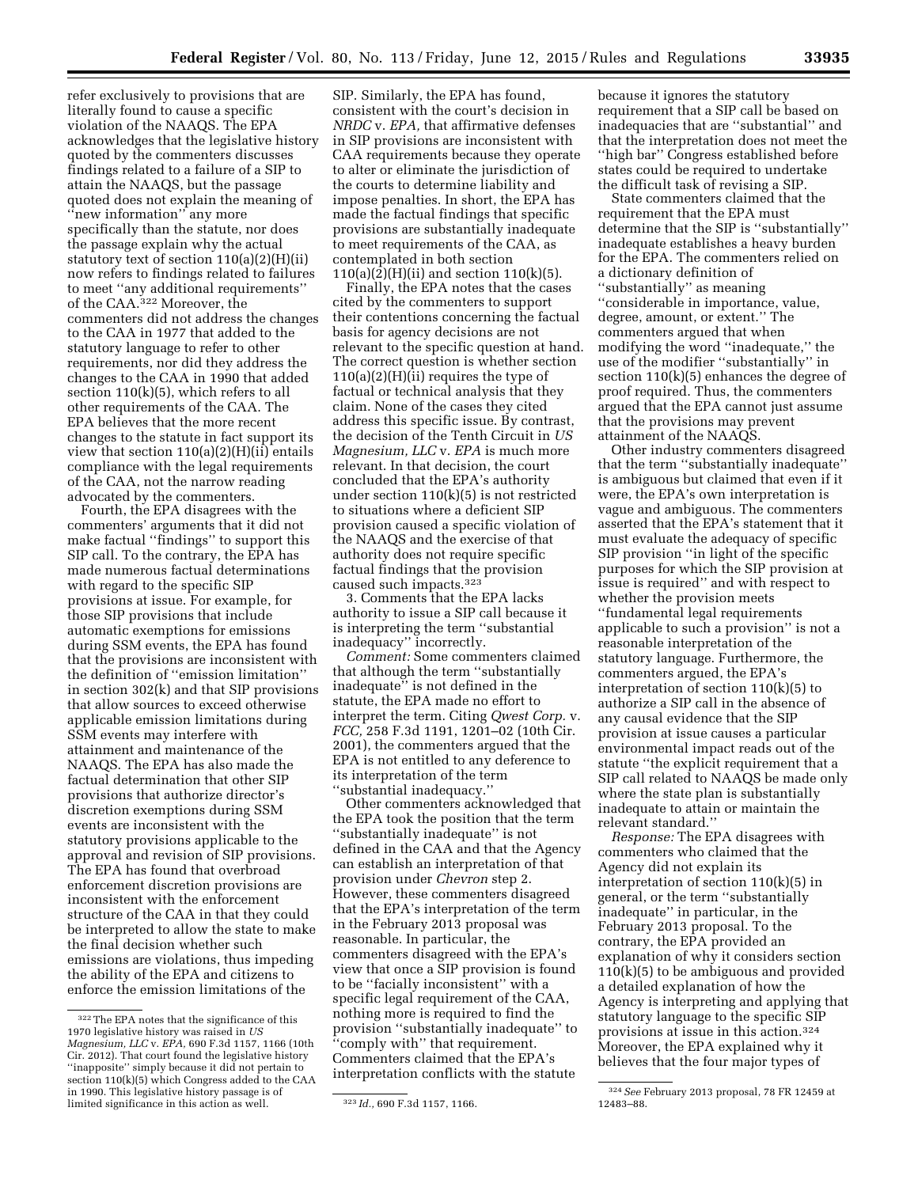refer exclusively to provisions that are literally found to cause a specific violation of the NAAQS. The EPA acknowledges that the legislative history quoted by the commenters discusses findings related to a failure of a SIP to attain the NAAQS, but the passage quoted does not explain the meaning of ''new information'' any more specifically than the statute, nor does the passage explain why the actual statutory text of section 110(a)(2)(H)(ii) now refers to findings related to failures to meet ''any additional requirements'' of the CAA.322 Moreover, the commenters did not address the changes to the CAA in 1977 that added to the statutory language to refer to other requirements, nor did they address the changes to the CAA in 1990 that added section 110(k)(5), which refers to all other requirements of the CAA. The EPA believes that the more recent changes to the statute in fact support its view that section  $110(a)(2)(H)(ii)$  entails compliance with the legal requirements of the CAA, not the narrow reading advocated by the commenters.

Fourth, the EPA disagrees with the commenters' arguments that it did not make factual ''findings'' to support this SIP call. To the contrary, the EPA has made numerous factual determinations with regard to the specific SIP provisions at issue. For example, for those SIP provisions that include automatic exemptions for emissions during SSM events, the EPA has found that the provisions are inconsistent with the definition of ''emission limitation'' in section 302(k) and that SIP provisions that allow sources to exceed otherwise applicable emission limitations during SSM events may interfere with attainment and maintenance of the NAAQS. The EPA has also made the factual determination that other SIP provisions that authorize director's discretion exemptions during SSM events are inconsistent with the statutory provisions applicable to the approval and revision of SIP provisions. The EPA has found that overbroad enforcement discretion provisions are inconsistent with the enforcement structure of the CAA in that they could be interpreted to allow the state to make the final decision whether such emissions are violations, thus impeding the ability of the EPA and citizens to enforce the emission limitations of the

SIP. Similarly, the EPA has found, consistent with the court's decision in *NRDC* v. *EPA,* that affirmative defenses in SIP provisions are inconsistent with CAA requirements because they operate to alter or eliminate the jurisdiction of the courts to determine liability and impose penalties. In short, the EPA has made the factual findings that specific provisions are substantially inadequate to meet requirements of the CAA, as contemplated in both section  $110(a)(2)(H)(ii)$  and section  $110(k)(5)$ .

Finally, the EPA notes that the cases cited by the commenters to support their contentions concerning the factual basis for agency decisions are not relevant to the specific question at hand. The correct question is whether section  $110(a)(2)(H)(ii)$  requires the type of factual or technical analysis that they claim. None of the cases they cited address this specific issue. By contrast, the decision of the Tenth Circuit in *US Magnesium, LLC* v. *EPA* is much more relevant. In that decision, the court concluded that the EPA's authority under section 110(k)(5) is not restricted to situations where a deficient SIP provision caused a specific violation of the NAAQS and the exercise of that authority does not require specific factual findings that the provision caused such impacts.323

3. Comments that the EPA lacks authority to issue a SIP call because it is interpreting the term ''substantial inadequacy'' incorrectly.

*Comment:* Some commenters claimed that although the term ''substantially inadequate'' is not defined in the statute, the EPA made no effort to interpret the term. Citing *Qwest Corp.* v. *FCC,* 258 F.3d 1191, 1201–02 (10th Cir. 2001), the commenters argued that the EPA is not entitled to any deference to its interpretation of the term ''substantial inadequacy.''

Other commenters acknowledged that the EPA took the position that the term ''substantially inadequate'' is not defined in the CAA and that the Agency can establish an interpretation of that provision under *Chevron* step 2. However, these commenters disagreed that the EPA's interpretation of the term in the February 2013 proposal was reasonable. In particular, the commenters disagreed with the EPA's view that once a SIP provision is found to be ''facially inconsistent'' with a specific legal requirement of the CAA, nothing more is required to find the provision ''substantially inadequate'' to ''comply with'' that requirement. Commenters claimed that the EPA's interpretation conflicts with the statute

because it ignores the statutory requirement that a SIP call be based on inadequacies that are ''substantial'' and that the interpretation does not meet the ''high bar'' Congress established before states could be required to undertake the difficult task of revising a SIP.

State commenters claimed that the requirement that the EPA must determine that the SIP is ''substantially'' inadequate establishes a heavy burden for the EPA. The commenters relied on a dictionary definition of ''substantially'' as meaning ''considerable in importance, value, degree, amount, or extent.'' The commenters argued that when modifying the word ''inadequate,'' the use of the modifier ''substantially'' in section 110(k)(5) enhances the degree of proof required. Thus, the commenters argued that the EPA cannot just assume that the provisions may prevent attainment of the NAAQS.

Other industry commenters disagreed that the term ''substantially inadequate'' is ambiguous but claimed that even if it were, the EPA's own interpretation is vague and ambiguous. The commenters asserted that the EPA's statement that it must evaluate the adequacy of specific SIP provision ''in light of the specific purposes for which the SIP provision at issue is required'' and with respect to whether the provision meets ''fundamental legal requirements applicable to such a provision'' is not a reasonable interpretation of the statutory language. Furthermore, the commenters argued, the EPA's interpretation of section 110(k)(5) to authorize a SIP call in the absence of any causal evidence that the SIP provision at issue causes a particular environmental impact reads out of the statute ''the explicit requirement that a SIP call related to NAAQS be made only where the state plan is substantially inadequate to attain or maintain the relevant standard.''

*Response:* The EPA disagrees with commenters who claimed that the Agency did not explain its interpretation of section 110(k)(5) in general, or the term ''substantially inadequate'' in particular, in the February 2013 proposal. To the contrary, the EPA provided an explanation of why it considers section 110(k)(5) to be ambiguous and provided a detailed explanation of how the Agency is interpreting and applying that statutory language to the specific SIP provisions at issue in this action.324 Moreover, the EPA explained why it believes that the four major types of

<sup>322</sup>The EPA notes that the significance of this 1970 legislative history was raised in *US Magnesium, LLC* v. *EPA,* 690 F.3d 1157, 1166 (10th Cir. 2012). That court found the legislative history ''inapposite'' simply because it did not pertain to section 110(k)(5) which Congress added to the CAA in 1990. This legislative history passage is of limited significance in this action as well. 323 *Id.,* 690 F.3d 1157, 1166.

<sup>324</sup>*See* February 2013 proposal, 78 FR 12459 at 12483–88.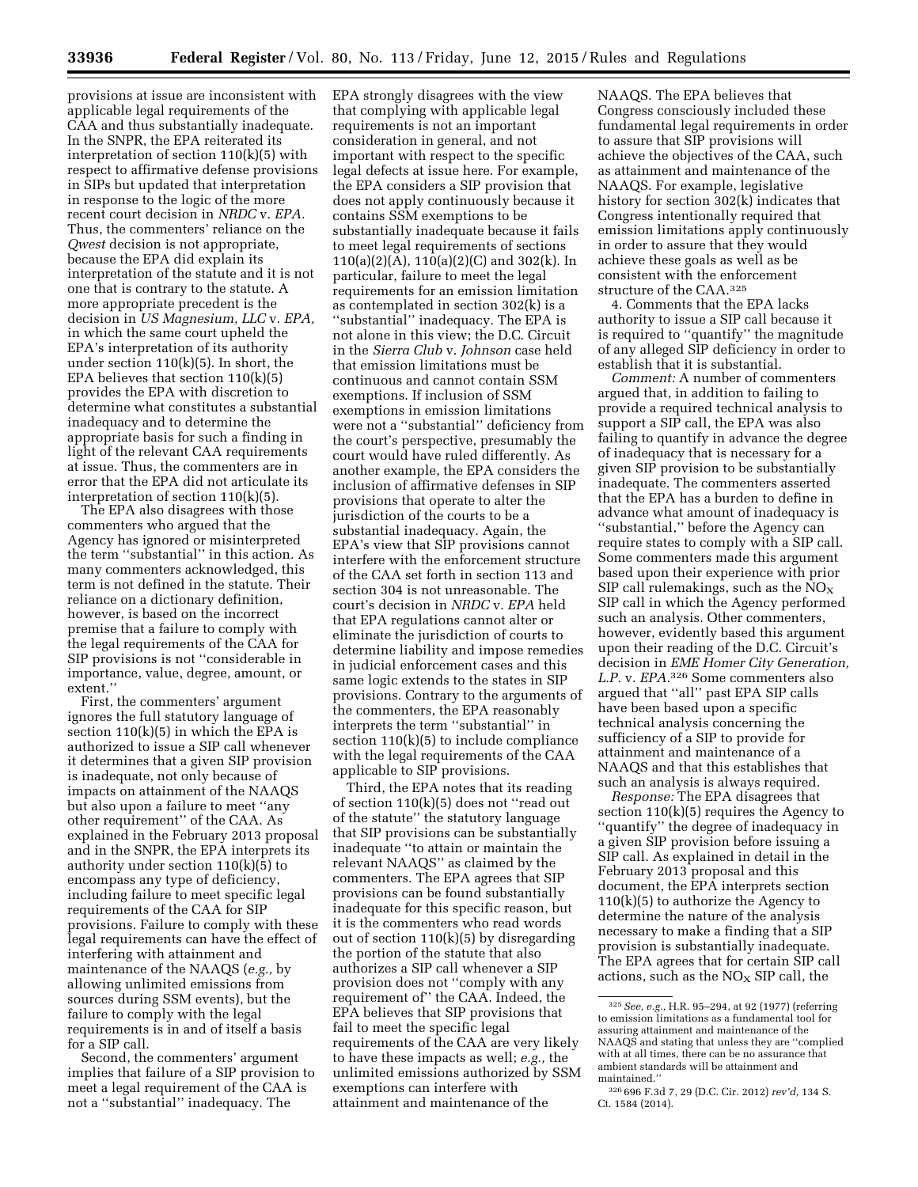provisions at issue are inconsistent with applicable legal requirements of the CAA and thus substantially inadequate. In the SNPR, the EPA reiterated its interpretation of section 110(k)(5) with respect to affirmative defense provisions in SIPs but updated that interpretation in response to the logic of the more recent court decision in *NRDC* v. *EPA.*  Thus, the commenters' reliance on the *Qwest* decision is not appropriate, because the EPA did explain its interpretation of the statute and it is not one that is contrary to the statute. A more appropriate precedent is the decision in *US Magnesium, LLC* v. *EPA,*  in which the same court upheld the EPA's interpretation of its authority under section  $110(k)(5)$ . In short, the EPA believes that section  $110(k)(5)$ provides the EPA with discretion to determine what constitutes a substantial inadequacy and to determine the appropriate basis for such a finding in light of the relevant CAA requirements at issue. Thus, the commenters are in error that the EPA did not articulate its interpretation of section 110(k)(5).

The EPA also disagrees with those commenters who argued that the Agency has ignored or misinterpreted the term ''substantial'' in this action. As many commenters acknowledged, this term is not defined in the statute. Their reliance on a dictionary definition, however, is based on the incorrect premise that a failure to comply with the legal requirements of the CAA for SIP provisions is not ''considerable in importance, value, degree, amount, or extent.''

First, the commenters' argument ignores the full statutory language of section  $110(k)(5)$  in which the EPA is authorized to issue a SIP call whenever it determines that a given SIP provision is inadequate, not only because of impacts on attainment of the NAAQS but also upon a failure to meet ''any other requirement'' of the CAA. As explained in the February 2013 proposal and in the SNPR, the EPA interprets its authority under section 110(k)(5) to encompass any type of deficiency, including failure to meet specific legal requirements of the CAA for SIP provisions. Failure to comply with these legal requirements can have the effect of interfering with attainment and maintenance of the NAAQS (*e.g.,* by allowing unlimited emissions from sources during SSM events), but the failure to comply with the legal requirements is in and of itself a basis for a SIP call.

Second, the commenters' argument implies that failure of a SIP provision to meet a legal requirement of the CAA is not a ''substantial'' inadequacy. The

EPA strongly disagrees with the view that complying with applicable legal requirements is not an important consideration in general, and not important with respect to the specific legal defects at issue here. For example, the EPA considers a SIP provision that does not apply continuously because it contains SSM exemptions to be substantially inadequate because it fails to meet legal requirements of sections 110(a)(2)(A), 110(a)(2)(C) and 302(k). In particular, failure to meet the legal requirements for an emission limitation as contemplated in section 302(k) is a ''substantial'' inadequacy. The EPA is not alone in this view; the D.C. Circuit in the *Sierra Club* v. *Johnson* case held that emission limitations must be continuous and cannot contain SSM exemptions. If inclusion of SSM exemptions in emission limitations were not a ''substantial'' deficiency from the court's perspective, presumably the court would have ruled differently. As another example, the EPA considers the inclusion of affirmative defenses in SIP provisions that operate to alter the jurisdiction of the courts to be a substantial inadequacy. Again, the EPA's view that SIP provisions cannot interfere with the enforcement structure of the CAA set forth in section 113 and section 304 is not unreasonable. The court's decision in *NRDC* v. *EPA* held that EPA regulations cannot alter or eliminate the jurisdiction of courts to determine liability and impose remedies in judicial enforcement cases and this same logic extends to the states in SIP provisions. Contrary to the arguments of the commenters, the EPA reasonably interprets the term ''substantial'' in section 110(k)(5) to include compliance with the legal requirements of the CAA applicable to SIP provisions.

Third, the EPA notes that its reading of section 110(k)(5) does not ''read out of the statute'' the statutory language that SIP provisions can be substantially inadequate ''to attain or maintain the relevant NAAQS'' as claimed by the commenters. The EPA agrees that SIP provisions can be found substantially inadequate for this specific reason, but it is the commenters who read words out of section 110(k)(5) by disregarding the portion of the statute that also authorizes a SIP call whenever a SIP provision does not ''comply with any requirement of'' the CAA. Indeed, the EPA believes that SIP provisions that fail to meet the specific legal requirements of the CAA are very likely to have these impacts as well; *e.g.,* the unlimited emissions authorized by SSM exemptions can interfere with attainment and maintenance of the

NAAQS. The EPA believes that Congress consciously included these fundamental legal requirements in order to assure that SIP provisions will achieve the objectives of the CAA, such as attainment and maintenance of the NAAQS. For example, legislative history for section 302(k) indicates that Congress intentionally required that emission limitations apply continuously in order to assure that they would achieve these goals as well as be consistent with the enforcement structure of the CAA.325

4. Comments that the EPA lacks authority to issue a SIP call because it is required to ''quantify'' the magnitude of any alleged SIP deficiency in order to establish that it is substantial.

*Comment:* A number of commenters argued that, in addition to failing to provide a required technical analysis to support a SIP call, the EPA was also failing to quantify in advance the degree of inadequacy that is necessary for a given SIP provision to be substantially inadequate. The commenters asserted that the EPA has a burden to define in advance what amount of inadequacy is ''substantial,'' before the Agency can require states to comply with a SIP call. Some commenters made this argument based upon their experience with prior SIP call rulemakings, such as the  $NO<sub>x</sub>$ SIP call in which the Agency performed such an analysis. Other commenters, however, evidently based this argument upon their reading of the D.C. Circuit's decision in *EME Homer City Generation, L.P.* v. *EPA.*326 Some commenters also argued that ''all'' past EPA SIP calls have been based upon a specific technical analysis concerning the sufficiency of a SIP to provide for attainment and maintenance of a NAAQS and that this establishes that such an analysis is always required.

*Response:* The EPA disagrees that section  $110(k)(5)$  requires the Agency to ''quantify'' the degree of inadequacy in a given SIP provision before issuing a SIP call. As explained in detail in the February 2013 proposal and this document, the EPA interprets section  $110(k)(5)$  to authorize the Agency to determine the nature of the analysis necessary to make a finding that a SIP provision is substantially inadequate. The EPA agrees that for certain SIP call actions, such as the  $NO<sub>x</sub>$  SIP call, the

<sup>325</sup>*See, e.g.,* H.R. 95–294, at 92 (1977) (referring to emission limitations as a fundamental tool for assuring attainment and maintenance of the NAAQS and stating that unless they are ''complied with at all times, there can be no assurance that ambient standards will be attainment and maintained.''

<sup>326</sup> 696 F.3d 7, 29 (D.C. Cir. 2012) *rev'd,* 134 S. Ct. 1584 (2014).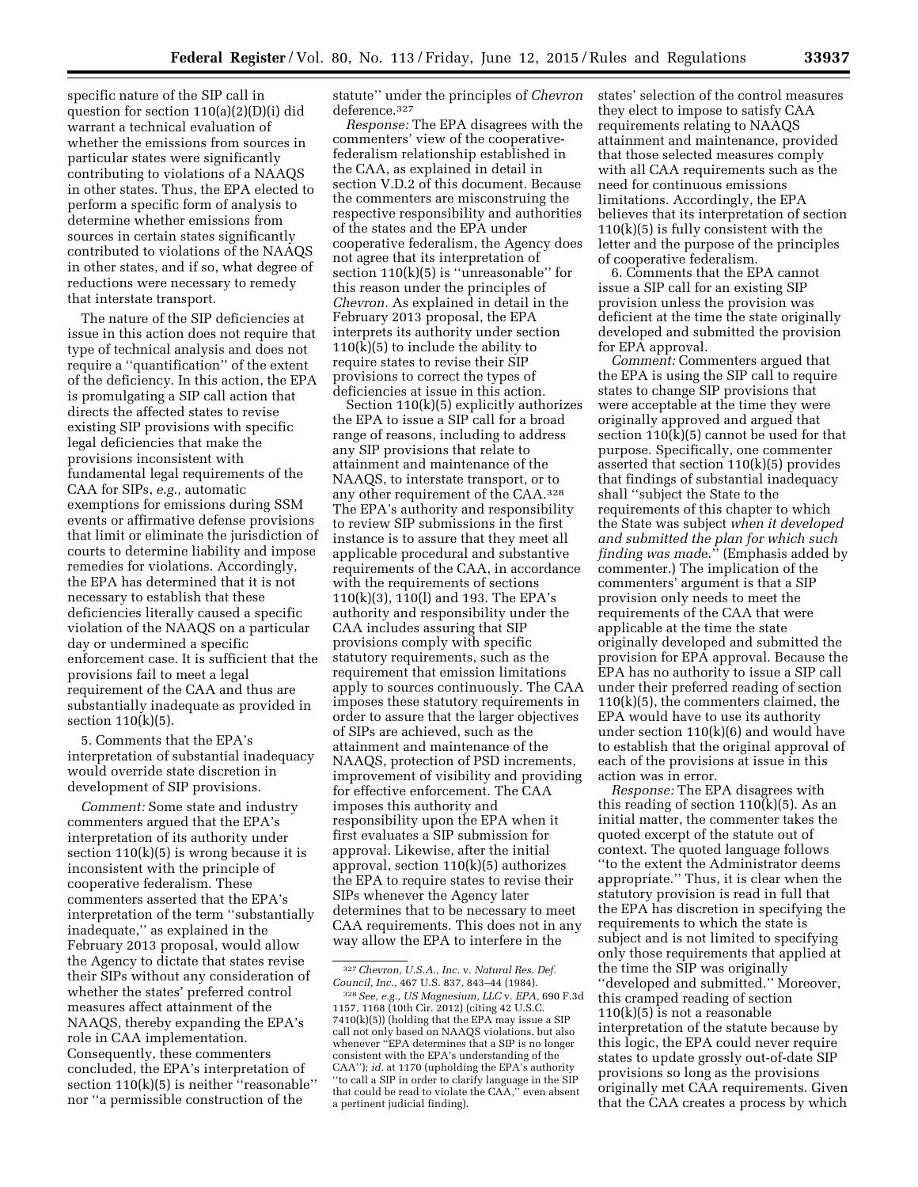specific nature of the SIP call in question for section 110(a)(2)(D)(i) did warrant a technical evaluation of whether the emissions from sources in particular states were significantly contributing to violations of a NAAQS in other states. Thus, the EPA elected to perform a specific form of analysis to determine whether emissions from sources in certain states significantly contributed to violations of the NAAQS in other states, and if so, what degree of reductions were necessary to remedy that interstate transport.

The nature of the SIP deficiencies at issue in this action does not require that type of technical analysis and does not require a ''quantification'' of the extent of the deficiency. In this action, the EPA is promulgating a SIP call action that directs the affected states to revise existing SIP provisions with specific legal deficiencies that make the provisions inconsistent with fundamental legal requirements of the CAA for SIPs, *e.g.,* automatic exemptions for emissions during SSM events or affirmative defense provisions that limit or eliminate the jurisdiction of courts to determine liability and impose remedies for violations. Accordingly, the EPA has determined that it is not necessary to establish that these deficiencies literally caused a specific violation of the NAAQS on a particular day or undermined a specific enforcement case. It is sufficient that the provisions fail to meet a legal requirement of the CAA and thus are substantially inadequate as provided in section 110(k)(5).

5. Comments that the EPA's interpretation of substantial inadequacy would override state discretion in development of SIP provisions.

*Comment:* Some state and industry commenters argued that the EPA's interpretation of its authority under section 110(k)(5) is wrong because it is inconsistent with the principle of cooperative federalism. These commenters asserted that the EPA's interpretation of the term ''substantially inadequate,'' as explained in the February 2013 proposal, would allow the Agency to dictate that states revise their SIPs without any consideration of whether the states' preferred control measures affect attainment of the NAAQS, thereby expanding the EPA's role in CAA implementation. Consequently, these commenters concluded, the EPA's interpretation of section 110(k)(5) is neither "reasonable" nor ''a permissible construction of the

statute'' under the principles of *Chevron*  deference.327

*Response:* The EPA disagrees with the commenters' view of the cooperativefederalism relationship established in the CAA, as explained in detail in section V.D.2 of this document. Because the commenters are misconstruing the respective responsibility and authorities of the states and the EPA under cooperative federalism, the Agency does not agree that its interpretation of section  $110(k)(5)$  is "unreasonable" for this reason under the principles of *Chevron.* As explained in detail in the February 2013 proposal, the EPA interprets its authority under section  $110(k)(5)$  to include the ability to require states to revise their SIP provisions to correct the types of deficiencies at issue in this action.

Section 110(k)(5) explicitly authorizes the EPA to issue a SIP call for a broad range of reasons, including to address any SIP provisions that relate to attainment and maintenance of the NAAQS, to interstate transport, or to any other requirement of the CAA.328 The EPA's authority and responsibility to review SIP submissions in the first instance is to assure that they meet all applicable procedural and substantive requirements of the CAA, in accordance with the requirements of sections 110(k)(3), 110(l) and 193. The EPA's authority and responsibility under the CAA includes assuring that SIP provisions comply with specific statutory requirements, such as the requirement that emission limitations apply to sources continuously. The CAA imposes these statutory requirements in order to assure that the larger objectives of SIPs are achieved, such as the attainment and maintenance of the NAAQS, protection of PSD increments, improvement of visibility and providing for effective enforcement. The CAA imposes this authority and responsibility upon the EPA when it first evaluates a SIP submission for approval. Likewise, after the initial approval, section 110(k)(5) authorizes the EPA to require states to revise their SIPs whenever the Agency later determines that to be necessary to meet CAA requirements. This does not in any way allow the EPA to interfere in the

states' selection of the control measures they elect to impose to satisfy CAA requirements relating to NAAQS attainment and maintenance, provided that those selected measures comply with all CAA requirements such as the need for continuous emissions limitations. Accordingly, the EPA believes that its interpretation of section 110(k)(5) is fully consistent with the letter and the purpose of the principles of cooperative federalism.

6. Comments that the EPA cannot issue a SIP call for an existing SIP provision unless the provision was deficient at the time the state originally developed and submitted the provision for EPA approval.

*Comment:* Commenters argued that the EPA is using the SIP call to require states to change SIP provisions that were acceptable at the time they were originally approved and argued that section 110(k)(5) cannot be used for that purpose. Specifically, one commenter asserted that section 110(k)(5) provides that findings of substantial inadequacy shall ''subject the State to the requirements of this chapter to which the State was subject *when it developed and submitted the plan for which such finding was mad*e.'' (Emphasis added by commenter.) The implication of the commenters' argument is that a SIP provision only needs to meet the requirements of the CAA that were applicable at the time the state originally developed and submitted the provision for EPA approval. Because the EPA has no authority to issue a SIP call under their preferred reading of section 110(k)(5), the commenters claimed, the EPA would have to use its authority under section 110(k)(6) and would have to establish that the original approval of each of the provisions at issue in this action was in error.

*Response:* The EPA disagrees with this reading of section 110(k)(5). As an initial matter, the commenter takes the quoted excerpt of the statute out of context. The quoted language follows ''to the extent the Administrator deems appropriate.'' Thus, it is clear when the statutory provision is read in full that the EPA has discretion in specifying the requirements to which the state is subject and is not limited to specifying only those requirements that applied at the time the SIP was originally ''developed and submitted.'' Moreover, this cramped reading of section  $110(k)(5)$  is not a reasonable interpretation of the statute because by this logic, the EPA could never require states to update grossly out-of-date SIP provisions so long as the provisions originally met CAA requirements. Given that the CAA creates a process by which

<sup>327</sup>*Chevron, U.S.A., Inc.* v. *Natural Res. Def. Council, Inc.,* 467 U.S. 837, 843–44 (1984).

<sup>328</sup>*See, e.g., US Magnesium, LLC* v. *EPA,* 690 F.3d 1157, 1168 (10th Cir. 2012) (citing 42 U.S.C. 7410(k)(5)) (holding that the EPA may issue a SIP call not only based on NAAQS violations, but also whenever ''EPA determines that a SIP is no longer consistent with the EPA's understanding of the CAA''); *id.* at 1170 (upholding the EPA's authority ''to call a SIP in order to clarify language in the SIP that could be read to violate the CAA,'' even absent a pertinent judicial finding).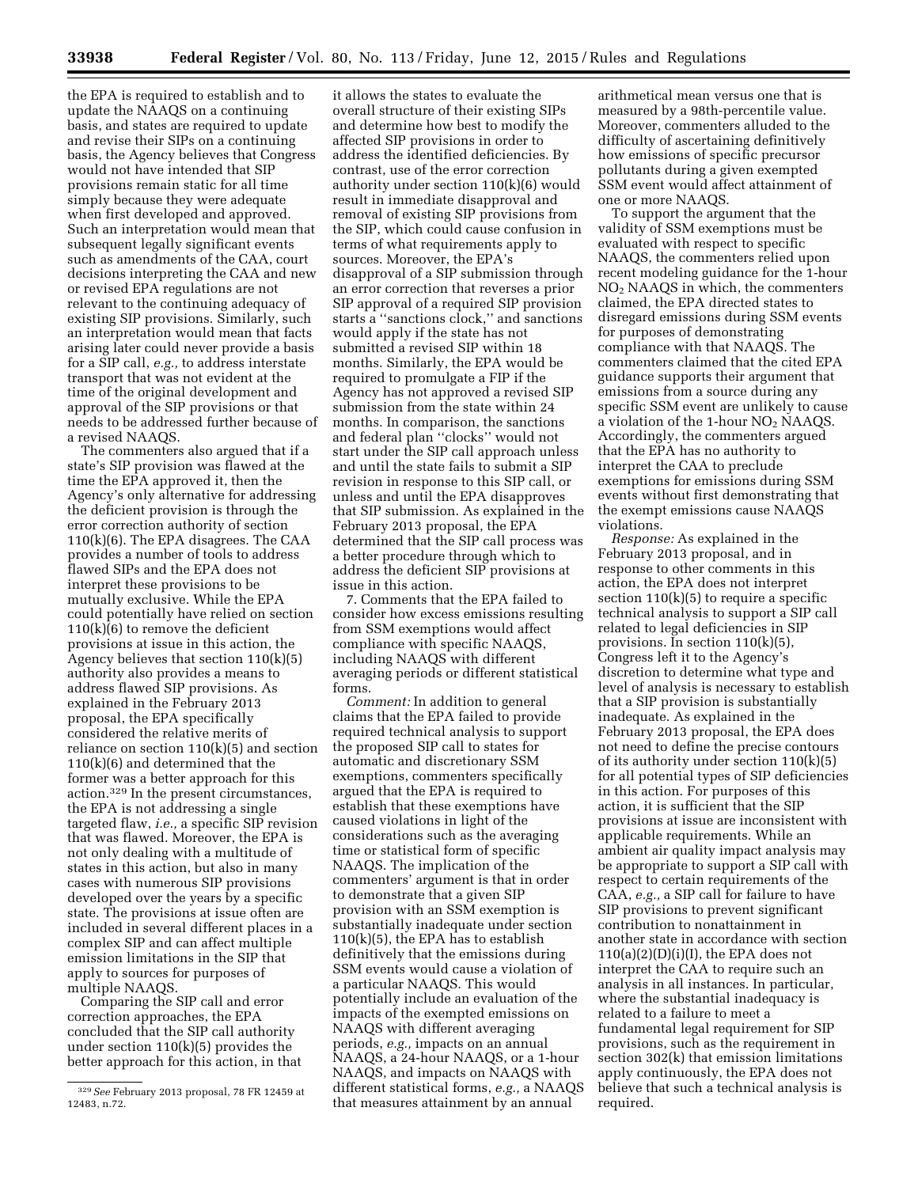the EPA is required to establish and to update the NAAQS on a continuing basis, and states are required to update and revise their SIPs on a continuing basis, the Agency believes that Congress would not have intended that SIP provisions remain static for all time simply because they were adequate when first developed and approved. Such an interpretation would mean that subsequent legally significant events such as amendments of the CAA, court decisions interpreting the CAA and new or revised EPA regulations are not relevant to the continuing adequacy of existing SIP provisions. Similarly, such an interpretation would mean that facts arising later could never provide a basis for a SIP call, *e.g.,* to address interstate transport that was not evident at the time of the original development and approval of the SIP provisions or that needs to be addressed further because of a revised NAAQS.

The commenters also argued that if a state's SIP provision was flawed at the time the EPA approved it, then the Agency's only alternative for addressing the deficient provision is through the error correction authority of section 110(k)(6). The EPA disagrees. The CAA provides a number of tools to address flawed SIPs and the EPA does not interpret these provisions to be mutually exclusive. While the EPA could potentially have relied on section 110(k)(6) to remove the deficient provisions at issue in this action, the Agency believes that section 110(k)(5) authority also provides a means to address flawed SIP provisions. As explained in the February 2013 proposal, the EPA specifically considered the relative merits of reliance on section 110(k)(5) and section 110(k)(6) and determined that the former was a better approach for this action.329 In the present circumstances, the EPA is not addressing a single targeted flaw, *i.e.,* a specific SIP revision that was flawed. Moreover, the EPA is not only dealing with a multitude of states in this action, but also in many cases with numerous SIP provisions developed over the years by a specific state. The provisions at issue often are included in several different places in a complex SIP and can affect multiple emission limitations in the SIP that apply to sources for purposes of multiple NAAQS.

Comparing the SIP call and error correction approaches, the EPA concluded that the SIP call authority under section 110(k)(5) provides the better approach for this action, in that

it allows the states to evaluate the overall structure of their existing SIPs and determine how best to modify the affected SIP provisions in order to address the identified deficiencies. By contrast, use of the error correction authority under section 110(k)(6) would result in immediate disapproval and removal of existing SIP provisions from the SIP, which could cause confusion in terms of what requirements apply to sources. Moreover, the EPA's disapproval of a SIP submission through an error correction that reverses a prior SIP approval of a required SIP provision starts a ''sanctions clock,'' and sanctions would apply if the state has not submitted a revised SIP within 18 months. Similarly, the EPA would be required to promulgate a FIP if the Agency has not approved a revised SIP submission from the state within 24 months. In comparison, the sanctions and federal plan ''clocks'' would not start under the SIP call approach unless and until the state fails to submit a SIP revision in response to this SIP call, or unless and until the EPA disapproves that SIP submission. As explained in the February 2013 proposal, the EPA determined that the SIP call process was a better procedure through which to address the deficient SIP provisions at issue in this action.

7. Comments that the EPA failed to consider how excess emissions resulting from SSM exemptions would affect compliance with specific NAAQS, including NAAQS with different averaging periods or different statistical forms.

*Comment:* In addition to general claims that the EPA failed to provide required technical analysis to support the proposed SIP call to states for automatic and discretionary SSM exemptions, commenters specifically argued that the EPA is required to establish that these exemptions have caused violations in light of the considerations such as the averaging time or statistical form of specific NAAQS. The implication of the commenters' argument is that in order to demonstrate that a given SIP provision with an SSM exemption is substantially inadequate under section 110(k)(5), the EPA has to establish definitively that the emissions during SSM events would cause a violation of a particular NAAQS. This would potentially include an evaluation of the impacts of the exempted emissions on NAAQS with different averaging periods, *e.g.,* impacts on an annual NAAQS, a 24-hour NAAQS, or a 1-hour NAAQS, and impacts on NAAQS with different statistical forms, *e.g.,* a NAAQS that measures attainment by an annual

arithmetical mean versus one that is measured by a 98th-percentile value. Moreover, commenters alluded to the difficulty of ascertaining definitively how emissions of specific precursor pollutants during a given exempted SSM event would affect attainment of one or more NAAQS.

To support the argument that the validity of SSM exemptions must be evaluated with respect to specific NAAQS, the commenters relied upon recent modeling guidance for the 1-hour NO2 NAAQS in which, the commenters claimed, the EPA directed states to disregard emissions during SSM events for purposes of demonstrating compliance with that NAAQS. The commenters claimed that the cited EPA guidance supports their argument that emissions from a source during any specific SSM event are unlikely to cause a violation of the 1-hour NO2 NAAQS. Accordingly, the commenters argued that the EPA has no authority to interpret the CAA to preclude exemptions for emissions during SSM events without first demonstrating that the exempt emissions cause NAAQS violations.

*Response:* As explained in the February 2013 proposal, and in response to other comments in this action, the EPA does not interpret section  $110(k)(5)$  to require a specific technical analysis to support a SIP call related to legal deficiencies in SIP provisions. In section 110(k)(5), Congress left it to the Agency's discretion to determine what type and level of analysis is necessary to establish that a SIP provision is substantially inadequate. As explained in the February 2013 proposal, the EPA does not need to define the precise contours of its authority under section 110(k)(5) for all potential types of SIP deficiencies in this action. For purposes of this action, it is sufficient that the SIP provisions at issue are inconsistent with applicable requirements. While an ambient air quality impact analysis may be appropriate to support a SIP call with respect to certain requirements of the CAA, *e.g.,* a SIP call for failure to have SIP provisions to prevent significant contribution to nonattainment in another state in accordance with section  $110(a)(2)(D)(i)(I)$ , the EPA does not interpret the CAA to require such an analysis in all instances. In particular, where the substantial inadequacy is related to a failure to meet a fundamental legal requirement for SIP provisions, such as the requirement in section 302(k) that emission limitations apply continuously, the EPA does not believe that such a technical analysis is required.

<sup>329</sup>*See* February 2013 proposal, 78 FR 12459 at 12483, n.72.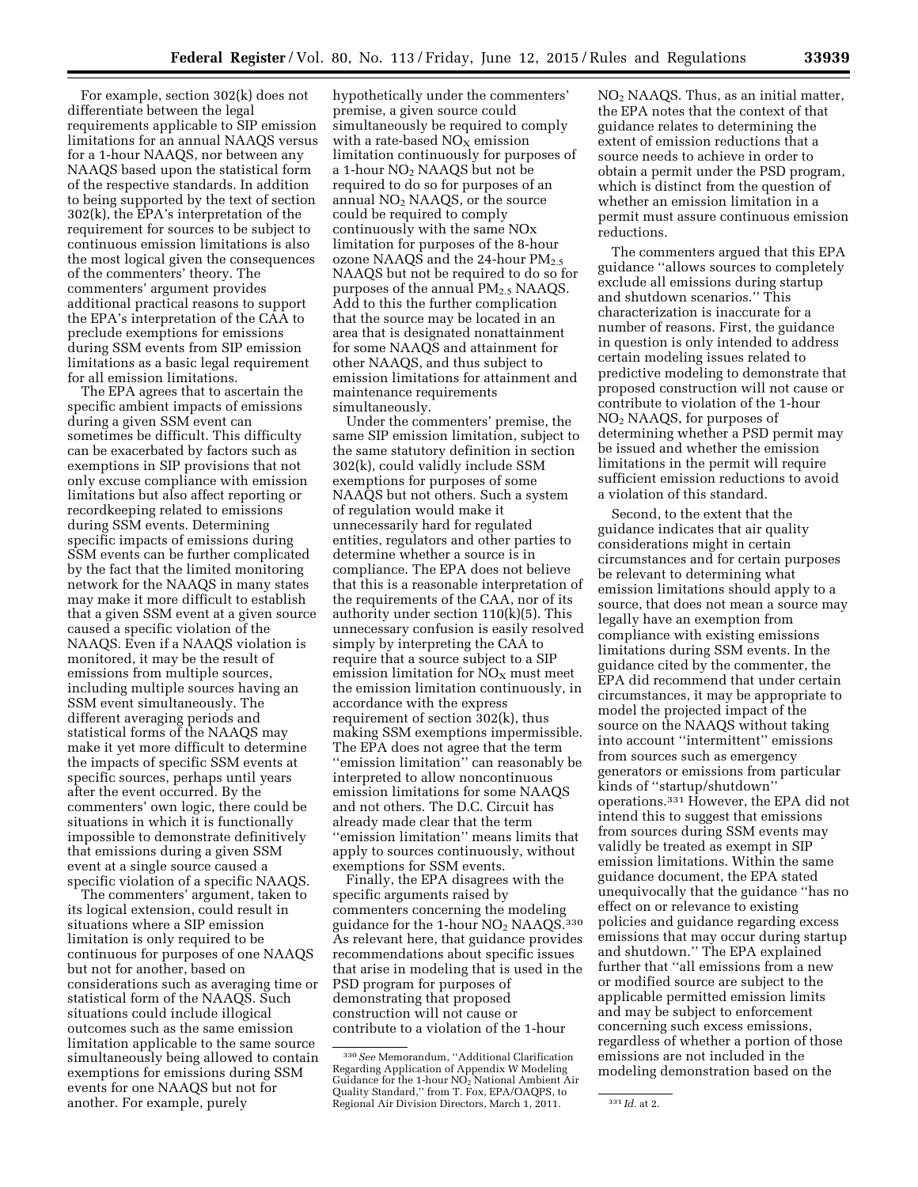For example, section 302(k) does not differentiate between the legal requirements applicable to SIP emission limitations for an annual NAAQS versus for a 1-hour NAAQS, nor between any NAAQS based upon the statistical form of the respective standards. In addition to being supported by the text of section 302(k), the EPA's interpretation of the requirement for sources to be subject to continuous emission limitations is also the most logical given the consequences of the commenters' theory. The commenters' argument provides additional practical reasons to support the EPA's interpretation of the CAA to preclude exemptions for emissions during SSM events from SIP emission limitations as a basic legal requirement for all emission limitations.

The EPA agrees that to ascertain the specific ambient impacts of emissions during a given SSM event can sometimes be difficult. This difficulty can be exacerbated by factors such as exemptions in SIP provisions that not only excuse compliance with emission limitations but also affect reporting or recordkeeping related to emissions during SSM events. Determining specific impacts of emissions during SSM events can be further complicated by the fact that the limited monitoring network for the NAAQS in many states may make it more difficult to establish that a given SSM event at a given source caused a specific violation of the NAAQS. Even if a NAAQS violation is monitored, it may be the result of emissions from multiple sources, including multiple sources having an SSM event simultaneously. The different averaging periods and statistical forms of the NAAQS may make it yet more difficult to determine the impacts of specific SSM events at specific sources, perhaps until years after the event occurred. By the commenters' own logic, there could be situations in which it is functionally impossible to demonstrate definitively that emissions during a given SSM event at a single source caused a specific violation of a specific NAAQS.

The commenters' argument, taken to its logical extension, could result in situations where a SIP emission limitation is only required to be continuous for purposes of one NAAQS but not for another, based on considerations such as averaging time or statistical form of the NAAQS. Such situations could include illogical outcomes such as the same emission limitation applicable to the same source simultaneously being allowed to contain exemptions for emissions during SSM events for one NAAQS but not for another. For example, purely

hypothetically under the commenters' premise, a given source could simultaneously be required to comply with a rate-based  $NO<sub>x</sub>$  emission limitation continuously for purposes of a 1-hour NO2 NAAQS but not be required to do so for purposes of an annual  $NO<sub>2</sub> NAAQS$ , or the source could be required to comply continuously with the same NOx limitation for purposes of the 8-hour ozone NAAQS and the 24-hour  $PM_{2.5}$ NAAQS but not be required to do so for purposes of the annual  $PM<sub>2.5</sub> NAAQS$ . Add to this the further complication that the source may be located in an area that is designated nonattainment for some NAAQS and attainment for other NAAQS, and thus subject to emission limitations for attainment and maintenance requirements simultaneously.

Under the commenters' premise, the same SIP emission limitation, subject to the same statutory definition in section 302(k), could validly include SSM exemptions for purposes of some NAAQS but not others. Such a system of regulation would make it unnecessarily hard for regulated entities, regulators and other parties to determine whether a source is in compliance. The EPA does not believe that this is a reasonable interpretation of the requirements of the CAA, nor of its authority under section 110(k)(5). This unnecessary confusion is easily resolved simply by interpreting the CAA to require that a source subject to a SIP emission limitation for  $NO<sub>x</sub>$  must meet the emission limitation continuously, in accordance with the express requirement of section 302(k), thus making SSM exemptions impermissible. The EPA does not agree that the term ''emission limitation'' can reasonably be interpreted to allow noncontinuous emission limitations for some NAAQS and not others. The D.C. Circuit has already made clear that the term ''emission limitation'' means limits that apply to sources continuously, without exemptions for SSM events.

Finally, the EPA disagrees with the specific arguments raised by commenters concerning the modeling guidance for the  $1$ -hour NO<sub>2</sub> NAAQS.<sup>330</sup> As relevant here, that guidance provides recommendations about specific issues that arise in modeling that is used in the PSD program for purposes of demonstrating that proposed construction will not cause or contribute to a violation of the 1-hour

NO2 NAAQS. Thus, as an initial matter, the EPA notes that the context of that guidance relates to determining the extent of emission reductions that a source needs to achieve in order to obtain a permit under the PSD program, which is distinct from the question of whether an emission limitation in a permit must assure continuous emission reductions.

The commenters argued that this EPA guidance ''allows sources to completely exclude all emissions during startup and shutdown scenarios.'' This characterization is inaccurate for a number of reasons. First, the guidance in question is only intended to address certain modeling issues related to predictive modeling to demonstrate that proposed construction will not cause or contribute to violation of the 1-hour NO2 NAAQS, for purposes of determining whether a PSD permit may be issued and whether the emission limitations in the permit will require sufficient emission reductions to avoid a violation of this standard.

Second, to the extent that the guidance indicates that air quality considerations might in certain circumstances and for certain purposes be relevant to determining what emission limitations should apply to a source, that does not mean a source may legally have an exemption from compliance with existing emissions limitations during SSM events. In the guidance cited by the commenter, the EPA did recommend that under certain circumstances, it may be appropriate to model the projected impact of the source on the NAAQS without taking into account ''intermittent'' emissions from sources such as emergency generators or emissions from particular kinds of ''startup/shutdown'' operations.331 However, the EPA did not intend this to suggest that emissions from sources during SSM events may validly be treated as exempt in SIP emission limitations. Within the same guidance document, the EPA stated unequivocally that the guidance ''has no effect on or relevance to existing policies and guidance regarding excess emissions that may occur during startup and shutdown.'' The EPA explained further that ''all emissions from a new or modified source are subject to the applicable permitted emission limits and may be subject to enforcement concerning such excess emissions, regardless of whether a portion of those emissions are not included in the modeling demonstration based on the

<sup>330</sup>*See* Memorandum, ''Additional Clarification Regarding Application of Appendix W Modeling Guidance for the 1-hour NO2 National Ambient Air Quality Standard,'' from T. Fox, EPA/OAQPS, to Regional Air Division Directors, March 1, 2011. <sup>331</sup> *Id.* at 2.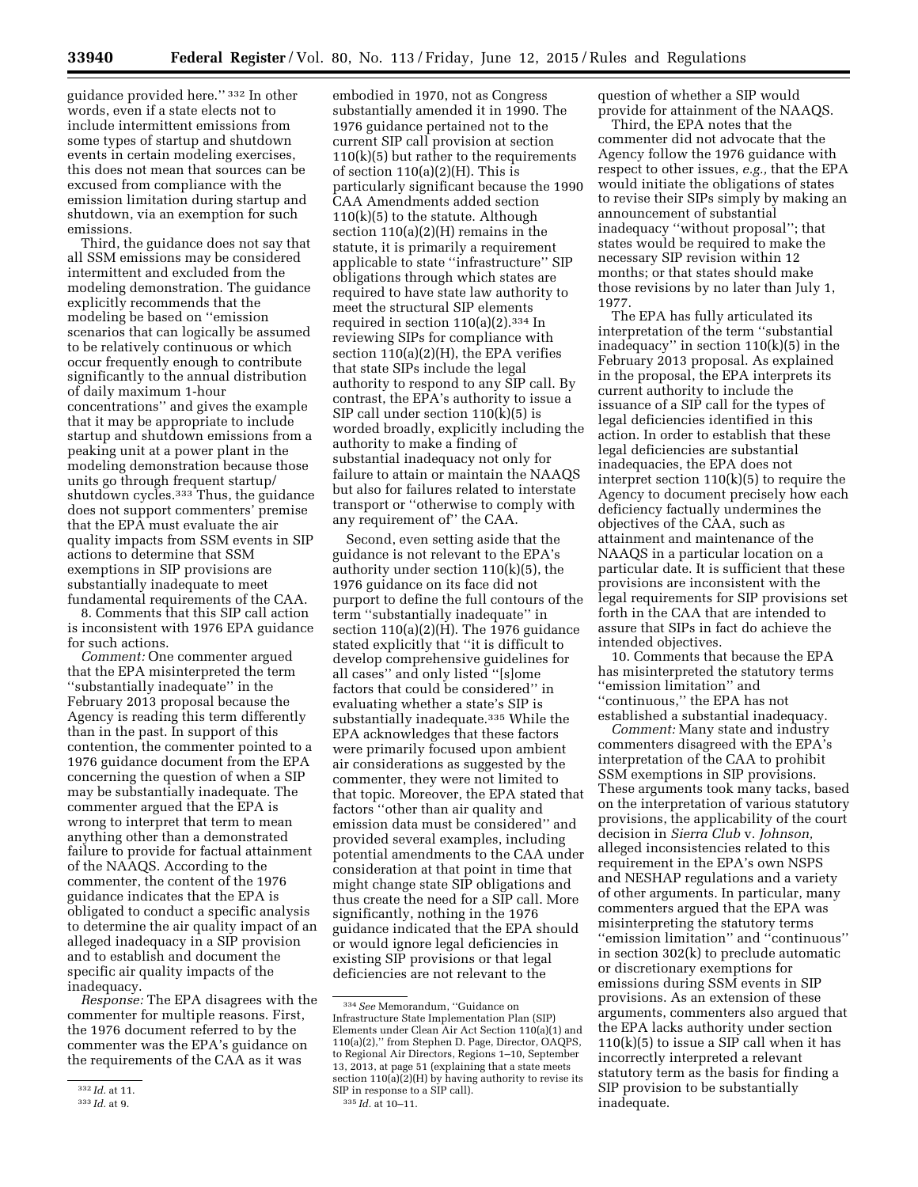guidance provided here.'' 332 In other words, even if a state elects not to include intermittent emissions from some types of startup and shutdown events in certain modeling exercises, this does not mean that sources can be excused from compliance with the emission limitation during startup and shutdown, via an exemption for such emissions.

Third, the guidance does not say that all SSM emissions may be considered intermittent and excluded from the modeling demonstration. The guidance explicitly recommends that the modeling be based on ''emission scenarios that can logically be assumed to be relatively continuous or which occur frequently enough to contribute significantly to the annual distribution of daily maximum 1-hour concentrations'' and gives the example that it may be appropriate to include startup and shutdown emissions from a peaking unit at a power plant in the modeling demonstration because those units go through frequent startup/ shutdown cycles.<sup>333</sup> Thus, the guidance does not support commenters' premise that the EPA must evaluate the air quality impacts from SSM events in SIP actions to determine that SSM exemptions in SIP provisions are substantially inadequate to meet fundamental requirements of the CAA.

8. Comments that this SIP call action is inconsistent with 1976 EPA guidance for such actions.

*Comment:* One commenter argued that the EPA misinterpreted the term ''substantially inadequate'' in the February 2013 proposal because the Agency is reading this term differently than in the past. In support of this contention, the commenter pointed to a 1976 guidance document from the EPA concerning the question of when a SIP may be substantially inadequate. The commenter argued that the EPA is wrong to interpret that term to mean anything other than a demonstrated failure to provide for factual attainment of the NAAQS. According to the commenter, the content of the 1976 guidance indicates that the EPA is obligated to conduct a specific analysis to determine the air quality impact of an alleged inadequacy in a SIP provision and to establish and document the specific air quality impacts of the inadequacy.

*Response:* The EPA disagrees with the commenter for multiple reasons. First, the 1976 document referred to by the commenter was the EPA's guidance on the requirements of the CAA as it was

embodied in 1970, not as Congress substantially amended it in 1990. The 1976 guidance pertained not to the current SIP call provision at section 110(k)(5) but rather to the requirements of section  $110(a)(2)(H)$ . This is particularly significant because the 1990 CAA Amendments added section  $110(k)(5)$  to the statute. Although section 110(a)(2)(H) remains in the statute, it is primarily a requirement applicable to state ''infrastructure'' SIP obligations through which states are required to have state law authority to meet the structural SIP elements required in section  $110(a)(2).$ <sup>334</sup> In reviewing SIPs for compliance with section 110(a)(2)(H), the EPA verifies that state SIPs include the legal authority to respond to any SIP call. By contrast, the EPA's authority to issue a SIP call under section 110(k)(5) is worded broadly, explicitly including the authority to make a finding of substantial inadequacy not only for failure to attain or maintain the NAAQS but also for failures related to interstate transport or ''otherwise to comply with any requirement of'' the CAA.

Second, even setting aside that the guidance is not relevant to the EPA's authority under section 110(k)(5), the 1976 guidance on its face did not purport to define the full contours of the term ''substantially inadequate'' in section  $110(a)(2)(H)$ . The 1976 guidance stated explicitly that ''it is difficult to develop comprehensive guidelines for all cases'' and only listed ''[s]ome factors that could be considered'' in evaluating whether a state's SIP is substantially inadequate.335 While the EPA acknowledges that these factors were primarily focused upon ambient air considerations as suggested by the commenter, they were not limited to that topic. Moreover, the EPA stated that factors ''other than air quality and emission data must be considered'' and provided several examples, including potential amendments to the CAA under consideration at that point in time that might change state SIP obligations and thus create the need for a SIP call. More significantly, nothing in the 1976 guidance indicated that the EPA should or would ignore legal deficiencies in existing SIP provisions or that legal deficiencies are not relevant to the

335 *Id.* at 10–11.

question of whether a SIP would provide for attainment of the NAAQS.

Third, the EPA notes that the commenter did not advocate that the Agency follow the 1976 guidance with respect to other issues, *e.g.,* that the EPA would initiate the obligations of states to revise their SIPs simply by making an announcement of substantial inadequacy ''without proposal''; that states would be required to make the necessary SIP revision within 12 months; or that states should make those revisions by no later than July 1, 1977.

The EPA has fully articulated its interpretation of the term ''substantial inadequacy'' in section 110(k)(5) in the February 2013 proposal. As explained in the proposal, the EPA interprets its current authority to include the issuance of a SIP call for the types of legal deficiencies identified in this action. In order to establish that these legal deficiencies are substantial inadequacies, the EPA does not interpret section 110(k)(5) to require the Agency to document precisely how each deficiency factually undermines the objectives of the CAA, such as attainment and maintenance of the NAAQS in a particular location on a particular date. It is sufficient that these provisions are inconsistent with the legal requirements for SIP provisions set forth in the CAA that are intended to assure that SIPs in fact do achieve the intended objectives.

10. Comments that because the EPA has misinterpreted the statutory terms ''emission limitation'' and ''continuous,'' the EPA has not established a substantial inadequacy.

*Comment:* Many state and industry commenters disagreed with the EPA's interpretation of the CAA to prohibit SSM exemptions in SIP provisions. These arguments took many tacks, based on the interpretation of various statutory provisions, the applicability of the court decision in *Sierra Club* v. *Johnson,*  alleged inconsistencies related to this requirement in the EPA's own NSPS and NESHAP regulations and a variety of other arguments. In particular, many commenters argued that the EPA was misinterpreting the statutory terms ''emission limitation'' and ''continuous'' in section 302(k) to preclude automatic or discretionary exemptions for emissions during SSM events in SIP provisions. As an extension of these arguments, commenters also argued that the EPA lacks authority under section  $110(k)(5)$  to issue a SIP call when it has incorrectly interpreted a relevant statutory term as the basis for finding a SIP provision to be substantially inadequate.

<sup>332</sup> *Id.* at 11.

<sup>333</sup> *Id.* at 9.

<sup>334</sup>*See* Memorandum, ''Guidance on Infrastructure State Implementation Plan (SIP) Elements under Clean Air Act Section 110(a)(1) and 110(a)(2),'' from Stephen D. Page, Director, OAQPS, to Regional Air Directors, Regions 1–10, September 13, 2013, at page 51 (explaining that a state meets section  $110(a)(2)(H)$  by having authority to revise its SIP in response to a SIP call).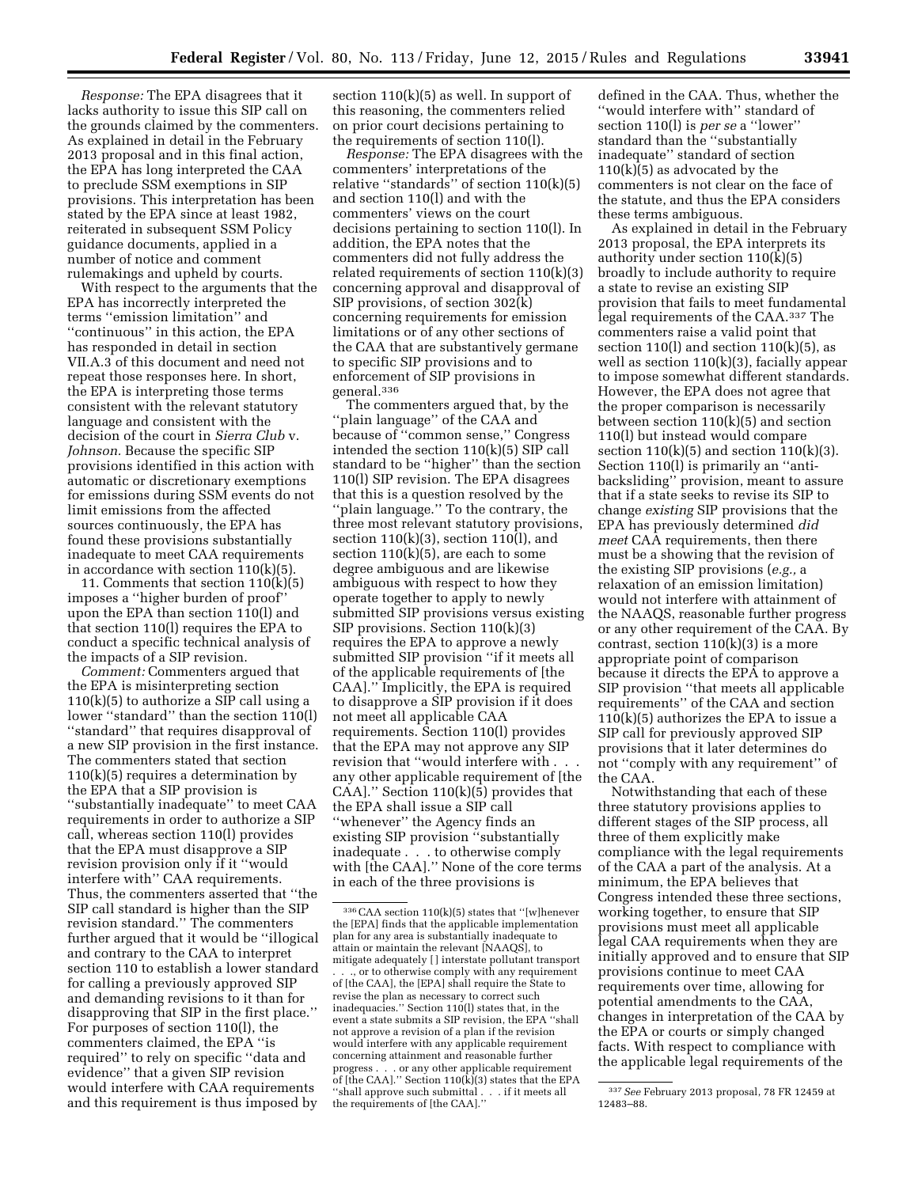*Response:* The EPA disagrees that it lacks authority to issue this SIP call on the grounds claimed by the commenters. As explained in detail in the February 2013 proposal and in this final action, the EPA has long interpreted the CAA to preclude SSM exemptions in SIP provisions. This interpretation has been stated by the EPA since at least 1982, reiterated in subsequent SSM Policy guidance documents, applied in a number of notice and comment rulemakings and upheld by courts.

With respect to the arguments that the EPA has incorrectly interpreted the terms ''emission limitation'' and ''continuous'' in this action, the EPA has responded in detail in section VII.A.3 of this document and need not repeat those responses here. In short, the EPA is interpreting those terms consistent with the relevant statutory language and consistent with the decision of the court in *Sierra Club* v. *Johnson.* Because the specific SIP provisions identified in this action with automatic or discretionary exemptions for emissions during SSM events do not limit emissions from the affected sources continuously, the EPA has found these provisions substantially inadequate to meet CAA requirements in accordance with section 110(k)(5).

11. Comments that section 110(k)(5) imposes a ''higher burden of proof'' upon the EPA than section 110(l) and that section 110(l) requires the EPA to conduct a specific technical analysis of the impacts of a SIP revision.

*Comment:* Commenters argued that the EPA is misinterpreting section 110(k)(5) to authorize a SIP call using a lower ''standard'' than the section 110(l) ''standard'' that requires disapproval of a new SIP provision in the first instance. The commenters stated that section  $110(k)(5)$  requires a determination by the EPA that a SIP provision is ''substantially inadequate'' to meet CAA requirements in order to authorize a SIP call, whereas section 110(l) provides that the EPA must disapprove a SIP revision provision only if it ''would interfere with'' CAA requirements. Thus, the commenters asserted that ''the SIP call standard is higher than the SIP revision standard.'' The commenters further argued that it would be ''illogical and contrary to the CAA to interpret section 110 to establish a lower standard for calling a previously approved SIP and demanding revisions to it than for disapproving that SIP in the first place.'' For purposes of section 110(l), the commenters claimed, the EPA ''is required'' to rely on specific ''data and evidence'' that a given SIP revision would interfere with CAA requirements and this requirement is thus imposed by

section 110(k)(5) as well. In support of this reasoning, the commenters relied on prior court decisions pertaining to the requirements of section 110(l).

*Response:* The EPA disagrees with the commenters' interpretations of the relative ''standards'' of section 110(k)(5) and section 110(l) and with the commenters' views on the court decisions pertaining to section 110(l). In addition, the EPA notes that the commenters did not fully address the related requirements of section 110(k)(3) concerning approval and disapproval of SIP provisions, of section 302(k) concerning requirements for emission limitations or of any other sections of the CAA that are substantively germane to specific SIP provisions and to enforcement of SIP provisions in general.336

The commenters argued that, by the ''plain language'' of the CAA and because of ''common sense,'' Congress intended the section 110(k)(5) SIP call standard to be ''higher'' than the section 110(l) SIP revision. The EPA disagrees that this is a question resolved by the ''plain language.'' To the contrary, the three most relevant statutory provisions, section  $110(k)(3)$ , section  $110(l)$ , and section  $110(k)(5)$ , are each to some degree ambiguous and are likewise ambiguous with respect to how they operate together to apply to newly submitted SIP provisions versus existing SIP provisions. Section 110(k)(3) requires the EPA to approve a newly submitted SIP provision ''if it meets all of the applicable requirements of [the CAA].'' Implicitly, the EPA is required to disapprove a SIP provision if it does not meet all applicable CAA requirements. Section 110(l) provides that the EPA may not approve any SIP revision that "would interfere with. any other applicable requirement of [the CAA].'' Section 110(k)(5) provides that the EPA shall issue a SIP call ''whenever'' the Agency finds an existing SIP provision ''substantially inadequate . . . to otherwise comply with [the CAA]." None of the core terms in each of the three provisions is

of [the CAA].'' Section 110(k)(3) states that the EPA ''shall approve such submittal . . . if it meets all

the requirements of [the CAA].''

defined in the CAA. Thus, whether the ''would interfere with'' standard of section 110(l) is *per se* a ''lower'' standard than the ''substantially inadequate'' standard of section  $110(k)(5)$  as advocated by the commenters is not clear on the face of the statute, and thus the EPA considers these terms ambiguous.

As explained in detail in the February 2013 proposal, the EPA interprets its authority under section 110(k)(5) broadly to include authority to require a state to revise an existing SIP provision that fails to meet fundamental legal requirements of the CAA.337 The commenters raise a valid point that section 110(l) and section  $110(k)(5)$ , as well as section  $110(k)(3)$ , facially appear to impose somewhat different standards. However, the EPA does not agree that the proper comparison is necessarily between section 110(k)(5) and section 110(l) but instead would compare section  $110(k)(5)$  and section  $110(k)(3)$ . Section 110(l) is primarily an ''antibacksliding'' provision, meant to assure that if a state seeks to revise its SIP to change *existing* SIP provisions that the EPA has previously determined *did meet* CAA requirements, then there must be a showing that the revision of the existing SIP provisions (*e.g.,* a relaxation of an emission limitation) would not interfere with attainment of the NAAQS, reasonable further progress or any other requirement of the CAA. By contrast, section  $110(k)(3)$  is a more appropriate point of comparison because it directs the EPA to approve a SIP provision ''that meets all applicable requirements'' of the CAA and section 110(k)(5) authorizes the EPA to issue a SIP call for previously approved SIP provisions that it later determines do not ''comply with any requirement'' of the CAA.

Notwithstanding that each of these three statutory provisions applies to different stages of the SIP process, all three of them explicitly make compliance with the legal requirements of the CAA a part of the analysis. At a minimum, the EPA believes that Congress intended these three sections, working together, to ensure that SIP provisions must meet all applicable legal CAA requirements when they are initially approved and to ensure that SIP provisions continue to meet CAA requirements over time, allowing for potential amendments to the CAA, changes in interpretation of the CAA by the EPA or courts or simply changed facts. With respect to compliance with the applicable legal requirements of the

 $^{336}\rm{CAA}$  section 110(k)(5) states that ''[w]henever the [EPA] finds that the applicable implementation plan for any area is substantially inadequate to attain or maintain the relevant [NAAQS], to mitigate adequately [ ] interstate pollutant transport ., or to otherwise comply with any requirement of [the CAA], the [EPA] shall require the State to revise the plan as necessary to correct such inadequacies.'' Section 110(l) states that, in the event a state submits a SIP revision, the EPA ''shall not approve a revision of a plan if the revision would interfere with any applicable requirement concerning attainment and reasonable further progress . . . or any other applicable requirement

<sup>337</sup>*See* February 2013 proposal, 78 FR 12459 at 12483–88.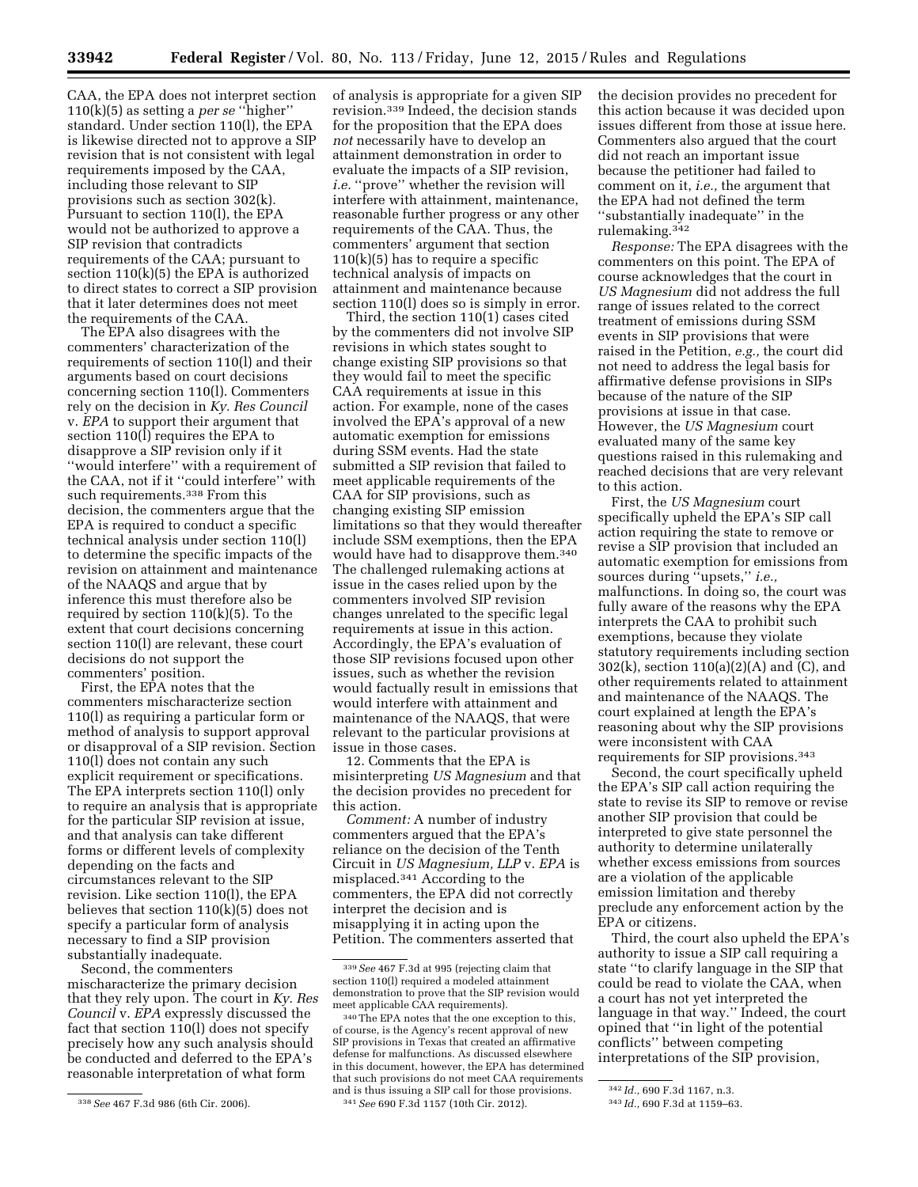CAA, the EPA does not interpret section 110(k)(5) as setting a *per se* ''higher'' standard. Under section 110(l), the EPA is likewise directed not to approve a SIP revision that is not consistent with legal requirements imposed by the CAA, including those relevant to SIP provisions such as section 302(k). Pursuant to section 110(l), the EPA would not be authorized to approve a SIP revision that contradicts requirements of the CAA; pursuant to section 110(k)(5) the EPA is authorized to direct states to correct a SIP provision that it later determines does not meet the requirements of the CAA.

The EPA also disagrees with the commenters' characterization of the requirements of section 110(l) and their arguments based on court decisions concerning section 110(l). Commenters rely on the decision in *Ky. Res Council*  v. *EPA* to support their argument that section 110(l) requires the EPA to disapprove a SIP revision only if it ''would interfere'' with a requirement of the CAA, not if it ''could interfere'' with such requirements.<sup>338</sup> From this decision, the commenters argue that the EPA is required to conduct a specific technical analysis under section 110(l) to determine the specific impacts of the revision on attainment and maintenance of the NAAQS and argue that by inference this must therefore also be required by section 110(k)(5). To the extent that court decisions concerning section 110(l) are relevant, these court decisions do not support the commenters' position.

First, the EPA notes that the commenters mischaracterize section 110(l) as requiring a particular form or method of analysis to support approval or disapproval of a SIP revision. Section 110(l) does not contain any such explicit requirement or specifications. The EPA interprets section 110(l) only to require an analysis that is appropriate for the particular SIP revision at issue, and that analysis can take different forms or different levels of complexity depending on the facts and circumstances relevant to the SIP revision. Like section 110(l), the EPA believes that section 110(k)(5) does not specify a particular form of analysis necessary to find a SIP provision substantially inadequate.

Second, the commenters mischaracterize the primary decision that they rely upon. The court in *Ky. Res Council* v. *EPA* expressly discussed the fact that section 110(l) does not specify precisely how any such analysis should be conducted and deferred to the EPA's reasonable interpretation of what form

of analysis is appropriate for a given SIP revision.339 Indeed, the decision stands for the proposition that the EPA does *not* necessarily have to develop an attainment demonstration in order to evaluate the impacts of a SIP revision, *i.e.* "prove" whether the revision will interfere with attainment, maintenance, reasonable further progress or any other requirements of the CAA. Thus, the commenters' argument that section 110(k)(5) has to require a specific technical analysis of impacts on attainment and maintenance because section 110(l) does so is simply in error.

Third, the section 110(1) cases cited by the commenters did not involve SIP revisions in which states sought to change existing SIP provisions so that they would fail to meet the specific CAA requirements at issue in this action. For example, none of the cases involved the EPA's approval of a new automatic exemption for emissions during SSM events. Had the state submitted a SIP revision that failed to meet applicable requirements of the CAA for SIP provisions, such as changing existing SIP emission limitations so that they would thereafter include SSM exemptions, then the EPA would have had to disapprove them.340 The challenged rulemaking actions at issue in the cases relied upon by the commenters involved SIP revision changes unrelated to the specific legal requirements at issue in this action. Accordingly, the EPA's evaluation of those SIP revisions focused upon other issues, such as whether the revision would factually result in emissions that would interfere with attainment and maintenance of the NAAQS, that were relevant to the particular provisions at issue in those cases.

12. Comments that the EPA is misinterpreting *US Magnesium* and that the decision provides no precedent for this action.

*Comment:* A number of industry commenters argued that the EPA's reliance on the decision of the Tenth Circuit in *US Magnesium, LLP* v. *EPA* is misplaced.341 According to the commenters, the EPA did not correctly interpret the decision and is misapplying it in acting upon the Petition. The commenters asserted that

the decision provides no precedent for this action because it was decided upon issues different from those at issue here. Commenters also argued that the court did not reach an important issue because the petitioner had failed to comment on it, *i.e.,* the argument that the EPA had not defined the term ''substantially inadequate'' in the rulemaking.342

*Response:* The EPA disagrees with the commenters on this point. The EPA of course acknowledges that the court in *US Magnesium* did not address the full range of issues related to the correct treatment of emissions during SSM events in SIP provisions that were raised in the Petition, *e.g.,* the court did not need to address the legal basis for affirmative defense provisions in SIPs because of the nature of the SIP provisions at issue in that case. However, the *US Magnesium* court evaluated many of the same key questions raised in this rulemaking and reached decisions that are very relevant to this action.

First, the *US Magnesium* court specifically upheld the EPA's SIP call action requiring the state to remove or revise a SIP provision that included an automatic exemption for emissions from sources during ''upsets,'' *i.e.,*  malfunctions. In doing so, the court was fully aware of the reasons why the EPA interprets the CAA to prohibit such exemptions, because they violate statutory requirements including section 302(k), section 110(a)(2)(A) and (C), and other requirements related to attainment and maintenance of the NAAQS. The court explained at length the EPA's reasoning about why the SIP provisions were inconsistent with CAA requirements for SIP provisions.343

Second, the court specifically upheld the EPA's SIP call action requiring the state to revise its SIP to remove or revise another SIP provision that could be interpreted to give state personnel the authority to determine unilaterally whether excess emissions from sources are a violation of the applicable emission limitation and thereby preclude any enforcement action by the EPA or citizens.

Third, the court also upheld the EPA's authority to issue a SIP call requiring a state ''to clarify language in the SIP that could be read to violate the CAA, when a court has not yet interpreted the language in that way.'' Indeed, the court opined that ''in light of the potential conflicts'' between competing interpretations of the SIP provision,

<sup>338</sup>*See* 467 F.3d 986 (6th Cir. 2006).

<sup>339</sup>*See* 467 F.3d at 995 (rejecting claim that section 110(l) required a modeled attainment demonstration to prove that the SIP revision would meet applicable CAA requirements).

<sup>340</sup>The EPA notes that the one exception to this, of course, is the Agency's recent approval of new SIP provisions in Texas that created an affirmative defense for malfunctions. As discussed elsewhere in this document, however, the EPA has determined that such provisions do not meet CAA requirements and is thus issuing a SIP call for those provisions. 341*See* 690 F.3d 1157 (10th Cir. 2012).

<sup>342</sup> *Id.,* 690 F.3d 1167, n.3.

<sup>343</sup> *Id.,* 690 F.3d at 1159–63.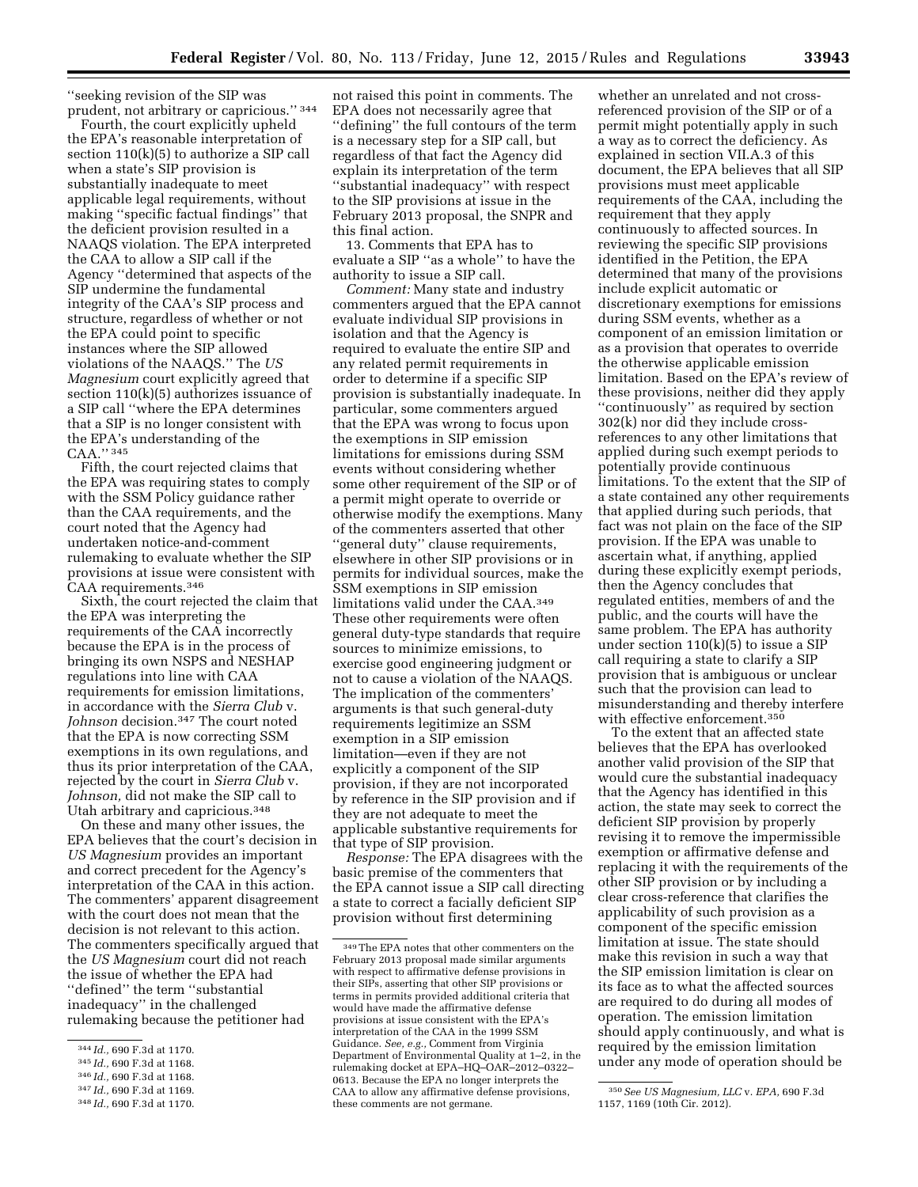''seeking revision of the SIP was prudent, not arbitrary or capricious.'' 344

Fourth, the court explicitly upheld the EPA's reasonable interpretation of section 110(k)(5) to authorize a SIP call when a state's SIP provision is substantially inadequate to meet applicable legal requirements, without making ''specific factual findings'' that the deficient provision resulted in a NAAQS violation. The EPA interpreted the CAA to allow a SIP call if the Agency ''determined that aspects of the SIP undermine the fundamental integrity of the CAA's SIP process and structure, regardless of whether or not the EPA could point to specific instances where the SIP allowed violations of the NAAQS.'' The *US Magnesium* court explicitly agreed that section 110(k)(5) authorizes issuance of a SIP call ''where the EPA determines that a SIP is no longer consistent with the EPA's understanding of the CAA.'' 345

Fifth, the court rejected claims that the EPA was requiring states to comply with the SSM Policy guidance rather than the CAA requirements, and the court noted that the Agency had undertaken notice-and-comment rulemaking to evaluate whether the SIP provisions at issue were consistent with CAA requirements.346

Sixth, the court rejected the claim that the EPA was interpreting the requirements of the CAA incorrectly because the EPA is in the process of bringing its own NSPS and NESHAP regulations into line with CAA requirements for emission limitations, in accordance with the *Sierra Club* v. *Johnson* decision.347 The court noted that the EPA is now correcting SSM exemptions in its own regulations, and thus its prior interpretation of the CAA, rejected by the court in *Sierra Club* v. *Johnson,* did not make the SIP call to Utah arbitrary and capricious.348

On these and many other issues, the EPA believes that the court's decision in *US Magnesium* provides an important and correct precedent for the Agency's interpretation of the CAA in this action. The commenters' apparent disagreement with the court does not mean that the decision is not relevant to this action. The commenters specifically argued that the *US Magnesium* court did not reach the issue of whether the EPA had ''defined'' the term ''substantial inadequacy'' in the challenged rulemaking because the petitioner had

- 345 *Id.,* 690 F.3d at 1168.
- 346 *Id.,* 690 F.3d at 1168.

not raised this point in comments. The EPA does not necessarily agree that ''defining'' the full contours of the term is a necessary step for a SIP call, but regardless of that fact the Agency did explain its interpretation of the term ''substantial inadequacy'' with respect to the SIP provisions at issue in the February 2013 proposal, the SNPR and this final action.

13. Comments that EPA has to evaluate a SIP ''as a whole'' to have the authority to issue a SIP call.

*Comment:* Many state and industry commenters argued that the EPA cannot evaluate individual SIP provisions in isolation and that the Agency is required to evaluate the entire SIP and any related permit requirements in order to determine if a specific SIP provision is substantially inadequate. In particular, some commenters argued that the EPA was wrong to focus upon the exemptions in SIP emission limitations for emissions during SSM events without considering whether some other requirement of the SIP or of a permit might operate to override or otherwise modify the exemptions. Many of the commenters asserted that other ''general duty'' clause requirements, elsewhere in other SIP provisions or in permits for individual sources, make the SSM exemptions in SIP emission limitations valid under the CAA.349 These other requirements were often general duty-type standards that require sources to minimize emissions, to exercise good engineering judgment or not to cause a violation of the NAAQS. The implication of the commenters' arguments is that such general-duty requirements legitimize an SSM exemption in a SIP emission limitation—even if they are not explicitly a component of the SIP provision, if they are not incorporated by reference in the SIP provision and if they are not adequate to meet the applicable substantive requirements for that type of SIP provision.

*Response:* The EPA disagrees with the basic premise of the commenters that the EPA cannot issue a SIP call directing a state to correct a facially deficient SIP provision without first determining

whether an unrelated and not crossreferenced provision of the SIP or of a permit might potentially apply in such a way as to correct the deficiency. As explained in section VII.A.3 of this document, the EPA believes that all SIP provisions must meet applicable requirements of the CAA, including the requirement that they apply continuously to affected sources. In reviewing the specific SIP provisions identified in the Petition, the EPA determined that many of the provisions include explicit automatic or discretionary exemptions for emissions during SSM events, whether as a component of an emission limitation or as a provision that operates to override the otherwise applicable emission limitation. Based on the EPA's review of these provisions, neither did they apply ''continuously'' as required by section 302(k) nor did they include crossreferences to any other limitations that applied during such exempt periods to potentially provide continuous limitations. To the extent that the SIP of a state contained any other requirements that applied during such periods, that fact was not plain on the face of the SIP provision. If the EPA was unable to ascertain what, if anything, applied during these explicitly exempt periods, then the Agency concludes that regulated entities, members of and the public, and the courts will have the same problem. The EPA has authority under section  $110(k)(5)$  to issue a SIP call requiring a state to clarify a SIP provision that is ambiguous or unclear such that the provision can lead to misunderstanding and thereby interfere with effective enforcement.350

To the extent that an affected state believes that the EPA has overlooked another valid provision of the SIP that would cure the substantial inadequacy that the Agency has identified in this action, the state may seek to correct the deficient SIP provision by properly revising it to remove the impermissible exemption or affirmative defense and replacing it with the requirements of the other SIP provision or by including a clear cross-reference that clarifies the applicability of such provision as a component of the specific emission limitation at issue. The state should make this revision in such a way that the SIP emission limitation is clear on its face as to what the affected sources are required to do during all modes of operation. The emission limitation should apply continuously, and what is required by the emission limitation under any mode of operation should be

<sup>344</sup> *Id.,* 690 F.3d at 1170.

<sup>347</sup> *Id.,* 690 F.3d at 1169.

<sup>348</sup> *Id.,* 690 F.3d at 1170.

<sup>349</sup>The EPA notes that other commenters on the February 2013 proposal made similar arguments with respect to affirmative defense provisions in their SIPs, asserting that other SIP provisions or terms in permits provided additional criteria that would have made the affirmative defense provisions at issue consistent with the EPA's interpretation of the CAA in the 1999 SSM Guidance. *See, e.g.,* Comment from Virginia Department of Environmental Quality at 1–2, in the rulemaking docket at EPA–HQ–OAR–2012–0322– 0613. Because the EPA no longer interprets the CAA to allow any affirmative defense provisions, these comments are not germane.

<sup>350</sup>*See US Magnesium, LLC* v. *EPA,* 690 F.3d 1157, 1169 (10th Cir. 2012).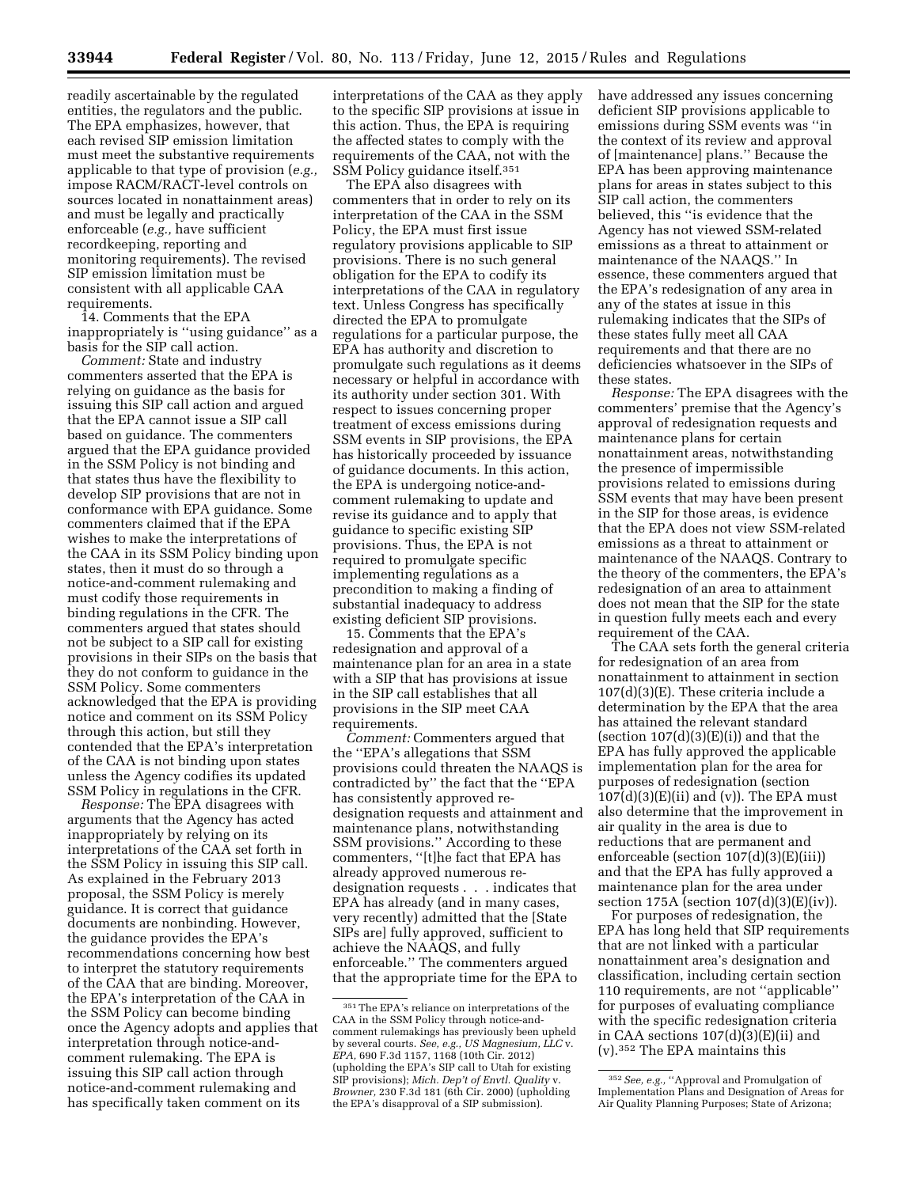readily ascertainable by the regulated entities, the regulators and the public. The EPA emphasizes, however, that each revised SIP emission limitation must meet the substantive requirements applicable to that type of provision (*e.g.,*  impose RACM/RACT-level controls on sources located in nonattainment areas) and must be legally and practically enforceable (*e.g.,* have sufficient recordkeeping, reporting and monitoring requirements). The revised SIP emission limitation must be consistent with all applicable CAA requirements.

14. Comments that the EPA inappropriately is ''using guidance'' as a basis for the SIP call action.

*Comment:* State and industry commenters asserted that the EPA is relying on guidance as the basis for issuing this SIP call action and argued that the EPA cannot issue a SIP call based on guidance. The commenters argued that the EPA guidance provided in the SSM Policy is not binding and that states thus have the flexibility to develop SIP provisions that are not in conformance with EPA guidance. Some commenters claimed that if the EPA wishes to make the interpretations of the CAA in its SSM Policy binding upon states, then it must do so through a notice-and-comment rulemaking and must codify those requirements in binding regulations in the CFR. The commenters argued that states should not be subject to a SIP call for existing provisions in their SIPs on the basis that they do not conform to guidance in the SSM Policy. Some commenters acknowledged that the EPA is providing notice and comment on its SSM Policy through this action, but still they contended that the EPA's interpretation of the CAA is not binding upon states unless the Agency codifies its updated SSM Policy in regulations in the CFR.

*Response:* The EPA disagrees with arguments that the Agency has acted inappropriately by relying on its interpretations of the CAA set forth in the SSM Policy in issuing this SIP call. As explained in the February 2013 proposal, the SSM Policy is merely guidance. It is correct that guidance documents are nonbinding. However, the guidance provides the EPA's recommendations concerning how best to interpret the statutory requirements of the CAA that are binding. Moreover, the EPA's interpretation of the CAA in the SSM Policy can become binding once the Agency adopts and applies that interpretation through notice-andcomment rulemaking. The EPA is issuing this SIP call action through notice-and-comment rulemaking and has specifically taken comment on its

interpretations of the CAA as they apply to the specific SIP provisions at issue in this action. Thus, the EPA is requiring the affected states to comply with the requirements of the CAA, not with the SSM Policy guidance itself.351

The EPA also disagrees with commenters that in order to rely on its interpretation of the CAA in the SSM Policy, the EPA must first issue regulatory provisions applicable to SIP provisions. There is no such general obligation for the EPA to codify its interpretations of the CAA in regulatory text. Unless Congress has specifically directed the EPA to promulgate regulations for a particular purpose, the EPA has authority and discretion to promulgate such regulations as it deems necessary or helpful in accordance with its authority under section 301. With respect to issues concerning proper treatment of excess emissions during SSM events in SIP provisions, the EPA has historically proceeded by issuance of guidance documents. In this action, the EPA is undergoing notice-andcomment rulemaking to update and revise its guidance and to apply that guidance to specific existing SIP provisions. Thus, the EPA is not required to promulgate specific implementing regulations as a precondition to making a finding of substantial inadequacy to address existing deficient SIP provisions.

15. Comments that the EPA's redesignation and approval of a maintenance plan for an area in a state with a SIP that has provisions at issue in the SIP call establishes that all provisions in the SIP meet CAA requirements.

*Comment:* Commenters argued that the ''EPA's allegations that SSM provisions could threaten the NAAQS is contradicted by'' the fact that the ''EPA has consistently approved redesignation requests and attainment and maintenance plans, notwithstanding SSM provisions.'' According to these commenters, ''[t]he fact that EPA has already approved numerous redesignation requests . . . indicates that EPA has already (and in many cases, very recently) admitted that the [State SIPs are] fully approved, sufficient to achieve the NAAQS, and fully enforceable.'' The commenters argued that the appropriate time for the EPA to

have addressed any issues concerning deficient SIP provisions applicable to emissions during SSM events was ''in the context of its review and approval of [maintenance] plans.'' Because the EPA has been approving maintenance plans for areas in states subject to this SIP call action, the commenters believed, this ''is evidence that the Agency has not viewed SSM-related emissions as a threat to attainment or maintenance of the NAAQS.'' In essence, these commenters argued that the EPA's redesignation of any area in any of the states at issue in this rulemaking indicates that the SIPs of these states fully meet all CAA requirements and that there are no deficiencies whatsoever in the SIPs of these states.

*Response:* The EPA disagrees with the commenters' premise that the Agency's approval of redesignation requests and maintenance plans for certain nonattainment areas, notwithstanding the presence of impermissible provisions related to emissions during SSM events that may have been present in the SIP for those areas, is evidence that the EPA does not view SSM-related emissions as a threat to attainment or maintenance of the NAAQS. Contrary to the theory of the commenters, the EPA's redesignation of an area to attainment does not mean that the SIP for the state in question fully meets each and every requirement of the CAA.

The CAA sets forth the general criteria for redesignation of an area from nonattainment to attainment in section 107(d)(3)(E). These criteria include a determination by the EPA that the area has attained the relevant standard (section  $107(d)(3)(E(i))$  and that the EPA has fully approved the applicable implementation plan for the area for purposes of redesignation (section  $107(d)(3)(E)(ii)$  and (v)). The EPA must also determine that the improvement in air quality in the area is due to reductions that are permanent and enforceable (section 107(d)(3)(E)(iii)) and that the EPA has fully approved a maintenance plan for the area under section  $175A$  (section  $107(d)(3)(E)(iv)$ ).

For purposes of redesignation, the EPA has long held that SIP requirements that are not linked with a particular nonattainment area's designation and classification, including certain section 110 requirements, are not ''applicable'' for purposes of evaluating compliance with the specific redesignation criteria in CAA sections 107(d)(3)(E)(ii) and (v).352 The EPA maintains this

<sup>351</sup>The EPA's reliance on interpretations of the CAA in the SSM Policy through notice-andcomment rulemakings has previously been upheld by several courts. *See, e.g., US Magnesium, LLC* v. *EPA,* 690 F.3d 1157, 1168 (10th Cir. 2012) (upholding the EPA's SIP call to Utah for existing SIP provisions); *Mich. Dep't of Envtl. Quality* v. *Browner,* 230 F.3d 181 (6th Cir. 2000) (upholding the EPA's disapproval of a SIP submission).

<sup>352</sup>*See, e.g.,* ''Approval and Promulgation of Implementation Plans and Designation of Areas for Air Quality Planning Purposes; State of Arizona;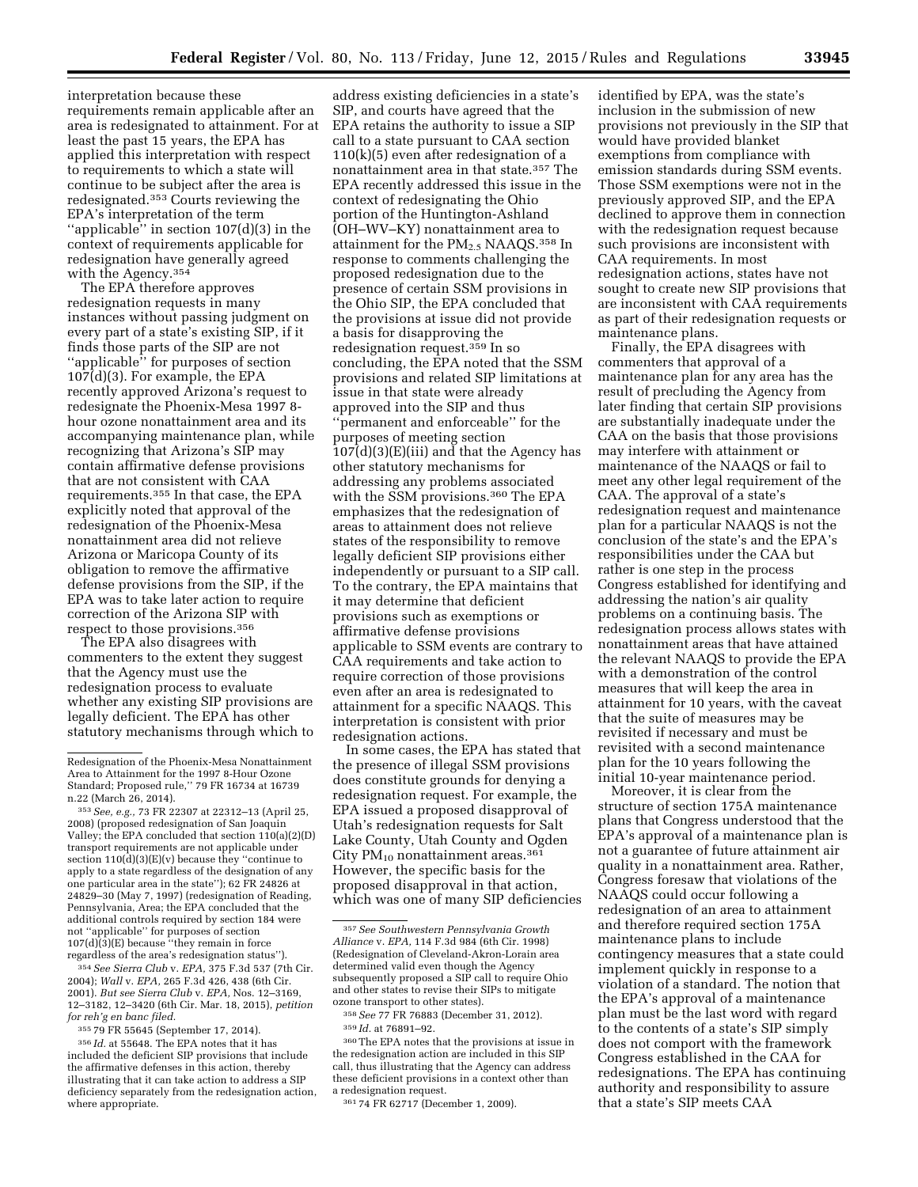interpretation because these requirements remain applicable after an area is redesignated to attainment. For at least the past 15 years, the EPA has applied this interpretation with respect to requirements to which a state will continue to be subject after the area is redesignated.353 Courts reviewing the EPA's interpretation of the term ''applicable'' in section 107(d)(3) in the context of requirements applicable for redesignation have generally agreed with the Agency.354

The EPA therefore approves redesignation requests in many instances without passing judgment on every part of a state's existing SIP, if it finds those parts of the SIP are not ''applicable'' for purposes of section 107(d)(3). For example, the EPA recently approved Arizona's request to redesignate the Phoenix-Mesa 1997 8 hour ozone nonattainment area and its accompanying maintenance plan, while recognizing that Arizona's SIP may contain affirmative defense provisions that are not consistent with CAA requirements.355 In that case, the EPA explicitly noted that approval of the redesignation of the Phoenix-Mesa nonattainment area did not relieve Arizona or Maricopa County of its obligation to remove the affirmative defense provisions from the SIP, if the EPA was to take later action to require correction of the Arizona SIP with respect to those provisions.356

The EPA also disagrees with commenters to the extent they suggest that the Agency must use the redesignation process to evaluate whether any existing SIP provisions are legally deficient. The EPA has other statutory mechanisms through which to

354*See Sierra Club* v. *EPA,* 375 F.3d 537 (7th Cir. 2004); *Wall* v. *EPA,* 265 F.3d 426, 438 (6th Cir. 2001). *But see Sierra Club* v. *EPA,* Nos. 12–3169, 12–3182, 12–3420 (6th Cir. Mar. 18, 2015), *petition for reh'g en banc filed.* 

355 79 FR 55645 (September 17, 2014).

356 *Id.* at 55648. The EPA notes that it has included the deficient SIP provisions that include the affirmative defenses in this action, thereby illustrating that it can take action to address a SIP deficiency separately from the redesignation action, where appropriate.

address existing deficiencies in a state's SIP, and courts have agreed that the EPA retains the authority to issue a SIP call to a state pursuant to CAA section 110(k)(5) even after redesignation of a nonattainment area in that state.357 The EPA recently addressed this issue in the context of redesignating the Ohio portion of the Huntington-Ashland (OH–WV–KY) nonattainment area to attainment for the PM2.5 NAAQS.358 In response to comments challenging the proposed redesignation due to the presence of certain SSM provisions in the Ohio SIP, the EPA concluded that the provisions at issue did not provide a basis for disapproving the redesignation request.359 In so concluding, the EPA noted that the SSM provisions and related SIP limitations at issue in that state were already approved into the SIP and thus ''permanent and enforceable'' for the purposes of meeting section  $107(d)(3)(E)(iii)$  and that the Agency has other statutory mechanisms for addressing any problems associated with the SSM provisions.360 The EPA emphasizes that the redesignation of areas to attainment does not relieve states of the responsibility to remove legally deficient SIP provisions either independently or pursuant to a SIP call. To the contrary, the EPA maintains that it may determine that deficient provisions such as exemptions or affirmative defense provisions applicable to SSM events are contrary to CAA requirements and take action to require correction of those provisions even after an area is redesignated to attainment for a specific NAAQS. This interpretation is consistent with prior redesignation actions.

In some cases, the EPA has stated that the presence of illegal SSM provisions does constitute grounds for denying a redesignation request. For example, the EPA issued a proposed disapproval of Utah's redesignation requests for Salt Lake County, Utah County and Ogden City  $PM_{10}$  nonattainment areas.<sup>361</sup> However, the specific basis for the proposed disapproval in that action, which was one of many SIP deficiencies

358*See* 77 FR 76883 (December 31, 2012).

360The EPA notes that the provisions at issue in the redesignation action are included in this SIP call, thus illustrating that the Agency can address these deficient provisions in a context other than a redesignation request.

361 74 FR 62717 (December 1, 2009).

identified by EPA, was the state's inclusion in the submission of new provisions not previously in the SIP that would have provided blanket exemptions from compliance with emission standards during SSM events. Those SSM exemptions were not in the previously approved SIP, and the EPA declined to approve them in connection with the redesignation request because such provisions are inconsistent with CAA requirements. In most redesignation actions, states have not sought to create new SIP provisions that are inconsistent with CAA requirements as part of their redesignation requests or maintenance plans.

Finally, the EPA disagrees with commenters that approval of a maintenance plan for any area has the result of precluding the Agency from later finding that certain SIP provisions are substantially inadequate under the CAA on the basis that those provisions may interfere with attainment or maintenance of the NAAQS or fail to meet any other legal requirement of the CAA. The approval of a state's redesignation request and maintenance plan for a particular NAAQS is not the conclusion of the state's and the EPA's responsibilities under the CAA but rather is one step in the process Congress established for identifying and addressing the nation's air quality problems on a continuing basis. The redesignation process allows states with nonattainment areas that have attained the relevant NAAQS to provide the EPA with a demonstration of the control measures that will keep the area in attainment for 10 years, with the caveat that the suite of measures may be revisited if necessary and must be revisited with a second maintenance plan for the 10 years following the initial 10-year maintenance period.

Moreover, it is clear from the structure of section 175A maintenance plans that Congress understood that the EPA's approval of a maintenance plan is not a guarantee of future attainment air quality in a nonattainment area. Rather, Congress foresaw that violations of the NAAQS could occur following a redesignation of an area to attainment and therefore required section 175A maintenance plans to include contingency measures that a state could implement quickly in response to a violation of a standard. The notion that the EPA's approval of a maintenance plan must be the last word with regard to the contents of a state's SIP simply does not comport with the framework Congress established in the CAA for redesignations. The EPA has continuing authority and responsibility to assure that a state's SIP meets CAA

Redesignation of the Phoenix-Mesa Nonattainment Area to Attainment for the 1997 8-Hour Ozone Standard; Proposed rule,'' 79 FR 16734 at 16739 n.22 (March 26, 2014).

<sup>353</sup>*See, e.g.,* 73 FR 22307 at 22312–13 (April 25, 2008) (proposed redesignation of San Joaquin Valley; the EPA concluded that section 110(a)(2)(D) transport requirements are not applicable under section 110(d)(3)(E)(v) because they ''continue to apply to a state regardless of the designation of any one particular area in the state''); 62 FR 24826 at 24829–30 (May 7, 1997) (redesignation of Reading, Pennsylvania, Area; the EPA concluded that the additional controls required by section 184 were not ''applicable'' for purposes of section 107(d)(3)(E) because ''they remain in force regardless of the area's redesignation status'').

<sup>357</sup>*See Southwestern Pennsylvania Growth Alliance* v. *EPA,* 114 F.3d 984 (6th Cir. 1998) (Redesignation of Cleveland-Akron-Lorain area determined valid even though the Agency subsequently proposed a SIP call to require Ohio and other states to revise their SIPs to mitigate ozone transport to other states).

<sup>359</sup> *Id.* at 76891–92.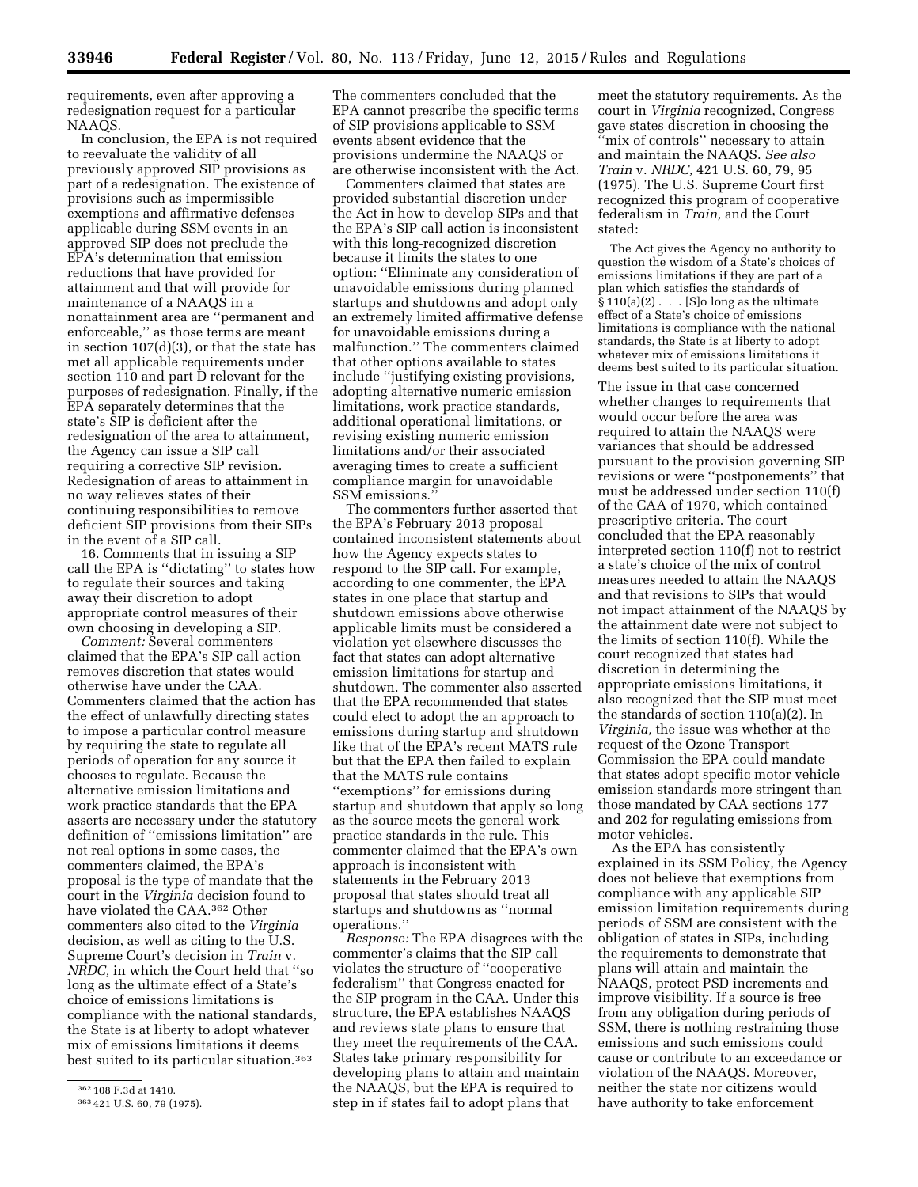requirements, even after approving a redesignation request for a particular NAAQS.

In conclusion, the EPA is not required to reevaluate the validity of all previously approved SIP provisions as part of a redesignation. The existence of provisions such as impermissible exemptions and affirmative defenses applicable during SSM events in an approved SIP does not preclude the EPA's determination that emission reductions that have provided for attainment and that will provide for maintenance of a NAAQS in a nonattainment area are ''permanent and enforceable,'' as those terms are meant in section 107(d)(3), or that the state has met all applicable requirements under section 110 and part  $\bar{D}$  relevant for the purposes of redesignation. Finally, if the EPA separately determines that the state's SIP is deficient after the redesignation of the area to attainment, the Agency can issue a SIP call requiring a corrective SIP revision. Redesignation of areas to attainment in no way relieves states of their continuing responsibilities to remove deficient SIP provisions from their SIPs in the event of a SIP call.

16. Comments that in issuing a SIP call the EPA is ''dictating'' to states how to regulate their sources and taking away their discretion to adopt appropriate control measures of their own choosing in developing a SIP.

*Comment:* Several commenters claimed that the EPA's SIP call action removes discretion that states would otherwise have under the CAA. Commenters claimed that the action has the effect of unlawfully directing states to impose a particular control measure by requiring the state to regulate all periods of operation for any source it chooses to regulate. Because the alternative emission limitations and work practice standards that the EPA asserts are necessary under the statutory definition of ''emissions limitation'' are not real options in some cases, the commenters claimed, the EPA's proposal is the type of mandate that the court in the *Virginia* decision found to have violated the CAA.362 Other commenters also cited to the *Virginia*  decision, as well as citing to the U.S. Supreme Court's decision in *Train* v. *NRDC,* in which the Court held that ''so long as the ultimate effect of a State's choice of emissions limitations is compliance with the national standards, the State is at liberty to adopt whatever mix of emissions limitations it deems best suited to its particular situation.<sup>363</sup>

The commenters concluded that the EPA cannot prescribe the specific terms of SIP provisions applicable to SSM events absent evidence that the provisions undermine the NAAQS or are otherwise inconsistent with the Act.

Commenters claimed that states are provided substantial discretion under the Act in how to develop SIPs and that the EPA's SIP call action is inconsistent with this long-recognized discretion because it limits the states to one option: ''Eliminate any consideration of unavoidable emissions during planned startups and shutdowns and adopt only an extremely limited affirmative defense for unavoidable emissions during a malfunction.'' The commenters claimed that other options available to states include ''justifying existing provisions, adopting alternative numeric emission limitations, work practice standards, additional operational limitations, or revising existing numeric emission limitations and/or their associated averaging times to create a sufficient compliance margin for unavoidable SSM emissions.''

The commenters further asserted that the EPA's February 2013 proposal contained inconsistent statements about how the Agency expects states to respond to the SIP call. For example, according to one commenter, the EPA states in one place that startup and shutdown emissions above otherwise applicable limits must be considered a violation yet elsewhere discusses the fact that states can adopt alternative emission limitations for startup and shutdown. The commenter also asserted that the EPA recommended that states could elect to adopt the an approach to emissions during startup and shutdown like that of the EPA's recent MATS rule but that the EPA then failed to explain that the MATS rule contains ''exemptions'' for emissions during startup and shutdown that apply so long as the source meets the general work practice standards in the rule. This commenter claimed that the EPA's own approach is inconsistent with statements in the February 2013 proposal that states should treat all startups and shutdowns as ''normal operations.''

*Response:* The EPA disagrees with the commenter's claims that the SIP call violates the structure of ''cooperative federalism'' that Congress enacted for the SIP program in the CAA. Under this structure, the EPA establishes NAAQS and reviews state plans to ensure that they meet the requirements of the CAA. States take primary responsibility for developing plans to attain and maintain the NAAQS, but the EPA is required to step in if states fail to adopt plans that

meet the statutory requirements. As the court in *Virginia* recognized, Congress gave states discretion in choosing the 'mix of controls'' necessary to attain and maintain the NAAQS. *See also Train* v. *NRDC,* 421 U.S. 60, 79, 95 (1975). The U.S. Supreme Court first recognized this program of cooperative federalism in *Train,* and the Court stated:

The Act gives the Agency no authority to question the wisdom of a State's choices of emissions limitations if they are part of a plan which satisfies the standards of  $\S 110(a)(2)$ ... [S]o long as the ultimate effect of a State's choice of emissions limitations is compliance with the national standards, the State is at liberty to adopt whatever mix of emissions limitations it deems best suited to its particular situation.

The issue in that case concerned whether changes to requirements that would occur before the area was required to attain the NAAQS were variances that should be addressed pursuant to the provision governing SIP revisions or were ''postponements'' that must be addressed under section 110(f) of the CAA of 1970, which contained prescriptive criteria. The court concluded that the EPA reasonably interpreted section 110(f) not to restrict a state's choice of the mix of control measures needed to attain the NAAQS and that revisions to SIPs that would not impact attainment of the NAAQS by the attainment date were not subject to the limits of section 110(f). While the court recognized that states had discretion in determining the appropriate emissions limitations, it also recognized that the SIP must meet the standards of section 110(a)(2). In *Virginia,* the issue was whether at the request of the Ozone Transport Commission the EPA could mandate that states adopt specific motor vehicle emission standards more stringent than those mandated by CAA sections 177 and 202 for regulating emissions from motor vehicles.

As the EPA has consistently explained in its SSM Policy, the Agency does not believe that exemptions from compliance with any applicable SIP emission limitation requirements during periods of SSM are consistent with the obligation of states in SIPs, including the requirements to demonstrate that plans will attain and maintain the NAAQS, protect PSD increments and improve visibility. If a source is free from any obligation during periods of SSM, there is nothing restraining those emissions and such emissions could cause or contribute to an exceedance or violation of the NAAQS. Moreover, neither the state nor citizens would have authority to take enforcement

<sup>362</sup> 108 F.3d at 1410.

<sup>363</sup> 421 U.S. 60, 79 (1975).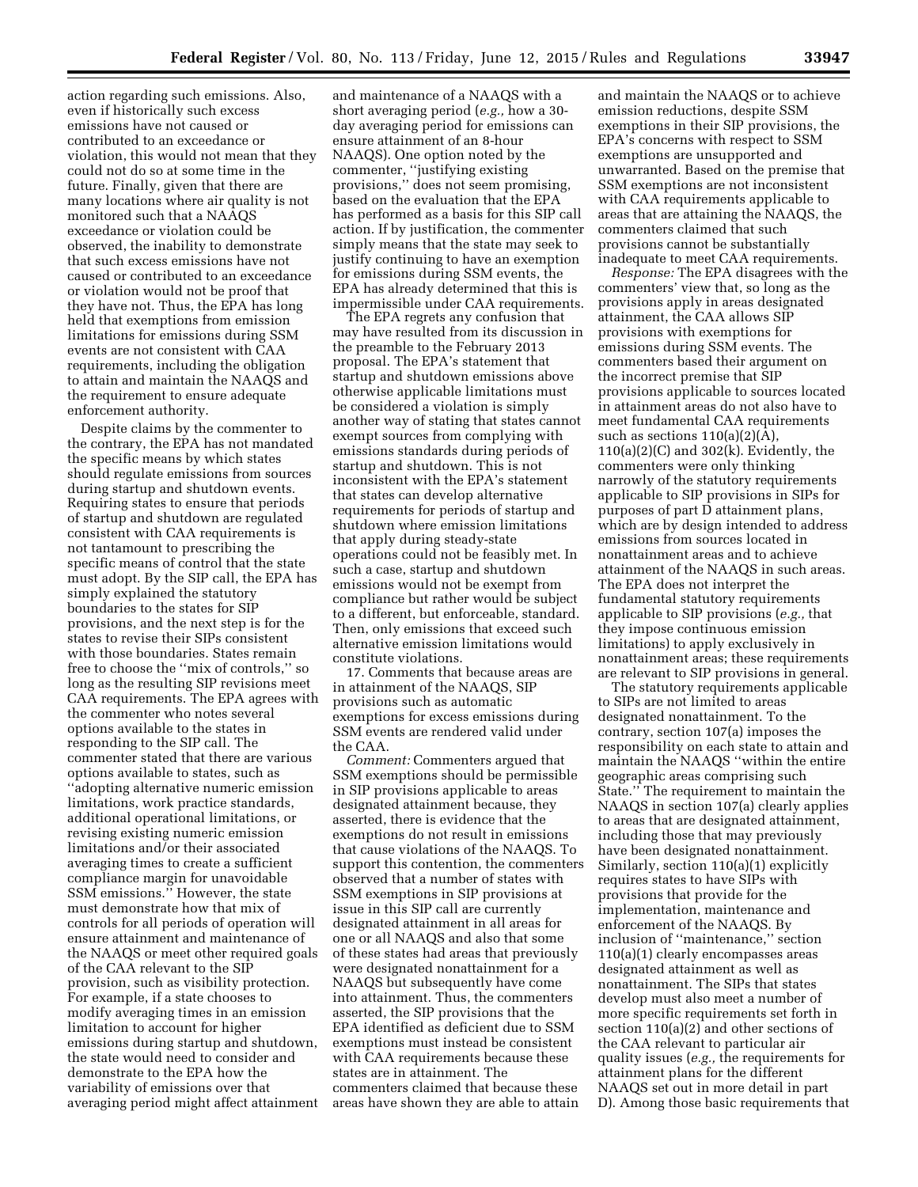action regarding such emissions. Also, even if historically such excess emissions have not caused or contributed to an exceedance or violation, this would not mean that they could not do so at some time in the future. Finally, given that there are many locations where air quality is not monitored such that a NAAQS exceedance or violation could be observed, the inability to demonstrate that such excess emissions have not caused or contributed to an exceedance or violation would not be proof that they have not. Thus, the EPA has long held that exemptions from emission limitations for emissions during SSM events are not consistent with CAA requirements, including the obligation to attain and maintain the NAAQS and the requirement to ensure adequate enforcement authority.

Despite claims by the commenter to the contrary, the EPA has not mandated the specific means by which states should regulate emissions from sources during startup and shutdown events. Requiring states to ensure that periods of startup and shutdown are regulated consistent with CAA requirements is not tantamount to prescribing the specific means of control that the state must adopt. By the SIP call, the EPA has simply explained the statutory boundaries to the states for SIP provisions, and the next step is for the states to revise their SIPs consistent with those boundaries. States remain free to choose the ''mix of controls,'' so long as the resulting SIP revisions meet CAA requirements. The EPA agrees with the commenter who notes several options available to the states in responding to the SIP call. The commenter stated that there are various options available to states, such as ''adopting alternative numeric emission limitations, work practice standards, additional operational limitations, or revising existing numeric emission limitations and/or their associated averaging times to create a sufficient compliance margin for unavoidable SSM emissions.'' However, the state must demonstrate how that mix of controls for all periods of operation will ensure attainment and maintenance of the NAAQS or meet other required goals of the CAA relevant to the SIP provision, such as visibility protection. For example, if a state chooses to modify averaging times in an emission limitation to account for higher emissions during startup and shutdown, the state would need to consider and demonstrate to the EPA how the variability of emissions over that averaging period might affect attainment

and maintenance of a NAAQS with a short averaging period (*e.g.,* how a 30 day averaging period for emissions can ensure attainment of an 8-hour NAAQS). One option noted by the commenter, ''justifying existing provisions,'' does not seem promising, based on the evaluation that the EPA has performed as a basis for this SIP call action. If by justification, the commenter simply means that the state may seek to justify continuing to have an exemption for emissions during SSM events, the EPA has already determined that this is impermissible under CAA requirements.

The EPA regrets any confusion that may have resulted from its discussion in the preamble to the February 2013 proposal. The EPA's statement that startup and shutdown emissions above otherwise applicable limitations must be considered a violation is simply another way of stating that states cannot exempt sources from complying with emissions standards during periods of startup and shutdown. This is not inconsistent with the EPA's statement that states can develop alternative requirements for periods of startup and shutdown where emission limitations that apply during steady-state operations could not be feasibly met. In such a case, startup and shutdown emissions would not be exempt from compliance but rather would be subject to a different, but enforceable, standard. Then, only emissions that exceed such alternative emission limitations would constitute violations.

17. Comments that because areas are in attainment of the NAAQS, SIP provisions such as automatic exemptions for excess emissions during SSM events are rendered valid under the CAA.

*Comment:* Commenters argued that SSM exemptions should be permissible in SIP provisions applicable to areas designated attainment because, they asserted, there is evidence that the exemptions do not result in emissions that cause violations of the NAAQS. To support this contention, the commenters observed that a number of states with SSM exemptions in SIP provisions at issue in this SIP call are currently designated attainment in all areas for one or all NAAQS and also that some of these states had areas that previously were designated nonattainment for a NAAQS but subsequently have come into attainment. Thus, the commenters asserted, the SIP provisions that the EPA identified as deficient due to SSM exemptions must instead be consistent with CAA requirements because these states are in attainment. The commenters claimed that because these areas have shown they are able to attain

and maintain the NAAQS or to achieve emission reductions, despite SSM exemptions in their SIP provisions, the EPA's concerns with respect to SSM exemptions are unsupported and unwarranted. Based on the premise that SSM exemptions are not inconsistent with CAA requirements applicable to areas that are attaining the NAAQS, the commenters claimed that such provisions cannot be substantially inadequate to meet CAA requirements.

*Response:* The EPA disagrees with the commenters' view that, so long as the provisions apply in areas designated attainment, the CAA allows SIP provisions with exemptions for emissions during SSM events. The commenters based their argument on the incorrect premise that SIP provisions applicable to sources located in attainment areas do not also have to meet fundamental CAA requirements such as sections  $110(a)(2)(\overline{A})$ ,  $110(a)(2)(C)$  and  $302(k)$ . Evidently, the commenters were only thinking narrowly of the statutory requirements applicable to SIP provisions in SIPs for purposes of part D attainment plans, which are by design intended to address emissions from sources located in nonattainment areas and to achieve attainment of the NAAQS in such areas. The EPA does not interpret the fundamental statutory requirements applicable to SIP provisions (*e.g.,* that they impose continuous emission limitations) to apply exclusively in nonattainment areas; these requirements are relevant to SIP provisions in general.

The statutory requirements applicable to SIPs are not limited to areas designated nonattainment. To the contrary, section 107(a) imposes the responsibility on each state to attain and maintain the NAAQS ''within the entire geographic areas comprising such State.'' The requirement to maintain the NAAQS in section 107(a) clearly applies to areas that are designated attainment, including those that may previously have been designated nonattainment. Similarly, section 110(a)(1) explicitly requires states to have SIPs with provisions that provide for the implementation, maintenance and enforcement of the NAAQS. By inclusion of ''maintenance,'' section 110(a)(1) clearly encompasses areas designated attainment as well as nonattainment. The SIPs that states develop must also meet a number of more specific requirements set forth in section 110(a)(2) and other sections of the CAA relevant to particular air quality issues (*e.g.,* the requirements for attainment plans for the different NAAQS set out in more detail in part D). Among those basic requirements that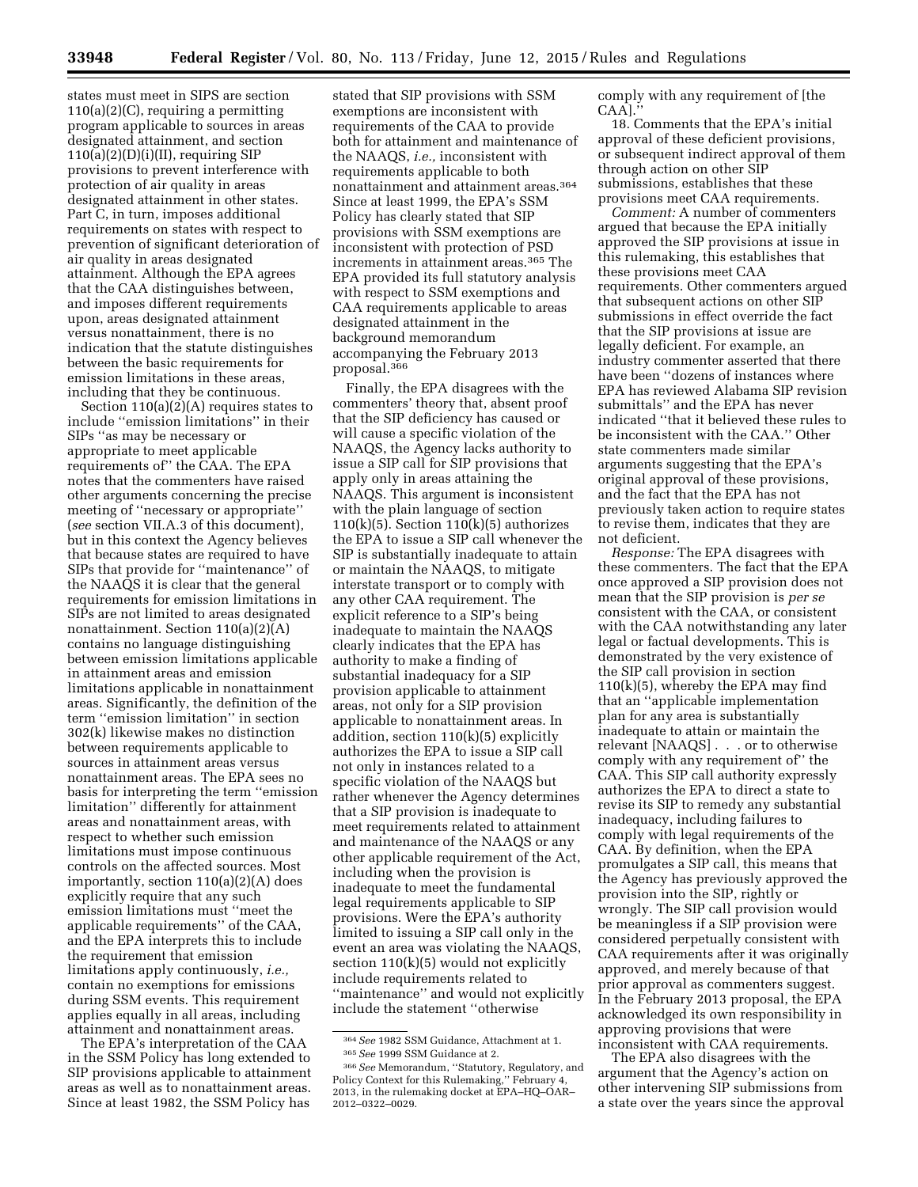states must meet in SIPS are section  $110(a)(2)(C)$ , requiring a permitting program applicable to sources in areas designated attainment, and section  $110(a)(2)(D)(i)(II)$ , requiring SIP provisions to prevent interference with protection of air quality in areas designated attainment in other states. Part C, in turn, imposes additional requirements on states with respect to prevention of significant deterioration of air quality in areas designated attainment. Although the EPA agrees that the CAA distinguishes between, and imposes different requirements upon, areas designated attainment versus nonattainment, there is no indication that the statute distinguishes between the basic requirements for emission limitations in these areas, including that they be continuous.

Section  $110(a)(2)(A)$  requires states to include ''emission limitations'' in their SIPs ''as may be necessary or appropriate to meet applicable requirements of'' the CAA. The EPA notes that the commenters have raised other arguments concerning the precise meeting of ''necessary or appropriate'' (*see* section VII.A.3 of this document), but in this context the Agency believes that because states are required to have SIPs that provide for ''maintenance'' of the NAAQS it is clear that the general requirements for emission limitations in SIPs are not limited to areas designated nonattainment. Section 110(a)(2)(A) contains no language distinguishing between emission limitations applicable in attainment areas and emission limitations applicable in nonattainment areas. Significantly, the definition of the term ''emission limitation'' in section 302(k) likewise makes no distinction between requirements applicable to sources in attainment areas versus nonattainment areas. The EPA sees no basis for interpreting the term ''emission limitation'' differently for attainment areas and nonattainment areas, with respect to whether such emission limitations must impose continuous controls on the affected sources. Most importantly, section 110(a)(2)(A) does explicitly require that any such emission limitations must ''meet the applicable requirements'' of the CAA, and the EPA interprets this to include the requirement that emission limitations apply continuously, *i.e.,*  contain no exemptions for emissions during SSM events. This requirement applies equally in all areas, including attainment and nonattainment areas.

The EPA's interpretation of the CAA in the SSM Policy has long extended to SIP provisions applicable to attainment areas as well as to nonattainment areas. Since at least 1982, the SSM Policy has

stated that SIP provisions with SSM exemptions are inconsistent with requirements of the CAA to provide both for attainment and maintenance of the NAAQS, *i.e.,* inconsistent with requirements applicable to both nonattainment and attainment areas.364 Since at least 1999, the EPA's SSM Policy has clearly stated that SIP provisions with SSM exemptions are inconsistent with protection of PSD increments in attainment areas.365 The EPA provided its full statutory analysis with respect to SSM exemptions and CAA requirements applicable to areas designated attainment in the background memorandum accompanying the February 2013 proposal.366

Finally, the EPA disagrees with the commenters' theory that, absent proof that the SIP deficiency has caused or will cause a specific violation of the NAAQS, the Agency lacks authority to issue a SIP call for SIP provisions that apply only in areas attaining the NAAQS. This argument is inconsistent with the plain language of section  $110(k)(5)$ . Section  $110(k)(5)$  authorizes the EPA to issue a SIP call whenever the SIP is substantially inadequate to attain or maintain the NAAQS, to mitigate interstate transport or to comply with any other CAA requirement. The explicit reference to a SIP's being inadequate to maintain the NAAQS clearly indicates that the EPA has authority to make a finding of substantial inadequacy for a SIP provision applicable to attainment areas, not only for a SIP provision applicable to nonattainment areas. In addition, section 110(k)(5) explicitly authorizes the EPA to issue a SIP call not only in instances related to a specific violation of the NAAQS but rather whenever the Agency determines that a SIP provision is inadequate to meet requirements related to attainment and maintenance of the NAAQS or any other applicable requirement of the Act, including when the provision is inadequate to meet the fundamental legal requirements applicable to SIP provisions. Were the EPA's authority limited to issuing a SIP call only in the event an area was violating the NAAQS, section 110(k)(5) would not explicitly include requirements related to ''maintenance'' and would not explicitly include the statement ''otherwise

comply with any requirement of [the CAA].''

18. Comments that the EPA's initial approval of these deficient provisions, or subsequent indirect approval of them through action on other SIP submissions, establishes that these provisions meet CAA requirements.

*Comment:* A number of commenters argued that because the EPA initially approved the SIP provisions at issue in this rulemaking, this establishes that these provisions meet CAA requirements. Other commenters argued that subsequent actions on other SIP submissions in effect override the fact that the SIP provisions at issue are legally deficient. For example, an industry commenter asserted that there have been ''dozens of instances where EPA has reviewed Alabama SIP revision submittals'' and the EPA has never indicated ''that it believed these rules to be inconsistent with the CAA.'' Other state commenters made similar arguments suggesting that the EPA's original approval of these provisions, and the fact that the EPA has not previously taken action to require states to revise them, indicates that they are not deficient.

*Response:* The EPA disagrees with these commenters. The fact that the EPA once approved a SIP provision does not mean that the SIP provision is *per se*  consistent with the CAA, or consistent with the CAA notwithstanding any later legal or factual developments. This is demonstrated by the very existence of the SIP call provision in section 110(k)(5), whereby the EPA may find that an ''applicable implementation plan for any area is substantially inadequate to attain or maintain the relevant [NAAQS] . . . or to otherwise comply with any requirement of'' the CAA. This SIP call authority expressly authorizes the EPA to direct a state to revise its SIP to remedy any substantial inadequacy, including failures to comply with legal requirements of the CAA. By definition, when the EPA promulgates a SIP call, this means that the Agency has previously approved the provision into the SIP, rightly or wrongly. The SIP call provision would be meaningless if a SIP provision were considered perpetually consistent with CAA requirements after it was originally approved, and merely because of that prior approval as commenters suggest. In the February 2013 proposal, the EPA acknowledged its own responsibility in approving provisions that were inconsistent with CAA requirements.

The EPA also disagrees with the argument that the Agency's action on other intervening SIP submissions from a state over the years since the approval

<sup>364</sup>*See* 1982 SSM Guidance, Attachment at 1. 365*See* 1999 SSM Guidance at 2.

<sup>366</sup>*See* Memorandum, ''Statutory, Regulatory, and Policy Context for this Rulemaking,'' February 4, 2013, in the rulemaking docket at EPA–HQ–OAR– 2012–0322–0029.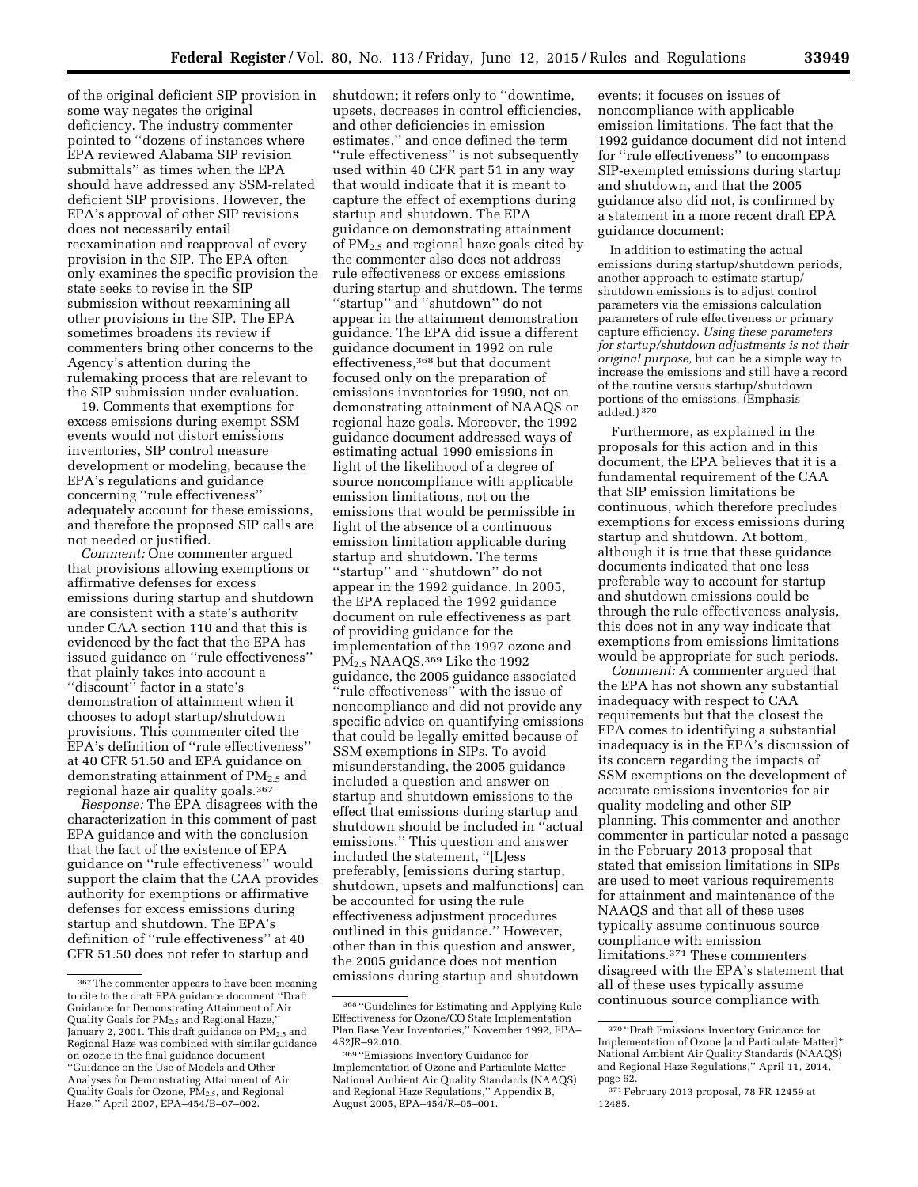of the original deficient SIP provision in some way negates the original deficiency. The industry commenter pointed to ''dozens of instances where EPA reviewed Alabama SIP revision submittals'' as times when the EPA should have addressed any SSM-related deficient SIP provisions. However, the EPA's approval of other SIP revisions does not necessarily entail reexamination and reapproval of every provision in the SIP. The EPA often only examines the specific provision the state seeks to revise in the SIP submission without reexamining all other provisions in the SIP. The EPA sometimes broadens its review if commenters bring other concerns to the Agency's attention during the rulemaking process that are relevant to the SIP submission under evaluation.

19. Comments that exemptions for excess emissions during exempt SSM events would not distort emissions inventories, SIP control measure development or modeling, because the EPA's regulations and guidance concerning ''rule effectiveness'' adequately account for these emissions, and therefore the proposed SIP calls are not needed or justified.

*Comment:* One commenter argued that provisions allowing exemptions or affirmative defenses for excess emissions during startup and shutdown are consistent with a state's authority under CAA section 110 and that this is evidenced by the fact that the EPA has issued guidance on ''rule effectiveness'' that plainly takes into account a "discount" factor in a state's demonstration of attainment when it chooses to adopt startup/shutdown provisions. This commenter cited the EPA's definition of ''rule effectiveness'' at 40 CFR 51.50 and EPA guidance on demonstrating attainment of  $PM_{2.5}$  and regional haze air quality goals.367

*Response:* The EPA disagrees with the characterization in this comment of past EPA guidance and with the conclusion that the fact of the existence of EPA guidance on ''rule effectiveness'' would support the claim that the CAA provides authority for exemptions or affirmative defenses for excess emissions during startup and shutdown. The EPA's definition of ''rule effectiveness'' at 40 CFR 51.50 does not refer to startup and

shutdown; it refers only to ''downtime, upsets, decreases in control efficiencies, and other deficiencies in emission estimates,'' and once defined the term ''rule effectiveness'' is not subsequently used within 40 CFR part 51 in any way that would indicate that it is meant to capture the effect of exemptions during startup and shutdown. The EPA guidance on demonstrating attainment of PM2.5 and regional haze goals cited by the commenter also does not address rule effectiveness or excess emissions during startup and shutdown. The terms ''startup'' and ''shutdown'' do not appear in the attainment demonstration guidance. The EPA did issue a different guidance document in 1992 on rule effectiveness,368 but that document focused only on the preparation of emissions inventories for 1990, not on demonstrating attainment of NAAQS or regional haze goals. Moreover, the 1992 guidance document addressed ways of estimating actual 1990 emissions in light of the likelihood of a degree of source noncompliance with applicable emission limitations, not on the emissions that would be permissible in light of the absence of a continuous emission limitation applicable during startup and shutdown. The terms ''startup'' and ''shutdown'' do not appear in the 1992 guidance. In 2005, the EPA replaced the 1992 guidance document on rule effectiveness as part of providing guidance for the implementation of the 1997 ozone and PM2.5 NAAQS.369 Like the 1992 guidance, the 2005 guidance associated ''rule effectiveness'' with the issue of noncompliance and did not provide any specific advice on quantifying emissions that could be legally emitted because of SSM exemptions in SIPs. To avoid misunderstanding, the 2005 guidance included a question and answer on startup and shutdown emissions to the effect that emissions during startup and shutdown should be included in ''actual emissions.'' This question and answer included the statement, ''[L]ess preferably, [emissions during startup, shutdown, upsets and malfunctions] can be accounted for using the rule effectiveness adjustment procedures outlined in this guidance.'' However, other than in this question and answer, the 2005 guidance does not mention emissions during startup and shutdown

events; it focuses on issues of noncompliance with applicable emission limitations. The fact that the 1992 guidance document did not intend for ''rule effectiveness'' to encompass SIP-exempted emissions during startup and shutdown, and that the 2005 guidance also did not, is confirmed by a statement in a more recent draft EPA guidance document:

In addition to estimating the actual emissions during startup/shutdown periods, another approach to estimate startup/ shutdown emissions is to adjust control parameters via the emissions calculation parameters of rule effectiveness or primary capture efficiency. *Using these parameters for startup/shutdown adjustments is not their original purpose,* but can be a simple way to increase the emissions and still have a record of the routine versus startup/shutdown portions of the emissions. (Emphasis added.) 370

Furthermore, as explained in the proposals for this action and in this document, the EPA believes that it is a fundamental requirement of the CAA that SIP emission limitations be continuous, which therefore precludes exemptions for excess emissions during startup and shutdown. At bottom, although it is true that these guidance documents indicated that one less preferable way to account for startup and shutdown emissions could be through the rule effectiveness analysis, this does not in any way indicate that exemptions from emissions limitations would be appropriate for such periods.

*Comment:* A commenter argued that the EPA has not shown any substantial inadequacy with respect to CAA requirements but that the closest the EPA comes to identifying a substantial inadequacy is in the EPA's discussion of its concern regarding the impacts of SSM exemptions on the development of accurate emissions inventories for air quality modeling and other SIP planning. This commenter and another commenter in particular noted a passage in the February 2013 proposal that stated that emission limitations in SIPs are used to meet various requirements for attainment and maintenance of the NAAQS and that all of these uses typically assume continuous source compliance with emission limitations.371 These commenters disagreed with the EPA's statement that all of these uses typically assume continuous source compliance with

<sup>367</sup>The commenter appears to have been meaning to cite to the draft EPA guidance document ''Draft Guidance for Demonstrating Attainment of Air Quality Goals for PM<sub>2.5</sub> and Regional Haze, January 2, 2001. This draft guidance on  $PM_{2.5}$  and Regional Haze was combined with similar guidance on ozone in the final guidance document ''Guidance on the Use of Models and Other Analyses for Demonstrating Attainment of Air Quality Goals for Ozone, PM2.5, and Regional Haze,'' April 2007, EPA–454/B–07–002.

<sup>368</sup> ''Guidelines for Estimating and Applying Rule Effectiveness for Ozone/CO State Implementation Plan Base Year Inventories,'' November 1992, EPA– 4S2JR–92.010.

<sup>369</sup> ''Emissions Inventory Guidance for Implementation of Ozone and Particulate Matter National Ambient Air Quality Standards (NAAQS) and Regional Haze Regulations,'' Appendix B, August 2005, EPA–454/R–05–001.

<sup>370</sup> ''Draft Emissions Inventory Guidance for Implementation of Ozone [and Particulate Matter]\* National Ambient Air Quality Standards (NAAQS) and Regional Haze Regulations,'' April 11, 2014, page 62.

<sup>371</sup>February 2013 proposal, 78 FR 12459 at 12485.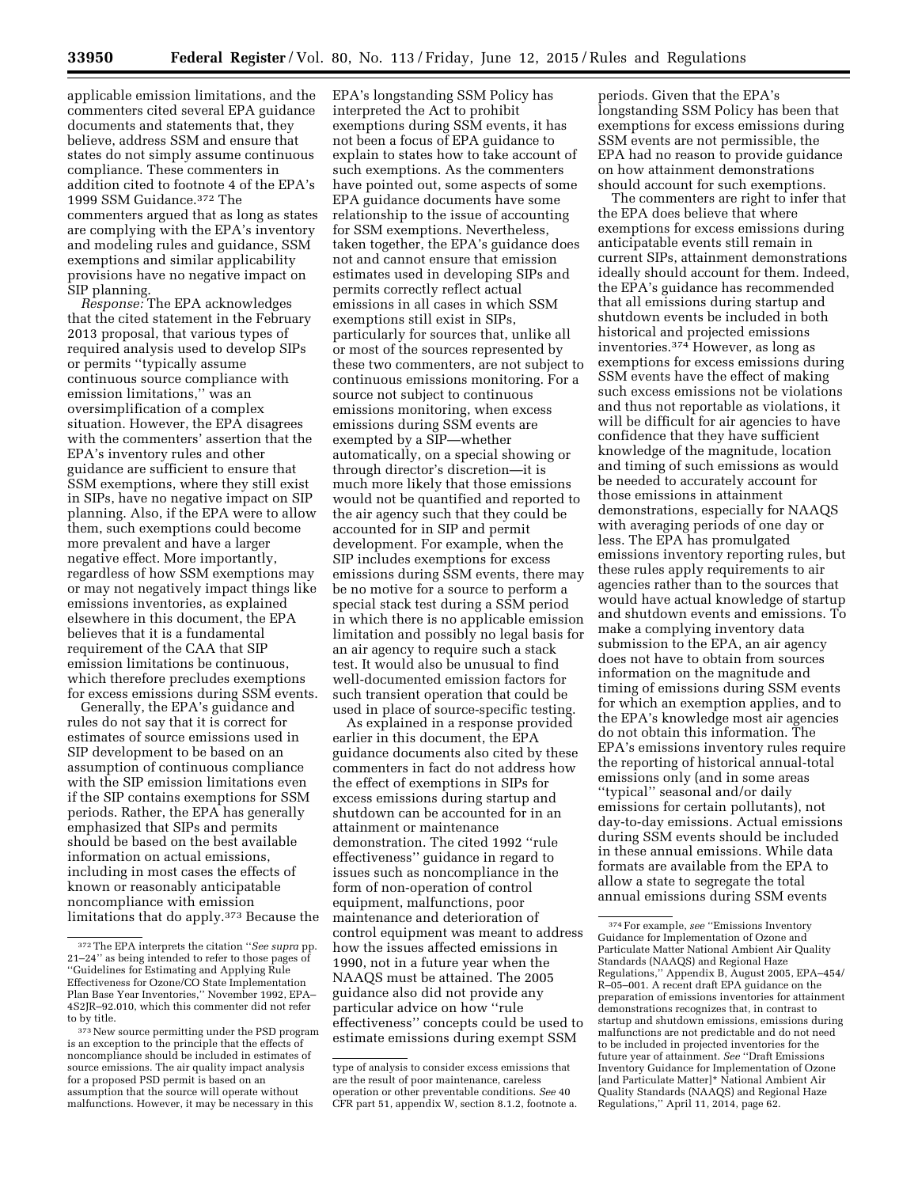applicable emission limitations, and the commenters cited several EPA guidance documents and statements that, they believe, address SSM and ensure that states do not simply assume continuous compliance. These commenters in addition cited to footnote 4 of the EPA's 1999 SSM Guidance.372 The commenters argued that as long as states are complying with the EPA's inventory and modeling rules and guidance, SSM exemptions and similar applicability provisions have no negative impact on SIP planning.

*Response:* The EPA acknowledges that the cited statement in the February 2013 proposal, that various types of required analysis used to develop SIPs or permits ''typically assume continuous source compliance with emission limitations,'' was an oversimplification of a complex situation. However, the EPA disagrees with the commenters' assertion that the EPA's inventory rules and other guidance are sufficient to ensure that SSM exemptions, where they still exist in SIPs, have no negative impact on SIP planning. Also, if the EPA were to allow them, such exemptions could become more prevalent and have a larger negative effect. More importantly, regardless of how SSM exemptions may or may not negatively impact things like emissions inventories, as explained elsewhere in this document, the EPA believes that it is a fundamental requirement of the CAA that SIP emission limitations be continuous, which therefore precludes exemptions for excess emissions during SSM events.

Generally, the EPA's guidance and rules do not say that it is correct for estimates of source emissions used in SIP development to be based on an assumption of continuous compliance with the SIP emission limitations even if the SIP contains exemptions for SSM periods. Rather, the EPA has generally emphasized that SIPs and permits should be based on the best available information on actual emissions, including in most cases the effects of known or reasonably anticipatable noncompliance with emission limitations that do apply.373 Because the

EPA's longstanding SSM Policy has interpreted the Act to prohibit exemptions during SSM events, it has not been a focus of EPA guidance to explain to states how to take account of such exemptions. As the commenters have pointed out, some aspects of some EPA guidance documents have some relationship to the issue of accounting for SSM exemptions. Nevertheless, taken together, the EPA's guidance does not and cannot ensure that emission estimates used in developing SIPs and permits correctly reflect actual emissions in all cases in which SSM exemptions still exist in SIPs, particularly for sources that, unlike all or most of the sources represented by these two commenters, are not subject to continuous emissions monitoring. For a source not subject to continuous emissions monitoring, when excess emissions during SSM events are exempted by a SIP—whether automatically, on a special showing or through director's discretion—it is much more likely that those emissions would not be quantified and reported to the air agency such that they could be accounted for in SIP and permit development. For example, when the SIP includes exemptions for excess emissions during SSM events, there may be no motive for a source to perform a special stack test during a SSM period in which there is no applicable emission limitation and possibly no legal basis for an air agency to require such a stack test. It would also be unusual to find well-documented emission factors for such transient operation that could be used in place of source-specific testing.

As explained in a response provided earlier in this document, the EPA guidance documents also cited by these commenters in fact do not address how the effect of exemptions in SIPs for excess emissions during startup and shutdown can be accounted for in an attainment or maintenance demonstration. The cited 1992 ''rule effectiveness'' guidance in regard to issues such as noncompliance in the form of non-operation of control equipment, malfunctions, poor maintenance and deterioration of control equipment was meant to address how the issues affected emissions in 1990, not in a future year when the NAAQS must be attained. The 2005 guidance also did not provide any particular advice on how ''rule effectiveness'' concepts could be used to estimate emissions during exempt SSM

periods. Given that the EPA's longstanding SSM Policy has been that exemptions for excess emissions during SSM events are not permissible, the EPA had no reason to provide guidance on how attainment demonstrations should account for such exemptions.

The commenters are right to infer that the EPA does believe that where exemptions for excess emissions during anticipatable events still remain in current SIPs, attainment demonstrations ideally should account for them. Indeed, the EPA's guidance has recommended that all emissions during startup and shutdown events be included in both historical and projected emissions inventories.374 However, as long as exemptions for excess emissions during SSM events have the effect of making such excess emissions not be violations and thus not reportable as violations, it will be difficult for air agencies to have confidence that they have sufficient knowledge of the magnitude, location and timing of such emissions as would be needed to accurately account for those emissions in attainment demonstrations, especially for NAAQS with averaging periods of one day or less. The EPA has promulgated emissions inventory reporting rules, but these rules apply requirements to air agencies rather than to the sources that would have actual knowledge of startup and shutdown events and emissions. To make a complying inventory data submission to the EPA, an air agency does not have to obtain from sources information on the magnitude and timing of emissions during SSM events for which an exemption applies, and to the EPA's knowledge most air agencies do not obtain this information. The EPA's emissions inventory rules require the reporting of historical annual-total emissions only (and in some areas ''typical'' seasonal and/or daily emissions for certain pollutants), not day-to-day emissions. Actual emissions during SSM events should be included in these annual emissions. While data formats are available from the EPA to allow a state to segregate the total annual emissions during SSM events

<sup>372</sup>The EPA interprets the citation ''*See supra* pp. 21–24'' as being intended to refer to those pages of ''Guidelines for Estimating and Applying Rule Effectiveness for Ozone/CO State Implementation Plan Base Year Inventories,'' November 1992, EPA– 4S2JR–92.010, which this commenter did not refer to by title.

<sup>373</sup>New source permitting under the PSD program is an exception to the principle that the effects of noncompliance should be included in estimates of source emissions. The air quality impact analysis for a proposed PSD permit is based on an assumption that the source will operate without malfunctions. However, it may be necessary in this

type of analysis to consider excess emissions that are the result of poor maintenance, careless operation or other preventable conditions. *See* 40 CFR part 51, appendix W, section 8.1.2, footnote a.

<sup>374</sup>For example, *see* ''Emissions Inventory Guidance for Implementation of Ozone and Particulate Matter National Ambient Air Quality Standards (NAAQS) and Regional Haze Regulations,'' Appendix B, August 2005, EPA–454/ R–05–001. A recent draft EPA guidance on the preparation of emissions inventories for attainment demonstrations recognizes that, in contrast to startup and shutdown emissions, emissions during malfunctions are not predictable and do not need to be included in projected inventories for the future year of attainment. *See* ''Draft Emissions Inventory Guidance for Implementation of Ozone [and Particulate Matter]\* National Ambient Air Quality Standards (NAAQS) and Regional Haze Regulations,'' April 11, 2014, page 62.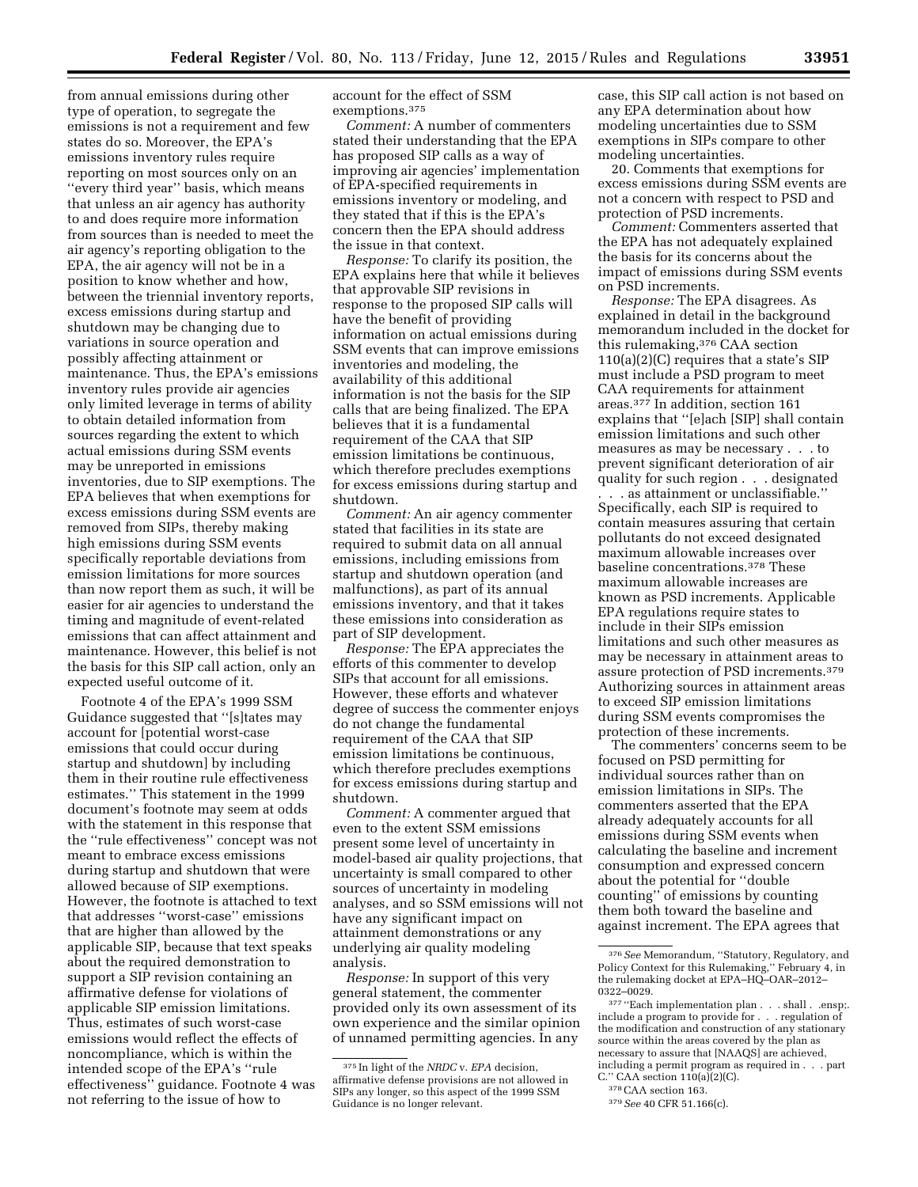from annual emissions during other type of operation, to segregate the emissions is not a requirement and few states do so. Moreover, the EPA's emissions inventory rules require reporting on most sources only on an ''every third year'' basis, which means that unless an air agency has authority to and does require more information from sources than is needed to meet the air agency's reporting obligation to the EPA, the air agency will not be in a position to know whether and how, between the triennial inventory reports, excess emissions during startup and shutdown may be changing due to variations in source operation and possibly affecting attainment or maintenance. Thus, the EPA's emissions inventory rules provide air agencies only limited leverage in terms of ability to obtain detailed information from sources regarding the extent to which actual emissions during SSM events may be unreported in emissions inventories, due to SIP exemptions. The EPA believes that when exemptions for excess emissions during SSM events are removed from SIPs, thereby making high emissions during SSM events specifically reportable deviations from emission limitations for more sources than now report them as such, it will be easier for air agencies to understand the timing and magnitude of event-related emissions that can affect attainment and maintenance. However, this belief is not the basis for this SIP call action, only an expected useful outcome of it.

Footnote 4 of the EPA's 1999 SSM Guidance suggested that ''[s]tates may account for [potential worst-case emissions that could occur during startup and shutdown] by including them in their routine rule effectiveness estimates.'' This statement in the 1999 document's footnote may seem at odds with the statement in this response that the ''rule effectiveness'' concept was not meant to embrace excess emissions during startup and shutdown that were allowed because of SIP exemptions. However, the footnote is attached to text that addresses ''worst-case'' emissions that are higher than allowed by the applicable SIP, because that text speaks about the required demonstration to support a SIP revision containing an affirmative defense for violations of applicable SIP emission limitations. Thus, estimates of such worst-case emissions would reflect the effects of noncompliance, which is within the intended scope of the EPA's ''rule effectiveness'' guidance. Footnote 4 was not referring to the issue of how to

account for the effect of SSM exemptions.375

*Comment:* A number of commenters stated their understanding that the EPA has proposed SIP calls as a way of improving air agencies' implementation of EPA-specified requirements in emissions inventory or modeling, and they stated that if this is the EPA's concern then the EPA should address the issue in that context.

*Response:* To clarify its position, the EPA explains here that while it believes that approvable SIP revisions in response to the proposed SIP calls will have the benefit of providing information on actual emissions during SSM events that can improve emissions inventories and modeling, the availability of this additional information is not the basis for the SIP calls that are being finalized. The EPA believes that it is a fundamental requirement of the CAA that SIP emission limitations be continuous, which therefore precludes exemptions for excess emissions during startup and shutdown.

*Comment:* An air agency commenter stated that facilities in its state are required to submit data on all annual emissions, including emissions from startup and shutdown operation (and malfunctions), as part of its annual emissions inventory, and that it takes these emissions into consideration as part of SIP development.

*Response:* The EPA appreciates the efforts of this commenter to develop SIPs that account for all emissions. However, these efforts and whatever degree of success the commenter enjoys do not change the fundamental requirement of the CAA that SIP emission limitations be continuous, which therefore precludes exemptions for excess emissions during startup and shutdown.

*Comment:* A commenter argued that even to the extent SSM emissions present some level of uncertainty in model-based air quality projections, that uncertainty is small compared to other sources of uncertainty in modeling analyses, and so SSM emissions will not have any significant impact on attainment demonstrations or any underlying air quality modeling analysis.

*Response:* In support of this very general statement, the commenter provided only its own assessment of its own experience and the similar opinion of unnamed permitting agencies. In any

case, this SIP call action is not based on any EPA determination about how modeling uncertainties due to SSM exemptions in SIPs compare to other modeling uncertainties.

20. Comments that exemptions for excess emissions during SSM events are not a concern with respect to PSD and protection of PSD increments.

*Comment:* Commenters asserted that the EPA has not adequately explained the basis for its concerns about the impact of emissions during SSM events on PSD increments.

*Response:* The EPA disagrees. As explained in detail in the background memorandum included in the docket for this rulemaking,376 CAA section  $110(a)(2)(C)$  requires that a state's SIP must include a PSD program to meet CAA requirements for attainment areas.377 In addition, section 161 explains that ''[e]ach [SIP] shall contain emission limitations and such other measures as may be necessary . . . to prevent significant deterioration of air quality for such region . . . designated

. . . as attainment or unclassifiable.'' Specifically, each SIP is required to contain measures assuring that certain pollutants do not exceed designated maximum allowable increases over baseline concentrations.378 These maximum allowable increases are known as PSD increments. Applicable EPA regulations require states to include in their SIPs emission limitations and such other measures as may be necessary in attainment areas to assure protection of PSD increments.379 Authorizing sources in attainment areas to exceed SIP emission limitations during SSM events compromises the protection of these increments.

The commenters' concerns seem to be focused on PSD permitting for individual sources rather than on emission limitations in SIPs. The commenters asserted that the EPA already adequately accounts for all emissions during SSM events when calculating the baseline and increment consumption and expressed concern about the potential for ''double counting'' of emissions by counting them both toward the baseline and against increment. The EPA agrees that

<sup>375</sup> In light of the *NRDC* v. *EPA* decision, affirmative defense provisions are not allowed in SIPs any longer, so this aspect of the 1999 SSM Guidance is no longer relevant.

<sup>376</sup>*See* Memorandum, ''Statutory, Regulatory, and Policy Context for this Rulemaking,'' February 4, in the rulemaking docket at EPA–HQ–OAR–2012– 0322–0029.

<sup>377</sup> ''Each implementation plan . . . shall . .ensp;. include a program to provide for . . . regulation of the modification and construction of any stationary source within the areas covered by the plan as necessary to assure that [NAAQS] are achieved, including a permit program as required in . . . part C.'' CAA section 110(a)(2)(C).

<sup>378</sup>CAA section 163.

<sup>379</sup>*See* 40 CFR 51.166(c).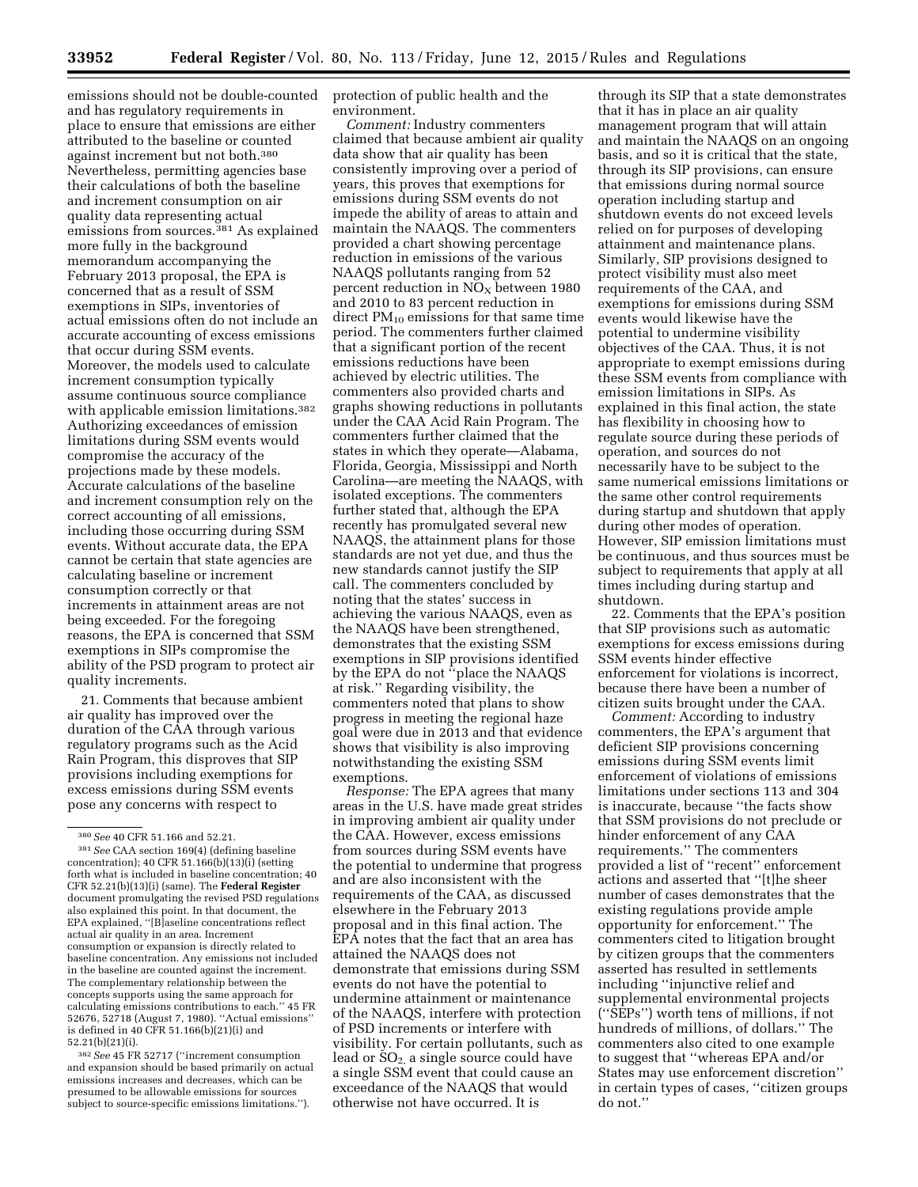emissions should not be double-counted and has regulatory requirements in place to ensure that emissions are either attributed to the baseline or counted against increment but not both.380 Nevertheless, permitting agencies base their calculations of both the baseline and increment consumption on air quality data representing actual emissions from sources.<sup>381</sup> As explained more fully in the background memorandum accompanying the February 2013 proposal, the EPA is concerned that as a result of SSM exemptions in SIPs, inventories of actual emissions often do not include an accurate accounting of excess emissions that occur during SSM events. Moreover, the models used to calculate increment consumption typically assume continuous source compliance with applicable emission limitations.382 Authorizing exceedances of emission limitations during SSM events would compromise the accuracy of the projections made by these models. Accurate calculations of the baseline and increment consumption rely on the correct accounting of all emissions, including those occurring during SSM events. Without accurate data, the EPA cannot be certain that state agencies are calculating baseline or increment consumption correctly or that increments in attainment areas are not being exceeded. For the foregoing reasons, the EPA is concerned that SSM exemptions in SIPs compromise the ability of the PSD program to protect air quality increments.

21. Comments that because ambient air quality has improved over the duration of the CAA through various regulatory programs such as the Acid Rain Program, this disproves that SIP provisions including exemptions for excess emissions during SSM events pose any concerns with respect to

382*See* 45 FR 52717 (''increment consumption and expansion should be based primarily on actual emissions increases and decreases, which can be presumed to be allowable emissions for sources subject to source-specific emissions limitations.'').

protection of public health and the environment.

*Comment:* Industry commenters claimed that because ambient air quality data show that air quality has been consistently improving over a period of years, this proves that exemptions for emissions during SSM events do not impede the ability of areas to attain and maintain the NAAQS. The commenters provided a chart showing percentage reduction in emissions of the various NAAQS pollutants ranging from 52 percent reduction in  $NO<sub>x</sub>$  between 1980 and 2010 to 83 percent reduction in direct  $PM_{10}$  emissions for that same time period. The commenters further claimed that a significant portion of the recent emissions reductions have been achieved by electric utilities. The commenters also provided charts and graphs showing reductions in pollutants under the CAA Acid Rain Program. The commenters further claimed that the states in which they operate—Alabama, Florida, Georgia, Mississippi and North Carolina—are meeting the NAAQS, with isolated exceptions. The commenters further stated that, although the EPA recently has promulgated several new NAAQS, the attainment plans for those standards are not yet due, and thus the new standards cannot justify the SIP call. The commenters concluded by noting that the states' success in achieving the various NAAQS, even as the NAAQS have been strengthened, demonstrates that the existing SSM exemptions in SIP provisions identified by the EPA do not ''place the NAAQS at risk.'' Regarding visibility, the commenters noted that plans to show progress in meeting the regional haze goal were due in 2013 and that evidence shows that visibility is also improving notwithstanding the existing SSM exemptions.

*Response:* The EPA agrees that many areas in the U.S. have made great strides in improving ambient air quality under the CAA. However, excess emissions from sources during SSM events have the potential to undermine that progress and are also inconsistent with the requirements of the CAA, as discussed elsewhere in the February 2013 proposal and in this final action. The EPA notes that the fact that an area has attained the NAAQS does not demonstrate that emissions during SSM events do not have the potential to undermine attainment or maintenance of the NAAQS, interfere with protection of PSD increments or interfere with visibility. For certain pollutants, such as lead or  $SO<sub>2</sub>$  a single source could have a single SSM event that could cause an exceedance of the NAAQS that would otherwise not have occurred. It is

through its SIP that a state demonstrates that it has in place an air quality management program that will attain and maintain the NAAQS on an ongoing basis, and so it is critical that the state, through its SIP provisions, can ensure that emissions during normal source operation including startup and shutdown events do not exceed levels relied on for purposes of developing attainment and maintenance plans. Similarly, SIP provisions designed to protect visibility must also meet requirements of the CAA, and exemptions for emissions during SSM events would likewise have the potential to undermine visibility objectives of the CAA. Thus, it is not appropriate to exempt emissions during these SSM events from compliance with emission limitations in SIPs. As explained in this final action, the state has flexibility in choosing how to regulate source during these periods of operation, and sources do not necessarily have to be subject to the same numerical emissions limitations or the same other control requirements during startup and shutdown that apply during other modes of operation. However, SIP emission limitations must be continuous, and thus sources must be subject to requirements that apply at all times including during startup and shutdown.

22. Comments that the EPA's position that SIP provisions such as automatic exemptions for excess emissions during SSM events hinder effective enforcement for violations is incorrect, because there have been a number of citizen suits brought under the CAA.

*Comment:* According to industry commenters, the EPA's argument that deficient SIP provisions concerning emissions during SSM events limit enforcement of violations of emissions limitations under sections 113 and 304 is inaccurate, because ''the facts show that SSM provisions do not preclude or hinder enforcement of any CAA requirements.'' The commenters provided a list of ''recent'' enforcement actions and asserted that ''[t]he sheer number of cases demonstrates that the existing regulations provide ample opportunity for enforcement.'' The commenters cited to litigation brought by citizen groups that the commenters asserted has resulted in settlements including ''injunctive relief and supplemental environmental projects (''SEPs'') worth tens of millions, if not hundreds of millions, of dollars.'' The commenters also cited to one example to suggest that ''whereas EPA and/or States may use enforcement discretion'' in certain types of cases, ''citizen groups do not.''

<sup>380</sup>*See* 40 CFR 51.166 and 52.21.

<sup>381</sup>*See* CAA section 169(4) (defining baseline concentration); 40 CFR 51.166(b)(13)(i) (setting forth what is included in baseline concentration; 40 CFR 52.21(b)(13)(i) (same). The **Federal Register**  document promulgating the revised PSD regulations also explained this point. In that document, the EPA explained, ''[B]aseline concentrations reflect actual air quality in an area. Increment consumption or expansion is directly related to baseline concentration. Any emissions not included in the baseline are counted against the increment. The complementary relationship between the concepts supports using the same approach for calculating emissions contributions to each.'' 45 FR 52676, 52718 (August 7, 1980). ''Actual emissions'' is defined in 40 CFR 51.166(b)(21)(i) and 52.21(b)(21)(i).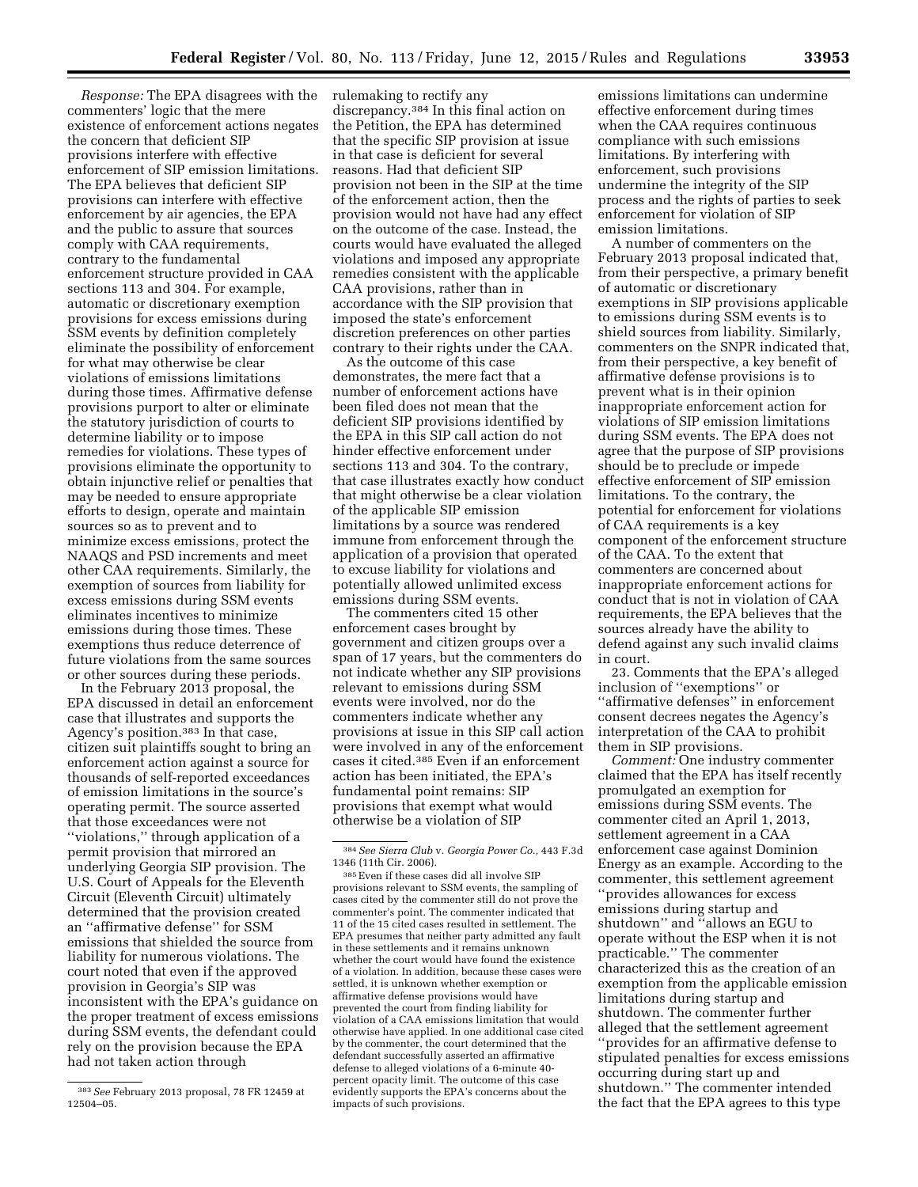*Response:* The EPA disagrees with the commenters' logic that the mere existence of enforcement actions negates the concern that deficient SIP provisions interfere with effective enforcement of SIP emission limitations. The EPA believes that deficient SIP provisions can interfere with effective enforcement by air agencies, the EPA and the public to assure that sources comply with CAA requirements, contrary to the fundamental enforcement structure provided in CAA sections 113 and 304. For example, automatic or discretionary exemption provisions for excess emissions during SSM events by definition completely eliminate the possibility of enforcement for what may otherwise be clear violations of emissions limitations during those times. Affirmative defense provisions purport to alter or eliminate the statutory jurisdiction of courts to determine liability or to impose remedies for violations. These types of provisions eliminate the opportunity to obtain injunctive relief or penalties that may be needed to ensure appropriate efforts to design, operate and maintain sources so as to prevent and to minimize excess emissions, protect the NAAQS and PSD increments and meet other CAA requirements. Similarly, the exemption of sources from liability for excess emissions during SSM events eliminates incentives to minimize emissions during those times. These exemptions thus reduce deterrence of future violations from the same sources or other sources during these periods.

In the February 2013 proposal, the EPA discussed in detail an enforcement case that illustrates and supports the Agency's position.383 In that case, citizen suit plaintiffs sought to bring an enforcement action against a source for thousands of self-reported exceedances of emission limitations in the source's operating permit. The source asserted that those exceedances were not ''violations,'' through application of a permit provision that mirrored an underlying Georgia SIP provision. The U.S. Court of Appeals for the Eleventh Circuit (Eleventh Circuit) ultimately determined that the provision created an ''affirmative defense'' for SSM emissions that shielded the source from liability for numerous violations. The court noted that even if the approved provision in Georgia's SIP was inconsistent with the EPA's guidance on the proper treatment of excess emissions during SSM events, the defendant could rely on the provision because the EPA had not taken action through

rulemaking to rectify any discrepancy.384 In this final action on the Petition, the EPA has determined that the specific SIP provision at issue in that case is deficient for several reasons. Had that deficient SIP provision not been in the SIP at the time of the enforcement action, then the provision would not have had any effect on the outcome of the case. Instead, the courts would have evaluated the alleged violations and imposed any appropriate remedies consistent with the applicable CAA provisions, rather than in accordance with the SIP provision that imposed the state's enforcement discretion preferences on other parties contrary to their rights under the CAA.

As the outcome of this case demonstrates, the mere fact that a number of enforcement actions have been filed does not mean that the deficient SIP provisions identified by the EPA in this SIP call action do not hinder effective enforcement under sections 113 and 304. To the contrary, that case illustrates exactly how conduct that might otherwise be a clear violation of the applicable SIP emission limitations by a source was rendered immune from enforcement through the application of a provision that operated to excuse liability for violations and potentially allowed unlimited excess emissions during SSM events.

The commenters cited 15 other enforcement cases brought by government and citizen groups over a span of 17 years, but the commenters do not indicate whether any SIP provisions relevant to emissions during SSM events were involved, nor do the commenters indicate whether any provisions at issue in this SIP call action were involved in any of the enforcement cases it cited.385 Even if an enforcement action has been initiated, the EPA's fundamental point remains: SIP provisions that exempt what would otherwise be a violation of SIP

emissions limitations can undermine effective enforcement during times when the CAA requires continuous compliance with such emissions limitations. By interfering with enforcement, such provisions undermine the integrity of the SIP process and the rights of parties to seek enforcement for violation of SIP emission limitations.

A number of commenters on the February 2013 proposal indicated that, from their perspective, a primary benefit of automatic or discretionary exemptions in SIP provisions applicable to emissions during SSM events is to shield sources from liability. Similarly, commenters on the SNPR indicated that, from their perspective, a key benefit of affirmative defense provisions is to prevent what is in their opinion inappropriate enforcement action for violations of SIP emission limitations during SSM events. The EPA does not agree that the purpose of SIP provisions should be to preclude or impede effective enforcement of SIP emission limitations. To the contrary, the potential for enforcement for violations of CAA requirements is a key component of the enforcement structure of the CAA. To the extent that commenters are concerned about inappropriate enforcement actions for conduct that is not in violation of CAA requirements, the EPA believes that the sources already have the ability to defend against any such invalid claims in court.

23. Comments that the EPA's alleged inclusion of ''exemptions'' or ''affirmative defenses'' in enforcement consent decrees negates the Agency's interpretation of the CAA to prohibit them in SIP provisions.

*Comment:* One industry commenter claimed that the EPA has itself recently promulgated an exemption for emissions during SSM events. The commenter cited an April 1, 2013, settlement agreement in a CAA enforcement case against Dominion Energy as an example. According to the commenter, this settlement agreement ''provides allowances for excess emissions during startup and shutdown'' and ''allows an EGU to operate without the ESP when it is not practicable.'' The commenter characterized this as the creation of an exemption from the applicable emission limitations during startup and shutdown. The commenter further alleged that the settlement agreement ''provides for an affirmative defense to stipulated penalties for excess emissions occurring during start up and shutdown.'' The commenter intended the fact that the EPA agrees to this type

<sup>383</sup>*See* February 2013 proposal, 78 FR 12459 at 12504–05.

<sup>384</sup>*See Sierra Club* v. *Georgia Power Co.,* 443 F.3d 1346 (11th Cir. 2006).

<sup>385</sup>Even if these cases did all involve SIP provisions relevant to SSM events, the sampling of cases cited by the commenter still do not prove the commenter's point. The commenter indicated that 11 of the 15 cited cases resulted in settlement. The EPA presumes that neither party admitted any fault in these settlements and it remains unknown whether the court would have found the existence of a violation. In addition, because these cases were settled, it is unknown whether exemption or affirmative defense provisions would have prevented the court from finding liability for violation of a CAA emissions limitation that would otherwise have applied. In one additional case cited by the commenter, the court determined that the defendant successfully asserted an affirmative defense to alleged violations of a 6-minute 40 percent opacity limit. The outcome of this case evidently supports the EPA's concerns about the impacts of such provisions.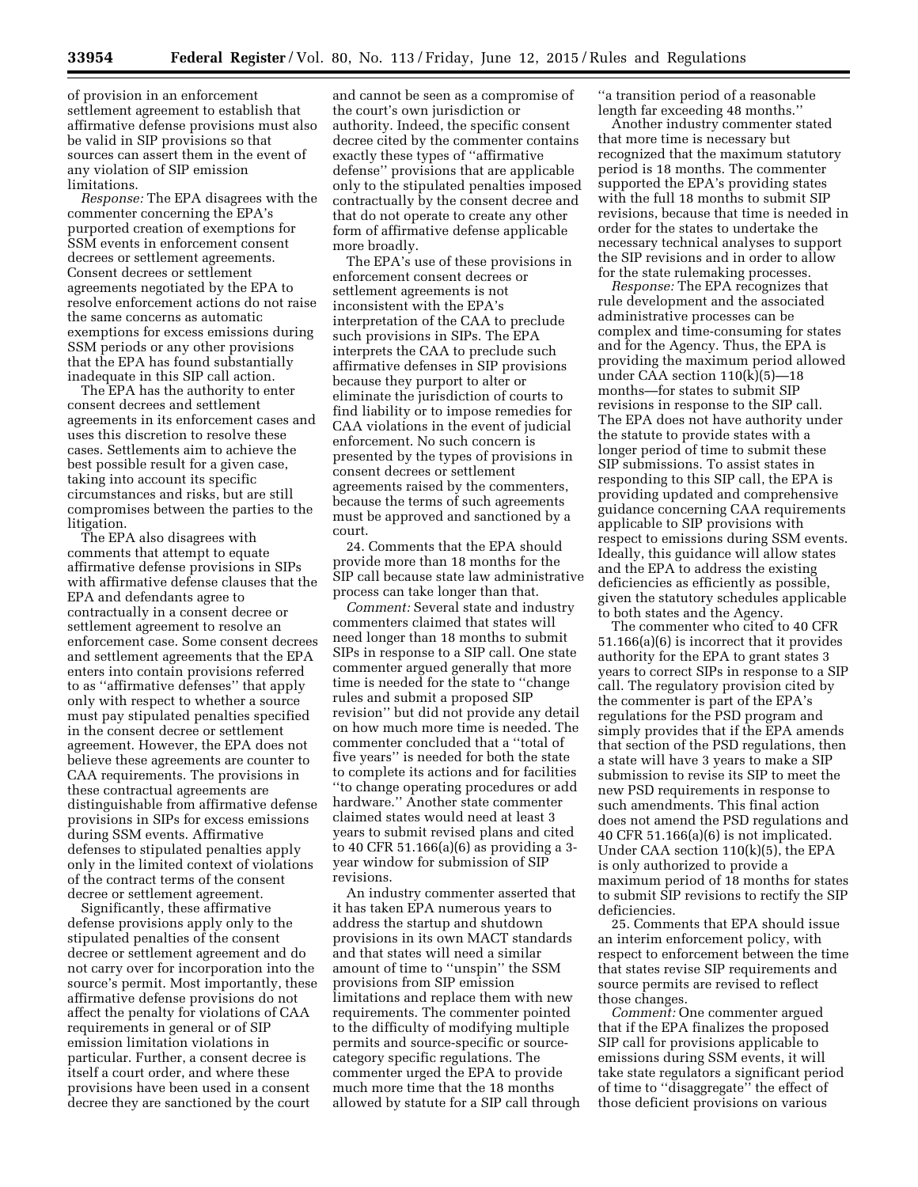of provision in an enforcement settlement agreement to establish that affirmative defense provisions must also be valid in SIP provisions so that sources can assert them in the event of any violation of SIP emission limitations.

*Response:* The EPA disagrees with the commenter concerning the EPA's purported creation of exemptions for SSM events in enforcement consent decrees or settlement agreements. Consent decrees or settlement agreements negotiated by the EPA to resolve enforcement actions do not raise the same concerns as automatic exemptions for excess emissions during SSM periods or any other provisions that the EPA has found substantially inadequate in this SIP call action.

The EPA has the authority to enter consent decrees and settlement agreements in its enforcement cases and uses this discretion to resolve these cases. Settlements aim to achieve the best possible result for a given case, taking into account its specific circumstances and risks, but are still compromises between the parties to the litigation.

The EPA also disagrees with comments that attempt to equate affirmative defense provisions in SIPs with affirmative defense clauses that the EPA and defendants agree to contractually in a consent decree or settlement agreement to resolve an enforcement case. Some consent decrees and settlement agreements that the EPA enters into contain provisions referred to as ''affirmative defenses'' that apply only with respect to whether a source must pay stipulated penalties specified in the consent decree or settlement agreement. However, the EPA does not believe these agreements are counter to CAA requirements. The provisions in these contractual agreements are distinguishable from affirmative defense provisions in SIPs for excess emissions during SSM events. Affirmative defenses to stipulated penalties apply only in the limited context of violations of the contract terms of the consent decree or settlement agreement.

Significantly, these affirmative defense provisions apply only to the stipulated penalties of the consent decree or settlement agreement and do not carry over for incorporation into the source's permit. Most importantly, these affirmative defense provisions do not affect the penalty for violations of CAA requirements in general or of SIP emission limitation violations in particular. Further, a consent decree is itself a court order, and where these provisions have been used in a consent decree they are sanctioned by the court

and cannot be seen as a compromise of the court's own jurisdiction or authority. Indeed, the specific consent decree cited by the commenter contains exactly these types of ''affirmative defense'' provisions that are applicable only to the stipulated penalties imposed contractually by the consent decree and that do not operate to create any other form of affirmative defense applicable more broadly.

The EPA's use of these provisions in enforcement consent decrees or settlement agreements is not inconsistent with the EPA's interpretation of the CAA to preclude such provisions in SIPs. The EPA interprets the CAA to preclude such affirmative defenses in SIP provisions because they purport to alter or eliminate the jurisdiction of courts to find liability or to impose remedies for CAA violations in the event of judicial enforcement. No such concern is presented by the types of provisions in consent decrees or settlement agreements raised by the commenters, because the terms of such agreements must be approved and sanctioned by a court.

24. Comments that the EPA should provide more than 18 months for the SIP call because state law administrative process can take longer than that.

*Comment:* Several state and industry commenters claimed that states will need longer than 18 months to submit SIPs in response to a SIP call. One state commenter argued generally that more time is needed for the state to ''change rules and submit a proposed SIP revision'' but did not provide any detail on how much more time is needed. The commenter concluded that a ''total of five years'' is needed for both the state to complete its actions and for facilities ''to change operating procedures or add hardware.'' Another state commenter claimed states would need at least 3 years to submit revised plans and cited to 40 CFR 51.166(a)(6) as providing a 3 year window for submission of SIP revisions.

An industry commenter asserted that it has taken EPA numerous years to address the startup and shutdown provisions in its own MACT standards and that states will need a similar amount of time to ''unspin'' the SSM provisions from SIP emission limitations and replace them with new requirements. The commenter pointed to the difficulty of modifying multiple permits and source-specific or sourcecategory specific regulations. The commenter urged the EPA to provide much more time that the 18 months allowed by statute for a SIP call through

''a transition period of a reasonable length far exceeding 48 months.''

Another industry commenter stated that more time is necessary but recognized that the maximum statutory period is 18 months. The commenter supported the EPA's providing states with the full 18 months to submit SIP revisions, because that time is needed in order for the states to undertake the necessary technical analyses to support the SIP revisions and in order to allow for the state rulemaking processes.

*Response:* The EPA recognizes that rule development and the associated administrative processes can be complex and time-consuming for states and for the Agency. Thus, the EPA is providing the maximum period allowed under CAA section 110(k)(5)—18 months—for states to submit SIP revisions in response to the SIP call. The EPA does not have authority under the statute to provide states with a longer period of time to submit these SIP submissions. To assist states in responding to this SIP call, the EPA is providing updated and comprehensive guidance concerning CAA requirements applicable to SIP provisions with respect to emissions during SSM events. Ideally, this guidance will allow states and the EPA to address the existing deficiencies as efficiently as possible, given the statutory schedules applicable to both states and the Agency.

The commenter who cited to 40 CFR 51.166(a)(6) is incorrect that it provides authority for the EPA to grant states 3 years to correct SIPs in response to a SIP call. The regulatory provision cited by the commenter is part of the EPA's regulations for the PSD program and simply provides that if the EPA amends that section of the PSD regulations, then a state will have 3 years to make a SIP submission to revise its SIP to meet the new PSD requirements in response to such amendments. This final action does not amend the PSD regulations and 40 CFR 51.166(a)(6) is not implicated. Under CAA section 110(k)(5), the EPA is only authorized to provide a maximum period of 18 months for states to submit SIP revisions to rectify the SIP deficiencies.

25. Comments that EPA should issue an interim enforcement policy, with respect to enforcement between the time that states revise SIP requirements and source permits are revised to reflect those changes.

*Comment:* One commenter argued that if the EPA finalizes the proposed SIP call for provisions applicable to emissions during SSM events, it will take state regulators a significant period of time to ''disaggregate'' the effect of those deficient provisions on various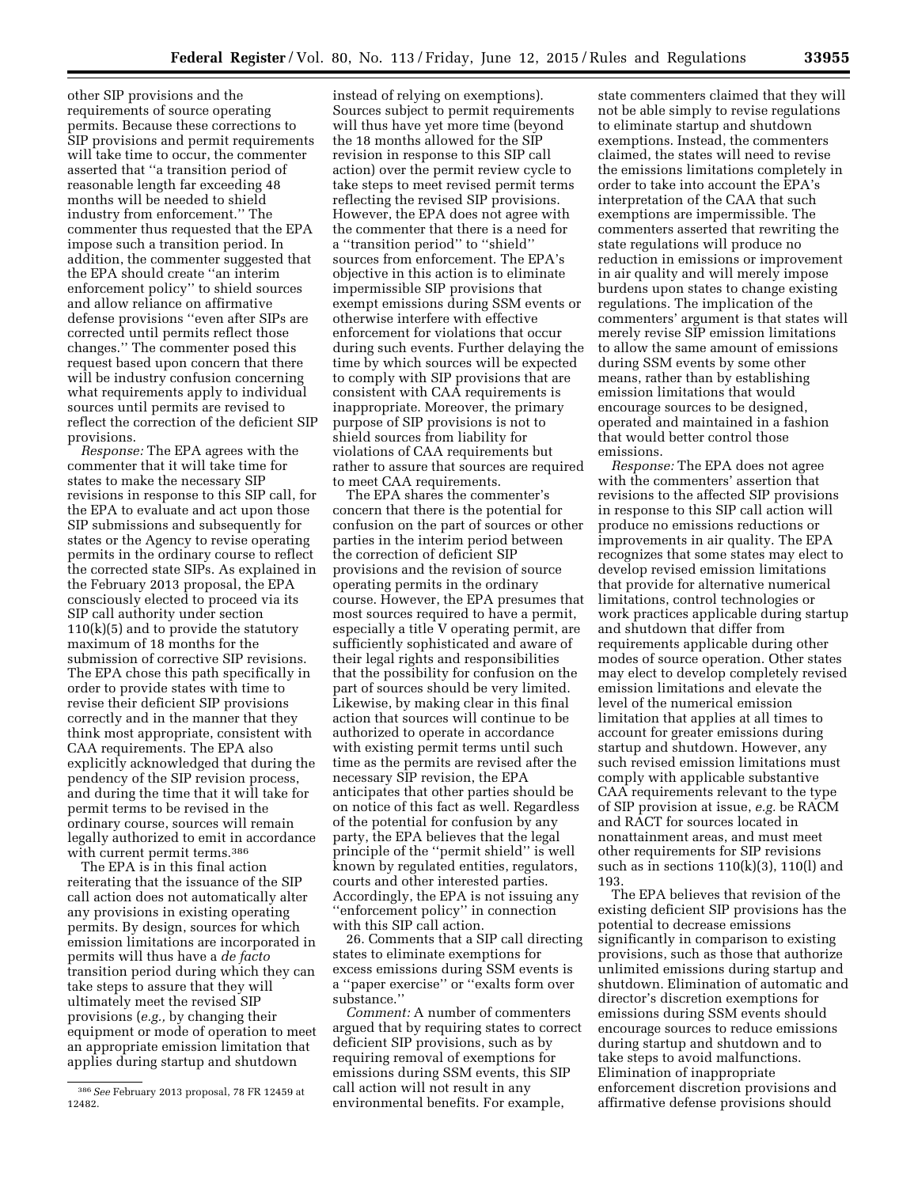other SIP provisions and the requirements of source operating permits. Because these corrections to SIP provisions and permit requirements will take time to occur, the commenter asserted that ''a transition period of reasonable length far exceeding 48 months will be needed to shield industry from enforcement.'' The commenter thus requested that the EPA impose such a transition period. In addition, the commenter suggested that the EPA should create ''an interim enforcement policy'' to shield sources and allow reliance on affirmative defense provisions ''even after SIPs are corrected until permits reflect those changes.'' The commenter posed this request based upon concern that there will be industry confusion concerning what requirements apply to individual sources until permits are revised to reflect the correction of the deficient SIP provisions.

*Response:* The EPA agrees with the commenter that it will take time for states to make the necessary SIP revisions in response to this SIP call, for the EPA to evaluate and act upon those SIP submissions and subsequently for states or the Agency to revise operating permits in the ordinary course to reflect the corrected state SIPs. As explained in the February 2013 proposal, the EPA consciously elected to proceed via its SIP call authority under section  $110(k)(5)$  and to provide the statutory maximum of 18 months for the submission of corrective SIP revisions. The EPA chose this path specifically in order to provide states with time to revise their deficient SIP provisions correctly and in the manner that they think most appropriate, consistent with CAA requirements. The EPA also explicitly acknowledged that during the pendency of the SIP revision process, and during the time that it will take for permit terms to be revised in the ordinary course, sources will remain legally authorized to emit in accordance with current permit terms.<sup>386</sup>

The EPA is in this final action reiterating that the issuance of the SIP call action does not automatically alter any provisions in existing operating permits. By design, sources for which emission limitations are incorporated in permits will thus have a *de facto*  transition period during which they can take steps to assure that they will ultimately meet the revised SIP provisions (*e.g.,* by changing their equipment or mode of operation to meet an appropriate emission limitation that applies during startup and shutdown

instead of relying on exemptions). Sources subject to permit requirements will thus have yet more time (beyond the 18 months allowed for the SIP revision in response to this SIP call action) over the permit review cycle to take steps to meet revised permit terms reflecting the revised SIP provisions. However, the EPA does not agree with the commenter that there is a need for a ''transition period'' to ''shield'' sources from enforcement. The EPA's objective in this action is to eliminate impermissible SIP provisions that exempt emissions during SSM events or otherwise interfere with effective enforcement for violations that occur during such events. Further delaying the time by which sources will be expected to comply with SIP provisions that are consistent with CAA requirements is inappropriate. Moreover, the primary purpose of SIP provisions is not to shield sources from liability for violations of CAA requirements but rather to assure that sources are required to meet CAA requirements.

The EPA shares the commenter's concern that there is the potential for confusion on the part of sources or other parties in the interim period between the correction of deficient SIP provisions and the revision of source operating permits in the ordinary course. However, the EPA presumes that most sources required to have a permit, especially a title V operating permit, are sufficiently sophisticated and aware of their legal rights and responsibilities that the possibility for confusion on the part of sources should be very limited. Likewise, by making clear in this final action that sources will continue to be authorized to operate in accordance with existing permit terms until such time as the permits are revised after the necessary SIP revision, the EPA anticipates that other parties should be on notice of this fact as well. Regardless of the potential for confusion by any party, the EPA believes that the legal principle of the ''permit shield'' is well known by regulated entities, regulators, courts and other interested parties. Accordingly, the EPA is not issuing any ''enforcement policy'' in connection with this SIP call action.

26. Comments that a SIP call directing states to eliminate exemptions for excess emissions during SSM events is a ''paper exercise'' or ''exalts form over substance.''

*Comment:* A number of commenters argued that by requiring states to correct deficient SIP provisions, such as by requiring removal of exemptions for emissions during SSM events, this SIP call action will not result in any environmental benefits. For example,

state commenters claimed that they will not be able simply to revise regulations to eliminate startup and shutdown exemptions. Instead, the commenters claimed, the states will need to revise the emissions limitations completely in order to take into account the EPA's interpretation of the CAA that such exemptions are impermissible. The commenters asserted that rewriting the state regulations will produce no reduction in emissions or improvement in air quality and will merely impose burdens upon states to change existing regulations. The implication of the commenters' argument is that states will merely revise SIP emission limitations to allow the same amount of emissions during SSM events by some other means, rather than by establishing emission limitations that would encourage sources to be designed, operated and maintained in a fashion that would better control those emissions.

*Response:* The EPA does not agree with the commenters' assertion that revisions to the affected SIP provisions in response to this SIP call action will produce no emissions reductions or improvements in air quality. The EPA recognizes that some states may elect to develop revised emission limitations that provide for alternative numerical limitations, control technologies or work practices applicable during startup and shutdown that differ from requirements applicable during other modes of source operation. Other states may elect to develop completely revised emission limitations and elevate the level of the numerical emission limitation that applies at all times to account for greater emissions during startup and shutdown. However, any such revised emission limitations must comply with applicable substantive CAA requirements relevant to the type of SIP provision at issue, *e.g.* be RACM and RACT for sources located in nonattainment areas, and must meet other requirements for SIP revisions such as in sections  $110(k)(3)$ ,  $110(l)$  and 193.

The EPA believes that revision of the existing deficient SIP provisions has the potential to decrease emissions significantly in comparison to existing provisions, such as those that authorize unlimited emissions during startup and shutdown. Elimination of automatic and director's discretion exemptions for emissions during SSM events should encourage sources to reduce emissions during startup and shutdown and to take steps to avoid malfunctions. Elimination of inappropriate enforcement discretion provisions and affirmative defense provisions should

<sup>386</sup>*See* February 2013 proposal, 78 FR 12459 at 12482.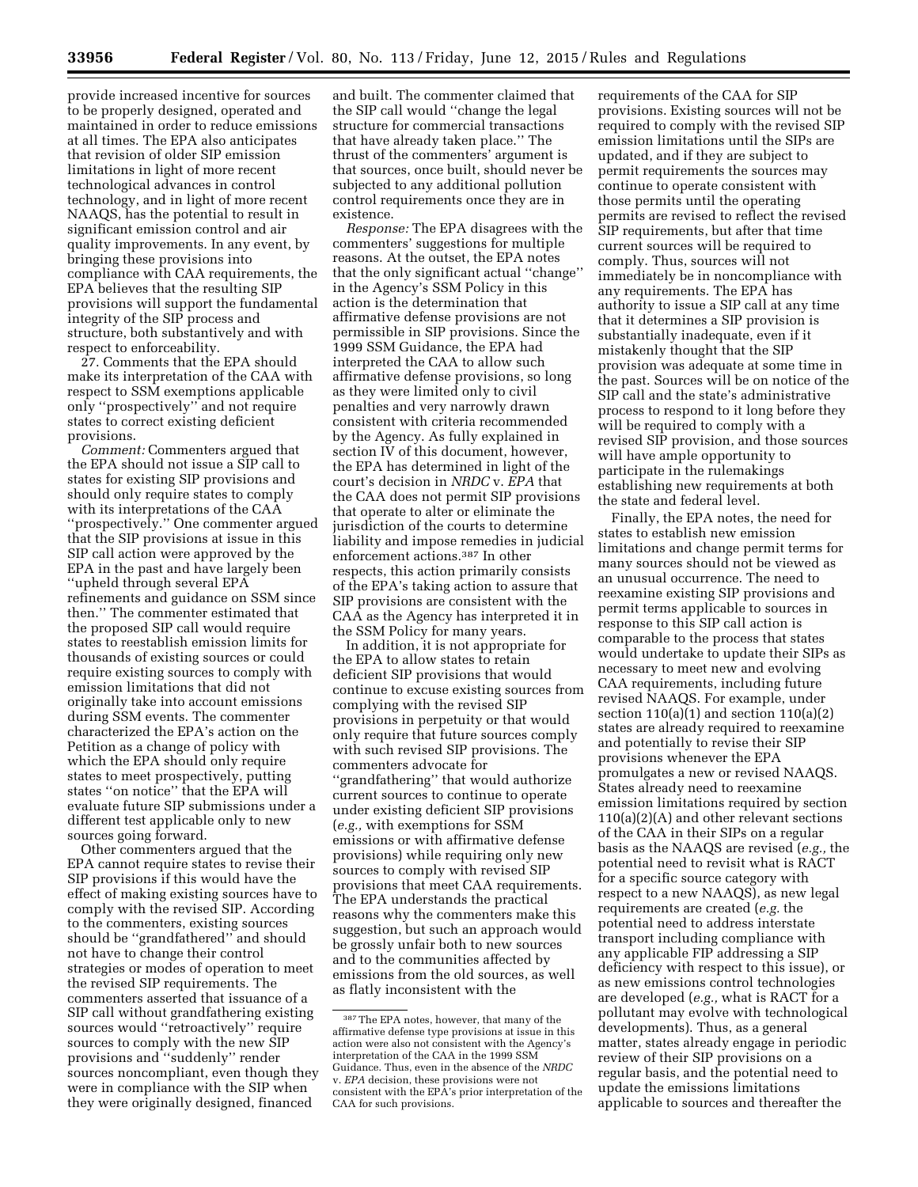provide increased incentive for sources to be properly designed, operated and maintained in order to reduce emissions at all times. The EPA also anticipates that revision of older SIP emission limitations in light of more recent technological advances in control technology, and in light of more recent NAAQS, has the potential to result in significant emission control and air quality improvements. In any event, by bringing these provisions into compliance with CAA requirements, the EPA believes that the resulting SIP provisions will support the fundamental integrity of the SIP process and structure, both substantively and with respect to enforceability.

27. Comments that the EPA should make its interpretation of the CAA with respect to SSM exemptions applicable only ''prospectively'' and not require states to correct existing deficient provisions.

*Comment:* Commenters argued that the EPA should not issue a SIP call to states for existing SIP provisions and should only require states to comply with its interpretations of the CAA ''prospectively.'' One commenter argued that the SIP provisions at issue in this SIP call action were approved by the EPA in the past and have largely been ''upheld through several EPA refinements and guidance on SSM since then.'' The commenter estimated that the proposed SIP call would require states to reestablish emission limits for thousands of existing sources or could require existing sources to comply with emission limitations that did not originally take into account emissions during SSM events. The commenter characterized the EPA's action on the Petition as a change of policy with which the EPA should only require states to meet prospectively, putting states ''on notice'' that the EPA will evaluate future SIP submissions under a different test applicable only to new sources going forward.

Other commenters argued that the EPA cannot require states to revise their SIP provisions if this would have the effect of making existing sources have to comply with the revised SIP. According to the commenters, existing sources should be ''grandfathered'' and should not have to change their control strategies or modes of operation to meet the revised SIP requirements. The commenters asserted that issuance of a SIP call without grandfathering existing sources would ''retroactively'' require sources to comply with the new SIP provisions and ''suddenly'' render sources noncompliant, even though they were in compliance with the SIP when they were originally designed, financed

and built. The commenter claimed that the SIP call would ''change the legal structure for commercial transactions that have already taken place.'' The thrust of the commenters' argument is that sources, once built, should never be subjected to any additional pollution control requirements once they are in existence.

*Response:* The EPA disagrees with the commenters' suggestions for multiple reasons. At the outset, the EPA notes that the only significant actual ''change'' in the Agency's SSM Policy in this action is the determination that affirmative defense provisions are not permissible in SIP provisions. Since the 1999 SSM Guidance, the EPA had interpreted the CAA to allow such affirmative defense provisions, so long as they were limited only to civil penalties and very narrowly drawn consistent with criteria recommended by the Agency. As fully explained in section IV of this document, however, the EPA has determined in light of the court's decision in *NRDC* v. *EPA* that the CAA does not permit SIP provisions that operate to alter or eliminate the jurisdiction of the courts to determine liability and impose remedies in judicial enforcement actions.387 In other respects, this action primarily consists of the EPA's taking action to assure that SIP provisions are consistent with the CAA as the Agency has interpreted it in the SSM Policy for many years.

In addition, it is not appropriate for the EPA to allow states to retain deficient SIP provisions that would continue to excuse existing sources from complying with the revised SIP provisions in perpetuity or that would only require that future sources comply with such revised SIP provisions. The commenters advocate for ''grandfathering'' that would authorize current sources to continue to operate under existing deficient SIP provisions (*e.g.,* with exemptions for SSM emissions or with affirmative defense provisions) while requiring only new sources to comply with revised SIP provisions that meet CAA requirements. The EPA understands the practical reasons why the commenters make this suggestion, but such an approach would be grossly unfair both to new sources and to the communities affected by emissions from the old sources, as well as flatly inconsistent with the

requirements of the CAA for SIP provisions. Existing sources will not be required to comply with the revised SIP emission limitations until the SIPs are updated, and if they are subject to permit requirements the sources may continue to operate consistent with those permits until the operating permits are revised to reflect the revised SIP requirements, but after that time current sources will be required to comply. Thus, sources will not immediately be in noncompliance with any requirements. The EPA has authority to issue a SIP call at any time that it determines a SIP provision is substantially inadequate, even if it mistakenly thought that the SIP provision was adequate at some time in the past. Sources will be on notice of the SIP call and the state's administrative process to respond to it long before they will be required to comply with a revised SIP provision, and those sources will have ample opportunity to participate in the rulemakings establishing new requirements at both the state and federal level.

Finally, the EPA notes, the need for states to establish new emission limitations and change permit terms for many sources should not be viewed as an unusual occurrence. The need to reexamine existing SIP provisions and permit terms applicable to sources in response to this SIP call action is comparable to the process that states would undertake to update their SIPs as necessary to meet new and evolving CAA requirements, including future revised NAAQS. For example, under section  $110(a)(1)$  and section  $110(a)(2)$ states are already required to reexamine and potentially to revise their SIP provisions whenever the EPA promulgates a new or revised NAAQS. States already need to reexamine emission limitations required by section 110(a)(2)(A) and other relevant sections of the CAA in their SIPs on a regular basis as the NAAQS are revised (*e.g.,* the potential need to revisit what is RACT for a specific source category with respect to a new NAAQS), as new legal requirements are created (*e.g.* the potential need to address interstate transport including compliance with any applicable FIP addressing a SIP deficiency with respect to this issue), or as new emissions control technologies are developed (*e.g.,* what is RACT for a pollutant may evolve with technological developments). Thus, as a general matter, states already engage in periodic review of their SIP provisions on a regular basis, and the potential need to update the emissions limitations applicable to sources and thereafter the

<sup>387</sup>The EPA notes, however, that many of the affirmative defense type provisions at issue in this action were also not consistent with the Agency's interpretation of the CAA in the 1999 SSM Guidance. Thus, even in the absence of the *NRDC*  v. *EPA* decision, these provisions were not consistent with the EPA's prior interpretation of the CAA for such provisions.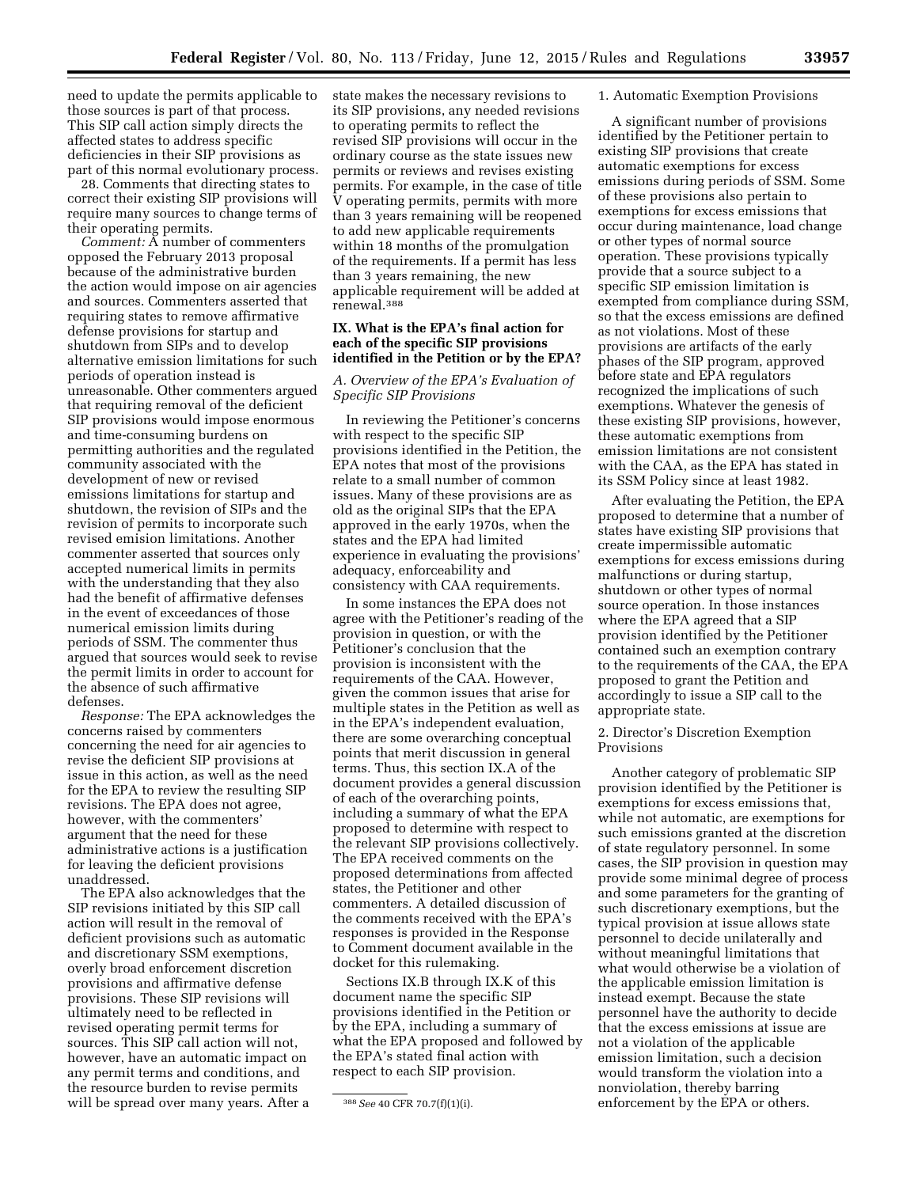need to update the permits applicable to those sources is part of that process. This SIP call action simply directs the affected states to address specific deficiencies in their SIP provisions as part of this normal evolutionary process.

28. Comments that directing states to correct their existing SIP provisions will require many sources to change terms of their operating permits.

*Comment:* A number of commenters opposed the February 2013 proposal because of the administrative burden the action would impose on air agencies and sources. Commenters asserted that requiring states to remove affirmative defense provisions for startup and shutdown from SIPs and to develop alternative emission limitations for such periods of operation instead is unreasonable. Other commenters argued that requiring removal of the deficient SIP provisions would impose enormous and time-consuming burdens on permitting authorities and the regulated community associated with the development of new or revised emissions limitations for startup and shutdown, the revision of SIPs and the revision of permits to incorporate such revised emision limitations. Another commenter asserted that sources only accepted numerical limits in permits with the understanding that they also had the benefit of affirmative defenses in the event of exceedances of those numerical emission limits during periods of SSM. The commenter thus argued that sources would seek to revise the permit limits in order to account for the absence of such affirmative defenses.

*Response:* The EPA acknowledges the concerns raised by commenters concerning the need for air agencies to revise the deficient SIP provisions at issue in this action, as well as the need for the EPA to review the resulting SIP revisions. The EPA does not agree, however, with the commenters' argument that the need for these administrative actions is a justification for leaving the deficient provisions unaddressed.

The EPA also acknowledges that the SIP revisions initiated by this SIP call action will result in the removal of deficient provisions such as automatic and discretionary SSM exemptions, overly broad enforcement discretion provisions and affirmative defense provisions. These SIP revisions will ultimately need to be reflected in revised operating permit terms for sources. This SIP call action will not, however, have an automatic impact on any permit terms and conditions, and the resource burden to revise permits will be spread over many years. After a state makes the necessary revisions to its SIP provisions, any needed revisions to operating permits to reflect the revised SIP provisions will occur in the ordinary course as the state issues new permits or reviews and revises existing permits. For example, in the case of title V operating permits, permits with more than 3 years remaining will be reopened to add new applicable requirements within 18 months of the promulgation of the requirements. If a permit has less than 3 years remaining, the new applicable requirement will be added at renewal.388

# **IX. What is the EPA's final action for each of the specific SIP provisions identified in the Petition or by the EPA?**

# *A. Overview of the EPA's Evaluation of Specific SIP Provisions*

In reviewing the Petitioner's concerns with respect to the specific SIP provisions identified in the Petition, the EPA notes that most of the provisions relate to a small number of common issues. Many of these provisions are as old as the original SIPs that the EPA approved in the early 1970s, when the states and the EPA had limited experience in evaluating the provisions' adequacy, enforceability and consistency with CAA requirements.

In some instances the EPA does not agree with the Petitioner's reading of the provision in question, or with the Petitioner's conclusion that the provision is inconsistent with the requirements of the CAA. However, given the common issues that arise for multiple states in the Petition as well as in the EPA's independent evaluation, there are some overarching conceptual points that merit discussion in general terms. Thus, this section IX.A of the document provides a general discussion of each of the overarching points, including a summary of what the EPA proposed to determine with respect to the relevant SIP provisions collectively. The EPA received comments on the proposed determinations from affected states, the Petitioner and other commenters. A detailed discussion of the comments received with the EPA's responses is provided in the Response to Comment document available in the docket for this rulemaking.

Sections IX.B through IX.K of this document name the specific SIP provisions identified in the Petition or by the EPA, including a summary of what the EPA proposed and followed by the EPA's stated final action with respect to each SIP provision.

#### 1. Automatic Exemption Provisions

A significant number of provisions identified by the Petitioner pertain to existing SIP provisions that create automatic exemptions for excess emissions during periods of SSM. Some of these provisions also pertain to exemptions for excess emissions that occur during maintenance, load change or other types of normal source operation. These provisions typically provide that a source subject to a specific SIP emission limitation is exempted from compliance during SSM, so that the excess emissions are defined as not violations. Most of these provisions are artifacts of the early phases of the SIP program, approved before state and EPA regulators recognized the implications of such exemptions. Whatever the genesis of these existing SIP provisions, however, these automatic exemptions from emission limitations are not consistent with the CAA, as the EPA has stated in its SSM Policy since at least 1982.

After evaluating the Petition, the EPA proposed to determine that a number of states have existing SIP provisions that create impermissible automatic exemptions for excess emissions during malfunctions or during startup, shutdown or other types of normal source operation. In those instances where the EPA agreed that a SIP provision identified by the Petitioner contained such an exemption contrary to the requirements of the CAA, the EPA proposed to grant the Petition and accordingly to issue a SIP call to the appropriate state.

### 2. Director's Discretion Exemption Provisions

Another category of problematic SIP provision identified by the Petitioner is exemptions for excess emissions that, while not automatic, are exemptions for such emissions granted at the discretion of state regulatory personnel. In some cases, the SIP provision in question may provide some minimal degree of process and some parameters for the granting of such discretionary exemptions, but the typical provision at issue allows state personnel to decide unilaterally and without meaningful limitations that what would otherwise be a violation of the applicable emission limitation is instead exempt. Because the state personnel have the authority to decide that the excess emissions at issue are not a violation of the applicable emission limitation, such a decision would transform the violation into a nonviolation, thereby barring enforcement by the EPA or others.

<sup>388</sup>*See* 40 CFR 70.7(f)(1)(i).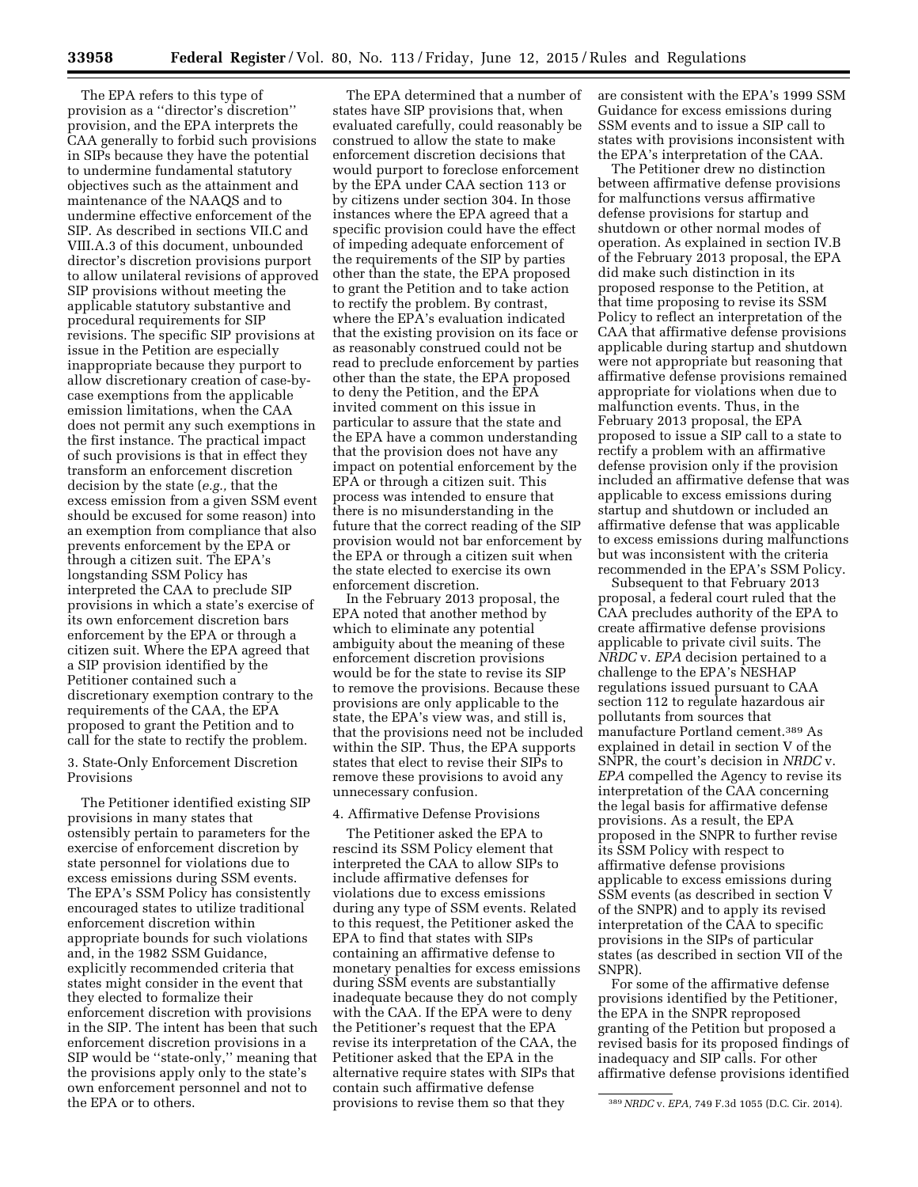The EPA refers to this type of provision as a ''director's discretion'' provision, and the EPA interprets the CAA generally to forbid such provisions in SIPs because they have the potential to undermine fundamental statutory objectives such as the attainment and maintenance of the NAAQS and to undermine effective enforcement of the SIP. As described in sections VII.C and VIII.A.3 of this document, unbounded director's discretion provisions purport to allow unilateral revisions of approved SIP provisions without meeting the applicable statutory substantive and procedural requirements for SIP revisions. The specific SIP provisions at issue in the Petition are especially inappropriate because they purport to allow discretionary creation of case-bycase exemptions from the applicable emission limitations, when the CAA does not permit any such exemptions in the first instance. The practical impact of such provisions is that in effect they transform an enforcement discretion decision by the state (*e.g.,* that the excess emission from a given SSM event should be excused for some reason) into an exemption from compliance that also prevents enforcement by the EPA or through a citizen suit. The EPA's longstanding SSM Policy has interpreted the CAA to preclude SIP provisions in which a state's exercise of its own enforcement discretion bars enforcement by the EPA or through a citizen suit. Where the EPA agreed that a SIP provision identified by the Petitioner contained such a discretionary exemption contrary to the requirements of the CAA, the EPA proposed to grant the Petition and to call for the state to rectify the problem.

3. State-Only Enforcement Discretion Provisions

The Petitioner identified existing SIP provisions in many states that ostensibly pertain to parameters for the exercise of enforcement discretion by state personnel for violations due to excess emissions during SSM events. The EPA's SSM Policy has consistently encouraged states to utilize traditional enforcement discretion within appropriate bounds for such violations and, in the 1982 SSM Guidance, explicitly recommended criteria that states might consider in the event that they elected to formalize their enforcement discretion with provisions in the SIP. The intent has been that such enforcement discretion provisions in a SIP would be ''state-only,'' meaning that the provisions apply only to the state's own enforcement personnel and not to the EPA or to others.

The EPA determined that a number of states have SIP provisions that, when evaluated carefully, could reasonably be construed to allow the state to make enforcement discretion decisions that would purport to foreclose enforcement by the EPA under CAA section 113 or by citizens under section 304. In those instances where the EPA agreed that a specific provision could have the effect of impeding adequate enforcement of the requirements of the SIP by parties other than the state, the EPA proposed to grant the Petition and to take action to rectify the problem. By contrast, where the EPA's evaluation indicated that the existing provision on its face or as reasonably construed could not be read to preclude enforcement by parties other than the state, the EPA proposed to deny the Petition, and the EPA invited comment on this issue in particular to assure that the state and the EPA have a common understanding that the provision does not have any impact on potential enforcement by the EPA or through a citizen suit. This process was intended to ensure that there is no misunderstanding in the future that the correct reading of the SIP provision would not bar enforcement by the EPA or through a citizen suit when the state elected to exercise its own enforcement discretion.

In the February 2013 proposal, the EPA noted that another method by which to eliminate any potential ambiguity about the meaning of these enforcement discretion provisions would be for the state to revise its SIP to remove the provisions. Because these provisions are only applicable to the state, the EPA's view was, and still is, that the provisions need not be included within the SIP. Thus, the EPA supports states that elect to revise their SIPs to remove these provisions to avoid any unnecessary confusion.

### 4. Affirmative Defense Provisions

The Petitioner asked the EPA to rescind its SSM Policy element that interpreted the CAA to allow SIPs to include affirmative defenses for violations due to excess emissions during any type of SSM events. Related to this request, the Petitioner asked the EPA to find that states with SIPs containing an affirmative defense to monetary penalties for excess emissions during SSM events are substantially inadequate because they do not comply with the CAA. If the EPA were to deny the Petitioner's request that the EPA revise its interpretation of the CAA, the Petitioner asked that the EPA in the alternative require states with SIPs that contain such affirmative defense provisions to revise them so that they

are consistent with the EPA's 1999 SSM Guidance for excess emissions during SSM events and to issue a SIP call to states with provisions inconsistent with the EPA's interpretation of the CAA.

The Petitioner drew no distinction between affirmative defense provisions for malfunctions versus affirmative defense provisions for startup and shutdown or other normal modes of operation. As explained in section IV.B of the February 2013 proposal, the EPA did make such distinction in its proposed response to the Petition, at that time proposing to revise its SSM Policy to reflect an interpretation of the CAA that affirmative defense provisions applicable during startup and shutdown were not appropriate but reasoning that affirmative defense provisions remained appropriate for violations when due to malfunction events. Thus, in the February 2013 proposal, the EPA proposed to issue a SIP call to a state to rectify a problem with an affirmative defense provision only if the provision included an affirmative defense that was applicable to excess emissions during startup and shutdown or included an affirmative defense that was applicable to excess emissions during malfunctions but was inconsistent with the criteria recommended in the EPA's SSM Policy.

Subsequent to that February 2013 proposal, a federal court ruled that the CAA precludes authority of the EPA to create affirmative defense provisions applicable to private civil suits. The *NRDC* v. *EPA* decision pertained to a challenge to the EPA's NESHAP regulations issued pursuant to CAA section 112 to regulate hazardous air pollutants from sources that manufacture Portland cement.389 As explained in detail in section V of the SNPR, the court's decision in *NRDC* v. *EPA* compelled the Agency to revise its interpretation of the CAA concerning the legal basis for affirmative defense provisions. As a result, the EPA proposed in the SNPR to further revise its SSM Policy with respect to affirmative defense provisions applicable to excess emissions during SSM events (as described in section V of the SNPR) and to apply its revised interpretation of the CAA to specific provisions in the SIPs of particular states (as described in section VII of the SNPR).

For some of the affirmative defense provisions identified by the Petitioner, the EPA in the SNPR reproposed granting of the Petition but proposed a revised basis for its proposed findings of inadequacy and SIP calls. For other affirmative defense provisions identified

<sup>389</sup>*NRDC* v. *EPA,* 749 F.3d 1055 (D.C. Cir. 2014).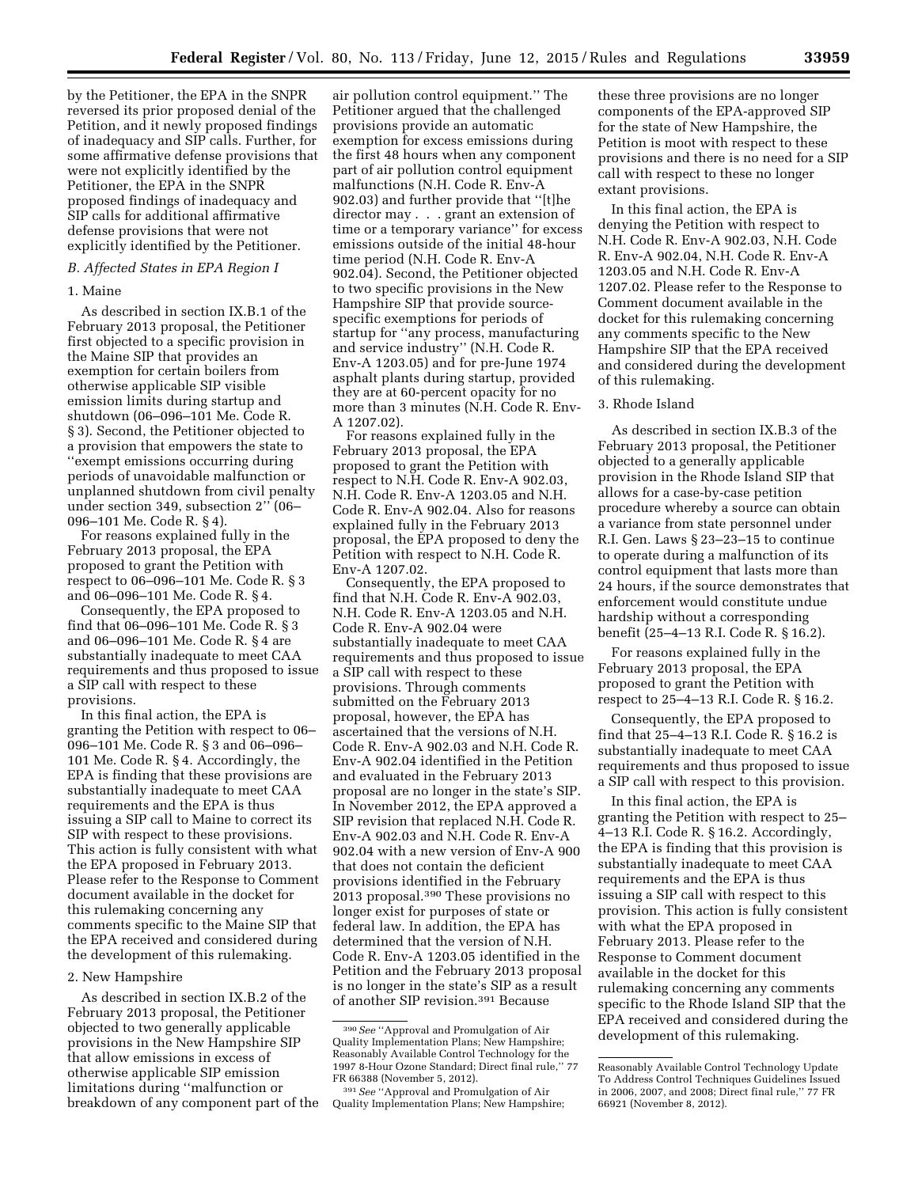by the Petitioner, the EPA in the SNPR reversed its prior proposed denial of the Petition, and it newly proposed findings of inadequacy and SIP calls. Further, for some affirmative defense provisions that were not explicitly identified by the Petitioner, the EPA in the SNPR proposed findings of inadequacy and SIP calls for additional affirmative defense provisions that were not explicitly identified by the Petitioner.

### *B. Affected States in EPA Region I*

### 1. Maine

As described in section IX.B.1 of the February 2013 proposal, the Petitioner first objected to a specific provision in the Maine SIP that provides an exemption for certain boilers from otherwise applicable SIP visible emission limits during startup and shutdown (06–096–101 Me. Code R. § 3). Second, the Petitioner objected to a provision that empowers the state to ''exempt emissions occurring during periods of unavoidable malfunction or unplanned shutdown from civil penalty under section 349, subsection 2'' (06– 096–101 Me. Code R. § 4).

For reasons explained fully in the February 2013 proposal, the EPA proposed to grant the Petition with respect to 06–096–101 Me. Code R. § 3 and 06–096–101 Me. Code R. § 4.

Consequently, the EPA proposed to find that 06–096–101 Me. Code R. § 3 and 06–096–101 Me. Code R. § 4 are substantially inadequate to meet CAA requirements and thus proposed to issue a SIP call with respect to these provisions.

In this final action, the EPA is granting the Petition with respect to 06– 096–101 Me. Code R. § 3 and 06–096– 101 Me. Code R. § 4. Accordingly, the EPA is finding that these provisions are substantially inadequate to meet CAA requirements and the EPA is thus issuing a SIP call to Maine to correct its SIP with respect to these provisions. This action is fully consistent with what the EPA proposed in February 2013. Please refer to the Response to Comment document available in the docket for this rulemaking concerning any comments specific to the Maine SIP that the EPA received and considered during the development of this rulemaking.

### 2. New Hampshire

As described in section IX.B.2 of the February 2013 proposal, the Petitioner objected to two generally applicable provisions in the New Hampshire SIP that allow emissions in excess of otherwise applicable SIP emission limitations during ''malfunction or breakdown of any component part of the

air pollution control equipment.'' The Petitioner argued that the challenged provisions provide an automatic exemption for excess emissions during the first 48 hours when any component part of air pollution control equipment malfunctions (N.H. Code R. Env-A 902.03) and further provide that ''[t]he director may . . . grant an extension of time or a temporary variance'' for excess emissions outside of the initial 48-hour time period (N.H. Code R. Env-A 902.04). Second, the Petitioner objected to two specific provisions in the New Hampshire SIP that provide sourcespecific exemptions for periods of startup for ''any process, manufacturing and service industry'' (N.H. Code R. Env-A 1203.05) and for pre-June 1974 asphalt plants during startup, provided they are at 60-percent opacity for no more than 3 minutes (N.H. Code R. Env-A 1207.02).

For reasons explained fully in the February 2013 proposal, the EPA proposed to grant the Petition with respect to N.H. Code R. Env-A 902.03, N.H. Code R. Env-A 1203.05 and N.H. Code R. Env-A 902.04. Also for reasons explained fully in the February 2013 proposal, the EPA proposed to deny the Petition with respect to N.H. Code R. Env-A 1207.02.

Consequently, the EPA proposed to find that N.H. Code R. Env-A 902.03, N.H. Code R. Env-A 1203.05 and N.H. Code R. Env-A 902.04 were substantially inadequate to meet CAA requirements and thus proposed to issue a SIP call with respect to these provisions. Through comments submitted on the February 2013 proposal, however, the EPA has ascertained that the versions of N.H. Code R. Env-A 902.03 and N.H. Code R. Env-A 902.04 identified in the Petition and evaluated in the February 2013 proposal are no longer in the state's SIP. In November 2012, the EPA approved a SIP revision that replaced N.H. Code R. Env-A 902.03 and N.H. Code R. Env-A 902.04 with a new version of Env-A 900 that does not contain the deficient provisions identified in the February 2013 proposal.390 These provisions no longer exist for purposes of state or federal law. In addition, the EPA has determined that the version of N.H. Code R. Env-A 1203.05 identified in the Petition and the February 2013 proposal is no longer in the state's SIP as a result of another SIP revision.391 Because

these three provisions are no longer components of the EPA-approved SIP for the state of New Hampshire, the Petition is moot with respect to these provisions and there is no need for a SIP call with respect to these no longer extant provisions.

In this final action, the EPA is denying the Petition with respect to N.H. Code R. Env-A 902.03, N.H. Code R. Env-A 902.04, N.H. Code R. Env-A 1203.05 and N.H. Code R. Env-A 1207.02. Please refer to the Response to Comment document available in the docket for this rulemaking concerning any comments specific to the New Hampshire SIP that the EPA received and considered during the development of this rulemaking.

# 3. Rhode Island

As described in section IX.B.3 of the February 2013 proposal, the Petitioner objected to a generally applicable provision in the Rhode Island SIP that allows for a case-by-case petition procedure whereby a source can obtain a variance from state personnel under R.I. Gen. Laws § 23–23–15 to continue to operate during a malfunction of its control equipment that lasts more than 24 hours, if the source demonstrates that enforcement would constitute undue hardship without a corresponding benefit (25–4–13 R.I. Code R. § 16.2).

For reasons explained fully in the February 2013 proposal, the EPA proposed to grant the Petition with respect to 25–4–13 R.I. Code R. § 16.2.

Consequently, the EPA proposed to find that 25–4–13 R.I. Code R. § 16.2 is substantially inadequate to meet CAA requirements and thus proposed to issue a SIP call with respect to this provision.

In this final action, the EPA is granting the Petition with respect to 25– 4–13 R.I. Code R. § 16.2. Accordingly, the EPA is finding that this provision is substantially inadequate to meet CAA requirements and the EPA is thus issuing a SIP call with respect to this provision. This action is fully consistent with what the EPA proposed in February 2013. Please refer to the Response to Comment document available in the docket for this rulemaking concerning any comments specific to the Rhode Island SIP that the EPA received and considered during the development of this rulemaking.

<sup>390</sup>*See* ''Approval and Promulgation of Air Quality Implementation Plans; New Hampshire; Reasonably Available Control Technology for the 1997 8-Hour Ozone Standard; Direct final rule,'' 77 FR 66388 (November 5, 2012).

<sup>391</sup>*See* ''Approval and Promulgation of Air Quality Implementation Plans; New Hampshire;

Reasonably Available Control Technology Update To Address Control Techniques Guidelines Issued in 2006, 2007, and 2008; Direct final rule,'' 77 FR 66921 (November 8, 2012).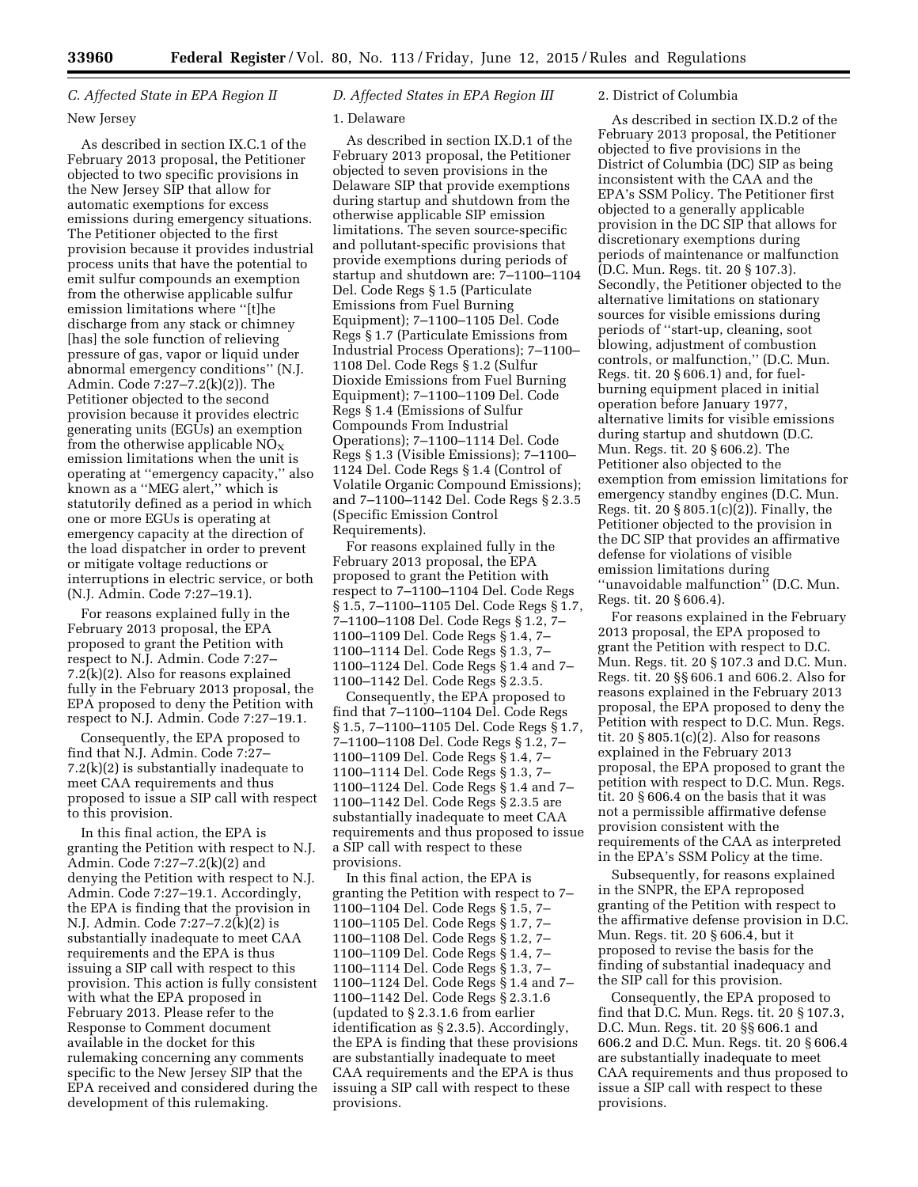# *C. Affected State in EPA Region II*

### New Jersey

As described in section IX.C.1 of the February 2013 proposal, the Petitioner objected to two specific provisions in the New Jersey SIP that allow for automatic exemptions for excess emissions during emergency situations. The Petitioner objected to the first provision because it provides industrial process units that have the potential to emit sulfur compounds an exemption from the otherwise applicable sulfur emission limitations where ''[t]he discharge from any stack or chimney [has] the sole function of relieving pressure of gas, vapor or liquid under abnormal emergency conditions'' (N.J. Admin. Code 7:27–7.2(k)(2)). The Petitioner objected to the second provision because it provides electric generating units (EGUs) an exemption from the otherwise applicable  $NO<sub>x</sub>$ emission limitations when the unit is operating at ''emergency capacity,'' also known as a ''MEG alert,'' which is statutorily defined as a period in which one or more EGUs is operating at emergency capacity at the direction of the load dispatcher in order to prevent or mitigate voltage reductions or interruptions in electric service, or both (N.J. Admin. Code 7:27–19.1).

For reasons explained fully in the February 2013 proposal, the EPA proposed to grant the Petition with respect to N.J. Admin. Code 7:27– 7.2(k)(2). Also for reasons explained fully in the February 2013 proposal, the EPA proposed to deny the Petition with respect to N.J. Admin. Code 7:27–19.1.

Consequently, the EPA proposed to find that N.J. Admin. Code 7:27– 7.2(k)(2) is substantially inadequate to meet CAA requirements and thus proposed to issue a SIP call with respect to this provision.

In this final action, the EPA is granting the Petition with respect to N.J. Admin. Code 7:27–7.2(k)(2) and denying the Petition with respect to N.J. Admin. Code 7:27–19.1. Accordingly, the EPA is finding that the provision in N.J. Admin. Code 7:27–7.2(k)(2) is substantially inadequate to meet CAA requirements and the EPA is thus issuing a SIP call with respect to this provision. This action is fully consistent with what the EPA proposed in February 2013. Please refer to the Response to Comment document available in the docket for this rulemaking concerning any comments specific to the New Jersey SIP that the EPA received and considered during the development of this rulemaking.

# *D. Affected States in EPA Region III*

# 1. Delaware

As described in section IX.D.1 of the February 2013 proposal, the Petitioner objected to seven provisions in the Delaware SIP that provide exemptions during startup and shutdown from the otherwise applicable SIP emission limitations. The seven source-specific and pollutant-specific provisions that provide exemptions during periods of startup and shutdown are: 7–1100–1104 Del. Code Regs § 1.5 (Particulate Emissions from Fuel Burning Equipment); 7–1100–1105 Del. Code Regs § 1.7 (Particulate Emissions from Industrial Process Operations); 7–1100– 1108 Del. Code Regs § 1.2 (Sulfur Dioxide Emissions from Fuel Burning Equipment); 7–1100–1109 Del. Code Regs § 1.4 (Emissions of Sulfur Compounds From Industrial Operations); 7–1100–1114 Del. Code Regs § 1.3 (Visible Emissions); 7–1100– 1124 Del. Code Regs § 1.4 (Control of Volatile Organic Compound Emissions); and 7–1100–1142 Del. Code Regs § 2.3.5 (Specific Emission Control Requirements).

For reasons explained fully in the February 2013 proposal, the EPA proposed to grant the Petition with respect to 7–1100–1104 Del. Code Regs § 1.5, 7–1100–1105 Del. Code Regs § 1.7, 7–1100–1108 Del. Code Regs § 1.2, 7– 1100–1109 Del. Code Regs § 1.4, 7– 1100–1114 Del. Code Regs § 1.3, 7– 1100–1124 Del. Code Regs § 1.4 and 7– 1100–1142 Del. Code Regs § 2.3.5.

Consequently, the EPA proposed to find that 7–1100–1104 Del. Code Regs § 1.5, 7–1100–1105 Del. Code Regs § 1.7, 7–1100–1108 Del. Code Regs § 1.2, 7– 1100–1109 Del. Code Regs § 1.4, 7– 1100–1114 Del. Code Regs § 1.3, 7– 1100–1124 Del. Code Regs § 1.4 and 7– 1100–1142 Del. Code Regs § 2.3.5 are substantially inadequate to meet CAA requirements and thus proposed to issue a SIP call with respect to these provisions.

In this final action, the EPA is granting the Petition with respect to 7– 1100–1104 Del. Code Regs § 1.5, 7– 1100–1105 Del. Code Regs § 1.7, 7– 1100–1108 Del. Code Regs § 1.2, 7– 1100–1109 Del. Code Regs § 1.4, 7– 1100–1114 Del. Code Regs § 1.3, 7– 1100–1124 Del. Code Regs § 1.4 and 7– 1100–1142 Del. Code Regs § 2.3.1.6 (updated to § 2.3.1.6 from earlier identification as § 2.3.5). Accordingly, the EPA is finding that these provisions are substantially inadequate to meet CAA requirements and the EPA is thus issuing a SIP call with respect to these provisions.

### 2. District of Columbia

As described in section IX.D.2 of the February 2013 proposal, the Petitioner objected to five provisions in the District of Columbia (DC) SIP as being inconsistent with the CAA and the EPA's SSM Policy. The Petitioner first objected to a generally applicable provision in the DC SIP that allows for discretionary exemptions during periods of maintenance or malfunction (D.C. Mun. Regs. tit. 20 § 107.3). Secondly, the Petitioner objected to the alternative limitations on stationary sources for visible emissions during periods of ''start-up, cleaning, soot blowing, adjustment of combustion controls, or malfunction,'' (D.C. Mun. Regs. tit. 20 § 606.1) and, for fuelburning equipment placed in initial operation before January 1977, alternative limits for visible emissions during startup and shutdown (D.C. Mun. Regs. tit. 20 § 606.2). The Petitioner also objected to the exemption from emission limitations for emergency standby engines (D.C. Mun. Regs. tit. 20 § 805.1(c)(2)). Finally, the Petitioner objected to the provision in the DC SIP that provides an affirmative defense for violations of visible emission limitations during ''unavoidable malfunction'' (D.C. Mun. Regs. tit. 20 § 606.4).

For reasons explained in the February 2013 proposal, the EPA proposed to grant the Petition with respect to D.C. Mun. Regs. tit. 20 § 107.3 and D.C. Mun. Regs. tit. 20 §§ 606.1 and 606.2. Also for reasons explained in the February 2013 proposal, the EPA proposed to deny the Petition with respect to D.C. Mun. Regs. tit. 20 § 805.1(c)(2). Also for reasons explained in the February 2013 proposal, the EPA proposed to grant the petition with respect to D.C. Mun. Regs. tit. 20 § 606.4 on the basis that it was not a permissible affirmative defense provision consistent with the requirements of the CAA as interpreted in the EPA's SSM Policy at the time.

Subsequently, for reasons explained in the SNPR, the EPA reproposed granting of the Petition with respect to the affirmative defense provision in D.C. Mun. Regs. tit. 20 § 606.4, but it proposed to revise the basis for the finding of substantial inadequacy and the SIP call for this provision.

Consequently, the EPA proposed to find that D.C. Mun. Regs. tit. 20 § 107.3, D.C. Mun. Regs. tit. 20 §§ 606.1 and 606.2 and D.C. Mun. Regs. tit. 20 § 606.4 are substantially inadequate to meet CAA requirements and thus proposed to issue a SIP call with respect to these provisions.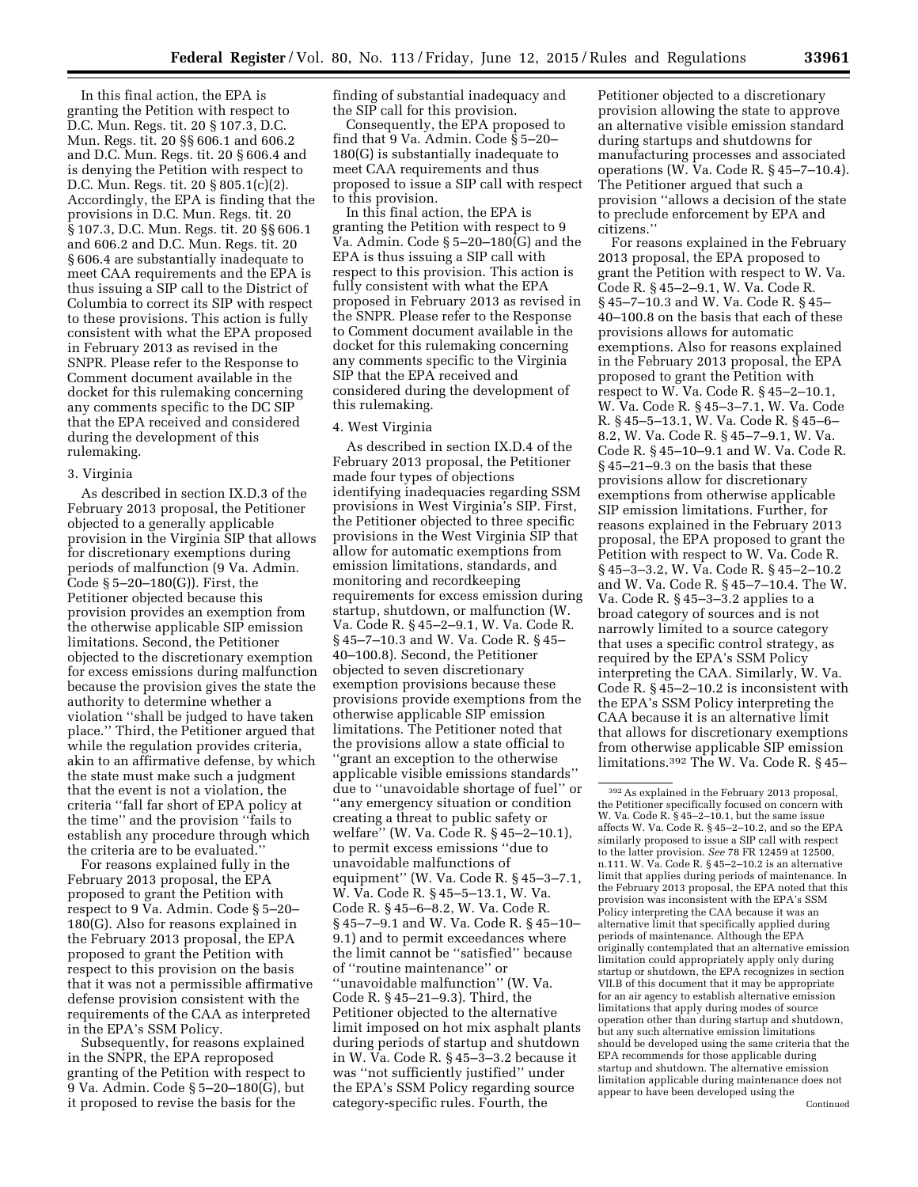In this final action, the EPA is granting the Petition with respect to D.C. Mun. Regs. tit. 20 § 107.3, D.C. Mun. Regs. tit. 20 §§ 606.1 and 606.2 and D.C. Mun. Regs. tit. 20 § 606.4 and is denying the Petition with respect to D.C. Mun. Regs. tit. 20 § 805.1(c)(2). Accordingly, the EPA is finding that the provisions in D.C. Mun. Regs. tit. 20 § 107.3, D.C. Mun. Regs. tit. 20 §§ 606.1 and 606.2 and D.C. Mun. Regs. tit. 20 § 606.4 are substantially inadequate to meet CAA requirements and the EPA is thus issuing a SIP call to the District of Columbia to correct its SIP with respect to these provisions. This action is fully consistent with what the EPA proposed in February 2013 as revised in the SNPR. Please refer to the Response to Comment document available in the docket for this rulemaking concerning any comments specific to the DC SIP that the EPA received and considered during the development of this rulemaking.

### 3. Virginia

As described in section IX.D.3 of the February 2013 proposal, the Petitioner objected to a generally applicable provision in the Virginia SIP that allows for discretionary exemptions during periods of malfunction (9 Va. Admin. Code § 5–20–180(G)). First, the Petitioner objected because this provision provides an exemption from the otherwise applicable SIP emission limitations. Second, the Petitioner objected to the discretionary exemption for excess emissions during malfunction because the provision gives the state the authority to determine whether a violation ''shall be judged to have taken place.'' Third, the Petitioner argued that while the regulation provides criteria, akin to an affirmative defense, by which the state must make such a judgment that the event is not a violation, the criteria ''fall far short of EPA policy at the time'' and the provision ''fails to establish any procedure through which the criteria are to be evaluated.''

For reasons explained fully in the February 2013 proposal, the EPA proposed to grant the Petition with respect to 9 Va. Admin. Code § 5–20– 180(G). Also for reasons explained in the February 2013 proposal, the EPA proposed to grant the Petition with respect to this provision on the basis that it was not a permissible affirmative defense provision consistent with the requirements of the CAA as interpreted in the EPA's SSM Policy.

Subsequently, for reasons explained in the SNPR, the EPA reproposed granting of the Petition with respect to 9 Va. Admin. Code § 5–20–180(G), but it proposed to revise the basis for the

finding of substantial inadequacy and the SIP call for this provision.

Consequently, the EPA proposed to find that 9 Va. Admin. Code § 5–20– 180(G) is substantially inadequate to meet CAA requirements and thus proposed to issue a SIP call with respect to this provision.

In this final action, the EPA is granting the Petition with respect to 9 Va. Admin. Code § 5–20–180(G) and the EPA is thus issuing a SIP call with respect to this provision. This action is fully consistent with what the EPA proposed in February 2013 as revised in the SNPR. Please refer to the Response to Comment document available in the docket for this rulemaking concerning any comments specific to the Virginia SIP that the EPA received and considered during the development of this rulemaking.

## 4. West Virginia

As described in section IX.D.4 of the February 2013 proposal, the Petitioner made four types of objections identifying inadequacies regarding SSM provisions in West Virginia's SIP. First, the Petitioner objected to three specific provisions in the West Virginia SIP that allow for automatic exemptions from emission limitations, standards, and monitoring and recordkeeping requirements for excess emission during startup, shutdown, or malfunction (W. Va. Code R. § 45–2–9.1, W. Va. Code R. § 45–7–10.3 and W. Va. Code R. § 45– 40–100.8). Second, the Petitioner objected to seven discretionary exemption provisions because these provisions provide exemptions from the otherwise applicable SIP emission limitations. The Petitioner noted that the provisions allow a state official to ''grant an exception to the otherwise applicable visible emissions standards'' due to ''unavoidable shortage of fuel'' or ''any emergency situation or condition creating a threat to public safety or welfare'' (W. Va. Code R. § 45–2–10.1), to permit excess emissions ''due to unavoidable malfunctions of equipment'' (W. Va. Code R. § 45–3–7.1, W. Va. Code R. § 45–5–13.1, W. Va. Code R. § 45–6–8.2, W. Va. Code R. § 45–7–9.1 and W. Va. Code R. § 45–10– 9.1) and to permit exceedances where the limit cannot be ''satisfied'' because of ''routine maintenance'' or ''unavoidable malfunction'' (W. Va. Code R. § 45–21–9.3). Third, the Petitioner objected to the alternative limit imposed on hot mix asphalt plants during periods of startup and shutdown in W. Va. Code R. § 45–3–3.2 because it was ''not sufficiently justified'' under the EPA's SSM Policy regarding source category-specific rules. Fourth, the

Petitioner objected to a discretionary provision allowing the state to approve an alternative visible emission standard during startups and shutdowns for manufacturing processes and associated operations (W. Va. Code R. § 45–7–10.4). The Petitioner argued that such a provision ''allows a decision of the state to preclude enforcement by EPA and citizens.''

For reasons explained in the February 2013 proposal, the EPA proposed to grant the Petition with respect to W. Va. Code R. § 45–2–9.1, W. Va. Code R. § 45–7–10.3 and W. Va. Code R. § 45– 40–100.8 on the basis that each of these provisions allows for automatic exemptions. Also for reasons explained in the February 2013 proposal, the EPA proposed to grant the Petition with respect to W. Va. Code R. § 45–2–10.1, W. Va. Code R. § 45–3–7.1, W. Va. Code R. § 45–5–13.1, W. Va. Code R. § 45–6– 8.2, W. Va. Code R. § 45–7–9.1, W. Va. Code R. § 45–10–9.1 and W. Va. Code R. § 45–21–9.3 on the basis that these provisions allow for discretionary exemptions from otherwise applicable SIP emission limitations. Further, for reasons explained in the February 2013 proposal, the EPA proposed to grant the Petition with respect to W. Va. Code R. § 45–3–3.2, W. Va. Code R. § 45–2–10.2 and W. Va. Code R. § 45–7–10.4. The W. Va. Code R. § 45–3–3.2 applies to a broad category of sources and is not narrowly limited to a source category that uses a specific control strategy, as required by the EPA's SSM Policy interpreting the CAA. Similarly, W. Va. Code R. § 45–2–10.2 is inconsistent with the EPA's SSM Policy interpreting the CAA because it is an alternative limit that allows for discretionary exemptions from otherwise applicable SIP emission limitations.392 The W. Va. Code R. § 45–

Continued

<sup>392</sup>As explained in the February 2013 proposal, the Petitioner specifically focused on concern with W. Va. Code R. § 45–2–10.1, but the same issue affects W. Va. Code R. § 45–2–10.2, and so the EPA similarly proposed to issue a SIP call with respect to the latter provision. *See* 78 FR 12459 at 12500, n.111. W. Va. Code R. § 45–2–10.2 is an alternative limit that applies during periods of maintenance. In the February 2013 proposal, the EPA noted that this provision was inconsistent with the EPA's SSM Policy interpreting the CAA because it was an alternative limit that specifically applied during periods of maintenance. Although the EPA originally contemplated that an alternative emission limitation could appropriately apply only during startup or shutdown, the EPA recognizes in section VII.B of this document that it may be appropriate for an air agency to establish alternative emission limitations that apply during modes of source operation other than during startup and shutdown, but any such alternative emission limitations should be developed using the same criteria that the EPA recommends for those applicable during startup and shutdown. The alternative emission limitation applicable during maintenance does not appear to have been developed using the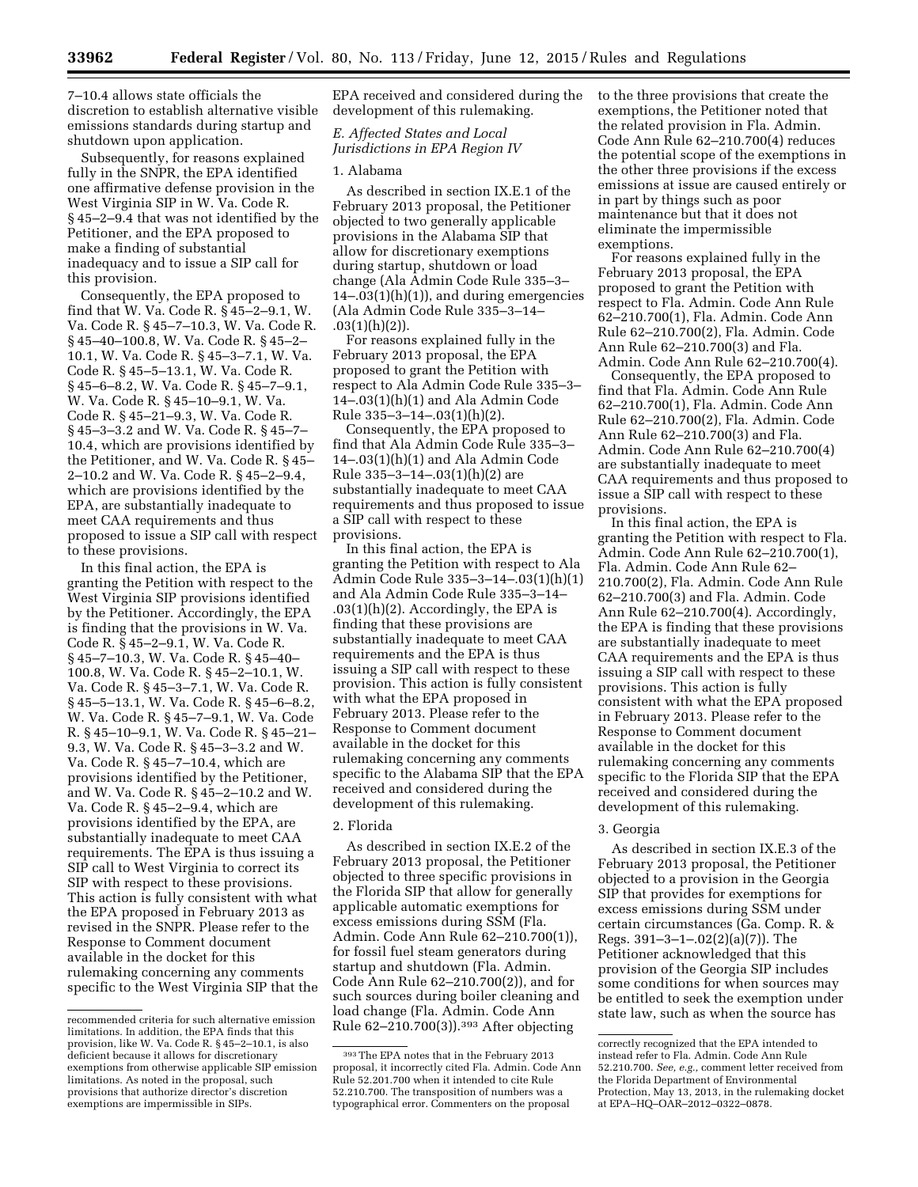7–10.4 allows state officials the discretion to establish alternative visible emissions standards during startup and shutdown upon application.

Subsequently, for reasons explained fully in the SNPR, the EPA identified one affirmative defense provision in the West Virginia SIP in W. Va. Code R. § 45–2–9.4 that was not identified by the Petitioner, and the EPA proposed to make a finding of substantial inadequacy and to issue a SIP call for this provision.

Consequently, the EPA proposed to find that W. Va. Code R. § 45–2–9.1, W. Va. Code R. § 45–7–10.3, W. Va. Code R. § 45–40–100.8, W. Va. Code R. § 45–2– 10.1, W. Va. Code R. § 45–3–7.1, W. Va. Code R. § 45–5–13.1, W. Va. Code R. § 45–6–8.2, W. Va. Code R. § 45–7–9.1, W. Va. Code R. § 45–10–9.1, W. Va. Code R. § 45–21–9.3, W. Va. Code R. § 45–3–3.2 and W. Va. Code R. § 45–7– 10.4, which are provisions identified by the Petitioner, and W. Va. Code R. § 45– 2–10.2 and W. Va. Code R. § 45–2–9.4, which are provisions identified by the EPA, are substantially inadequate to meet CAA requirements and thus proposed to issue a SIP call with respect to these provisions.

In this final action, the EPA is granting the Petition with respect to the West Virginia SIP provisions identified by the Petitioner. Accordingly, the EPA is finding that the provisions in W. Va. Code R. § 45–2–9.1, W. Va. Code R. § 45–7–10.3, W. Va. Code R. § 45–40– 100.8, W. Va. Code R. § 45–2–10.1, W. Va. Code R. § 45–3–7.1, W. Va. Code R. § 45–5–13.1, W. Va. Code R. § 45–6–8.2, W. Va. Code R. § 45–7–9.1, W. Va. Code R. § 45–10–9.1, W. Va. Code R. § 45–21– 9.3, W. Va. Code R. § 45–3–3.2 and W. Va. Code R. § 45–7–10.4, which are provisions identified by the Petitioner, and W. Va. Code R. § 45–2–10.2 and W. Va. Code R. § 45–2–9.4, which are provisions identified by the EPA, are substantially inadequate to meet CAA requirements. The EPA is thus issuing a SIP call to West Virginia to correct its SIP with respect to these provisions. This action is fully consistent with what the EPA proposed in February 2013 as revised in the SNPR. Please refer to the Response to Comment document available in the docket for this rulemaking concerning any comments specific to the West Virginia SIP that the

EPA received and considered during the development of this rulemaking.

*E. Affected States and Local Jurisdictions in EPA Region IV* 

### 1. Alabama

As described in section IX.E.1 of the February 2013 proposal, the Petitioner objected to two generally applicable provisions in the Alabama SIP that allow for discretionary exemptions during startup, shutdown or load change (Ala Admin Code Rule 335–3–  $14 - .03(1)(h)(1)$ , and during emergencies (Ala Admin Code Rule 335–3–14–  $.03(1)(h)(2)$ .

For reasons explained fully in the February 2013 proposal, the EPA proposed to grant the Petition with respect to Ala Admin Code Rule 335–3– 14–.03(1)(h)(1) and Ala Admin Code Rule 335–3–14–.03(1)(h)(2).

Consequently, the EPA proposed to find that Ala Admin Code Rule 335–3– 14–.03(1)(h)(1) and Ala Admin Code Rule 335–3–14–.03(1)(h)(2) are substantially inadequate to meet CAA requirements and thus proposed to issue a SIP call with respect to these provisions.

In this final action, the EPA is granting the Petition with respect to Ala Admin Code Rule 335–3–14–.03(1)(h)(1) and Ala Admin Code Rule 335–3–14–  $.03(1)(h)(2)$ . Accordingly, the EPA is finding that these provisions are substantially inadequate to meet CAA requirements and the EPA is thus issuing a SIP call with respect to these provision. This action is fully consistent with what the EPA proposed in February 2013. Please refer to the Response to Comment document available in the docket for this rulemaking concerning any comments specific to the Alabama SIP that the EPA received and considered during the development of this rulemaking.

### 2. Florida

As described in section IX.E.2 of the February 2013 proposal, the Petitioner objected to three specific provisions in the Florida SIP that allow for generally applicable automatic exemptions for excess emissions during SSM (Fla. Admin. Code Ann Rule 62–210.700(1)), for fossil fuel steam generators during startup and shutdown (Fla. Admin. Code Ann Rule 62–210.700(2)), and for such sources during boiler cleaning and load change (Fla. Admin. Code Ann Rule  $62-210.700(3)$ .<sup>393</sup> After objecting

to the three provisions that create the exemptions, the Petitioner noted that the related provision in Fla. Admin. Code Ann Rule 62–210.700(4) reduces the potential scope of the exemptions in the other three provisions if the excess emissions at issue are caused entirely or in part by things such as poor maintenance but that it does not eliminate the impermissible exemptions.

For reasons explained fully in the February 2013 proposal, the EPA proposed to grant the Petition with respect to Fla. Admin. Code Ann Rule 62–210.700(1), Fla. Admin. Code Ann Rule 62–210.700(2), Fla. Admin. Code Ann Rule 62–210.700(3) and Fla. Admin. Code Ann Rule 62–210.700(4).

Consequently, the EPA proposed to find that Fla. Admin. Code Ann Rule 62–210.700(1), Fla. Admin. Code Ann Rule 62–210.700(2), Fla. Admin. Code Ann Rule 62–210.700(3) and Fla. Admin. Code Ann Rule 62–210.700(4) are substantially inadequate to meet CAA requirements and thus proposed to issue a SIP call with respect to these provisions.

In this final action, the EPA is granting the Petition with respect to Fla. Admin. Code Ann Rule 62–210.700(1), Fla. Admin. Code Ann Rule 62– 210.700(2), Fla. Admin. Code Ann Rule 62–210.700(3) and Fla. Admin. Code Ann Rule 62–210.700(4). Accordingly, the EPA is finding that these provisions are substantially inadequate to meet CAA requirements and the EPA is thus issuing a SIP call with respect to these provisions. This action is fully consistent with what the EPA proposed in February 2013. Please refer to the Response to Comment document available in the docket for this rulemaking concerning any comments specific to the Florida SIP that the EPA received and considered during the development of this rulemaking.

### 3. Georgia

As described in section IX.E.3 of the February 2013 proposal, the Petitioner objected to a provision in the Georgia SIP that provides for exemptions for excess emissions during SSM under certain circumstances (Ga. Comp. R. & Regs. 391–3–1–.02(2)(a)(7)). The Petitioner acknowledged that this provision of the Georgia SIP includes some conditions for when sources may be entitled to seek the exemption under state law, such as when the source has

recommended criteria for such alternative emission limitations. In addition, the EPA finds that this provision, like W. Va. Code R. § 45–2–10.1, is also deficient because it allows for discretionary exemptions from otherwise applicable SIP emission limitations. As noted in the proposal, such provisions that authorize director's discretion exemptions are impermissible in SIPs.

<sup>393</sup>The EPA notes that in the February 2013 proposal, it incorrectly cited Fla. Admin. Code Ann Rule 52.201.700 when it intended to cite Rule 52.210.700. The transposition of numbers was a typographical error. Commenters on the proposal

correctly recognized that the EPA intended to instead refer to Fla. Admin. Code Ann Rule 52.210.700. *See, e.g.,* comment letter received from the Florida Department of Environmental Protection, May 13, 2013, in the rulemaking docket at EPA–HQ–OAR–2012–0322–0878.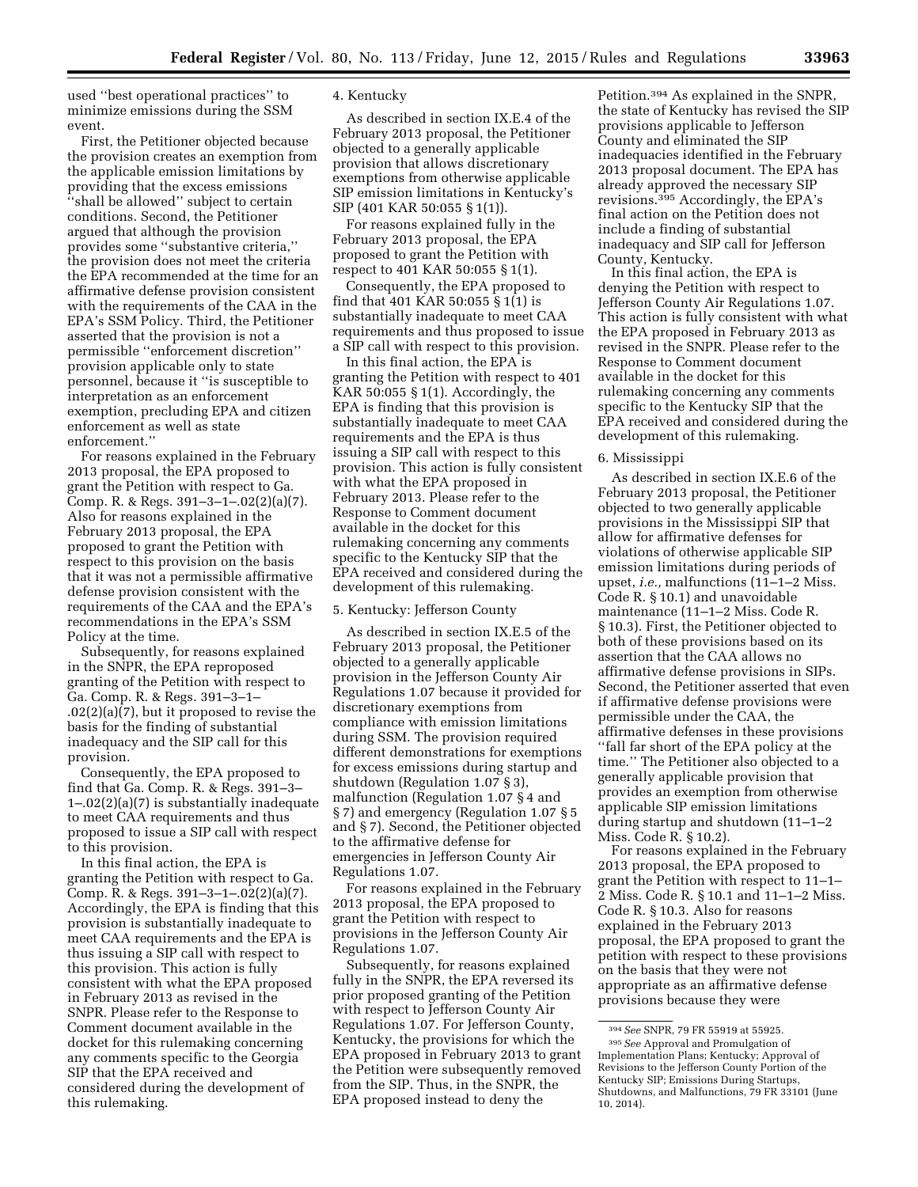used ''best operational practices'' to minimize emissions during the SSM event.

First, the Petitioner objected because the provision creates an exemption from the applicable emission limitations by providing that the excess emissions ''shall be allowed'' subject to certain conditions. Second, the Petitioner argued that although the provision provides some ''substantive criteria,'' the provision does not meet the criteria the EPA recommended at the time for an affirmative defense provision consistent with the requirements of the CAA in the EPA's SSM Policy. Third, the Petitioner asserted that the provision is not a permissible ''enforcement discretion'' provision applicable only to state personnel, because it ''is susceptible to interpretation as an enforcement exemption, precluding EPA and citizen enforcement as well as state enforcement.''

For reasons explained in the February 2013 proposal, the EPA proposed to grant the Petition with respect to Ga. Comp. R. & Regs. 391–3–1–.02(2)(a)(7). Also for reasons explained in the February 2013 proposal, the EPA proposed to grant the Petition with respect to this provision on the basis that it was not a permissible affirmative defense provision consistent with the requirements of the CAA and the EPA's recommendations in the EPA's SSM Policy at the time.

Subsequently, for reasons explained in the SNPR, the EPA reproposed granting of the Petition with respect to Ga. Comp. R. & Regs. 391–3–1– .02(2)(a)(7), but it proposed to revise the basis for the finding of substantial inadequacy and the SIP call for this provision.

Consequently, the EPA proposed to find that Ga. Comp. R. & Regs. 391–3– 1–.02(2)(a)(7) is substantially inadequate to meet CAA requirements and thus proposed to issue a SIP call with respect to this provision.

In this final action, the EPA is granting the Petition with respect to Ga. Comp. R. & Regs. 391–3–1–.02(2)(a)(7). Accordingly, the EPA is finding that this provision is substantially inadequate to meet CAA requirements and the EPA is thus issuing a SIP call with respect to this provision. This action is fully consistent with what the EPA proposed in February 2013 as revised in the SNPR. Please refer to the Response to Comment document available in the docket for this rulemaking concerning any comments specific to the Georgia SIP that the EPA received and considered during the development of this rulemaking.

### 4. Kentucky

As described in section IX.E.4 of the February 2013 proposal, the Petitioner objected to a generally applicable provision that allows discretionary exemptions from otherwise applicable SIP emission limitations in Kentucky's SIP (401 KAR 50:055 § 1(1)).

For reasons explained fully in the February 2013 proposal, the EPA proposed to grant the Petition with respect to 401 KAR 50:055 § 1(1).

Consequently, the EPA proposed to find that 401 KAR 50:055 § 1(1) is substantially inadequate to meet CAA requirements and thus proposed to issue a SIP call with respect to this provision.

In this final action, the EPA is granting the Petition with respect to 401 KAR  $50:055 \S 1(1)$ . Accordingly, the EPA is finding that this provision is substantially inadequate to meet CAA requirements and the EPA is thus issuing a SIP call with respect to this provision. This action is fully consistent with what the EPA proposed in February 2013. Please refer to the Response to Comment document available in the docket for this rulemaking concerning any comments specific to the Kentucky SIP that the EPA received and considered during the development of this rulemaking.

### 5. Kentucky: Jefferson County

As described in section IX.E.5 of the February 2013 proposal, the Petitioner objected to a generally applicable provision in the Jefferson County Air Regulations 1.07 because it provided for discretionary exemptions from compliance with emission limitations during SSM. The provision required different demonstrations for exemptions for excess emissions during startup and shutdown (Regulation 1.07 § 3), malfunction (Regulation 1.07 § 4 and § 7) and emergency (Regulation 1.07 § 5 and § 7). Second, the Petitioner objected to the affirmative defense for emergencies in Jefferson County Air Regulations 1.07.

For reasons explained in the February 2013 proposal, the EPA proposed to grant the Petition with respect to provisions in the Jefferson County Air Regulations 1.07.

Subsequently, for reasons explained fully in the SNPR, the EPA reversed its prior proposed granting of the Petition with respect to Jefferson County Air Regulations 1.07. For Jefferson County, Kentucky, the provisions for which the EPA proposed in February 2013 to grant the Petition were subsequently removed from the SIP. Thus, in the SNPR, the EPA proposed instead to deny the

Petition.394 As explained in the SNPR, the state of Kentucky has revised the SIP provisions applicable to Jefferson County and eliminated the SIP inadequacies identified in the February 2013 proposal document. The EPA has already approved the necessary SIP revisions.395 Accordingly, the EPA's final action on the Petition does not include a finding of substantial inadequacy and SIP call for Jefferson County, Kentucky.

In this final action, the EPA is denying the Petition with respect to Jefferson County Air Regulations 1.07. This action is fully consistent with what the EPA proposed in February 2013 as revised in the SNPR. Please refer to the Response to Comment document available in the docket for this rulemaking concerning any comments specific to the Kentucky SIP that the EPA received and considered during the development of this rulemaking.

### 6. Mississippi

As described in section IX.E.6 of the February 2013 proposal, the Petitioner objected to two generally applicable provisions in the Mississippi SIP that allow for affirmative defenses for violations of otherwise applicable SIP emission limitations during periods of upset, *i.e.,* malfunctions (11–1–2 Miss. Code R. § 10.1) and unavoidable maintenance (11–1–2 Miss. Code R. § 10.3). First, the Petitioner objected to both of these provisions based on its assertion that the CAA allows no affirmative defense provisions in SIPs. Second, the Petitioner asserted that even if affirmative defense provisions were permissible under the CAA, the affirmative defenses in these provisions ''fall far short of the EPA policy at the time.'' The Petitioner also objected to a generally applicable provision that provides an exemption from otherwise applicable SIP emission limitations during startup and shutdown (11–1–2 Miss. Code R. § 10.2).

For reasons explained in the February 2013 proposal, the EPA proposed to grant the Petition with respect to 11–1– 2 Miss. Code R. § 10.1 and 11–1–2 Miss. Code R. § 10.3. Also for reasons explained in the February 2013 proposal, the EPA proposed to grant the petition with respect to these provisions on the basis that they were not appropriate as an affirmative defense provisions because they were

<sup>394</sup>*See* SNPR, 79 FR 55919 at 55925.

<sup>395</sup>*See* Approval and Promulgation of Implementation Plans; Kentucky; Approval of Revisions to the Jefferson County Portion of the Kentucky SIP; Emissions During Startups, Shutdowns, and Malfunctions, 79 FR 33101 (June 10, 2014).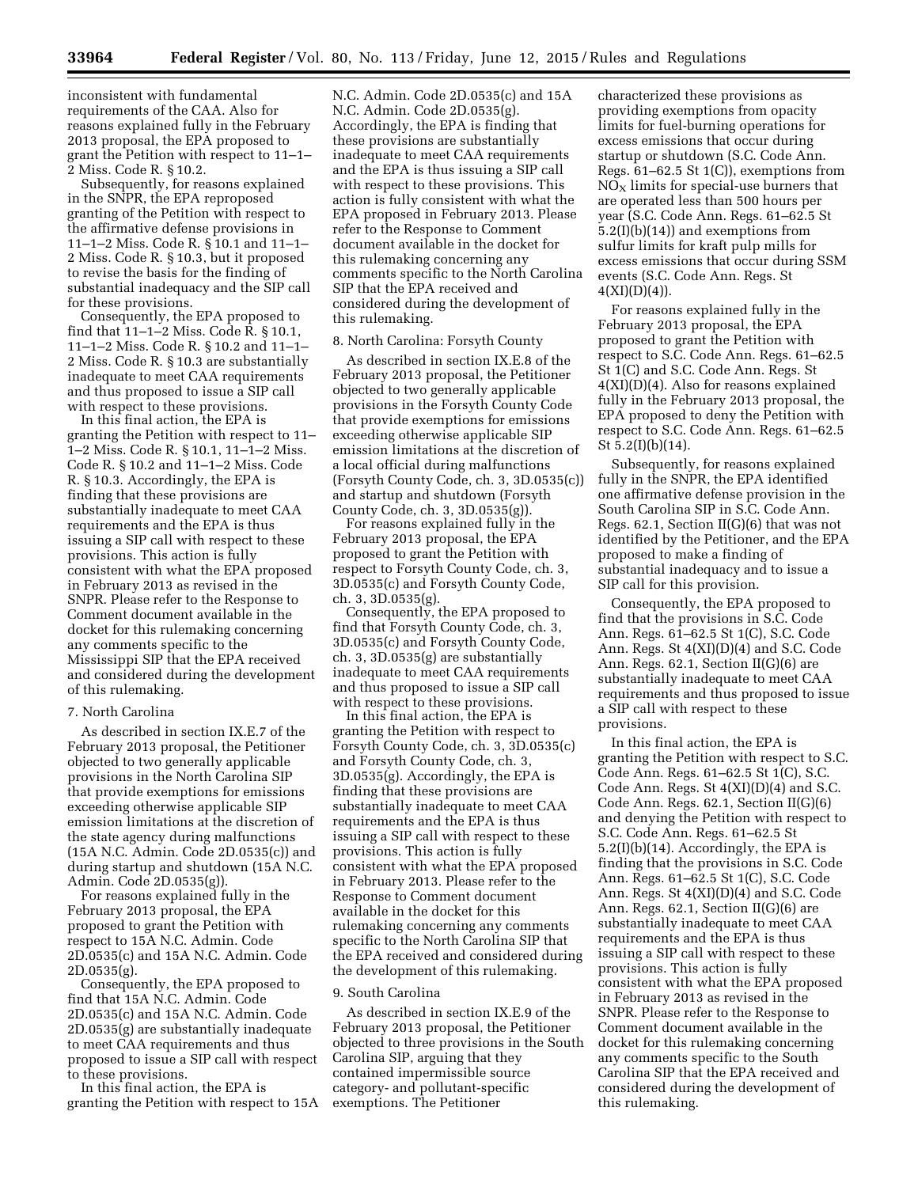inconsistent with fundamental requirements of the CAA. Also for reasons explained fully in the February 2013 proposal, the EPA proposed to grant the Petition with respect to 11–1– 2 Miss. Code R. § 10.2.

Subsequently, for reasons explained in the SNPR, the EPA reproposed granting of the Petition with respect to the affirmative defense provisions in 11–1–2 Miss. Code R. § 10.1 and 11–1– 2 Miss. Code R. § 10.3, but it proposed to revise the basis for the finding of substantial inadequacy and the SIP call for these provisions.

Consequently, the EPA proposed to find that 11–1–2 Miss. Code R. § 10.1, 11–1–2 Miss. Code R. § 10.2 and 11–1– 2 Miss. Code R. § 10.3 are substantially inadequate to meet CAA requirements and thus proposed to issue a SIP call with respect to these provisions.

In this final action, the EPA is granting the Petition with respect to 11– 1–2 Miss. Code R. § 10.1, 11–1–2 Miss. Code R. § 10.2 and 11–1–2 Miss. Code R. § 10.3. Accordingly, the EPA is finding that these provisions are substantially inadequate to meet CAA requirements and the EPA is thus issuing a SIP call with respect to these provisions. This action is fully consistent with what the EPA proposed in February 2013 as revised in the SNPR. Please refer to the Response to Comment document available in the docket for this rulemaking concerning any comments specific to the Mississippi SIP that the EPA received and considered during the development of this rulemaking.

#### 7. North Carolina

As described in section IX.E.7 of the February 2013 proposal, the Petitioner objected to two generally applicable provisions in the North Carolina SIP that provide exemptions for emissions exceeding otherwise applicable SIP emission limitations at the discretion of the state agency during malfunctions (15A N.C. Admin. Code 2D.0535(c)) and during startup and shutdown (15A N.C. Admin. Code 2D.0535(g)).

For reasons explained fully in the February 2013 proposal, the EPA proposed to grant the Petition with respect to 15A N.C. Admin. Code 2D.0535(c) and 15A N.C. Admin. Code 2D.0535(g).

Consequently, the EPA proposed to find that 15A N.C. Admin. Code 2D.0535(c) and 15A N.C. Admin. Code 2D.0535(g) are substantially inadequate to meet CAA requirements and thus proposed to issue a SIP call with respect to these provisions.

In this final action, the EPA is granting the Petition with respect to 15A

N.C. Admin. Code 2D.0535(c) and 15A N.C. Admin. Code 2D.0535(g). Accordingly, the EPA is finding that these provisions are substantially inadequate to meet CAA requirements and the EPA is thus issuing a SIP call with respect to these provisions. This action is fully consistent with what the EPA proposed in February 2013. Please refer to the Response to Comment document available in the docket for this rulemaking concerning any comments specific to the North Carolina SIP that the EPA received and considered during the development of this rulemaking.

### 8. North Carolina: Forsyth County

As described in section IX.E.8 of the February 2013 proposal, the Petitioner objected to two generally applicable provisions in the Forsyth County Code that provide exemptions for emissions exceeding otherwise applicable SIP emission limitations at the discretion of a local official during malfunctions (Forsyth County Code, ch. 3, 3D.0535(c)) and startup and shutdown (Forsyth County Code, ch. 3, 3D.0535(g)).

For reasons explained fully in the February 2013 proposal, the EPA proposed to grant the Petition with respect to Forsyth County Code, ch. 3, 3D.0535(c) and Forsyth County Code, ch. 3, 3D.0535(g).

Consequently, the EPA proposed to find that Forsyth County Code, ch. 3, 3D.0535(c) and Forsyth County Code, ch. 3, 3D.0535(g) are substantially inadequate to meet CAA requirements and thus proposed to issue a SIP call with respect to these provisions.

In this final action, the EPA is granting the Petition with respect to Forsyth County Code, ch. 3, 3D.0535(c) and Forsyth County Code, ch. 3, 3D.0535(g). Accordingly, the EPA is finding that these provisions are substantially inadequate to meet CAA requirements and the EPA is thus issuing a SIP call with respect to these provisions. This action is fully consistent with what the EPA proposed in February 2013. Please refer to the Response to Comment document available in the docket for this rulemaking concerning any comments specific to the North Carolina SIP that the EPA received and considered during the development of this rulemaking.

### 9. South Carolina

As described in section IX.E.9 of the February 2013 proposal, the Petitioner objected to three provisions in the South Carolina SIP, arguing that they contained impermissible source category- and pollutant-specific exemptions. The Petitioner

characterized these provisions as providing exemptions from opacity limits for fuel-burning operations for excess emissions that occur during startup or shutdown (S.C. Code Ann. Regs. 61–62.5 St 1(C)), exemptions from  $NO<sub>x</sub>$  limits for special-use burners that are operated less than 500 hours per year (S.C. Code Ann. Regs. 61–62.5 St 5.2(I)(b)(14)) and exemptions from sulfur limits for kraft pulp mills for excess emissions that occur during SSM events (S.C. Code Ann. Regs. St  $4(XI)(D)(4)$ ).

For reasons explained fully in the February 2013 proposal, the EPA proposed to grant the Petition with respect to S.C. Code Ann. Regs. 61–62.5 St 1(C) and S.C. Code Ann. Regs. St 4(XI)(D)(4). Also for reasons explained fully in the February 2013 proposal, the EPA proposed to deny the Petition with respect to S.C. Code Ann. Regs. 61–62.5 St 5.2(I)(b)(14).

Subsequently, for reasons explained fully in the SNPR, the EPA identified one affirmative defense provision in the South Carolina SIP in S.C. Code Ann. Regs. 62.1, Section II(G)(6) that was not identified by the Petitioner, and the EPA proposed to make a finding of substantial inadequacy and to issue a SIP call for this provision.

Consequently, the EPA proposed to find that the provisions in S.C. Code Ann. Regs. 61–62.5 St 1(C), S.C. Code Ann. Regs. St 4(XI)(D)(4) and S.C. Code Ann. Regs. 62.1, Section II(G)(6) are substantially inadequate to meet CAA requirements and thus proposed to issue a SIP call with respect to these provisions.

In this final action, the EPA is granting the Petition with respect to S.C. Code Ann. Regs. 61–62.5 St 1(C), S.C. Code Ann. Regs. St 4(XI)(D)(4) and S.C. Code Ann. Regs. 62.1, Section II(G)(6) and denying the Petition with respect to S.C. Code Ann. Regs. 61–62.5 St 5.2(I)(b)(14). Accordingly, the EPA is finding that the provisions in S.C. Code Ann. Regs. 61–62.5 St 1(C), S.C. Code Ann. Regs. St 4(XI)(D)(4) and S.C. Code Ann. Regs. 62.1, Section II(G)(6) are substantially inadequate to meet CAA requirements and the EPA is thus issuing a SIP call with respect to these provisions. This action is fully consistent with what the EPA proposed in February 2013 as revised in the SNPR. Please refer to the Response to Comment document available in the docket for this rulemaking concerning any comments specific to the South Carolina SIP that the EPA received and considered during the development of this rulemaking.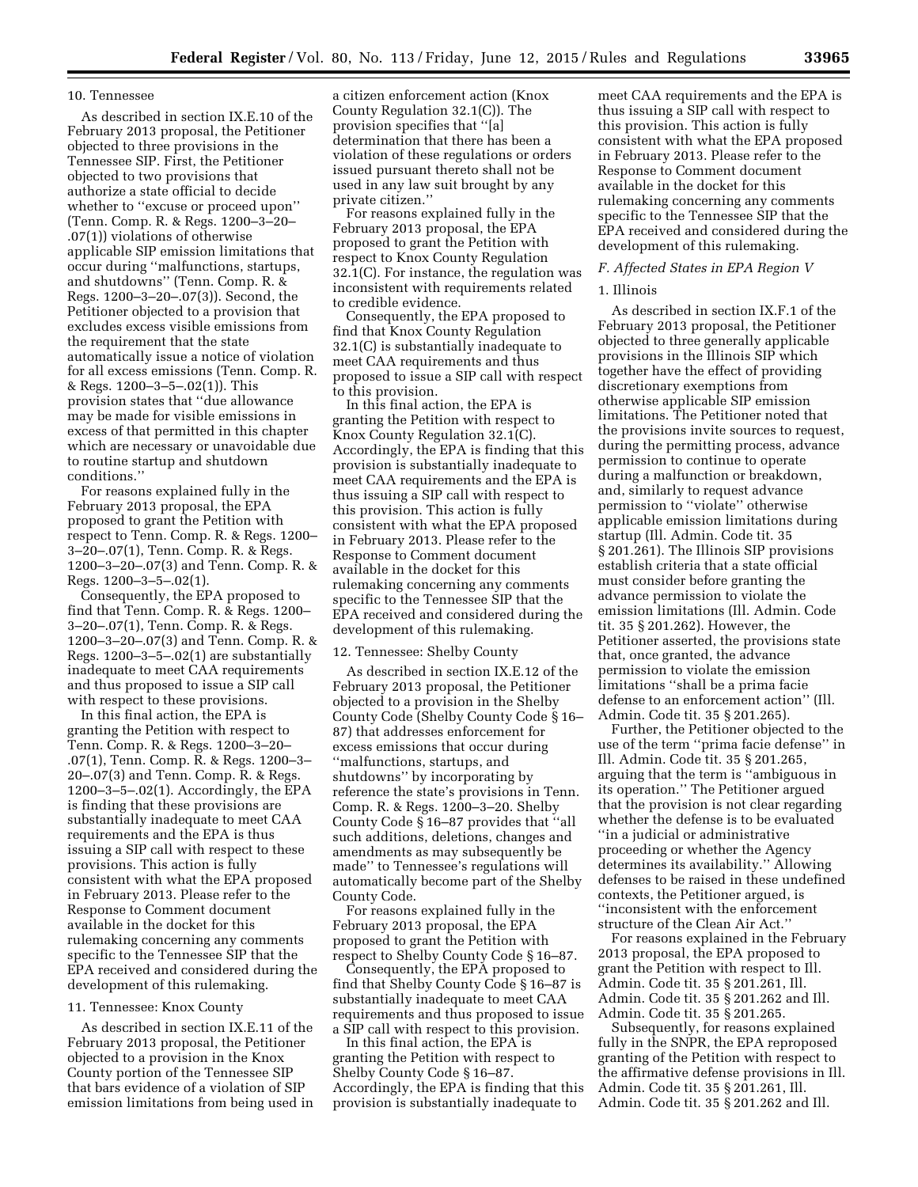### 10. Tennessee

As described in section IX.E.10 of the February 2013 proposal, the Petitioner objected to three provisions in the Tennessee SIP. First, the Petitioner objected to two provisions that authorize a state official to decide whether to ''excuse or proceed upon'' (Tenn. Comp. R. & Regs. 1200–3–20– .07(1)) violations of otherwise applicable SIP emission limitations that occur during ''malfunctions, startups, and shutdowns'' (Tenn. Comp. R. & Regs. 1200–3–20–.07(3)). Second, the Petitioner objected to a provision that excludes excess visible emissions from the requirement that the state automatically issue a notice of violation for all excess emissions (Tenn. Comp. R. & Regs. 1200–3–5–.02(1)). This provision states that ''due allowance may be made for visible emissions in excess of that permitted in this chapter which are necessary or unavoidable due to routine startup and shutdown conditions.''

For reasons explained fully in the February 2013 proposal, the EPA proposed to grant the Petition with respect to Tenn. Comp. R. & Regs. 1200– 3–20–.07(1), Tenn. Comp. R. & Regs. 1200–3–20–.07(3) and Tenn. Comp. R. & Regs. 1200–3–5–.02(1).

Consequently, the EPA proposed to find that Tenn. Comp. R. & Regs. 1200– 3–20–.07(1), Tenn. Comp. R. & Regs. 1200–3–20–.07(3) and Tenn. Comp. R. & Regs. 1200–3–5–.02(1) are substantially inadequate to meet CAA requirements and thus proposed to issue a SIP call with respect to these provisions.

In this final action, the EPA is granting the Petition with respect to Tenn. Comp. R. & Regs. 1200–3–20– .07(1), Tenn. Comp. R. & Regs. 1200–3– 20–.07(3) and Tenn. Comp. R. & Regs. 1200–3–5–.02(1). Accordingly, the EPA is finding that these provisions are substantially inadequate to meet CAA requirements and the EPA is thus issuing a SIP call with respect to these provisions. This action is fully consistent with what the EPA proposed in February 2013. Please refer to the Response to Comment document available in the docket for this rulemaking concerning any comments specific to the Tennessee SIP that the EPA received and considered during the development of this rulemaking.

#### 11. Tennessee: Knox County

As described in section IX.E.11 of the February 2013 proposal, the Petitioner objected to a provision in the Knox County portion of the Tennessee SIP that bars evidence of a violation of SIP emission limitations from being used in a citizen enforcement action (Knox County Regulation 32.1(C)). The provision specifies that ''[a] determination that there has been a violation of these regulations or orders issued pursuant thereto shall not be used in any law suit brought by any private citizen.''

For reasons explained fully in the February 2013 proposal, the EPA proposed to grant the Petition with respect to Knox County Regulation 32.1(C). For instance, the regulation was inconsistent with requirements related to credible evidence.

Consequently, the EPA proposed to find that Knox County Regulation 32.1(C) is substantially inadequate to meet CAA requirements and thus proposed to issue a SIP call with respect to this provision.

In this final action, the EPA is granting the Petition with respect to Knox County Regulation 32.1(C). Accordingly, the EPA is finding that this provision is substantially inadequate to meet CAA requirements and the EPA is thus issuing a SIP call with respect to this provision. This action is fully consistent with what the EPA proposed in February 2013. Please refer to the Response to Comment document available in the docket for this rulemaking concerning any comments specific to the Tennessee SIP that the EPA received and considered during the development of this rulemaking.

#### 12. Tennessee: Shelby County

As described in section IX.E.12 of the February 2013 proposal, the Petitioner objected to a provision in the Shelby County Code (Shelby County Code § 16– 87) that addresses enforcement for excess emissions that occur during ''malfunctions, startups, and shutdowns'' by incorporating by reference the state's provisions in Tenn. Comp. R. & Regs. 1200–3–20. Shelby County Code § 16–87 provides that ''all such additions, deletions, changes and amendments as may subsequently be made'' to Tennessee's regulations will automatically become part of the Shelby County Code.

For reasons explained fully in the February 2013 proposal, the EPA proposed to grant the Petition with respect to Shelby County Code § 16–87.

Consequently, the EPA proposed to find that Shelby County Code § 16–87 is substantially inadequate to meet CAA requirements and thus proposed to issue a SIP call with respect to this provision.

In this final action, the EPA is granting the Petition with respect to Shelby County Code § 16–87. Accordingly, the EPA is finding that this provision is substantially inadequate to

meet CAA requirements and the EPA is thus issuing a SIP call with respect to this provision. This action is fully consistent with what the EPA proposed in February 2013. Please refer to the Response to Comment document available in the docket for this rulemaking concerning any comments specific to the Tennessee SIP that the EPA received and considered during the development of this rulemaking.

#### *F. Affected States in EPA Region V*

### 1. Illinois

As described in section IX.F.1 of the February 2013 proposal, the Petitioner objected to three generally applicable provisions in the Illinois SIP which together have the effect of providing discretionary exemptions from otherwise applicable SIP emission limitations. The Petitioner noted that the provisions invite sources to request, during the permitting process, advance permission to continue to operate during a malfunction or breakdown, and, similarly to request advance permission to ''violate'' otherwise applicable emission limitations during startup (Ill. Admin. Code tit. 35 § 201.261). The Illinois SIP provisions establish criteria that a state official must consider before granting the advance permission to violate the emission limitations (Ill. Admin. Code tit. 35 § 201.262). However, the Petitioner asserted, the provisions state that, once granted, the advance permission to violate the emission limitations ''shall be a prima facie defense to an enforcement action'' (Ill. Admin. Code tit. 35 § 201.265).

Further, the Petitioner objected to the use of the term ''prima facie defense'' in Ill. Admin. Code tit. 35 § 201.265, arguing that the term is ''ambiguous in its operation.'' The Petitioner argued that the provision is not clear regarding whether the defense is to be evaluated ''in a judicial or administrative proceeding or whether the Agency determines its availability.'' Allowing defenses to be raised in these undefined contexts, the Petitioner argued, is ''inconsistent with the enforcement structure of the Clean Air Act.''

For reasons explained in the February 2013 proposal, the EPA proposed to grant the Petition with respect to Ill. Admin. Code tit. 35 § 201.261, Ill. Admin. Code tit. 35 § 201.262 and Ill. Admin. Code tit. 35 § 201.265.

Subsequently, for reasons explained fully in the SNPR, the EPA reproposed granting of the Petition with respect to the affirmative defense provisions in Ill. Admin. Code tit. 35 § 201.261, Ill. Admin. Code tit. 35 § 201.262 and Ill.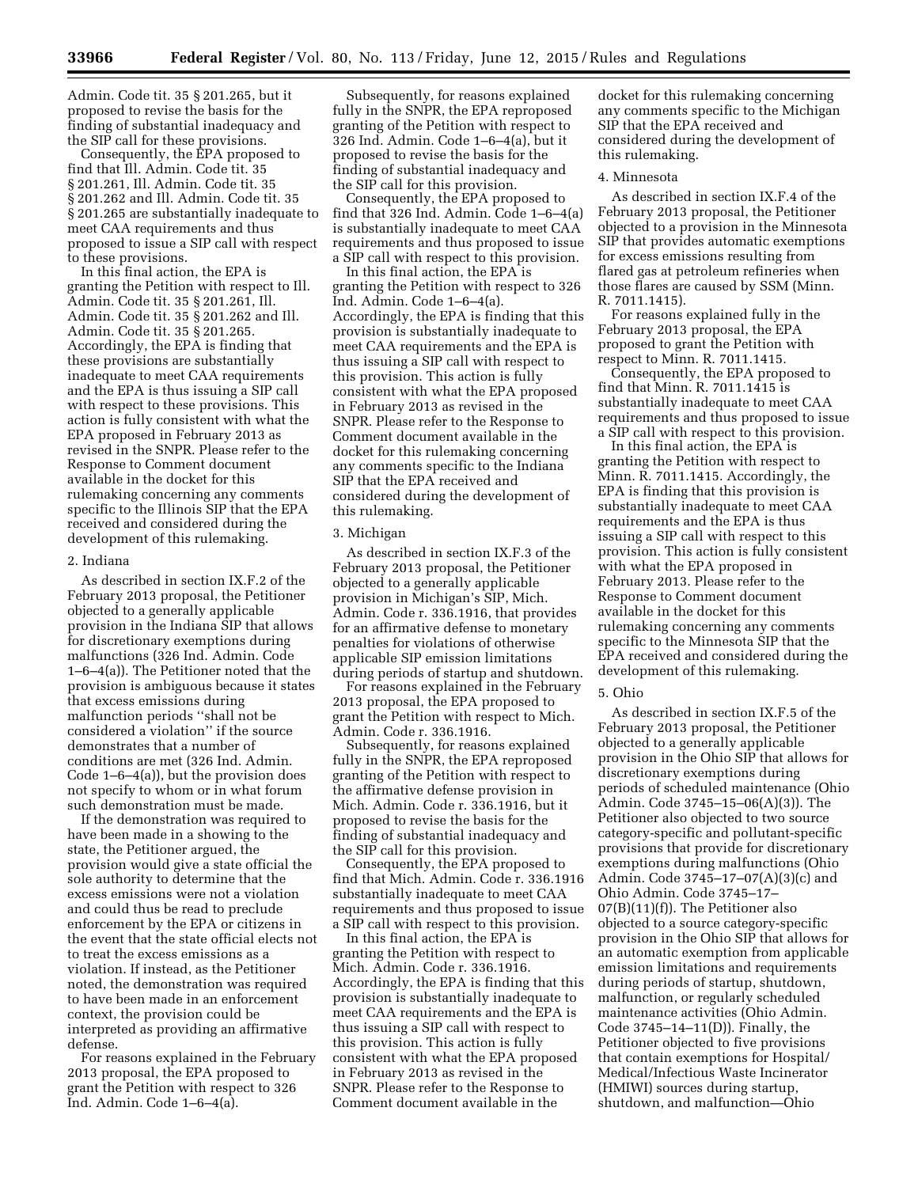Admin. Code tit. 35 § 201.265, but it proposed to revise the basis for the finding of substantial inadequacy and the SIP call for these provisions.

Consequently, the EPA proposed to find that Ill. Admin. Code tit. 35 § 201.261, Ill. Admin. Code tit. 35 § 201.262 and Ill. Admin. Code tit. 35 § 201.265 are substantially inadequate to meet CAA requirements and thus proposed to issue a SIP call with respect to these provisions.

In this final action, the EPA is granting the Petition with respect to Ill. Admin. Code tit. 35 § 201.261, Ill. Admin. Code tit. 35 § 201.262 and Ill. Admin. Code tit. 35 § 201.265. Accordingly, the EPA is finding that these provisions are substantially inadequate to meet CAA requirements and the EPA is thus issuing a SIP call with respect to these provisions. This action is fully consistent with what the EPA proposed in February 2013 as revised in the SNPR. Please refer to the Response to Comment document available in the docket for this rulemaking concerning any comments specific to the Illinois SIP that the EPA received and considered during the development of this rulemaking.

### 2. Indiana

As described in section IX.F.2 of the February 2013 proposal, the Petitioner objected to a generally applicable provision in the Indiana SIP that allows for discretionary exemptions during malfunctions (326 Ind. Admin. Code 1–6–4(a)). The Petitioner noted that the provision is ambiguous because it states that excess emissions during malfunction periods ''shall not be considered a violation'' if the source demonstrates that a number of conditions are met (326 Ind. Admin. Code 1–6–4(a)), but the provision does not specify to whom or in what forum such demonstration must be made.

If the demonstration was required to have been made in a showing to the state, the Petitioner argued, the provision would give a state official the sole authority to determine that the excess emissions were not a violation and could thus be read to preclude enforcement by the EPA or citizens in the event that the state official elects not to treat the excess emissions as a violation. If instead, as the Petitioner noted, the demonstration was required to have been made in an enforcement context, the provision could be interpreted as providing an affirmative defense.

For reasons explained in the February 2013 proposal, the EPA proposed to grant the Petition with respect to 326 Ind. Admin. Code 1–6–4(a).

Subsequently, for reasons explained fully in the SNPR, the EPA reproposed granting of the Petition with respect to 326 Ind. Admin. Code 1–6–4(a), but it proposed to revise the basis for the finding of substantial inadequacy and the SIP call for this provision.

Consequently, the EPA proposed to find that 326 Ind. Admin. Code 1–6–4(a) is substantially inadequate to meet CAA requirements and thus proposed to issue a SIP call with respect to this provision.

In this final action, the EPA is granting the Petition with respect to 326 Ind. Admin. Code 1–6–4(a). Accordingly, the EPA is finding that this provision is substantially inadequate to meet CAA requirements and the EPA is thus issuing a SIP call with respect to this provision. This action is fully consistent with what the EPA proposed in February 2013 as revised in the SNPR. Please refer to the Response to Comment document available in the docket for this rulemaking concerning any comments specific to the Indiana SIP that the EPA received and considered during the development of this rulemaking.

### 3. Michigan

As described in section IX.F.3 of the February 2013 proposal, the Petitioner objected to a generally applicable provision in Michigan's SIP, Mich. Admin. Code r. 336.1916, that provides for an affirmative defense to monetary penalties for violations of otherwise applicable SIP emission limitations during periods of startup and shutdown.

For reasons explained in the February 2013 proposal, the EPA proposed to grant the Petition with respect to Mich. Admin. Code r. 336.1916.

Subsequently, for reasons explained fully in the SNPR, the EPA reproposed granting of the Petition with respect to the affirmative defense provision in Mich. Admin. Code r. 336.1916, but it proposed to revise the basis for the finding of substantial inadequacy and the SIP call for this provision.

Consequently, the EPA proposed to find that Mich. Admin. Code r. 336.1916 substantially inadequate to meet CAA requirements and thus proposed to issue a SIP call with respect to this provision.

In this final action, the EPA is granting the Petition with respect to Mich. Admin. Code r. 336.1916. Accordingly, the EPA is finding that this provision is substantially inadequate to meet CAA requirements and the EPA is thus issuing a SIP call with respect to this provision. This action is fully consistent with what the EPA proposed in February 2013 as revised in the SNPR. Please refer to the Response to Comment document available in the

docket for this rulemaking concerning any comments specific to the Michigan SIP that the EPA received and considered during the development of this rulemaking.

### 4. Minnesota

As described in section IX.F.4 of the February 2013 proposal, the Petitioner objected to a provision in the Minnesota SIP that provides automatic exemptions for excess emissions resulting from flared gas at petroleum refineries when those flares are caused by SSM (Minn. R. 7011.1415).

For reasons explained fully in the February 2013 proposal, the EPA proposed to grant the Petition with respect to Minn. R. 7011.1415.

Consequently, the EPA proposed to find that Minn. R. 7011.1415 is substantially inadequate to meet CAA requirements and thus proposed to issue a SIP call with respect to this provision.

In this final action, the EPA is granting the Petition with respect to Minn. R. 7011.1415. Accordingly, the EPA is finding that this provision is substantially inadequate to meet CAA requirements and the EPA is thus issuing a SIP call with respect to this provision. This action is fully consistent with what the EPA proposed in February 2013. Please refer to the Response to Comment document available in the docket for this rulemaking concerning any comments specific to the Minnesota SIP that the EPA received and considered during the development of this rulemaking.

#### 5. Ohio

As described in section IX.F.5 of the February 2013 proposal, the Petitioner objected to a generally applicable provision in the Ohio SIP that allows for discretionary exemptions during periods of scheduled maintenance (Ohio Admin. Code 3745–15–06(A)(3)). The Petitioner also objected to two source category-specific and pollutant-specific provisions that provide for discretionary exemptions during malfunctions (Ohio Admin. Code 3745–17–07(A)(3)(c) and Ohio Admin. Code 3745–17– 07(B)(11)(f)). The Petitioner also objected to a source category-specific provision in the Ohio SIP that allows for an automatic exemption from applicable emission limitations and requirements during periods of startup, shutdown, malfunction, or regularly scheduled maintenance activities (Ohio Admin. Code 3745–14–11(D)). Finally, the Petitioner objected to five provisions that contain exemptions for Hospital/ Medical/Infectious Waste Incinerator (HMIWI) sources during startup, shutdown, and malfunction—Ohio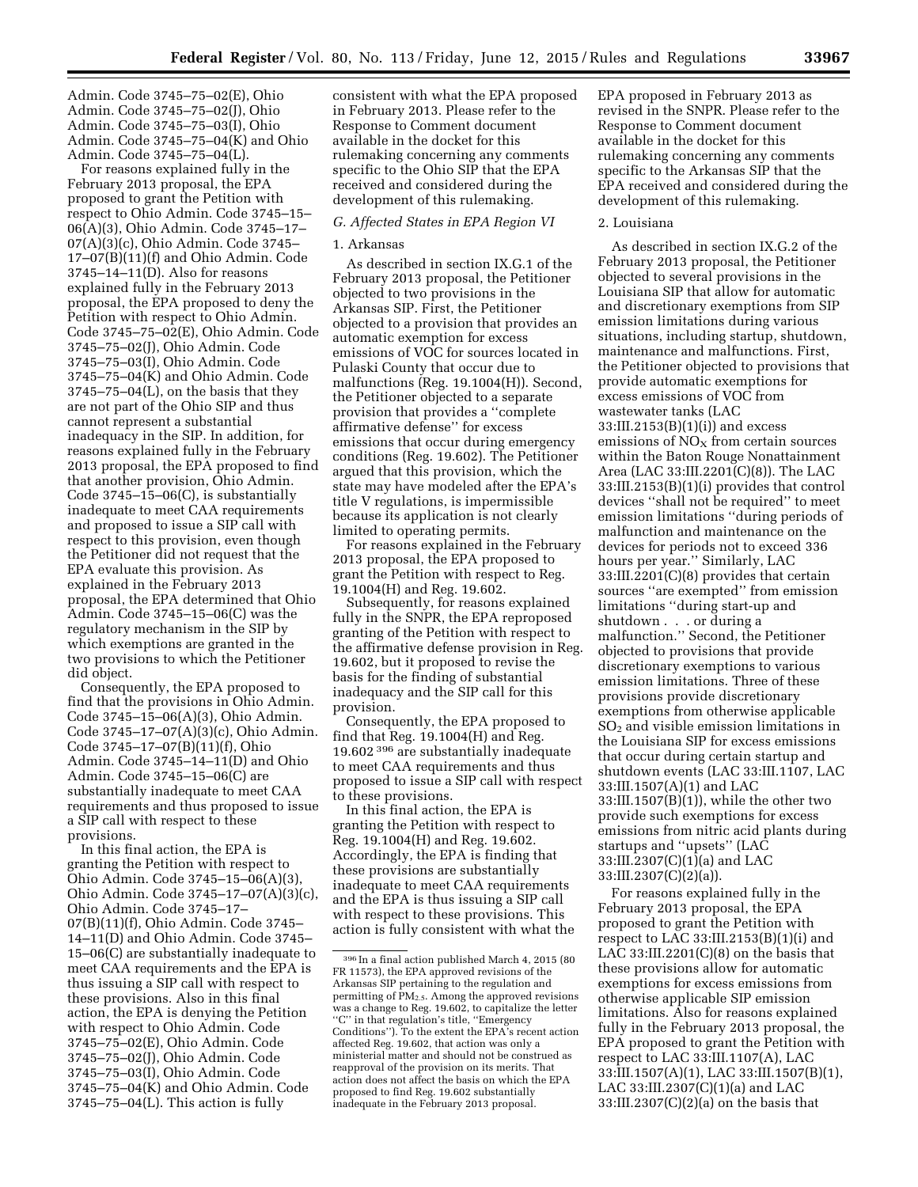Admin. Code 3745–75–02(E), Ohio Admin. Code 3745–75–02(J), Ohio Admin. Code 3745–75–03(I), Ohio Admin. Code 3745–75–04(K) and Ohio Admin. Code 3745–75–04(L).

For reasons explained fully in the February 2013 proposal, the EPA proposed to grant the Petition with respect to Ohio Admin. Code 3745–15– 06(A)(3), Ohio Admin. Code 3745–17– 07(A)(3)(c), Ohio Admin. Code 3745– 17–07(B)(11)(f) and Ohio Admin. Code 3745–14–11(D). Also for reasons explained fully in the February 2013 proposal, the EPA proposed to deny the Petition with respect to Ohio Admin. Code 3745–75–02(E), Ohio Admin. Code 3745–75–02(J), Ohio Admin. Code 3745–75–03(I), Ohio Admin. Code 3745–75–04(K) and Ohio Admin. Code  $3745 - 75 - 04(L)$ , on the basis that they are not part of the Ohio SIP and thus cannot represent a substantial inadequacy in the SIP. In addition, for reasons explained fully in the February 2013 proposal, the EPA proposed to find that another provision, Ohio Admin. Code 3745–15–06(C), is substantially inadequate to meet CAA requirements and proposed to issue a SIP call with respect to this provision, even though the Petitioner did not request that the EPA evaluate this provision. As explained in the February 2013 proposal, the EPA determined that Ohio Admin. Code 3745–15–06(C) was the regulatory mechanism in the SIP by which exemptions are granted in the two provisions to which the Petitioner did object.

Consequently, the EPA proposed to find that the provisions in Ohio Admin. Code 3745–15–06(A)(3), Ohio Admin. Code 3745–17–07(A)(3)(c), Ohio Admin. Code 3745–17–07(B)(11)(f), Ohio Admin. Code 3745–14–11(D) and Ohio Admin. Code 3745–15–06(C) are substantially inadequate to meet CAA requirements and thus proposed to issue a SIP call with respect to these provisions.

In this final action, the EPA is granting the Petition with respect to Ohio Admin. Code 3745–15–06(A)(3), Ohio Admin. Code 3745–17–07(A)(3)(c), Ohio Admin. Code 3745–17– 07(B)(11)(f), Ohio Admin. Code 3745– 14–11(D) and Ohio Admin. Code 3745– 15–06(C) are substantially inadequate to meet CAA requirements and the EPA is thus issuing a SIP call with respect to these provisions. Also in this final action, the EPA is denying the Petition with respect to Ohio Admin. Code 3745–75–02(E), Ohio Admin. Code 3745–75–02(J), Ohio Admin. Code 3745–75–03(I), Ohio Admin. Code 3745–75–04(K) and Ohio Admin. Code 3745–75–04(L). This action is fully

consistent with what the EPA proposed in February 2013. Please refer to the Response to Comment document available in the docket for this rulemaking concerning any comments specific to the Ohio SIP that the EPA received and considered during the development of this rulemaking.

# *G. Affected States in EPA Region VI*

# 1. Arkansas

As described in section IX.G.1 of the February 2013 proposal, the Petitioner objected to two provisions in the Arkansas SIP. First, the Petitioner objected to a provision that provides an automatic exemption for excess emissions of VOC for sources located in Pulaski County that occur due to malfunctions (Reg. 19.1004(H)). Second, the Petitioner objected to a separate provision that provides a ''complete affirmative defense'' for excess emissions that occur during emergency conditions (Reg. 19.602). The Petitioner argued that this provision, which the state may have modeled after the EPA's title V regulations, is impermissible because its application is not clearly limited to operating permits.

For reasons explained in the February 2013 proposal, the EPA proposed to grant the Petition with respect to Reg. 19.1004(H) and Reg. 19.602.

Subsequently, for reasons explained fully in the SNPR, the EPA reproposed granting of the Petition with respect to the affirmative defense provision in Reg. 19.602, but it proposed to revise the basis for the finding of substantial inadequacy and the SIP call for this provision.

Consequently, the EPA proposed to find that Reg. 19.1004(H) and Reg. 19.602 396 are substantially inadequate to meet CAA requirements and thus proposed to issue a SIP call with respect to these provisions.

In this final action, the EPA is granting the Petition with respect to Reg. 19.1004(H) and Reg. 19.602. Accordingly, the EPA is finding that these provisions are substantially inadequate to meet CAA requirements and the EPA is thus issuing a SIP call with respect to these provisions. This action is fully consistent with what the EPA proposed in February 2013 as revised in the SNPR. Please refer to the Response to Comment document available in the docket for this rulemaking concerning any comments specific to the Arkansas SIP that the EPA received and considered during the development of this rulemaking.

### 2. Louisiana

As described in section IX.G.2 of the February 2013 proposal, the Petitioner objected to several provisions in the Louisiana SIP that allow for automatic and discretionary exemptions from SIP emission limitations during various situations, including startup, shutdown, maintenance and malfunctions. First, the Petitioner objected to provisions that provide automatic exemptions for excess emissions of VOC from wastewater tanks (LAC 33:III.2153(B)(1)(i)) and excess emissions of  $NO<sub>x</sub>$  from certain sources within the Baton Rouge Nonattainment Area (LAC 33:III.2201(C)(8)). The LAC 33:III.2153(B)(1)(i) provides that control devices ''shall not be required'' to meet emission limitations ''during periods of malfunction and maintenance on the devices for periods not to exceed 336 hours per year.'' Similarly, LAC 33:III.2201(C)(8) provides that certain sources ''are exempted'' from emission limitations ''during start-up and shutdown . . . or during a malfunction.'' Second, the Petitioner objected to provisions that provide discretionary exemptions to various emission limitations. Three of these provisions provide discretionary exemptions from otherwise applicable  $SO<sub>2</sub>$  and visible emission limitations in the Louisiana SIP for excess emissions that occur during certain startup and shutdown events (LAC 33:III.1107, LAC 33:III.1507(A)(1) and LAC 33:III.1507(B)(1)), while the other two provide such exemptions for excess emissions from nitric acid plants during startups and ''upsets'' (LAC 33:III.2307(C)(1)(a) and LAC 33:III.2307(C)(2)(a)).

For reasons explained fully in the February 2013 proposal, the EPA proposed to grant the Petition with respect to LAC 33:III.2153 $(B)(1)(i)$  and LAC  $33:III.2201(C)(8)$  on the basis that these provisions allow for automatic exemptions for excess emissions from otherwise applicable SIP emission limitations. Also for reasons explained fully in the February 2013 proposal, the EPA proposed to grant the Petition with respect to LAC 33:III.1107(A), LAC 33:III.1507(A)(1), LAC 33:III.1507(B)(1), LAC 33:III.2307(C)(1)(a) and LAC 33:III.2307(C)(2)(a) on the basis that

<sup>396</sup> In a final action published March 4, 2015 (80 FR 11573), the EPA approved revisions of the Arkansas SIP pertaining to the regulation and permitting of  $\text{PM}_{2.5}$ . Among the approved revisions was a change to Reg. 19.602, to capitalize the letter ''C'' in that regulation's title, ''Emergency Conditions''). To the extent the EPA's recent action affected Reg. 19.602, that action was only a ministerial matter and should not be construed as reapproval of the provision on its merits. That action does not affect the basis on which the EPA proposed to find Reg. 19.602 substantially inadequate in the February 2013 proposal.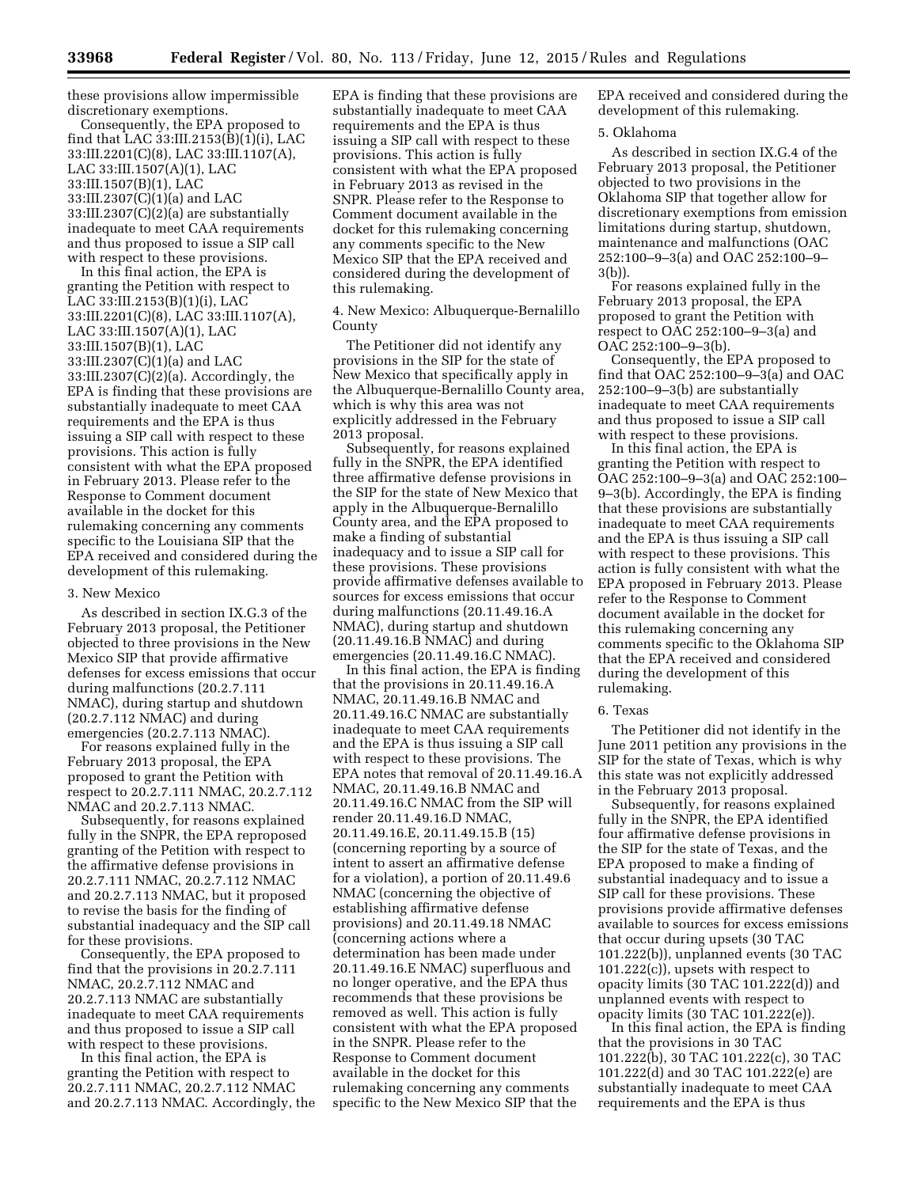these provisions allow impermissible discretionary exemptions.

Consequently, the EPA proposed to find that LAC  $33:III.2153(\overline{B})(1)$ (i), LAC 33:III.2201(C)(8), LAC 33:III.1107(A), LAC 33:III.1507(A)(1), LAC 33:III.1507(B)(1), LAC 33:III.2307(C)(1)(a) and LAC 33:III.2307(C)(2)(a) are substantially inadequate to meet CAA requirements and thus proposed to issue a SIP call with respect to these provisions.

In this final action, the EPA is granting the Petition with respect to LAC 33:III.2153(B)(1)(i), LAC 33:III.2201(C)(8), LAC 33:III.1107(A), LAC 33:III.1507(A)(1), LAC 33:III.1507(B)(1), LAC 33:III.2307(C)(1)(a) and LAC 33:III.2307(C)(2)(a). Accordingly, the EPA is finding that these provisions are substantially inadequate to meet CAA requirements and the EPA is thus issuing a SIP call with respect to these provisions. This action is fully consistent with what the EPA proposed in February 2013. Please refer to the Response to Comment document available in the docket for this rulemaking concerning any comments specific to the Louisiana SIP that the EPA received and considered during the development of this rulemaking.

### 3. New Mexico

As described in section IX.G.3 of the February 2013 proposal, the Petitioner objected to three provisions in the New Mexico SIP that provide affirmative defenses for excess emissions that occur during malfunctions (20.2.7.111 NMAC), during startup and shutdown (20.2.7.112 NMAC) and during emergencies (20.2.7.113 NMAC).

For reasons explained fully in the February 2013 proposal, the EPA proposed to grant the Petition with respect to 20.2.7.111 NMAC, 20.2.7.112 NMAC and 20.2.7.113 NMAC.

Subsequently, for reasons explained fully in the SNPR, the EPA reproposed granting of the Petition with respect to the affirmative defense provisions in 20.2.7.111 NMAC, 20.2.7.112 NMAC and 20.2.7.113 NMAC, but it proposed to revise the basis for the finding of substantial inadequacy and the SIP call for these provisions.

Consequently, the EPA proposed to find that the provisions in 20.2.7.111 NMAC, 20.2.7.112 NMAC and 20.2.7.113 NMAC are substantially inadequate to meet CAA requirements and thus proposed to issue a SIP call with respect to these provisions.

In this final action, the EPA is granting the Petition with respect to 20.2.7.111 NMAC, 20.2.7.112 NMAC and 20.2.7.113 NMAC. Accordingly, the EPA is finding that these provisions are substantially inadequate to meet CAA requirements and the EPA is thus issuing a SIP call with respect to these provisions. This action is fully consistent with what the EPA proposed in February 2013 as revised in the SNPR. Please refer to the Response to Comment document available in the docket for this rulemaking concerning any comments specific to the New Mexico SIP that the EPA received and considered during the development of this rulemaking.

4. New Mexico: Albuquerque-Bernalillo County

The Petitioner did not identify any provisions in the SIP for the state of New Mexico that specifically apply in the Albuquerque-Bernalillo County area, which is why this area was not explicitly addressed in the February 2013 proposal.

Subsequently, for reasons explained fully in the SNPR, the EPA identified three affirmative defense provisions in the SIP for the state of New Mexico that apply in the Albuquerque-Bernalillo County area, and the EPA proposed to make a finding of substantial inadequacy and to issue a SIP call for these provisions. These provisions provide affirmative defenses available to sources for excess emissions that occur during malfunctions (20.11.49.16.A NMAC), during startup and shutdown (20.11.49.16.B NMAC) and during emergencies (20.11.49.16.C NMAC).

In this final action, the EPA is finding that the provisions in 20.11.49.16.A NMAC, 20.11.49.16.B NMAC and 20.11.49.16.C NMAC are substantially inadequate to meet CAA requirements and the EPA is thus issuing a SIP call with respect to these provisions. The EPA notes that removal of 20.11.49.16.A NMAC, 20.11.49.16.B NMAC and 20.11.49.16.C NMAC from the SIP will render 20.11.49.16.D NMAC, 20.11.49.16.E, 20.11.49.15.B (15) (concerning reporting by a source of intent to assert an affirmative defense for a violation), a portion of 20.11.49.6 NMAC (concerning the objective of establishing affirmative defense provisions) and 20.11.49.18 NMAC (concerning actions where a determination has been made under 20.11.49.16.E NMAC) superfluous and no longer operative, and the EPA thus recommends that these provisions be removed as well. This action is fully consistent with what the EPA proposed in the SNPR. Please refer to the Response to Comment document available in the docket for this rulemaking concerning any comments specific to the New Mexico SIP that the

EPA received and considered during the development of this rulemaking.

#### 5. Oklahoma

As described in section IX.G.4 of the February 2013 proposal, the Petitioner objected to two provisions in the Oklahoma SIP that together allow for discretionary exemptions from emission limitations during startup, shutdown, maintenance and malfunctions (OAC 252:100–9–3(a) and OAC 252:100–9– 3(b)).

For reasons explained fully in the February 2013 proposal, the EPA proposed to grant the Petition with respect to OAC 252:100–9–3(a) and OAC 252:100–9–3(b).

Consequently, the EPA proposed to find that OAC 252:100–9–3(a) and OAC 252:100–9–3(b) are substantially inadequate to meet CAA requirements and thus proposed to issue a SIP call with respect to these provisions.

In this final action, the EPA is granting the Petition with respect to OAC 252:100–9–3(a) and OAC 252:100– 9–3(b). Accordingly, the EPA is finding that these provisions are substantially inadequate to meet CAA requirements and the EPA is thus issuing a SIP call with respect to these provisions. This action is fully consistent with what the EPA proposed in February 2013. Please refer to the Response to Comment document available in the docket for this rulemaking concerning any comments specific to the Oklahoma SIP that the EPA received and considered during the development of this rulemaking.

#### 6. Texas

The Petitioner did not identify in the June 2011 petition any provisions in the SIP for the state of Texas, which is why this state was not explicitly addressed in the February 2013 proposal.

Subsequently, for reasons explained fully in the SNPR, the EPA identified four affirmative defense provisions in the SIP for the state of Texas, and the EPA proposed to make a finding of substantial inadequacy and to issue a SIP call for these provisions. These provisions provide affirmative defenses available to sources for excess emissions that occur during upsets (30 TAC 101.222(b)), unplanned events (30 TAC 101.222(c)), upsets with respect to opacity limits (30 TAC 101.222(d)) and unplanned events with respect to opacity limits (30 TAC 101.222(e)).

In this final action, the EPA is finding that the provisions in 30 TAC 101.222(b), 30 TAC 101.222(c), 30 TAC 101.222(d) and 30 TAC 101.222(e) are substantially inadequate to meet CAA requirements and the EPA is thus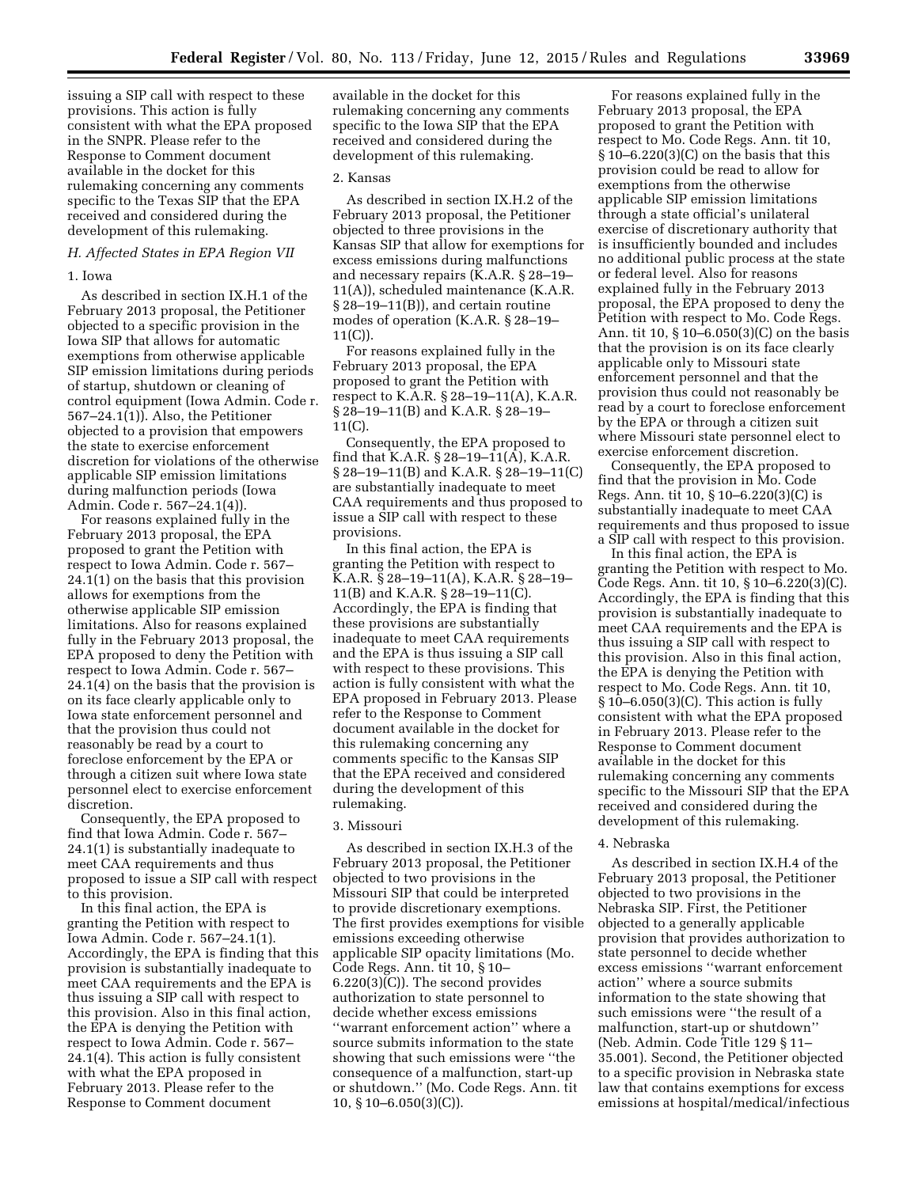issuing a SIP call with respect to these provisions. This action is fully consistent with what the EPA proposed in the SNPR. Please refer to the Response to Comment document available in the docket for this rulemaking concerning any comments specific to the Texas SIP that the EPA received and considered during the development of this rulemaking.

### *H. Affected States in EPA Region VII*

#### 1. Iowa

As described in section IX.H.1 of the February 2013 proposal, the Petitioner objected to a specific provision in the Iowa SIP that allows for automatic exemptions from otherwise applicable SIP emission limitations during periods of startup, shutdown or cleaning of control equipment (Iowa Admin. Code r. 567–24.1(1)). Also, the Petitioner objected to a provision that empowers the state to exercise enforcement discretion for violations of the otherwise applicable SIP emission limitations during malfunction periods (Iowa Admin. Code r. 567–24.1(4)).

For reasons explained fully in the February 2013 proposal, the EPA proposed to grant the Petition with respect to Iowa Admin. Code r. 567– 24.1(1) on the basis that this provision allows for exemptions from the otherwise applicable SIP emission limitations. Also for reasons explained fully in the February 2013 proposal, the EPA proposed to deny the Petition with respect to Iowa Admin. Code r. 567– 24.1(4) on the basis that the provision is on its face clearly applicable only to Iowa state enforcement personnel and that the provision thus could not reasonably be read by a court to foreclose enforcement by the EPA or through a citizen suit where Iowa state personnel elect to exercise enforcement discretion.

Consequently, the EPA proposed to find that Iowa Admin. Code r. 567– 24.1(1) is substantially inadequate to meet CAA requirements and thus proposed to issue a SIP call with respect to this provision.

In this final action, the EPA is granting the Petition with respect to Iowa Admin. Code r. 567–24.1(1). Accordingly, the EPA is finding that this provision is substantially inadequate to meet CAA requirements and the EPA is thus issuing a SIP call with respect to this provision. Also in this final action, the EPA is denying the Petition with respect to Iowa Admin. Code r. 567– 24.1(4). This action is fully consistent with what the EPA proposed in February 2013. Please refer to the Response to Comment document

available in the docket for this rulemaking concerning any comments specific to the Iowa SIP that the EPA received and considered during the development of this rulemaking.

### 2. Kansas

As described in section IX.H.2 of the February 2013 proposal, the Petitioner objected to three provisions in the Kansas SIP that allow for exemptions for excess emissions during malfunctions and necessary repairs (K.A.R. § 28–19– 11(A)), scheduled maintenance (K.A.R. § 28–19–11(B)), and certain routine modes of operation (K.A.R. § 28–19– 11(C)).

For reasons explained fully in the February 2013 proposal, the EPA proposed to grant the Petition with respect to K.A.R. § 28–19–11(A), K.A.R. § 28–19–11(B) and K.A.R. § 28–19– 11(C).

Consequently, the EPA proposed to find that K.A.R. § 28–19–11(A), K.A.R. § 28–19–11(B) and K.A.R. § 28–19–11(C) are substantially inadequate to meet CAA requirements and thus proposed to issue a SIP call with respect to these provisions.

In this final action, the EPA is granting the Petition with respect to K.A.R. § 28–19–11(A), K.A.R. § 28–19– 11(B) and K.A.R. § 28–19–11(C). Accordingly, the EPA is finding that these provisions are substantially inadequate to meet CAA requirements and the EPA is thus issuing a SIP call with respect to these provisions. This action is fully consistent with what the EPA proposed in February 2013. Please refer to the Response to Comment document available in the docket for this rulemaking concerning any comments specific to the Kansas SIP that the EPA received and considered during the development of this rulemaking.

### 3. Missouri

As described in section IX.H.3 of the February 2013 proposal, the Petitioner objected to two provisions in the Missouri SIP that could be interpreted to provide discretionary exemptions. The first provides exemptions for visible emissions exceeding otherwise applicable SIP opacity limitations (Mo. Code Regs. Ann. tit 10, § 10– 6.220(3)(C)). The second provides authorization to state personnel to decide whether excess emissions ''warrant enforcement action'' where a source submits information to the state showing that such emissions were ''the consequence of a malfunction, start-up or shutdown.'' (Mo. Code Regs. Ann. tit 10, § 10–6.050(3)(C)).

For reasons explained fully in the February 2013 proposal, the EPA proposed to grant the Petition with respect to Mo. Code Regs. Ann. tit 10, § 10–6.220(3)(C) on the basis that this provision could be read to allow for exemptions from the otherwise applicable SIP emission limitations through a state official's unilateral exercise of discretionary authority that is insufficiently bounded and includes no additional public process at the state or federal level. Also for reasons explained fully in the February 2013 proposal, the EPA proposed to deny the Petition with respect to Mo. Code Regs. Ann. tit 10, § 10–6.050(3)(C) on the basis that the provision is on its face clearly applicable only to Missouri state enforcement personnel and that the provision thus could not reasonably be read by a court to foreclose enforcement by the EPA or through a citizen suit where Missouri state personnel elect to exercise enforcement discretion.

Consequently, the EPA proposed to find that the provision in Mo. Code Regs. Ann. tit 10, § 10–6.220(3)(C) is substantially inadequate to meet CAA requirements and thus proposed to issue a SIP call with respect to this provision.

In this final action, the EPA is granting the Petition with respect to Mo. Code Regs. Ann. tit 10, § 10–6.220(3)(C). Accordingly, the EPA is finding that this provision is substantially inadequate to meet CAA requirements and the EPA is thus issuing a SIP call with respect to this provision. Also in this final action, the EPA is denying the Petition with respect to Mo. Code Regs. Ann. tit 10, § 10–6.050(3)(C). This action is fully consistent with what the EPA proposed in February 2013. Please refer to the Response to Comment document available in the docket for this rulemaking concerning any comments specific to the Missouri SIP that the EPA received and considered during the development of this rulemaking.

### 4. Nebraska

As described in section IX.H.4 of the February 2013 proposal, the Petitioner objected to two provisions in the Nebraska SIP. First, the Petitioner objected to a generally applicable provision that provides authorization to state personnel to decide whether excess emissions ''warrant enforcement action'' where a source submits information to the state showing that such emissions were ''the result of a malfunction, start-up or shutdown'' (Neb. Admin. Code Title 129 § 11– 35.001). Second, the Petitioner objected to a specific provision in Nebraska state law that contains exemptions for excess emissions at hospital/medical/infectious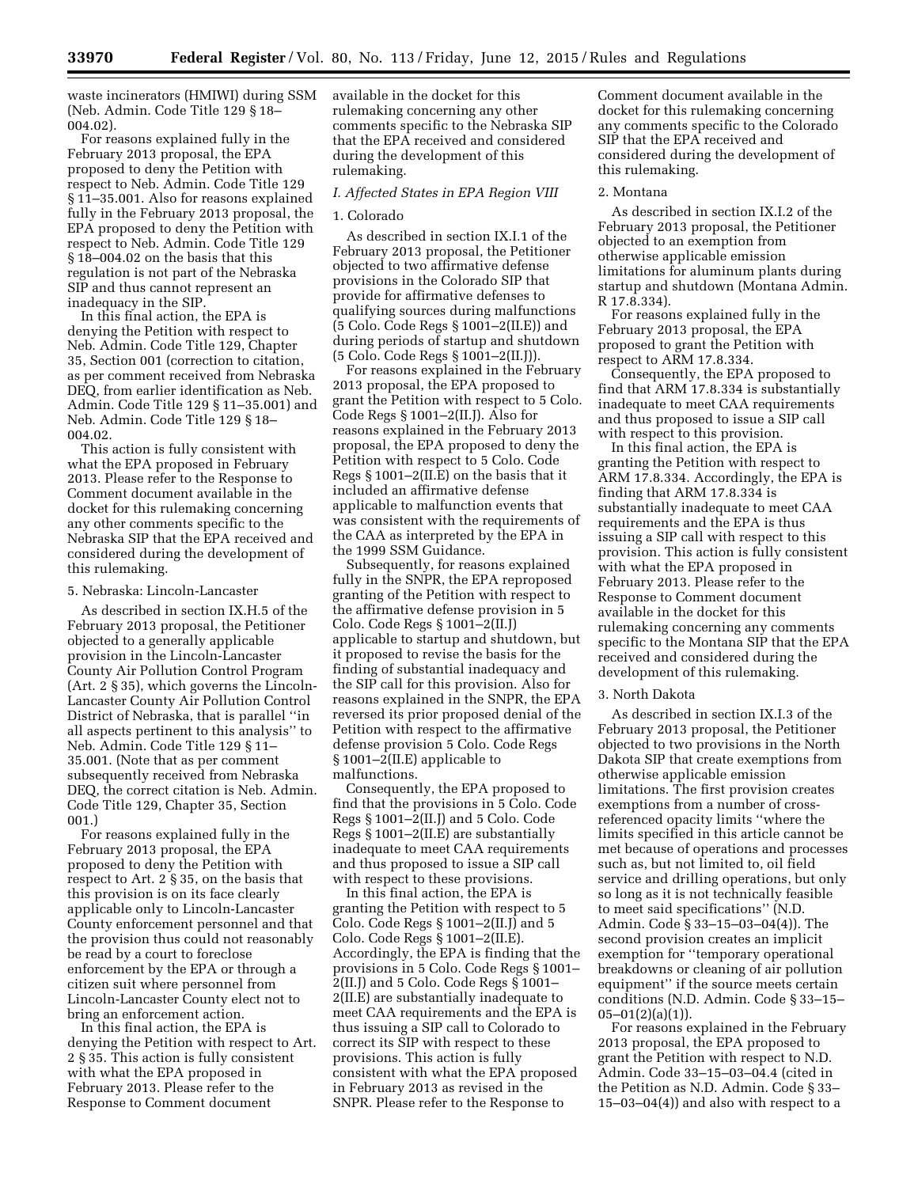waste incinerators (HMIWI) during SSM (Neb. Admin. Code Title 129 § 18– 004.02).

For reasons explained fully in the February 2013 proposal, the EPA proposed to deny the Petition with respect to Neb. Admin. Code Title 129 § 11–35.001. Also for reasons explained fully in the February 2013 proposal, the EPA proposed to deny the Petition with respect to Neb. Admin. Code Title 129 § 18–004.02 on the basis that this regulation is not part of the Nebraska SIP and thus cannot represent an inadequacy in the SIP.

In this final action, the EPA is denying the Petition with respect to Neb. Admin. Code Title 129, Chapter 35, Section 001 (correction to citation, as per comment received from Nebraska DEQ, from earlier identification as Neb. Admin. Code Title 129 § 11–35.001) and Neb. Admin. Code Title 129 § 18– 004.02.

This action is fully consistent with what the EPA proposed in February 2013. Please refer to the Response to Comment document available in the docket for this rulemaking concerning any other comments specific to the Nebraska SIP that the EPA received and considered during the development of this rulemaking.

### 5. Nebraska: Lincoln-Lancaster

As described in section IX.H.5 of the February 2013 proposal, the Petitioner objected to a generally applicable provision in the Lincoln-Lancaster County Air Pollution Control Program (Art. 2 § 35), which governs the Lincoln-Lancaster County Air Pollution Control District of Nebraska, that is parallel ''in all aspects pertinent to this analysis'' to Neb. Admin. Code Title 129 § 11– 35.001. (Note that as per comment subsequently received from Nebraska DEQ, the correct citation is Neb. Admin. Code Title 129, Chapter 35, Section 001.)

For reasons explained fully in the February 2013 proposal, the EPA proposed to deny the Petition with respect to Art. 2 § 35, on the basis that this provision is on its face clearly applicable only to Lincoln-Lancaster County enforcement personnel and that the provision thus could not reasonably be read by a court to foreclose enforcement by the EPA or through a citizen suit where personnel from Lincoln-Lancaster County elect not to bring an enforcement action.

In this final action, the EPA is denying the Petition with respect to Art. 2 § 35. This action is fully consistent with what the EPA proposed in February 2013. Please refer to the Response to Comment document

available in the docket for this rulemaking concerning any other comments specific to the Nebraska SIP that the EPA received and considered during the development of this rulemaking.

### *I. Affected States in EPA Region VIII*

### 1. Colorado

As described in section IX.I.1 of the February 2013 proposal, the Petitioner objected to two affirmative defense provisions in the Colorado SIP that provide for affirmative defenses to qualifying sources during malfunctions (5 Colo. Code Regs § 1001–2(II.E)) and during periods of startup and shutdown (5 Colo. Code Regs § 1001–2(II.J)).

For reasons explained in the February 2013 proposal, the EPA proposed to grant the Petition with respect to 5 Colo. Code Regs § 1001–2(II.J). Also for reasons explained in the February 2013 proposal, the EPA proposed to deny the Petition with respect to 5 Colo. Code Regs § 1001–2(II.E) on the basis that it included an affirmative defense applicable to malfunction events that was consistent with the requirements of the CAA as interpreted by the EPA in the 1999 SSM Guidance.

Subsequently, for reasons explained fully in the SNPR, the EPA reproposed granting of the Petition with respect to the affirmative defense provision in 5 Colo. Code Regs § 1001–2(II.J) applicable to startup and shutdown, but it proposed to revise the basis for the finding of substantial inadequacy and the SIP call for this provision. Also for reasons explained in the SNPR, the EPA reversed its prior proposed denial of the Petition with respect to the affirmative defense provision 5 Colo. Code Regs § 1001–2(II.E) applicable to malfunctions.

Consequently, the EPA proposed to find that the provisions in 5 Colo. Code Regs § 1001–2(II.J) and 5 Colo. Code Regs § 1001–2(II.E) are substantially inadequate to meet CAA requirements and thus proposed to issue a SIP call with respect to these provisions.

In this final action, the EPA is granting the Petition with respect to 5 Colo. Code Regs § 1001–2(II.J) and 5 Colo. Code Regs § 1001–2(II.E). Accordingly, the EPA is finding that the provisions in 5 Colo. Code Regs § 1001– 2(II.J) and 5 Colo. Code Regs § 1001– 2(II.E) are substantially inadequate to meet CAA requirements and the EPA is thus issuing a SIP call to Colorado to correct its SIP with respect to these provisions. This action is fully consistent with what the EPA proposed in February 2013 as revised in the SNPR. Please refer to the Response to

Comment document available in the docket for this rulemaking concerning any comments specific to the Colorado SIP that the EPA received and considered during the development of this rulemaking.

#### 2. Montana

As described in section IX.I.2 of the February 2013 proposal, the Petitioner objected to an exemption from otherwise applicable emission limitations for aluminum plants during startup and shutdown (Montana Admin. R 17.8.334).

For reasons explained fully in the February 2013 proposal, the EPA proposed to grant the Petition with respect to ARM 17.8.334.

Consequently, the EPA proposed to find that ARM 17.8.334 is substantially inadequate to meet CAA requirements and thus proposed to issue a SIP call with respect to this provision.

In this final action, the EPA is granting the Petition with respect to ARM 17.8.334. Accordingly, the EPA is finding that ARM 17.8.334 is substantially inadequate to meet CAA requirements and the EPA is thus issuing a SIP call with respect to this provision. This action is fully consistent with what the EPA proposed in February 2013. Please refer to the Response to Comment document available in the docket for this rulemaking concerning any comments specific to the Montana SIP that the EPA received and considered during the development of this rulemaking.

#### 3. North Dakota

As described in section IX.I.3 of the February 2013 proposal, the Petitioner objected to two provisions in the North Dakota SIP that create exemptions from otherwise applicable emission limitations. The first provision creates exemptions from a number of crossreferenced opacity limits ''where the limits specified in this article cannot be met because of operations and processes such as, but not limited to, oil field service and drilling operations, but only so long as it is not technically feasible to meet said specifications'' (N.D. Admin. Code § 33–15–03–04(4)). The second provision creates an implicit exemption for ''temporary operational breakdowns or cleaning of air pollution equipment'' if the source meets certain conditions (N.D. Admin. Code § 33–15–  $05-01(2)(a)(1)$ ).

For reasons explained in the February 2013 proposal, the EPA proposed to grant the Petition with respect to N.D. Admin. Code 33–15–03–04.4 (cited in the Petition as N.D. Admin. Code § 33–  $15-03-04(4)$ ) and also with respect to a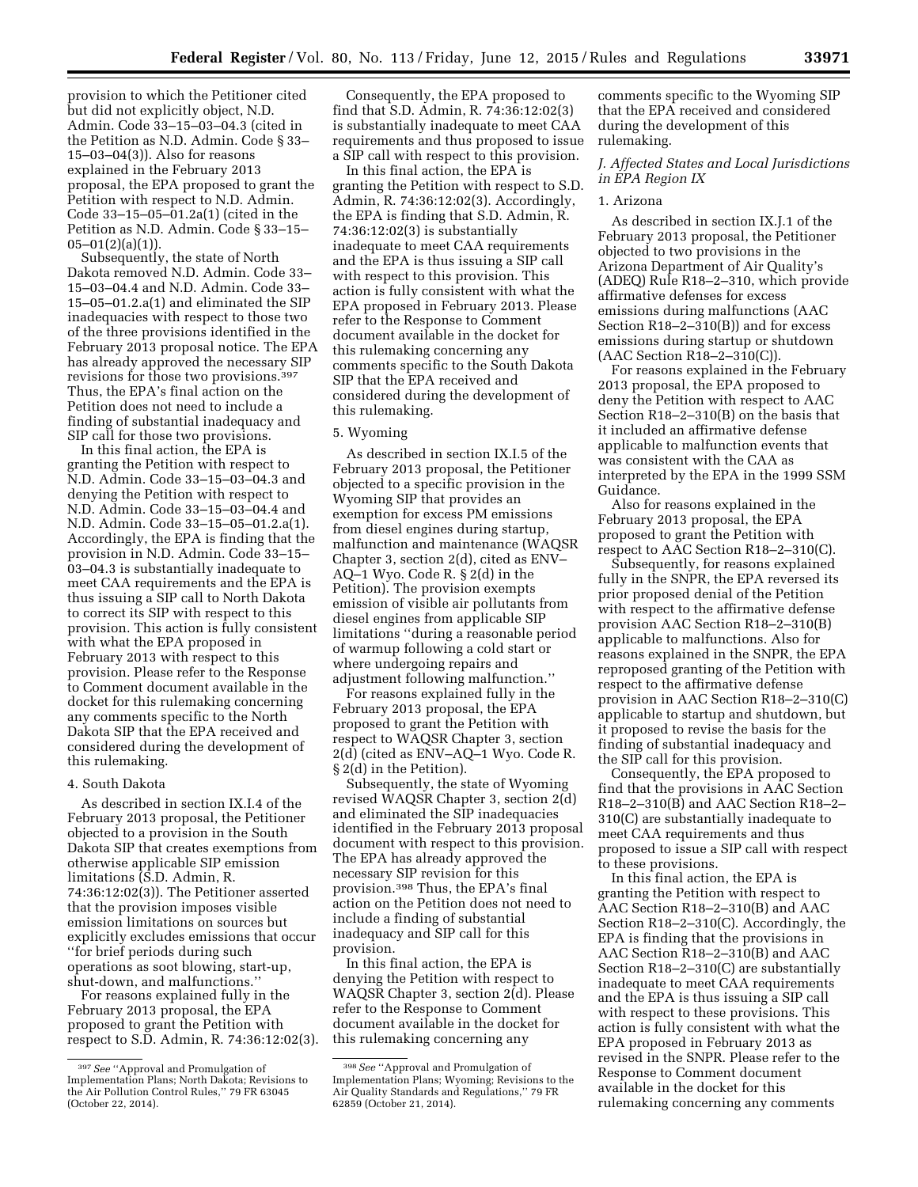provision to which the Petitioner cited but did not explicitly object, N.D. Admin. Code 33–15–03–04.3 (cited in the Petition as N.D. Admin. Code § 33– 15–03–04(3)). Also for reasons explained in the February 2013 proposal, the EPA proposed to grant the Petition with respect to N.D. Admin. Code 33–15–05–01.2a(1) (cited in the Petition as N.D. Admin. Code § 33–15–  $05-01(2)(a)(1)$ ).

Subsequently, the state of North Dakota removed N.D. Admin. Code 33– 15–03–04.4 and N.D. Admin. Code 33– 15–05–01.2.a(1) and eliminated the SIP inadequacies with respect to those two of the three provisions identified in the February 2013 proposal notice. The EPA has already approved the necessary SIP revisions for those two provisions.397 Thus, the EPA's final action on the Petition does not need to include a finding of substantial inadequacy and SIP call for those two provisions.

In this final action, the EPA is granting the Petition with respect to N.D. Admin. Code 33–15–03–04.3 and denying the Petition with respect to N.D. Admin. Code 33–15–03–04.4 and N.D. Admin. Code 33–15–05–01.2.a(1). Accordingly, the EPA is finding that the provision in N.D. Admin. Code 33–15– 03–04.3 is substantially inadequate to meet CAA requirements and the EPA is thus issuing a SIP call to North Dakota to correct its SIP with respect to this provision. This action is fully consistent with what the EPA proposed in February 2013 with respect to this provision. Please refer to the Response to Comment document available in the docket for this rulemaking concerning any comments specific to the North Dakota SIP that the EPA received and considered during the development of this rulemaking.

### 4. South Dakota

As described in section IX.I.4 of the February 2013 proposal, the Petitioner objected to a provision in the South Dakota SIP that creates exemptions from otherwise applicable SIP emission limitations (S.D. Admin, R. 74:36:12:02(3)). The Petitioner asserted that the provision imposes visible emission limitations on sources but explicitly excludes emissions that occur ''for brief periods during such operations as soot blowing, start-up, shut-down, and malfunctions.''

For reasons explained fully in the February 2013 proposal, the EPA proposed to grant the Petition with respect to S.D. Admin, R. 74:36:12:02(3).

Consequently, the EPA proposed to find that S.D. Admin, R. 74:36:12:02(3) is substantially inadequate to meet CAA requirements and thus proposed to issue a SIP call with respect to this provision.

In this final action, the EPA is granting the Petition with respect to S.D. Admin, R. 74:36:12:02(3). Accordingly, the EPA is finding that S.D. Admin, R. 74:36:12:02(3) is substantially inadequate to meet CAA requirements and the EPA is thus issuing a SIP call with respect to this provision. This action is fully consistent with what the EPA proposed in February 2013. Please refer to the Response to Comment document available in the docket for this rulemaking concerning any comments specific to the South Dakota SIP that the EPA received and considered during the development of this rulemaking.

### 5. Wyoming

As described in section IX.I.5 of the February 2013 proposal, the Petitioner objected to a specific provision in the Wyoming SIP that provides an exemption for excess PM emissions from diesel engines during startup, malfunction and maintenance (WAQSR Chapter 3, section 2(d), cited as ENV– AQ–1 Wyo. Code R. § 2(d) in the Petition). The provision exempts emission of visible air pollutants from diesel engines from applicable SIP limitations ''during a reasonable period of warmup following a cold start or where undergoing repairs and adjustment following malfunction.''

For reasons explained fully in the February 2013 proposal, the EPA proposed to grant the Petition with respect to WAQSR Chapter 3, section 2(d) (cited as ENV–AQ–1 Wyo. Code R. § 2(d) in the Petition).

Subsequently, the state of Wyoming revised WAQSR Chapter 3, section 2(d) and eliminated the SIP inadequacies identified in the February 2013 proposal document with respect to this provision. The EPA has already approved the necessary SIP revision for this provision.398 Thus, the EPA's final action on the Petition does not need to include a finding of substantial inadequacy and SIP call for this provision.

In this final action, the EPA is denying the Petition with respect to WAQSR Chapter 3, section 2(d). Please refer to the Response to Comment document available in the docket for this rulemaking concerning any

comments specific to the Wyoming SIP that the EPA received and considered during the development of this rulemaking.

# *J. Affected States and Local Jurisdictions in EPA Region IX*

### 1. Arizona

As described in section IX.J.1 of the February 2013 proposal, the Petitioner objected to two provisions in the Arizona Department of Air Quality's (ADEQ) Rule R18–2–310, which provide affirmative defenses for excess emissions during malfunctions (AAC Section R18–2–310(B)) and for excess emissions during startup or shutdown (AAC Section R18–2–310(C)).

For reasons explained in the February 2013 proposal, the EPA proposed to deny the Petition with respect to AAC Section R18–2–310(B) on the basis that it included an affirmative defense applicable to malfunction events that was consistent with the CAA as interpreted by the EPA in the 1999 SSM Guidance.

Also for reasons explained in the February 2013 proposal, the EPA proposed to grant the Petition with respect to AAC Section R18–2–310(C).

Subsequently, for reasons explained fully in the SNPR, the EPA reversed its prior proposed denial of the Petition with respect to the affirmative defense provision AAC Section R18–2–310(B) applicable to malfunctions. Also for reasons explained in the SNPR, the EPA reproposed granting of the Petition with respect to the affirmative defense provision in AAC Section R18–2–310(C) applicable to startup and shutdown, but it proposed to revise the basis for the finding of substantial inadequacy and the SIP call for this provision.

Consequently, the EPA proposed to find that the provisions in AAC Section R18–2–310(B) and AAC Section R18–2– 310(C) are substantially inadequate to meet CAA requirements and thus proposed to issue a SIP call with respect to these provisions.

In this final action, the EPA is granting the Petition with respect to AAC Section R18–2–310(B) and AAC Section R18–2–310(C). Accordingly, the EPA is finding that the provisions in AAC Section R18–2–310(B) and AAC Section R18–2–310(C) are substantially inadequate to meet CAA requirements and the EPA is thus issuing a SIP call with respect to these provisions. This action is fully consistent with what the EPA proposed in February 2013 as revised in the SNPR. Please refer to the Response to Comment document available in the docket for this rulemaking concerning any comments

<sup>397</sup>*See* ''Approval and Promulgation of Implementation Plans; North Dakota; Revisions to the Air Pollution Control Rules,'' 79 FR 63045 (October 22, 2014).

<sup>398</sup>*See* ''Approval and Promulgation of Implementation Plans; Wyoming; Revisions to the Air Quality Standards and Regulations,'' 79 FR 62859 (October 21, 2014).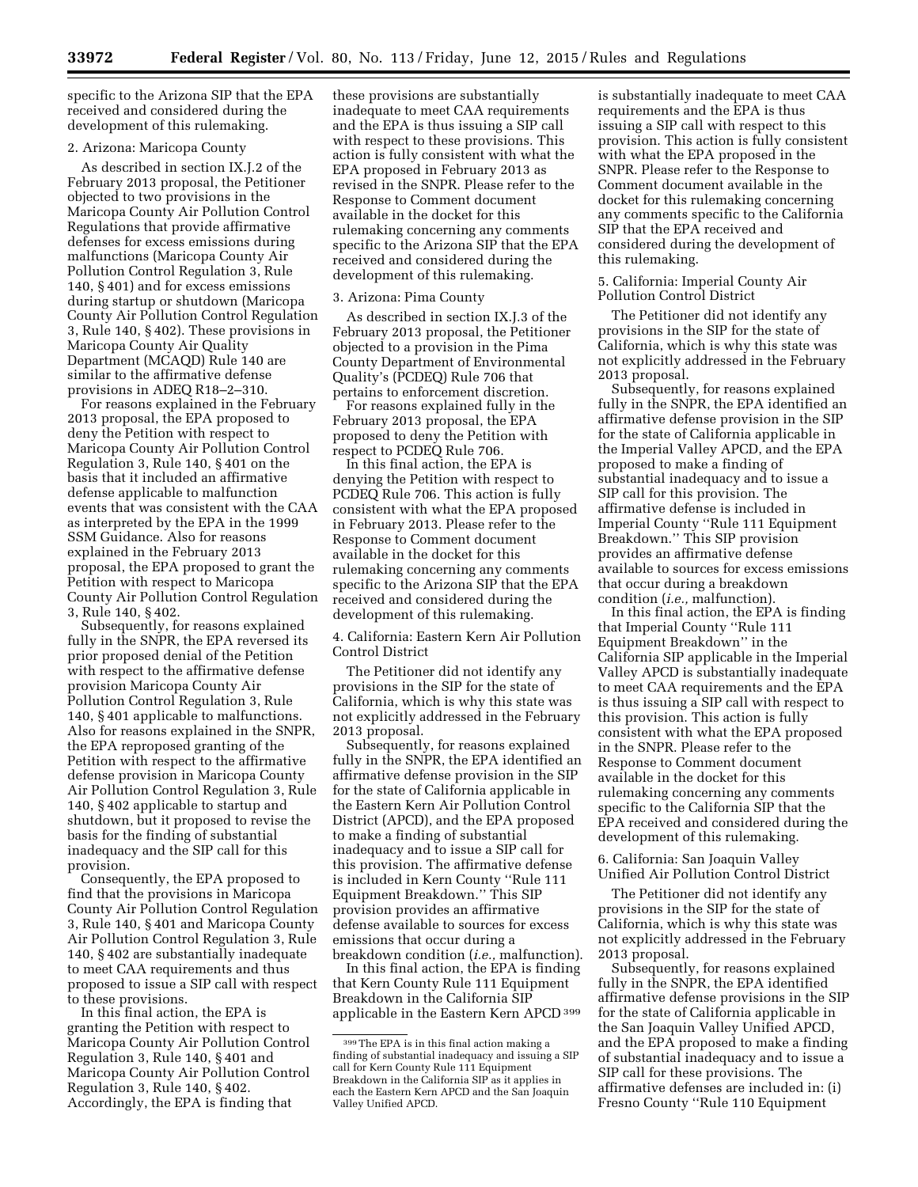specific to the Arizona SIP that the EPA received and considered during the development of this rulemaking.

## 2. Arizona: Maricopa County

As described in section IX.J.2 of the February 2013 proposal, the Petitioner objected to two provisions in the Maricopa County Air Pollution Control Regulations that provide affirmative defenses for excess emissions during malfunctions (Maricopa County Air Pollution Control Regulation 3, Rule 140, § 401) and for excess emissions during startup or shutdown (Maricopa County Air Pollution Control Regulation 3, Rule 140, § 402). These provisions in Maricopa County Air Quality Department (MCAQD) Rule 140 are similar to the affirmative defense provisions in ADEQ R18–2–310.

For reasons explained in the February 2013 proposal, the EPA proposed to deny the Petition with respect to Maricopa County Air Pollution Control Regulation 3, Rule 140, § 401 on the basis that it included an affirmative defense applicable to malfunction events that was consistent with the CAA as interpreted by the EPA in the 1999 SSM Guidance. Also for reasons explained in the February 2013 proposal, the EPA proposed to grant the Petition with respect to Maricopa County Air Pollution Control Regulation 3, Rule 140, § 402.

Subsequently, for reasons explained fully in the SNPR, the EPA reversed its prior proposed denial of the Petition with respect to the affirmative defense provision Maricopa County Air Pollution Control Regulation 3, Rule 140, § 401 applicable to malfunctions. Also for reasons explained in the SNPR, the EPA reproposed granting of the Petition with respect to the affirmative defense provision in Maricopa County Air Pollution Control Regulation 3, Rule 140, § 402 applicable to startup and shutdown, but it proposed to revise the basis for the finding of substantial inadequacy and the SIP call for this provision.

Consequently, the EPA proposed to find that the provisions in Maricopa County Air Pollution Control Regulation 3, Rule 140, § 401 and Maricopa County Air Pollution Control Regulation 3, Rule 140, § 402 are substantially inadequate to meet CAA requirements and thus proposed to issue a SIP call with respect to these provisions.

In this final action, the EPA is granting the Petition with respect to Maricopa County Air Pollution Control Regulation 3, Rule 140, § 401 and Maricopa County Air Pollution Control Regulation 3, Rule 140, § 402. Accordingly, the EPA is finding that

these provisions are substantially inadequate to meet CAA requirements and the EPA is thus issuing a SIP call with respect to these provisions. This action is fully consistent with what the EPA proposed in February 2013 as revised in the SNPR. Please refer to the Response to Comment document available in the docket for this rulemaking concerning any comments specific to the Arizona SIP that the EPA received and considered during the development of this rulemaking.

#### 3. Arizona: Pima County

As described in section IX.J.3 of the February 2013 proposal, the Petitioner objected to a provision in the Pima County Department of Environmental Quality's (PCDEQ) Rule 706 that pertains to enforcement discretion.

For reasons explained fully in the February 2013 proposal, the EPA proposed to deny the Petition with respect to PCDEQ Rule 706.

In this final action, the EPA is denying the Petition with respect to PCDEQ Rule 706. This action is fully consistent with what the EPA proposed in February 2013. Please refer to the Response to Comment document available in the docket for this rulemaking concerning any comments specific to the Arizona SIP that the EPA received and considered during the development of this rulemaking.

4. California: Eastern Kern Air Pollution Control District

The Petitioner did not identify any provisions in the SIP for the state of California, which is why this state was not explicitly addressed in the February 2013 proposal.

Subsequently, for reasons explained fully in the SNPR, the EPA identified an affirmative defense provision in the SIP for the state of California applicable in the Eastern Kern Air Pollution Control District (APCD), and the EPA proposed to make a finding of substantial inadequacy and to issue a SIP call for this provision. The affirmative defense is included in Kern County ''Rule 111 Equipment Breakdown.'' This SIP provision provides an affirmative defense available to sources for excess emissions that occur during a breakdown condition (*i.e.,* malfunction).

In this final action, the EPA is finding that Kern County Rule 111 Equipment Breakdown in the California SIP applicable in the Eastern Kern APCD 399 is substantially inadequate to meet CAA requirements and the EPA is thus issuing a SIP call with respect to this provision. This action is fully consistent with what the EPA proposed in the SNPR. Please refer to the Response to Comment document available in the docket for this rulemaking concerning any comments specific to the California SIP that the EPA received and considered during the development of this rulemaking.

5. California: Imperial County Air Pollution Control District

The Petitioner did not identify any provisions in the SIP for the state of California, which is why this state was not explicitly addressed in the February 2013 proposal.

Subsequently, for reasons explained fully in the SNPR, the EPA identified an affirmative defense provision in the SIP for the state of California applicable in the Imperial Valley APCD, and the EPA proposed to make a finding of substantial inadequacy and to issue a SIP call for this provision. The affirmative defense is included in Imperial County ''Rule 111 Equipment Breakdown.'' This SIP provision provides an affirmative defense available to sources for excess emissions that occur during a breakdown condition (*i.e.,* malfunction).

In this final action, the EPA is finding that Imperial County ''Rule 111 Equipment Breakdown'' in the California SIP applicable in the Imperial Valley APCD is substantially inadequate to meet CAA requirements and the EPA is thus issuing a SIP call with respect to this provision. This action is fully consistent with what the EPA proposed in the SNPR. Please refer to the Response to Comment document available in the docket for this rulemaking concerning any comments specific to the California SIP that the EPA received and considered during the development of this rulemaking.

6. California: San Joaquin Valley Unified Air Pollution Control District

The Petitioner did not identify any provisions in the SIP for the state of California, which is why this state was not explicitly addressed in the February 2013 proposal.

Subsequently, for reasons explained fully in the SNPR, the EPA identified affirmative defense provisions in the SIP for the state of California applicable in the San Joaquin Valley Unified APCD, and the EPA proposed to make a finding of substantial inadequacy and to issue a SIP call for these provisions. The affirmative defenses are included in: (i) Fresno County ''Rule 110 Equipment

<sup>399</sup>The EPA is in this final action making a finding of substantial inadequacy and issuing a SIP call for Kern County Rule 111 Equipment Breakdown in the California SIP as it applies in each the Eastern Kern APCD and the San Joaquin Valley Unified APCD.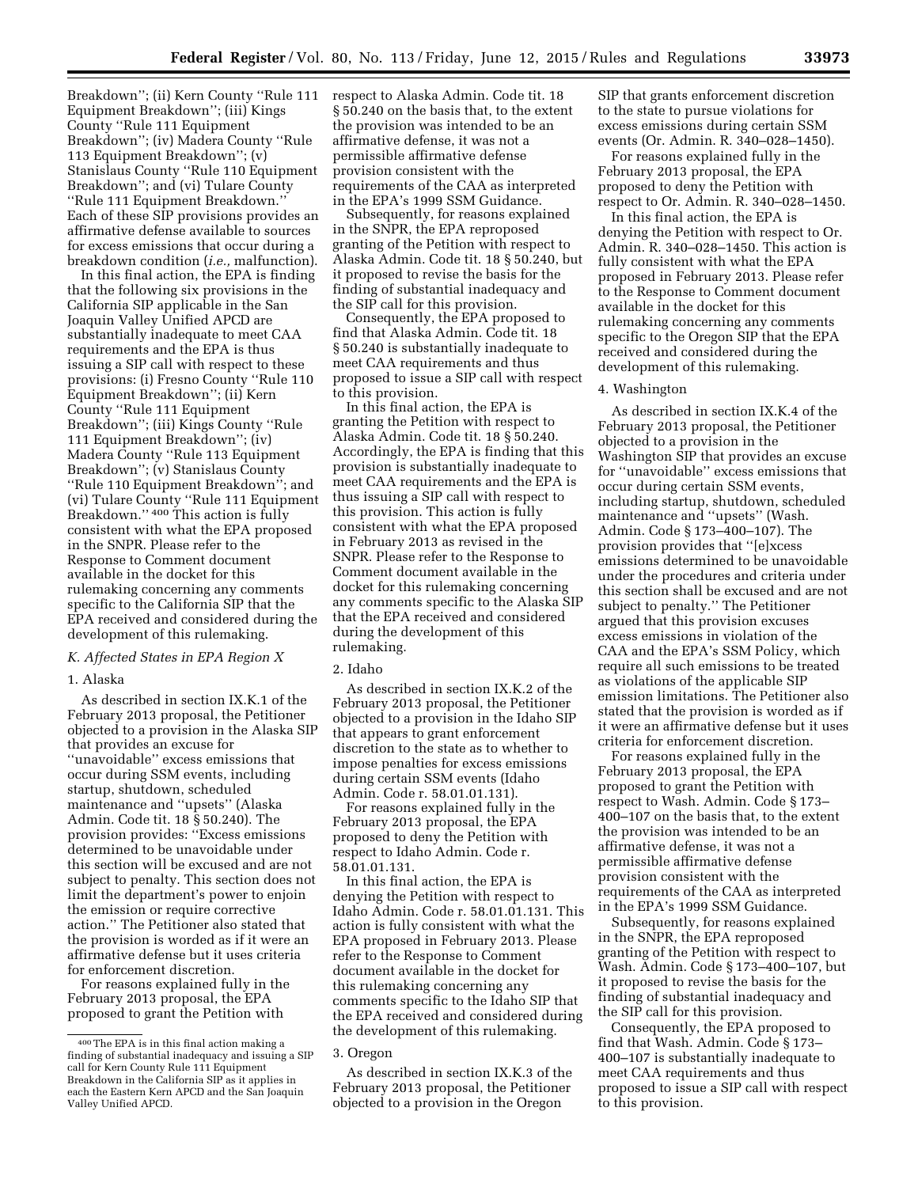Breakdown''; (ii) Kern County ''Rule 111 Equipment Breakdown''; (iii) Kings County ''Rule 111 Equipment Breakdown''; (iv) Madera County ''Rule 113 Equipment Breakdown''; (v) Stanislaus County ''Rule 110 Equipment Breakdown''; and (vi) Tulare County ''Rule 111 Equipment Breakdown.'' Each of these SIP provisions provides an affirmative defense available to sources

breakdown condition (*i.e.,* malfunction). In this final action, the EPA is finding that the following six provisions in the California SIP applicable in the San Joaquin Valley Unified APCD are substantially inadequate to meet CAA requirements and the EPA is thus issuing a SIP call with respect to these provisions: (i) Fresno County ''Rule 110 Equipment Breakdown''; (ii) Kern County ''Rule 111 Equipment Breakdown''; (iii) Kings County ''Rule 111 Equipment Breakdown''; (iv) Madera County ''Rule 113 Equipment Breakdown''; (v) Stanislaus County ''Rule 110 Equipment Breakdown''; and (vi) Tulare County ''Rule 111 Equipment Breakdown.'' 400 This action is fully consistent with what the EPA proposed in the SNPR. Please refer to the Response to Comment document available in the docket for this rulemaking concerning any comments specific to the California SIP that the EPA received and considered during the development of this rulemaking.

for excess emissions that occur during a

# *K. Affected States in EPA Region X*

#### 1. Alaska

As described in section IX.K.1 of the February 2013 proposal, the Petitioner objected to a provision in the Alaska SIP that provides an excuse for ''unavoidable'' excess emissions that occur during SSM events, including startup, shutdown, scheduled maintenance and ''upsets'' (Alaska Admin. Code tit. 18 § 50.240). The provision provides: ''Excess emissions determined to be unavoidable under this section will be excused and are not subject to penalty. This section does not limit the department's power to enjoin the emission or require corrective action.'' The Petitioner also stated that the provision is worded as if it were an affirmative defense but it uses criteria for enforcement discretion.

For reasons explained fully in the February 2013 proposal, the EPA proposed to grant the Petition with

respect to Alaska Admin. Code tit. 18 § 50.240 on the basis that, to the extent the provision was intended to be an affirmative defense, it was not a permissible affirmative defense provision consistent with the requirements of the CAA as interpreted in the EPA's 1999 SSM Guidance.

Subsequently, for reasons explained in the SNPR, the EPA reproposed granting of the Petition with respect to Alaska Admin. Code tit. 18 § 50.240, but it proposed to revise the basis for the finding of substantial inadequacy and the SIP call for this provision.

Consequently, the EPA proposed to find that Alaska Admin. Code tit. 18 § 50.240 is substantially inadequate to meet CAA requirements and thus proposed to issue a SIP call with respect to this provision.

In this final action, the EPA is granting the Petition with respect to Alaska Admin. Code tit. 18 § 50.240. Accordingly, the EPA is finding that this provision is substantially inadequate to meet CAA requirements and the EPA is thus issuing a SIP call with respect to this provision. This action is fully consistent with what the EPA proposed in February 2013 as revised in the SNPR. Please refer to the Response to Comment document available in the docket for this rulemaking concerning any comments specific to the Alaska SIP that the EPA received and considered during the development of this rulemaking.

#### 2. Idaho

As described in section IX.K.2 of the February 2013 proposal, the Petitioner objected to a provision in the Idaho SIP that appears to grant enforcement discretion to the state as to whether to impose penalties for excess emissions during certain SSM events (Idaho Admin. Code r. 58.01.01.131).

For reasons explained fully in the February 2013 proposal, the EPA proposed to deny the Petition with respect to Idaho Admin. Code r. 58.01.01.131.

In this final action, the EPA is denying the Petition with respect to Idaho Admin. Code r. 58.01.01.131. This action is fully consistent with what the EPA proposed in February 2013. Please refer to the Response to Comment document available in the docket for this rulemaking concerning any comments specific to the Idaho SIP that the EPA received and considered during the development of this rulemaking.

As described in section IX.K.3 of the February 2013 proposal, the Petitioner objected to a provision in the Oregon

SIP that grants enforcement discretion to the state to pursue violations for excess emissions during certain SSM events (Or. Admin. R. 340–028–1450).

For reasons explained fully in the February 2013 proposal, the EPA proposed to deny the Petition with respect to Or. Admin. R. 340–028–1450.

In this final action, the EPA is denying the Petition with respect to Or. Admin. R. 340–028–1450. This action is fully consistent with what the EPA proposed in February 2013. Please refer to the Response to Comment document available in the docket for this rulemaking concerning any comments specific to the Oregon SIP that the EPA received and considered during the development of this rulemaking.

#### 4. Washington

As described in section IX.K.4 of the February 2013 proposal, the Petitioner objected to a provision in the Washington SIP that provides an excuse for ''unavoidable'' excess emissions that occur during certain SSM events, including startup, shutdown, scheduled maintenance and ''upsets'' (Wash. Admin. Code § 173–400–107). The provision provides that ''[e]xcess emissions determined to be unavoidable under the procedures and criteria under this section shall be excused and are not subject to penalty.'' The Petitioner argued that this provision excuses excess emissions in violation of the CAA and the EPA's SSM Policy, which require all such emissions to be treated as violations of the applicable SIP emission limitations. The Petitioner also stated that the provision is worded as if it were an affirmative defense but it uses criteria for enforcement discretion.

For reasons explained fully in the February 2013 proposal, the EPA proposed to grant the Petition with respect to Wash. Admin. Code § 173– 400–107 on the basis that, to the extent the provision was intended to be an affirmative defense, it was not a permissible affirmative defense provision consistent with the requirements of the CAA as interpreted in the EPA's 1999 SSM Guidance.

Subsequently, for reasons explained in the SNPR, the EPA reproposed granting of the Petition with respect to Wash. Admin. Code § 173–400–107, but it proposed to revise the basis for the finding of substantial inadequacy and the SIP call for this provision.

Consequently, the EPA proposed to find that Wash. Admin. Code § 173– 400–107 is substantially inadequate to meet CAA requirements and thus proposed to issue a SIP call with respect to this provision.

<sup>400</sup>The EPA is in this final action making a finding of substantial inadequacy and issuing a SIP call for Kern County Rule 111 Equipment Breakdown in the California SIP as it applies in each the Eastern Kern APCD and the San Joaquin Valley Unified APCD.

<sup>3.</sup> Oregon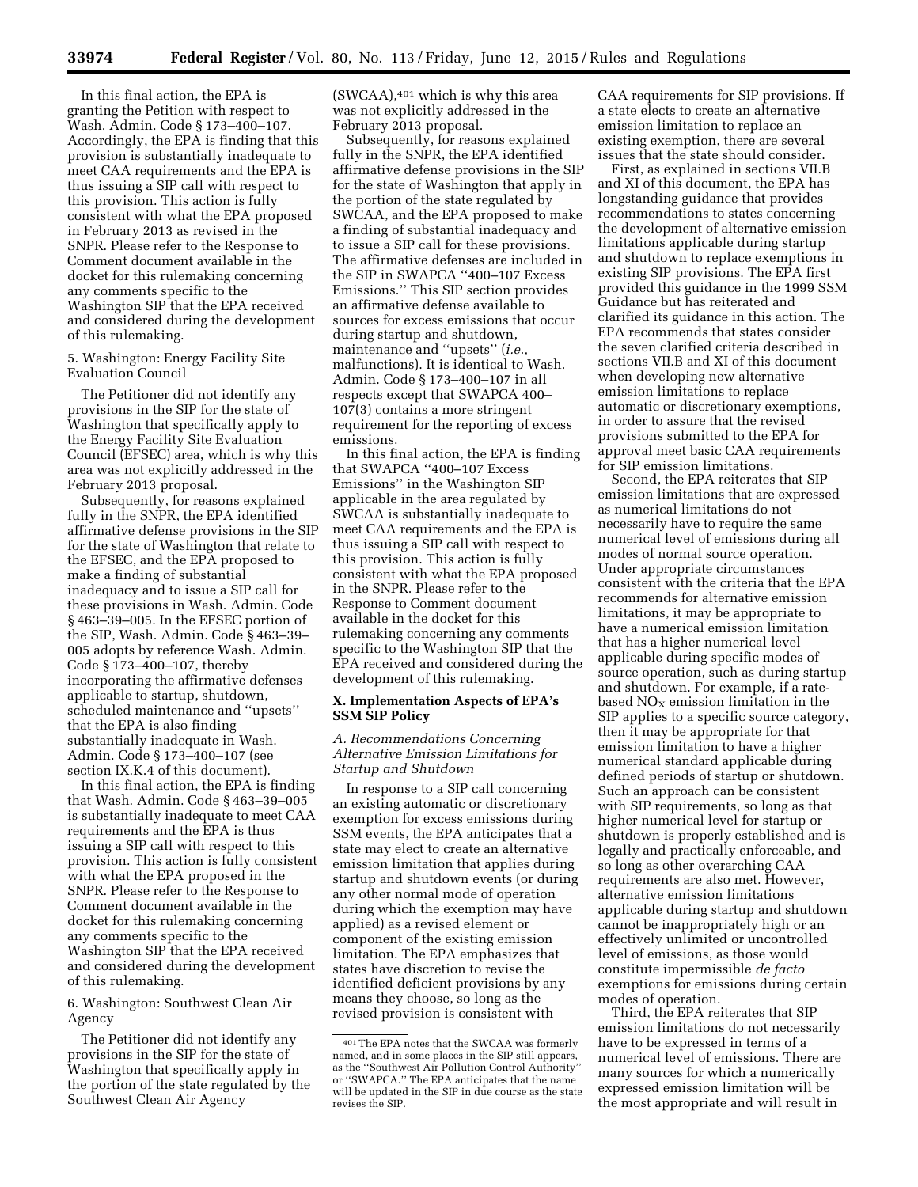In this final action, the EPA is granting the Petition with respect to Wash. Admin. Code § 173–400–107. Accordingly, the EPA is finding that this provision is substantially inadequate to meet CAA requirements and the EPA is thus issuing a SIP call with respect to this provision. This action is fully consistent with what the EPA proposed in February 2013 as revised in the SNPR. Please refer to the Response to Comment document available in the docket for this rulemaking concerning any comments specific to the Washington SIP that the EPA received and considered during the development of this rulemaking.

5. Washington: Energy Facility Site Evaluation Council

The Petitioner did not identify any provisions in the SIP for the state of Washington that specifically apply to the Energy Facility Site Evaluation Council (EFSEC) area, which is why this area was not explicitly addressed in the February 2013 proposal.

Subsequently, for reasons explained fully in the SNPR, the EPA identified affirmative defense provisions in the SIP for the state of Washington that relate to the EFSEC, and the EPA proposed to make a finding of substantial inadequacy and to issue a SIP call for these provisions in Wash. Admin. Code § 463–39–005. In the EFSEC portion of the SIP, Wash. Admin. Code § 463–39– 005 adopts by reference Wash. Admin. Code § 173–400–107, thereby incorporating the affirmative defenses applicable to startup, shutdown, scheduled maintenance and ''upsets'' that the EPA is also finding substantially inadequate in Wash. Admin. Code § 173–400–107 (see section IX.K.4 of this document).

In this final action, the EPA is finding that Wash. Admin. Code § 463–39–005 is substantially inadequate to meet CAA requirements and the EPA is thus issuing a SIP call with respect to this provision. This action is fully consistent with what the EPA proposed in the SNPR. Please refer to the Response to Comment document available in the docket for this rulemaking concerning any comments specific to the Washington SIP that the EPA received and considered during the development of this rulemaking.

6. Washington: Southwest Clean Air Agency

The Petitioner did not identify any provisions in the SIP for the state of Washington that specifically apply in the portion of the state regulated by the Southwest Clean Air Agency

 $(SWCAA)$ ,<sup>401</sup> which is why this area was not explicitly addressed in the February 2013 proposal.

Subsequently, for reasons explained fully in the SNPR, the EPA identified affirmative defense provisions in the SIP for the state of Washington that apply in the portion of the state regulated by SWCAA, and the EPA proposed to make a finding of substantial inadequacy and to issue a SIP call for these provisions. The affirmative defenses are included in the SIP in SWAPCA ''400–107 Excess Emissions.'' This SIP section provides an affirmative defense available to sources for excess emissions that occur during startup and shutdown, maintenance and ''upsets'' (*i.e.,*  malfunctions). It is identical to Wash. Admin. Code § 173–400–107 in all respects except that SWAPCA 400– 107(3) contains a more stringent requirement for the reporting of excess emissions.

In this final action, the EPA is finding that SWAPCA ''400–107 Excess Emissions'' in the Washington SIP applicable in the area regulated by SWCAA is substantially inadequate to meet CAA requirements and the EPA is thus issuing a SIP call with respect to this provision. This action is fully consistent with what the EPA proposed in the SNPR. Please refer to the Response to Comment document available in the docket for this rulemaking concerning any comments specific to the Washington SIP that the EPA received and considered during the development of this rulemaking.

### **X. Implementation Aspects of EPA's SSM SIP Policy**

### *A. Recommendations Concerning Alternative Emission Limitations for Startup and Shutdown*

In response to a SIP call concerning an existing automatic or discretionary exemption for excess emissions during SSM events, the EPA anticipates that a state may elect to create an alternative emission limitation that applies during startup and shutdown events (or during any other normal mode of operation during which the exemption may have applied) as a revised element or component of the existing emission limitation. The EPA emphasizes that states have discretion to revise the identified deficient provisions by any means they choose, so long as the revised provision is consistent with

CAA requirements for SIP provisions. If a state elects to create an alternative emission limitation to replace an existing exemption, there are several issues that the state should consider.

First, as explained in sections VII.B and XI of this document, the EPA has longstanding guidance that provides recommendations to states concerning the development of alternative emission limitations applicable during startup and shutdown to replace exemptions in existing SIP provisions. The EPA first provided this guidance in the 1999 SSM Guidance but has reiterated and clarified its guidance in this action. The EPA recommends that states consider the seven clarified criteria described in sections VII.B and XI of this document when developing new alternative emission limitations to replace automatic or discretionary exemptions, in order to assure that the revised provisions submitted to the EPA for approval meet basic CAA requirements for SIP emission limitations.

Second, the EPA reiterates that SIP emission limitations that are expressed as numerical limitations do not necessarily have to require the same numerical level of emissions during all modes of normal source operation. Under appropriate circumstances consistent with the criteria that the EPA recommends for alternative emission limitations, it may be appropriate to have a numerical emission limitation that has a higher numerical level applicable during specific modes of source operation, such as during startup and shutdown. For example, if a ratebased  $NO<sub>X</sub>$  emission limitation in the SIP applies to a specific source category, then it may be appropriate for that emission limitation to have a higher numerical standard applicable during defined periods of startup or shutdown. Such an approach can be consistent with SIP requirements, so long as that higher numerical level for startup or shutdown is properly established and is legally and practically enforceable, and so long as other overarching CAA requirements are also met. However, alternative emission limitations applicable during startup and shutdown cannot be inappropriately high or an effectively unlimited or uncontrolled level of emissions, as those would constitute impermissible *de facto*  exemptions for emissions during certain modes of operation.

Third, the EPA reiterates that SIP emission limitations do not necessarily have to be expressed in terms of a numerical level of emissions. There are many sources for which a numerically expressed emission limitation will be the most appropriate and will result in

<sup>401</sup>The EPA notes that the SWCAA was formerly named, and in some places in the SIP still appears, as the ''Southwest Air Pollution Control Authority'' or ''SWAPCA.'' The EPA anticipates that the name will be updated in the SIP in due course as the state revises the SIP.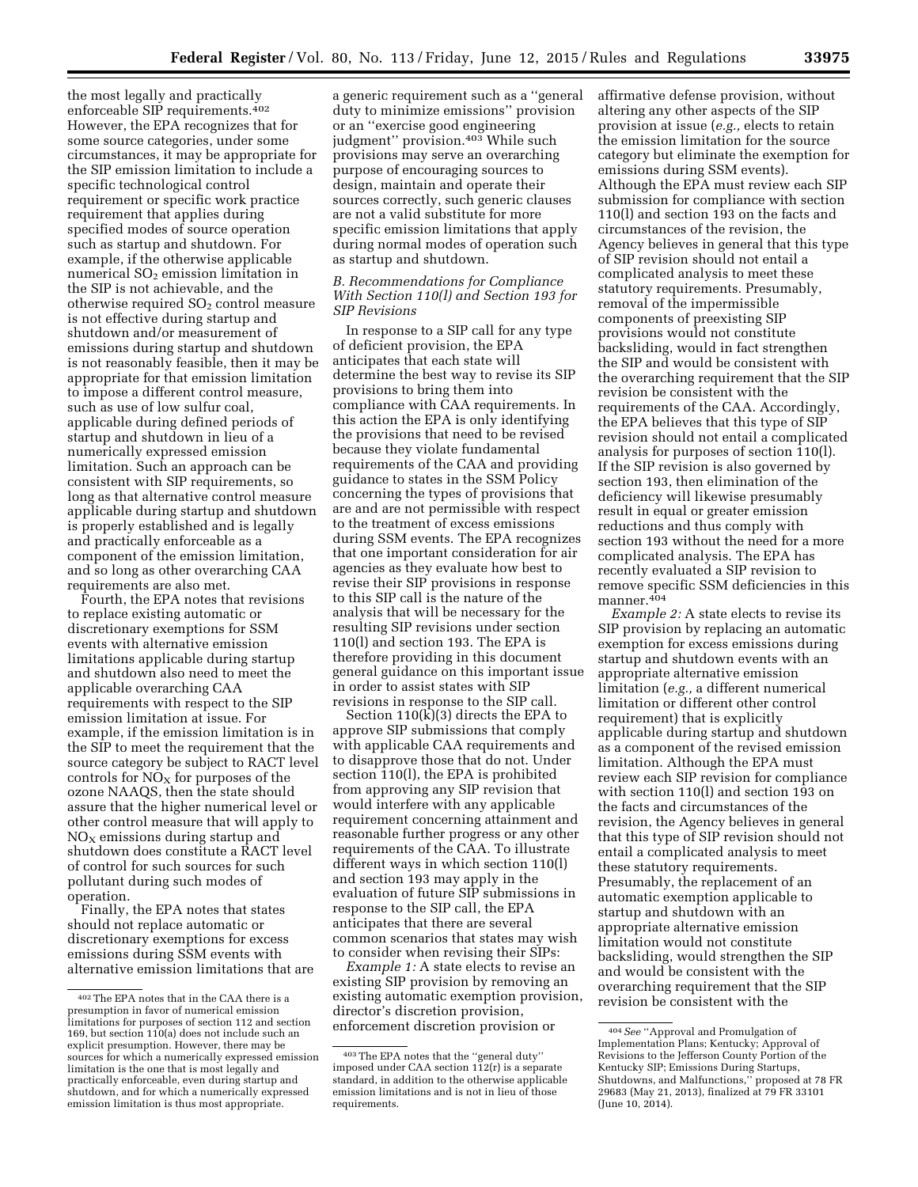the most legally and practically enforceable SIP requirements.402 However, the EPA recognizes that for some source categories, under some circumstances, it may be appropriate for the SIP emission limitation to include a specific technological control requirement or specific work practice requirement that applies during specified modes of source operation such as startup and shutdown. For example, if the otherwise applicable numerical  $SO<sub>2</sub>$  emission limitation in the SIP is not achievable, and the otherwise required  $SO<sub>2</sub>$  control measure is not effective during startup and shutdown and/or measurement of emissions during startup and shutdown is not reasonably feasible, then it may be appropriate for that emission limitation to impose a different control measure, such as use of low sulfur coal, applicable during defined periods of startup and shutdown in lieu of a numerically expressed emission limitation. Such an approach can be consistent with SIP requirements, so long as that alternative control measure applicable during startup and shutdown is properly established and is legally and practically enforceable as a component of the emission limitation, and so long as other overarching CAA requirements are also met.

Fourth, the EPA notes that revisions to replace existing automatic or discretionary exemptions for SSM events with alternative emission limitations applicable during startup and shutdown also need to meet the applicable overarching CAA requirements with respect to the SIP emission limitation at issue. For example, if the emission limitation is in the SIP to meet the requirement that the source category be subject to RACT level controls for  $NO<sub>x</sub>$  for purposes of the ozone NAAQS, then the state should assure that the higher numerical level or other control measure that will apply to  $NO<sub>X</sub>$  emissions during startup and shutdown does constitute a RACT level of control for such sources for such pollutant during such modes of operation.

Finally, the EPA notes that states should not replace automatic or discretionary exemptions for excess emissions during SSM events with alternative emission limitations that are

a generic requirement such as a ''general duty to minimize emissions'' provision or an ''exercise good engineering judgment'' provision.403 While such provisions may serve an overarching purpose of encouraging sources to design, maintain and operate their sources correctly, such generic clauses are not a valid substitute for more specific emission limitations that apply during normal modes of operation such as startup and shutdown.

### *B. Recommendations for Compliance With Section 110(l) and Section 193 for SIP Revisions*

In response to a SIP call for any type of deficient provision, the EPA anticipates that each state will determine the best way to revise its SIP provisions to bring them into compliance with CAA requirements. In this action the EPA is only identifying the provisions that need to be revised because they violate fundamental requirements of the CAA and providing guidance to states in the SSM Policy concerning the types of provisions that are and are not permissible with respect to the treatment of excess emissions during SSM events. The EPA recognizes that one important consideration for air agencies as they evaluate how best to revise their SIP provisions in response to this SIP call is the nature of the analysis that will be necessary for the resulting SIP revisions under section 110(l) and section 193. The EPA is therefore providing in this document general guidance on this important issue in order to assist states with SIP revisions in response to the SIP call.

Section  $110(k)(3)$  directs the EPA to approve SIP submissions that comply with applicable CAA requirements and to disapprove those that do not. Under section 110(l), the EPA is prohibited from approving any SIP revision that would interfere with any applicable requirement concerning attainment and reasonable further progress or any other requirements of the CAA. To illustrate different ways in which section 110(l) and section 193 may apply in the evaluation of future SIP submissions in response to the SIP call, the EPA anticipates that there are several common scenarios that states may wish to consider when revising their SIPs:

*Example 1:* A state elects to revise an existing SIP provision by removing an existing automatic exemption provision, director's discretion provision, enforcement discretion provision or

affirmative defense provision, without altering any other aspects of the SIP provision at issue (*e.g.,* elects to retain the emission limitation for the source category but eliminate the exemption for emissions during SSM events). Although the EPA must review each SIP submission for compliance with section 110(l) and section 193 on the facts and circumstances of the revision, the Agency believes in general that this type of SIP revision should not entail a complicated analysis to meet these statutory requirements. Presumably, removal of the impermissible components of preexisting SIP provisions would not constitute backsliding, would in fact strengthen the SIP and would be consistent with the overarching requirement that the SIP revision be consistent with the requirements of the CAA. Accordingly, the EPA believes that this type of SIP revision should not entail a complicated analysis for purposes of section 110(l). If the SIP revision is also governed by section 193, then elimination of the deficiency will likewise presumably result in equal or greater emission reductions and thus comply with section 193 without the need for a more complicated analysis. The EPA has recently evaluated a SIP revision to remove specific SSM deficiencies in this manner.404

*Example 2:* A state elects to revise its SIP provision by replacing an automatic exemption for excess emissions during startup and shutdown events with an appropriate alternative emission limitation (*e.g.,* a different numerical limitation or different other control requirement) that is explicitly applicable during startup and shutdown as a component of the revised emission limitation. Although the EPA must review each SIP revision for compliance with section 110(l) and section 193 on the facts and circumstances of the revision, the Agency believes in general that this type of SIP revision should not entail a complicated analysis to meet these statutory requirements. Presumably, the replacement of an automatic exemption applicable to startup and shutdown with an appropriate alternative emission limitation would not constitute backsliding, would strengthen the SIP and would be consistent with the overarching requirement that the SIP revision be consistent with the

<sup>402</sup>The EPA notes that in the CAA there is a presumption in favor of numerical emission limitations for purposes of section 112 and section 169, but section 110(a) does not include such an explicit presumption. However, there may be sources for which a numerically expressed emission limitation is the one that is most legally and practically enforceable, even during startup and shutdown, and for which a numerically expressed emission limitation is thus most appropriate.

<sup>403</sup>The EPA notes that the ''general duty'' imposed under CAA section 112(r) is a separate standard, in addition to the otherwise applicable emission limitations and is not in lieu of those requirements.

<sup>404</sup>*See* ''Approval and Promulgation of Implementation Plans; Kentucky; Approval of Revisions to the Jefferson County Portion of the Kentucky SIP; Emissions During Startups, Shutdowns, and Malfunctions,'' proposed at 78 FR 29683 (May 21, 2013), finalized at 79 FR 33101 (June 10, 2014).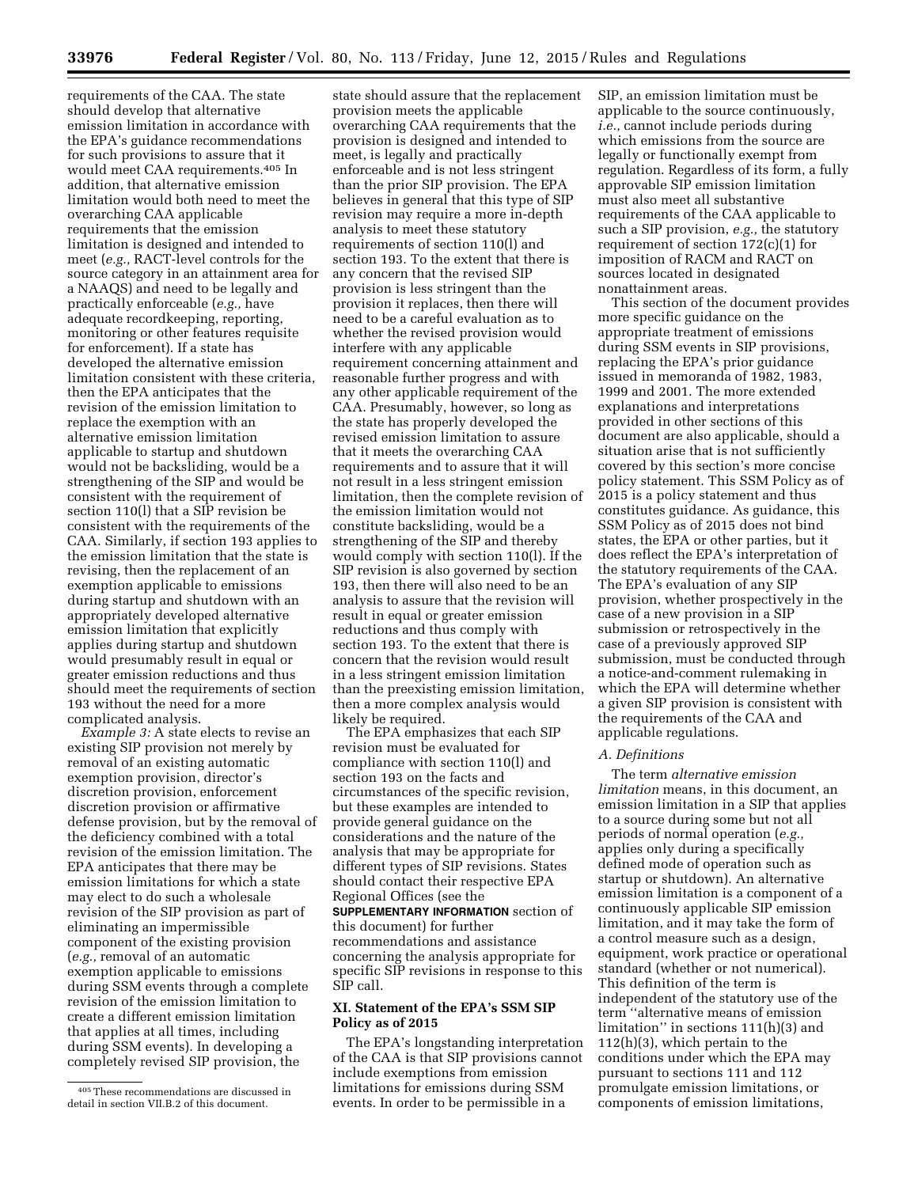requirements of the CAA. The state should develop that alternative emission limitation in accordance with the EPA's guidance recommendations for such provisions to assure that it would meet CAA requirements.405 In addition, that alternative emission limitation would both need to meet the overarching CAA applicable requirements that the emission limitation is designed and intended to meet (*e.g.,* RACT-level controls for the source category in an attainment area for a NAAQS) and need to be legally and practically enforceable (*e.g.,* have adequate recordkeeping, reporting, monitoring or other features requisite for enforcement). If a state has developed the alternative emission limitation consistent with these criteria, then the EPA anticipates that the revision of the emission limitation to replace the exemption with an alternative emission limitation applicable to startup and shutdown would not be backsliding, would be a strengthening of the SIP and would be consistent with the requirement of section 110(l) that a SIP revision be consistent with the requirements of the CAA. Similarly, if section 193 applies to the emission limitation that the state is revising, then the replacement of an exemption applicable to emissions during startup and shutdown with an appropriately developed alternative emission limitation that explicitly applies during startup and shutdown would presumably result in equal or greater emission reductions and thus should meet the requirements of section 193 without the need for a more complicated analysis.

*Example 3:* A state elects to revise an existing SIP provision not merely by removal of an existing automatic exemption provision, director's discretion provision, enforcement discretion provision or affirmative defense provision, but by the removal of the deficiency combined with a total revision of the emission limitation. The EPA anticipates that there may be emission limitations for which a state may elect to do such a wholesale revision of the SIP provision as part of eliminating an impermissible component of the existing provision (*e.g.,* removal of an automatic exemption applicable to emissions during SSM events through a complete revision of the emission limitation to create a different emission limitation that applies at all times, including during SSM events). In developing a completely revised SIP provision, the

state should assure that the replacement provision meets the applicable overarching CAA requirements that the provision is designed and intended to meet, is legally and practically enforceable and is not less stringent than the prior SIP provision. The EPA believes in general that this type of SIP revision may require a more in-depth analysis to meet these statutory requirements of section 110(l) and section 193. To the extent that there is any concern that the revised SIP provision is less stringent than the provision it replaces, then there will need to be a careful evaluation as to whether the revised provision would interfere with any applicable requirement concerning attainment and reasonable further progress and with any other applicable requirement of the CAA. Presumably, however, so long as the state has properly developed the revised emission limitation to assure that it meets the overarching CAA requirements and to assure that it will not result in a less stringent emission limitation, then the complete revision of the emission limitation would not constitute backsliding, would be a strengthening of the SIP and thereby would comply with section 110(l). If the SIP revision is also governed by section 193, then there will also need to be an analysis to assure that the revision will result in equal or greater emission reductions and thus comply with section 193. To the extent that there is concern that the revision would result in a less stringent emission limitation than the preexisting emission limitation, then a more complex analysis would likely be required.

The EPA emphasizes that each SIP revision must be evaluated for compliance with section 110(l) and section 193 on the facts and circumstances of the specific revision, but these examples are intended to provide general guidance on the considerations and the nature of the analysis that may be appropriate for different types of SIP revisions. States should contact their respective EPA Regional Offices (see the

**SUPPLEMENTARY INFORMATION** section of this document) for further recommendations and assistance concerning the analysis appropriate for specific SIP revisions in response to this SIP call.

### **XI. Statement of the EPA's SSM SIP Policy as of 2015**

The EPA's longstanding interpretation of the CAA is that SIP provisions cannot include exemptions from emission limitations for emissions during SSM events. In order to be permissible in a

SIP, an emission limitation must be applicable to the source continuously, *i.e.,* cannot include periods during which emissions from the source are legally or functionally exempt from regulation. Regardless of its form, a fully approvable SIP emission limitation must also meet all substantive requirements of the CAA applicable to such a SIP provision, *e.g.,* the statutory requirement of section 172(c)(1) for imposition of RACM and RACT on sources located in designated nonattainment areas.

This section of the document provides more specific guidance on the appropriate treatment of emissions during SSM events in SIP provisions, replacing the EPA's prior guidance issued in memoranda of 1982, 1983, 1999 and 2001. The more extended explanations and interpretations provided in other sections of this document are also applicable, should a situation arise that is not sufficiently covered by this section's more concise policy statement. This SSM Policy as of 2015 is a policy statement and thus constitutes guidance. As guidance, this SSM Policy as of 2015 does not bind states, the EPA or other parties, but it does reflect the EPA's interpretation of the statutory requirements of the CAA. The EPA's evaluation of any SIP provision, whether prospectively in the case of a new provision in a SIP submission or retrospectively in the case of a previously approved SIP submission, must be conducted through a notice-and-comment rulemaking in which the EPA will determine whether a given SIP provision is consistent with the requirements of the CAA and applicable regulations.

### *A. Definitions*

The term *alternative emission limitation* means, in this document, an emission limitation in a SIP that applies to a source during some but not all periods of normal operation (*e.g.,*  applies only during a specifically defined mode of operation such as startup or shutdown). An alternative emission limitation is a component of a continuously applicable SIP emission limitation, and it may take the form of a control measure such as a design, equipment, work practice or operational standard (whether or not numerical). This definition of the term is independent of the statutory use of the term ''alternative means of emission limitation'' in sections 111(h)(3) and 112(h)(3), which pertain to the conditions under which the EPA may pursuant to sections 111 and 112 promulgate emission limitations, or components of emission limitations,

<sup>405</sup>These recommendations are discussed in detail in section VII.B.2 of this document.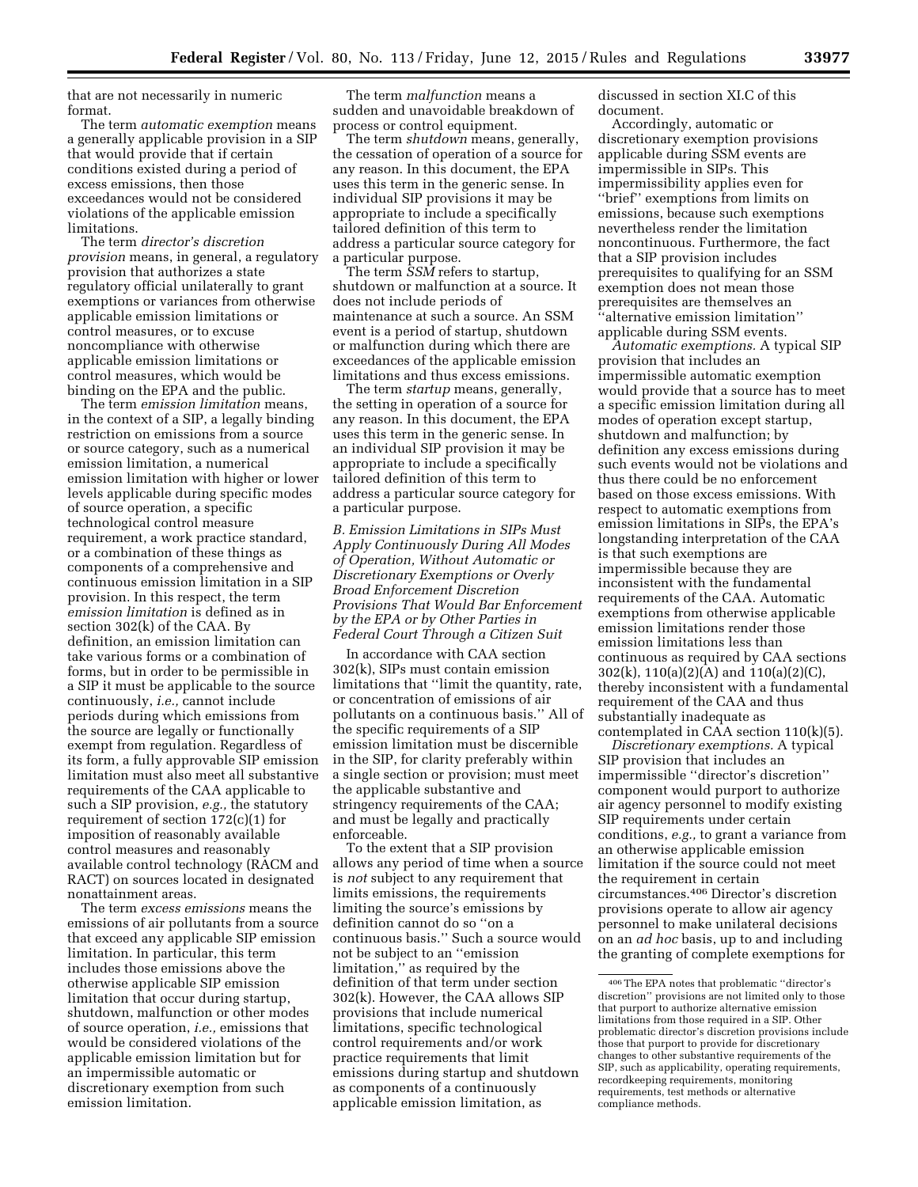that are not necessarily in numeric format.

The term *automatic exemption* means a generally applicable provision in a SIP that would provide that if certain conditions existed during a period of excess emissions, then those exceedances would not be considered violations of the applicable emission limitations.

The term *director's discretion provision* means, in general, a regulatory provision that authorizes a state regulatory official unilaterally to grant exemptions or variances from otherwise applicable emission limitations or control measures, or to excuse noncompliance with otherwise applicable emission limitations or control measures, which would be binding on the EPA and the public.

The term *emission limitation* means, in the context of a SIP, a legally binding restriction on emissions from a source or source category, such as a numerical emission limitation, a numerical emission limitation with higher or lower levels applicable during specific modes of source operation, a specific technological control measure requirement, a work practice standard, or a combination of these things as components of a comprehensive and continuous emission limitation in a SIP provision. In this respect, the term *emission limitation* is defined as in section 302(k) of the CAA. By definition, an emission limitation can take various forms or a combination of forms, but in order to be permissible in a SIP it must be applicable to the source continuously, *i.e.,* cannot include periods during which emissions from the source are legally or functionally exempt from regulation. Regardless of its form, a fully approvable SIP emission limitation must also meet all substantive requirements of the CAA applicable to such a SIP provision, *e.g.,* the statutory requirement of section 172(c)(1) for imposition of reasonably available control measures and reasonably available control technology (RACM and RACT) on sources located in designated nonattainment areas.

The term *excess emissions* means the emissions of air pollutants from a source that exceed any applicable SIP emission limitation. In particular, this term includes those emissions above the otherwise applicable SIP emission limitation that occur during startup, shutdown, malfunction or other modes of source operation, *i.e.,* emissions that would be considered violations of the applicable emission limitation but for an impermissible automatic or discretionary exemption from such emission limitation.

The term *malfunction* means a sudden and unavoidable breakdown of process or control equipment.

The term *shutdown* means, generally, the cessation of operation of a source for any reason. In this document, the EPA uses this term in the generic sense. In individual SIP provisions it may be appropriate to include a specifically tailored definition of this term to address a particular source category for a particular purpose.

The term *SSM* refers to startup, shutdown or malfunction at a source. It does not include periods of maintenance at such a source. An SSM event is a period of startup, shutdown or malfunction during which there are exceedances of the applicable emission limitations and thus excess emissions.

The term *startup* means, generally, the setting in operation of a source for any reason. In this document, the EPA uses this term in the generic sense. In an individual SIP provision it may be appropriate to include a specifically tailored definition of this term to address a particular source category for a particular purpose.

*B. Emission Limitations in SIPs Must Apply Continuously During All Modes of Operation, Without Automatic or Discretionary Exemptions or Overly Broad Enforcement Discretion Provisions That Would Bar Enforcement by the EPA or by Other Parties in Federal Court Through a Citizen Suit* 

In accordance with CAA section 302(k), SIPs must contain emission limitations that ''limit the quantity, rate, or concentration of emissions of air pollutants on a continuous basis.'' All of the specific requirements of a SIP emission limitation must be discernible in the SIP, for clarity preferably within a single section or provision; must meet the applicable substantive and stringency requirements of the CAA; and must be legally and practically enforceable.

To the extent that a SIP provision allows any period of time when a source is *not* subject to any requirement that limits emissions, the requirements limiting the source's emissions by definition cannot do so ''on a continuous basis.'' Such a source would not be subject to an ''emission limitation,'' as required by the definition of that term under section 302(k). However, the CAA allows SIP provisions that include numerical limitations, specific technological control requirements and/or work practice requirements that limit emissions during startup and shutdown as components of a continuously applicable emission limitation, as

discussed in section XI.C of this document.

Accordingly, automatic or discretionary exemption provisions applicable during SSM events are impermissible in SIPs. This impermissibility applies even for ''brief'' exemptions from limits on emissions, because such exemptions nevertheless render the limitation noncontinuous. Furthermore, the fact that a SIP provision includes prerequisites to qualifying for an SSM exemption does not mean those prerequisites are themselves an ''alternative emission limitation'' applicable during SSM events.

*Automatic exemptions.* A typical SIP provision that includes an impermissible automatic exemption would provide that a source has to meet a specific emission limitation during all modes of operation except startup, shutdown and malfunction; by definition any excess emissions during such events would not be violations and thus there could be no enforcement based on those excess emissions. With respect to automatic exemptions from emission limitations in SIPs, the EPA's longstanding interpretation of the CAA is that such exemptions are impermissible because they are inconsistent with the fundamental requirements of the CAA. Automatic exemptions from otherwise applicable emission limitations render those emission limitations less than continuous as required by CAA sections 302(k), 110(a)(2)(A) and 110(a)(2)(C), thereby inconsistent with a fundamental requirement of the CAA and thus substantially inadequate as contemplated in  $CAA$  section 110 $(k)(5)$ .

*Discretionary exemptions.* A typical SIP provision that includes an impermissible ''director's discretion'' component would purport to authorize air agency personnel to modify existing SIP requirements under certain conditions, *e.g.,* to grant a variance from an otherwise applicable emission limitation if the source could not meet the requirement in certain circumstances.406 Director's discretion provisions operate to allow air agency personnel to make unilateral decisions on an *ad hoc* basis, up to and including the granting of complete exemptions for

<sup>406</sup>The EPA notes that problematic ''director's discretion'' provisions are not limited only to those that purport to authorize alternative emission limitations from those required in a SIP. Other problematic director's discretion provisions include those that purport to provide for discretionary changes to other substantive requirements of the SIP, such as applicability, operating requirements, recordkeeping requirements, monitoring requirements, test methods or alternative compliance methods.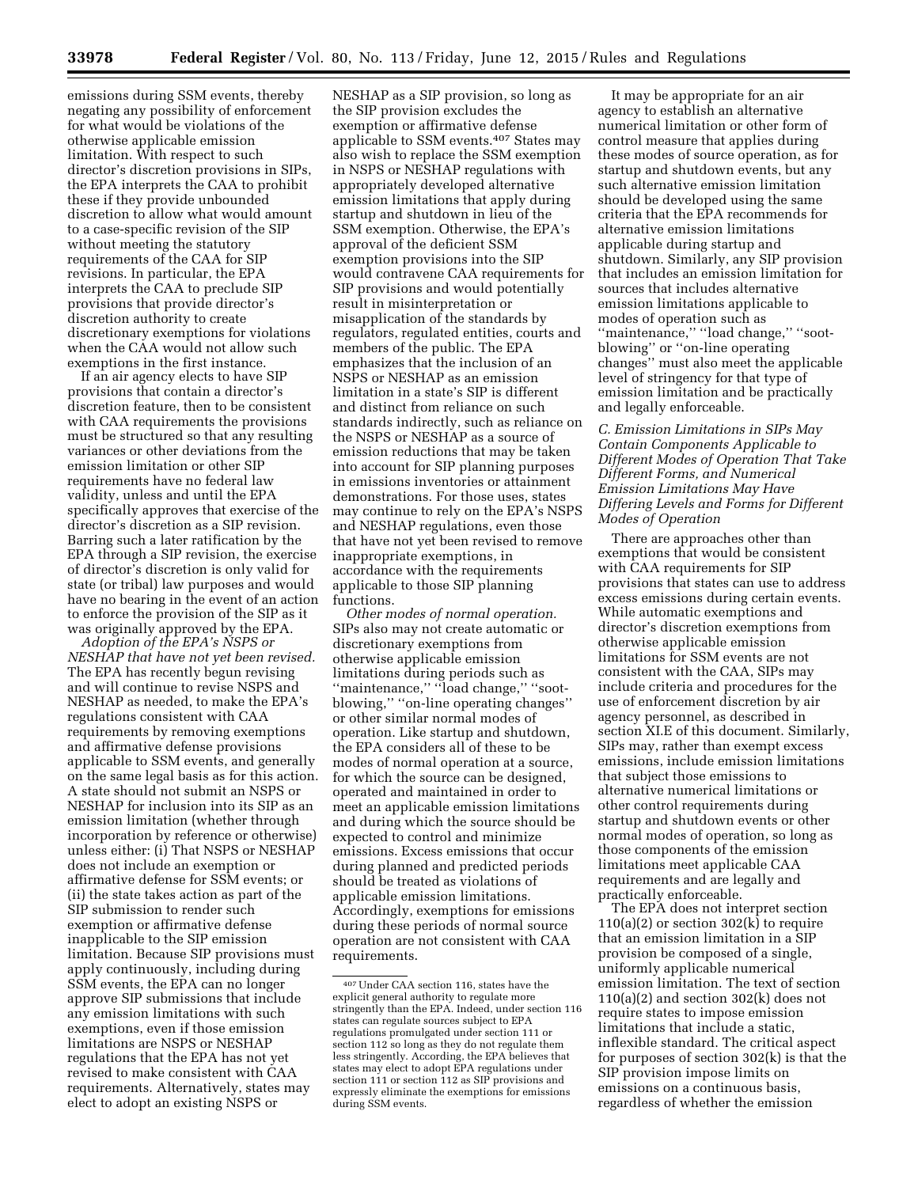emissions during SSM events, thereby negating any possibility of enforcement for what would be violations of the otherwise applicable emission limitation. With respect to such director's discretion provisions in SIPs, the EPA interprets the CAA to prohibit these if they provide unbounded discretion to allow what would amount to a case-specific revision of the SIP without meeting the statutory requirements of the CAA for SIP revisions. In particular, the EPA interprets the CAA to preclude SIP provisions that provide director's discretion authority to create discretionary exemptions for violations when the CAA would not allow such exemptions in the first instance.

If an air agency elects to have SIP provisions that contain a director's discretion feature, then to be consistent with CAA requirements the provisions must be structured so that any resulting variances or other deviations from the emission limitation or other SIP requirements have no federal law validity, unless and until the EPA specifically approves that exercise of the director's discretion as a SIP revision. Barring such a later ratification by the EPA through a SIP revision, the exercise of director's discretion is only valid for state (or tribal) law purposes and would have no bearing in the event of an action to enforce the provision of the SIP as it was originally approved by the EPA.

*Adoption of the EPA's NSPS or NESHAP that have not yet been revised.*  The EPA has recently begun revising and will continue to revise NSPS and NESHAP as needed, to make the EPA's regulations consistent with CAA requirements by removing exemptions and affirmative defense provisions applicable to SSM events, and generally on the same legal basis as for this action. A state should not submit an NSPS or NESHAP for inclusion into its SIP as an emission limitation (whether through incorporation by reference or otherwise) unless either: (i) That NSPS or NESHAP does not include an exemption or affirmative defense for SSM events; or (ii) the state takes action as part of the SIP submission to render such exemption or affirmative defense inapplicable to the SIP emission limitation. Because SIP provisions must apply continuously, including during SSM events, the EPA can no longer approve SIP submissions that include any emission limitations with such exemptions, even if those emission limitations are NSPS or NESHAP regulations that the EPA has not yet revised to make consistent with CAA requirements. Alternatively, states may elect to adopt an existing NSPS or

NESHAP as a SIP provision, so long as the SIP provision excludes the exemption or affirmative defense applicable to SSM events.407 States may also wish to replace the SSM exemption in NSPS or NESHAP regulations with appropriately developed alternative emission limitations that apply during startup and shutdown in lieu of the SSM exemption. Otherwise, the EPA's approval of the deficient SSM exemption provisions into the SIP would contravene CAA requirements for SIP provisions and would potentially result in misinterpretation or misapplication of the standards by regulators, regulated entities, courts and members of the public. The EPA emphasizes that the inclusion of an NSPS or NESHAP as an emission limitation in a state's SIP is different and distinct from reliance on such standards indirectly, such as reliance on the NSPS or NESHAP as a source of emission reductions that may be taken into account for SIP planning purposes in emissions inventories or attainment demonstrations. For those uses, states may continue to rely on the EPA's NSPS and NESHAP regulations, even those that have not yet been revised to remove inappropriate exemptions, in accordance with the requirements applicable to those SIP planning functions.

*Other modes of normal operation.*  SIPs also may not create automatic or discretionary exemptions from otherwise applicable emission limitations during periods such as ''maintenance,'' ''load change,'' ''sootblowing,'' ''on-line operating changes'' or other similar normal modes of operation. Like startup and shutdown, the EPA considers all of these to be modes of normal operation at a source, for which the source can be designed, operated and maintained in order to meet an applicable emission limitations and during which the source should be expected to control and minimize emissions. Excess emissions that occur during planned and predicted periods should be treated as violations of applicable emission limitations. Accordingly, exemptions for emissions during these periods of normal source operation are not consistent with CAA requirements.

It may be appropriate for an air agency to establish an alternative numerical limitation or other form of control measure that applies during these modes of source operation, as for startup and shutdown events, but any such alternative emission limitation should be developed using the same criteria that the EPA recommends for alternative emission limitations applicable during startup and shutdown. Similarly, any SIP provision that includes an emission limitation for sources that includes alternative emission limitations applicable to modes of operation such as ''maintenance,'' ''load change,'' ''sootblowing'' or ''on-line operating changes'' must also meet the applicable level of stringency for that type of emission limitation and be practically and legally enforceable.

*C. Emission Limitations in SIPs May Contain Components Applicable to Different Modes of Operation That Take Different Forms, and Numerical Emission Limitations May Have Differing Levels and Forms for Different Modes of Operation* 

There are approaches other than exemptions that would be consistent with CAA requirements for SIP provisions that states can use to address excess emissions during certain events. While automatic exemptions and director's discretion exemptions from otherwise applicable emission limitations for SSM events are not consistent with the CAA, SIPs may include criteria and procedures for the use of enforcement discretion by air agency personnel, as described in section XI.E of this document. Similarly, SIPs may, rather than exempt excess emissions, include emission limitations that subject those emissions to alternative numerical limitations or other control requirements during startup and shutdown events or other normal modes of operation, so long as those components of the emission limitations meet applicable CAA requirements and are legally and practically enforceable.

The EPA does not interpret section 110(a)(2) or section  $302(k)$  to require that an emission limitation in a SIP provision be composed of a single, uniformly applicable numerical emission limitation. The text of section  $110(a)(2)$  and section  $302(k)$  does not require states to impose emission limitations that include a static, inflexible standard. The critical aspect for purposes of section 302(k) is that the SIP provision impose limits on emissions on a continuous basis, regardless of whether the emission

<sup>407</sup>Under CAA section 116, states have the explicit general authority to regulate more stringently than the EPA. Indeed, under section 116 states can regulate sources subject to EPA regulations promulgated under section 111 or section 112 so long as they do not regulate them less stringently. According, the EPA believes that states may elect to adopt EPA regulations under section 111 or section 112 as SIP provisions and expressly eliminate the exemptions for emissions during SSM events.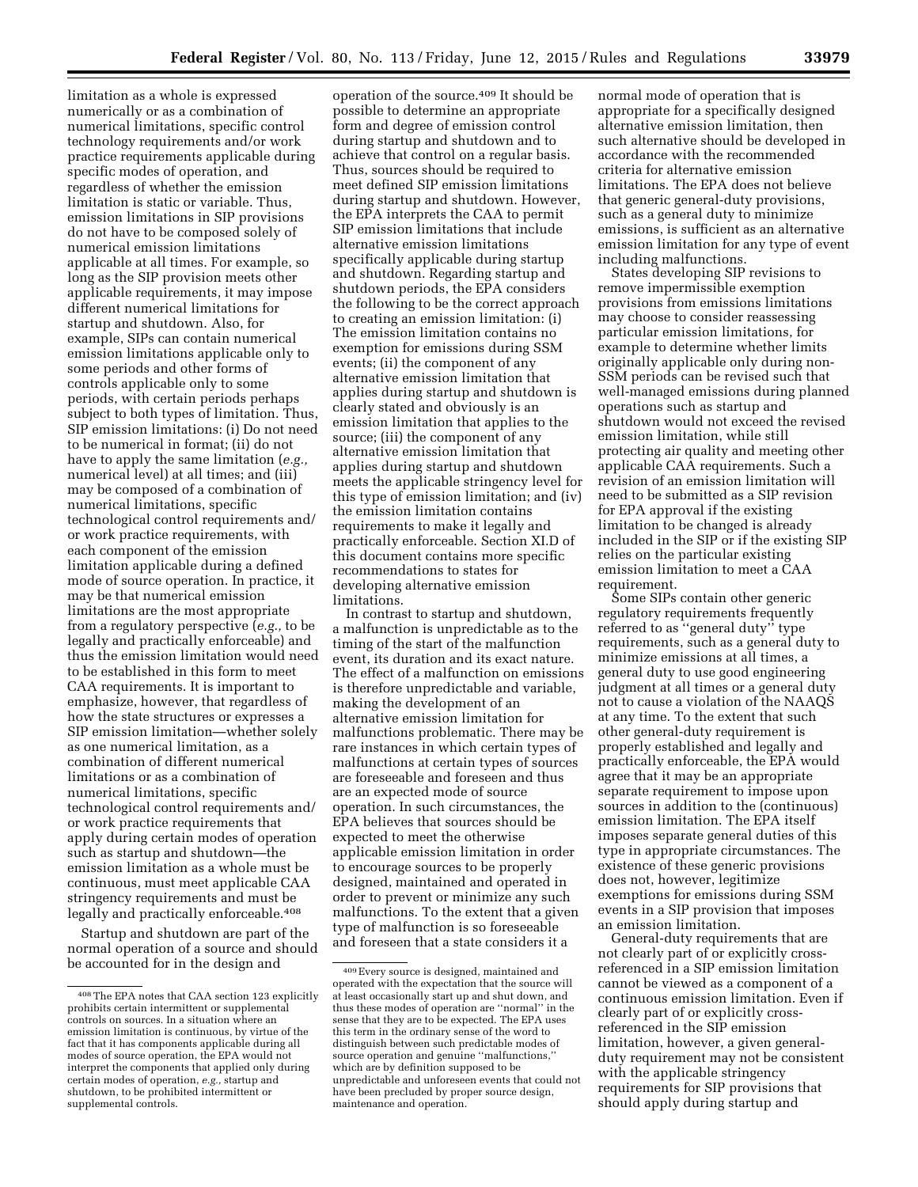limitation as a whole is expressed numerically or as a combination of numerical limitations, specific control technology requirements and/or work practice requirements applicable during specific modes of operation, and regardless of whether the emission limitation is static or variable. Thus, emission limitations in SIP provisions do not have to be composed solely of numerical emission limitations applicable at all times. For example, so long as the SIP provision meets other applicable requirements, it may impose different numerical limitations for startup and shutdown. Also, for example, SIPs can contain numerical emission limitations applicable only to some periods and other forms of controls applicable only to some periods, with certain periods perhaps subject to both types of limitation. Thus, SIP emission limitations: (i) Do not need to be numerical in format; (ii) do not have to apply the same limitation (*e.g.,*  numerical level) at all times; and (iii) may be composed of a combination of numerical limitations, specific technological control requirements and/ or work practice requirements, with each component of the emission limitation applicable during a defined mode of source operation. In practice, it may be that numerical emission limitations are the most appropriate from a regulatory perspective (*e.g.,* to be legally and practically enforceable) and thus the emission limitation would need to be established in this form to meet CAA requirements. It is important to emphasize, however, that regardless of how the state structures or expresses a SIP emission limitation—whether solely as one numerical limitation, as a combination of different numerical limitations or as a combination of numerical limitations, specific technological control requirements and/ or work practice requirements that apply during certain modes of operation such as startup and shutdown—the emission limitation as a whole must be continuous, must meet applicable CAA stringency requirements and must be legally and practically enforceable.408

Startup and shutdown are part of the normal operation of a source and should be accounted for in the design and

operation of the source.409 It should be possible to determine an appropriate form and degree of emission control during startup and shutdown and to achieve that control on a regular basis. Thus, sources should be required to meet defined SIP emission limitations during startup and shutdown. However, the EPA interprets the CAA to permit SIP emission limitations that include alternative emission limitations specifically applicable during startup and shutdown. Regarding startup and shutdown periods, the EPA considers the following to be the correct approach to creating an emission limitation: (i) The emission limitation contains no exemption for emissions during SSM events; (ii) the component of any alternative emission limitation that applies during startup and shutdown is clearly stated and obviously is an emission limitation that applies to the source; (iii) the component of any alternative emission limitation that applies during startup and shutdown meets the applicable stringency level for this type of emission limitation; and (iv) the emission limitation contains requirements to make it legally and practically enforceable. Section XI.D of this document contains more specific recommendations to states for developing alternative emission limitations.

In contrast to startup and shutdown, a malfunction is unpredictable as to the timing of the start of the malfunction event, its duration and its exact nature. The effect of a malfunction on emissions is therefore unpredictable and variable, making the development of an alternative emission limitation for malfunctions problematic. There may be rare instances in which certain types of malfunctions at certain types of sources are foreseeable and foreseen and thus are an expected mode of source operation. In such circumstances, the EPA believes that sources should be expected to meet the otherwise applicable emission limitation in order to encourage sources to be properly designed, maintained and operated in order to prevent or minimize any such malfunctions. To the extent that a given type of malfunction is so foreseeable and foreseen that a state considers it a

normal mode of operation that is appropriate for a specifically designed alternative emission limitation, then such alternative should be developed in accordance with the recommended criteria for alternative emission limitations. The EPA does not believe that generic general-duty provisions, such as a general duty to minimize emissions, is sufficient as an alternative emission limitation for any type of event including malfunctions.

States developing SIP revisions to remove impermissible exemption provisions from emissions limitations may choose to consider reassessing particular emission limitations, for example to determine whether limits originally applicable only during non-SSM periods can be revised such that well-managed emissions during planned operations such as startup and shutdown would not exceed the revised emission limitation, while still protecting air quality and meeting other applicable CAA requirements. Such a revision of an emission limitation will need to be submitted as a SIP revision for EPA approval if the existing limitation to be changed is already included in the SIP or if the existing SIP relies on the particular existing emission limitation to meet a CAA requirement.

Some SIPs contain other generic regulatory requirements frequently referred to as ''general duty'' type requirements, such as a general duty to minimize emissions at all times, a general duty to use good engineering judgment at all times or a general duty not to cause a violation of the NAAQS at any time. To the extent that such other general-duty requirement is properly established and legally and practically enforceable, the EPA would agree that it may be an appropriate separate requirement to impose upon sources in addition to the (continuous) emission limitation. The EPA itself imposes separate general duties of this type in appropriate circumstances. The existence of these generic provisions does not, however, legitimize exemptions for emissions during SSM events in a SIP provision that imposes an emission limitation.

General-duty requirements that are not clearly part of or explicitly crossreferenced in a SIP emission limitation cannot be viewed as a component of a continuous emission limitation. Even if clearly part of or explicitly crossreferenced in the SIP emission limitation, however, a given generalduty requirement may not be consistent with the applicable stringency requirements for SIP provisions that should apply during startup and

<sup>408</sup>The EPA notes that CAA section 123 explicitly prohibits certain intermittent or supplemental controls on sources. In a situation where an emission limitation is continuous, by virtue of the fact that it has components applicable during all modes of source operation, the EPA would not interpret the components that applied only during certain modes of operation, *e.g.,* startup and shutdown, to be prohibited intermittent or supplemental controls.

<sup>409</sup>Every source is designed, maintained and operated with the expectation that the source will at least occasionally start up and shut down, and thus these modes of operation are ''normal'' in the sense that they are to be expected. The EPA uses this term in the ordinary sense of the word to distinguish between such predictable modes of source operation and genuine ''malfunctions,'' which are by definition supposed to be unpredictable and unforeseen events that could not have been precluded by proper source design, maintenance and operation.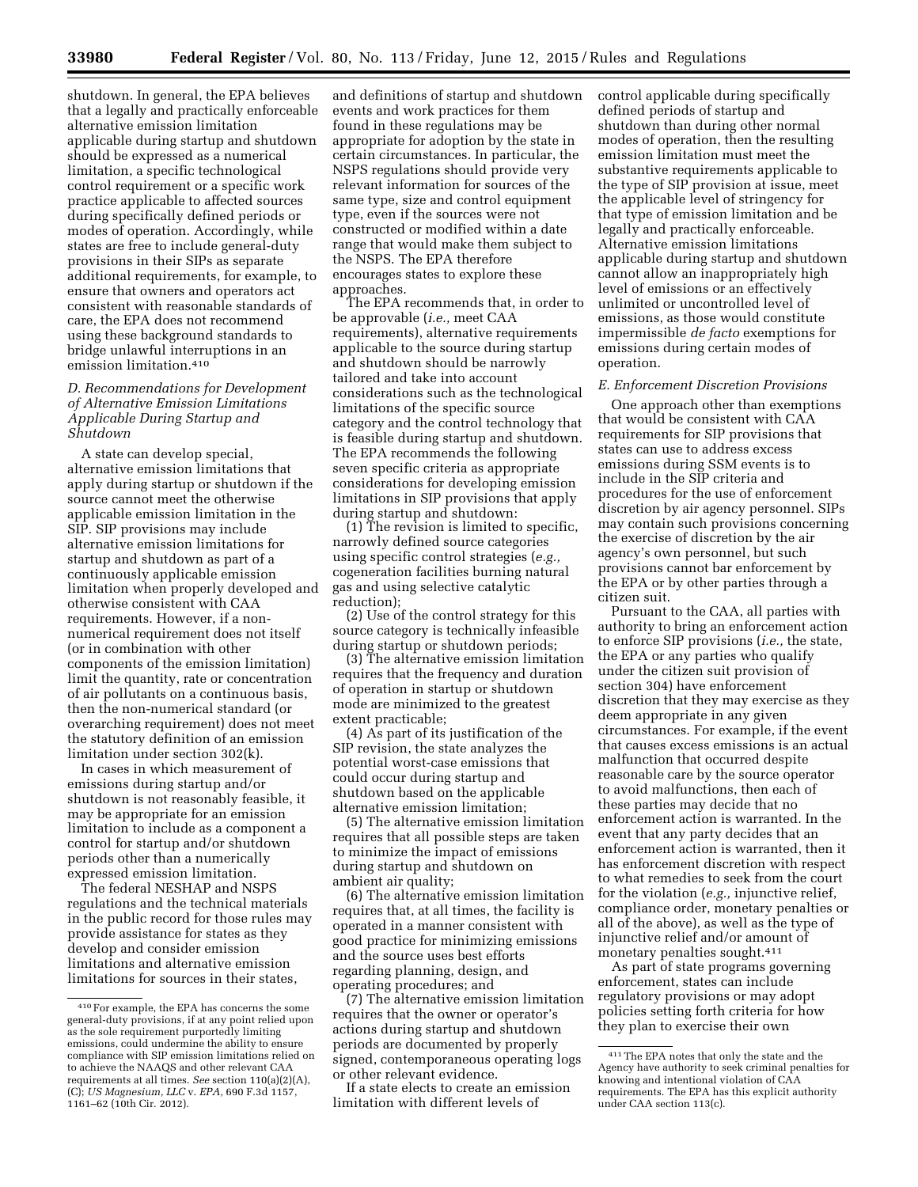shutdown. In general, the EPA believes that a legally and practically enforceable alternative emission limitation applicable during startup and shutdown should be expressed as a numerical limitation, a specific technological control requirement or a specific work practice applicable to affected sources during specifically defined periods or modes of operation. Accordingly, while states are free to include general-duty provisions in their SIPs as separate additional requirements, for example, to ensure that owners and operators act consistent with reasonable standards of care, the EPA does not recommend using these background standards to bridge unlawful interruptions in an emission limitation.410

# *D. Recommendations for Development of Alternative Emission Limitations Applicable During Startup and Shutdown*

A state can develop special, alternative emission limitations that apply during startup or shutdown if the source cannot meet the otherwise applicable emission limitation in the SIP. SIP provisions may include alternative emission limitations for startup and shutdown as part of a continuously applicable emission limitation when properly developed and otherwise consistent with CAA requirements. However, if a nonnumerical requirement does not itself (or in combination with other components of the emission limitation) limit the quantity, rate or concentration of air pollutants on a continuous basis, then the non-numerical standard (or overarching requirement) does not meet the statutory definition of an emission limitation under section 302(k).

In cases in which measurement of emissions during startup and/or shutdown is not reasonably feasible, it may be appropriate for an emission limitation to include as a component a control for startup and/or shutdown periods other than a numerically expressed emission limitation.

The federal NESHAP and NSPS regulations and the technical materials in the public record for those rules may provide assistance for states as they develop and consider emission limitations and alternative emission limitations for sources in their states,

and definitions of startup and shutdown events and work practices for them found in these regulations may be appropriate for adoption by the state in certain circumstances. In particular, the NSPS regulations should provide very relevant information for sources of the same type, size and control equipment type, even if the sources were not constructed or modified within a date range that would make them subject to the NSPS. The EPA therefore encourages states to explore these approaches.

The EPA recommends that, in order to be approvable (*i.e.,* meet CAA requirements), alternative requirements applicable to the source during startup and shutdown should be narrowly tailored and take into account considerations such as the technological limitations of the specific source category and the control technology that is feasible during startup and shutdown. The EPA recommends the following seven specific criteria as appropriate considerations for developing emission limitations in SIP provisions that apply during startup and shutdown:

(1) The revision is limited to specific, narrowly defined source categories using specific control strategies (*e.g.,*  cogeneration facilities burning natural gas and using selective catalytic reduction);

(2) Use of the control strategy for this source category is technically infeasible during startup or shutdown periods;

(3) The alternative emission limitation requires that the frequency and duration of operation in startup or shutdown mode are minimized to the greatest extent practicable;

(4) As part of its justification of the SIP revision, the state analyzes the potential worst-case emissions that could occur during startup and shutdown based on the applicable alternative emission limitation;

(5) The alternative emission limitation requires that all possible steps are taken to minimize the impact of emissions during startup and shutdown on ambient air quality;

(6) The alternative emission limitation requires that, at all times, the facility is operated in a manner consistent with good practice for minimizing emissions and the source uses best efforts regarding planning, design, and operating procedures; and

(7) The alternative emission limitation requires that the owner or operator's actions during startup and shutdown periods are documented by properly signed, contemporaneous operating logs or other relevant evidence.

If a state elects to create an emission limitation with different levels of

control applicable during specifically defined periods of startup and shutdown than during other normal modes of operation, then the resulting emission limitation must meet the substantive requirements applicable to the type of SIP provision at issue, meet the applicable level of stringency for that type of emission limitation and be legally and practically enforceable. Alternative emission limitations applicable during startup and shutdown cannot allow an inappropriately high level of emissions or an effectively unlimited or uncontrolled level of emissions, as those would constitute impermissible *de facto* exemptions for emissions during certain modes of operation.

### *E. Enforcement Discretion Provisions*

One approach other than exemptions that would be consistent with CAA requirements for SIP provisions that states can use to address excess emissions during SSM events is to include in the SIP criteria and procedures for the use of enforcement discretion by air agency personnel. SIPs may contain such provisions concerning the exercise of discretion by the air agency's own personnel, but such provisions cannot bar enforcement by the EPA or by other parties through a citizen suit.

Pursuant to the CAA, all parties with authority to bring an enforcement action to enforce SIP provisions (*i.e.,* the state, the EPA or any parties who qualify under the citizen suit provision of section 304) have enforcement discretion that they may exercise as they deem appropriate in any given circumstances. For example, if the event that causes excess emissions is an actual malfunction that occurred despite reasonable care by the source operator to avoid malfunctions, then each of these parties may decide that no enforcement action is warranted. In the event that any party decides that an enforcement action is warranted, then it has enforcement discretion with respect to what remedies to seek from the court for the violation (*e.g.,* injunctive relief, compliance order, monetary penalties or all of the above), as well as the type of injunctive relief and/or amount of monetary penalties sought.411

As part of state programs governing enforcement, states can include regulatory provisions or may adopt policies setting forth criteria for how they plan to exercise their own

<sup>410</sup>For example, the EPA has concerns the some general-duty provisions, if at any point relied upon as the sole requirement purportedly limiting emissions, could undermine the ability to ensure compliance with SIP emission limitations relied on to achieve the NAAQS and other relevant CAA requirements at all times. *See* section 110(a)(2)(A), (C); *US Magnesium, LLC* v. *EPA,* 690 F.3d 1157, 1161–62 (10th Cir. 2012).

<sup>411</sup>The EPA notes that only the state and the Agency have authority to seek criminal penalties for knowing and intentional violation of CAA requirements. The EPA has this explicit authority under CAA section 113(c).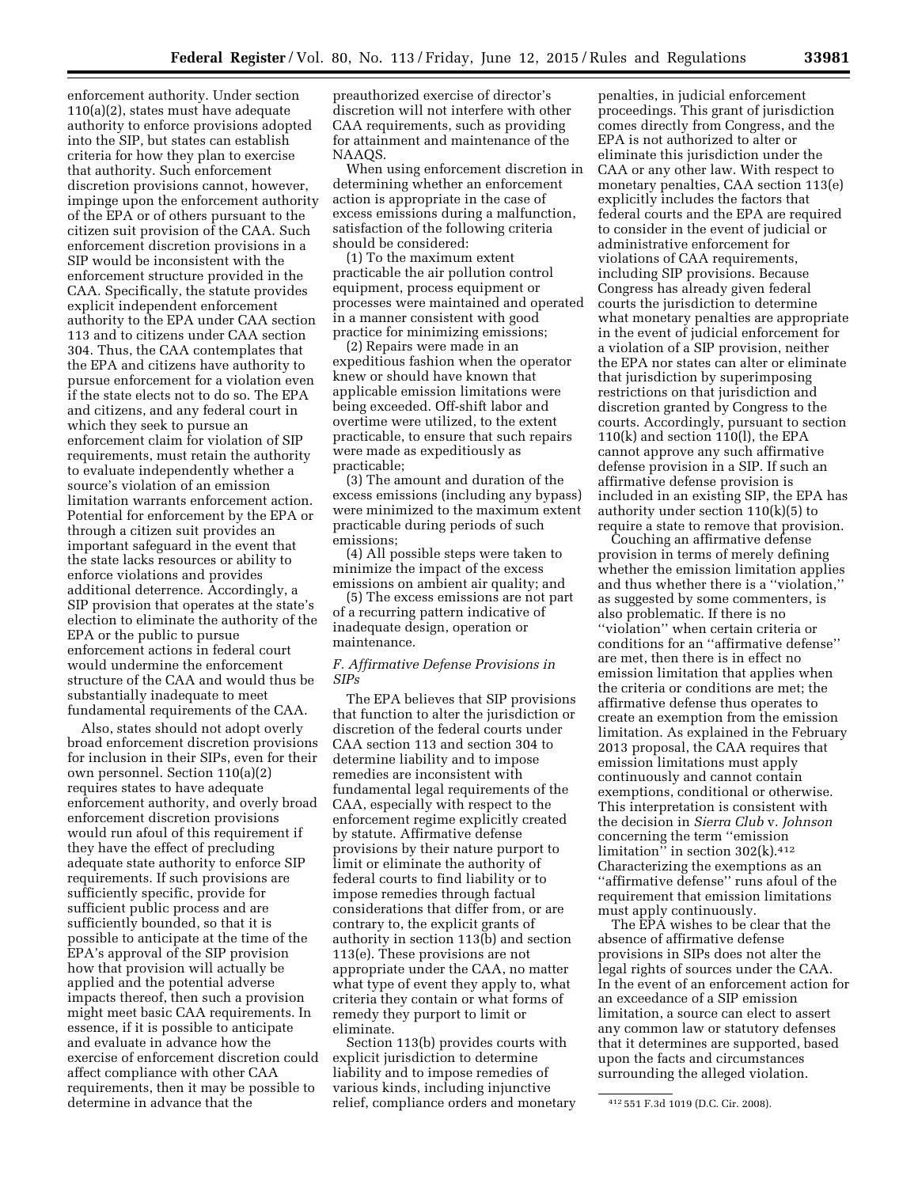enforcement authority. Under section 110(a)(2), states must have adequate authority to enforce provisions adopted into the SIP, but states can establish criteria for how they plan to exercise that authority. Such enforcement discretion provisions cannot, however, impinge upon the enforcement authority of the EPA or of others pursuant to the citizen suit provision of the CAA. Such enforcement discretion provisions in a SIP would be inconsistent with the enforcement structure provided in the CAA. Specifically, the statute provides explicit independent enforcement authority to the EPA under CAA section 113 and to citizens under CAA section 304. Thus, the CAA contemplates that the EPA and citizens have authority to pursue enforcement for a violation even if the state elects not to do so. The EPA and citizens, and any federal court in which they seek to pursue an enforcement claim for violation of SIP requirements, must retain the authority to evaluate independently whether a source's violation of an emission limitation warrants enforcement action. Potential for enforcement by the EPA or through a citizen suit provides an important safeguard in the event that the state lacks resources or ability to enforce violations and provides additional deterrence. Accordingly, a SIP provision that operates at the state's election to eliminate the authority of the EPA or the public to pursue enforcement actions in federal court would undermine the enforcement structure of the CAA and would thus be substantially inadequate to meet fundamental requirements of the CAA.

Also, states should not adopt overly broad enforcement discretion provisions for inclusion in their SIPs, even for their own personnel. Section 110(a)(2) requires states to have adequate enforcement authority, and overly broad enforcement discretion provisions would run afoul of this requirement if they have the effect of precluding adequate state authority to enforce SIP requirements. If such provisions are sufficiently specific, provide for sufficient public process and are sufficiently bounded, so that it is possible to anticipate at the time of the EPA's approval of the SIP provision how that provision will actually be applied and the potential adverse impacts thereof, then such a provision might meet basic CAA requirements. In essence, if it is possible to anticipate and evaluate in advance how the exercise of enforcement discretion could affect compliance with other CAA requirements, then it may be possible to determine in advance that the

preauthorized exercise of director's discretion will not interfere with other CAA requirements, such as providing for attainment and maintenance of the NAAQS.

When using enforcement discretion in determining whether an enforcement action is appropriate in the case of excess emissions during a malfunction, satisfaction of the following criteria should be considered:

(1) To the maximum extent practicable the air pollution control equipment, process equipment or processes were maintained and operated in a manner consistent with good practice for minimizing emissions;

(2) Repairs were made in an expeditious fashion when the operator knew or should have known that applicable emission limitations were being exceeded. Off-shift labor and overtime were utilized, to the extent practicable, to ensure that such repairs were made as expeditiously as practicable;

(3) The amount and duration of the excess emissions (including any bypass) were minimized to the maximum extent practicable during periods of such emissions;

(4) All possible steps were taken to minimize the impact of the excess emissions on ambient air quality; and

(5) The excess emissions are not part of a recurring pattern indicative of inadequate design, operation or maintenance.

### *F. Affirmative Defense Provisions in SIPs*

The EPA believes that SIP provisions that function to alter the jurisdiction or discretion of the federal courts under CAA section 113 and section 304 to determine liability and to impose remedies are inconsistent with fundamental legal requirements of the CAA, especially with respect to the enforcement regime explicitly created by statute. Affirmative defense provisions by their nature purport to limit or eliminate the authority of federal courts to find liability or to impose remedies through factual considerations that differ from, or are contrary to, the explicit grants of authority in section 113(b) and section 113(e). These provisions are not appropriate under the CAA, no matter what type of event they apply to, what criteria they contain or what forms of remedy they purport to limit or eliminate.

Section 113(b) provides courts with explicit jurisdiction to determine liability and to impose remedies of various kinds, including injunctive relief, compliance orders and monetary

penalties, in judicial enforcement proceedings. This grant of jurisdiction comes directly from Congress, and the EPA is not authorized to alter or eliminate this jurisdiction under the CAA or any other law. With respect to monetary penalties, CAA section 113(e) explicitly includes the factors that federal courts and the EPA are required to consider in the event of judicial or administrative enforcement for violations of CAA requirements, including SIP provisions. Because Congress has already given federal courts the jurisdiction to determine what monetary penalties are appropriate in the event of judicial enforcement for a violation of a SIP provision, neither the EPA nor states can alter or eliminate that jurisdiction by superimposing restrictions on that jurisdiction and discretion granted by Congress to the courts. Accordingly, pursuant to section 110(k) and section 110(l), the EPA cannot approve any such affirmative defense provision in a SIP. If such an affirmative defense provision is included in an existing SIP, the EPA has authority under section 110(k)(5) to require a state to remove that provision.

Couching an affirmative defense provision in terms of merely defining whether the emission limitation applies and thus whether there is a ''violation,'' as suggested by some commenters, is also problematic. If there is no ''violation'' when certain criteria or conditions for an ''affirmative defense'' are met, then there is in effect no emission limitation that applies when the criteria or conditions are met; the affirmative defense thus operates to create an exemption from the emission limitation. As explained in the February 2013 proposal, the CAA requires that emission limitations must apply continuously and cannot contain exemptions, conditional or otherwise. This interpretation is consistent with the decision in *Sierra Club* v. *Johnson*  concerning the term ''emission limitation<sup> $\frac{3}{2}$ </sup> in section 302(k).<sup>412</sup> Characterizing the exemptions as an ''affirmative defense'' runs afoul of the requirement that emission limitations must apply continuously.

The EPA wishes to be clear that the absence of affirmative defense provisions in SIPs does not alter the legal rights of sources under the CAA. In the event of an enforcement action for an exceedance of a SIP emission limitation, a source can elect to assert any common law or statutory defenses that it determines are supported, based upon the facts and circumstances surrounding the alleged violation.

<sup>412</sup> 551 F.3d 1019 (D.C. Cir. 2008).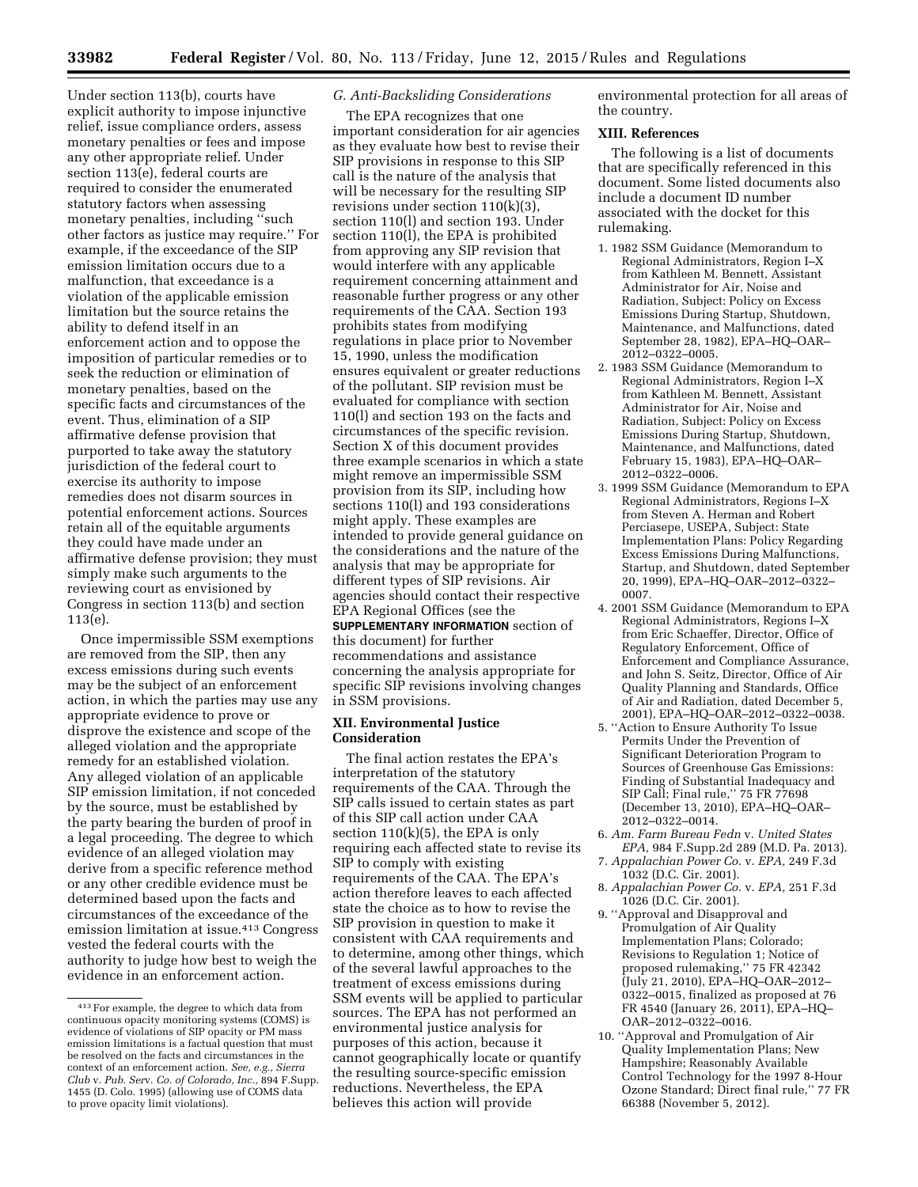Under section 113(b), courts have explicit authority to impose injunctive relief, issue compliance orders, assess monetary penalties or fees and impose any other appropriate relief. Under section 113(e), federal courts are required to consider the enumerated statutory factors when assessing monetary penalties, including ''such other factors as justice may require.'' For example, if the exceedance of the SIP emission limitation occurs due to a malfunction, that exceedance is a violation of the applicable emission limitation but the source retains the ability to defend itself in an enforcement action and to oppose the imposition of particular remedies or to seek the reduction or elimination of monetary penalties, based on the specific facts and circumstances of the event. Thus, elimination of a SIP affirmative defense provision that purported to take away the statutory jurisdiction of the federal court to exercise its authority to impose remedies does not disarm sources in potential enforcement actions. Sources retain all of the equitable arguments they could have made under an affirmative defense provision; they must simply make such arguments to the reviewing court as envisioned by Congress in section 113(b) and section 113(e).

Once impermissible SSM exemptions are removed from the SIP, then any excess emissions during such events may be the subject of an enforcement action, in which the parties may use any appropriate evidence to prove or disprove the existence and scope of the alleged violation and the appropriate remedy for an established violation. Any alleged violation of an applicable SIP emission limitation, if not conceded by the source, must be established by the party bearing the burden of proof in a legal proceeding. The degree to which evidence of an alleged violation may derive from a specific reference method or any other credible evidence must be determined based upon the facts and circumstances of the exceedance of the emission limitation at issue.413 Congress vested the federal courts with the authority to judge how best to weigh the evidence in an enforcement action.

# *G. Anti-Backsliding Considerations*

The EPA recognizes that one important consideration for air agencies as they evaluate how best to revise their SIP provisions in response to this SIP call is the nature of the analysis that will be necessary for the resulting SIP revisions under section 110(k)(3), section 110(l) and section 193. Under section 110(l), the EPA is prohibited from approving any SIP revision that would interfere with any applicable requirement concerning attainment and reasonable further progress or any other requirements of the CAA. Section 193 prohibits states from modifying regulations in place prior to November 15, 1990, unless the modification ensures equivalent or greater reductions of the pollutant. SIP revision must be evaluated for compliance with section 110(l) and section 193 on the facts and circumstances of the specific revision. Section X of this document provides three example scenarios in which a state might remove an impermissible SSM provision from its SIP, including how sections 110(l) and 193 considerations might apply. These examples are intended to provide general guidance on the considerations and the nature of the analysis that may be appropriate for different types of SIP revisions. Air agencies should contact their respective EPA Regional Offices (see the

**SUPPLEMENTARY INFORMATION** section of this document) for further recommendations and assistance concerning the analysis appropriate for specific SIP revisions involving changes in SSM provisions.

### **XII. Environmental Justice Consideration**

The final action restates the EPA's interpretation of the statutory requirements of the CAA. Through the SIP calls issued to certain states as part of this SIP call action under CAA section  $110(k)(5)$ , the EPA is only requiring each affected state to revise its SIP to comply with existing requirements of the CAA. The EPA's action therefore leaves to each affected state the choice as to how to revise the SIP provision in question to make it consistent with CAA requirements and to determine, among other things, which of the several lawful approaches to the treatment of excess emissions during SSM events will be applied to particular sources. The EPA has not performed an environmental justice analysis for purposes of this action, because it cannot geographically locate or quantify the resulting source-specific emission reductions. Nevertheless, the EPA believes this action will provide

environmental protection for all areas of the country.

### **XIII. References**

The following is a list of documents that are specifically referenced in this document. Some listed documents also include a document ID number associated with the docket for this rulemaking.

- 1. 1982 SSM Guidance (Memorandum to Regional Administrators, Region I–X from Kathleen M. Bennett, Assistant Administrator for Air, Noise and Radiation, Subject: Policy on Excess Emissions During Startup, Shutdown, Maintenance, and Malfunctions, dated September 28, 1982), EPA–HQ–OAR– 2012–0322–0005.
- 2. 1983 SSM Guidance (Memorandum to Regional Administrators, Region I–X from Kathleen M. Bennett, Assistant Administrator for Air, Noise and Radiation, Subject: Policy on Excess Emissions During Startup, Shutdown, Maintenance, and Malfunctions, dated February 15, 1983), EPA–HQ–OAR– 2012–0322–0006.
- 3. 1999 SSM Guidance (Memorandum to EPA Regional Administrators, Regions I–X from Steven A. Herman and Robert Perciasepe, USEPA, Subject: State Implementation Plans: Policy Regarding Excess Emissions During Malfunctions, Startup, and Shutdown, dated September 20, 1999), EPA–HQ–OAR–2012–0322– 0007.
- 4. 2001 SSM Guidance (Memorandum to EPA Regional Administrators, Regions I–X from Eric Schaeffer, Director, Office of Regulatory Enforcement, Office of Enforcement and Compliance Assurance, and John S. Seitz, Director, Office of Air Quality Planning and Standards, Office of Air and Radiation, dated December 5, 2001), EPA–HQ–OAR–2012–0322–0038.
- 5. ''Action to Ensure Authority To Issue Permits Under the Prevention of Significant Deterioration Program to Sources of Greenhouse Gas Emissions: Finding of Substantial Inadequacy and SIP Call; Final rule,'' 75 FR 77698 (December 13, 2010), EPA–HQ–OAR– 2012–0322–0014.
- 6. *Am. Farm Bureau Fedn* v. *United States EPA,* 984 F.Supp.2d 289 (M.D. Pa. 2013).
- 7. *Appalachian Power Co.* v. *EPA,* 249 F.3d 1032 (D.C. Cir. 2001).
- 8. *Appalachian Power Co.* v. *EPA,* 251 F.3d 1026 (D.C. Cir. 2001).
- 9. ''Approval and Disapproval and Promulgation of Air Quality Implementation Plans; Colorado; Revisions to Regulation 1; Notice of proposed rulemaking,'' 75 FR 42342 (July 21, 2010), EPA–HQ–OAR–2012– 0322–0015, finalized as proposed at 76 FR 4540 (January 26, 2011), EPA–HQ– OAR–2012–0322–0016.
- 10. ''Approval and Promulgation of Air Quality Implementation Plans; New Hampshire; Reasonably Available Control Technology for the 1997 8-Hour Ozone Standard; Direct final rule,'' 77 FR 66388 (November 5, 2012).

<sup>413</sup>For example, the degree to which data from continuous opacity monitoring systems (COMS) is evidence of violations of SIP opacity or PM mass emission limitations is a factual question that must be resolved on the facts and circumstances in the context of an enforcement action. *See, e.g., Sierra Club* v. *Pub. Ser*v. *Co. of Colorado, Inc.,* 894 F.Supp. 1455 (D. Colo. 1995) (allowing use of COMS data to prove opacity limit violations).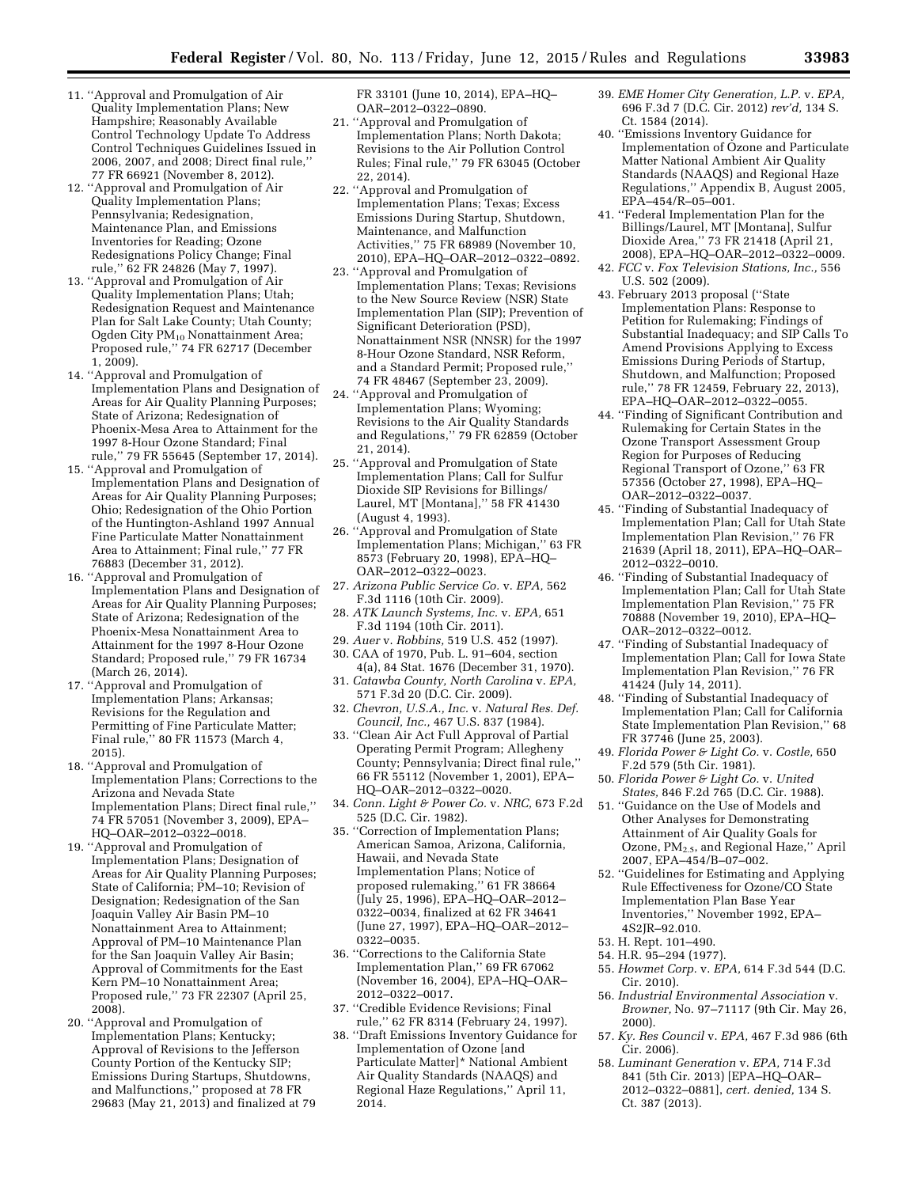- 11. ''Approval and Promulgation of Air Quality Implementation Plans; New Hampshire; Reasonably Available Control Technology Update To Address Control Techniques Guidelines Issued in 2006, 2007, and 2008; Direct final rule,'' 77 FR 66921 (November 8, 2012).
- 12. ''Approval and Promulgation of Air Quality Implementation Plans; Pennsylvania; Redesignation, Maintenance Plan, and Emissions Inventories for Reading; Ozone Redesignations Policy Change; Final rule,'' 62 FR 24826 (May 7, 1997).
- 13. ''Approval and Promulgation of Air Quality Implementation Plans; Utah; Redesignation Request and Maintenance Plan for Salt Lake County; Utah County; Ogden City  $\text{PM}_{10}$  Nonattainment Area; Proposed rule,'' 74 FR 62717 (December 1, 2009).
- 14. ''Approval and Promulgation of Implementation Plans and Designation of Areas for Air Quality Planning Purposes; State of Arizona; Redesignation of Phoenix-Mesa Area to Attainment for the 1997 8-Hour Ozone Standard; Final rule,'' 79 FR 55645 (September 17, 2014).
- 15. ''Approval and Promulgation of Implementation Plans and Designation of Areas for Air Quality Planning Purposes; Ohio; Redesignation of the Ohio Portion of the Huntington-Ashland 1997 Annual Fine Particulate Matter Nonattainment Area to Attainment; Final rule,'' 77 FR 76883 (December 31, 2012).
- 16. ''Approval and Promulgation of Implementation Plans and Designation of Areas for Air Quality Planning Purposes; State of Arizona; Redesignation of the Phoenix-Mesa Nonattainment Area to Attainment for the 1997 8-Hour Ozone Standard; Proposed rule,'' 79 FR 16734 (March 26, 2014).
- 17. ''Approval and Promulgation of Implementation Plans; Arkansas; Revisions for the Regulation and Permitting of Fine Particulate Matter; Final rule,'' 80 FR 11573 (March 4, 2015).
- 18. ''Approval and Promulgation of Implementation Plans; Corrections to the Arizona and Nevada State Implementation Plans; Direct final rule,'' 74 FR 57051 (November 3, 2009), EPA– HQ–OAR–2012–0322–0018.
- 19. ''Approval and Promulgation of Implementation Plans; Designation of Areas for Air Quality Planning Purposes; State of California; PM–10; Revision of Designation; Redesignation of the San Joaquin Valley Air Basin PM–10 Nonattainment Area to Attainment; Approval of PM–10 Maintenance Plan for the San Joaquin Valley Air Basin; Approval of Commitments for the East Kern PM–10 Nonattainment Area; Proposed rule,'' 73 FR 22307 (April 25, 2008).
- 20. ''Approval and Promulgation of Implementation Plans; Kentucky; Approval of Revisions to the Jefferson County Portion of the Kentucky SIP; Emissions During Startups, Shutdowns, and Malfunctions,'' proposed at 78 FR 29683 (May 21, 2013) and finalized at 79

FR 33101 (June 10, 2014), EPA–HQ– OAR–2012–0322–0890.

- 21. ''Approval and Promulgation of Implementation Plans; North Dakota; Revisions to the Air Pollution Control Rules; Final rule,'' 79 FR 63045 (October 22, 2014).
- 22. ''Approval and Promulgation of Implementation Plans; Texas; Excess Emissions During Startup, Shutdown, Maintenance, and Malfunction Activities,'' 75 FR 68989 (November 10, 2010), EPA–HQ–OAR–2012–0322–0892.
- 23. ''Approval and Promulgation of Implementation Plans; Texas; Revisions to the New Source Review (NSR) State Implementation Plan (SIP); Prevention of Significant Deterioration (PSD), Nonattainment NSR (NNSR) for the 1997 8-Hour Ozone Standard, NSR Reform, and a Standard Permit; Proposed rule,'' 74 FR 48467 (September 23, 2009).
- 24. ''Approval and Promulgation of Implementation Plans; Wyoming; Revisions to the Air Quality Standards and Regulations,'' 79 FR 62859 (October 21, 2014).
- 25. ''Approval and Promulgation of State Implementation Plans; Call for Sulfur Dioxide SIP Revisions for Billings/ Laurel, MT [Montana],'' 58 FR 41430 (August 4, 1993).
- 26. ''Approval and Promulgation of State Implementation Plans; Michigan,'' 63 FR 8573 (February 20, 1998), EPA–HQ– OAR–2012–0322–0023.
- 27. *Arizona Public Service Co.* v. *EPA,* 562 F.3d 1116 (10th Cir. 2009).
- 28. *ATK Launch Systems, Inc.* v. *EPA,* 651 F.3d 1194 (10th Cir. 2011).
- 29. *Auer* v. *Robbins,* 519 U.S. 452 (1997). 30. CAA of 1970, Pub. L. 91–604, section
- 4(a), 84 Stat. 1676 (December 31, 1970). 31. *Catawba County, North Carolina* v. *EPA,*
- 571 F.3d 20 (D.C. Cir. 2009). 32. *Chevron, U.S.A., Inc.* v. *Natural Res. Def.*
- *Council, Inc.,* 467 U.S. 837 (1984). 33. ''Clean Air Act Full Approval of Partial Operating Permit Program; Allegheny County; Pennsylvania; Direct final rule,'' 66 FR 55112 (November 1, 2001), EPA– HQ–OAR–2012–0322–0020.
- 34. *Conn. Light & Power Co.* v. *NRC,* 673 F.2d 525 (D.C. Cir. 1982).
- 35. ''Correction of Implementation Plans; American Samoa, Arizona, California, Hawaii, and Nevada State Implementation Plans; Notice of proposed rulemaking,'' 61 FR 38664 (July 25, 1996), EPA–HQ–OAR–2012– 0322–0034, finalized at 62 FR 34641 (June 27, 1997), EPA–HQ–OAR–2012– 0322–0035.
- 36. ''Corrections to the California State Implementation Plan,'' 69 FR 67062 (November 16, 2004), EPA–HQ–OAR– 2012–0322–0017.
- 37. ''Credible Evidence Revisions; Final rule,'' 62 FR 8314 (February 24, 1997).
- 38. ''Draft Emissions Inventory Guidance for Implementation of Ozone [and Particulate Matter]\* National Ambient Air Quality Standards (NAAQS) and Regional Haze Regulations,'' April 11, 2014.
- 39. *EME Homer City Generation, L.P.* v. *EPA,*  696 F.3d 7 (D.C. Cir. 2012) *rev'd,* 134 S. Ct. 1584 (2014).
- 40. ''Emissions Inventory Guidance for Implementation of Ozone and Particulate Matter National Ambient Air Quality Standards (NAAQS) and Regional Haze Regulations,'' Appendix B, August 2005, EPA–454/R–05–001.
- 41. ''Federal Implementation Plan for the Billings/Laurel, MT [Montana], Sulfur Dioxide Area,'' 73 FR 21418 (April 21, 2008), EPA–HQ–OAR–2012–0322–0009.
- 42. *FCC* v. *Fox Television Stations, Inc.,* 556 U.S. 502 (2009).
- 43. February 2013 proposal (''State Implementation Plans: Response to Petition for Rulemaking; Findings of Substantial Inadequacy; and SIP Calls To Amend Provisions Applying to Excess Emissions During Periods of Startup, Shutdown, and Malfunction; Proposed rule,'' 78 FR 12459, February 22, 2013), EPA–HQ–OAR–2012–0322–0055.
- 44. ''Finding of Significant Contribution and Rulemaking for Certain States in the Ozone Transport Assessment Group Region for Purposes of Reducing Regional Transport of Ozone,'' 63 FR 57356 (October 27, 1998), EPA–HQ– OAR–2012–0322–0037.
- 45. ''Finding of Substantial Inadequacy of Implementation Plan; Call for Utah State Implementation Plan Revision,'' 76 FR 21639 (April 18, 2011), EPA–HQ–OAR– 2012–0322–0010.
- 46. ''Finding of Substantial Inadequacy of Implementation Plan; Call for Utah State Implementation Plan Revision,'' 75 FR 70888 (November 19, 2010), EPA–HQ– OAR–2012–0322–0012.
- 47. ''Finding of Substantial Inadequacy of Implementation Plan; Call for Iowa State Implementation Plan Revision,'' 76 FR 41424 (July 14, 2011).
- 48. ''Finding of Substantial Inadequacy of Implementation Plan; Call for California State Implementation Plan Revision,'' 68 FR 37746 (June 25, 2003).
- 49. *Florida Power & Light Co.* v. *Costle,* 650 F.2d 579 (5th Cir. 1981).
- 50. *Florida Power & Light Co.* v. *United States,* 846 F.2d 765 (D.C. Cir. 1988).
- 51. ''Guidance on the Use of Models and Other Analyses for Demonstrating Attainment of Air Quality Goals for Ozone, PM2.5, and Regional Haze,'' April 2007, EPA–454/B–07–002.
- 52. ''Guidelines for Estimating and Applying Rule Effectiveness for Ozone/CO State Implementation Plan Base Year Inventories,'' November 1992, EPA– 4S2JR–92.010.
- 53. H. Rept. 101–490.
- 54. H.R. 95–294 (1977).
- 55. *Howmet Corp.* v. *EPA,* 614 F.3d 544 (D.C. Cir. 2010).
- 56. *Industrial Environmental Association* v. *Browner,* No. 97–71117 (9th Cir. May 26, 2000).
- 57. *Ky. Res Council* v. *EPA,* 467 F.3d 986 (6th Cir. 2006).
- 58. *Luminant Generation* v. *EPA,* 714 F.3d 841 (5th Cir. 2013) [EPA–HQ–OAR– 2012–0322–0881], *cert. denied,* 134 S. Ct. 387 (2013).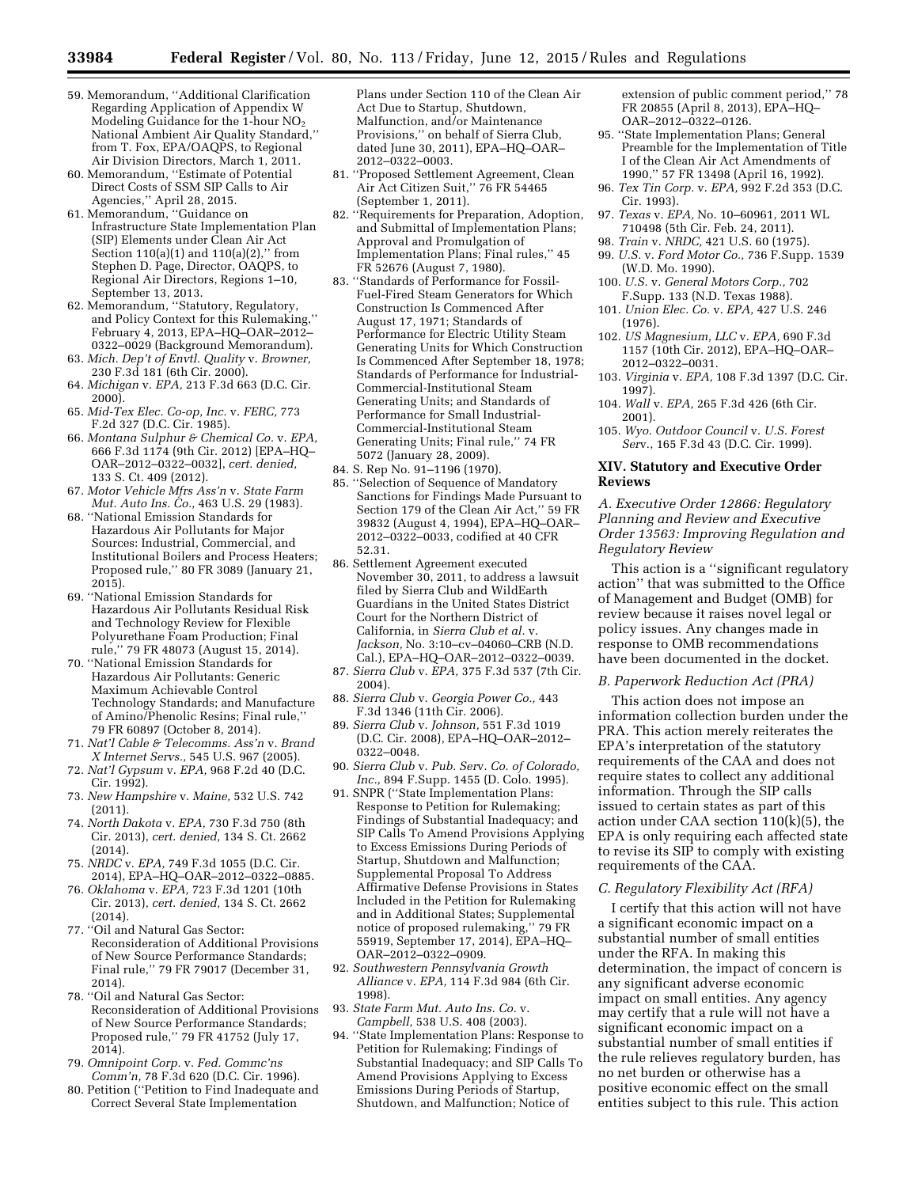- 59. Memorandum, ''Additional Clarification Regarding Application of Appendix W Modeling Guidance for the 1-hour NO2 National Ambient Air Quality Standard,'' from T. Fox, EPA/OAQPS, to Regional Air Division Directors, March 1, 2011.
- 60. Memorandum, ''Estimate of Potential Direct Costs of SSM SIP Calls to Air Agencies,'' April 28, 2015.
- 61. Memorandum, ''Guidance on Infrastructure State Implementation Plan (SIP) Elements under Clean Air Act Section  $110(a)(1)$  and  $110(a)(2)$ ," from Stephen D. Page, Director, OAQPS, to Regional Air Directors, Regions 1–10, September 13, 2013.
- 62. Memorandum, ''Statutory, Regulatory, and Policy Context for this Rulemaking,'' February 4, 2013, EPA–HQ–OAR–2012– 0322–0029 (Background Memorandum).
- 63. *Mich. Dep't of Envtl. Quality* v. *Browner,*  230 F.3d 181 (6th Cir. 2000).
- 64. *Michigan* v. *EPA,* 213 F.3d 663 (D.C. Cir. 2000).
- 65. *Mid-Tex Elec. Co-op, Inc.* v. *FERC,* 773 F.2d 327 (D.C. Cir. 1985).
- 66. *Montana Sulphur & Chemical Co.* v. *EPA,*  666 F.3d 1174 (9th Cir. 2012) [EPA–HQ– OAR–2012–0322–0032], *cert. denied,*  133 S. Ct. 409 (2012).
- 67. *Motor Vehicle Mfrs Ass'n* v. *State Farm Mut. Auto Ins. Co.,* 463 U.S. 29 (1983).
- 68. ''National Emission Standards for Hazardous Air Pollutants for Major Sources: Industrial, Commercial, and Institutional Boilers and Process Heaters; Proposed rule,'' 80 FR 3089 (January 21, 2015).
- 69. ''National Emission Standards for Hazardous Air Pollutants Residual Risk and Technology Review for Flexible Polyurethane Foam Production; Final rule,'' 79 FR 48073 (August 15, 2014).
- 70. ''National Emission Standards for Hazardous Air Pollutants: Generic Maximum Achievable Control Technology Standards; and Manufacture of Amino/Phenolic Resins; Final rule,'' 79 FR 60897 (October 8, 2014).
- 71. *Nat'l Cable & Telecomms. Ass'n* v. *Brand X Internet Servs.,* 545 U.S. 967 (2005).
- 72. *Nat'l Gypsum* v. *EPA,* 968 F.2d 40 (D.C. Cir. 1992).
- 73. *New Hampshire* v. *Maine,* 532 U.S. 742 (2011).
- 74. *North Dakota* v. *EPA,* 730 F.3d 750 (8th Cir. 2013), *cert. denied,* 134 S. Ct. 2662 (2014).
- 75. *NRDC* v. *EPA,* 749 F.3d 1055 (D.C. Cir. 2014), EPA–HQ–OAR–2012–0322–0885.
- 76. *Oklahoma* v. *EPA,* 723 F.3d 1201 (10th Cir. 2013), *cert. denied,* 134 S. Ct. 2662 (2014).
- 77. ''Oil and Natural Gas Sector: Reconsideration of Additional Provisions of New Source Performance Standards; Final rule,'' 79 FR 79017 (December 31, 2014).
- 78. ''Oil and Natural Gas Sector: Reconsideration of Additional Provisions of New Source Performance Standards; Proposed rule,'' 79 FR 41752 (July 17, 2014).
- 79. *Omnipoint Corp.* v. *Fed. Commc'ns Comm'n,* 78 F.3d 620 (D.C. Cir. 1996).
- 80. Petition (''Petition to Find Inadequate and Correct Several State Implementation

Plans under Section 110 of the Clean Air Act Due to Startup, Shutdown, Malfunction, and/or Maintenance Provisions,'' on behalf of Sierra Club, dated June 30, 2011), EPA–HQ–OAR– 2012–0322–0003.

- 81. ''Proposed Settlement Agreement, Clean Air Act Citizen Suit,'' 76 FR 54465 (September 1, 2011).
- 82. ''Requirements for Preparation, Adoption, and Submittal of Implementation Plans; Approval and Promulgation of Implementation Plans; Final rules,'' 45 FR 52676 (August 7, 1980).
- 83. ''Standards of Performance for Fossil-Fuel-Fired Steam Generators for Which Construction Is Commenced After August 17, 1971; Standards of Performance for Electric Utility Steam Generating Units for Which Construction Is Commenced After September 18, 1978; Standards of Performance for Industrial-Commercial-Institutional Steam Generating Units; and Standards of Performance for Small Industrial-Commercial-Institutional Steam Generating Units; Final rule,'' 74 FR 5072 (January 28, 2009).
- 84. S. Rep No. 91–1196 (1970).
- 85. ''Selection of Sequence of Mandatory Sanctions for Findings Made Pursuant to Section 179 of the Clean Air Act,'' 59 FR 39832 (August 4, 1994), EPA–HQ–OAR– 2012–0322–0033, codified at 40 CFR 52.31.
- 86. Settlement Agreement executed November 30, 2011, to address a lawsuit filed by Sierra Club and WildEarth Guardians in the United States District Court for the Northern District of California, in *Sierra Club et al.* v. *Jackson,* No. 3:10–cv–04060–CRB (N.D. Cal.), EPA–HQ–OAR–2012–0322–0039.
- 87. *Sierra Club* v. *EPA,* 375 F.3d 537 (7th Cir. 2004).
- 88. *Sierra Club* v. *Georgia Power Co.,* 443 F.3d 1346 (11th Cir. 2006).
- 89. *Sierra Club* v. *Johnson,* 551 F.3d 1019 (D.C. Cir. 2008), EPA–HQ–OAR–2012– 0322–0048.
- 90. *Sierra Club* v. *Pub. Ser*v. *Co. of Colorado, Inc.,* 894 F.Supp. 1455 (D. Colo. 1995).
- 91. SNPR (''State Implementation Plans: Response to Petition for Rulemaking; Findings of Substantial Inadequacy; and SIP Calls To Amend Provisions Applying to Excess Emissions During Periods of Startup, Shutdown and Malfunction; Supplemental Proposal To Address Affirmative Defense Provisions in States Included in the Petition for Rulemaking and in Additional States; Supplemental notice of proposed rulemaking,'' 79 FR 55919, September 17, 2014), EPA–HQ– OAR–2012–0322–0909.
- 92. *Southwestern Pennsylvania Growth Alliance* v. *EPA,* 114 F.3d 984 (6th Cir. 1998).
- 93. *State Farm Mut. Auto Ins. Co.* v. *Campbell,* 538 U.S. 408 (2003).
- 94. ''State Implementation Plans: Response to Petition for Rulemaking; Findings of Substantial Inadequacy; and SIP Calls To Amend Provisions Applying to Excess Emissions During Periods of Startup, Shutdown, and Malfunction; Notice of

extension of public comment period,'' 78 FR 20855 (April 8, 2013), EPA–HQ– OAR–2012–0322–0126.

- 95. ''State Implementation Plans; General Preamble for the Implementation of Title I of the Clean Air Act Amendments of 1990,'' 57 FR 13498 (April 16, 1992).
- 96. *Tex Tin Corp.* v. *EPA,* 992 F.2d 353 (D.C. Cir. 1993).
- 97. *Texas* v. *EPA,* No. 10–60961, 2011 WL 710498 (5th Cir. Feb. 24, 2011).
- 98. *Train* v. *NRDC,* 421 U.S. 60 (1975). 99. *U.S.* v. *Ford Motor Co.,* 736 F.Supp. 1539
- (W.D. Mo. 1990). 100. *U.S.* v. *General Motors Corp.,* 702
- F.Supp. 133 (N.D. Texas 1988). 101. *Union Elec. Co.* v. *EPA,* 427 U.S. 246
- (1976). 102. *US Magnesium, LLC* v. *EPA,* 690 F.3d 1157 (10th Cir. 2012), EPA–HQ–OAR– 2012–0322–0031.
- 103. *Virginia* v. *EPA,* 108 F.3d 1397 (D.C. Cir. 1997).
- 104. *Wall* v. *EPA,* 265 F.3d 426 (6th Cir. 2001).
- 105. *Wyo. Outdoor Council* v. *U.S. Forest Ser*v., 165 F.3d 43 (D.C. Cir. 1999).

#### **XIV. Statutory and Executive Order Reviews**

*A. Executive Order 12866: Regulatory Planning and Review and Executive Order 13563: Improving Regulation and Regulatory Review* 

This action is a ''significant regulatory action'' that was submitted to the Office of Management and Budget (OMB) for review because it raises novel legal or policy issues. Any changes made in response to OMB recommendations have been documented in the docket.

#### *B. Paperwork Reduction Act (PRA)*

This action does not impose an information collection burden under the PRA. This action merely reiterates the EPA's interpretation of the statutory requirements of the CAA and does not require states to collect any additional information. Through the SIP calls issued to certain states as part of this action under CAA section 110(k)(5), the EPA is only requiring each affected state to revise its SIP to comply with existing requirements of the CAA.

## *C. Regulatory Flexibility Act (RFA)*

I certify that this action will not have a significant economic impact on a substantial number of small entities under the RFA. In making this determination, the impact of concern is any significant adverse economic impact on small entities. Any agency may certify that a rule will not have a significant economic impact on a substantial number of small entities if the rule relieves regulatory burden, has no net burden or otherwise has a positive economic effect on the small entities subject to this rule. This action